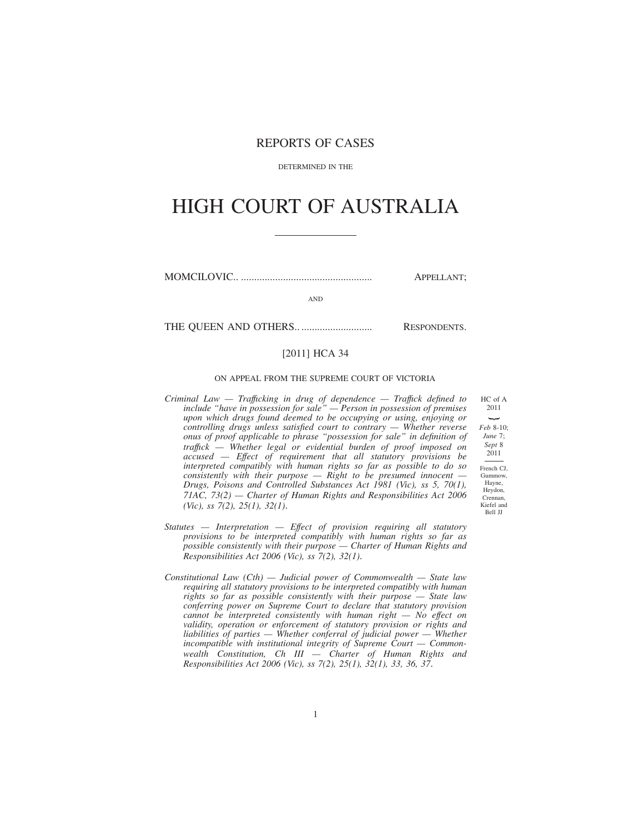## REPORTS OF CASES

DETERMINED IN THE

# HIGH COURT OF AUSTRALIA

MOMCILOVIC.. .................................................. APPELLANT;

AND

THE QUEEN AND OTHERS.. ........................... RESPONDENTS.

## [2011] HCA 34

#### ON APPEAL FROM THE SUPREME COURT OF VICTORIA

*Criminal Law — Traffıcking in drug of dependence — Traffıck defined to include "have in possession for sale" — Person in possession of premises upon which drugs found deemed to be occupying or using, enjoying or controlling drugs unless satisfied court to contrary — Whether reverse onus of proof applicable to phrase "possession for sale" in definition of traffıck — Whether legal or evidential burden of proof imposed on accused — Effect of requirement that all statutory provisions be interpreted compatibly with human rights so far as possible to do so consistently with their purpose — Right to be presumed innocent — Drugs, Poisons and Controlled Substances Act 1981 (Vic), ss 5, 70(1), 71AC, 73(2) — Charter of Human Rights and Responsibilities Act 2006 (Vic), ss 7(2), 25(1), 32(1)*.

- *Statutes Interpretation Effect of provision requiring all statutory provisions to be interpreted compatibly with human rights so far as possible consistently with their purpose — Charter of Human Rights and Responsibilities Act 2006 (Vic), ss 7(2), 32(1)*.
- *Constitutional Law (Cth) Judicial power of Commonwealth State law requiring all statutory provisions to be interpreted compatibly with human rights so far as possible consistently with their purpose — State law conferring power on Supreme Court to declare that statutory provision cannot be interpreted consistently with human right — No effect on validity, operation or enforcement of statutory provision or rights and liabilities of parties — Whether conferral of judicial power — Whether incompatible with institutional integrity of Supreme Court — Commonwealth Constitution, Ch III — Charter of Human Rights and Responsibilities Act 2006 (Vic), ss 7(2), 25(1), 32(1), 33, 36, 37*.

2011 *Feb* 8-10; *June* 7; *Sept* 8 2011 French CJ, Gummow, Hayne, Heydon, Crennan, Kiefel and Bell JJ

HC of A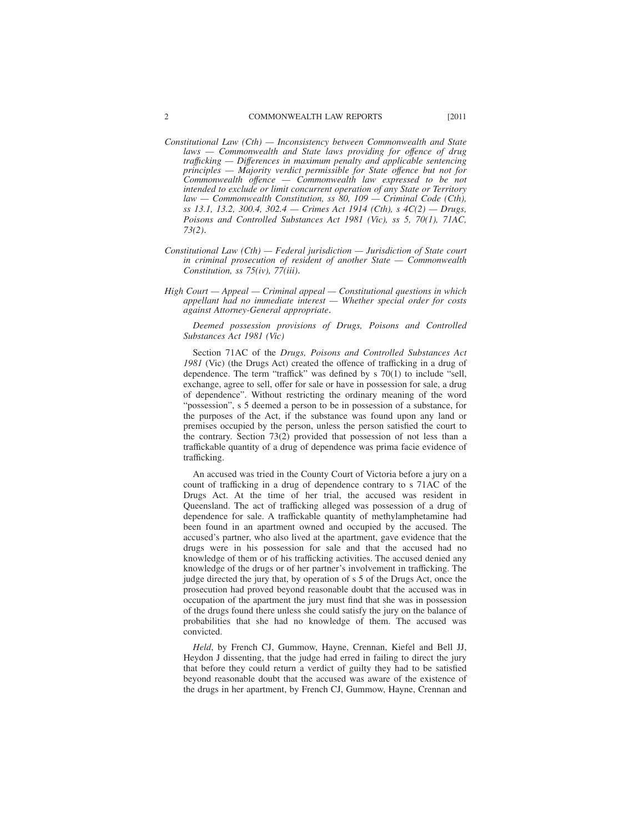- *Constitutional Law (Cth) Inconsistency between Commonwealth and State laws — Commonwealth and State laws providing for offence of drug traffıcking — Differences in maximum penalty and applicable sentencing principles — Majority verdict permissible for State offence but not for Commonwealth offence — Commonwealth law expressed to be not intended to exclude or limit concurrent operation of any State or Territory law — Commonwealth Constitution, ss 80, 109 — Criminal Code (Cth), ss 13.1, 13.2, 300.4, 302.4 — Crimes Act 1914 (Cth), s 4C(2) — Drugs, Poisons and Controlled Substances Act 1981 (Vic), ss 5, 70(1), 71AC, 73(2)*.
- *Constitutional Law (Cth) Federal jurisdiction Jurisdiction of State court in criminal prosecution of resident of another State — Commonwealth Constitution, ss 75(iv), 77(iii)*.
- *High Court Appeal Criminal appeal Constitutional questions in which appellant had no immediate interest — Whether special order for costs against Attorney-General appropriate*.

*Deemed possession provisions of Drugs, Poisons and Controlled Substances Act 1981 (Vic)*

Section 71AC of the *Drugs, Poisons and Controlled Substances Act 1981* (Vic) (the Drugs Act) created the offence of trafficking in a drug of dependence. The term "traffick" was defined by s 70(1) to include "sell, exchange, agree to sell, offer for sale or have in possession for sale, a drug of dependence". Without restricting the ordinary meaning of the word "possession", s 5 deemed a person to be in possession of a substance, for the purposes of the Act, if the substance was found upon any land or premises occupied by the person, unless the person satisfied the court to the contrary. Section 73(2) provided that possession of not less than a traffickable quantity of a drug of dependence was prima facie evidence of trafficking.

An accused was tried in the County Court of Victoria before a jury on a count of trafficking in a drug of dependence contrary to s 71AC of the Drugs Act. At the time of her trial, the accused was resident in Queensland. The act of trafficking alleged was possession of a drug of dependence for sale. A traffickable quantity of methylamphetamine had been found in an apartment owned and occupied by the accused. The accused's partner, who also lived at the apartment, gave evidence that the drugs were in his possession for sale and that the accused had no knowledge of them or of his trafficking activities. The accused denied any knowledge of the drugs or of her partner's involvement in trafficking. The judge directed the jury that, by operation of s 5 of the Drugs Act, once the prosecution had proved beyond reasonable doubt that the accused was in occupation of the apartment the jury must find that she was in possession of the drugs found there unless she could satisfy the jury on the balance of probabilities that she had no knowledge of them. The accused was convicted.

*Held*, by French CJ, Gummow, Hayne, Crennan, Kiefel and Bell JJ, Heydon J dissenting, that the judge had erred in failing to direct the jury that before they could return a verdict of guilty they had to be satisfied beyond reasonable doubt that the accused was aware of the existence of the drugs in her apartment, by French CJ, Gummow, Hayne, Crennan and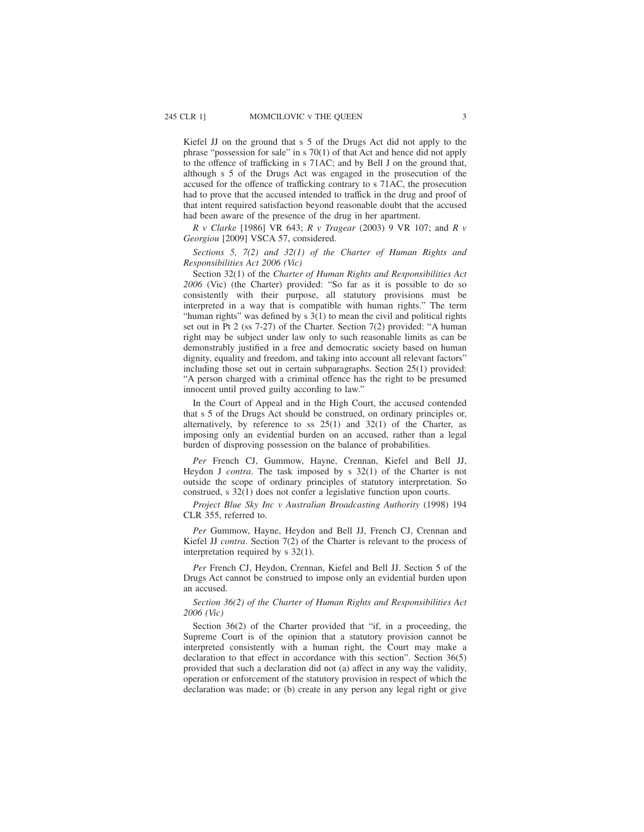Kiefel JJ on the ground that s 5 of the Drugs Act did not apply to the phrase "possession for sale" in s 70(1) of that Act and hence did not apply to the offence of trafficking in s 71AC; and by Bell J on the ground that, although s 5 of the Drugs Act was engaged in the prosecution of the accused for the offence of trafficking contrary to s 71AC, the prosecution had to prove that the accused intended to traffick in the drug and proof of that intent required satisfaction beyond reasonable doubt that the accused had been aware of the presence of the drug in her apartment.

*R v Clarke* [1986] VR 643; *R v Tragear* (2003) 9 VR 107; and *R v Georgiou* [2009] VSCA 57, considered.

*Sections 5, 7(2) and 32(1) of the Charter of Human Rights and Responsibilities Act 2006 (Vic)*

Section 32(1) of the *Charter of Human Rights and Responsibilities Act 2006* (Vic) (the Charter) provided: "So far as it is possible to do so consistently with their purpose, all statutory provisions must be interpreted in a way that is compatible with human rights." The term "human rights" was defined by s 3(1) to mean the civil and political rights set out in Pt 2 (ss 7-27) of the Charter. Section 7(2) provided: "A human right may be subject under law only to such reasonable limits as can be demonstrably justified in a free and democratic society based on human dignity, equality and freedom, and taking into account all relevant factors" including those set out in certain subparagraphs. Section 25(1) provided: "A person charged with a criminal offence has the right to be presumed innocent until proved guilty according to law."

In the Court of Appeal and in the High Court, the accused contended that s 5 of the Drugs Act should be construed, on ordinary principles or, alternatively, by reference to ss  $25(1)$  and  $32(1)$  of the Charter, as imposing only an evidential burden on an accused, rather than a legal burden of disproving possession on the balance of probabilities.

*Per* French CJ, Gummow, Hayne, Crennan, Kiefel and Bell JJ, Heydon J *contra*. The task imposed by s 32(1) of the Charter is not outside the scope of ordinary principles of statutory interpretation. So construed, s 32(1) does not confer a legislative function upon courts.

*Project Blue Sky Inc v Australian Broadcasting Authority* (1998) 194 CLR 355, referred to.

*Per* Gummow, Hayne, Heydon and Bell JJ, French CJ, Crennan and Kiefel JJ *contra*. Section 7(2) of the Charter is relevant to the process of interpretation required by s 32(1).

*Per* French CJ, Heydon, Crennan, Kiefel and Bell JJ. Section 5 of the Drugs Act cannot be construed to impose only an evidential burden upon an accused.

*Section 36(2) of the Charter of Human Rights and Responsibilities Act 2006 (Vic)*

Section 36(2) of the Charter provided that "if, in a proceeding, the Supreme Court is of the opinion that a statutory provision cannot be interpreted consistently with a human right, the Court may make a declaration to that effect in accordance with this section". Section 36(5) provided that such a declaration did not (a) affect in any way the validity, operation or enforcement of the statutory provision in respect of which the declaration was made; or (b) create in any person any legal right or give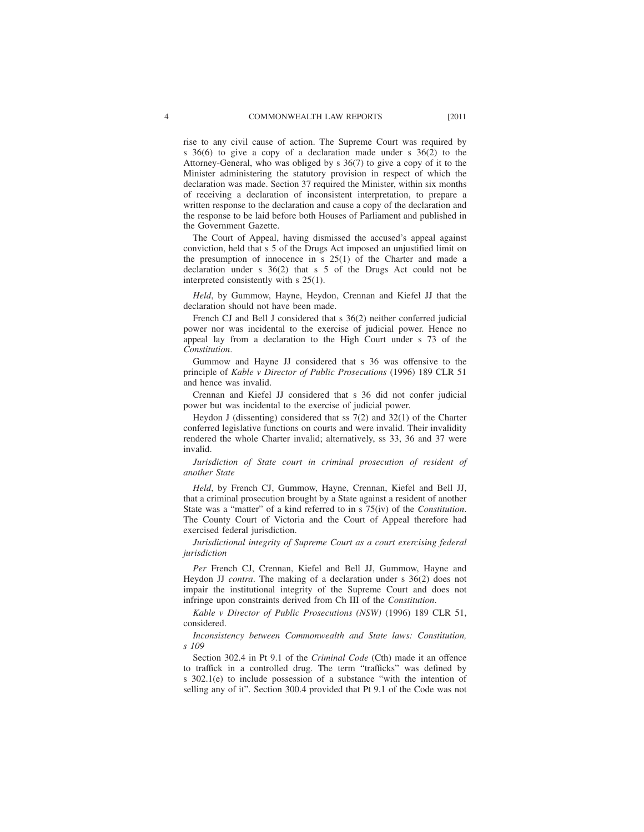rise to any civil cause of action. The Supreme Court was required by s 36(6) to give a copy of a declaration made under s 36(2) to the Attorney-General, who was obliged by s 36(7) to give a copy of it to the Minister administering the statutory provision in respect of which the declaration was made. Section 37 required the Minister, within six months of receiving a declaration of inconsistent interpretation, to prepare a written response to the declaration and cause a copy of the declaration and the response to be laid before both Houses of Parliament and published in the Government Gazette.

The Court of Appeal, having dismissed the accused's appeal against conviction, held that s 5 of the Drugs Act imposed an unjustified limit on the presumption of innocence in s 25(1) of the Charter and made a declaration under s 36(2) that s 5 of the Drugs Act could not be interpreted consistently with s 25(1).

*Held*, by Gummow, Hayne, Heydon, Crennan and Kiefel JJ that the declaration should not have been made.

French CJ and Bell J considered that s 36(2) neither conferred judicial power nor was incidental to the exercise of judicial power. Hence no appeal lay from a declaration to the High Court under s 73 of the *Constitution*.

Gummow and Hayne JJ considered that s 36 was offensive to the principle of *Kable v Director of Public Prosecutions* (1996) 189 CLR 51 and hence was invalid.

Crennan and Kiefel JJ considered that s 36 did not confer judicial power but was incidental to the exercise of judicial power.

Heydon J (dissenting) considered that ss 7(2) and 32(1) of the Charter conferred legislative functions on courts and were invalid. Their invalidity rendered the whole Charter invalid; alternatively, ss 33, 36 and 37 were invalid.

*Jurisdiction of State court in criminal prosecution of resident of another State*

*Held*, by French CJ, Gummow, Hayne, Crennan, Kiefel and Bell JJ, that a criminal prosecution brought by a State against a resident of another State was a "matter" of a kind referred to in s 75(iv) of the *Constitution*. The County Court of Victoria and the Court of Appeal therefore had exercised federal jurisdiction.

*Jurisdictional integrity of Supreme Court as a court exercising federal jurisdiction*

*Per* French CJ, Crennan, Kiefel and Bell JJ, Gummow, Hayne and Heydon JJ *contra*. The making of a declaration under s 36(2) does not impair the institutional integrity of the Supreme Court and does not infringe upon constraints derived from Ch III of the *Constitution*.

*Kable v Director of Public Prosecutions (NSW)* (1996) 189 CLR 51, considered.

*Inconsistency between Commonwealth and State laws: Constitution, s 109*

Section 302.4 in Pt 9.1 of the *Criminal Code* (Cth) made it an offence to traffick in a controlled drug. The term "trafficks" was defined by s 302.1(e) to include possession of a substance "with the intention of selling any of it". Section 300.4 provided that Pt 9.1 of the Code was not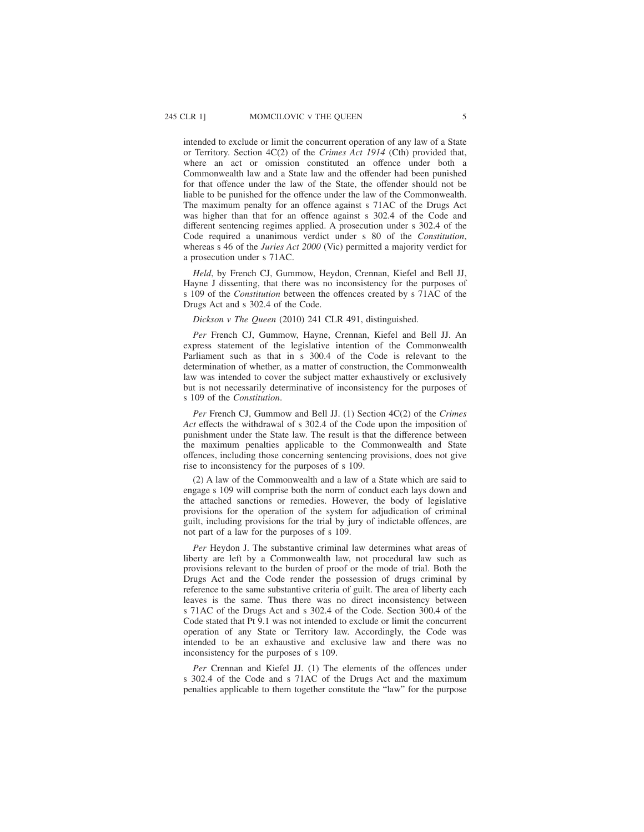intended to exclude or limit the concurrent operation of any law of a State or Territory. Section 4C(2) of the *Crimes Act 1914* (Cth) provided that, where an act or omission constituted an offence under both a Commonwealth law and a State law and the offender had been punished for that offence under the law of the State, the offender should not be liable to be punished for the offence under the law of the Commonwealth. The maximum penalty for an offence against s 71AC of the Drugs Act was higher than that for an offence against s 302.4 of the Code and different sentencing regimes applied. A prosecution under s 302.4 of the Code required a unanimous verdict under s 80 of the *Constitution*, whereas s 46 of the *Juries Act 2000* (Vic) permitted a majority verdict for a prosecution under s 71AC.

*Held*, by French CJ, Gummow, Heydon, Crennan, Kiefel and Bell JJ, Hayne J dissenting, that there was no inconsistency for the purposes of s 109 of the *Constitution* between the offences created by s 71AC of the Drugs Act and s 302.4 of the Code.

#### *Dickson v The Queen* (2010) 241 CLR 491, distinguished.

*Per* French CJ, Gummow, Hayne, Crennan, Kiefel and Bell JJ. An express statement of the legislative intention of the Commonwealth Parliament such as that in s 300.4 of the Code is relevant to the determination of whether, as a matter of construction, the Commonwealth law was intended to cover the subject matter exhaustively or exclusively but is not necessarily determinative of inconsistency for the purposes of s 109 of the *Constitution*.

*Per* French CJ, Gummow and Bell JJ. (1) Section 4C(2) of the *Crimes Act* effects the withdrawal of s 302.4 of the Code upon the imposition of punishment under the State law. The result is that the difference between the maximum penalties applicable to the Commonwealth and State offences, including those concerning sentencing provisions, does not give rise to inconsistency for the purposes of s 109.

(2) A law of the Commonwealth and a law of a State which are said to engage s 109 will comprise both the norm of conduct each lays down and the attached sanctions or remedies. However, the body of legislative provisions for the operation of the system for adjudication of criminal guilt, including provisions for the trial by jury of indictable offences, are not part of a law for the purposes of s 109.

*Per* Heydon J. The substantive criminal law determines what areas of liberty are left by a Commonwealth law, not procedural law such as provisions relevant to the burden of proof or the mode of trial. Both the Drugs Act and the Code render the possession of drugs criminal by reference to the same substantive criteria of guilt. The area of liberty each leaves is the same. Thus there was no direct inconsistency between s 71AC of the Drugs Act and s 302.4 of the Code. Section 300.4 of the Code stated that Pt 9.1 was not intended to exclude or limit the concurrent operation of any State or Territory law. Accordingly, the Code was intended to be an exhaustive and exclusive law and there was no inconsistency for the purposes of s 109.

*Per* Crennan and Kiefel JJ. (1) The elements of the offences under s 302.4 of the Code and s 71AC of the Drugs Act and the maximum penalties applicable to them together constitute the "law" for the purpose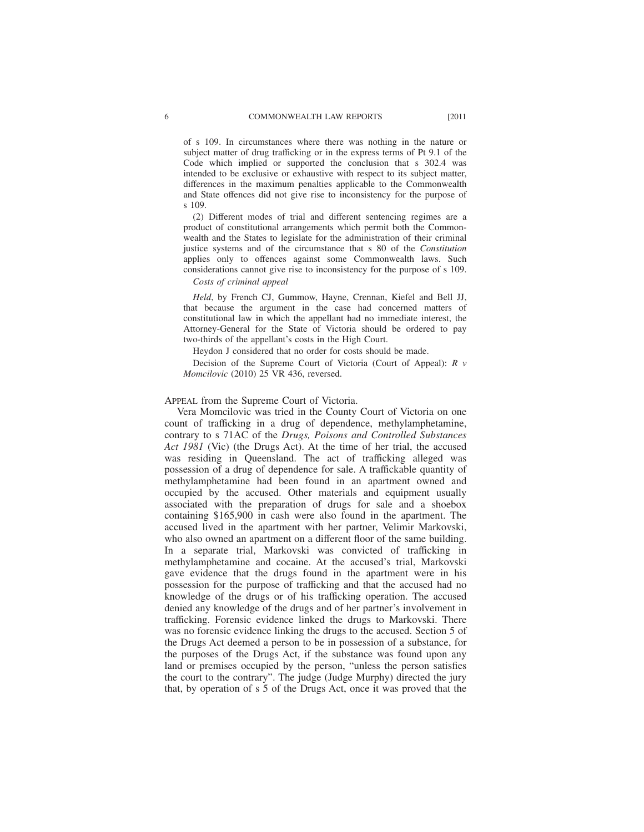of s 109. In circumstances where there was nothing in the nature or subject matter of drug trafficking or in the express terms of Pt 9.1 of the Code which implied or supported the conclusion that s 302.4 was intended to be exclusive or exhaustive with respect to its subject matter, differences in the maximum penalties applicable to the Commonwealth and State offences did not give rise to inconsistency for the purpose of s 109.

(2) Different modes of trial and different sentencing regimes are a product of constitutional arrangements which permit both the Commonwealth and the States to legislate for the administration of their criminal justice systems and of the circumstance that s 80 of the *Constitution* applies only to offences against some Commonwealth laws. Such considerations cannot give rise to inconsistency for the purpose of s 109. *Costs of criminal appeal*

*Held*, by French CJ, Gummow, Hayne, Crennan, Kiefel and Bell JJ, that because the argument in the case had concerned matters of constitutional law in which the appellant had no immediate interest, the Attorney-General for the State of Victoria should be ordered to pay

Heydon J considered that no order for costs should be made.

two-thirds of the appellant's costs in the High Court.

Decision of the Supreme Court of Victoria (Court of Appeal): *R v Momcilovic* (2010) 25 VR 436, reversed.

APPEAL from the Supreme Court of Victoria.

Vera Momcilovic was tried in the County Court of Victoria on one count of trafficking in a drug of dependence, methylamphetamine, contrary to s 71AC of the *Drugs, Poisons and Controlled Substances Act 1981* (Vic) (the Drugs Act). At the time of her trial, the accused was residing in Queensland. The act of trafficking alleged was possession of a drug of dependence for sale. A traffickable quantity of methylamphetamine had been found in an apartment owned and occupied by the accused. Other materials and equipment usually associated with the preparation of drugs for sale and a shoebox containing \$165,900 in cash were also found in the apartment. The accused lived in the apartment with her partner, Velimir Markovski, who also owned an apartment on a different floor of the same building. In a separate trial, Markovski was convicted of trafficking in methylamphetamine and cocaine. At the accused's trial, Markovski gave evidence that the drugs found in the apartment were in his possession for the purpose of trafficking and that the accused had no knowledge of the drugs or of his trafficking operation. The accused denied any knowledge of the drugs and of her partner's involvement in trafficking. Forensic evidence linked the drugs to Markovski. There was no forensic evidence linking the drugs to the accused. Section 5 of the Drugs Act deemed a person to be in possession of a substance, for the purposes of the Drugs Act, if the substance was found upon any land or premises occupied by the person, "unless the person satisfies the court to the contrary". The judge (Judge Murphy) directed the jury that, by operation of s 5 of the Drugs Act, once it was proved that the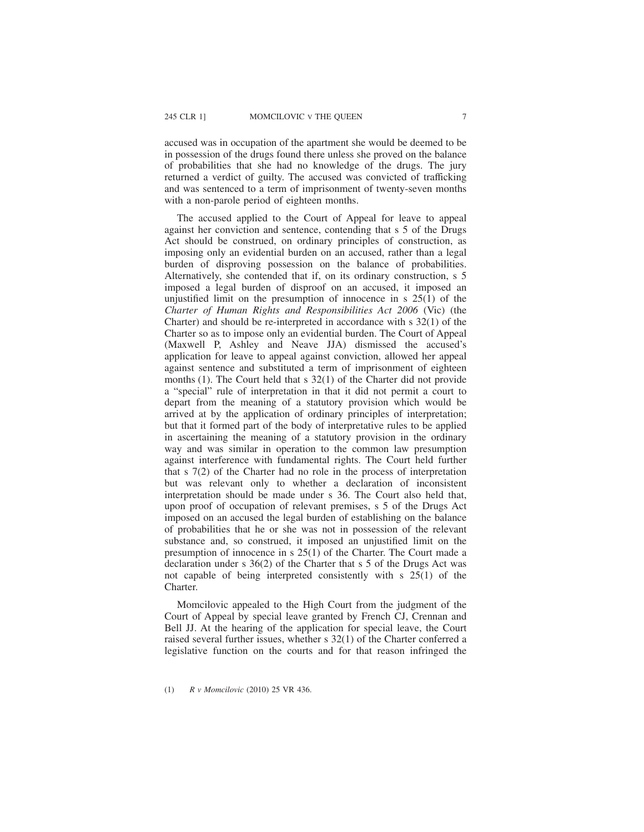accused was in occupation of the apartment she would be deemed to be in possession of the drugs found there unless she proved on the balance of probabilities that she had no knowledge of the drugs. The jury returned a verdict of guilty. The accused was convicted of trafficking and was sentenced to a term of imprisonment of twenty-seven months with a non-parole period of eighteen months.

The accused applied to the Court of Appeal for leave to appeal against her conviction and sentence, contending that s 5 of the Drugs Act should be construed, on ordinary principles of construction, as imposing only an evidential burden on an accused, rather than a legal burden of disproving possession on the balance of probabilities. Alternatively, she contended that if, on its ordinary construction, s 5 imposed a legal burden of disproof on an accused, it imposed an unjustified limit on the presumption of innocence in s 25(1) of the *Charter of Human Rights and Responsibilities Act 2006* (Vic) (the Charter) and should be re-interpreted in accordance with s 32(1) of the Charter so as to impose only an evidential burden. The Court of Appeal (Maxwell P, Ashley and Neave JJA) dismissed the accused's application for leave to appeal against conviction, allowed her appeal against sentence and substituted a term of imprisonment of eighteen months (1). The Court held that s 32(1) of the Charter did not provide a "special" rule of interpretation in that it did not permit a court to depart from the meaning of a statutory provision which would be arrived at by the application of ordinary principles of interpretation; but that it formed part of the body of interpretative rules to be applied in ascertaining the meaning of a statutory provision in the ordinary way and was similar in operation to the common law presumption against interference with fundamental rights. The Court held further that s 7(2) of the Charter had no role in the process of interpretation but was relevant only to whether a declaration of inconsistent interpretation should be made under s 36. The Court also held that, upon proof of occupation of relevant premises, s 5 of the Drugs Act imposed on an accused the legal burden of establishing on the balance of probabilities that he or she was not in possession of the relevant substance and, so construed, it imposed an unjustified limit on the presumption of innocence in s 25(1) of the Charter. The Court made a declaration under s 36(2) of the Charter that s 5 of the Drugs Act was not capable of being interpreted consistently with s 25(1) of the **Charter** 

Momcilovic appealed to the High Court from the judgment of the Court of Appeal by special leave granted by French CJ, Crennan and Bell JJ. At the hearing of the application for special leave, the Court raised several further issues, whether s 32(1) of the Charter conferred a legislative function on the courts and for that reason infringed the

(1) *R v Momcilovic* (2010) 25 VR 436.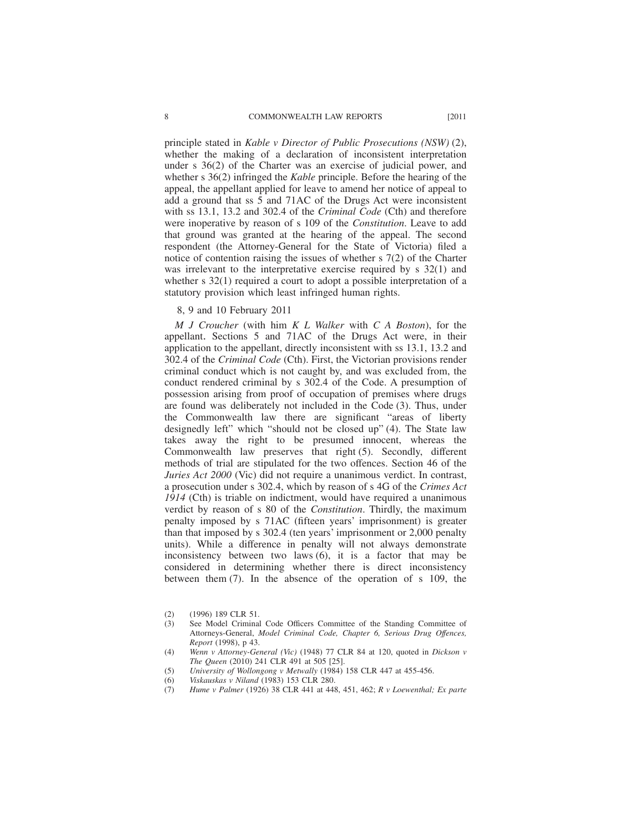principle stated in *Kable v Director of Public Prosecutions (NSW)* (2), whether the making of a declaration of inconsistent interpretation under s 36(2) of the Charter was an exercise of judicial power, and whether s 36(2) infringed the *Kable* principle. Before the hearing of the appeal, the appellant applied for leave to amend her notice of appeal to add a ground that ss 5 and 71AC of the Drugs Act were inconsistent with ss 13.1, 13.2 and 302.4 of the *Criminal Code* (Cth) and therefore were inoperative by reason of s 109 of the *Constitution*. Leave to add that ground was granted at the hearing of the appeal. The second respondent (the Attorney-General for the State of Victoria) filed a notice of contention raising the issues of whether s 7(2) of the Charter was irrelevant to the interpretative exercise required by s 32(1) and whether s 32(1) required a court to adopt a possible interpretation of a statutory provision which least infringed human rights.

#### 8, 9 and 10 February 2011

*M J Croucher* (with him *K L Walker* with *C A Boston*), for the appellant. Sections 5 and 71AC of the Drugs Act were, in their application to the appellant, directly inconsistent with ss 13.1, 13.2 and 302.4 of the *Criminal Code* (Cth). First, the Victorian provisions render criminal conduct which is not caught by, and was excluded from, the conduct rendered criminal by s 302.4 of the Code. A presumption of possession arising from proof of occupation of premises where drugs are found was deliberately not included in the Code (3). Thus, under the Commonwealth law there are significant "areas of liberty designedly left" which "should not be closed up" (4). The State law takes away the right to be presumed innocent, whereas the Commonwealth law preserves that right (5). Secondly, different methods of trial are stipulated for the two offences. Section 46 of the *Juries Act 2000* (Vic) did not require a unanimous verdict. In contrast, a prosecution under s 302.4, which by reason of s 4G of the *Crimes Act 1914* (Cth) is triable on indictment, would have required a unanimous verdict by reason of s 80 of the *Constitution*. Thirdly, the maximum penalty imposed by s 71AC (fifteen years' imprisonment) is greater than that imposed by s 302.4 (ten years' imprisonment or 2,000 penalty units). While a difference in penalty will not always demonstrate inconsistency between two laws (6), it is a factor that may be considered in determining whether there is direct inconsistency between them (7). In the absence of the operation of s 109, the

- (3) See Model Criminal Code Officers Committee of the Standing Committee of Attorneys-General, *Model Criminal Code, Chapter 6, Serious Drug Offences, Report* (1998), p 43.
- (4) *Wenn v Attorney-General (Vic)* (1948) 77 CLR 84 at 120, quoted in *Dickson v The Queen* (2010) 241 CLR 491 at 505 [25].
- (5) *University of Wollongong v Metwally* (1984) 158 CLR 447 at 455-456.
- (6) *Viskauskas v Niland* (1983) 153 CLR 280.
- (7) *Hume v Palmer* (1926) 38 CLR 441 at 448, 451, 462; *R v Loewenthal; Ex parte*

<sup>(2) (1996) 189</sup> CLR 51.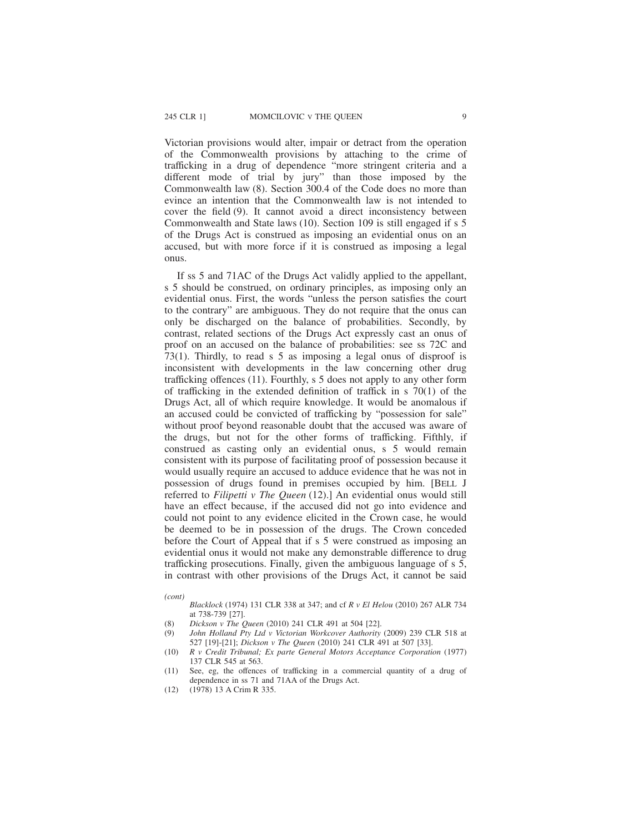Victorian provisions would alter, impair or detract from the operation of the Commonwealth provisions by attaching to the crime of trafficking in a drug of dependence "more stringent criteria and a different mode of trial by jury" than those imposed by the Commonwealth law (8). Section 300.4 of the Code does no more than evince an intention that the Commonwealth law is not intended to cover the field (9). It cannot avoid a direct inconsistency between Commonwealth and State laws (10). Section 109 is still engaged if s 5 of the Drugs Act is construed as imposing an evidential onus on an accused, but with more force if it is construed as imposing a legal onus.

If ss 5 and 71AC of the Drugs Act validly applied to the appellant, s 5 should be construed, on ordinary principles, as imposing only an evidential onus. First, the words "unless the person satisfies the court to the contrary" are ambiguous. They do not require that the onus can only be discharged on the balance of probabilities. Secondly, by contrast, related sections of the Drugs Act expressly cast an onus of proof on an accused on the balance of probabilities: see ss 72C and 73(1). Thirdly, to read s 5 as imposing a legal onus of disproof is inconsistent with developments in the law concerning other drug trafficking offences (11). Fourthly, s 5 does not apply to any other form of trafficking in the extended definition of traffick in s 70(1) of the Drugs Act, all of which require knowledge. It would be anomalous if an accused could be convicted of trafficking by "possession for sale" without proof beyond reasonable doubt that the accused was aware of the drugs, but not for the other forms of trafficking. Fifthly, if construed as casting only an evidential onus, s 5 would remain consistent with its purpose of facilitating proof of possession because it would usually require an accused to adduce evidence that he was not in possession of drugs found in premises occupied by him. [BELL J referred to *Filipetti v The Queen* (12).] An evidential onus would still have an effect because, if the accused did not go into evidence and could not point to any evidence elicited in the Crown case, he would be deemed to be in possession of the drugs. The Crown conceded before the Court of Appeal that if s 5 were construed as imposing an evidential onus it would not make any demonstrable difference to drug trafficking prosecutions. Finally, given the ambiguous language of s 5, in contrast with other provisions of the Drugs Act, it cannot be said

#### *(cont)*

- *Blacklock* (1974) 131 CLR 338 at 347; and cf *R v El Helou* (2010) 267 ALR 734 at 738-739 [27].
- (8) *Dickson v The Queen* (2010) 241 CLR 491 at 504 [22].
- (9) *John Holland Pty Ltd v Victorian Workcover Authority* (2009) 239 CLR 518 at 527 [19]-[21]; *Dickson v The Queen* (2010) 241 CLR 491 at 507 [33].
- (10) *R v Credit Tribunal; Ex parte General Motors Acceptance Corporation* (1977) 137 CLR 545 at 563.
- (11) See, eg, the offences of trafficking in a commercial quantity of a drug of dependence in ss 71 and 71AA of the Drugs Act.
- (12) (1978) 13 A Crim R 335.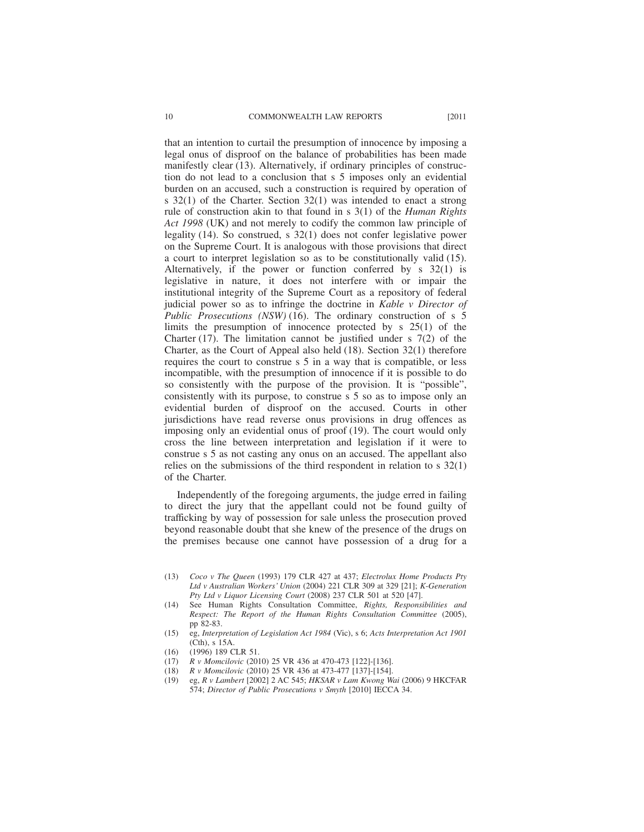that an intention to curtail the presumption of innocence by imposing a legal onus of disproof on the balance of probabilities has been made manifestly clear (13). Alternatively, if ordinary principles of construction do not lead to a conclusion that s 5 imposes only an evidential burden on an accused, such a construction is required by operation of s 32(1) of the Charter. Section 32(1) was intended to enact a strong rule of construction akin to that found in s 3(1) of the *Human Rights Act 1998* (UK) and not merely to codify the common law principle of legality (14). So construed, s 32(1) does not confer legislative power on the Supreme Court. It is analogous with those provisions that direct a court to interpret legislation so as to be constitutionally valid (15). Alternatively, if the power or function conferred by s 32(1) is legislative in nature, it does not interfere with or impair the institutional integrity of the Supreme Court as a repository of federal judicial power so as to infringe the doctrine in *Kable v Director of Public Prosecutions (NSW)* (16). The ordinary construction of s 5 limits the presumption of innocence protected by s 25(1) of the Charter (17). The limitation cannot be justified under s 7(2) of the Charter, as the Court of Appeal also held (18). Section 32(1) therefore requires the court to construe s 5 in a way that is compatible, or less incompatible, with the presumption of innocence if it is possible to do so consistently with the purpose of the provision. It is "possible", consistently with its purpose, to construe s 5 so as to impose only an evidential burden of disproof on the accused. Courts in other jurisdictions have read reverse onus provisions in drug offences as imposing only an evidential onus of proof (19). The court would only cross the line between interpretation and legislation if it were to construe s 5 as not casting any onus on an accused. The appellant also relies on the submissions of the third respondent in relation to s 32(1) of the Charter.

Independently of the foregoing arguments, the judge erred in failing to direct the jury that the appellant could not be found guilty of trafficking by way of possession for sale unless the prosecution proved beyond reasonable doubt that she knew of the presence of the drugs on the premises because one cannot have possession of a drug for a

- (13) *Coco v The Queen* (1993) 179 CLR 427 at 437; *Electrolux Home Products Pty Ltd v Australian Workers' Union* (2004) 221 CLR 309 at 329 [21]; *K-Generation Pty Ltd v Liquor Licensing Court* (2008) 237 CLR 501 at 520 [47].
- (14) See Human Rights Consultation Committee, *Rights, Responsibilities and Respect: The Report of the Human Rights Consultation Committee* (2005), pp 82-83.
- (15) eg, *Interpretation of Legislation Act 1984* (Vic), s 6; *Acts Interpretation Act 1901* (Cth), s 15A.
- (16) (1996) 189 CLR 51.
- (17) *R v Momcilovic* (2010) 25 VR 436 at 470-473 [122]-[136].
- (18) *R v Momcilovic* (2010) 25 VR 436 at 473-477 [137]-[154].
- (19) eg, *R v Lambert* [2002] 2 AC 545; *HKSAR v Lam Kwong Wai* (2006) 9 HKCFAR 574; *Director of Public Prosecutions v Smyth* [2010] IECCA 34.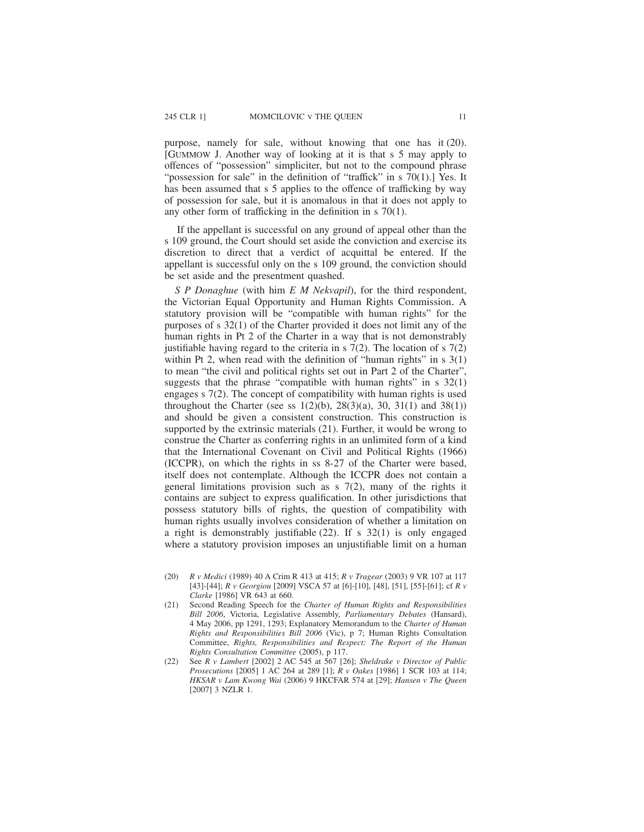purpose, namely for sale, without knowing that one has it (20). [GUMMOW J. Another way of looking at it is that s 5 may apply to offences of "possession" simpliciter, but not to the compound phrase "possession for sale" in the definition of "traffick" in s 70(1).] Yes. It has been assumed that s 5 applies to the offence of trafficking by way of possession for sale, but it is anomalous in that it does not apply to any other form of trafficking in the definition in s 70(1).

If the appellant is successful on any ground of appeal other than the s 109 ground, the Court should set aside the conviction and exercise its discretion to direct that a verdict of acquittal be entered. If the appellant is successful only on the s 109 ground, the conviction should be set aside and the presentment quashed.

*S P Donaghue* (with him *E M Nekvapil*), for the third respondent, the Victorian Equal Opportunity and Human Rights Commission. A statutory provision will be "compatible with human rights" for the purposes of s 32(1) of the Charter provided it does not limit any of the human rights in Pt 2 of the Charter in a way that is not demonstrably justifiable having regard to the criteria in  $\sigma$  7(2). The location of  $\sigma$  7(2) within Pt 2, when read with the definition of "human rights" in  $s \, 3(1)$ to mean "the civil and political rights set out in Part 2 of the Charter", suggests that the phrase "compatible with human rights" in  $s \frac{32(1)}{2}$ engages s 7(2). The concept of compatibility with human rights is used throughout the Charter (see ss  $1(2)(b)$ ,  $28(3)(a)$ ,  $30$ ,  $31(1)$  and  $38(1)$ ) and should be given a consistent construction. This construction is supported by the extrinsic materials (21). Further, it would be wrong to construe the Charter as conferring rights in an unlimited form of a kind that the International Covenant on Civil and Political Rights (1966) (ICCPR), on which the rights in ss 8-27 of the Charter were based, itself does not contemplate. Although the ICCPR does not contain a general limitations provision such as s 7(2), many of the rights it contains are subject to express qualification. In other jurisdictions that possess statutory bills of rights, the question of compatibility with human rights usually involves consideration of whether a limitation on a right is demonstrably justifiable (22). If s 32(1) is only engaged where a statutory provision imposes an unjustifiable limit on a human

- (20) *R v Medici* (1989) 40 A Crim R 413 at 415; *R v Tragear* (2003) 9 VR 107 at 117 [43]-[44]; *R v Georgiou* [2009] VSCA 57 at [6]-[10], [48], [51], [55]-[61]; cf *R v Clarke* [1986] VR 643 at 660.
- (21) Second Reading Speech for the *Charter of Human Rights and Responsibilities Bill 2006*, Victoria, Legislative Assembly, *Parliamentary Debates* (Hansard), 4 May 2006, pp 1291, 1293; Explanatory Memorandum to the *Charter of Human Rights and Responsibilities Bill 2006* (Vic), p 7; Human Rights Consultation Committee, *Rights, Responsibilities and Respect: The Report of the Human Rights Consultation Committee* (2005), p 117.
- (22) See *R v Lambert* [2002] 2 AC 545 at 567 [26]; *Sheldrake v Director of Public Prosecutions* [2005] 1 AC 264 at 289 [1]; *R v Oakes* [1986] 1 SCR 103 at 114; *HKSAR v Lam Kwong Wai* (2006) 9 HKCFAR 574 at [29]; *Hansen v The Queen* [2007] 3 NZLR 1.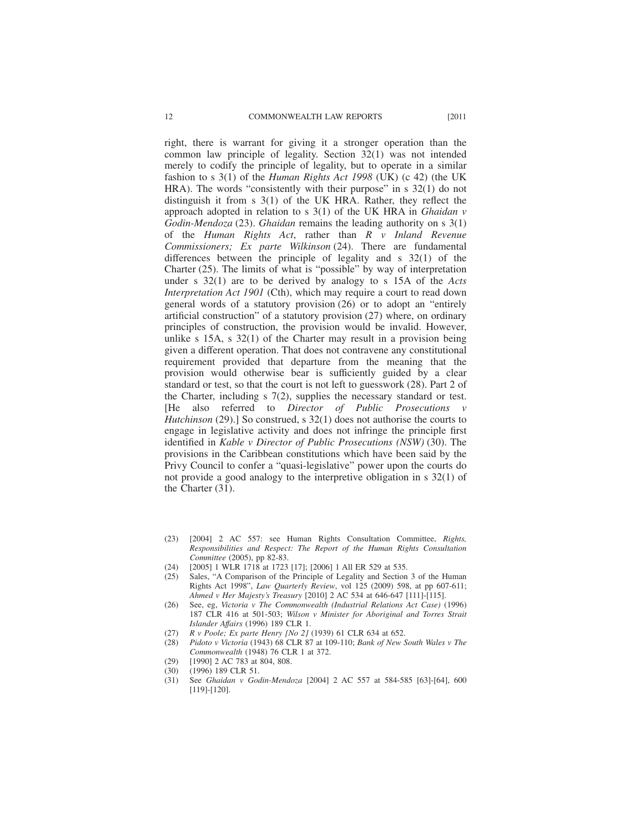right, there is warrant for giving it a stronger operation than the common law principle of legality. Section 32(1) was not intended merely to codify the principle of legality, but to operate in a similar fashion to s 3(1) of the *Human Rights Act 1998* (UK) (c 42) (the UK HRA). The words "consistently with their purpose" in s 32(1) do not distinguish it from s 3(1) of the UK HRA. Rather, they reflect the approach adopted in relation to s 3(1) of the UK HRA in *Ghaidan v Godin-Mendoza* (23). *Ghaidan* remains the leading authority on s 3(1) of the *Human Rights Act*, rather than *R v Inland Revenue Commissioners; Ex parte Wilkinson* (24). There are fundamental differences between the principle of legality and s 32(1) of the Charter (25). The limits of what is "possible" by way of interpretation under s 32(1) are to be derived by analogy to s 15A of the *Acts Interpretation Act 1901* (Cth), which may require a court to read down general words of a statutory provision (26) or to adopt an "entirely artificial construction" of a statutory provision (27) where, on ordinary principles of construction, the provision would be invalid. However, unlike s 15A, s 32(1) of the Charter may result in a provision being given a different operation. That does not contravene any constitutional requirement provided that departure from the meaning that the provision would otherwise bear is sufficiently guided by a clear standard or test, so that the court is not left to guesswork (28). Part 2 of the Charter, including s 7(2), supplies the necessary standard or test. [He also referred to *Director of Public Prosecutions v Hutchinson* (29).] So construed, s 32(1) does not authorise the courts to engage in legislative activity and does not infringe the principle first identified in *Kable v Director of Public Prosecutions (NSW)* (30). The provisions in the Caribbean constitutions which have been said by the Privy Council to confer a "quasi-legislative" power upon the courts do not provide a good analogy to the interpretive obligation in s 32(1) of the Charter (31).

- (23) [2004] 2 AC 557: see Human Rights Consultation Committee, *Rights, Responsibilities and Respect: The Report of the Human Rights Consultation Committee* (2005), pp 82-83.
- (24) [2005] 1 WLR 1718 at 1723 [17]; [2006] 1 All ER 529 at 535.
- (25) Sales, "A Comparison of the Principle of Legality and Section 3 of the Human Rights Act 1998", *Law Quarterly Review*, vol 125 (2009) 598, at pp 607-611; *Ahmed v Her Majesty's Treasury* [2010] 2 AC 534 at 646-647 [111]-[115].
- (26) See, eg, *Victoria v The Commonwealth (Industrial Relations Act Case)* (1996) 187 CLR 416 at 501-503; *Wilson v Minister for Aboriginal and Torres Strait Islander Affairs* (1996) 189 CLR 1.
- (27) *R v Poole; Ex parte Henry [No 2]* (1939) 61 CLR 634 at 652.
- (28) *Pidoto v Victoria* (1943) 68 CLR 87 at 109-110; *Bank of New South Wales v The Commonwealth* (1948) 76 CLR 1 at 372.
- (29) [1990] 2 AC 783 at 804, 808.
- (30) (1996) 189 CLR 51.
- (31) See *Ghaidan v Godin-Mendoza* [2004] 2 AC 557 at 584-585 [63]-[64], 600 [119]-[120].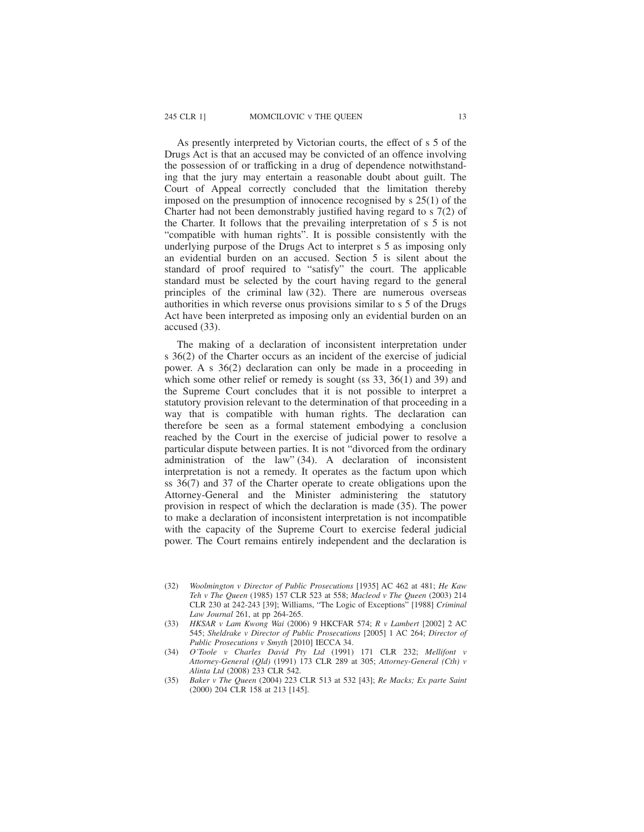As presently interpreted by Victorian courts, the effect of s 5 of the Drugs Act is that an accused may be convicted of an offence involving the possession of or trafficking in a drug of dependence notwithstanding that the jury may entertain a reasonable doubt about guilt. The Court of Appeal correctly concluded that the limitation thereby imposed on the presumption of innocence recognised by s 25(1) of the Charter had not been demonstrably justified having regard to s 7(2) of the Charter. It follows that the prevailing interpretation of s 5 is not "compatible with human rights". It is possible consistently with the underlying purpose of the Drugs Act to interpret s 5 as imposing only an evidential burden on an accused. Section 5 is silent about the standard of proof required to "satisfy" the court. The applicable standard must be selected by the court having regard to the general principles of the criminal law (32). There are numerous overseas authorities in which reverse onus provisions similar to s 5 of the Drugs Act have been interpreted as imposing only an evidential burden on an accused (33).

The making of a declaration of inconsistent interpretation under s 36(2) of the Charter occurs as an incident of the exercise of judicial power. A s 36(2) declaration can only be made in a proceeding in which some other relief or remedy is sought (ss 33, 36(1) and 39) and the Supreme Court concludes that it is not possible to interpret a statutory provision relevant to the determination of that proceeding in a way that is compatible with human rights. The declaration can therefore be seen as a formal statement embodying a conclusion reached by the Court in the exercise of judicial power to resolve a particular dispute between parties. It is not "divorced from the ordinary administration of the law" (34). A declaration of inconsistent interpretation is not a remedy. It operates as the factum upon which ss 36(7) and 37 of the Charter operate to create obligations upon the Attorney-General and the Minister administering the statutory provision in respect of which the declaration is made (35). The power to make a declaration of inconsistent interpretation is not incompatible with the capacity of the Supreme Court to exercise federal judicial power. The Court remains entirely independent and the declaration is

- (32) *Woolmington v Director of Public Prosecutions* [1935] AC 462 at 481; *He Kaw Teh v The Queen* (1985) 157 CLR 523 at 558; *Macleod v The Queen* (2003) 214 CLR 230 at 242-243 [39]; Williams, "The Logic of Exceptions" [1988] *Criminal Law Journal* 261, at pp 264-265.
- (33) *HKSAR v Lam Kwong Wai* (2006) 9 HKCFAR 574; *R v Lambert* [2002] 2 AC 545; *Sheldrake v Director of Public Prosecutions* [2005] 1 AC 264; *Director of Public Prosecutions v Smyth* [2010] IECCA 34.
- (34) *O'Toole v Charles David Pty Ltd* (1991) 171 CLR 232; *Mellifont v Attorney-General (Qld)* (1991) 173 CLR 289 at 305; *Attorney-General (Cth) v Alinta Ltd* (2008) 233 CLR 542.
- (35) *Baker v The Queen* (2004) 223 CLR 513 at 532 [43]; *Re Macks; Ex parte Saint* (2000) 204 CLR 158 at 213 [145].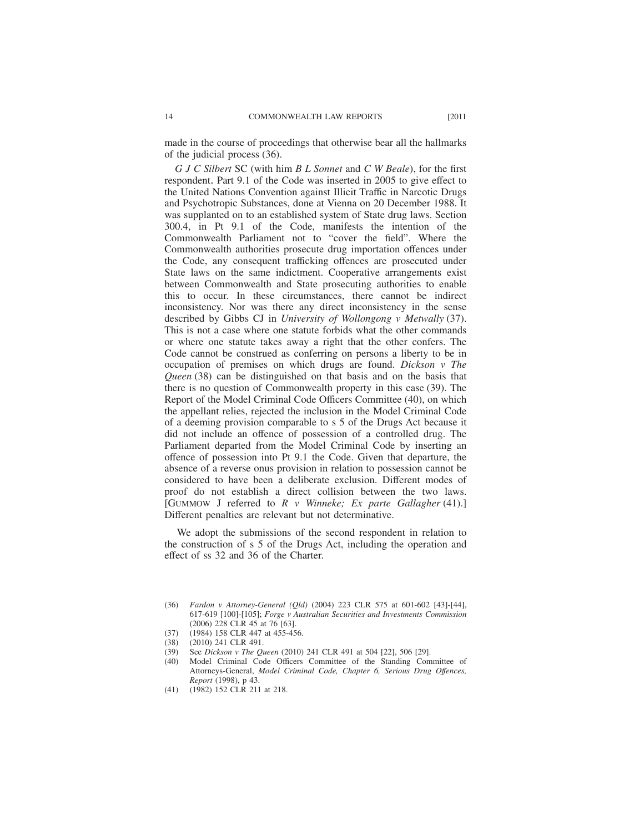made in the course of proceedings that otherwise bear all the hallmarks of the judicial process (36).

*G J C Silbert* SC (with him *B L Sonnet* and *C W Beale*), for the first respondent. Part 9.1 of the Code was inserted in 2005 to give effect to the United Nations Convention against Illicit Traffic in Narcotic Drugs and Psychotropic Substances, done at Vienna on 20 December 1988. It was supplanted on to an established system of State drug laws. Section 300.4, in Pt 9.1 of the Code, manifests the intention of the Commonwealth Parliament not to "cover the field". Where the Commonwealth authorities prosecute drug importation offences under the Code, any consequent trafficking offences are prosecuted under State laws on the same indictment. Cooperative arrangements exist between Commonwealth and State prosecuting authorities to enable this to occur. In these circumstances, there cannot be indirect inconsistency. Nor was there any direct inconsistency in the sense described by Gibbs CJ in *University of Wollongong v Metwally* (37). This is not a case where one statute forbids what the other commands or where one statute takes away a right that the other confers. The Code cannot be construed as conferring on persons a liberty to be in occupation of premises on which drugs are found. *Dickson v The Queen* (38) can be distinguished on that basis and on the basis that there is no question of Commonwealth property in this case (39). The Report of the Model Criminal Code Officers Committee (40), on which the appellant relies, rejected the inclusion in the Model Criminal Code of a deeming provision comparable to s 5 of the Drugs Act because it did not include an offence of possession of a controlled drug. The Parliament departed from the Model Criminal Code by inserting an offence of possession into Pt 9.1 the Code. Given that departure, the absence of a reverse onus provision in relation to possession cannot be considered to have been a deliberate exclusion. Different modes of proof do not establish a direct collision between the two laws. [GUMMOW J referred to *R v Winneke; Ex parte Gallagher* (41).] Different penalties are relevant but not determinative.

We adopt the submissions of the second respondent in relation to the construction of s 5 of the Drugs Act, including the operation and effect of ss 32 and 36 of the Charter.

- (36) *Fardon v Attorney-General (Qld)* (2004) 223 CLR 575 at 601-602 [43]-[44], 617-619 [100]-[105]; *Forge v Australian Securities and Investments Commission* (2006) 228 CLR 45 at 76 [63].
- (37) (1984) 158 CLR 447 at 455-456.
- (38) (2010) 241 CLR 491.<br>(39) See Dickson v The O.
- See *Dickson v The Queen* (2010) 241 CLR 491 at 504 [22], 506 [29].
- (40) Model Criminal Code Officers Committee of the Standing Committee of Attorneys-General, *Model Criminal Code, Chapter 6, Serious Drug Offences, Report* (1998), p 43.
- (41) (1982) 152 CLR 211 at 218.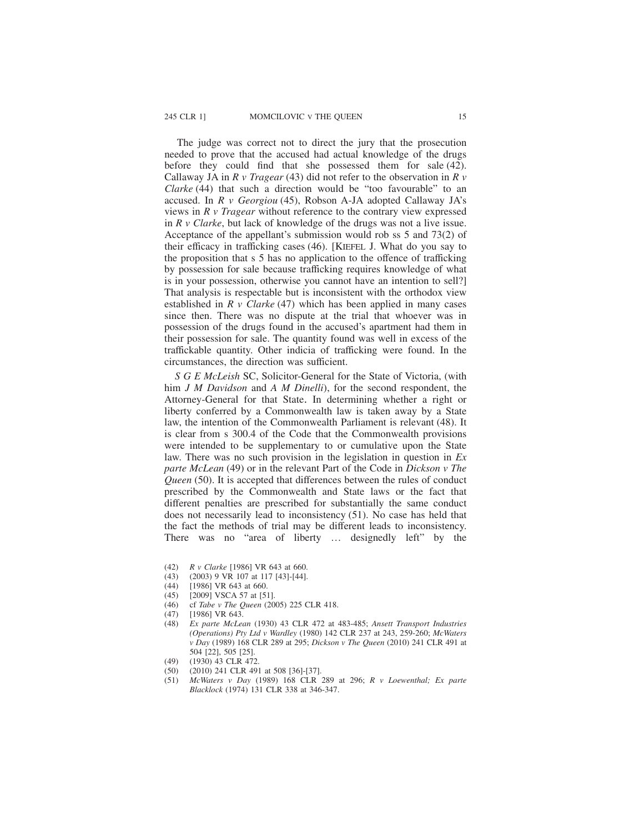The judge was correct not to direct the jury that the prosecution needed to prove that the accused had actual knowledge of the drugs before they could find that she possessed them for sale (42). Callaway JA in *R v Tragear* (43) did not refer to the observation in *R v Clarke* (44) that such a direction would be "too favourable" to an accused. In *R v Georgiou* (45), Robson A-JA adopted Callaway JA's views in *R v Tragear* without reference to the contrary view expressed in *R v Clarke*, but lack of knowledge of the drugs was not a live issue. Acceptance of the appellant's submission would rob ss 5 and 73(2) of their efficacy in trafficking cases (46). [KIEFEL J. What do you say to the proposition that s 5 has no application to the offence of trafficking by possession for sale because trafficking requires knowledge of what is in your possession, otherwise you cannot have an intention to sell?] That analysis is respectable but is inconsistent with the orthodox view established in *R v Clarke* (47) which has been applied in many cases since then. There was no dispute at the trial that whoever was in possession of the drugs found in the accused's apartment had them in their possession for sale. The quantity found was well in excess of the traffickable quantity. Other indicia of trafficking were found. In the circumstances, the direction was sufficient.

*S G E McLeish* SC, Solicitor-General for the State of Victoria, (with him *J M Davidson* and *A M Dinelli*), for the second respondent, the Attorney-General for that State. In determining whether a right or liberty conferred by a Commonwealth law is taken away by a State law, the intention of the Commonwealth Parliament is relevant (48). It is clear from s 300.4 of the Code that the Commonwealth provisions were intended to be supplementary to or cumulative upon the State law. There was no such provision in the legislation in question in *Ex parte McLean* (49) or in the relevant Part of the Code in *Dickson v The Queen* (50). It is accepted that differences between the rules of conduct prescribed by the Commonwealth and State laws or the fact that different penalties are prescribed for substantially the same conduct does not necessarily lead to inconsistency (51). No case has held that the fact the methods of trial may be different leads to inconsistency. There was no "area of liberty … designedly left" by the

- (42) *R v Clarke* [1986] VR 643 at 660.
- (43) (2003) 9 VR 107 at 117 [43]-[44].<br>(44) [1986] VR 643 at 660.
- [1986] VR 643 at 660.
- (45) [2009] VSCA 57 at [51].<br>(46) cf Tabe v The Queen (20
- (46) cf *Tabe v The Queen* (2005) 225 CLR 418.
- (47) [1986] VR 643.
- (48) *Ex parte McLean* (1930) 43 CLR 472 at 483-485; *Ansett Transport Industries (Operations) Pty Ltd v Wardley* (1980) 142 CLR 237 at 243, 259-260; *McWaters v Day* (1989) 168 CLR 289 at 295; *Dickson v The Queen* (2010) 241 CLR 491 at 504 [22], 505 [25].
- (49) (1930) 43 CLR 472.
- (50) (2010) 241 CLR 491 at 508 [36]-[37].
- (51) *McWaters v Day* (1989) 168 CLR 289 at 296; *R v Loewenthal; Ex parte Blacklock* (1974) 131 CLR 338 at 346-347.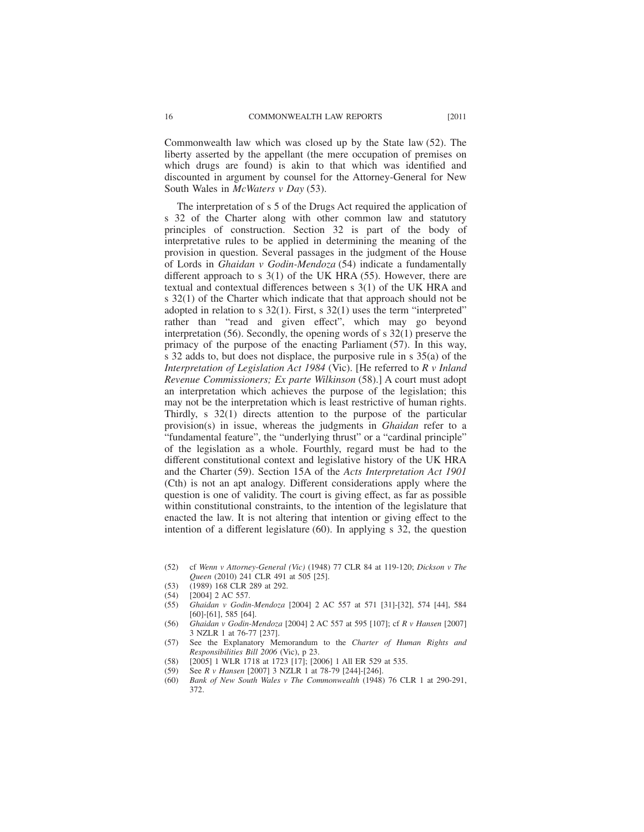Commonwealth law which was closed up by the State law (52). The liberty asserted by the appellant (the mere occupation of premises on which drugs are found) is akin to that which was identified and discounted in argument by counsel for the Attorney-General for New South Wales in *McWaters v Day* (53).

The interpretation of s 5 of the Drugs Act required the application of s 32 of the Charter along with other common law and statutory principles of construction. Section 32 is part of the body of interpretative rules to be applied in determining the meaning of the provision in question. Several passages in the judgment of the House of Lords in *Ghaidan v Godin-Mendoza* (54) indicate a fundamentally different approach to s  $3(1)$  of the UK HRA (55). However, there are textual and contextual differences between s 3(1) of the UK HRA and s 32(1) of the Charter which indicate that that approach should not be adopted in relation to s 32(1). First, s 32(1) uses the term "interpreted" rather than "read and given effect", which may go beyond interpretation (56). Secondly, the opening words of s 32(1) preserve the primacy of the purpose of the enacting Parliament (57). In this way, s 32 adds to, but does not displace, the purposive rule in s 35(a) of the *Interpretation of Legislation Act 1984* (Vic). [He referred to *R v Inland Revenue Commissioners; Ex parte Wilkinson* (58).] A court must adopt an interpretation which achieves the purpose of the legislation; this may not be the interpretation which is least restrictive of human rights. Thirdly, s 32(1) directs attention to the purpose of the particular provision(s) in issue, whereas the judgments in *Ghaidan* refer to a "fundamental feature", the "underlying thrust" or a "cardinal principle" of the legislation as a whole. Fourthly, regard must be had to the different constitutional context and legislative history of the UK HRA and the Charter (59). Section 15A of the *Acts Interpretation Act 1901* (Cth) is not an apt analogy. Different considerations apply where the question is one of validity. The court is giving effect, as far as possible within constitutional constraints, to the intention of the legislature that enacted the law. It is not altering that intention or giving effect to the intention of a different legislature (60). In applying s 32, the question

- (52) cf *Wenn v Attorney-General (Vic)* (1948) 77 CLR 84 at 119-120; *Dickson v The Queen* (2010) 241 CLR 491 at 505 [25].
- (53) (1989) 168 CLR 289 at 292.
- (54) [2004] 2 AC 557.
- (55) *Ghaidan v Godin-Mendoza* [2004] 2 AC 557 at 571 [31]-[32], 574 [44], 584 [60]-[61], 585 [64].
- (56) *Ghaidan v Godin-Mendoza* [2004] 2 AC 557 at 595 [107]; cf *R v Hansen* [2007] 3 NZLR 1 at 76-77 [237].
- (57) See the Explanatory Memorandum to the *Charter of Human Rights and Responsibilities Bill 2006* (Vic), p 23.
- (58) [2005] 1 WLR 1718 at 1723 [17]; [2006] 1 All ER 529 at 535.
- (59) See *R v Hansen* [2007] 3 NZLR 1 at 78-79 [244]-[246].
- Bank of New South Wales v The Commonwealth (1948) 76 CLR 1 at 290-291, 372.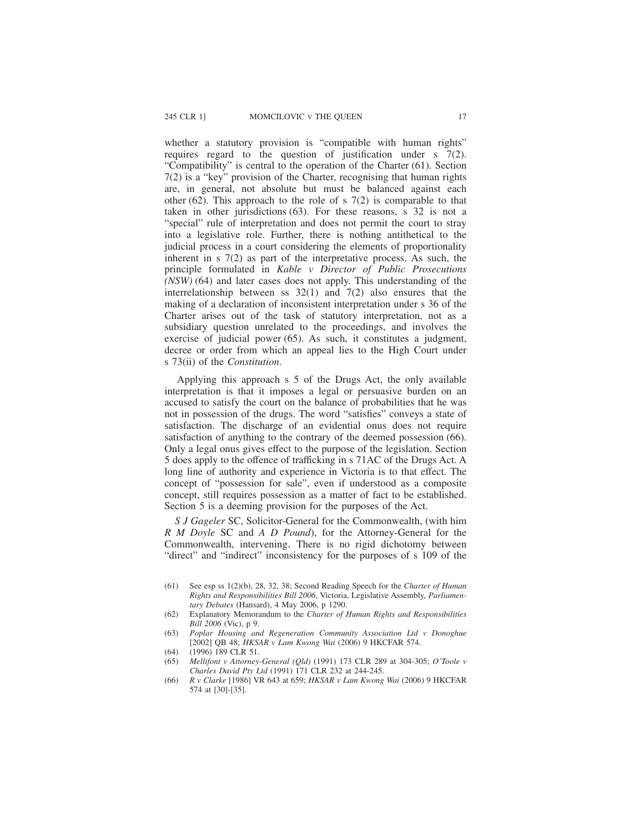whether a statutory provision is "compatible with human rights" requires regard to the question of justification under s 7(2). "Compatibility" is central to the operation of the Charter (61). Section 7(2) is a "key" provision of the Charter, recognising that human rights are, in general, not absolute but must be balanced against each other  $(62)$ . This approach to the role of s  $7(2)$  is comparable to that taken in other jurisdictions (63). For these reasons, s 32 is not a "special" rule of interpretation and does not permit the court to stray into a legislative role. Further, there is nothing antithetical to the judicial process in a court considering the elements of proportionality inherent in s 7(2) as part of the interpretative process. As such, the principle formulated in *Kable v Director of Public Prosecutions (NSW)* (64) and later cases does not apply. This understanding of the interrelationship between ss 32(1) and 7(2) also ensures that the making of a declaration of inconsistent interpretation under s 36 of the Charter arises out of the task of statutory interpretation, not as a subsidiary question unrelated to the proceedings, and involves the exercise of judicial power (65). As such, it constitutes a judgment, decree or order from which an appeal lies to the High Court under s 73(ii) of the *Constitution*.

Applying this approach s 5 of the Drugs Act, the only available interpretation is that it imposes a legal or persuasive burden on an accused to satisfy the court on the balance of probabilities that he was not in possession of the drugs. The word "satisfies" conveys a state of satisfaction. The discharge of an evidential onus does not require satisfaction of anything to the contrary of the deemed possession (66). Only a legal onus gives effect to the purpose of the legislation. Section 5 does apply to the offence of trafficking in s 71AC of the Drugs Act. A long line of authority and experience in Victoria is to that effect. The concept of "possession for sale", even if understood as a composite concept, still requires possession as a matter of fact to be established. Section 5 is a deeming provision for the purposes of the Act.

*S J Gageler* SC, Solicitor-General for the Commonwealth, (with him *R M Doyle* SC and *A D Pound*), for the Attorney-General for the Commonwealth, intervening. There is no rigid dichotomy between "direct" and "indirect" inconsistency for the purposes of s 109 of the

<sup>(61)</sup> See esp ss 1(2)(b), 28, 32, 38; Second Reading Speech for the *Charter of Human Rights and Responsibilities Bill 2006*, Victoria, Legislative Assembly, *Parliamentary Debates* (Hansard), 4 May 2006, p 1290.

<sup>(62)</sup> Explanatory Memorandum to the *Charter of Human Rights and Responsibilities Bill 2006* (Vic), p 9.

<sup>(63)</sup> *Poplar Housing and Regeneration Community Association Ltd v Donoghue* [2002] QB 48; *HKSAR v Lam Kwong Wai* (2006) 9 HKCFAR 574.

<sup>(64) (1996) 189</sup> CLR 51.

<sup>(65)</sup> *Mellifont v Attorney-General (Qld)* (1991) 173 CLR 289 at 304-305; *O'Toole v Charles David Pty Ltd* (1991) 171 CLR 232 at 244-245.

<sup>(66)</sup> *R v Clarke* [1986] VR 643 at 659; *HKSAR v Lam Kwong Wai* (2006) 9 HKCFAR 574 at [30]-[35].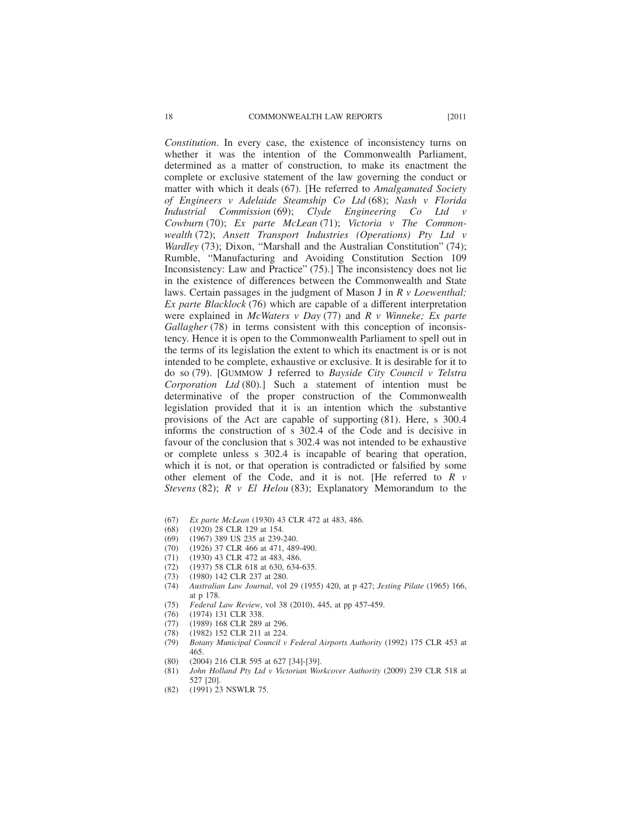*Constitution*. In every case, the existence of inconsistency turns on whether it was the intention of the Commonwealth Parliament, determined as a matter of construction, to make its enactment the complete or exclusive statement of the law governing the conduct or matter with which it deals (67). [He referred to *Amalgamated Society of Engineers v Adelaide Steamship Co Ltd* (68); *Nash v Florida Industrial Commission* (69); *Clyde Engineering Co Ltd v Cowburn* (70); *Ex parte McLean* (71); *Victoria v The Commonwealth* (72); *Ansett Transport Industries (Operations) Pty Ltd v Wardley* (73); Dixon, "Marshall and the Australian Constitution" (74); Rumble, "Manufacturing and Avoiding Constitution Section 109 Inconsistency: Law and Practice" (75).] The inconsistency does not lie in the existence of differences between the Commonwealth and State laws. Certain passages in the judgment of Mason J in *R v Loewenthal; Ex parte Blacklock* (76) which are capable of a different interpretation were explained in *McWaters v Day* (77) and *R v Winneke; Ex parte Gallagher* (78) in terms consistent with this conception of inconsistency. Hence it is open to the Commonwealth Parliament to spell out in the terms of its legislation the extent to which its enactment is or is not intended to be complete, exhaustive or exclusive. It is desirable for it to do so (79). [GUMMOW J referred to *Bayside City Council v Telstra Corporation Ltd* (80).] Such a statement of intention must be determinative of the proper construction of the Commonwealth legislation provided that it is an intention which the substantive provisions of the Act are capable of supporting (81). Here, s 300.4 informs the construction of s 302.4 of the Code and is decisive in favour of the conclusion that s 302.4 was not intended to be exhaustive or complete unless s 302.4 is incapable of bearing that operation, which it is not, or that operation is contradicted or falsified by some other element of the Code, and it is not. [He referred to *R v Stevens* (82); *R v El Helou* (83); Explanatory Memorandum to the

- (67) *Ex parte McLean* (1930) 43 CLR 472 at 483, 486.
- (68) (1920) 28 CLR 129 at 154.<br>(69) (1967) 389 US 235 at 239-2
- (69) (1967) 389 US 235 at 239-240.
- (70) (1926) 37 CLR 466 at 471, 489-490.
- (71) (1930) 43 CLR 472 at 483, 486.
- (72) (1937) 58 CLR 618 at 630, 634-635.
- 
- (73) (1980) 142 CLR 237 at 280.<br>(74) Australian Law Journal, vol (74) *Australian Law Journal*, vol 29 (1955) 420, at p 427; *Jesting Pilate* (1965) 166, at p 178.
- (75) *Federal Law Review*, vol 38 (2010), 445, at pp 457-459.
- (76) (1974) 131 CLR 338.
- (77) (1989) 168 CLR 289 at 296.
- (78) (1982) 152 CLR 211 at 224.
- (79) *Botany Municipal Council v Federal Airports Authority* (1992) 175 CLR 453 at 465.
- (80) (2004) 216 CLR 595 at 627 [34]-[39].
- (81) *John Holland Pty Ltd v Victorian Workcover Authority* (2009) 239 CLR 518 at 527 [20].
- (82) (1991) 23 NSWLR 75.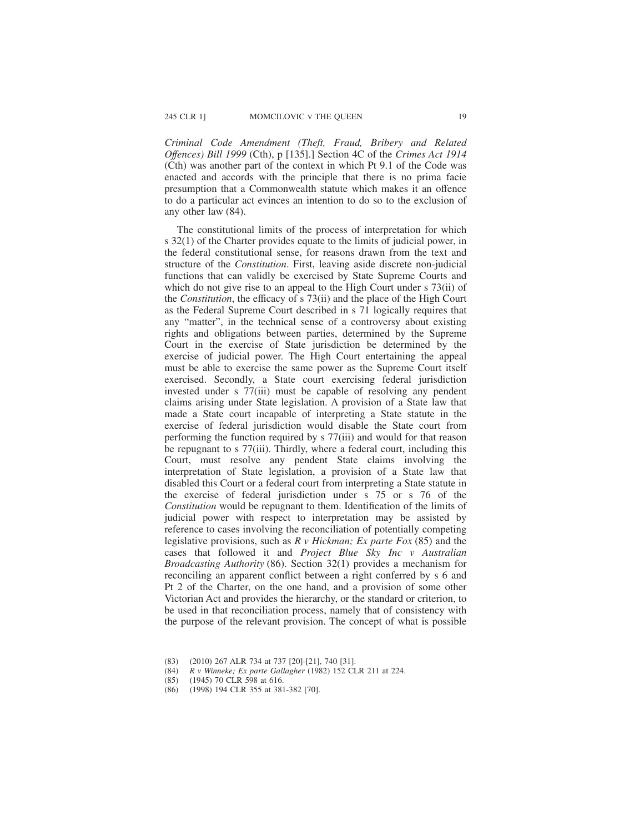*Criminal Code Amendment (Theft, Fraud, Bribery and Related Offences) Bill 1999* (Cth), p [135].] Section 4C of the *Crimes Act 1914* (Cth) was another part of the context in which Pt 9.1 of the Code was enacted and accords with the principle that there is no prima facie presumption that a Commonwealth statute which makes it an offence to do a particular act evinces an intention to do so to the exclusion of any other law (84).

The constitutional limits of the process of interpretation for which s 32(1) of the Charter provides equate to the limits of judicial power, in the federal constitutional sense, for reasons drawn from the text and structure of the *Constitution*. First, leaving aside discrete non-judicial functions that can validly be exercised by State Supreme Courts and which do not give rise to an appeal to the High Court under s 73(ii) of the *Constitution*, the efficacy of s 73(ii) and the place of the High Court as the Federal Supreme Court described in s 71 logically requires that any "matter", in the technical sense of a controversy about existing rights and obligations between parties, determined by the Supreme Court in the exercise of State jurisdiction be determined by the exercise of judicial power. The High Court entertaining the appeal must be able to exercise the same power as the Supreme Court itself exercised. Secondly, a State court exercising federal jurisdiction invested under s 77(iii) must be capable of resolving any pendent claims arising under State legislation. A provision of a State law that made a State court incapable of interpreting a State statute in the exercise of federal jurisdiction would disable the State court from performing the function required by s 77(iii) and would for that reason be repugnant to s 77(iii). Thirdly, where a federal court, including this Court, must resolve any pendent State claims involving the interpretation of State legislation, a provision of a State law that disabled this Court or a federal court from interpreting a State statute in the exercise of federal jurisdiction under s 75 or s 76 of the *Constitution* would be repugnant to them. Identification of the limits of judicial power with respect to interpretation may be assisted by reference to cases involving the reconciliation of potentially competing legislative provisions, such as *R v Hickman; Ex parte Fox* (85) and the cases that followed it and *Project Blue Sky Inc v Australian Broadcasting Authority* (86). Section 32(1) provides a mechanism for reconciling an apparent conflict between a right conferred by s 6 and Pt 2 of the Charter, on the one hand, and a provision of some other Victorian Act and provides the hierarchy, or the standard or criterion, to be used in that reconciliation process, namely that of consistency with the purpose of the relevant provision. The concept of what is possible

(84) *R v Winneke; Ex parte Gallagher* (1982) 152 CLR 211 at 224.

(86) (1998) 194 CLR 355 at 381-382 [70].

<sup>(83) (2010) 267</sup> ALR 734 at 737 [20]-[21], 740 [31].

<sup>(85) (1945) 70</sup> CLR 598 at 616.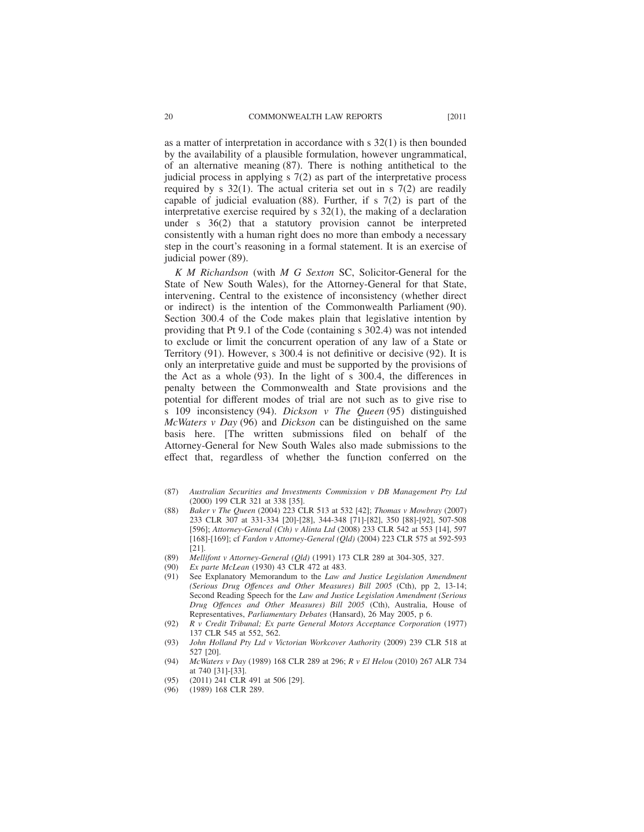as a matter of interpretation in accordance with s 32(1) is then bounded by the availability of a plausible formulation, however ungrammatical, of an alternative meaning (87). There is nothing antithetical to the judicial process in applying s 7(2) as part of the interpretative process required by s  $32(1)$ . The actual criteria set out in s  $7(2)$  are readily capable of judicial evaluation  $(88)$ . Further, if s  $7(2)$  is part of the interpretative exercise required by s 32(1), the making of a declaration under s 36(2) that a statutory provision cannot be interpreted consistently with a human right does no more than embody a necessary step in the court's reasoning in a formal statement. It is an exercise of judicial power (89).

*K M Richardson* (with *M G Sexton* SC, Solicitor-General for the State of New South Wales), for the Attorney-General for that State, intervening. Central to the existence of inconsistency (whether direct or indirect) is the intention of the Commonwealth Parliament (90). Section 300.4 of the Code makes plain that legislative intention by providing that Pt 9.1 of the Code (containing s 302.4) was not intended to exclude or limit the concurrent operation of any law of a State or Territory (91). However, s 300.4 is not definitive or decisive (92). It is only an interpretative guide and must be supported by the provisions of the Act as a whole (93). In the light of s 300.4, the differences in penalty between the Commonwealth and State provisions and the potential for different modes of trial are not such as to give rise to s 109 inconsistency (94). *Dickson v The Queen* (95) distinguished *McWaters v Day* (96) and *Dickson* can be distinguished on the same basis here. [The written submissions filed on behalf of the Attorney-General for New South Wales also made submissions to the effect that, regardless of whether the function conferred on the

- (87) *Australian Securities and Investments Commission v DB Management Pty Ltd* (2000) 199 CLR 321 at 338 [35].
- (88) *Baker v The Queen* (2004) 223 CLR 513 at 532 [42]; *Thomas v Mowbray* (2007) 233 CLR 307 at 331-334 [20]-[28], 344-348 [71]-[82], 350 [88]-[92], 507-508 [596]; *Attorney-General (Cth) v Alinta Ltd* (2008) 233 CLR 542 at 553 [14], 597 [168]-[169]; cf *Fardon v Attorney-General (Qld)* (2004) 223 CLR 575 at 592-593 [21].
- (89) *Mellifont v Attorney-General (Qld)* (1991) 173 CLR 289 at 304-305, 327.
- (90) *Ex parte McLean* (1930) 43 CLR 472 at 483.
- (91) See Explanatory Memorandum to the *Law and Justice Legislation Amendment (Serious Drug Offences and Other Measures) Bill 2005* (Cth), pp 2, 13-14; Second Reading Speech for the *Law and Justice Legislation Amendment (Serious Drug Offences and Other Measures) Bill 2005* (Cth), Australia, House of Representatives, *Parliamentary Debates* (Hansard), 26 May 2005, p 6.
- (92) *R v Credit Tribunal; Ex parte General Motors Acceptance Corporation* (1977) 137 CLR 545 at 552, 562.
- (93) *John Holland Pty Ltd v Victorian Workcover Authority* (2009) 239 CLR 518 at 527 [20].
- (94) *McWaters v Day* (1989) 168 CLR 289 at 296; *R v El Helou* (2010) 267 ALR 734 at 740 [31]-[33].
- (95) (2011) 241 CLR 491 at 506 [29].
- (96) (1989) 168 CLR 289.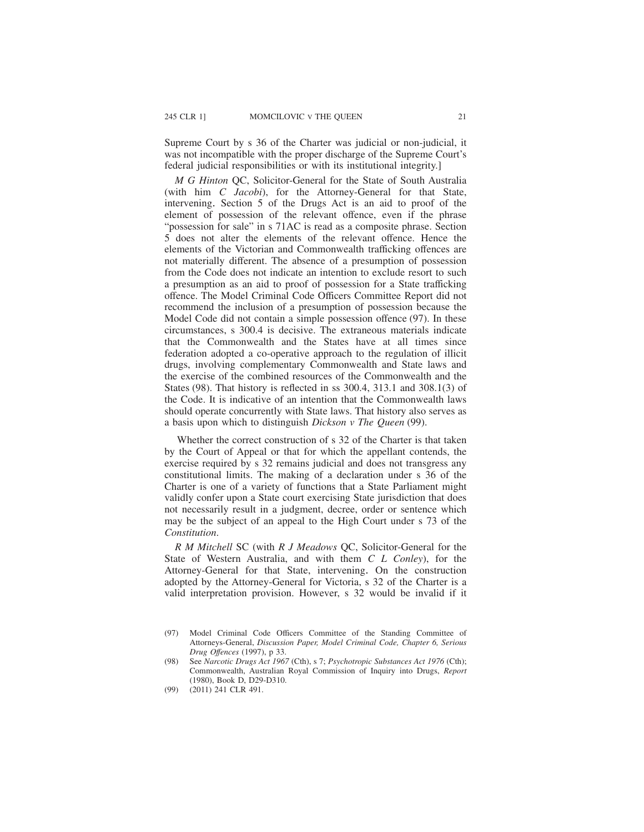Supreme Court by s 36 of the Charter was judicial or non-judicial, it was not incompatible with the proper discharge of the Supreme Court's federal judicial responsibilities or with its institutional integrity.]

*M G Hinton* QC, Solicitor-General for the State of South Australia (with him *C Jacobi*), for the Attorney-General for that State, intervening. Section 5 of the Drugs Act is an aid to proof of the element of possession of the relevant offence, even if the phrase "possession for sale" in s 71AC is read as a composite phrase. Section 5 does not alter the elements of the relevant offence. Hence the elements of the Victorian and Commonwealth trafficking offences are not materially different. The absence of a presumption of possession from the Code does not indicate an intention to exclude resort to such a presumption as an aid to proof of possession for a State trafficking offence. The Model Criminal Code Officers Committee Report did not recommend the inclusion of a presumption of possession because the Model Code did not contain a simple possession offence (97). In these circumstances, s 300.4 is decisive. The extraneous materials indicate that the Commonwealth and the States have at all times since federation adopted a co-operative approach to the regulation of illicit drugs, involving complementary Commonwealth and State laws and the exercise of the combined resources of the Commonwealth and the States (98). That history is reflected in ss 300.4, 313.1 and 308.1(3) of the Code. It is indicative of an intention that the Commonwealth laws should operate concurrently with State laws. That history also serves as a basis upon which to distinguish *Dickson v The Queen* (99).

Whether the correct construction of s 32 of the Charter is that taken by the Court of Appeal or that for which the appellant contends, the exercise required by s 32 remains judicial and does not transgress any constitutional limits. The making of a declaration under s 36 of the Charter is one of a variety of functions that a State Parliament might validly confer upon a State court exercising State jurisdiction that does not necessarily result in a judgment, decree, order or sentence which may be the subject of an appeal to the High Court under s 73 of the *Constitution*.

*R M Mitchell* SC (with *R J Meadows* QC, Solicitor-General for the State of Western Australia, and with them *C L Conley*), for the Attorney-General for that State, intervening. On the construction adopted by the Attorney-General for Victoria, s 32 of the Charter is a valid interpretation provision. However, s 32 would be invalid if it

<sup>(97)</sup> Model Criminal Code Officers Committee of the Standing Committee of Attorneys-General, *Discussion Paper, Model Criminal Code, Chapter 6, Serious Drug Offences* (1997), p 33.

<sup>(98)</sup> See *Narcotic Drugs Act 1967* (Cth), s 7; *Psychotropic Substances Act 1976* (Cth); Commonwealth, Australian Royal Commission of Inquiry into Drugs, *Report* (1980), Book D, D29-D310.

<sup>(99) (2011) 241</sup> CLR 491.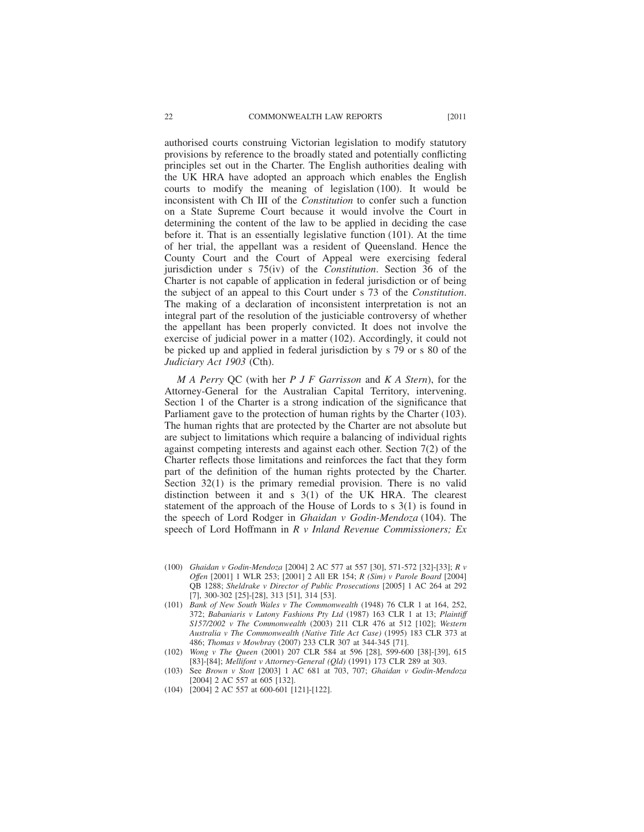authorised courts construing Victorian legislation to modify statutory provisions by reference to the broadly stated and potentially conflicting principles set out in the Charter. The English authorities dealing with the UK HRA have adopted an approach which enables the English courts to modify the meaning of legislation (100). It would be inconsistent with Ch III of the *Constitution* to confer such a function on a State Supreme Court because it would involve the Court in determining the content of the law to be applied in deciding the case before it. That is an essentially legislative function (101). At the time of her trial, the appellant was a resident of Queensland. Hence the County Court and the Court of Appeal were exercising federal jurisdiction under s 75(iv) of the *Constitution*. Section 36 of the Charter is not capable of application in federal jurisdiction or of being the subject of an appeal to this Court under s 73 of the *Constitution*. The making of a declaration of inconsistent interpretation is not an integral part of the resolution of the justiciable controversy of whether the appellant has been properly convicted. It does not involve the exercise of judicial power in a matter (102). Accordingly, it could not be picked up and applied in federal jurisdiction by s 79 or s 80 of the *Judiciary Act 1903* (Cth).

*M A Perry* QC (with her *P J F Garrisson* and *K A Stern*), for the Attorney-General for the Australian Capital Territory, intervening. Section 1 of the Charter is a strong indication of the significance that Parliament gave to the protection of human rights by the Charter (103). The human rights that are protected by the Charter are not absolute but are subject to limitations which require a balancing of individual rights against competing interests and against each other. Section 7(2) of the Charter reflects those limitations and reinforces the fact that they form part of the definition of the human rights protected by the Charter. Section 32(1) is the primary remedial provision. There is no valid distinction between it and s 3(1) of the UK HRA. The clearest statement of the approach of the House of Lords to s 3(1) is found in the speech of Lord Rodger in *Ghaidan v Godin-Mendoza* (104). The speech of Lord Hoffmann in *R v Inland Revenue Commissioners; Ex*

- (100) *Ghaidan v Godin-Mendoza* [2004] 2 AC 577 at 557 [30], 571-572 [32]-[33]; *R v Offen* [2001] 1 WLR 253; [2001] 2 All ER 154; *R (Sim) v Parole Board* [2004] QB 1288; *Sheldrake v Director of Public Prosecutions* [2005] 1 AC 264 at 292 [7], 300-302 [25]-[28], 313 [51], 314 [53].
- (101) *Bank of New South Wales v The Commonwealth* (1948) 76 CLR 1 at 164, 252, 372; *Babaniaris v Lutony Fashions Pty Ltd* (1987) 163 CLR 1 at 13; *Plaintiff S157/2002 v The Commonwealth* (2003) 211 CLR 476 at 512 [102]; *Western Australia v The Commonwealth (Native Title Act Case)* (1995) 183 CLR 373 at 486; *Thomas v Mowbray* (2007) 233 CLR 307 at 344-345 [71].
- (102) *Wong v The Queen* (2001) 207 CLR 584 at 596 [28], 599-600 [38]-[39], 615 [83]-[84]; *Mellifont v Attorney-General (Qld)* (1991) 173 CLR 289 at 303.
- (103) See *Brown v Stott* [2003] 1 AC 681 at 703, 707; *Ghaidan v Godin-Mendoza* [2004] 2 AC 557 at 605 [132].
- (104) [2004] 2 AC 557 at 600-601 [121]-[122].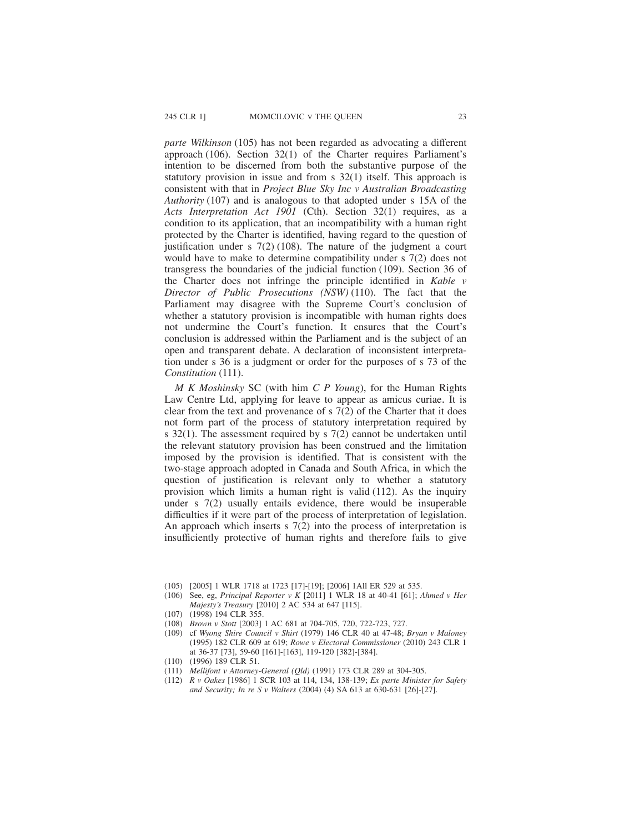*parte Wilkinson* (105) has not been regarded as advocating a different approach (106). Section 32(1) of the Charter requires Parliament's intention to be discerned from both the substantive purpose of the statutory provision in issue and from s 32(1) itself. This approach is consistent with that in *Project Blue Sky Inc v Australian Broadcasting Authority* (107) and is analogous to that adopted under s 15A of the *Acts Interpretation Act 1901* (Cth). Section 32(1) requires, as a condition to its application, that an incompatibility with a human right protected by the Charter is identified, having regard to the question of justification under s  $7(2)$  (108). The nature of the judgment a court would have to make to determine compatibility under s 7(2) does not transgress the boundaries of the judicial function (109). Section 36 of the Charter does not infringe the principle identified in *Kable v Director of Public Prosecutions (NSW)* (110). The fact that the Parliament may disagree with the Supreme Court's conclusion of whether a statutory provision is incompatible with human rights does not undermine the Court's function. It ensures that the Court's conclusion is addressed within the Parliament and is the subject of an open and transparent debate. A declaration of inconsistent interpretation under s 36 is a judgment or order for the purposes of s 73 of the *Constitution* (111).

*M K Moshinsky* SC (with him *C P Young*), for the Human Rights Law Centre Ltd, applying for leave to appear as amicus curiae. It is clear from the text and provenance of s 7(2) of the Charter that it does not form part of the process of statutory interpretation required by s 32(1). The assessment required by s 7(2) cannot be undertaken until the relevant statutory provision has been construed and the limitation imposed by the provision is identified. That is consistent with the two-stage approach adopted in Canada and South Africa, in which the question of justification is relevant only to whether a statutory provision which limits a human right is valid (112). As the inquiry under s 7(2) usually entails evidence, there would be insuperable difficulties if it were part of the process of interpretation of legislation. An approach which inserts s 7(2) into the process of interpretation is insufficiently protective of human rights and therefore fails to give

- (105) [2005] 1 WLR 1718 at 1723 [17]-[19]; [2006] 1All ER 529 at 535.
- (106) See, eg, *Principal Reporter v K* [2011] 1 WLR 18 at 40-41 [61]; *Ahmed v Her Majesty's Treasury* [2010] 2 AC 534 at 647 [115].
- (107) (1998) 194 CLR 355.
- (108) *Brown v Stott* [2003] 1 AC 681 at 704-705, 720, 722-723, 727.
- (109) cf *Wyong Shire Council v Shirt* (1979) 146 CLR 40 at 47-48; *Bryan v Maloney* (1995) 182 CLR 609 at 619; *Rowe v Electoral Commissioner* (2010) 243 CLR 1 at 36-37 [73], 59-60 [161]-[163], 119-120 [382]-[384].
- (110) (1996) 189 CLR 51.
- (111) *Mellifont v Attorney-General (Qld)* (1991) 173 CLR 289 at 304-305.
- (112) *R v Oakes* [1986] 1 SCR 103 at 114, 134, 138-139; *Ex parte Minister for Safety and Security; In re S v Walters* (2004) (4) SA 613 at 630-631 [26]-[27].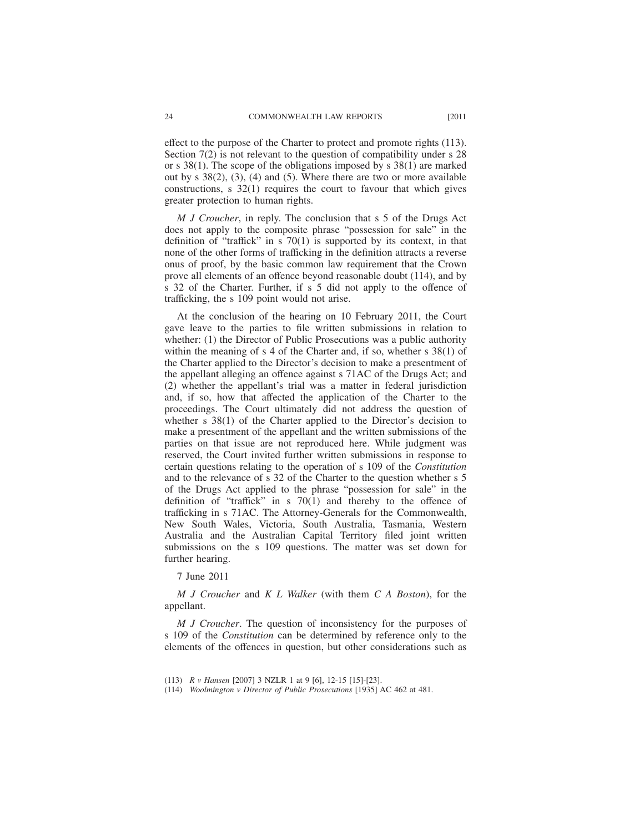effect to the purpose of the Charter to protect and promote rights (113). Section 7(2) is not relevant to the question of compatibility under s 28 or s 38(1). The scope of the obligations imposed by s 38(1) are marked out by s 38(2), (3), (4) and (5). Where there are two or more available constructions, s 32(1) requires the court to favour that which gives greater protection to human rights.

*M J Croucher*, in reply. The conclusion that s 5 of the Drugs Act does not apply to the composite phrase "possession for sale" in the definition of "traffick" in s 70(1) is supported by its context, in that none of the other forms of trafficking in the definition attracts a reverse onus of proof, by the basic common law requirement that the Crown prove all elements of an offence beyond reasonable doubt (114), and by s 32 of the Charter. Further, if s 5 did not apply to the offence of trafficking, the s 109 point would not arise.

At the conclusion of the hearing on 10 February 2011, the Court gave leave to the parties to file written submissions in relation to whether: (1) the Director of Public Prosecutions was a public authority within the meaning of s 4 of the Charter and, if so, whether s 38(1) of the Charter applied to the Director's decision to make a presentment of the appellant alleging an offence against s 71AC of the Drugs Act; and (2) whether the appellant's trial was a matter in federal jurisdiction and, if so, how that affected the application of the Charter to the proceedings. The Court ultimately did not address the question of whether s 38(1) of the Charter applied to the Director's decision to make a presentment of the appellant and the written submissions of the parties on that issue are not reproduced here. While judgment was reserved, the Court invited further written submissions in response to certain questions relating to the operation of s 109 of the *Constitution* and to the relevance of s 32 of the Charter to the question whether s 5 of the Drugs Act applied to the phrase "possession for sale" in the definition of "traffick" in s 70(1) and thereby to the offence of trafficking in s 71AC. The Attorney-Generals for the Commonwealth, New South Wales, Victoria, South Australia, Tasmania, Western Australia and the Australian Capital Territory filed joint written submissions on the s 109 questions. The matter was set down for further hearing.

#### 7 June 2011

*M J Croucher* and *K L Walker* (with them *C A Boston*), for the appellant.

*M J Croucher*. The question of inconsistency for the purposes of s 109 of the *Constitution* can be determined by reference only to the elements of the offences in question, but other considerations such as

<sup>(113)</sup> *R v Hansen* [2007] 3 NZLR 1 at 9 [6], 12-15 [15]-[23].

<sup>(114)</sup> *Woolmington v Director of Public Prosecutions* [1935] AC 462 at 481.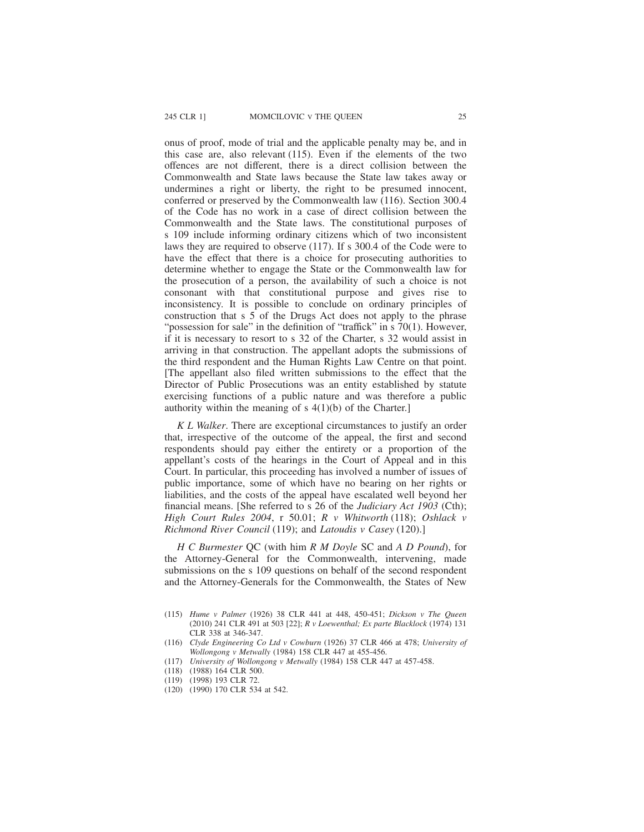onus of proof, mode of trial and the applicable penalty may be, and in this case are, also relevant (115). Even if the elements of the two offences are not different, there is a direct collision between the Commonwealth and State laws because the State law takes away or undermines a right or liberty, the right to be presumed innocent, conferred or preserved by the Commonwealth law (116). Section 300.4 of the Code has no work in a case of direct collision between the Commonwealth and the State laws. The constitutional purposes of s 109 include informing ordinary citizens which of two inconsistent laws they are required to observe (117). If s 300.4 of the Code were to have the effect that there is a choice for prosecuting authorities to determine whether to engage the State or the Commonwealth law for the prosecution of a person, the availability of such a choice is not consonant with that constitutional purpose and gives rise to inconsistency. It is possible to conclude on ordinary principles of construction that s 5 of the Drugs Act does not apply to the phrase "possession for sale" in the definition of "traffick" in s 70(1). However, if it is necessary to resort to s 32 of the Charter, s 32 would assist in arriving in that construction. The appellant adopts the submissions of the third respondent and the Human Rights Law Centre on that point. [The appellant also filed written submissions to the effect that the Director of Public Prosecutions was an entity established by statute exercising functions of a public nature and was therefore a public authority within the meaning of s 4(1)(b) of the Charter.]

*K L Walker*. There are exceptional circumstances to justify an order that, irrespective of the outcome of the appeal, the first and second respondents should pay either the entirety or a proportion of the appellant's costs of the hearings in the Court of Appeal and in this Court. In particular, this proceeding has involved a number of issues of public importance, some of which have no bearing on her rights or liabilities, and the costs of the appeal have escalated well beyond her financial means. [She referred to s 26 of the *Judiciary Act 1903* (Cth); *High Court Rules 2004*, r 50.01; *R v Whitworth* (118); *Oshlack v Richmond River Council* (119); and *Latoudis v Casey* (120).]

*H C Burmester* QC (with him *R M Doyle* SC and *A D Pound*), for the Attorney-General for the Commonwealth, intervening, made submissions on the s 109 questions on behalf of the second respondent and the Attorney-Generals for the Commonwealth, the States of New

<sup>(115)</sup> *Hume v Palmer* (1926) 38 CLR 441 at 448, 450-451; *Dickson v The Queen* (2010) 241 CLR 491 at 503 [22]; *R v Loewenthal; Ex parte Blacklock* (1974) 131 CLR 338 at 346-347.

<sup>(116)</sup> *Clyde Engineering Co Ltd v Cowburn* (1926) 37 CLR 466 at 478; *University of Wollongong v Metwally* (1984) 158 CLR 447 at 455-456.

<sup>(117)</sup> *University of Wollongong v Metwally* (1984) 158 CLR 447 at 457-458.

<sup>(118) (1988) 164</sup> CLR 500.

<sup>(119) (1998) 193</sup> CLR 72.

<sup>(120) (1990) 170</sup> CLR 534 at 542.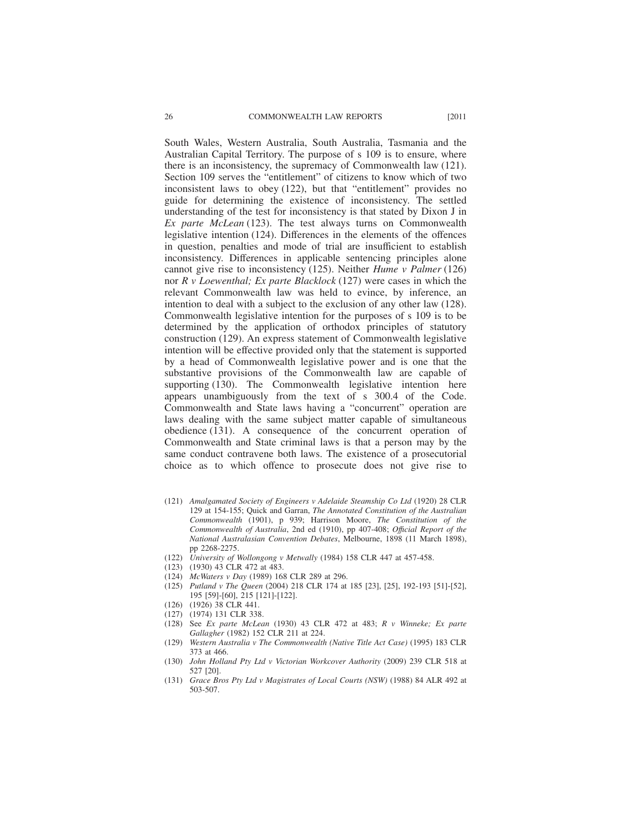South Wales, Western Australia, South Australia, Tasmania and the Australian Capital Territory. The purpose of s 109 is to ensure, where there is an inconsistency, the supremacy of Commonwealth law (121). Section 109 serves the "entitlement" of citizens to know which of two inconsistent laws to obey (122), but that "entitlement" provides no guide for determining the existence of inconsistency. The settled understanding of the test for inconsistency is that stated by Dixon J in *Ex parte McLean* (123). The test always turns on Commonwealth legislative intention (124). Differences in the elements of the offences in question, penalties and mode of trial are insufficient to establish inconsistency. Differences in applicable sentencing principles alone cannot give rise to inconsistency (125). Neither *Hume v Palmer* (126) nor *R v Loewenthal; Ex parte Blacklock* (127) were cases in which the relevant Commonwealth law was held to evince, by inference, an intention to deal with a subject to the exclusion of any other law (128). Commonwealth legislative intention for the purposes of s 109 is to be determined by the application of orthodox principles of statutory construction (129). An express statement of Commonwealth legislative intention will be effective provided only that the statement is supported by a head of Commonwealth legislative power and is one that the substantive provisions of the Commonwealth law are capable of supporting (130). The Commonwealth legislative intention here appears unambiguously from the text of s 300.4 of the Code. Commonwealth and State laws having a "concurrent" operation are laws dealing with the same subject matter capable of simultaneous obedience (131). A consequence of the concurrent operation of Commonwealth and State criminal laws is that a person may by the same conduct contravene both laws. The existence of a prosecutorial choice as to which offence to prosecute does not give rise to

- (121) *Amalgamated Society of Engineers v Adelaide Steamship Co Ltd* (1920) 28 CLR 129 at 154-155; Quick and Garran, *The Annotated Constitution of the Australian Commonwealth* (1901), p 939; Harrison Moore, *The Constitution of the Commonwealth of Australia*, 2nd ed (1910), pp 407-408; *Offıcial Report of the National Australasian Convention Debates*, Melbourne, 1898 (11 March 1898), pp 2268-2275.
- (122) *University of Wollongong v Metwally* (1984) 158 CLR 447 at 457-458.
- (123) (1930) 43 CLR 472 at 483.
- (124) *McWaters v Day* (1989) 168 CLR 289 at 296.
- (125) *Putland v The Queen* (2004) 218 CLR 174 at 185 [23], [25], 192-193 [51]-[52], 195 [59]-[60], 215 [121]-[122].
- (126) (1926) 38 CLR 441.
- (127) (1974) 131 CLR 338.
- (128) See *Ex parte McLean* (1930) 43 CLR 472 at 483; *R v Winneke; Ex parte Gallagher* (1982) 152 CLR 211 at 224.
- (129) *Western Australia v The Commonwealth (Native Title Act Case)* (1995) 183 CLR 373 at 466.
- (130) *John Holland Pty Ltd v Victorian Workcover Authority* (2009) 239 CLR 518 at 527 [20].
- (131) *Grace Bros Pty Ltd v Magistrates of Local Courts (NSW)* (1988) 84 ALR 492 at 503-507.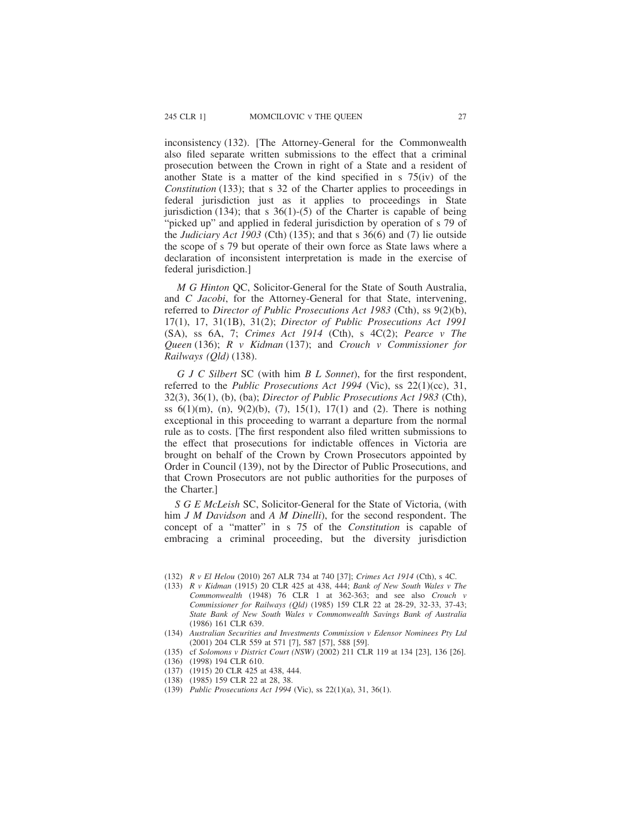inconsistency (132). [The Attorney-General for the Commonwealth also filed separate written submissions to the effect that a criminal prosecution between the Crown in right of a State and a resident of another State is a matter of the kind specified in s 75(iv) of the *Constitution* (133); that s 32 of the Charter applies to proceedings in federal jurisdiction just as it applies to proceedings in State jurisdiction  $(134)$ ; that s  $36(1)-(5)$  of the Charter is capable of being "picked up" and applied in federal jurisdiction by operation of s 79 of the *Judiciary Act 1903* (Cth) (135); and that s 36(6) and (7) lie outside the scope of s 79 but operate of their own force as State laws where a declaration of inconsistent interpretation is made in the exercise of federal jurisdiction.]

*M G Hinton* QC, Solicitor-General for the State of South Australia, and *C Jacobi*, for the Attorney-General for that State, intervening, referred to *Director of Public Prosecutions Act 1983* (Cth), ss 9(2)(b), 17(1), 17, 31(1B), 31(2); *Director of Public Prosecutions Act 1991* (SA), ss 6A, 7; *Crimes Act 1914* (Cth), s 4C(2); *Pearce v The Queen* (136); *R v Kidman* (137); and *Crouch v Commissioner for Railways (Qld)* (138).

*G J C Silbert* SC (with him *B L Sonnet*), for the first respondent, referred to the *Public Prosecutions Act 1994* (Vic), ss 22(1)(cc), 31, 32(3), 36(1), (b), (ba); *Director of Public Prosecutions Act 1983* (Cth), ss 6(1)(m), (n), 9(2)(b), (7), 15(1), 17(1) and (2). There is nothing exceptional in this proceeding to warrant a departure from the normal rule as to costs. [The first respondent also filed written submissions to the effect that prosecutions for indictable offences in Victoria are brought on behalf of the Crown by Crown Prosecutors appointed by Order in Council (139), not by the Director of Public Prosecutions, and that Crown Prosecutors are not public authorities for the purposes of the Charter.]

*S G E McLeish* SC, Solicitor-General for the State of Victoria, (with him *J M Davidson* and *A M Dinelli*), for the second respondent. The concept of a "matter" in s 75 of the *Constitution* is capable of embracing a criminal proceeding, but the diversity jurisdiction

- (132) *R v El Helou* (2010) 267 ALR 734 at 740 [37]; *Crimes Act 1914* (Cth), s 4C.
- (133) *R v Kidman* (1915) 20 CLR 425 at 438, 444; *Bank of New South Wales v The Commonwealth* (1948) 76 CLR 1 at 362-363; and see also *Crouch v Commissioner for Railways (Qld)* (1985) 159 CLR 22 at 28-29, 32-33, 37-43; *State Bank of New South Wales v Commonwealth Savings Bank of Australia* (1986) 161 CLR 639.
- (134) *Australian Securities and Investments Commission v Edensor Nominees Pty Ltd* (2001) 204 CLR 559 at 571 [7], 587 [57], 588 [59].
- (135) cf *Solomons v District Court (NSW)* (2002) 211 CLR 119 at 134 [23], 136 [26].
- (136) (1998) 194 CLR 610.
- (137) (1915) 20 CLR 425 at 438, 444. (138) (1985) 159 CLR 22 at 28, 38.
- 
- (139) *Public Prosecutions Act 1994* (Vic), ss 22(1)(a), 31, 36(1).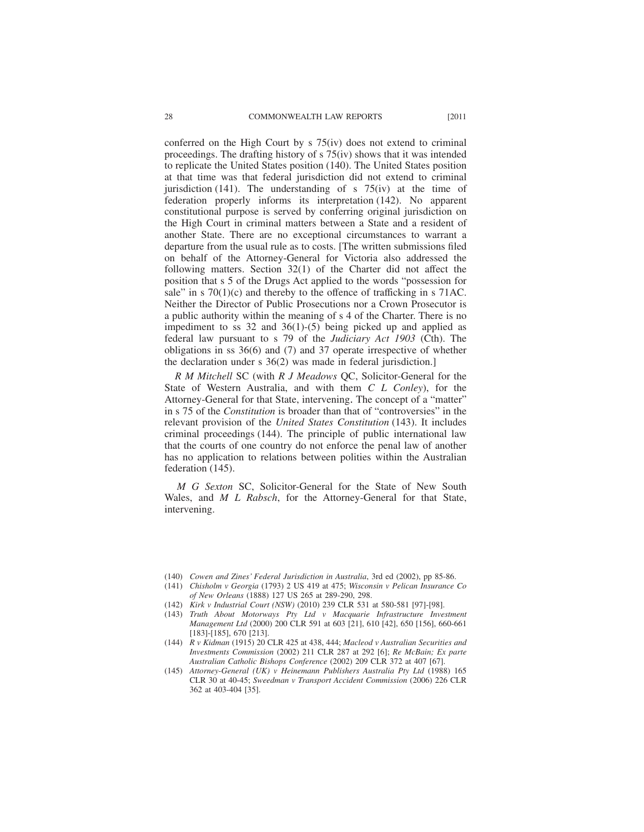conferred on the High Court by s 75(iv) does not extend to criminal proceedings. The drafting history of s 75(iv) shows that it was intended to replicate the United States position (140). The United States position at that time was that federal jurisdiction did not extend to criminal jurisdiction (141). The understanding of s  $75(iv)$  at the time of federation properly informs its interpretation (142). No apparent constitutional purpose is served by conferring original jurisdiction on the High Court in criminal matters between a State and a resident of another State. There are no exceptional circumstances to warrant a departure from the usual rule as to costs. [The written submissions filed on behalf of the Attorney-General for Victoria also addressed the following matters. Section 32(1) of the Charter did not affect the position that s 5 of the Drugs Act applied to the words "possession for sale" in s  $70(1)(c)$  and thereby to the offence of trafficking in s 71AC. Neither the Director of Public Prosecutions nor a Crown Prosecutor is a public authority within the meaning of s 4 of the Charter. There is no impediment to ss 32 and 36(1)-(5) being picked up and applied as federal law pursuant to s 79 of the *Judiciary Act 1903* (Cth). The obligations in ss 36(6) and (7) and 37 operate irrespective of whether the declaration under s 36(2) was made in federal jurisdiction.]

*R M Mitchell* SC (with *R J Meadows* QC, Solicitor-General for the State of Western Australia, and with them *C L Conley*), for the Attorney-General for that State, intervening. The concept of a "matter" in s 75 of the *Constitution* is broader than that of "controversies" in the relevant provision of the *United States Constitution* (143). It includes criminal proceedings (144). The principle of public international law that the courts of one country do not enforce the penal law of another has no application to relations between polities within the Australian federation (145).

*M G Sexton* SC, Solicitor-General for the State of New South Wales, and *M L Rabsch*, for the Attorney-General for that State, intervening.

- (140) *Cowen and Zines' Federal Jurisdiction in Australia*, 3rd ed (2002), pp 85-86.
- (141) *Chisholm v Georgia* (1793) 2 US 419 at 475; *Wisconsin v Pelican Insurance Co of New Orleans* (1888) 127 US 265 at 289-290, 298.
- (142) *Kirk v Industrial Court (NSW)* (2010) 239 CLR 531 at 580-581 [97]-[98].
- (143) *Truth About Motorways Pty Ltd v Macquarie Infrastructure Investment Management Ltd* (2000) 200 CLR 591 at 603 [21], 610 [42], 650 [156], 660-661 [183]-[185], 670 [213].
- (144) *R v Kidman* (1915) 20 CLR 425 at 438, 444; *Macleod v Australian Securities and Investments Commission* (2002) 211 CLR 287 at 292 [6]; *Re McBain; Ex parte Australian Catholic Bishops Conference* (2002) 209 CLR 372 at 407 [67].
- (145) *Attorney-General (UK) v Heinemann Publishers Australia Pty Ltd* (1988) 165 CLR 30 at 40-45; *Sweedman v Transport Accident Commission* (2006) 226 CLR 362 at 403-404 [35].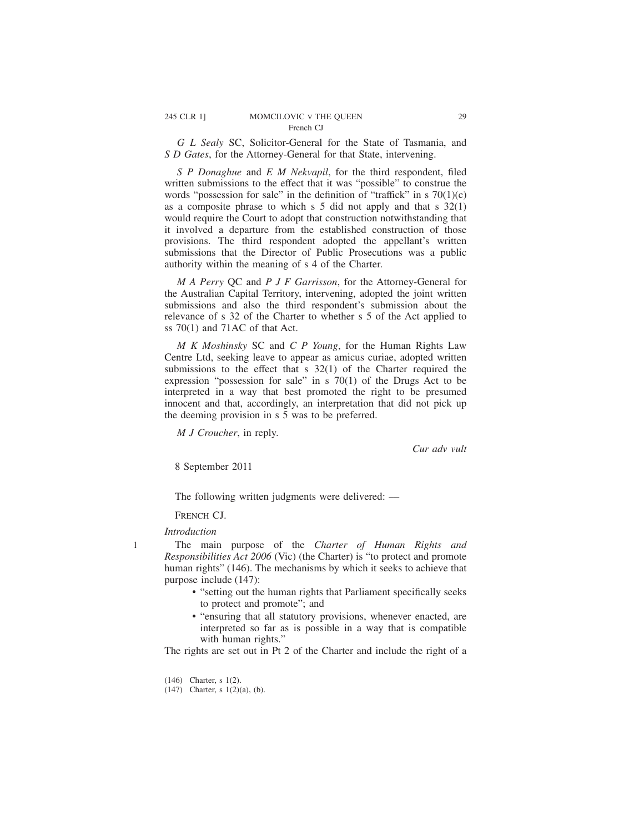#### 245 CLR 1] MOMCILOVIC V THE QUEEN 29 French CJ

*G L Sealy* SC, Solicitor-General for the State of Tasmania, and *S D Gates*, for the Attorney-General for that State, intervening.

*S P Donaghue* and *E M Nekvapil*, for the third respondent, filed written submissions to the effect that it was "possible" to construe the words "possession for sale" in the definition of "traffick" in  $s$  70(1)(c) as a composite phrase to which s  $5$  did not apply and that s  $32(1)$ would require the Court to adopt that construction notwithstanding that it involved a departure from the established construction of those provisions. The third respondent adopted the appellant's written submissions that the Director of Public Prosecutions was a public authority within the meaning of s 4 of the Charter.

*M A Perry* QC and *P J F Garrisson*, for the Attorney-General for the Australian Capital Territory, intervening, adopted the joint written submissions and also the third respondent's submission about the relevance of s 32 of the Charter to whether s 5 of the Act applied to ss 70(1) and 71AC of that Act.

*M K Moshinsky* SC and *C P Young*, for the Human Rights Law Centre Ltd, seeking leave to appear as amicus curiae, adopted written submissions to the effect that s 32(1) of the Charter required the expression "possession for sale" in s 70(1) of the Drugs Act to be interpreted in a way that best promoted the right to be presumed innocent and that, accordingly, an interpretation that did not pick up the deeming provision in s 5 was to be preferred.

*M J Croucher*, in reply.

*Cur adv vult*

8 September 2011

The following written judgments were delivered: -

#### FRENCH CJ.

#### *Introduction*

1

The main purpose of the *Charter of Human Rights and Responsibilities Act 2006* (Vic) (the Charter) is "to protect and promote human rights" (146). The mechanisms by which it seeks to achieve that purpose include (147):

- "setting out the human rights that Parliament specifically seeks to protect and promote"; and
- "ensuring that all statutory provisions, whenever enacted, are interpreted so far as is possible in a way that is compatible with human rights."

The rights are set out in Pt 2 of the Charter and include the right of a

<sup>(146)</sup> Charter, s 1(2).

<sup>(147)</sup> Charter, s 1(2)(a), (b).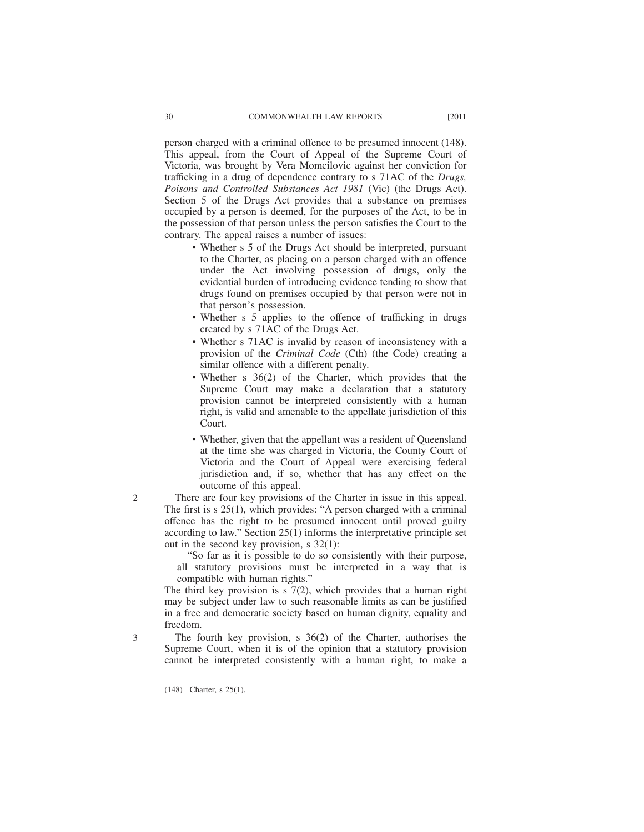person charged with a criminal offence to be presumed innocent (148). This appeal, from the Court of Appeal of the Supreme Court of Victoria, was brought by Vera Momcilovic against her conviction for trafficking in a drug of dependence contrary to s 71AC of the *Drugs, Poisons and Controlled Substances Act 1981* (Vic) (the Drugs Act). Section 5 of the Drugs Act provides that a substance on premises occupied by a person is deemed, for the purposes of the Act, to be in the possession of that person unless the person satisfies the Court to the contrary. The appeal raises a number of issues:

- Whether s 5 of the Drugs Act should be interpreted, pursuant to the Charter, as placing on a person charged with an offence under the Act involving possession of drugs, only the evidential burden of introducing evidence tending to show that drugs found on premises occupied by that person were not in that person's possession.
- Whether s 5 applies to the offence of trafficking in drugs created by s 71AC of the Drugs Act.
- Whether s 71AC is invalid by reason of inconsistency with a provision of the *Criminal Code* (Cth) (the Code) creating a similar offence with a different penalty.
- Whether s 36(2) of the Charter, which provides that the Supreme Court may make a declaration that a statutory provision cannot be interpreted consistently with a human right, is valid and amenable to the appellate jurisdiction of this Court.
- Whether, given that the appellant was a resident of Queensland at the time she was charged in Victoria, the County Court of Victoria and the Court of Appeal were exercising federal jurisdiction and, if so, whether that has any effect on the outcome of this appeal.

There are four key provisions of the Charter in issue in this appeal. The first is s 25(1), which provides: "A person charged with a criminal offence has the right to be presumed innocent until proved guilty according to law." Section 25(1) informs the interpretative principle set out in the second key provision, s 32(1):

"So far as it is possible to do so consistently with their purpose, all statutory provisions must be interpreted in a way that is compatible with human rights."

The third key provision is  $s$  7(2), which provides that a human right may be subject under law to such reasonable limits as can be justified in a free and democratic society based on human dignity, equality and freedom.

The fourth key provision, s 36(2) of the Charter, authorises the Supreme Court, when it is of the opinion that a statutory provision cannot be interpreted consistently with a human right, to make a

(148) Charter, s 25(1).

 $\mathcal{L}$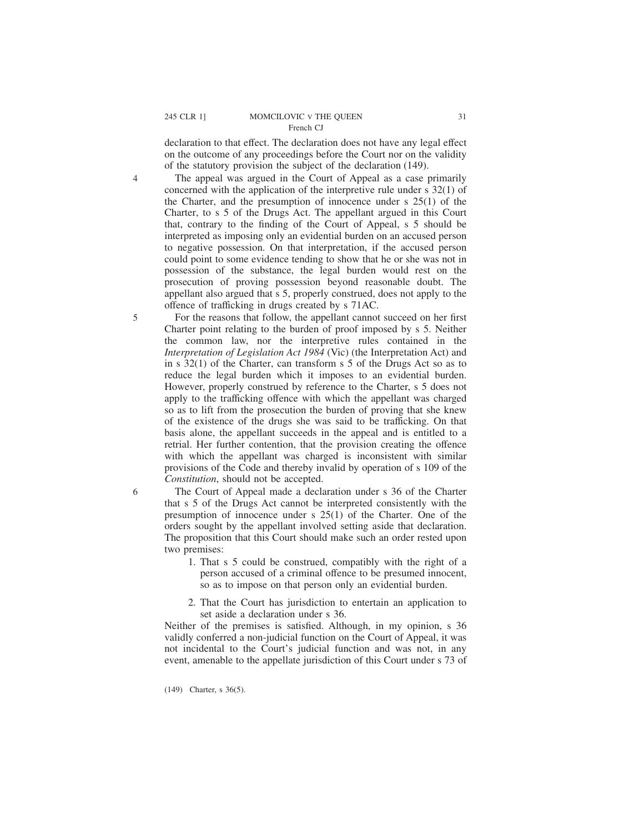#### 245 CLR 1] MOMCILOVIC V THE QUEEN 31 French CJ

declaration to that effect. The declaration does not have any legal effect on the outcome of any proceedings before the Court nor on the validity of the statutory provision the subject of the declaration (149).

The appeal was argued in the Court of Appeal as a case primarily concerned with the application of the interpretive rule under s 32(1) of the Charter, and the presumption of innocence under s 25(1) of the Charter, to s 5 of the Drugs Act. The appellant argued in this Court that, contrary to the finding of the Court of Appeal, s 5 should be interpreted as imposing only an evidential burden on an accused person to negative possession. On that interpretation, if the accused person could point to some evidence tending to show that he or she was not in possession of the substance, the legal burden would rest on the prosecution of proving possession beyond reasonable doubt. The appellant also argued that s 5, properly construed, does not apply to the offence of trafficking in drugs created by s 71AC.

For the reasons that follow, the appellant cannot succeed on her first Charter point relating to the burden of proof imposed by s 5. Neither the common law, nor the interpretive rules contained in the *Interpretation of Legislation Act 1984* (Vic) (the Interpretation Act) and in s 32(1) of the Charter, can transform s 5 of the Drugs Act so as to reduce the legal burden which it imposes to an evidential burden. However, properly construed by reference to the Charter, s 5 does not apply to the trafficking offence with which the appellant was charged so as to lift from the prosecution the burden of proving that she knew of the existence of the drugs she was said to be trafficking. On that basis alone, the appellant succeeds in the appeal and is entitled to a retrial. Her further contention, that the provision creating the offence with which the appellant was charged is inconsistent with similar provisions of the Code and thereby invalid by operation of s 109 of the *Constitution*, should not be accepted.

The Court of Appeal made a declaration under s 36 of the Charter that s 5 of the Drugs Act cannot be interpreted consistently with the presumption of innocence under s 25(1) of the Charter. One of the orders sought by the appellant involved setting aside that declaration. The proposition that this Court should make such an order rested upon two premises:

- 1. That s 5 could be construed, compatibly with the right of a person accused of a criminal offence to be presumed innocent, so as to impose on that person only an evidential burden.
- 2. That the Court has jurisdiction to entertain an application to set aside a declaration under s 36.

Neither of the premises is satisfied. Although, in my opinion, s 36 validly conferred a non-judicial function on the Court of Appeal, it was not incidental to the Court's judicial function and was not, in any event, amenable to the appellate jurisdiction of this Court under s 73 of

(149) Charter, s 36(5).

5

4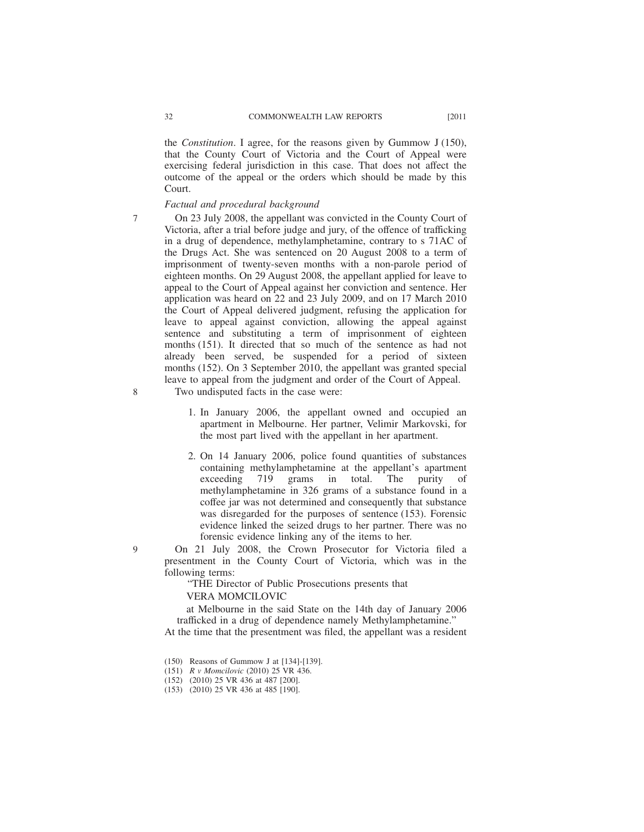the *Constitution*. I agree, for the reasons given by Gummow J (150), that the County Court of Victoria and the Court of Appeal were exercising federal jurisdiction in this case. That does not affect the outcome of the appeal or the orders which should be made by this Court.

#### *Factual and procedural background*

On 23 July 2008, the appellant was convicted in the County Court of Victoria, after a trial before judge and jury, of the offence of trafficking in a drug of dependence, methylamphetamine, contrary to s 71AC of the Drugs Act. She was sentenced on 20 August 2008 to a term of imprisonment of twenty-seven months with a non-parole period of eighteen months. On 29 August 2008, the appellant applied for leave to appeal to the Court of Appeal against her conviction and sentence. Her application was heard on 22 and 23 July 2009, and on 17 March 2010 the Court of Appeal delivered judgment, refusing the application for leave to appeal against conviction, allowing the appeal against sentence and substituting a term of imprisonment of eighteen months (151). It directed that so much of the sentence as had not already been served, be suspended for a period of sixteen months (152). On 3 September 2010, the appellant was granted special leave to appeal from the judgment and order of the Court of Appeal. Two undisputed facts in the case were:

- 1. In January 2006, the appellant owned and occupied an
	- apartment in Melbourne. Her partner, Velimir Markovski, for the most part lived with the appellant in her apartment.
- 2. On 14 January 2006, police found quantities of substances containing methylamphetamine at the appellant's apartment exceeding 719 grams in total. The purity of methylamphetamine in 326 grams of a substance found in a coffee jar was not determined and consequently that substance was disregarded for the purposes of sentence (153). Forensic evidence linked the seized drugs to her partner. There was no forensic evidence linking any of the items to her.

On 21 July 2008, the Crown Prosecutor for Victoria filed a presentment in the County Court of Victoria, which was in the following terms:

"THE Director of Public Prosecutions presents that VERA MOMCILOVIC

at Melbourne in the said State on the 14th day of January 2006 trafficked in a drug of dependence namely Methylamphetamine."

At the time that the presentment was filed, the appellant was a resident

7

8

<sup>(150)</sup> Reasons of Gummow J at [134]-[139].

<sup>(151)</sup> *R v Momcilovic* (2010) 25 VR 436.

<sup>(152) (2010) 25</sup> VR 436 at 487 [200].

<sup>(153) (2010) 25</sup> VR 436 at 485 [190].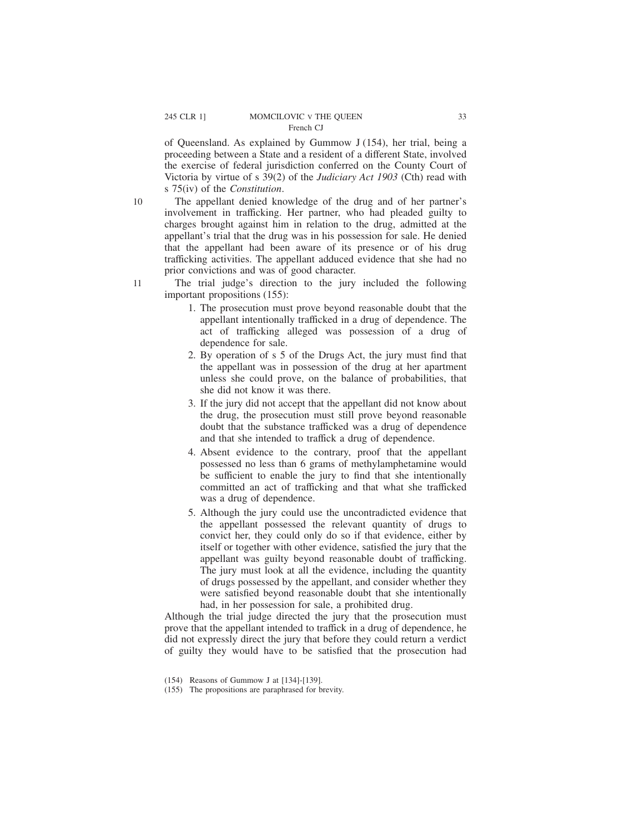10

11

#### 245 CLR 1] MOMCILOVIC V THE QUEEN 33 French CJ

of Queensland. As explained by Gummow J (154), her trial, being a proceeding between a State and a resident of a different State, involved the exercise of federal jurisdiction conferred on the County Court of Victoria by virtue of s 39(2) of the *Judiciary Act 1903* (Cth) read with s 75(iv) of the *Constitution*.

The appellant denied knowledge of the drug and of her partner's involvement in trafficking. Her partner, who had pleaded guilty to charges brought against him in relation to the drug, admitted at the appellant's trial that the drug was in his possession for sale. He denied that the appellant had been aware of its presence or of his drug trafficking activities. The appellant adduced evidence that she had no prior convictions and was of good character.

- The trial judge's direction to the jury included the following important propositions (155):
	- 1. The prosecution must prove beyond reasonable doubt that the appellant intentionally trafficked in a drug of dependence. The act of trafficking alleged was possession of a drug of dependence for sale.
	- 2. By operation of s 5 of the Drugs Act, the jury must find that the appellant was in possession of the drug at her apartment unless she could prove, on the balance of probabilities, that she did not know it was there.
	- 3. If the jury did not accept that the appellant did not know about the drug, the prosecution must still prove beyond reasonable doubt that the substance trafficked was a drug of dependence and that she intended to traffick a drug of dependence.
	- 4. Absent evidence to the contrary, proof that the appellant possessed no less than 6 grams of methylamphetamine would be sufficient to enable the jury to find that she intentionally committed an act of trafficking and that what she trafficked was a drug of dependence.
	- 5. Although the jury could use the uncontradicted evidence that the appellant possessed the relevant quantity of drugs to convict her, they could only do so if that evidence, either by itself or together with other evidence, satisfied the jury that the appellant was guilty beyond reasonable doubt of trafficking. The jury must look at all the evidence, including the quantity of drugs possessed by the appellant, and consider whether they were satisfied beyond reasonable doubt that she intentionally had, in her possession for sale, a prohibited drug.

Although the trial judge directed the jury that the prosecution must prove that the appellant intended to traffick in a drug of dependence, he did not expressly direct the jury that before they could return a verdict of guilty they would have to be satisfied that the prosecution had

<sup>(154)</sup> Reasons of Gummow J at [134]-[139].

<sup>(155)</sup> The propositions are paraphrased for brevity.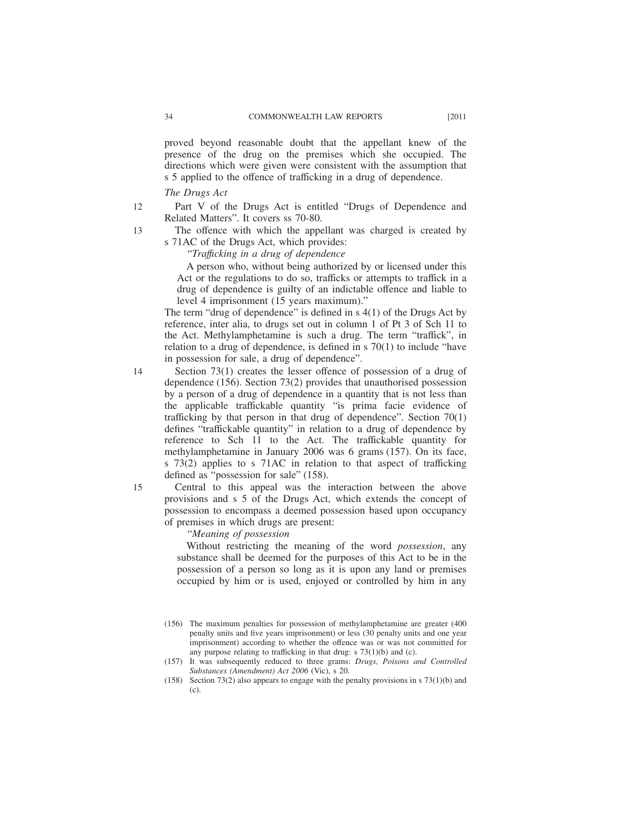proved beyond reasonable doubt that the appellant knew of the presence of the drug on the premises which she occupied. The directions which were given were consistent with the assumption that s 5 applied to the offence of trafficking in a drug of dependence.

*The Drugs Act*

 $12$ 13

14

15

Part V of the Drugs Act is entitled "Drugs of Dependence and Related Matters". It covers ss 70-80.

The offence with which the appellant was charged is created by s 71AC of the Drugs Act, which provides:

"*Traffıcking in a drug of dependence*

A person who, without being authorized by or licensed under this Act or the regulations to do so, trafficks or attempts to traffick in a drug of dependence is guilty of an indictable offence and liable to level 4 imprisonment (15 years maximum)."

The term "drug of dependence" is defined in s 4(1) of the Drugs Act by reference, inter alia, to drugs set out in column 1 of Pt 3 of Sch 11 to the Act. Methylamphetamine is such a drug. The term "traffick", in relation to a drug of dependence, is defined in s 70(1) to include "have in possession for sale, a drug of dependence".

Section 73(1) creates the lesser offence of possession of a drug of dependence (156). Section 73(2) provides that unauthorised possession by a person of a drug of dependence in a quantity that is not less than the applicable traffickable quantity "is prima facie evidence of trafficking by that person in that drug of dependence". Section 70(1) defines "traffickable quantity" in relation to a drug of dependence by reference to Sch 11 to the Act. The traffickable quantity for methylamphetamine in January 2006 was 6 grams (157). On its face, s 73(2) applies to s 71AC in relation to that aspect of trafficking defined as "possession for sale" (158).

Central to this appeal was the interaction between the above provisions and s 5 of the Drugs Act, which extends the concept of possession to encompass a deemed possession based upon occupancy of premises in which drugs are present:

"*Meaning of possession*

Without restricting the meaning of the word *possession*, any substance shall be deemed for the purposes of this Act to be in the possession of a person so long as it is upon any land or premises occupied by him or is used, enjoyed or controlled by him in any

<sup>(156)</sup> The maximum penalties for possession of methylamphetamine are greater (400 penalty units and five years imprisonment) or less (30 penalty units and one year imprisonment) according to whether the offence was or was not committed for any purpose relating to trafficking in that drug: s 73(1)(b) and (c).

<sup>(157)</sup> It was subsequently reduced to three grams: *Drugs, Poisons and Controlled Substances (Amendment) Act 2006* (Vic), s 20.

<sup>(158)</sup> Section 73(2) also appears to engage with the penalty provisions in s 73(1)(b) and (c).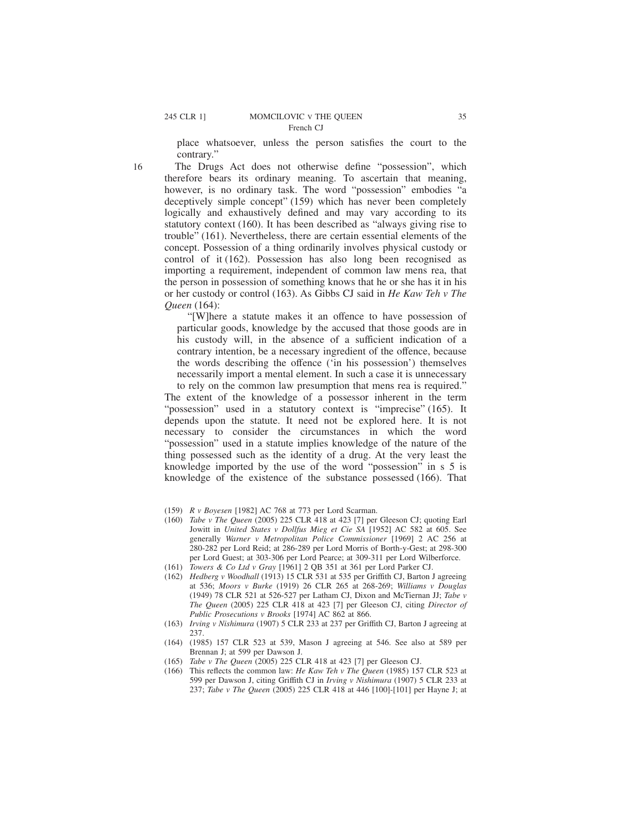16

#### 245 CLR 1] MOMCILOVIC V THE QUEEN 35 French CJ

place whatsoever, unless the person satisfies the court to the contrary."

The Drugs Act does not otherwise define "possession", which therefore bears its ordinary meaning. To ascertain that meaning, however, is no ordinary task. The word "possession" embodies "a deceptively simple concept" (159) which has never been completely logically and exhaustively defined and may vary according to its statutory context (160). It has been described as "always giving rise to trouble" (161). Nevertheless, there are certain essential elements of the concept. Possession of a thing ordinarily involves physical custody or control of it (162). Possession has also long been recognised as importing a requirement, independent of common law mens rea, that the person in possession of something knows that he or she has it in his or her custody or control (163). As Gibbs CJ said in *He Kaw Teh v The Queen* (164):

"[W]here a statute makes it an offence to have possession of particular goods, knowledge by the accused that those goods are in his custody will, in the absence of a sufficient indication of a contrary intention, be a necessary ingredient of the offence, because the words describing the offence ('in his possession') themselves necessarily import a mental element. In such a case it is unnecessary

to rely on the common law presumption that mens rea is required." The extent of the knowledge of a possessor inherent in the term "possession" used in a statutory context is "imprecise" (165). It depends upon the statute. It need not be explored here. It is not necessary to consider the circumstances in which the word "possession" used in a statute implies knowledge of the nature of the thing possessed such as the identity of a drug. At the very least the knowledge imported by the use of the word "possession" in s 5 is knowledge of the existence of the substance possessed (166). That

- (159) *R v Boyesen* [1982] AC 768 at 773 per Lord Scarman.
- (160) *Tabe v The Queen* (2005) 225 CLR 418 at 423 [7] per Gleeson CJ; quoting Earl Jowitt in *United States v Dollfus Mieg et Cie SA* [1952] AC 582 at 605. See generally *Warner v Metropolitan Police Commissioner* [1969] 2 AC 256 at 280-282 per Lord Reid; at 286-289 per Lord Morris of Borth-y-Gest; at 298-300 per Lord Guest; at 303-306 per Lord Pearce; at 309-311 per Lord Wilberforce. (161) *Towers & Co Ltd v Gray* [1961] 2 QB 351 at 361 per Lord Parker CJ.
- (162) *Hedberg v Woodhall* (1913) 15 CLR 531 at 535 per Griffith CJ, Barton J agreeing
- at 536; *Moors v Burke* (1919) 26 CLR 265 at 268-269; *Williams v Douglas* (1949) 78 CLR 521 at 526-527 per Latham CJ, Dixon and McTiernan JJ; *Tabe v The Queen* (2005) 225 CLR 418 at 423 [7] per Gleeson CJ, citing *Director of Public Prosecutions v Brooks* [1974] AC 862 at 866.
- (163) *Irving v Nishimura* (1907) 5 CLR 233 at 237 per Griffith CJ, Barton J agreeing at 237.
- (164) (1985) 157 CLR 523 at 539, Mason J agreeing at 546. See also at 589 per Brennan J; at 599 per Dawson J.
- (165) *Tabe v The Queen* (2005) 225 CLR 418 at 423 [7] per Gleeson CJ.
- (166) This reflects the common law: *He Kaw Teh v The Queen* (1985) 157 CLR 523 at 599 per Dawson J, citing Griffith CJ in *Irving v Nishimura* (1907) 5 CLR 233 at 237; *Tabe v The Queen* (2005) 225 CLR 418 at 446 [100]-[101] per Hayne J; at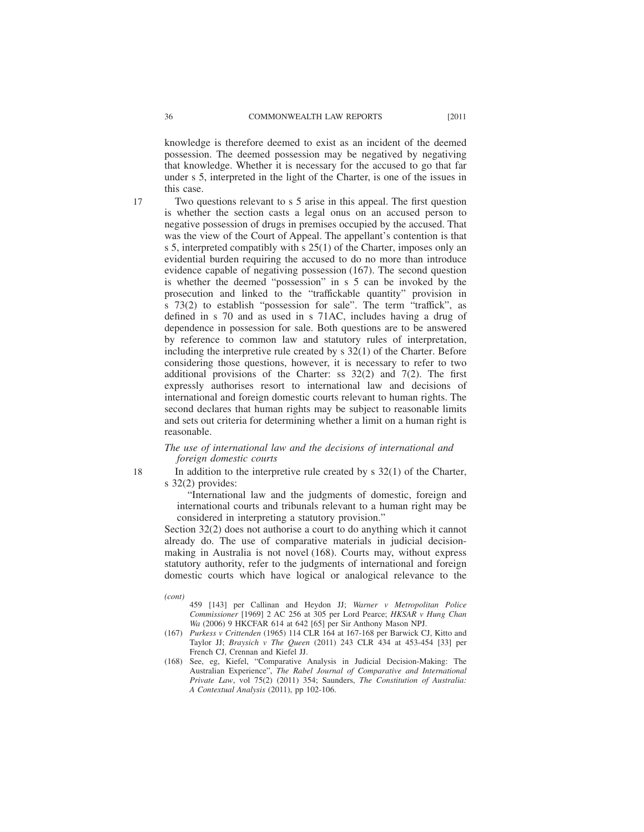knowledge is therefore deemed to exist as an incident of the deemed possession. The deemed possession may be negatived by negativing that knowledge. Whether it is necessary for the accused to go that far under s 5, interpreted in the light of the Charter, is one of the issues in this case.

Two questions relevant to s 5 arise in this appeal. The first question is whether the section casts a legal onus on an accused person to negative possession of drugs in premises occupied by the accused. That was the view of the Court of Appeal. The appellant's contention is that s 5, interpreted compatibly with s 25(1) of the Charter, imposes only an evidential burden requiring the accused to do no more than introduce evidence capable of negativing possession (167). The second question is whether the deemed "possession" in s 5 can be invoked by the prosecution and linked to the "traffickable quantity" provision in s 73(2) to establish "possession for sale". The term "traffick", as defined in s 70 and as used in s 71AC, includes having a drug of dependence in possession for sale. Both questions are to be answered by reference to common law and statutory rules of interpretation, including the interpretive rule created by s 32(1) of the Charter. Before considering those questions, however, it is necessary to refer to two additional provisions of the Charter: ss  $32(2)$  and  $7(2)$ . The first expressly authorises resort to international law and decisions of international and foreign domestic courts relevant to human rights. The second declares that human rights may be subject to reasonable limits and sets out criteria for determining whether a limit on a human right is reasonable.

### *The use of international law and the decisions of international and foreign domestic courts*

In addition to the interpretive rule created by s 32(1) of the Charter, s 32(2) provides:

"International law and the judgments of domestic, foreign and international courts and tribunals relevant to a human right may be considered in interpreting a statutory provision."

Section 32(2) does not authorise a court to do anything which it cannot already do. The use of comparative materials in judicial decisionmaking in Australia is not novel (168). Courts may, without express statutory authority, refer to the judgments of international and foreign domestic courts which have logical or analogical relevance to the

- (167) *Purkess v Crittenden* (1965) 114 CLR 164 at 167-168 per Barwick CJ, Kitto and Taylor JJ; *Braysich v The Queen* (2011) 243 CLR 434 at 453-454 [33] per French CJ, Crennan and Kiefel JJ.
- (168) See, eg, Kiefel, "Comparative Analysis in Judicial Decision-Making: The Australian Experience", *The Rabel Journal of Comparative and International Private Law*, vol 75(2) (2011) 354; Saunders, *The Constitution of Australia: A Contextual Analysis* (2011), pp 102-106.

17

*<sup>(</sup>cont)*

<sup>459 [143]</sup> per Callinan and Heydon JJ; *Warner v Metropolitan Police Commissioner* [1969] 2 AC 256 at 305 per Lord Pearce; *HKSAR v Hung Chan Wa* (2006) 9 HKCFAR 614 at 642 [65] per Sir Anthony Mason NPJ.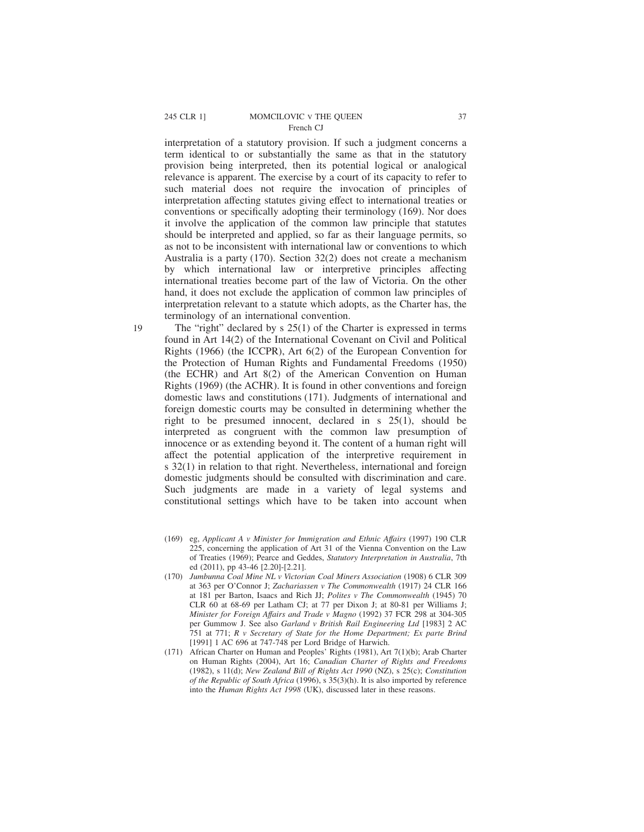19

## 245 CLR 1] MOMCILOVIC V THE QUEEN 37 French CJ

interpretation of a statutory provision. If such a judgment concerns a term identical to or substantially the same as that in the statutory provision being interpreted, then its potential logical or analogical relevance is apparent. The exercise by a court of its capacity to refer to such material does not require the invocation of principles of interpretation affecting statutes giving effect to international treaties or conventions or specifically adopting their terminology (169). Nor does it involve the application of the common law principle that statutes should be interpreted and applied, so far as their language permits, so as not to be inconsistent with international law or conventions to which Australia is a party (170). Section 32(2) does not create a mechanism by which international law or interpretive principles affecting international treaties become part of the law of Victoria. On the other hand, it does not exclude the application of common law principles of interpretation relevant to a statute which adopts, as the Charter has, the terminology of an international convention.

The "right" declared by s 25(1) of the Charter is expressed in terms found in Art 14(2) of the International Covenant on Civil and Political Rights (1966) (the ICCPR), Art 6(2) of the European Convention for the Protection of Human Rights and Fundamental Freedoms (1950) (the ECHR) and Art 8(2) of the American Convention on Human Rights (1969) (the ACHR). It is found in other conventions and foreign domestic laws and constitutions (171). Judgments of international and foreign domestic courts may be consulted in determining whether the right to be presumed innocent, declared in s 25(1), should be interpreted as congruent with the common law presumption of innocence or as extending beyond it. The content of a human right will affect the potential application of the interpretive requirement in s 32(1) in relation to that right. Nevertheless, international and foreign domestic judgments should be consulted with discrimination and care. Such judgments are made in a variety of legal systems and constitutional settings which have to be taken into account when

- (169) eg, *Applicant A v Minister for Immigration and Ethnic Affairs* (1997) 190 CLR 225, concerning the application of Art 31 of the Vienna Convention on the Law of Treaties (1969); Pearce and Geddes, *Statutory Interpretation in Australia*, 7th ed (2011), pp 43-46 [2.20]-[2.21].
- (170) *Jumbunna Coal Mine NL v Victorian Coal Miners Association* (1908) 6 CLR 309 at 363 per O'Connor J; *Zachariassen v The Commonwealth* (1917) 24 CLR 166 at 181 per Barton, Isaacs and Rich JJ; *Polites v The Commonwealth* (1945) 70 CLR 60 at 68-69 per Latham CJ; at 77 per Dixon J; at 80-81 per Williams J; *Minister for Foreign Affairs and Trade v Magno* (1992) 37 FCR 298 at 304-305 per Gummow J. See also *Garland v British Rail Engineering Ltd* [1983] 2 AC 751 at 771; *R v Secretary of State for the Home Department; Ex parte Brind* [1991] 1 AC 696 at 747-748 per Lord Bridge of Harwich.
- (171) African Charter on Human and Peoples' Rights (1981), Art 7(1)(b); Arab Charter on Human Rights (2004), Art 16; *Canadian Charter of Rights and Freedoms* (1982), s 11(d); *New Zealand Bill of Rights Act 1990* (NZ), s 25(c); *Constitution of the Republic of South Africa* (1996), s 35(3)(h). It is also imported by reference into the *Human Rights Act 1998* (UK), discussed later in these reasons.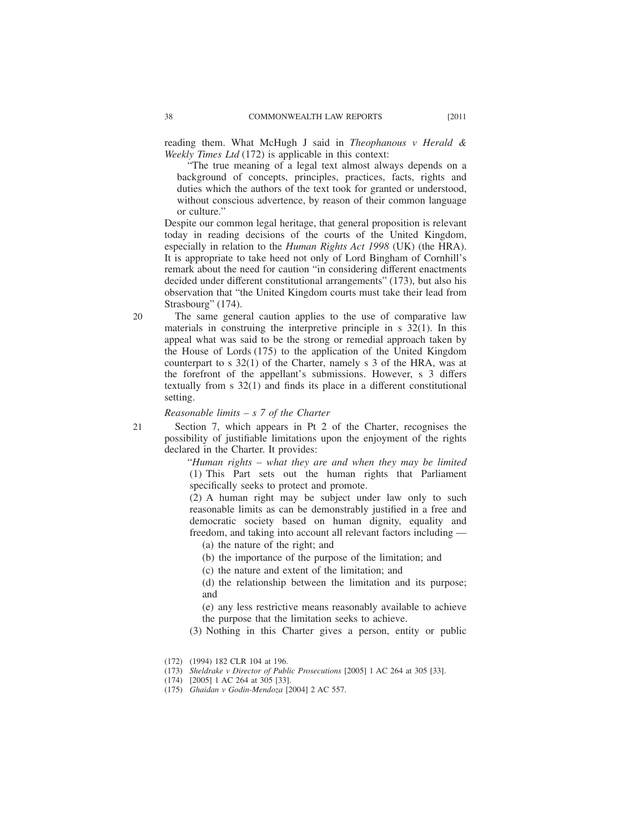"The true meaning of a legal text almost always depends on a background of concepts, principles, practices, facts, rights and duties which the authors of the text took for granted or understood, without conscious advertence, by reason of their common language or culture."

Despite our common legal heritage, that general proposition is relevant today in reading decisions of the courts of the United Kingdom, especially in relation to the *Human Rights Act 1998* (UK) (the HRA). It is appropriate to take heed not only of Lord Bingham of Cornhill's remark about the need for caution "in considering different enactments decided under different constitutional arrangements" (173), but also his observation that "the United Kingdom courts must take their lead from Strasbourg" (174).

The same general caution applies to the use of comparative law materials in construing the interpretive principle in s 32(1). In this appeal what was said to be the strong or remedial approach taken by the House of Lords (175) to the application of the United Kingdom counterpart to s 32(1) of the Charter, namely s 3 of the HRA, was at the forefront of the appellant's submissions. However, s 3 differs textually from s 32(1) and finds its place in a different constitutional setting.

#### *Reasonable limits – s 7 of the Charter*

Section 7, which appears in Pt 2 of the Charter, recognises the possibility of justifiable limitations upon the enjoyment of the rights declared in the Charter. It provides:

"*Human rights – what they are and when they may be limited* (1) This Part sets out the human rights that Parliament specifically seeks to protect and promote.

(2) A human right may be subject under law only to such reasonable limits as can be demonstrably justified in a free and democratic society based on human dignity, equality and freedom, and taking into account all relevant factors including —

(a) the nature of the right; and

(b) the importance of the purpose of the limitation; and

(c) the nature and extent of the limitation; and

(d) the relationship between the limitation and its purpose; and

(e) any less restrictive means reasonably available to achieve the purpose that the limitation seeks to achieve.

(3) Nothing in this Charter gives a person, entity or public

- (173) *Sheldrake v Director of Public Prosecutions* [2005] 1 AC 264 at 305 [33].
- (174) [2005] 1 AC 264 at 305 [33].
- (175) *Ghaidan v Godin-Mendoza* [2004] 2 AC 557.

20

<sup>(172) (1994) 182</sup> CLR 104 at 196.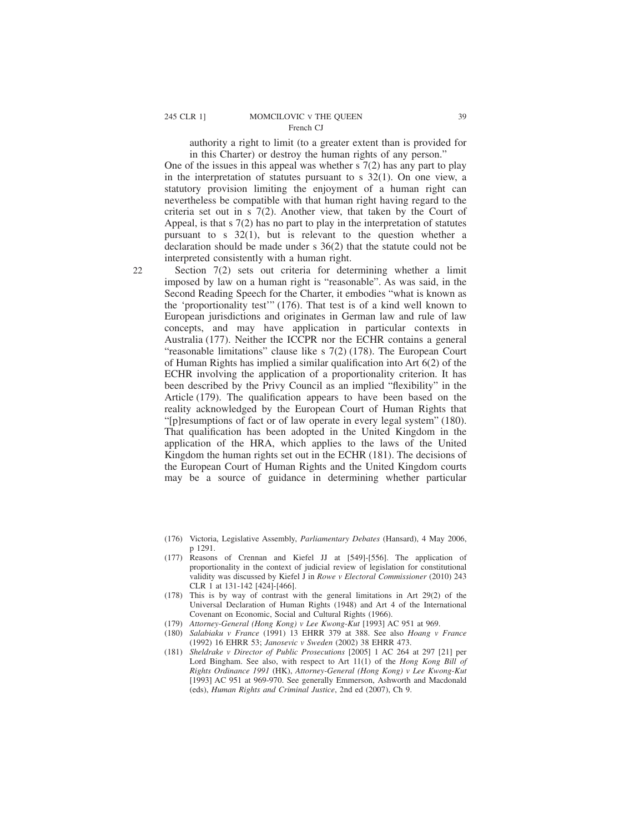22

## 245 CLR 1] MOMCILOVIC V THE QUEEN 39 French CJ

authority a right to limit (to a greater extent than is provided for in this Charter) or destroy the human rights of any person."

One of the issues in this appeal was whether  $\frac{s}{2}$  has any part to play in the interpretation of statutes pursuant to s 32(1). On one view, a statutory provision limiting the enjoyment of a human right can nevertheless be compatible with that human right having regard to the criteria set out in s 7(2). Another view, that taken by the Court of Appeal, is that s 7(2) has no part to play in the interpretation of statutes pursuant to s 32(1), but is relevant to the question whether a declaration should be made under s 36(2) that the statute could not be interpreted consistently with a human right.

Section 7(2) sets out criteria for determining whether a limit imposed by law on a human right is "reasonable". As was said, in the Second Reading Speech for the Charter, it embodies "what is known as the 'proportionality test'" (176). That test is of a kind well known to European jurisdictions and originates in German law and rule of law concepts, and may have application in particular contexts in Australia (177). Neither the ICCPR nor the ECHR contains a general "reasonable limitations" clause like s 7(2) (178). The European Court of Human Rights has implied a similar qualification into Art 6(2) of the ECHR involving the application of a proportionality criterion. It has been described by the Privy Council as an implied "flexibility" in the Article (179). The qualification appears to have been based on the reality acknowledged by the European Court of Human Rights that "[p]resumptions of fact or of law operate in every legal system" (180). That qualification has been adopted in the United Kingdom in the application of the HRA, which applies to the laws of the United Kingdom the human rights set out in the ECHR (181). The decisions of the European Court of Human Rights and the United Kingdom courts may be a source of guidance in determining whether particular

- (176) Victoria, Legislative Assembly, *Parliamentary Debates* (Hansard), 4 May 2006, p 1291.
- (177) Reasons of Crennan and Kiefel JJ at [549]-[556]. The application of proportionality in the context of judicial review of legislation for constitutional validity was discussed by Kiefel J in *Rowe v Electoral Commissioner* (2010) 243 CLR 1 at 131-142 [424]-[466].
- (178) This is by way of contrast with the general limitations in Art 29(2) of the Universal Declaration of Human Rights (1948) and Art 4 of the International Covenant on Economic, Social and Cultural Rights (1966).
- (179) *Attorney-General (Hong Kong) v Lee Kwong-Kut* [1993] AC 951 at 969.
- (180) *Salabiaku v France* (1991) 13 EHRR 379 at 388. See also *Hoang v France* (1992) 16 EHRR 53; *Janosevic v Sweden* (2002) 38 EHRR 473.
- (181) *Sheldrake v Director of Public Prosecutions* [2005] 1 AC 264 at 297 [21] per Lord Bingham. See also, with respect to Art 11(1) of the *Hong Kong Bill of Rights Ordinance 1991* (HK), *Attorney-General (Hong Kong) v Lee Kwong-Kut* [1993] AC 951 at 969-970. See generally Emmerson, Ashworth and Macdonald (eds), *Human Rights and Criminal Justice*, 2nd ed (2007), Ch 9.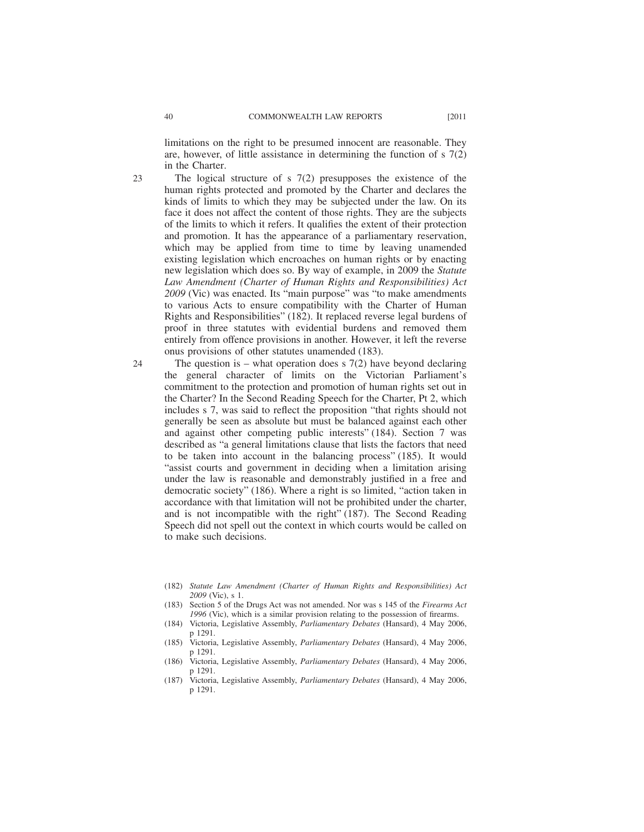limitations on the right to be presumed innocent are reasonable. They are, however, of little assistance in determining the function of s 7(2) in the Charter.

The logical structure of s 7(2) presupposes the existence of the human rights protected and promoted by the Charter and declares the kinds of limits to which they may be subjected under the law. On its face it does not affect the content of those rights. They are the subjects of the limits to which it refers. It qualifies the extent of their protection and promotion. It has the appearance of a parliamentary reservation, which may be applied from time to time by leaving unamended existing legislation which encroaches on human rights or by enacting new legislation which does so. By way of example, in 2009 the *Statute Law Amendment (Charter of Human Rights and Responsibilities) Act 2009* (Vic) was enacted. Its "main purpose" was "to make amendments to various Acts to ensure compatibility with the Charter of Human Rights and Responsibilities" (182). It replaced reverse legal burdens of proof in three statutes with evidential burdens and removed them entirely from offence provisions in another. However, it left the reverse onus provisions of other statutes unamended (183).

24

23

The question is – what operation does s  $7(2)$  have beyond declaring the general character of limits on the Victorian Parliament's commitment to the protection and promotion of human rights set out in the Charter? In the Second Reading Speech for the Charter, Pt 2, which includes s 7, was said to reflect the proposition "that rights should not generally be seen as absolute but must be balanced against each other and against other competing public interests" (184). Section 7 was described as "a general limitations clause that lists the factors that need to be taken into account in the balancing process" (185). It would "assist courts and government in deciding when a limitation arising under the law is reasonable and demonstrably justified in a free and democratic society" (186). Where a right is so limited, "action taken in accordance with that limitation will not be prohibited under the charter, and is not incompatible with the right" (187). The Second Reading Speech did not spell out the context in which courts would be called on to make such decisions.

- (182) *Statute Law Amendment (Charter of Human Rights and Responsibilities) Act 2009* (Vic), s 1.
- (183) Section 5 of the Drugs Act was not amended. Nor was s 145 of the *Firearms Act 1996* (Vic), which is a similar provision relating to the possession of firearms.
- (184) Victoria, Legislative Assembly, *Parliamentary Debates* (Hansard), 4 May 2006, p 1291.
- (185) Victoria, Legislative Assembly, *Parliamentary Debates* (Hansard), 4 May 2006, p 1291.
- (186) Victoria, Legislative Assembly, *Parliamentary Debates* (Hansard), 4 May 2006, p 1291.
- (187) Victoria, Legislative Assembly, *Parliamentary Debates* (Hansard), 4 May 2006, p 1291.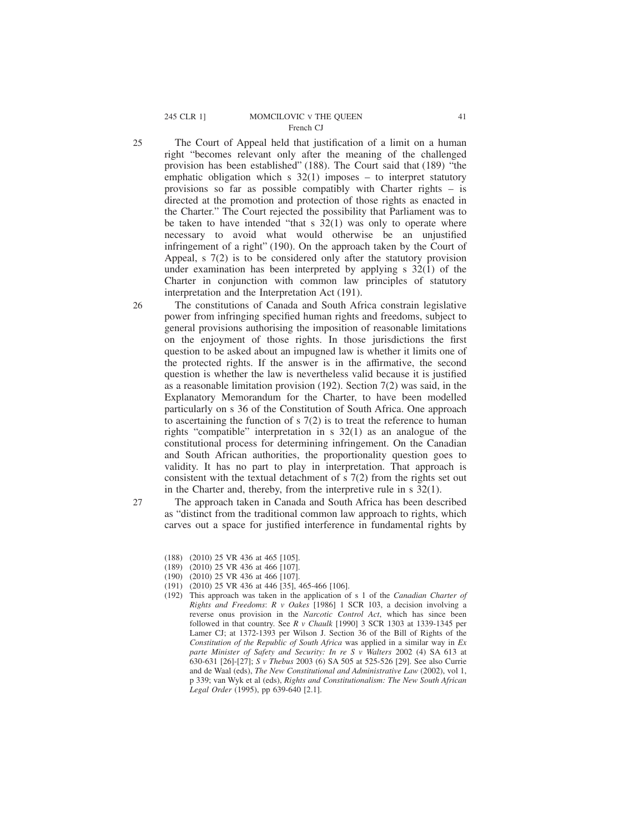## 245 CLR 1] MOMCILOVIC V THE QUEEN 41 French CJ

The Court of Appeal held that justification of a limit on a human right "becomes relevant only after the meaning of the challenged provision has been established" (188). The Court said that (189) "the emphatic obligation which s  $32(1)$  imposes – to interpret statutory provisions so far as possible compatibly with Charter rights – is directed at the promotion and protection of those rights as enacted in the Charter." The Court rejected the possibility that Parliament was to be taken to have intended "that s  $32(1)$  was only to operate where necessary to avoid what would otherwise be an unjustified infringement of a right" (190). On the approach taken by the Court of Appeal, s 7(2) is to be considered only after the statutory provision under examination has been interpreted by applying s 32(1) of the Charter in conjunction with common law principles of statutory interpretation and the Interpretation Act (191).

The constitutions of Canada and South Africa constrain legislative power from infringing specified human rights and freedoms, subject to general provisions authorising the imposition of reasonable limitations on the enjoyment of those rights. In those jurisdictions the first question to be asked about an impugned law is whether it limits one of the protected rights. If the answer is in the affirmative, the second question is whether the law is nevertheless valid because it is justified as a reasonable limitation provision (192). Section 7(2) was said, in the Explanatory Memorandum for the Charter, to have been modelled particularly on s 36 of the Constitution of South Africa. One approach to ascertaining the function of  $s$  7(2) is to treat the reference to human rights "compatible" interpretation in s 32(1) as an analogue of the constitutional process for determining infringement. On the Canadian and South African authorities, the proportionality question goes to validity. It has no part to play in interpretation. That approach is consistent with the textual detachment of s 7(2) from the rights set out in the Charter and, thereby, from the interpretive rule in s 32(1).

The approach taken in Canada and South Africa has been described as "distinct from the traditional common law approach to rights, which carves out a space for justified interference in fundamental rights by

- (188) (2010) 25 VR 436 at 465 [105].
- (189) (2010) 25 VR 436 at 466 [107].
- (190) (2010) 25 VR 436 at 466 [107].
- (191) (2010) 25 VR 436 at 446 [35], 465-466 [106].
- (192) This approach was taken in the application of s 1 of the *Canadian Charter of Rights and Freedoms*: *R v Oakes* [1986] 1 SCR 103, a decision involving a reverse onus provision in the *Narcotic Control Act*, which has since been followed in that country. See *R v Chaulk* [1990] 3 SCR 1303 at 1339-1345 per Lamer CJ; at 1372-1393 per Wilson J. Section 36 of the Bill of Rights of the *Constitution of the Republic of South Africa* was applied in a similar way in *Ex parte Minister of Safety and Security: In re S v Walters* 2002 (4) SA 613 at 630-631 [26]-[27]; *S v Thebus* 2003 (6) SA 505 at 525-526 [29]. See also Currie and de Waal (eds), *The New Constitutional and Administrative Law* (2002), vol 1, p 339; van Wyk et al (eds), *Rights and Constitutionalism: The New South African Legal Order* (1995), pp 639-640 [2.1].

 $25$ 

26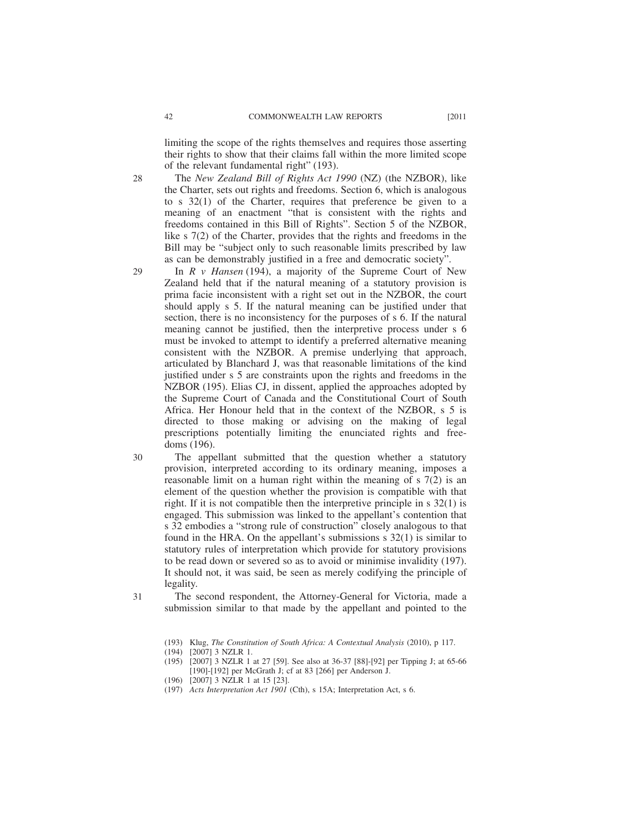limiting the scope of the rights themselves and requires those asserting their rights to show that their claims fall within the more limited scope of the relevant fundamental right" (193).

The *New Zealand Bill of Rights Act 1990* (NZ) (the NZBOR), like the Charter, sets out rights and freedoms. Section 6, which is analogous to s 32(1) of the Charter, requires that preference be given to a meaning of an enactment "that is consistent with the rights and freedoms contained in this Bill of Rights". Section 5 of the NZBOR, like s 7(2) of the Charter, provides that the rights and freedoms in the Bill may be "subject only to such reasonable limits prescribed by law as can be demonstrably justified in a free and democratic society".

In *R v Hansen* (194), a majority of the Supreme Court of New Zealand held that if the natural meaning of a statutory provision is prima facie inconsistent with a right set out in the NZBOR, the court should apply s 5. If the natural meaning can be justified under that section, there is no inconsistency for the purposes of s 6. If the natural meaning cannot be justified, then the interpretive process under s 6 must be invoked to attempt to identify a preferred alternative meaning consistent with the NZBOR. A premise underlying that approach, articulated by Blanchard J, was that reasonable limitations of the kind justified under s 5 are constraints upon the rights and freedoms in the NZBOR (195). Elias CJ, in dissent, applied the approaches adopted by the Supreme Court of Canada and the Constitutional Court of South Africa. Her Honour held that in the context of the NZBOR, s 5 is directed to those making or advising on the making of legal prescriptions potentially limiting the enunciated rights and freedoms (196).

The appellant submitted that the question whether a statutory provision, interpreted according to its ordinary meaning, imposes a reasonable limit on a human right within the meaning of s 7(2) is an element of the question whether the provision is compatible with that right. If it is not compatible then the interpretive principle in s 32(1) is engaged. This submission was linked to the appellant's contention that s 32 embodies a "strong rule of construction" closely analogous to that found in the HRA. On the appellant's submissions s 32(1) is similar to statutory rules of interpretation which provide for statutory provisions to be read down or severed so as to avoid or minimise invalidity (197). It should not, it was said, be seen as merely codifying the principle of legality.

31

30

The second respondent, the Attorney-General for Victoria, made a submission similar to that made by the appellant and pointed to the

(197) *Acts Interpretation Act 1901* (Cth), s 15A; Interpretation Act, s 6.

28

<sup>(193)</sup> Klug, *The Constitution of South Africa: A Contextual Analysis* (2010), p 117.

<sup>(194) [2007] 3</sup> NZLR 1.

<sup>(195) [2007] 3</sup> NZLR 1 at 27 [59]. See also at 36-37 [88]-[92] per Tipping J; at 65-66 [190]-[192] per McGrath J; cf at 83 [266] per Anderson J.

<sup>(196) [2007] 3</sup> NZLR 1 at 15 [23].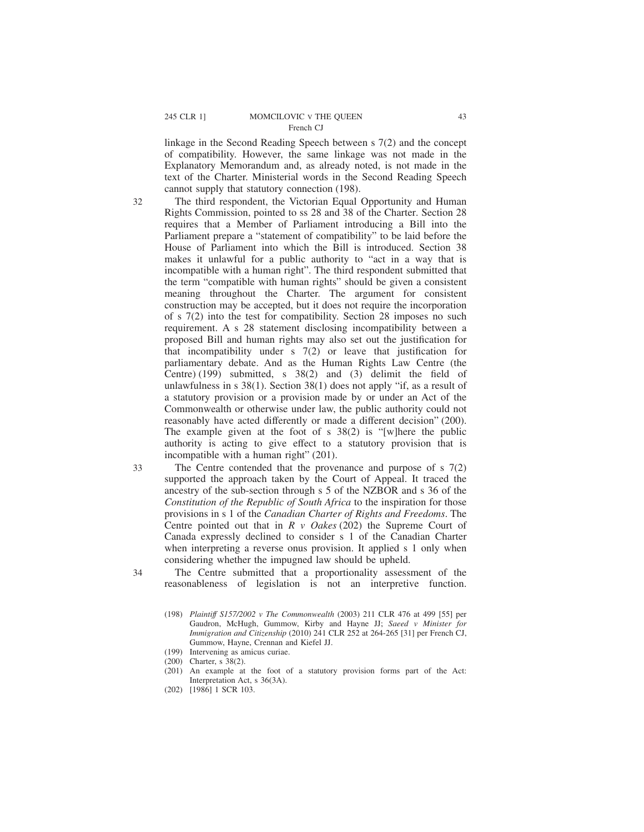## 245 CLR 1] MOMCILOVIC V THE QUEEN 43 French CJ

linkage in the Second Reading Speech between s 7(2) and the concept of compatibility. However, the same linkage was not made in the Explanatory Memorandum and, as already noted, is not made in the text of the Charter. Ministerial words in the Second Reading Speech cannot supply that statutory connection (198).

32

The third respondent, the Victorian Equal Opportunity and Human Rights Commission, pointed to ss 28 and 38 of the Charter. Section 28 requires that a Member of Parliament introducing a Bill into the Parliament prepare a "statement of compatibility" to be laid before the House of Parliament into which the Bill is introduced. Section 38 makes it unlawful for a public authority to "act in a way that is incompatible with a human right". The third respondent submitted that the term "compatible with human rights" should be given a consistent meaning throughout the Charter. The argument for consistent construction may be accepted, but it does not require the incorporation of s 7(2) into the test for compatibility. Section 28 imposes no such requirement. A s 28 statement disclosing incompatibility between a proposed Bill and human rights may also set out the justification for that incompatibility under s 7(2) or leave that justification for parliamentary debate. And as the Human Rights Law Centre (the Centre) (199) submitted, s 38(2) and (3) delimit the field of unlawfulness in s 38(1). Section 38(1) does not apply "if, as a result of a statutory provision or a provision made by or under an Act of the Commonwealth or otherwise under law, the public authority could not reasonably have acted differently or made a different decision" (200). The example given at the foot of s 38(2) is "[w]here the public authority is acting to give effect to a statutory provision that is incompatible with a human right" (201).

- The Centre contended that the provenance and purpose of s 7(2) supported the approach taken by the Court of Appeal. It traced the ancestry of the sub-section through s 5 of the NZBOR and s 36 of the *Constitution of the Republic of South Africa* to the inspiration for those provisions in s 1 of the *Canadian Charter of Rights and Freedoms*. The Centre pointed out that in *R v Oakes* (202) the Supreme Court of Canada expressly declined to consider s 1 of the Canadian Charter when interpreting a reverse onus provision. It applied s 1 only when considering whether the impugned law should be upheld.
- 34

33

The Centre submitted that a proportionality assessment of the reasonableness of legislation is not an interpretive function.

(202) [1986] 1 SCR 103.

<sup>(198)</sup> *Plaintiff S157/2002 v The Commonwealth* (2003) 211 CLR 476 at 499 [55] per Gaudron, McHugh, Gummow, Kirby and Hayne JJ; *Saeed v Minister for Immigration and Citizenship* (2010) 241 CLR 252 at 264-265 [31] per French CJ, Gummow, Hayne, Crennan and Kiefel JJ.

<sup>(199)</sup> Intervening as amicus curiae.

<sup>(200)</sup> Charter, s 38(2).

<sup>(201)</sup> An example at the foot of a statutory provision forms part of the Act: Interpretation Act, s 36(3A).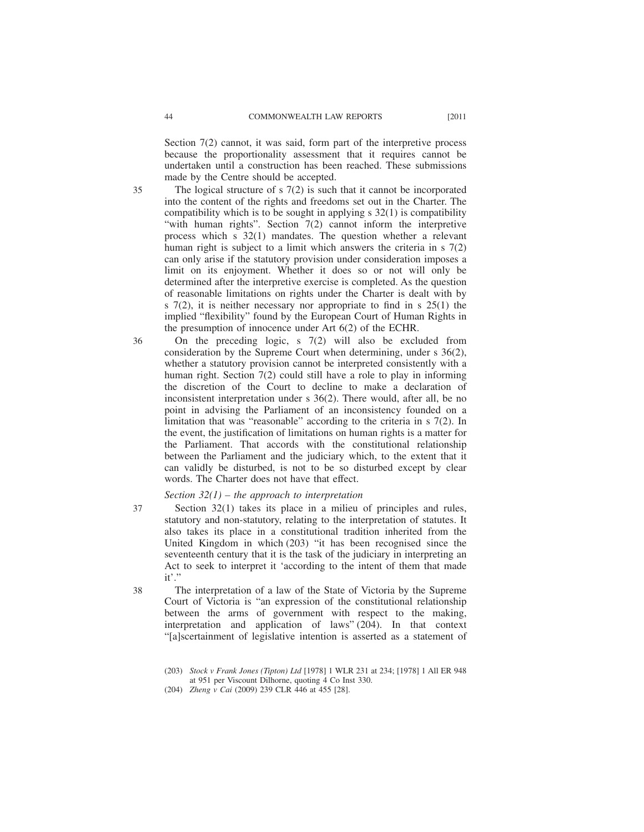Section 7(2) cannot, it was said, form part of the interpretive process because the proportionality assessment that it requires cannot be undertaken until a construction has been reached. These submissions made by the Centre should be accepted.

- The logical structure of s 7(2) is such that it cannot be incorporated into the content of the rights and freedoms set out in the Charter. The compatibility which is to be sought in applying s 32(1) is compatibility "with human rights". Section 7(2) cannot inform the interpretive process which s 32(1) mandates. The question whether a relevant human right is subject to a limit which answers the criteria in s 7(2) can only arise if the statutory provision under consideration imposes a limit on its enjoyment. Whether it does so or not will only be determined after the interpretive exercise is completed. As the question of reasonable limitations on rights under the Charter is dealt with by s 7(2), it is neither necessary nor appropriate to find in s 25(1) the implied "flexibility" found by the European Court of Human Rights in the presumption of innocence under Art 6(2) of the ECHR.
- On the preceding logic, s 7(2) will also be excluded from consideration by the Supreme Court when determining, under s 36(2), whether a statutory provision cannot be interpreted consistently with a human right. Section 7(2) could still have a role to play in informing the discretion of the Court to decline to make a declaration of inconsistent interpretation under s 36(2). There would, after all, be no point in advising the Parliament of an inconsistency founded on a limitation that was "reasonable" according to the criteria in s 7(2). In the event, the justification of limitations on human rights is a matter for the Parliament. That accords with the constitutional relationship between the Parliament and the judiciary which, to the extent that it can validly be disturbed, is not to be so disturbed except by clear words. The Charter does not have that effect.

*Section 32(1) – the approach to interpretation*

- Section 32(1) takes its place in a milieu of principles and rules, statutory and non-statutory, relating to the interpretation of statutes. It also takes its place in a constitutional tradition inherited from the United Kingdom in which (203) "it has been recognised since the seventeenth century that it is the task of the judiciary in interpreting an Act to seek to interpret it 'according to the intent of them that made it'."
- The interpretation of a law of the State of Victoria by the Supreme Court of Victoria is "an expression of the constitutional relationship between the arms of government with respect to the making, interpretation and application of laws" (204). In that context "[a]scertainment of legislative intention is asserted as a statement of

(204) *Zheng v Cai* (2009) 239 CLR 446 at 455 [28].

35

36

37

<sup>(203)</sup> *Stock v Frank Jones (Tipton) Ltd* [1978] 1 WLR 231 at 234; [1978] 1 All ER 948 at 951 per Viscount Dilhorne, quoting 4 Co Inst 330.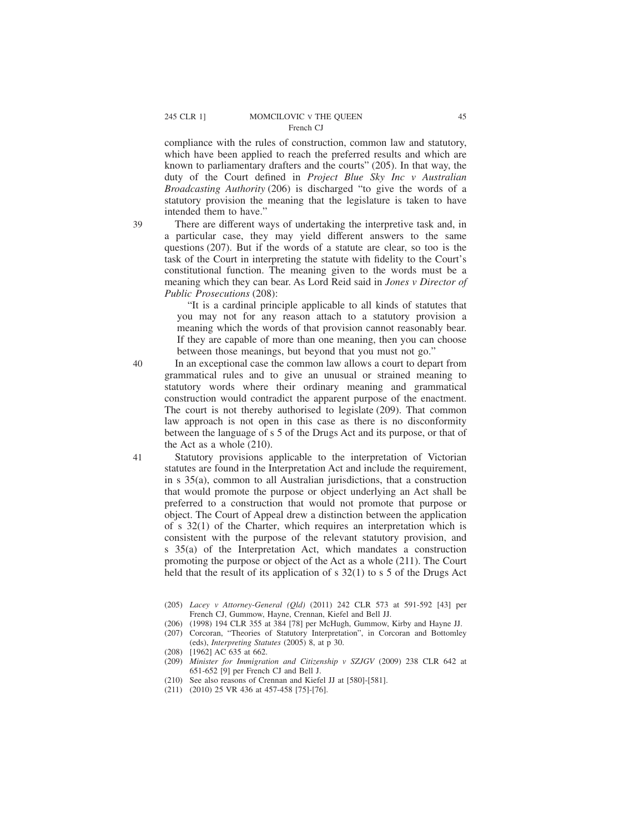## 245 CLR 1] MOMCILOVIC V THE QUEEN 45 French CJ

compliance with the rules of construction, common law and statutory, which have been applied to reach the preferred results and which are known to parliamentary drafters and the courts" (205). In that way, the duty of the Court defined in *Project Blue Sky Inc v Australian Broadcasting Authority* (206) is discharged "to give the words of a statutory provision the meaning that the legislature is taken to have intended them to have."

39

40

41

There are different ways of undertaking the interpretive task and, in a particular case, they may yield different answers to the same questions (207). But if the words of a statute are clear, so too is the task of the Court in interpreting the statute with fidelity to the Court's constitutional function. The meaning given to the words must be a meaning which they can bear. As Lord Reid said in *Jones v Director of Public Prosecutions* (208):

"It is a cardinal principle applicable to all kinds of statutes that you may not for any reason attach to a statutory provision a meaning which the words of that provision cannot reasonably bear. If they are capable of more than one meaning, then you can choose between those meanings, but beyond that you must not go."

In an exceptional case the common law allows a court to depart from grammatical rules and to give an unusual or strained meaning to statutory words where their ordinary meaning and grammatical construction would contradict the apparent purpose of the enactment. The court is not thereby authorised to legislate (209). That common law approach is not open in this case as there is no disconformity between the language of s 5 of the Drugs Act and its purpose, or that of the Act as a whole (210).

Statutory provisions applicable to the interpretation of Victorian statutes are found in the Interpretation Act and include the requirement, in s 35(a), common to all Australian jurisdictions, that a construction that would promote the purpose or object underlying an Act shall be preferred to a construction that would not promote that purpose or object. The Court of Appeal drew a distinction between the application of s 32(1) of the Charter, which requires an interpretation which is consistent with the purpose of the relevant statutory provision, and s 35(a) of the Interpretation Act, which mandates a construction promoting the purpose or object of the Act as a whole (211). The Court held that the result of its application of s 32(1) to s 5 of the Drugs Act

- (205) *Lacey v Attorney-General (Qld)* (2011) 242 CLR 573 at 591-592 [43] per French CJ, Gummow, Hayne, Crennan, Kiefel and Bell JJ.
- (206) (1998) 194 CLR 355 at 384 [78] per McHugh, Gummow, Kirby and Hayne JJ.
- (207) Corcoran, "Theories of Statutory Interpretation", in Corcoran and Bottomley (eds), *Interpreting Statutes* (2005) 8, at p 30.
- (208) [1962] AC 635 at 662.
- (209) *Minister for Immigration and Citizenship v SZJGV* (2009) 238 CLR 642 at 651-652 [9] per French CJ and Bell J.
- (210) See also reasons of Crennan and Kiefel JJ at [580]-[581].
- (211) (2010) 25 VR 436 at 457-458 [75]-[76].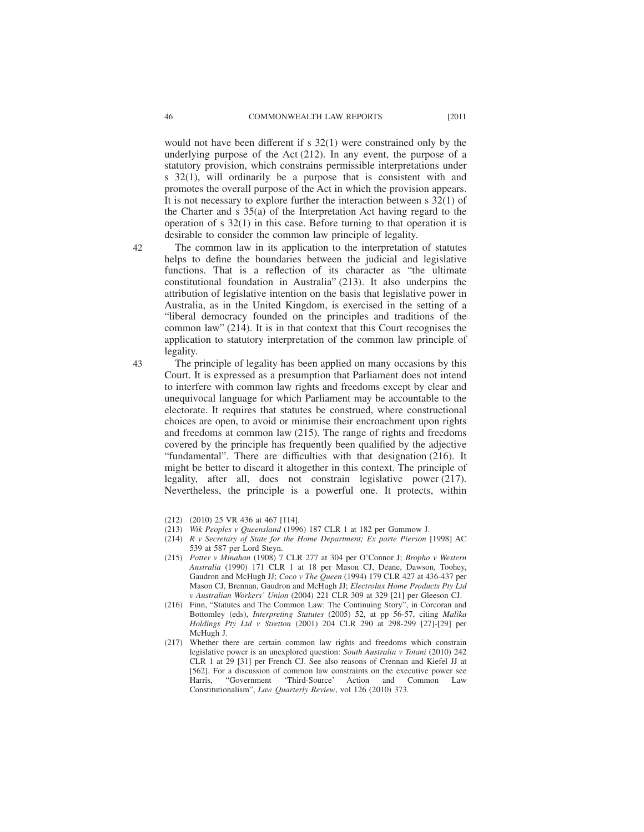would not have been different if s 32(1) were constrained only by the underlying purpose of the Act (212). In any event, the purpose of a statutory provision, which constrains permissible interpretations under s 32(1), will ordinarily be a purpose that is consistent with and promotes the overall purpose of the Act in which the provision appears. It is not necessary to explore further the interaction between s 32(1) of the Charter and s 35(a) of the Interpretation Act having regard to the operation of s 32(1) in this case. Before turning to that operation it is desirable to consider the common law principle of legality.

42

43

The common law in its application to the interpretation of statutes helps to define the boundaries between the judicial and legislative functions. That is a reflection of its character as "the ultimate constitutional foundation in Australia" (213). It also underpins the attribution of legislative intention on the basis that legislative power in Australia, as in the United Kingdom, is exercised in the setting of a "liberal democracy founded on the principles and traditions of the common law" (214). It is in that context that this Court recognises the application to statutory interpretation of the common law principle of legality.

The principle of legality has been applied on many occasions by this Court. It is expressed as a presumption that Parliament does not intend to interfere with common law rights and freedoms except by clear and unequivocal language for which Parliament may be accountable to the electorate. It requires that statutes be construed, where constructional choices are open, to avoid or minimise their encroachment upon rights and freedoms at common law (215). The range of rights and freedoms covered by the principle has frequently been qualified by the adjective "fundamental". There are difficulties with that designation (216). It might be better to discard it altogether in this context. The principle of legality, after all, does not constrain legislative power (217). Nevertheless, the principle is a powerful one. It protects, within

- (212) (2010) 25 VR 436 at 467 [114].
- (213) *Wik Peoples v Queensland* (1996) 187 CLR 1 at 182 per Gummow J.
- (214) *R v Secretary of State for the Home Department; Ex parte Pierson* [1998] AC 539 at 587 per Lord Steyn.
- (215) *Potter v Minahan* (1908) 7 CLR 277 at 304 per O'Connor J; *Bropho v Western Australia* (1990) 171 CLR 1 at 18 per Mason CJ, Deane, Dawson, Toohey, Gaudron and McHugh JJ; *Coco v The Queen* (1994) 179 CLR 427 at 436-437 per Mason CJ, Brennan, Gaudron and McHugh JJ; *Electrolux Home Products Pty Ltd v Australian Workers' Union* (2004) 221 CLR 309 at 329 [21] per Gleeson CJ.
- (216) Finn, "Statutes and The Common Law: The Continuing Story", in Corcoran and Bottomley (eds), *Interpreting Statutes* (2005) 52, at pp 56-57, citing *Malika Holdings Pty Ltd v Stretton* (2001) 204 CLR 290 at 298-299 [27]-[29] per McHugh J.
- (217) Whether there are certain common law rights and freedoms which constrain legislative power is an unexplored question: *South Australia v Totani* (2010) 242 CLR 1 at 29 [31] per French CJ. See also reasons of Crennan and Kiefel JJ at [562]. For a discussion of common law constraints on the executive power see Harris, "Government 'Third-Source' Action and Common Law Constitutionalism", *Law Quarterly Review*, vol 126 (2010) 373.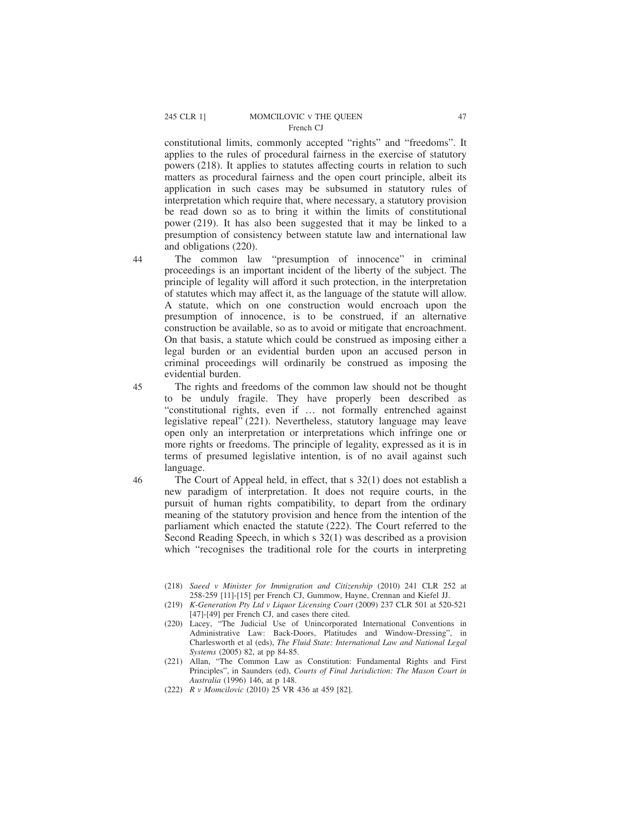## 245 CLR 1] MOMCILOVIC V THE QUEEN 47 French CJ

constitutional limits, commonly accepted "rights" and "freedoms". It applies to the rules of procedural fairness in the exercise of statutory powers (218). It applies to statutes affecting courts in relation to such matters as procedural fairness and the open court principle, albeit its application in such cases may be subsumed in statutory rules of interpretation which require that, where necessary, a statutory provision be read down so as to bring it within the limits of constitutional power (219). It has also been suggested that it may be linked to a presumption of consistency between statute law and international law and obligations (220).

44

45

46

The common law "presumption of innocence" in criminal proceedings is an important incident of the liberty of the subject. The principle of legality will afford it such protection, in the interpretation of statutes which may affect it, as the language of the statute will allow. A statute, which on one construction would encroach upon the presumption of innocence, is to be construed, if an alternative construction be available, so as to avoid or mitigate that encroachment. On that basis, a statute which could be construed as imposing either a legal burden or an evidential burden upon an accused person in criminal proceedings will ordinarily be construed as imposing the evidential burden.

The rights and freedoms of the common law should not be thought to be unduly fragile. They have properly been described as "constitutional rights, even if … not formally entrenched against legislative repeal" (221). Nevertheless, statutory language may leave open only an interpretation or interpretations which infringe one or more rights or freedoms. The principle of legality, expressed as it is in terms of presumed legislative intention, is of no avail against such language.

The Court of Appeal held, in effect, that s 32(1) does not establish a new paradigm of interpretation. It does not require courts, in the pursuit of human rights compatibility, to depart from the ordinary meaning of the statutory provision and hence from the intention of the parliament which enacted the statute (222). The Court referred to the Second Reading Speech, in which s 32(1) was described as a provision which "recognises the traditional role for the courts in interpreting

- (218) *Saeed v Minister for Immigration and Citizenship* (2010) 241 CLR 252 at 258-259 [11]-[15] per French CJ, Gummow, Hayne, Crennan and Kiefel JJ.
- (219) *K-Generation Pty Ltd v Liquor Licensing Court* (2009) 237 CLR 501 at 520-521 [47]-[49] per French CJ, and cases there cited.
- (220) Lacey, "The Judicial Use of Unincorporated International Conventions in Administrative Law: Back-Doors, Platitudes and Window-Dressing", in Charlesworth et al (eds), *The Fluid State: International Law and National Legal Systems* (2005) 82, at pp 84-85.
- (221) Allan, "The Common Law as Constitution: Fundamental Rights and First Principles", in Saunders (ed), *Courts of Final Jurisdiction: The Mason Court in Australia* (1996) 146, at p 148.
- (222) *R v Momcilovic* (2010) 25 VR 436 at 459 [82].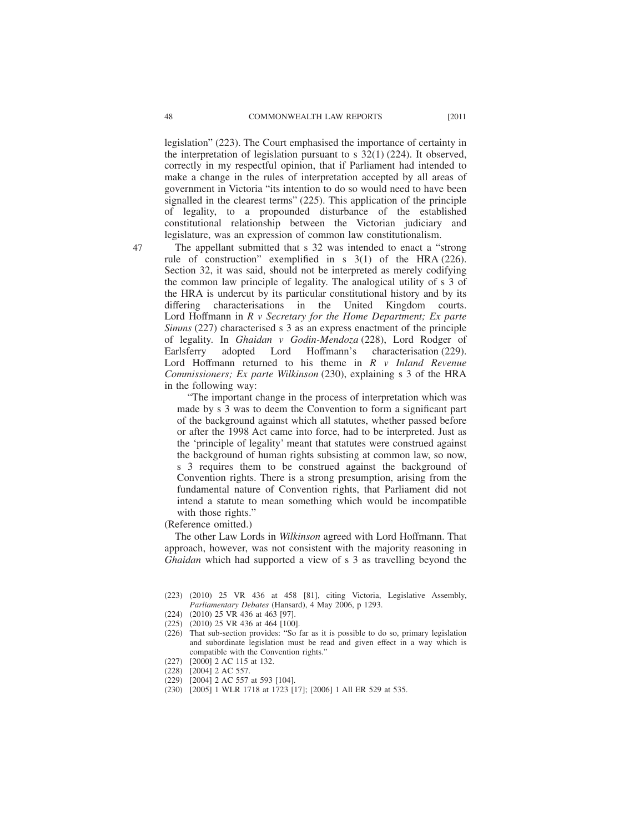legislation" (223). The Court emphasised the importance of certainty in the interpretation of legislation pursuant to s 32(1) (224). It observed, correctly in my respectful opinion, that if Parliament had intended to make a change in the rules of interpretation accepted by all areas of government in Victoria "its intention to do so would need to have been signalled in the clearest terms" (225). This application of the principle of legality, to a propounded disturbance of the established constitutional relationship between the Victorian judiciary and legislature, was an expression of common law constitutionalism.

47

The appellant submitted that s 32 was intended to enact a "strong rule of construction" exemplified in s 3(1) of the HRA (226). Section 32, it was said, should not be interpreted as merely codifying the common law principle of legality. The analogical utility of s 3 of the HRA is undercut by its particular constitutional history and by its differing characterisations in the United Kingdom courts. Lord Hoffmann in *R v Secretary for the Home Department; Ex parte Simms* (227) characterised s 3 as an express enactment of the principle of legality. In *Ghaidan v Godin-Mendoza* (228), Lord Rodger of Earlsferry adopted Lord Hoffmann's characterisation (229). Lord Hoffmann returned to his theme in *R v Inland Revenue Commissioners; Ex parte Wilkinson* (230), explaining s 3 of the HRA in the following way:

"The important change in the process of interpretation which was made by s 3 was to deem the Convention to form a significant part of the background against which all statutes, whether passed before or after the 1998 Act came into force, had to be interpreted. Just as the 'principle of legality' meant that statutes were construed against the background of human rights subsisting at common law, so now, s 3 requires them to be construed against the background of Convention rights. There is a strong presumption, arising from the fundamental nature of Convention rights, that Parliament did not intend a statute to mean something which would be incompatible with those rights."

# (Reference omitted.)

The other Law Lords in *Wilkinson* agreed with Lord Hoffmann. That approach, however, was not consistent with the majority reasoning in *Ghaidan* which had supported a view of s 3 as travelling beyond the

- (223) (2010) 25 VR 436 at 458 [81], citing Victoria, Legislative Assembly, *Parliamentary Debates* (Hansard), 4 May 2006, p 1293.
- (224) (2010) 25 VR 436 at 463 [97].
- (225) (2010) 25 VR 436 at 464 [100].
- (226) That sub-section provides: "So far as it is possible to do so, primary legislation and subordinate legislation must be read and given effect in a way which is compatible with the Convention rights."
- (227) [2000] 2 AC 115 at 132.
- (228) [2004] 2 AC 557.
- (229) [2004] 2 AC 557 at 593 [104].
- (230) [2005] 1 WLR 1718 at 1723 [17]; [2006] 1 All ER 529 at 535.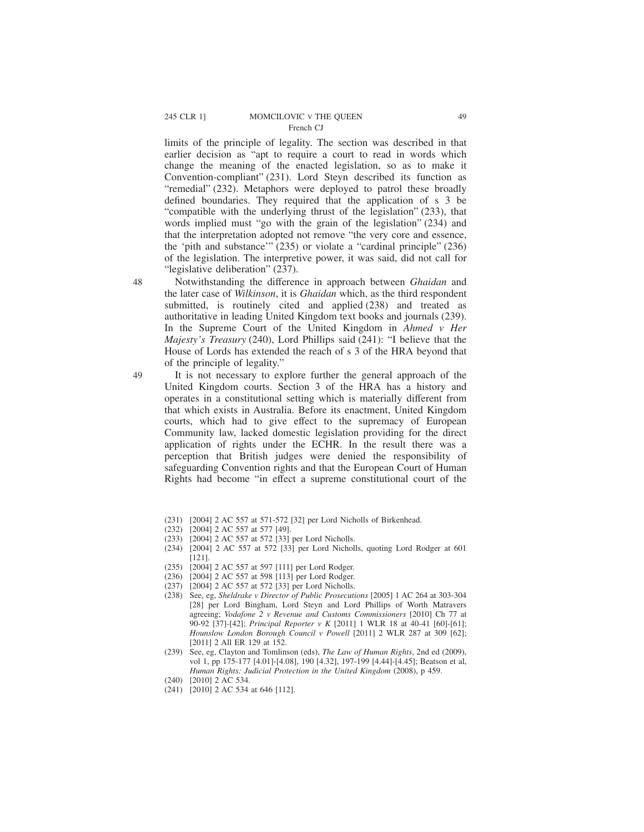## 245 CLR 1] MOMCILOVIC V THE QUEEN 49 French CJ

limits of the principle of legality. The section was described in that earlier decision as "apt to require a court to read in words which change the meaning of the enacted legislation, so as to make it Convention-compliant" (231). Lord Steyn described its function as "remedial" (232). Metaphors were deployed to patrol these broadly defined boundaries. They required that the application of s 3 be "compatible with the underlying thrust of the legislation" (233), that words implied must "go with the grain of the legislation" (234) and that the interpretation adopted not remove "the very core and essence, the 'pith and substance'" (235) or violate a "cardinal principle" (236) of the legislation. The interpretive power, it was said, did not call for "legislative deliberation" (237).

Notwithstanding the difference in approach between *Ghaidan* and the later case of *Wilkinson*, it is *Ghaidan* which, as the third respondent submitted, is routinely cited and applied (238) and treated as authoritative in leading United Kingdom text books and journals (239). In the Supreme Court of the United Kingdom in *Ahmed v Her Majesty's Treasury* (240), Lord Phillips said (241): "I believe that the House of Lords has extended the reach of s 3 of the HRA beyond that of the principle of legality."

It is not necessary to explore further the general approach of the United Kingdom courts. Section 3 of the HRA has a history and operates in a constitutional setting which is materially different from that which exists in Australia. Before its enactment, United Kingdom courts, which had to give effect to the supremacy of European Community law, lacked domestic legislation providing for the direct application of rights under the ECHR. In the result there was a perception that British judges were denied the responsibility of safeguarding Convention rights and that the European Court of Human Rights had become "in effect a supreme constitutional court of the

- (231) [2004] 2 AC 557 at 571-572 [32] per Lord Nicholls of Birkenhead.
- (232) [2004] 2 AC 557 at 577 [49].
- (233) [2004] 2 AC 557 at 572 [33] per Lord Nicholls.
- (234) [2004] 2 AC 557 at 572 [33] per Lord Nicholls, quoting Lord Rodger at 601 [121].
- (235) [2004] 2 AC 557 at 597 [111] per Lord Rodger.
- (236) [2004] 2 AC 557 at 598 [113] per Lord Rodger.
- (237) [2004] 2 AC 557 at 572 [33] per Lord Nicholls.
- (238) See, eg, *Sheldrake v Director of Public Prosecutions* [2005] 1 AC 264 at 303-304 [28] per Lord Bingham, Lord Steyn and Lord Phillips of Worth Matravers agreeing; *Vodafone 2 v Revenue and Customs Commissioners* [2010] Ch 77 at 90-92 [37]-[42]; *Principal Reporter v K* [2011] 1 WLR 18 at 40-41 [60]-[61]; *Hounslow London Borough Council v Powell* [2011] 2 WLR 287 at 309 [62]; [2011] 2 All ER 129 at 152.
- (239) See, eg, Clayton and Tomlinson (eds), *The Law of Human Rights*, 2nd ed (2009), vol 1, pp 175-177 [4.01]-[4.08], 190 [4.32], 197-199 [4.44]-[4.45]; Beatson et al, *Human Rights: Judicial Protection in the United Kingdom* (2008), p 459. (240) [2010] 2 AC 534.
- 
- (241) [2010] 2 AC 534 at 646 [112].

49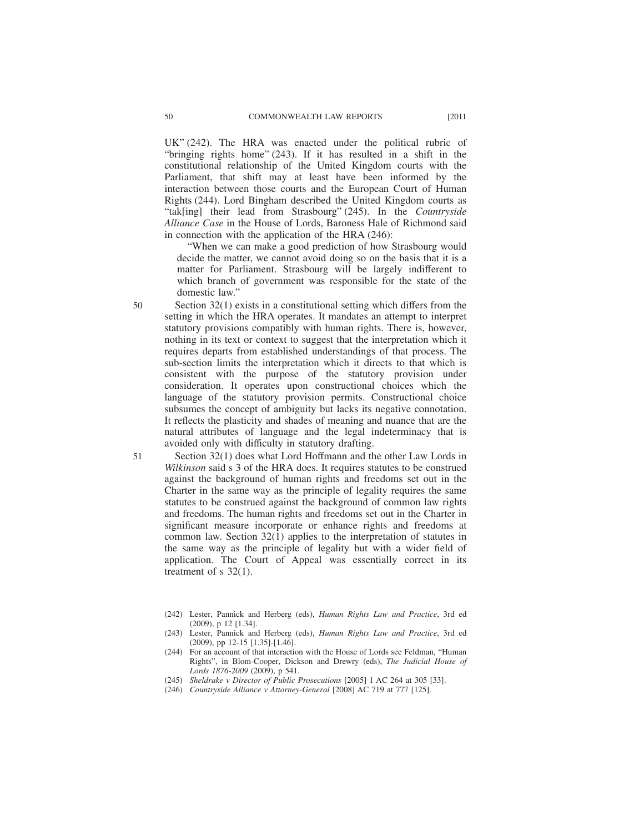UK" (242). The HRA was enacted under the political rubric of "bringing rights home" (243). If it has resulted in a shift in the constitutional relationship of the United Kingdom courts with the Parliament, that shift may at least have been informed by the interaction between those courts and the European Court of Human Rights (244). Lord Bingham described the United Kingdom courts as "tak[ing] their lead from Strasbourg" (245). In the *Countryside Alliance Case* in the House of Lords, Baroness Hale of Richmond said in connection with the application of the HRA (246):

"When we can make a good prediction of how Strasbourg would decide the matter, we cannot avoid doing so on the basis that it is a matter for Parliament. Strasbourg will be largely indifferent to which branch of government was responsible for the state of the domestic law."

Section 32(1) exists in a constitutional setting which differs from the setting in which the HRA operates. It mandates an attempt to interpret statutory provisions compatibly with human rights. There is, however, nothing in its text or context to suggest that the interpretation which it requires departs from established understandings of that process. The sub-section limits the interpretation which it directs to that which is consistent with the purpose of the statutory provision under consideration. It operates upon constructional choices which the language of the statutory provision permits. Constructional choice subsumes the concept of ambiguity but lacks its negative connotation. It reflects the plasticity and shades of meaning and nuance that are the natural attributes of language and the legal indeterminacy that is avoided only with difficulty in statutory drafting.

Section 32(1) does what Lord Hoffmann and the other Law Lords in *Wilkinson* said s 3 of the HRA does. It requires statutes to be construed against the background of human rights and freedoms set out in the Charter in the same way as the principle of legality requires the same statutes to be construed against the background of common law rights and freedoms. The human rights and freedoms set out in the Charter in significant measure incorporate or enhance rights and freedoms at common law. Section 32(1) applies to the interpretation of statutes in the same way as the principle of legality but with a wider field of application. The Court of Appeal was essentially correct in its treatment of s 32(1).

- (243) Lester, Pannick and Herberg (eds), *Human Rights Law and Practice*, 3rd ed (2009), pp 12-15 [1.35]-[1.46].
- (244) For an account of that interaction with the House of Lords see Feldman, "Human Rights", in Blom-Cooper, Dickson and Drewry (eds), *The Judicial House of Lords 1876-2009* (2009), p 541.
- (245) *Sheldrake v Director of Public Prosecutions* [2005] 1 AC 264 at 305 [33].
- (246) *Countryside Alliance v Attorney-General* [2008] AC 719 at 777 [125].

50

<sup>(242)</sup> Lester, Pannick and Herberg (eds), *Human Rights Law and Practice*, 3rd ed (2009), p 12 [1.34].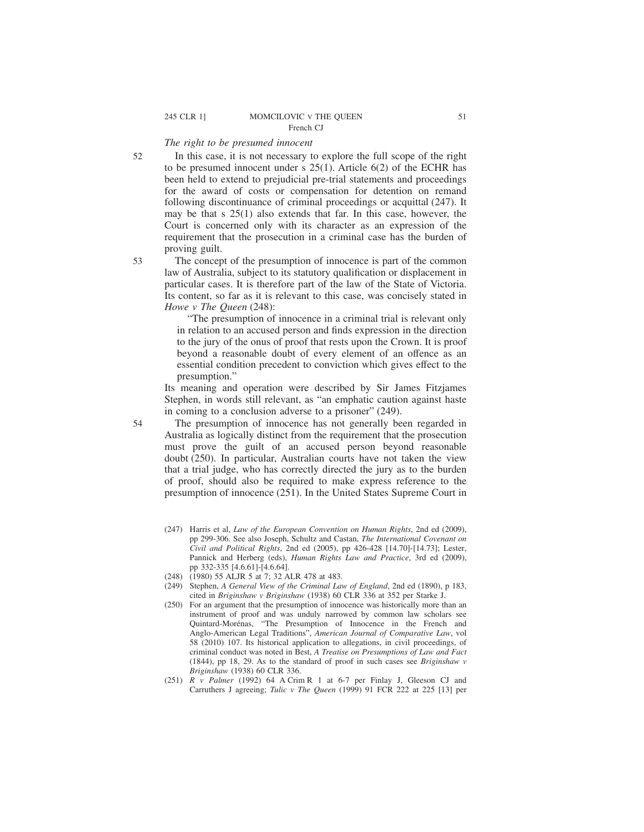# *The right to be presumed innocent*

In this case, it is not necessary to explore the full scope of the right to be presumed innocent under s 25(1). Article 6(2) of the ECHR has been held to extend to prejudicial pre-trial statements and proceedings for the award of costs or compensation for detention on remand following discontinuance of criminal proceedings or acquittal (247). It may be that s 25(1) also extends that far. In this case, however, the Court is concerned only with its character as an expression of the requirement that the prosecution in a criminal case has the burden of proving guilt.

The concept of the presumption of innocence is part of the common law of Australia, subject to its statutory qualification or displacement in particular cases. It is therefore part of the law of the State of Victoria. Its content, so far as it is relevant to this case, was concisely stated in *Howe v The Queen* (248):

"The presumption of innocence in a criminal trial is relevant only in relation to an accused person and finds expression in the direction to the jury of the onus of proof that rests upon the Crown. It is proof beyond a reasonable doubt of every element of an offence as an essential condition precedent to conviction which gives effect to the presumption."

Its meaning and operation were described by Sir James Fitzjames Stephen, in words still relevant, as "an emphatic caution against haste in coming to a conclusion adverse to a prisoner" (249).

The presumption of innocence has not generally been regarded in Australia as logically distinct from the requirement that the prosecution must prove the guilt of an accused person beyond reasonable doubt (250). In particular, Australian courts have not taken the view that a trial judge, who has correctly directed the jury as to the burden of proof, should also be required to make express reference to the presumption of innocence (251). In the United States Supreme Court in

- (247) Harris et al, *Law of the European Convention on Human Rights*, 2nd ed (2009), pp 299-306. See also Joseph, Schultz and Castan, *The International Covenant on Civil and Political Rights*, 2nd ed (2005), pp 426-428 [14.70]-[14.73]; Lester, Pannick and Herberg (eds), *Human Rights Law and Practice*, 3rd ed (2009), pp 332-335 [4.6.61]-[4.6.64].
- (248) (1980) 55 ALJR 5 at 7; 32 ALR 478 at 483.
- (249) Stephen, *A General View of the Criminal Law of England*, 2nd ed (1890), p 183, cited in *Briginshaw v Briginshaw* (1938) 60 CLR 336 at 352 per Starke J.
- (250) For an argument that the presumption of innocence was historically more than an instrument of proof and was unduly narrowed by common law scholars see Quintard-Morénas, "The Presumption of Innocence in the French and Anglo-American Legal Traditions", *American Journal of Comparative Law*, vol 58 (2010) 107. Its historical application to allegations, in civil proceedings, of criminal conduct was noted in Best, *A Treatise on Presumptions of Law and Fact* (1844), pp 18, 29. As to the standard of proof in such cases see *Briginshaw v Briginshaw* (1938) 60 CLR 336.
- (251) *R v Palmer* (1992) 64 A Crim R 1 at 6-7 per Finlay J, Gleeson CJ and Carruthers J agreeing; *Tulic v The Queen* (1999) 91 FCR 222 at 225 [13] per

54

52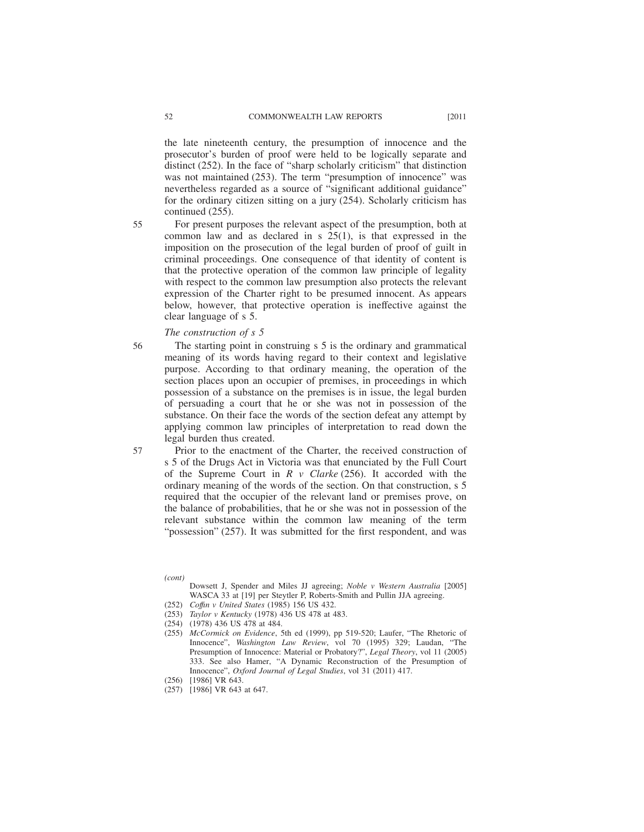the late nineteenth century, the presumption of innocence and the prosecutor's burden of proof were held to be logically separate and distinct (252). In the face of "sharp scholarly criticism" that distinction was not maintained (253). The term "presumption of innocence" was nevertheless regarded as a source of "significant additional guidance" for the ordinary citizen sitting on a jury (254). Scholarly criticism has continued (255).

55

56

57

For present purposes the relevant aspect of the presumption, both at common law and as declared in s 25(1), is that expressed in the imposition on the prosecution of the legal burden of proof of guilt in criminal proceedings. One consequence of that identity of content is that the protective operation of the common law principle of legality with respect to the common law presumption also protects the relevant expression of the Charter right to be presumed innocent. As appears below, however, that protective operation is ineffective against the clear language of s 5.

#### *The construction of s 5*

The starting point in construing s 5 is the ordinary and grammatical meaning of its words having regard to their context and legislative purpose. According to that ordinary meaning, the operation of the section places upon an occupier of premises, in proceedings in which possession of a substance on the premises is in issue, the legal burden of persuading a court that he or she was not in possession of the substance. On their face the words of the section defeat any attempt by applying common law principles of interpretation to read down the legal burden thus created.

Prior to the enactment of the Charter, the received construction of s 5 of the Drugs Act in Victoria was that enunciated by the Full Court of the Supreme Court in *R v Clarke* (256). It accorded with the ordinary meaning of the words of the section. On that construction, s 5 required that the occupier of the relevant land or premises prove, on the balance of probabilities, that he or she was not in possession of the relevant substance within the common law meaning of the term "possession" (257). It was submitted for the first respondent, and was

#### *(cont)*

- Dowsett J, Spender and Miles JJ agreeing; *Noble v Western Australia* [2005] WASCA 33 at [19] per Steytler P, Roberts-Smith and Pullin JJA agreeing.
- (252) *Coffın v United States* (1985) 156 US 432.
- (253) *Taylor v Kentucky* (1978) 436 US 478 at 483.
- (254) (1978) 436 US 478 at 484.
- (255) *McCormick on Evidence*, 5th ed (1999), pp 519-520; Laufer, "The Rhetoric of Innocence", *Washington Law Review*, vol 70 (1995) 329; Laudan, "The Presumption of Innocence: Material or Probatory?", *Legal Theory*, vol 11 (2005) 333. See also Hamer, "A Dynamic Reconstruction of the Presumption of Innocence", *Oxford Journal of Legal Studies*, vol 31 (2011) 417.

<sup>(256) [1986]</sup> VR 643.

<sup>(257) [1986]</sup> VR 643 at 647.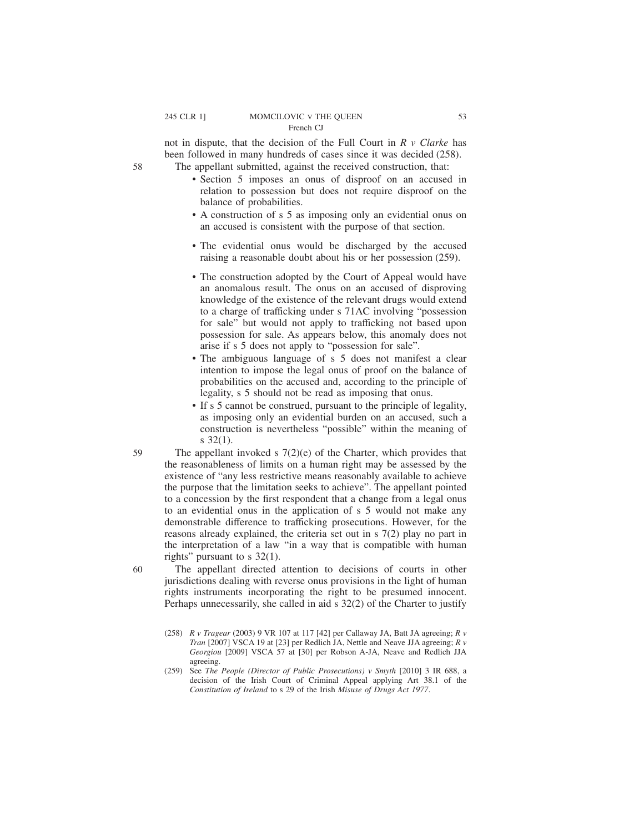## 245 CLR 1] MOMCILOVIC V THE QUEEN 53 French CJ

not in dispute, that the decision of the Full Court in *R v Clarke* has been followed in many hundreds of cases since it was decided (258).

The appellant submitted, against the received construction, that:

- Section 5 imposes an onus of disproof on an accused in relation to possession but does not require disproof on the balance of probabilities.
- A construction of s 5 as imposing only an evidential onus on an accused is consistent with the purpose of that section.
- The evidential onus would be discharged by the accused raising a reasonable doubt about his or her possession (259).
- The construction adopted by the Court of Appeal would have an anomalous result. The onus on an accused of disproving knowledge of the existence of the relevant drugs would extend to a charge of trafficking under s 71AC involving "possession for sale" but would not apply to trafficking not based upon possession for sale. As appears below, this anomaly does not arise if s 5 does not apply to "possession for sale".
- The ambiguous language of s 5 does not manifest a clear intention to impose the legal onus of proof on the balance of probabilities on the accused and, according to the principle of legality, s 5 should not be read as imposing that onus.
- If s 5 cannot be construed, pursuant to the principle of legality, as imposing only an evidential burden on an accused, such a construction is nevertheless "possible" within the meaning of s 32(1).
- The appellant invoked  $s \, 7(2)(e)$  of the Charter, which provides that the reasonableness of limits on a human right may be assessed by the existence of "any less restrictive means reasonably available to achieve the purpose that the limitation seeks to achieve". The appellant pointed to a concession by the first respondent that a change from a legal onus to an evidential onus in the application of s 5 would not make any demonstrable difference to trafficking prosecutions. However, for the reasons already explained, the criteria set out in s 7(2) play no part in the interpretation of a law "in a way that is compatible with human rights" pursuant to s  $32(1)$ .
- The appellant directed attention to decisions of courts in other jurisdictions dealing with reverse onus provisions in the light of human rights instruments incorporating the right to be presumed innocent. Perhaps unnecessarily, she called in aid s 32(2) of the Charter to justify

59

58

<sup>(258)</sup> *R v Tragear* (2003) 9 VR 107 at 117 [42] per Callaway JA, Batt JA agreeing; *R v Tran* [2007] VSCA 19 at [23] per Redlich JA, Nettle and Neave JJA agreeing; *R v Georgiou* [2009] VSCA 57 at [30] per Robson A-JA, Neave and Redlich JJA agreeing.

<sup>(259)</sup> See *The People (Director of Public Prosecutions) v Smyth* [2010] 3 IR 688, a decision of the Irish Court of Criminal Appeal applying Art 38.1 of the *Constitution of Ireland* to s 29 of the Irish *Misuse of Drugs Act 1977*.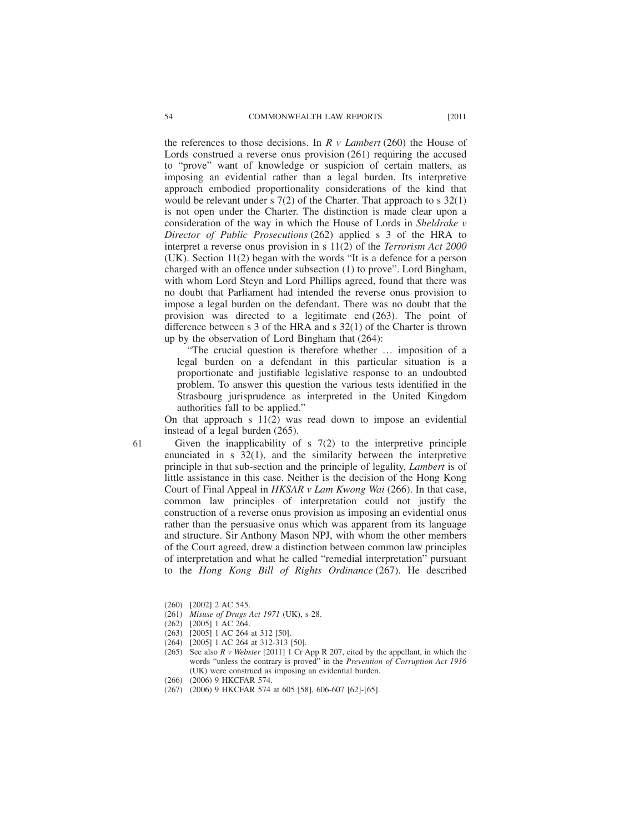the references to those decisions. In *R v Lambert* (260) the House of Lords construed a reverse onus provision (261) requiring the accused to "prove" want of knowledge or suspicion of certain matters, as imposing an evidential rather than a legal burden. Its interpretive approach embodied proportionality considerations of the kind that would be relevant under  $\frac{s(2)}{2}$  of the Charter. That approach to s 32(1) is not open under the Charter. The distinction is made clear upon a consideration of the way in which the House of Lords in *Sheldrake v Director of Public Prosecutions* (262) applied s 3 of the HRA to interpret a reverse onus provision in s 11(2) of the *Terrorism Act 2000* (UK). Section 11(2) began with the words "It is a defence for a person charged with an offence under subsection (1) to prove". Lord Bingham, with whom Lord Steyn and Lord Phillips agreed, found that there was no doubt that Parliament had intended the reverse onus provision to impose a legal burden on the defendant. There was no doubt that the provision was directed to a legitimate end (263). The point of difference between s 3 of the HRA and s 32(1) of the Charter is thrown up by the observation of Lord Bingham that (264):

"The crucial question is therefore whether … imposition of a legal burden on a defendant in this particular situation is a proportionate and justifiable legislative response to an undoubted problem. To answer this question the various tests identified in the Strasbourg jurisprudence as interpreted in the United Kingdom authorities fall to be applied."

On that approach s 11(2) was read down to impose an evidential instead of a legal burden (265).

Given the inapplicability of  $s$  7(2) to the interpretive principle enunciated in s 32(1), and the similarity between the interpretive principle in that sub-section and the principle of legality, *Lambert* is of little assistance in this case. Neither is the decision of the Hong Kong Court of Final Appeal in *HKSAR v Lam Kwong Wai* (266). In that case, common law principles of interpretation could not justify the construction of a reverse onus provision as imposing an evidential onus rather than the persuasive onus which was apparent from its language and structure. Sir Anthony Mason NPJ, with whom the other members of the Court agreed, drew a distinction between common law principles of interpretation and what he called "remedial interpretation" pursuant to the *Hong Kong Bill of Rights Ordinance* (267). He described

- (260) [2002] 2 AC 545.
- (261) *Misuse of Drugs Act 1971* (UK), s 28.
- (262) [2005] 1 AC 264.
- (263) [2005] 1 AC 264 at 312 [50].
- (264) [2005] 1 AC 264 at 312-313 [50].
- (265) See also *R v Webster* [2011] 1 Cr App R 207, cited by the appellant, in which the words "unless the contrary is proved" in the *Prevention of Corruption Act 1916* (UK) were construed as imposing an evidential burden.
- (266) (2006) 9 HKCFAR 574.
- (267) (2006) 9 HKCFAR 574 at 605 [58], 606-607 [62]-[65].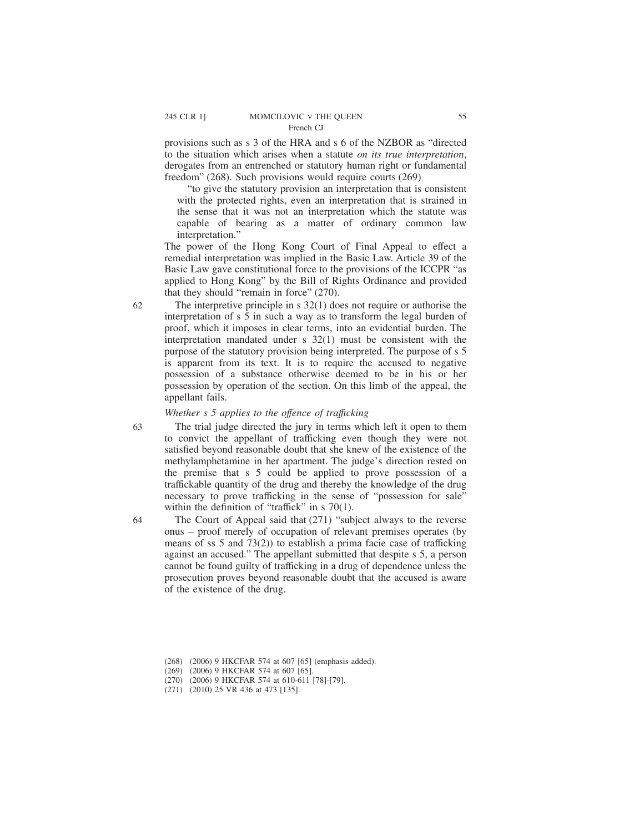provisions such as s 3 of the HRA and s 6 of the NZBOR as "directed to the situation which arises when a statute *on its true interpretation*, derogates from an entrenched or statutory human right or fundamental freedom" (268). Such provisions would require courts (269)

"to give the statutory provision an interpretation that is consistent with the protected rights, even an interpretation that is strained in the sense that it was not an interpretation which the statute was capable of bearing as a matter of ordinary common law interpretation."

The power of the Hong Kong Court of Final Appeal to effect a remedial interpretation was implied in the Basic Law. Article 39 of the Basic Law gave constitutional force to the provisions of the ICCPR "as applied to Hong Kong" by the Bill of Rights Ordinance and provided that they should "remain in force" (270).

The interpretive principle in s 32(1) does not require or authorise the interpretation of s 5 in such a way as to transform the legal burden of proof, which it imposes in clear terms, into an evidential burden. The interpretation mandated under s 32(1) must be consistent with the purpose of the statutory provision being interpreted. The purpose of s 5 is apparent from its text. It is to require the accused to negative possession of a substance otherwise deemed to be in his or her possession by operation of the section. On this limb of the appeal, the appellant fails.

## *Whether s 5 applies to the offence of traffıcking*

The trial judge directed the jury in terms which left it open to them to convict the appellant of trafficking even though they were not satisfied beyond reasonable doubt that she knew of the existence of the methylamphetamine in her apartment. The judge's direction rested on the premise that s 5 could be applied to prove possession of a traffickable quantity of the drug and thereby the knowledge of the drug necessary to prove trafficking in the sense of "possession for sale" within the definition of "traffick" in s 70(1).

The Court of Appeal said that (271) "subject always to the reverse onus – proof merely of occupation of relevant premises operates (by means of ss 5 and 73(2)) to establish a prima facie case of trafficking against an accused." The appellant submitted that despite s 5, a person cannot be found guilty of trafficking in a drug of dependence unless the prosecution proves beyond reasonable doubt that the accused is aware of the existence of the drug.

63

64

<sup>(268) (2006) 9</sup> HKCFAR 574 at 607 [65] (emphasis added).

<sup>(269) (2006) 9</sup> HKCFAR 574 at 607 [65].

<sup>(270) (2006) 9</sup> HKCFAR 574 at 610-611 [78]-[79].

<sup>(271) (2010) 25</sup> VR 436 at 473 [135].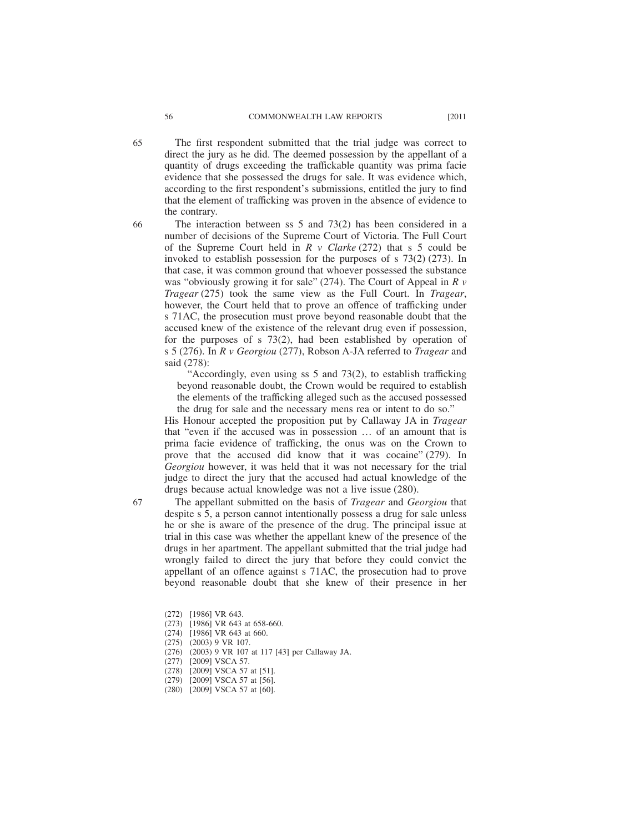The first respondent submitted that the trial judge was correct to direct the jury as he did. The deemed possession by the appellant of a quantity of drugs exceeding the traffickable quantity was prima facie evidence that she possessed the drugs for sale. It was evidence which, according to the first respondent's submissions, entitled the jury to find that the element of trafficking was proven in the absence of evidence to the contrary.

66

67

65

The interaction between ss 5 and 73(2) has been considered in a number of decisions of the Supreme Court of Victoria. The Full Court of the Supreme Court held in *R v Clarke* (272) that s 5 could be invoked to establish possession for the purposes of s 73(2) (273). In that case, it was common ground that whoever possessed the substance was "obviously growing it for sale" (274). The Court of Appeal in *R v Tragear* (275) took the same view as the Full Court. In *Tragear*, however, the Court held that to prove an offence of trafficking under s 71AC, the prosecution must prove beyond reasonable doubt that the accused knew of the existence of the relevant drug even if possession, for the purposes of s 73(2), had been established by operation of s 5 (276). In *R v Georgiou* (277), Robson A-JA referred to *Tragear* and said (278):

"Accordingly, even using ss 5 and 73(2), to establish trafficking beyond reasonable doubt, the Crown would be required to establish the elements of the trafficking alleged such as the accused possessed the drug for sale and the necessary mens rea or intent to do so."

His Honour accepted the proposition put by Callaway JA in *Tragear* that "even if the accused was in possession … of an amount that is prima facie evidence of trafficking, the onus was on the Crown to prove that the accused did know that it was cocaine" (279). In *Georgiou* however, it was held that it was not necessary for the trial judge to direct the jury that the accused had actual knowledge of the drugs because actual knowledge was not a live issue (280).

The appellant submitted on the basis of *Tragear* and *Georgiou* that despite s 5, a person cannot intentionally possess a drug for sale unless he or she is aware of the presence of the drug. The principal issue at trial in this case was whether the appellant knew of the presence of the drugs in her apartment. The appellant submitted that the trial judge had wrongly failed to direct the jury that before they could convict the appellant of an offence against s 71AC, the prosecution had to prove beyond reasonable doubt that she knew of their presence in her

- (273) [1986] VR 643 at 658-660.
- (274) [1986] VR 643 at 660.
- (275) (2003) 9 VR 107.
- (276) (2003) 9 VR 107 at 117 [43] per Callaway JA.
- (277) [2009] VSCA 57.
- (278) [2009] VSCA 57 at [51].
- (279) [2009] VSCA 57 at [56].
- (280) [2009] VSCA 57 at [60].

<sup>(272) [1986]</sup> VR 643.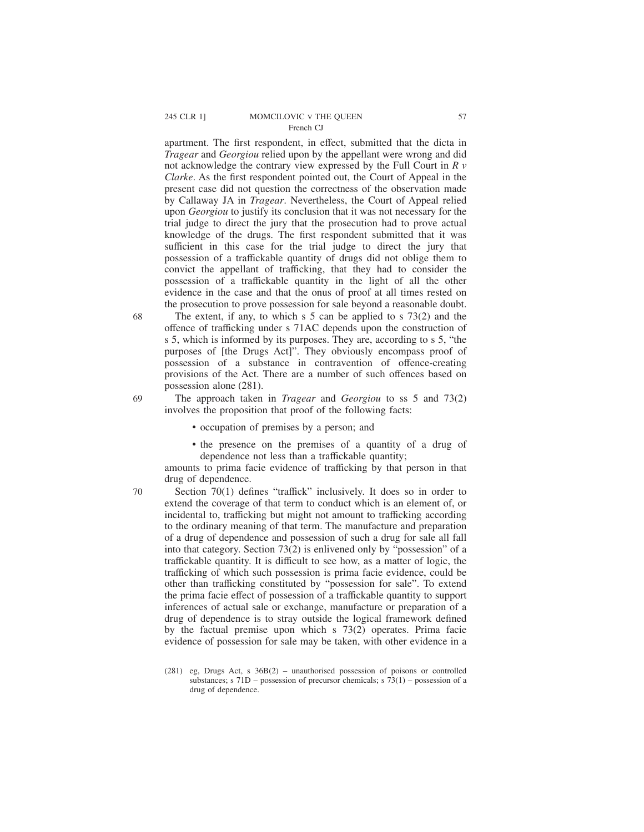## 245 CLR 1] MOMCILOVIC V THE QUEEN 57 French CJ

apartment. The first respondent, in effect, submitted that the dicta in *Tragear* and *Georgiou* relied upon by the appellant were wrong and did not acknowledge the contrary view expressed by the Full Court in *R v Clarke*. As the first respondent pointed out, the Court of Appeal in the present case did not question the correctness of the observation made by Callaway JA in *Tragear*. Nevertheless, the Court of Appeal relied upon *Georgiou* to justify its conclusion that it was not necessary for the trial judge to direct the jury that the prosecution had to prove actual knowledge of the drugs. The first respondent submitted that it was sufficient in this case for the trial judge to direct the jury that possession of a traffickable quantity of drugs did not oblige them to convict the appellant of trafficking, that they had to consider the possession of a traffickable quantity in the light of all the other evidence in the case and that the onus of proof at all times rested on the prosecution to prove possession for sale beyond a reasonable doubt.

The extent, if any, to which s 5 can be applied to s 73(2) and the offence of trafficking under s 71AC depends upon the construction of s 5, which is informed by its purposes. They are, according to s 5, "the purposes of [the Drugs Act]". They obviously encompass proof of possession of a substance in contravention of offence-creating provisions of the Act. There are a number of such offences based on possession alone (281).

The approach taken in *Tragear* and *Georgiou* to ss 5 and 73(2) involves the proposition that proof of the following facts:

- occupation of premises by a person; and
- the presence on the premises of a quantity of a drug of dependence not less than a traffickable quantity;

amounts to prima facie evidence of trafficking by that person in that drug of dependence.

Section 70(1) defines "traffick" inclusively. It does so in order to extend the coverage of that term to conduct which is an element of, or incidental to, trafficking but might not amount to trafficking according to the ordinary meaning of that term. The manufacture and preparation of a drug of dependence and possession of such a drug for sale all fall into that category. Section 73(2) is enlivened only by "possession" of a traffickable quantity. It is difficult to see how, as a matter of logic, the trafficking of which such possession is prima facie evidence, could be other than trafficking constituted by "possession for sale". To extend the prima facie effect of possession of a traffickable quantity to support inferences of actual sale or exchange, manufacture or preparation of a drug of dependence is to stray outside the logical framework defined by the factual premise upon which s 73(2) operates. Prima facie evidence of possession for sale may be taken, with other evidence in a

68

69

<sup>(281)</sup> eg, Drugs Act, s 36B(2) – unauthorised possession of poisons or controlled substances; s  $71D$  – possession of precursor chemicals; s  $73(1)$  – possession of a drug of dependence.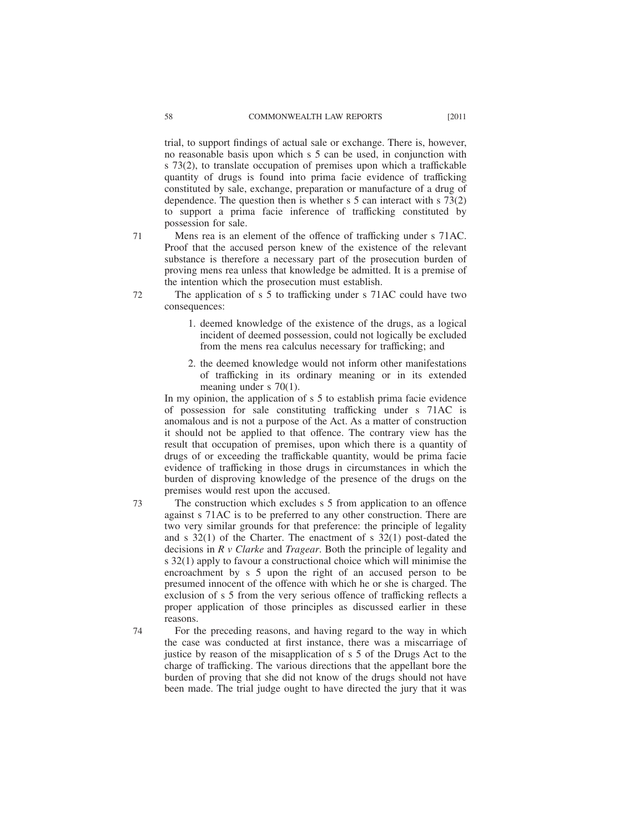trial, to support findings of actual sale or exchange. There is, however, no reasonable basis upon which s 5 can be used, in conjunction with s 73(2), to translate occupation of premises upon which a traffickable quantity of drugs is found into prima facie evidence of trafficking constituted by sale, exchange, preparation or manufacture of a drug of dependence. The question then is whether s 5 can interact with s 73(2) to support a prima facie inference of trafficking constituted by possession for sale.

Mens rea is an element of the offence of trafficking under s 71AC. Proof that the accused person knew of the existence of the relevant substance is therefore a necessary part of the prosecution burden of proving mens rea unless that knowledge be admitted. It is a premise of the intention which the prosecution must establish.

- The application of s 5 to trafficking under s 71AC could have two consequences:
	- 1. deemed knowledge of the existence of the drugs, as a logical incident of deemed possession, could not logically be excluded from the mens rea calculus necessary for trafficking; and
	- 2. the deemed knowledge would not inform other manifestations of trafficking in its ordinary meaning or in its extended meaning under s 70(1).

In my opinion, the application of s 5 to establish prima facie evidence of possession for sale constituting trafficking under s 71AC is anomalous and is not a purpose of the Act. As a matter of construction it should not be applied to that offence. The contrary view has the result that occupation of premises, upon which there is a quantity of drugs of or exceeding the traffickable quantity, would be prima facie evidence of trafficking in those drugs in circumstances in which the burden of disproving knowledge of the presence of the drugs on the premises would rest upon the accused.

The construction which excludes s 5 from application to an offence against s 71AC is to be preferred to any other construction. There are two very similar grounds for that preference: the principle of legality and s 32(1) of the Charter. The enactment of s 32(1) post-dated the decisions in *R v Clarke* and *Tragear*. Both the principle of legality and s 32(1) apply to favour a constructional choice which will minimise the encroachment by s 5 upon the right of an accused person to be presumed innocent of the offence with which he or she is charged. The exclusion of s 5 from the very serious offence of trafficking reflects a proper application of those principles as discussed earlier in these reasons.

For the preceding reasons, and having regard to the way in which the case was conducted at first instance, there was a miscarriage of justice by reason of the misapplication of s 5 of the Drugs Act to the charge of trafficking. The various directions that the appellant bore the burden of proving that she did not know of the drugs should not have been made. The trial judge ought to have directed the jury that it was

72

73

74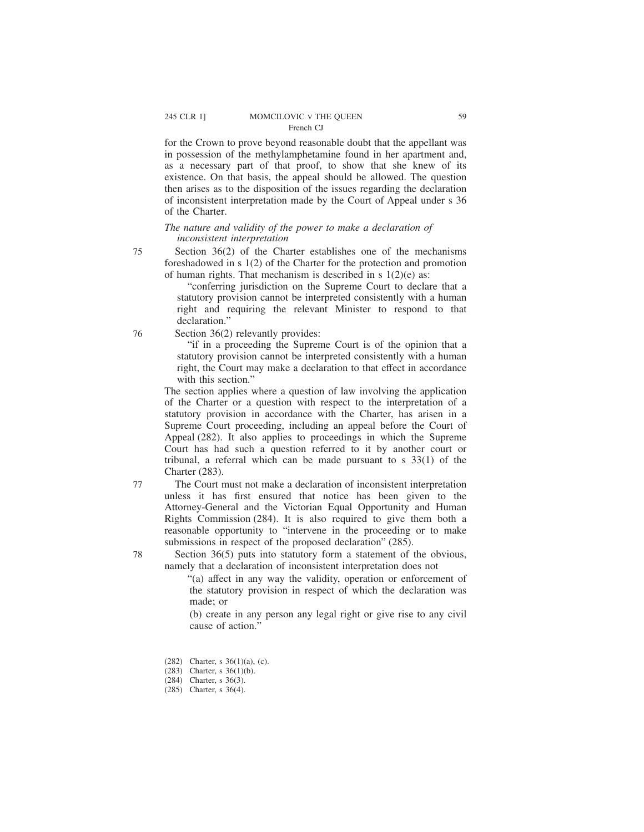## 245 CLR 1] MOMCILOVIC V THE QUEEN 59 French CJ

for the Crown to prove beyond reasonable doubt that the appellant was in possession of the methylamphetamine found in her apartment and, as a necessary part of that proof, to show that she knew of its existence. On that basis, the appeal should be allowed. The question then arises as to the disposition of the issues regarding the declaration of inconsistent interpretation made by the Court of Appeal under s 36 of the Charter.

# *The nature and validity of the power to make a declaration of inconsistent interpretation*

Section 36(2) of the Charter establishes one of the mechanisms foreshadowed in s 1(2) of the Charter for the protection and promotion of human rights. That mechanism is described in s  $1(2)(e)$  as:

"conferring jurisdiction on the Supreme Court to declare that a statutory provision cannot be interpreted consistently with a human right and requiring the relevant Minister to respond to that declaration."

Section 36(2) relevantly provides:

"if in a proceeding the Supreme Court is of the opinion that a statutory provision cannot be interpreted consistently with a human right, the Court may make a declaration to that effect in accordance with this section."

The section applies where a question of law involving the application of the Charter or a question with respect to the interpretation of a statutory provision in accordance with the Charter, has arisen in a Supreme Court proceeding, including an appeal before the Court of Appeal (282). It also applies to proceedings in which the Supreme Court has had such a question referred to it by another court or tribunal, a referral which can be made pursuant to s 33(1) of the Charter (283).

The Court must not make a declaration of inconsistent interpretation unless it has first ensured that notice has been given to the Attorney-General and the Victorian Equal Opportunity and Human Rights Commission (284). It is also required to give them both a reasonable opportunity to "intervene in the proceeding or to make submissions in respect of the proposed declaration" (285).

Section 36(5) puts into statutory form a statement of the obvious, namely that a declaration of inconsistent interpretation does not

"(a) affect in any way the validity, operation or enforcement of the statutory provision in respect of which the declaration was made; or

(b) create in any person any legal right or give rise to any civil cause of action."

- (282) Charter, s 36(1)(a), (c).
- (283) Charter, s 36(1)(b).
- (284) Charter, s 36(3).
- (285) Charter, s 36(4).

75

76

77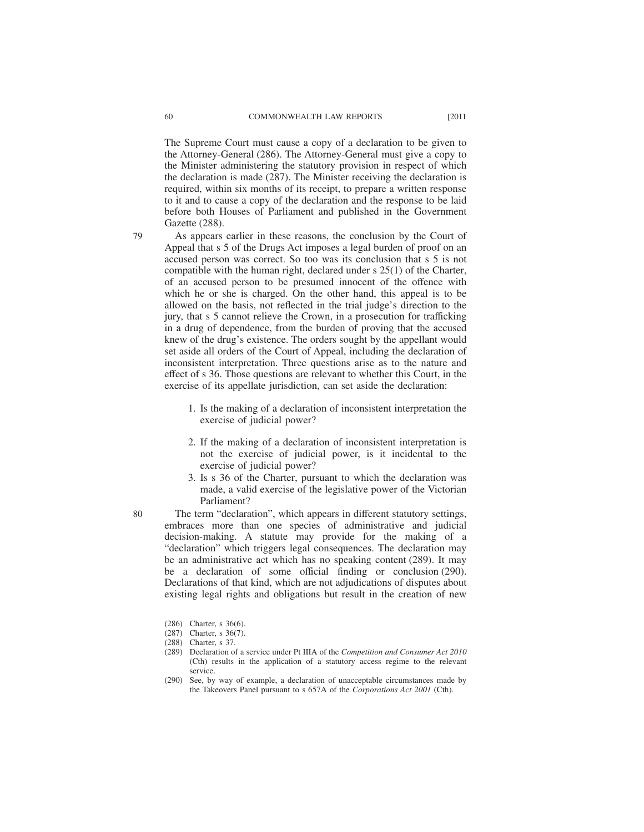The Supreme Court must cause a copy of a declaration to be given to the Attorney-General (286). The Attorney-General must give a copy to the Minister administering the statutory provision in respect of which the declaration is made (287). The Minister receiving the declaration is required, within six months of its receipt, to prepare a written response to it and to cause a copy of the declaration and the response to be laid before both Houses of Parliament and published in the Government Gazette (288).

79

80

As appears earlier in these reasons, the conclusion by the Court of Appeal that s 5 of the Drugs Act imposes a legal burden of proof on an accused person was correct. So too was its conclusion that s 5 is not compatible with the human right, declared under s 25(1) of the Charter, of an accused person to be presumed innocent of the offence with which he or she is charged. On the other hand, this appeal is to be allowed on the basis, not reflected in the trial judge's direction to the jury, that s 5 cannot relieve the Crown, in a prosecution for trafficking in a drug of dependence, from the burden of proving that the accused knew of the drug's existence. The orders sought by the appellant would set aside all orders of the Court of Appeal, including the declaration of inconsistent interpretation. Three questions arise as to the nature and effect of s 36. Those questions are relevant to whether this Court, in the exercise of its appellate jurisdiction, can set aside the declaration:

- 1. Is the making of a declaration of inconsistent interpretation the exercise of judicial power?
- 2. If the making of a declaration of inconsistent interpretation is not the exercise of judicial power, is it incidental to the exercise of judicial power?
- 3. Is s 36 of the Charter, pursuant to which the declaration was made, a valid exercise of the legislative power of the Victorian Parliament?

The term "declaration", which appears in different statutory settings, embraces more than one species of administrative and judicial decision-making. A statute may provide for the making of a "declaration" which triggers legal consequences. The declaration may be an administrative act which has no speaking content (289). It may be a declaration of some official finding or conclusion (290). Declarations of that kind, which are not adjudications of disputes about existing legal rights and obligations but result in the creation of new

- (289) Declaration of a service under Pt IIIA of the *Competition and Consumer Act 2010* (Cth) results in the application of a statutory access regime to the relevant service.
- (290) See, by way of example, a declaration of unacceptable circumstances made by the Takeovers Panel pursuant to s 657A of the *Corporations Act 2001* (Cth).

<sup>(286)</sup> Charter, s 36(6).

<sup>(287)</sup> Charter, s 36(7).

<sup>(288)</sup> Charter, s 37.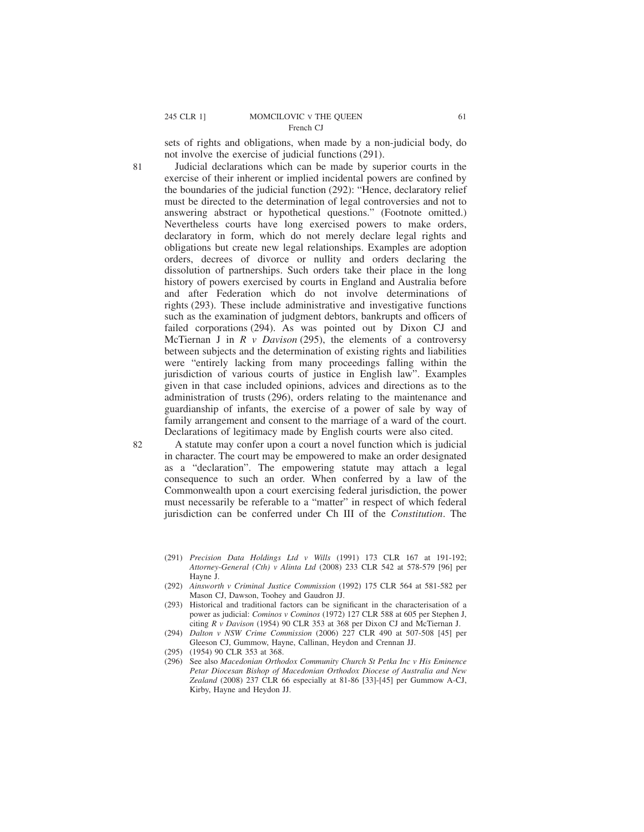## 245 CLR 1] MOMCILOVIC V THE QUEEN 61 French CJ

sets of rights and obligations, when made by a non-judicial body, do not involve the exercise of judicial functions (291).

Judicial declarations which can be made by superior courts in the exercise of their inherent or implied incidental powers are confined by the boundaries of the judicial function (292): "Hence, declaratory relief must be directed to the determination of legal controversies and not to answering abstract or hypothetical questions." (Footnote omitted.) Nevertheless courts have long exercised powers to make orders, declaratory in form, which do not merely declare legal rights and obligations but create new legal relationships. Examples are adoption orders, decrees of divorce or nullity and orders declaring the dissolution of partnerships. Such orders take their place in the long history of powers exercised by courts in England and Australia before and after Federation which do not involve determinations of rights (293). These include administrative and investigative functions such as the examination of judgment debtors, bankrupts and officers of failed corporations (294). As was pointed out by Dixon CJ and McTiernan J in *R v Davison* (295), the elements of a controversy between subjects and the determination of existing rights and liabilities were "entirely lacking from many proceedings falling within the jurisdiction of various courts of justice in English law". Examples given in that case included opinions, advices and directions as to the administration of trusts (296), orders relating to the maintenance and guardianship of infants, the exercise of a power of sale by way of family arrangement and consent to the marriage of a ward of the court. Declarations of legitimacy made by English courts were also cited.

A statute may confer upon a court a novel function which is judicial in character. The court may be empowered to make an order designated as a "declaration". The empowering statute may attach a legal consequence to such an order. When conferred by a law of the Commonwealth upon a court exercising federal jurisdiction, the power must necessarily be referable to a "matter" in respect of which federal jurisdiction can be conferred under Ch III of the *Constitution*. The

- (291) *Precision Data Holdings Ltd v Wills* (1991) 173 CLR 167 at 191-192; *Attorney-General (Cth) v Alinta Ltd* (2008) 233 CLR 542 at 578-579 [96] per Hayne J.
- (292) *Ainsworth v Criminal Justice Commission* (1992) 175 CLR 564 at 581-582 per Mason CJ, Dawson, Toohey and Gaudron JJ.
- (293) Historical and traditional factors can be significant in the characterisation of a power as judicial: *Cominos v Cominos* (1972) 127 CLR 588 at 605 per Stephen J, citing *R v Davison* (1954) 90 CLR 353 at 368 per Dixon CJ and McTiernan J.
- (294) *Dalton v NSW Crime Commission* (2006) 227 CLR 490 at 507-508 [45] per Gleeson CJ, Gummow, Hayne, Callinan, Heydon and Crennan JJ.
- (295) (1954) 90 CLR 353 at 368.
- (296) See also *Macedonian Orthodox Community Church St Petka Inc v His Eminence Petar Diocesan Bishop of Macedonian Orthodox Diocese of Australia and New Zealand* (2008) 237 CLR 66 especially at 81-86 [33]-[45] per Gummow A-CJ, Kirby, Hayne and Heydon JJ.

82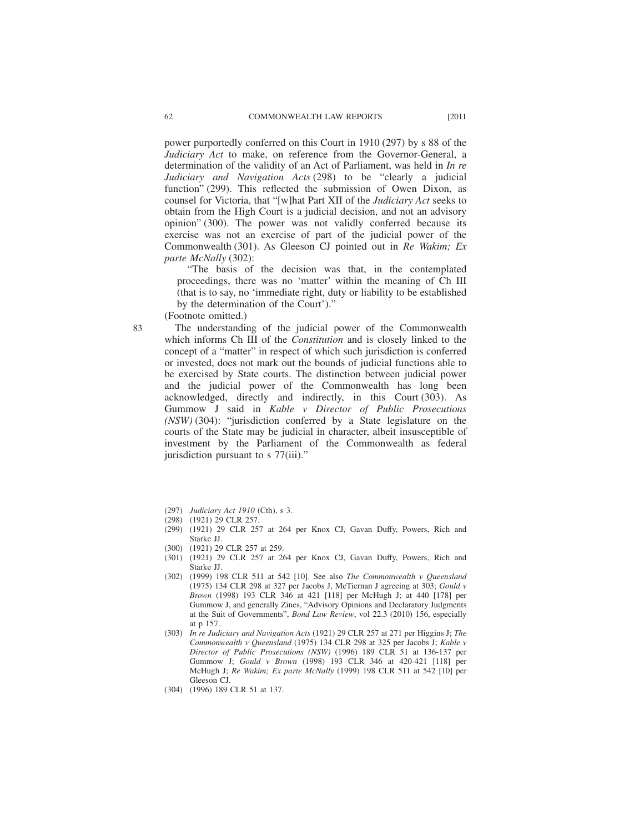power purportedly conferred on this Court in 1910 (297) by s 88 of the *Judiciary Act* to make, on reference from the Governor-General, a determination of the validity of an Act of Parliament, was held in *In re Judiciary and Navigation Acts* (298) to be "clearly a judicial function" (299). This reflected the submission of Owen Dixon, as counsel for Victoria, that "[w]hat Part XII of the *Judiciary Act* seeks to obtain from the High Court is a judicial decision, and not an advisory opinion" (300). The power was not validly conferred because its

exercise was not an exercise of part of the judicial power of the

Commonwealth (301). As Gleeson CJ pointed out in *Re Wakim; Ex parte McNally* (302):

"The basis of the decision was that, in the contemplated proceedings, there was no 'matter' within the meaning of Ch III (that is to say, no 'immediate right, duty or liability to be established by the determination of the Court')."

(Footnote omitted.)

83

The understanding of the judicial power of the Commonwealth which informs Ch III of the *Constitution* and is closely linked to the concept of a "matter" in respect of which such jurisdiction is conferred or invested, does not mark out the bounds of judicial functions able to be exercised by State courts. The distinction between judicial power and the judicial power of the Commonwealth has long been acknowledged, directly and indirectly, in this Court (303). As Gummow J said in *Kable v Director of Public Prosecutions (NSW)* (304): "jurisdiction conferred by a State legislature on the courts of the State may be judicial in character, albeit insusceptible of investment by the Parliament of the Commonwealth as federal jurisdiction pursuant to s 77(iii)."

- (297) *Judiciary Act 1910* (Cth), s 3.
- (298) (1921) 29 CLR 257.
- (299) (1921) 29 CLR 257 at 264 per Knox CJ, Gavan Duffy, Powers, Rich and Starke JJ.
- (300) (1921) 29 CLR 257 at 259.
- (301) (1921) 29 CLR 257 at 264 per Knox CJ, Gavan Duffy, Powers, Rich and Starke JJ.
- (302) (1999) 198 CLR 511 at 542 [10]. See also *The Commonwealth v Queensland* (1975) 134 CLR 298 at 327 per Jacobs J, McTiernan J agreeing at 303; *Gould v Brown* (1998) 193 CLR 346 at 421 [118] per McHugh J; at 440 [178] per Gummow J, and generally Zines, "Advisory Opinions and Declaratory Judgments at the Suit of Governments", *Bond Law Review*, vol 22.3 (2010) 156, especially at p 157.
- (303) *In re Judiciary and Navigation Acts* (1921) 29 CLR 257 at 271 per Higgins J; *The Commonwealth v Queensland* (1975) 134 CLR 298 at 325 per Jacobs J; *Kable v Director of Public Prosecutions (NSW)* (1996) 189 CLR 51 at 136-137 per Gummow J; *Gould v Brown* (1998) 193 CLR 346 at 420-421 [118] per McHugh J; *Re Wakim; Ex parte McNally* (1999) 198 CLR 511 at 542 [10] per Gleeson CJ.
- (304) (1996) 189 CLR 51 at 137.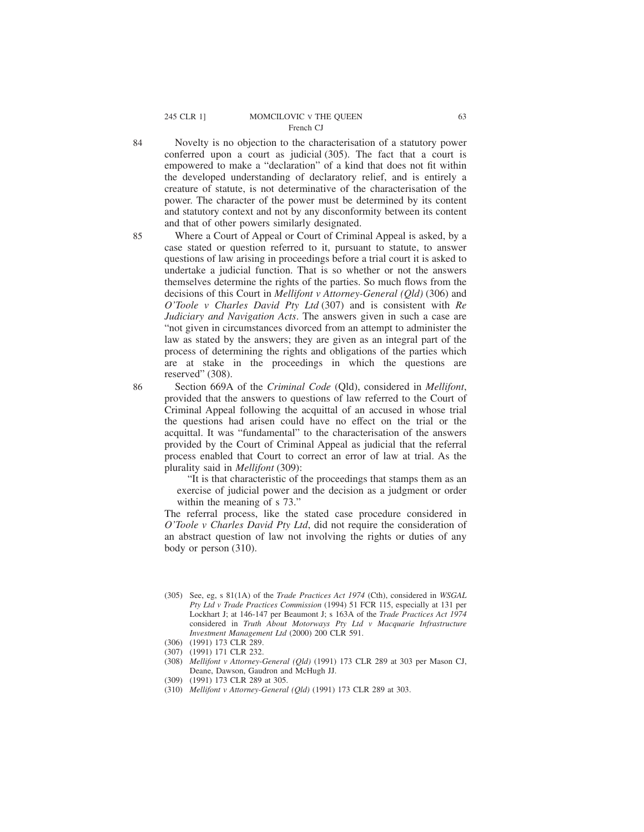Novelty is no objection to the characterisation of a statutory power conferred upon a court as judicial (305). The fact that a court is empowered to make a "declaration" of a kind that does not fit within the developed understanding of declaratory relief, and is entirely a creature of statute, is not determinative of the characterisation of the power. The character of the power must be determined by its content and statutory context and not by any disconformity between its content and that of other powers similarly designated.

85

86

84

Where a Court of Appeal or Court of Criminal Appeal is asked, by a case stated or question referred to it, pursuant to statute, to answer questions of law arising in proceedings before a trial court it is asked to undertake a judicial function. That is so whether or not the answers themselves determine the rights of the parties. So much flows from the decisions of this Court in *Mellifont v Attorney-General (Qld)* (306) and *O'Toole v Charles David Pty Ltd* (307) and is consistent with *Re Judiciary and Navigation Acts*. The answers given in such a case are "not given in circumstances divorced from an attempt to administer the law as stated by the answers; they are given as an integral part of the process of determining the rights and obligations of the parties which are at stake in the proceedings in which the questions are reserved" (308).

Section 669A of the *Criminal Code* (Qld), considered in *Mellifont*, provided that the answers to questions of law referred to the Court of Criminal Appeal following the acquittal of an accused in whose trial the questions had arisen could have no effect on the trial or the acquittal. It was "fundamental" to the characterisation of the answers provided by the Court of Criminal Appeal as judicial that the referral process enabled that Court to correct an error of law at trial. As the plurality said in *Mellifont* (309):

"It is that characteristic of the proceedings that stamps them as an exercise of judicial power and the decision as a judgment or order within the meaning of s 73."

The referral process, like the stated case procedure considered in *O'Toole v Charles David Pty Ltd*, did not require the consideration of an abstract question of law not involving the rights or duties of any body or person (310).

- (305) See, eg, s 81(1A) of the *Trade Practices Act 1974* (Cth), considered in *WSGAL Pty Ltd v Trade Practices Commission* (1994) 51 FCR 115, especially at 131 per Lockhart J; at 146-147 per Beaumont J; s 163A of the *Trade Practices Act 1974* considered in *Truth About Motorways Pty Ltd v Macquarie Infrastructure Investment Management Ltd* (2000) 200 CLR 591.
- (306) (1991) 173 CLR 289.
- (307) (1991) 171 CLR 232.
- (308) *Mellifont v Attorney-General (Qld)* (1991) 173 CLR 289 at 303 per Mason CJ, Deane, Dawson, Gaudron and McHugh JJ.
- (309) (1991) 173 CLR 289 at 305.
- (310) *Mellifont v Attorney-General (Qld)* (1991) 173 CLR 289 at 303.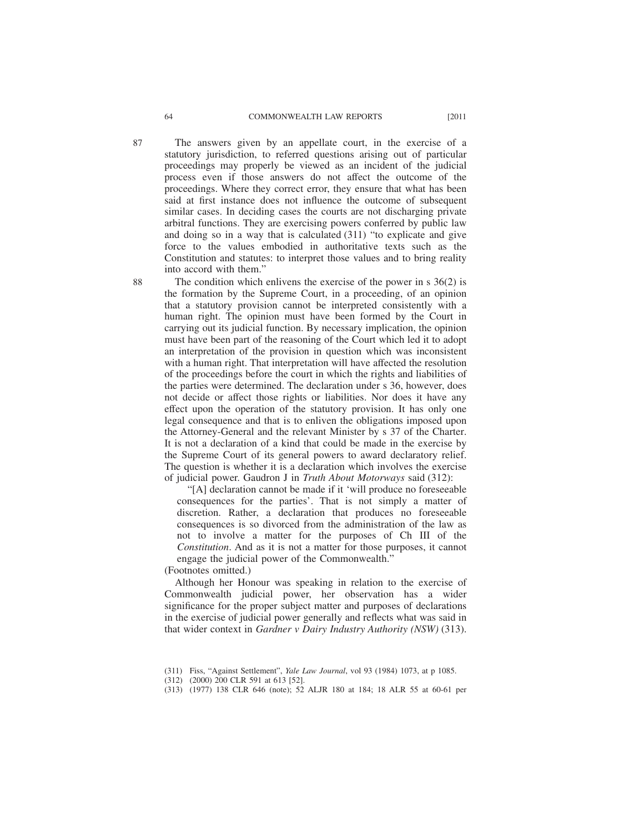The answers given by an appellate court, in the exercise of a statutory jurisdiction, to referred questions arising out of particular proceedings may properly be viewed as an incident of the judicial process even if those answers do not affect the outcome of the proceedings. Where they correct error, they ensure that what has been said at first instance does not influence the outcome of subsequent similar cases. In deciding cases the courts are not discharging private arbitral functions. They are exercising powers conferred by public law and doing so in a way that is calculated (311) "to explicate and give force to the values embodied in authoritative texts such as the Constitution and statutes: to interpret those values and to bring reality into accord with them."

The condition which enlivens the exercise of the power in s 36(2) is the formation by the Supreme Court, in a proceeding, of an opinion that a statutory provision cannot be interpreted consistently with a human right. The opinion must have been formed by the Court in carrying out its judicial function. By necessary implication, the opinion must have been part of the reasoning of the Court which led it to adopt an interpretation of the provision in question which was inconsistent with a human right. That interpretation will have affected the resolution of the proceedings before the court in which the rights and liabilities of the parties were determined. The declaration under s 36, however, does not decide or affect those rights or liabilities. Nor does it have any effect upon the operation of the statutory provision. It has only one legal consequence and that is to enliven the obligations imposed upon the Attorney-General and the relevant Minister by s 37 of the Charter. It is not a declaration of a kind that could be made in the exercise by the Supreme Court of its general powers to award declaratory relief. The question is whether it is a declaration which involves the exercise of judicial power. Gaudron J in *Truth About Motorways* said (312):

"[A] declaration cannot be made if it 'will produce no foreseeable consequences for the parties'. That is not simply a matter of discretion. Rather, a declaration that produces no foreseeable consequences is so divorced from the administration of the law as not to involve a matter for the purposes of Ch III of the *Constitution*. And as it is not a matter for those purposes, it cannot engage the judicial power of the Commonwealth."

## (Footnotes omitted.)

Although her Honour was speaking in relation to the exercise of Commonwealth judicial power, her observation has a wider significance for the proper subject matter and purposes of declarations in the exercise of judicial power generally and reflects what was said in that wider context in *Gardner v Dairy Industry Authority (NSW)* (313).

87

<sup>(311)</sup> Fiss, "Against Settlement", *Yale Law Journal*, vol 93 (1984) 1073, at p 1085.

<sup>(312) (2000) 200</sup> CLR 591 at 613 [52].

<sup>(313) (1977) 138</sup> CLR 646 (note); 52 ALJR 180 at 184; 18 ALR 55 at 60-61 per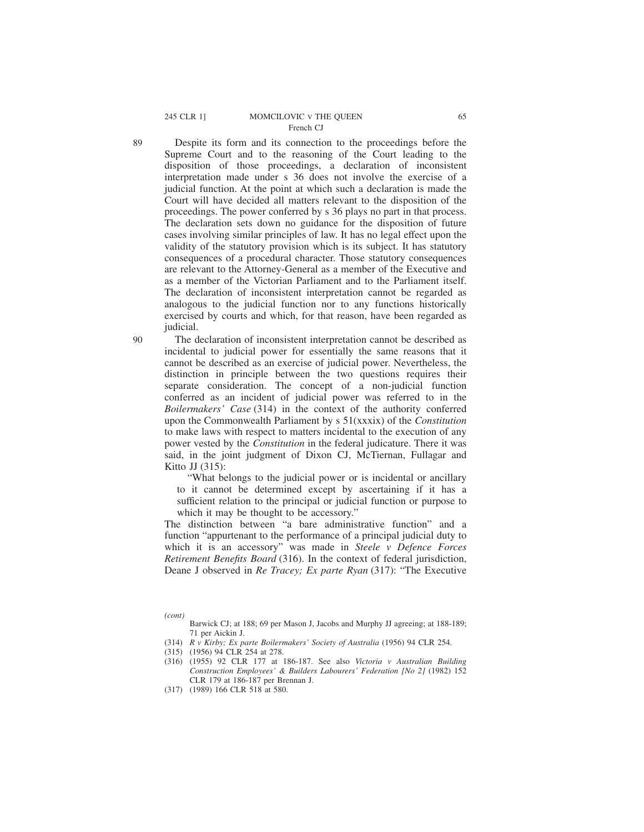## 245 CLR 1] MOMCILOVIC V THE QUEEN 65 French CJ

Despite its form and its connection to the proceedings before the Supreme Court and to the reasoning of the Court leading to the disposition of those proceedings, a declaration of inconsistent interpretation made under s 36 does not involve the exercise of a judicial function. At the point at which such a declaration is made the Court will have decided all matters relevant to the disposition of the proceedings. The power conferred by s 36 plays no part in that process. The declaration sets down no guidance for the disposition of future cases involving similar principles of law. It has no legal effect upon the validity of the statutory provision which is its subject. It has statutory consequences of a procedural character. Those statutory consequences are relevant to the Attorney-General as a member of the Executive and as a member of the Victorian Parliament and to the Parliament itself. The declaration of inconsistent interpretation cannot be regarded as analogous to the judicial function nor to any functions historically exercised by courts and which, for that reason, have been regarded as judicial.

The declaration of inconsistent interpretation cannot be described as incidental to judicial power for essentially the same reasons that it cannot be described as an exercise of judicial power. Nevertheless, the distinction in principle between the two questions requires their separate consideration. The concept of a non-judicial function conferred as an incident of judicial power was referred to in the *Boilermakers' Case* (314) in the context of the authority conferred upon the Commonwealth Parliament by s 51(xxxix) of the *Constitution* to make laws with respect to matters incidental to the execution of any power vested by the *Constitution* in the federal judicature. There it was said, in the joint judgment of Dixon CJ, McTiernan, Fullagar and Kitto JJ (315):

"What belongs to the judicial power or is incidental or ancillary to it cannot be determined except by ascertaining if it has a sufficient relation to the principal or judicial function or purpose to which it may be thought to be accessory."

The distinction between "a bare administrative function" and a function "appurtenant to the performance of a principal judicial duty to which it is an accessory" was made in *Steele v Defence Forces Retirement Benefits Board* (316). In the context of federal jurisdiction, Deane J observed in *Re Tracey; Ex parte Ryan* (317): "The Executive

89

*<sup>(</sup>cont)*

Barwick CJ; at 188; 69 per Mason J, Jacobs and Murphy JJ agreeing; at 188-189; 71 per Aickin J.

<sup>(314)</sup> *R v Kirby; Ex parte Boilermakers' Society of Australia* (1956) 94 CLR 254.

<sup>(315) (1956) 94</sup> CLR 254 at 278.

<sup>(316) (1955) 92</sup> CLR 177 at 186-187. See also *Victoria v Australian Building Construction Employees' & Builders Labourers' Federation [No 2]* (1982) 152 CLR 179 at 186-187 per Brennan J.

<sup>(317) (1989) 166</sup> CLR 518 at 580.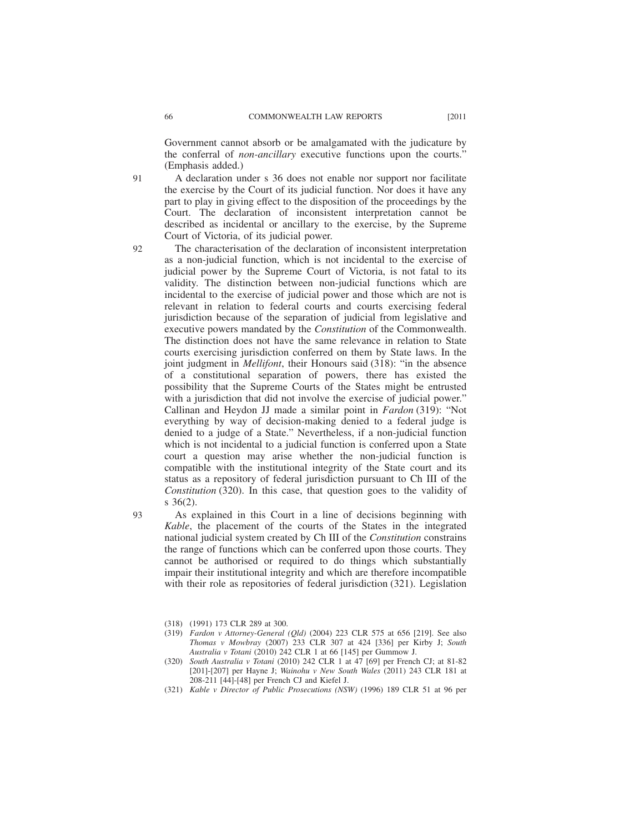Government cannot absorb or be amalgamated with the judicature by the conferral of *non-ancillary* executive functions upon the courts." (Emphasis added.)

A declaration under s 36 does not enable nor support nor facilitate the exercise by the Court of its judicial function. Nor does it have any part to play in giving effect to the disposition of the proceedings by the Court. The declaration of inconsistent interpretation cannot be described as incidental or ancillary to the exercise, by the Supreme Court of Victoria, of its judicial power.

92

93

91

The characterisation of the declaration of inconsistent interpretation as a non-judicial function, which is not incidental to the exercise of judicial power by the Supreme Court of Victoria, is not fatal to its validity. The distinction between non-judicial functions which are incidental to the exercise of judicial power and those which are not is relevant in relation to federal courts and courts exercising federal jurisdiction because of the separation of judicial from legislative and executive powers mandated by the *Constitution* of the Commonwealth. The distinction does not have the same relevance in relation to State courts exercising jurisdiction conferred on them by State laws. In the joint judgment in *Mellifont*, their Honours said (318): "in the absence of a constitutional separation of powers, there has existed the possibility that the Supreme Courts of the States might be entrusted with a jurisdiction that did not involve the exercise of judicial power." Callinan and Heydon JJ made a similar point in *Fardon* (319): "Not everything by way of decision-making denied to a federal judge is denied to a judge of a State." Nevertheless, if a non-judicial function which is not incidental to a judicial function is conferred upon a State court a question may arise whether the non-judicial function is compatible with the institutional integrity of the State court and its status as a repository of federal jurisdiction pursuant to Ch III of the *Constitution* (320). In this case, that question goes to the validity of s 36(2).

As explained in this Court in a line of decisions beginning with *Kable*, the placement of the courts of the States in the integrated national judicial system created by Ch III of the *Constitution* constrains the range of functions which can be conferred upon those courts. They cannot be authorised or required to do things which substantially impair their institutional integrity and which are therefore incompatible with their role as repositories of federal jurisdiction (321). Legislation

- (319) *Fardon v Attorney-General (Qld)* (2004) 223 CLR 575 at 656 [219]. See also *Thomas v Mowbray* (2007) 233 CLR 307 at 424 [336] per Kirby J; *South Australia v Totani* (2010) 242 CLR 1 at 66 [145] per Gummow J.
- (320) *South Australia v Totani* (2010) 242 CLR 1 at 47 [69] per French CJ; at 81-82 [201]-[207] per Hayne J; *Wainohu v New South Wales* (2011) 243 CLR 181 at 208-211 [44]-[48] per French CJ and Kiefel J.
- (321) *Kable v Director of Public Prosecutions (NSW)* (1996) 189 CLR 51 at 96 per

<sup>(318) (1991) 173</sup> CLR 289 at 300.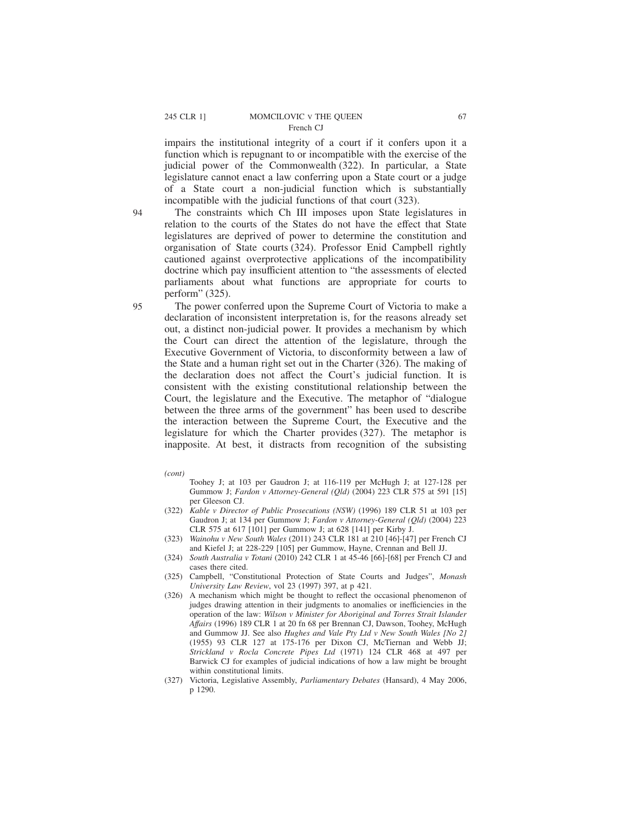## 245 CLR 1] MOMCILOVIC V THE QUEEN 67 French CJ

impairs the institutional integrity of a court if it confers upon it a function which is repugnant to or incompatible with the exercise of the judicial power of the Commonwealth (322). In particular, a State legislature cannot enact a law conferring upon a State court or a judge of a State court a non-judicial function which is substantially incompatible with the judicial functions of that court (323).

94

95

The constraints which Ch III imposes upon State legislatures in relation to the courts of the States do not have the effect that State legislatures are deprived of power to determine the constitution and organisation of State courts (324). Professor Enid Campbell rightly cautioned against overprotective applications of the incompatibility doctrine which pay insufficient attention to "the assessments of elected parliaments about what functions are appropriate for courts to perform" (325).

The power conferred upon the Supreme Court of Victoria to make a declaration of inconsistent interpretation is, for the reasons already set out, a distinct non-judicial power. It provides a mechanism by which the Court can direct the attention of the legislature, through the Executive Government of Victoria, to disconformity between a law of the State and a human right set out in the Charter (326). The making of the declaration does not affect the Court's judicial function. It is consistent with the existing constitutional relationship between the Court, the legislature and the Executive. The metaphor of "dialogue between the three arms of the government" has been used to describe the interaction between the Supreme Court, the Executive and the legislature for which the Charter provides (327). The metaphor is inapposite. At best, it distracts from recognition of the subsisting

#### *(cont)*

Toohey J; at 103 per Gaudron J; at 116-119 per McHugh J; at 127-128 per Gummow J; *Fardon v Attorney-General (Qld)* (2004) 223 CLR 575 at 591 [15] per Gleeson CJ.

- (322) *Kable v Director of Public Prosecutions (NSW)* (1996) 189 CLR 51 at 103 per Gaudron J; at 134 per Gummow J; *Fardon v Attorney-General (Qld)* (2004) 223 CLR 575 at 617 [101] per Gummow J; at 628 [141] per Kirby J.
- (323) *Wainohu v New South Wales* (2011) 243 CLR 181 at 210 [46]-[47] per French CJ and Kiefel J; at 228-229 [105] per Gummow, Hayne, Crennan and Bell JJ.
- (324) *South Australia v Totani* (2010) 242 CLR 1 at 45-46 [66]-[68] per French CJ and cases there cited.
- (325) Campbell, "Constitutional Protection of State Courts and Judges", *Monash University Law Review*, vol 23 (1997) 397, at p 421.
- (326) A mechanism which might be thought to reflect the occasional phenomenon of judges drawing attention in their judgments to anomalies or inefficiencies in the operation of the law: *Wilson v Minister for Aboriginal and Torres Strait Islander Affairs* (1996) 189 CLR 1 at 20 fn 68 per Brennan CJ, Dawson, Toohey, McHugh and Gummow JJ. See also *Hughes and Vale Pty Ltd v New South Wales [No 2]* (1955) 93 CLR 127 at 175-176 per Dixon CJ, McTiernan and Webb JJ; *Strickland v Rocla Concrete Pipes Ltd* (1971) 124 CLR 468 at 497 per Barwick CJ for examples of judicial indications of how a law might be brought within constitutional limits.
- (327) Victoria, Legislative Assembly, *Parliamentary Debates* (Hansard), 4 May 2006, p 1290.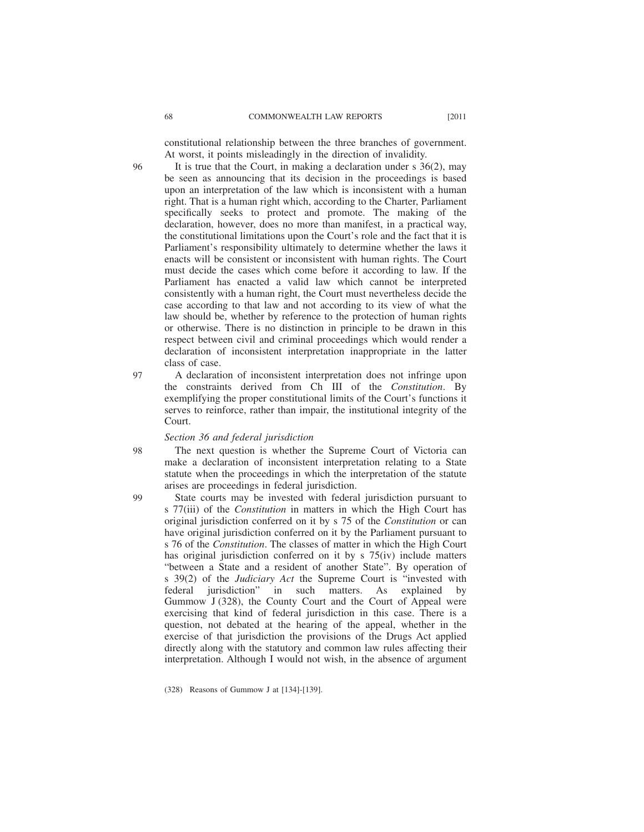constitutional relationship between the three branches of government. At worst, it points misleadingly in the direction of invalidity.

It is true that the Court, in making a declaration under s 36(2), may be seen as announcing that its decision in the proceedings is based upon an interpretation of the law which is inconsistent with a human right. That is a human right which, according to the Charter, Parliament specifically seeks to protect and promote. The making of the declaration, however, does no more than manifest, in a practical way, the constitutional limitations upon the Court's role and the fact that it is Parliament's responsibility ultimately to determine whether the laws it enacts will be consistent or inconsistent with human rights. The Court must decide the cases which come before it according to law. If the Parliament has enacted a valid law which cannot be interpreted consistently with a human right, the Court must nevertheless decide the case according to that law and not according to its view of what the law should be, whether by reference to the protection of human rights or otherwise. There is no distinction in principle to be drawn in this respect between civil and criminal proceedings which would render a declaration of inconsistent interpretation inappropriate in the latter class of case.

A declaration of inconsistent interpretation does not infringe upon the constraints derived from Ch III of the *Constitution*. By exemplifying the proper constitutional limits of the Court's functions it serves to reinforce, rather than impair, the institutional integrity of the Court.

#### *Section 36 and federal jurisdiction*

The next question is whether the Supreme Court of Victoria can make a declaration of inconsistent interpretation relating to a State statute when the proceedings in which the interpretation of the statute arises are proceedings in federal jurisdiction.

State courts may be invested with federal jurisdiction pursuant to s 77(iii) of the *Constitution* in matters in which the High Court has original jurisdiction conferred on it by s 75 of the *Constitution* or can have original jurisdiction conferred on it by the Parliament pursuant to s 76 of the *Constitution*. The classes of matter in which the High Court has original jurisdiction conferred on it by s 75(iv) include matters "between a State and a resident of another State". By operation of s 39(2) of the *Judiciary Act* the Supreme Court is "invested with federal jurisdiction" in such matters. As explained by Gummow J (328), the County Court and the Court of Appeal were exercising that kind of federal jurisdiction in this case. There is a question, not debated at the hearing of the appeal, whether in the exercise of that jurisdiction the provisions of the Drugs Act applied directly along with the statutory and common law rules affecting their interpretation. Although I would not wish, in the absence of argument

96

98

97

<sup>(328)</sup> Reasons of Gummow J at [134]-[139].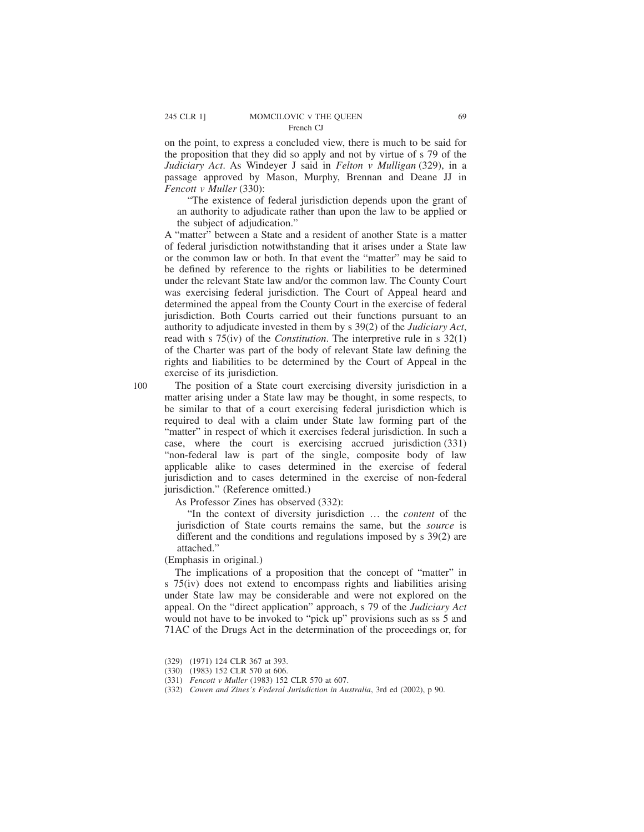100

## 245 CLR 1] MOMCILOVIC V THE QUEEN 69 French CJ

on the point, to express a concluded view, there is much to be said for the proposition that they did so apply and not by virtue of s 79 of the *Judiciary Act*. As Windeyer J said in *Felton v Mulligan* (329), in a passage approved by Mason, Murphy, Brennan and Deane JJ in *Fencott v Muller* (330):

"The existence of federal jurisdiction depends upon the grant of an authority to adjudicate rather than upon the law to be applied or the subject of adjudication."

A "matter" between a State and a resident of another State is a matter of federal jurisdiction notwithstanding that it arises under a State law or the common law or both. In that event the "matter" may be said to be defined by reference to the rights or liabilities to be determined under the relevant State law and/or the common law. The County Court was exercising federal jurisdiction. The Court of Appeal heard and determined the appeal from the County Court in the exercise of federal jurisdiction. Both Courts carried out their functions pursuant to an authority to adjudicate invested in them by s 39(2) of the *Judiciary Act*, read with s 75(iv) of the *Constitution*. The interpretive rule in s 32(1) of the Charter was part of the body of relevant State law defining the rights and liabilities to be determined by the Court of Appeal in the exercise of its jurisdiction.

The position of a State court exercising diversity jurisdiction in a matter arising under a State law may be thought, in some respects, to be similar to that of a court exercising federal jurisdiction which is required to deal with a claim under State law forming part of the "matter" in respect of which it exercises federal jurisdiction. In such a case, where the court is exercising accrued jurisdiction (331) "non-federal law is part of the single, composite body of law applicable alike to cases determined in the exercise of federal jurisdiction and to cases determined in the exercise of non-federal jurisdiction." (Reference omitted.)

As Professor Zines has observed (332):

"In the context of diversity jurisdiction … the *content* of the jurisdiction of State courts remains the same, but the *source* is different and the conditions and regulations imposed by s 39(2) are attached."

# (Emphasis in original.)

The implications of a proposition that the concept of "matter" in s 75(iv) does not extend to encompass rights and liabilities arising under State law may be considerable and were not explored on the appeal. On the "direct application" approach, s 79 of the *Judiciary Act* would not have to be invoked to "pick up" provisions such as ss 5 and 71AC of the Drugs Act in the determination of the proceedings or, for

(332) *Cowen and Zines's Federal Jurisdiction in Australia*, 3rd ed (2002), p 90.

<sup>(329) (1971) 124</sup> CLR 367 at 393.

<sup>(330) (1983) 152</sup> CLR 570 at 606.

<sup>(331)</sup> *Fencott v Muller* (1983) 152 CLR 570 at 607.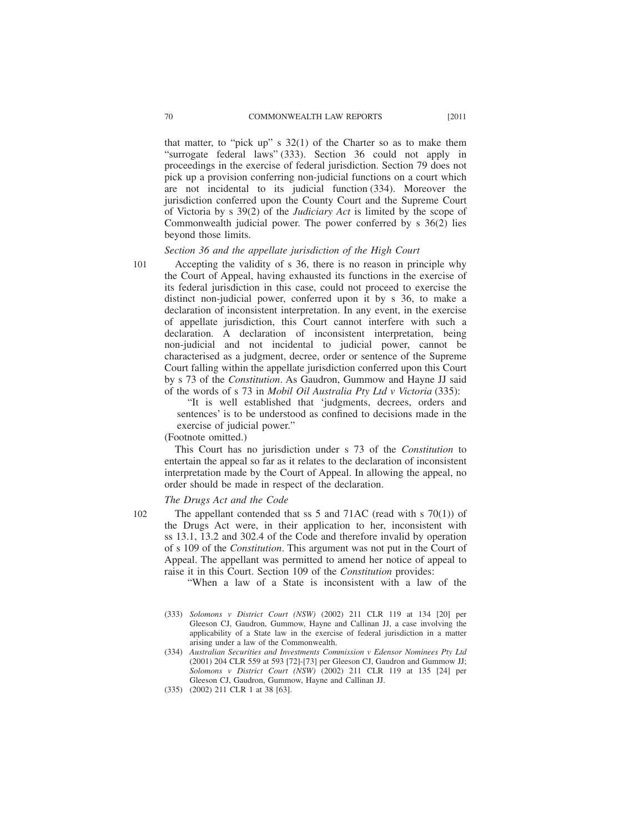that matter, to "pick up" s 32(1) of the Charter so as to make them "surrogate federal laws" (333). Section 36 could not apply in proceedings in the exercise of federal jurisdiction. Section 79 does not pick up a provision conferring non-judicial functions on a court which are not incidental to its judicial function (334). Moreover the jurisdiction conferred upon the County Court and the Supreme Court of Victoria by s 39(2) of the *Judiciary Act* is limited by the scope of Commonwealth judicial power. The power conferred by s 36(2) lies beyond those limits.

## *Section 36 and the appellate jurisdiction of the High Court*

Accepting the validity of s 36, there is no reason in principle why the Court of Appeal, having exhausted its functions in the exercise of its federal jurisdiction in this case, could not proceed to exercise the distinct non-judicial power, conferred upon it by s 36, to make a declaration of inconsistent interpretation. In any event, in the exercise of appellate jurisdiction, this Court cannot interfere with such a declaration. A declaration of inconsistent interpretation, being non-judicial and not incidental to judicial power, cannot be characterised as a judgment, decree, order or sentence of the Supreme Court falling within the appellate jurisdiction conferred upon this Court by s 73 of the *Constitution*. As Gaudron, Gummow and Hayne JJ said of the words of s 73 in *Mobil Oil Australia Pty Ltd v Victoria* (335):

"It is well established that 'judgments, decrees, orders and sentences' is to be understood as confined to decisions made in the exercise of judicial power."

(Footnote omitted.)

This Court has no jurisdiction under s 73 of the *Constitution* to entertain the appeal so far as it relates to the declaration of inconsistent interpretation made by the Court of Appeal. In allowing the appeal, no order should be made in respect of the declaration.

### *The Drugs Act and the Code*

The appellant contended that ss 5 and 71AC (read with s 70(1)) of the Drugs Act were, in their application to her, inconsistent with ss 13.1, 13.2 and 302.4 of the Code and therefore invalid by operation of s 109 of the *Constitution*. This argument was not put in the Court of Appeal. The appellant was permitted to amend her notice of appeal to raise it in this Court. Section 109 of the *Constitution* provides:

"When a law of a State is inconsistent with a law of the

(334) *Australian Securities and Investments Commission v Edensor Nominees Pty Ltd* (2001) 204 CLR 559 at 593 [72]-[73] per Gleeson CJ, Gaudron and Gummow JJ; *Solomons v District Court (NSW)* (2002) 211 CLR 119 at 135 [24] per Gleeson CJ, Gaudron, Gummow, Hayne and Callinan JJ.

101

<sup>(333)</sup> *Solomons v District Court (NSW)* (2002) 211 CLR 119 at 134 [20] per Gleeson CJ, Gaudron, Gummow, Hayne and Callinan JJ, a case involving the applicability of a State law in the exercise of federal jurisdiction in a matter arising under a law of the Commonwealth.

<sup>(335) (2002) 211</sup> CLR 1 at 38 [63].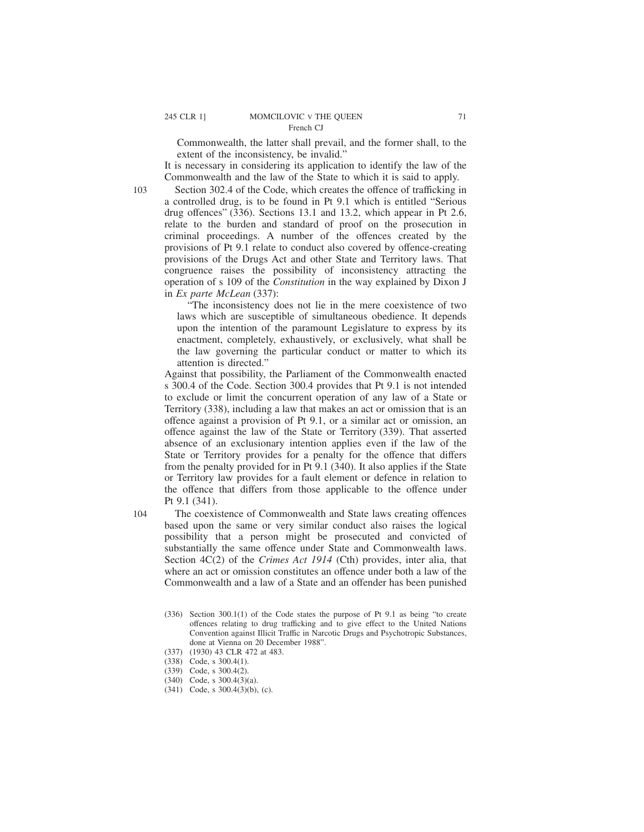## 245 CLR 1] MOMCILOVIC V THE QUEEN 71 French CJ

Commonwealth, the latter shall prevail, and the former shall, to the extent of the inconsistency, be invalid."

It is necessary in considering its application to identify the law of the Commonwealth and the law of the State to which it is said to apply.

Section 302.4 of the Code, which creates the offence of trafficking in a controlled drug, is to be found in Pt 9.1 which is entitled "Serious drug offences" (336). Sections 13.1 and 13.2, which appear in Pt 2.6, relate to the burden and standard of proof on the prosecution in criminal proceedings. A number of the offences created by the provisions of Pt 9.1 relate to conduct also covered by offence-creating provisions of the Drugs Act and other State and Territory laws. That congruence raises the possibility of inconsistency attracting the operation of s 109 of the *Constitution* in the way explained by Dixon J in *Ex parte McLean* (337):

"The inconsistency does not lie in the mere coexistence of two laws which are susceptible of simultaneous obedience. It depends upon the intention of the paramount Legislature to express by its enactment, completely, exhaustively, or exclusively, what shall be the law governing the particular conduct or matter to which its attention is directed."

Against that possibility, the Parliament of the Commonwealth enacted s 300.4 of the Code. Section 300.4 provides that Pt 9.1 is not intended to exclude or limit the concurrent operation of any law of a State or Territory (338), including a law that makes an act or omission that is an offence against a provision of Pt 9.1, or a similar act or omission, an offence against the law of the State or Territory (339). That asserted absence of an exclusionary intention applies even if the law of the State or Territory provides for a penalty for the offence that differs from the penalty provided for in Pt 9.1 (340). It also applies if the State or Territory law provides for a fault element or defence in relation to the offence that differs from those applicable to the offence under Pt 9.1 (341).

The coexistence of Commonwealth and State laws creating offences based upon the same or very similar conduct also raises the logical possibility that a person might be prosecuted and convicted of substantially the same offence under State and Commonwealth laws. Section 4C(2) of the *Crimes Act 1914* (Cth) provides, inter alia, that where an act or omission constitutes an offence under both a law of the Commonwealth and a law of a State and an offender has been punished

- (336) Section 300.1(1) of the Code states the purpose of Pt 9.1 as being "to create offences relating to drug trafficking and to give effect to the United Nations Convention against Illicit Traffic in Narcotic Drugs and Psychotropic Substances, done at Vienna on 20 December 1988".
- (337) (1930) 43 CLR 472 at 483.
- (338) Code, s 300.4(1).
- (339) Code, s 300.4(2).
- (340) Code, s 300.4(3)(a).
- (341) Code, s 300.4(3)(b), (c).

103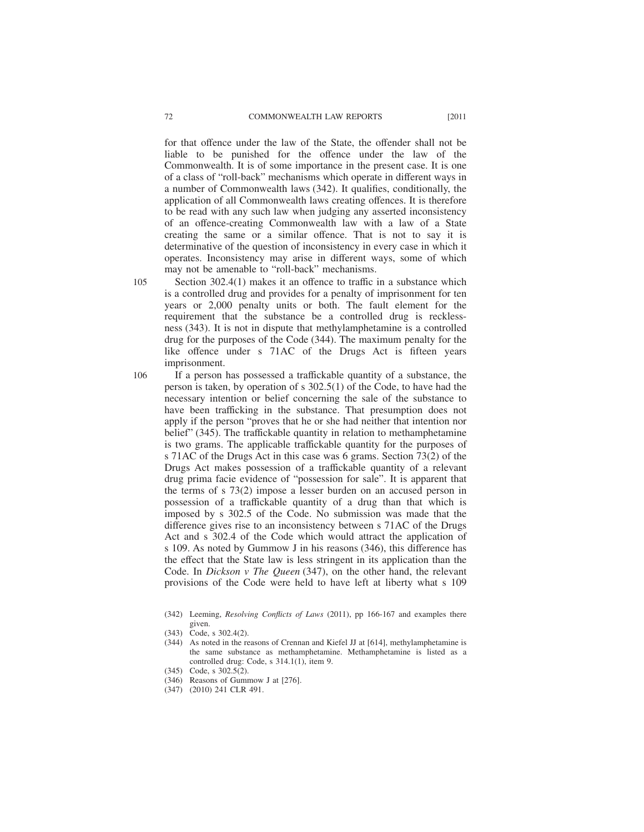for that offence under the law of the State, the offender shall not be liable to be punished for the offence under the law of the Commonwealth. It is of some importance in the present case. It is one of a class of "roll-back" mechanisms which operate in different ways in a number of Commonwealth laws (342). It qualifies, conditionally, the application of all Commonwealth laws creating offences. It is therefore to be read with any such law when judging any asserted inconsistency of an offence-creating Commonwealth law with a law of a State creating the same or a similar offence. That is not to say it is determinative of the question of inconsistency in every case in which it operates. Inconsistency may arise in different ways, some of which may not be amenable to "roll-back" mechanisms.

- Section 302.4(1) makes it an offence to traffic in a substance which is a controlled drug and provides for a penalty of imprisonment for ten years or 2,000 penalty units or both. The fault element for the requirement that the substance be a controlled drug is recklessness (343). It is not in dispute that methylamphetamine is a controlled drug for the purposes of the Code (344). The maximum penalty for the like offence under s 71AC of the Drugs Act is fifteen years imprisonment. 105
- If a person has possessed a traffickable quantity of a substance, the person is taken, by operation of s 302.5(1) of the Code, to have had the necessary intention or belief concerning the sale of the substance to have been trafficking in the substance. That presumption does not apply if the person "proves that he or she had neither that intention nor belief" (345). The traffickable quantity in relation to methamphetamine is two grams. The applicable traffickable quantity for the purposes of s 71AC of the Drugs Act in this case was 6 grams. Section 73(2) of the Drugs Act makes possession of a traffickable quantity of a relevant drug prima facie evidence of "possession for sale". It is apparent that the terms of s 73(2) impose a lesser burden on an accused person in possession of a traffickable quantity of a drug than that which is imposed by s 302.5 of the Code. No submission was made that the difference gives rise to an inconsistency between s 71AC of the Drugs Act and s 302.4 of the Code which would attract the application of s 109. As noted by Gummow J in his reasons (346), this difference has the effect that the State law is less stringent in its application than the Code. In *Dickson v The Queen* (347), on the other hand, the relevant provisions of the Code were held to have left at liberty what s 109 106
	- (342) Leeming, *Resolving Conflicts of Laws* (2011), pp 166-167 and examples there given.
	- (343) Code, s 302.4(2).
	- (344) As noted in the reasons of Crennan and Kiefel JJ at [614], methylamphetamine is the same substance as methamphetamine. Methamphetamine is listed as a controlled drug: Code, s 314.1(1), item 9.
	- (345) Code, s 302.5(2).
	- (346) Reasons of Gummow J at [276].
	- (347) (2010) 241 CLR 491.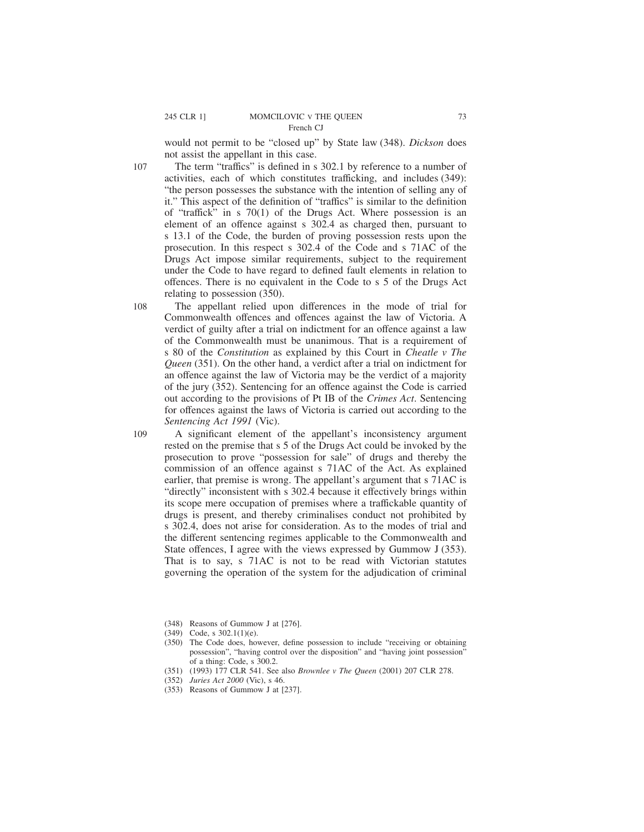107

109

would not permit to be "closed up" by State law (348). *Dickson* does not assist the appellant in this case.

- The term "traffics" is defined in s 302.1 by reference to a number of activities, each of which constitutes trafficking, and includes (349): "the person possesses the substance with the intention of selling any of it." This aspect of the definition of "traffics" is similar to the definition of "traffick" in s 70(1) of the Drugs Act. Where possession is an element of an offence against s 302.4 as charged then, pursuant to s 13.1 of the Code, the burden of proving possession rests upon the prosecution. In this respect s 302.4 of the Code and s 71AC of the Drugs Act impose similar requirements, subject to the requirement under the Code to have regard to defined fault elements in relation to offences. There is no equivalent in the Code to s 5 of the Drugs Act relating to possession (350).
- The appellant relied upon differences in the mode of trial for Commonwealth offences and offences against the law of Victoria. A verdict of guilty after a trial on indictment for an offence against a law of the Commonwealth must be unanimous. That is a requirement of s 80 of the *Constitution* as explained by this Court in *Cheatle v The Queen* (351). On the other hand, a verdict after a trial on indictment for an offence against the law of Victoria may be the verdict of a majority of the jury (352). Sentencing for an offence against the Code is carried out according to the provisions of Pt IB of the *Crimes Act*. Sentencing for offences against the laws of Victoria is carried out according to the *Sentencing Act 1991* (Vic). 108

A significant element of the appellant's inconsistency argument rested on the premise that s 5 of the Drugs Act could be invoked by the prosecution to prove "possession for sale" of drugs and thereby the commission of an offence against s 71AC of the Act. As explained earlier, that premise is wrong. The appellant's argument that s 71AC is "directly" inconsistent with s 302.4 because it effectively brings within its scope mere occupation of premises where a traffickable quantity of drugs is present, and thereby criminalises conduct not prohibited by s 302.4, does not arise for consideration. As to the modes of trial and the different sentencing regimes applicable to the Commonwealth and State offences, I agree with the views expressed by Gummow J (353). That is to say, s 71AC is not to be read with Victorian statutes governing the operation of the system for the adjudication of criminal

- (350) The Code does, however, define possession to include "receiving or obtaining possession", "having control over the disposition" and "having joint possession" of a thing: Code, s 300.2.
- (351) (1993) 177 CLR 541. See also *Brownlee v The Queen* (2001) 207 CLR 278.
- (352) *Juries Act 2000* (Vic), s 46.
- (353) Reasons of Gummow J at [237].

<sup>(348)</sup> Reasons of Gummow J at [276].

<sup>(349)</sup> Code, s 302.1(1)(e).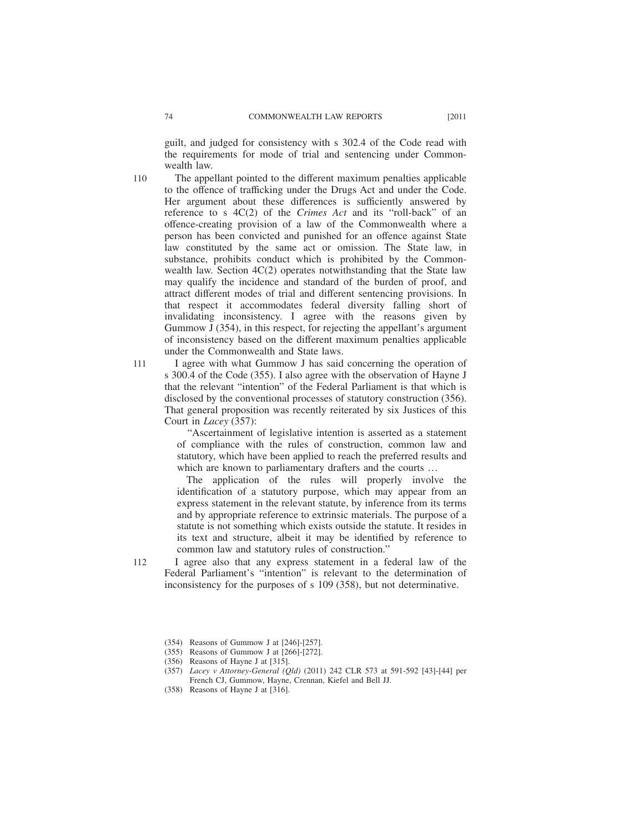guilt, and judged for consistency with s 302.4 of the Code read with the requirements for mode of trial and sentencing under Commonwealth law.

The appellant pointed to the different maximum penalties applicable to the offence of trafficking under the Drugs Act and under the Code. Her argument about these differences is sufficiently answered by reference to s 4C(2) of the *Crimes Act* and its "roll-back" of an offence-creating provision of a law of the Commonwealth where a person has been convicted and punished for an offence against State law constituted by the same act or omission. The State law, in substance, prohibits conduct which is prohibited by the Commonwealth law. Section 4C(2) operates notwithstanding that the State law may qualify the incidence and standard of the burden of proof, and attract different modes of trial and different sentencing provisions. In that respect it accommodates federal diversity falling short of invalidating inconsistency. I agree with the reasons given by Gummow J (354), in this respect, for rejecting the appellant's argument of inconsistency based on the different maximum penalties applicable under the Commonwealth and State laws.

I agree with what Gummow J has said concerning the operation of s 300.4 of the Code (355). I also agree with the observation of Hayne J that the relevant "intention" of the Federal Parliament is that which is disclosed by the conventional processes of statutory construction (356). That general proposition was recently reiterated by six Justices of this Court in *Lacey* (357):

"Ascertainment of legislative intention is asserted as a statement of compliance with the rules of construction, common law and statutory, which have been applied to reach the preferred results and which are known to parliamentary drafters and the courts ...

The application of the rules will properly involve the identification of a statutory purpose, which may appear from an express statement in the relevant statute, by inference from its terms and by appropriate reference to extrinsic materials. The purpose of a statute is not something which exists outside the statute. It resides in its text and structure, albeit it may be identified by reference to common law and statutory rules of construction."

I agree also that any express statement in a federal law of the Federal Parliament's "intention" is relevant to the determination of inconsistency for the purposes of s 109 (358), but not determinative.

- (354) Reasons of Gummow J at [246]-[257].
- (355) Reasons of Gummow J at [266]-[272].
- (356) Reasons of Hayne J at [315].
- (357) *Lacey v Attorney-General (Qld)* (2011) 242 CLR 573 at 591-592 [43]-[44] per French CJ, Gummow, Hayne, Crennan, Kiefel and Bell JJ.
- (358) Reasons of Hayne J at [316].

110

111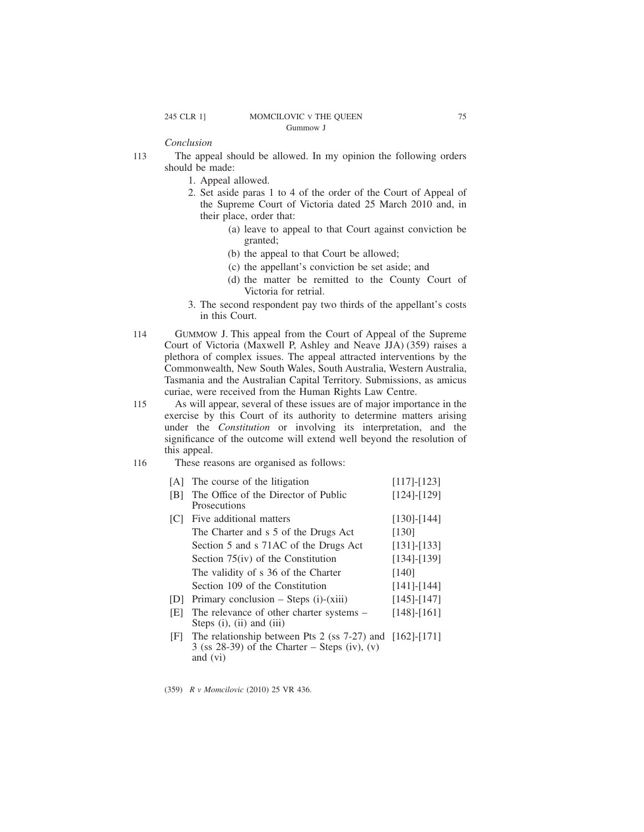#### 245 CLR 1] MOMCILOVIC V THE QUEEN 75 Gummow J

#### *Conclusion*

- The appeal should be allowed. In my opinion the following orders should be made: 113
	- 1. Appeal allowed.
	- 2. Set aside paras 1 to 4 of the order of the Court of Appeal of the Supreme Court of Victoria dated 25 March 2010 and, in their place, order that:
		- (a) leave to appeal to that Court against conviction be granted;
		- (b) the appeal to that Court be allowed;
		- (c) the appellant's conviction be set aside; and
		- (d) the matter be remitted to the County Court of Victoria for retrial.
	- 3. The second respondent pay two thirds of the appellant's costs in this Court.
- GUMMOW J. This appeal from the Court of Appeal of the Supreme Court of Victoria (Maxwell P, Ashley and Neave JJA) (359) raises a plethora of complex issues. The appeal attracted interventions by the Commonwealth, New South Wales, South Australia, Western Australia, Tasmania and the Australian Capital Territory. Submissions, as amicus curiae, were received from the Human Rights Law Centre. 114
- As will appear, several of these issues are of major importance in the exercise by this Court of its authority to determine matters arising under the *Constitution* or involving its interpretation, and the significance of the outcome will extend well beyond the resolution of this appeal. 115

#### These reasons are organised as follows: 116

| [A] | The course of the litigation                                      | $[117]-[123]$     |
|-----|-------------------------------------------------------------------|-------------------|
| [B] | The Office of the Director of Public                              | $[124]$ - $[129]$ |
|     | Prosecutions                                                      |                   |
| ICI | Five additional matters                                           | $[130]$ - $[144]$ |
|     | The Charter and s 5 of the Drugs Act                              | [130]             |
|     | Section 5 and s 71AC of the Drugs Act                             | $[131]$ - $[133]$ |
|     | Section $75(iv)$ of the Constitution                              | $[134]$ - $[139]$ |
|     | The validity of s 36 of the Charter                               | [140]             |
|     | Section 109 of the Constitution                                   | $[141]$ - $[144]$ |
| IDI | Primary conclusion $-$ Steps (i)-(xiii)                           | $[145]$ - $[147]$ |
| IEI | The relevance of other charter systems –                          | $[148]$ - $[161]$ |
|     | Steps $(i)$ , $(ii)$ and $(iii)$                                  |                   |
| IFI | The relationship between Pts 2 (ss $7-27$ ) and $[162]$ - $[171]$ |                   |
|     | 3 (ss $28-39$ ) of the Charter – Steps (iv), (v)                  |                   |

and (vi)

(359) *R v Momcilovic* (2010) 25 VR 436.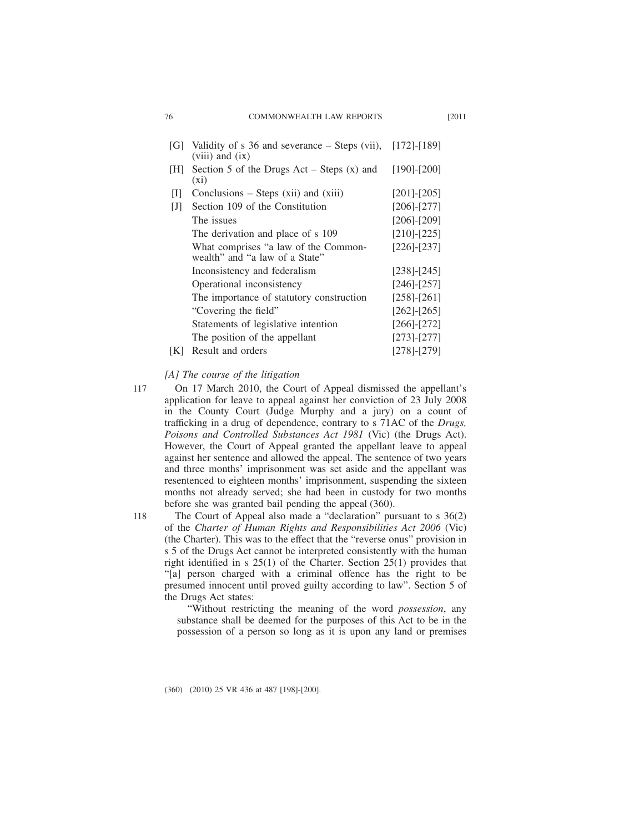| [G] | Validity of s 36 and severance $-$ Steps (vii), [172]-[189]            |                   |
|-----|------------------------------------------------------------------------|-------------------|
|     | $(viii)$ and $(ix)$                                                    |                   |
| [H] | Section 5 of the Drugs Act – Steps $(x)$ and<br>$(x_i)$                | $[190]$ - $[200]$ |
| Ш   | Conclusions – Steps $(xii)$ and $(xiii)$                               | $[201]$ - $[205]$ |
| J   | Section 109 of the Constitution                                        | $[206]$ - $[277]$ |
|     | The issues                                                             | $[206]$ - $[209]$ |
|     | The derivation and place of s 109                                      | $[210]-[225]$     |
|     | What comprises "a law of the Common-<br>wealth" and "a law of a State" | $[226]$ - $[237]$ |
|     | Inconsistency and federalism                                           | $[238]$ - $[245]$ |
|     | Operational inconsistency                                              | $[246]$ - $[257]$ |
|     | The importance of statutory construction                               | $[258]-[261]$     |
|     | "Covering the field"                                                   | $[262]$ - $[265]$ |
|     | Statements of legislative intention                                    | $[266]$ - $[272]$ |
|     | The position of the appellant                                          | $[273]$ - $[277]$ |
| IKI | Result and orders                                                      | [278]-[279]       |

#### *[A] The course of the litigation*

On 17 March 2010, the Court of Appeal dismissed the appellant's application for leave to appeal against her conviction of 23 July 2008 in the County Court (Judge Murphy and a jury) on a count of trafficking in a drug of dependence, contrary to s 71AC of the *Drugs, Poisons and Controlled Substances Act 1981* (Vic) (the Drugs Act). However, the Court of Appeal granted the appellant leave to appeal against her sentence and allowed the appeal. The sentence of two years and three months' imprisonment was set aside and the appellant was resentenced to eighteen months' imprisonment, suspending the sixteen months not already served; she had been in custody for two months before she was granted bail pending the appeal (360). 117

The Court of Appeal also made a "declaration" pursuant to s 36(2) of the *Charter of Human Rights and Responsibilities Act 2006* (Vic) (the Charter). This was to the effect that the "reverse onus" provision in s 5 of the Drugs Act cannot be interpreted consistently with the human right identified in s 25(1) of the Charter. Section 25(1) provides that "[a] person charged with a criminal offence has the right to be presumed innocent until proved guilty according to law". Section 5 of the Drugs Act states:

"Without restricting the meaning of the word *possession*, any substance shall be deemed for the purposes of this Act to be in the possession of a person so long as it is upon any land or premises

(360) (2010) 25 VR 436 at 487 [198]-[200].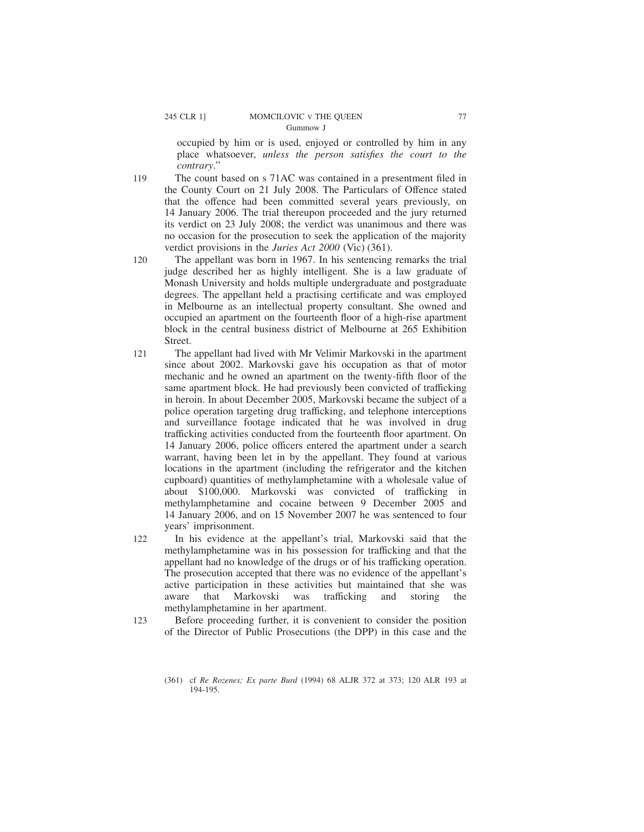123

#### 245 CLR 1] MOMCILOVIC V THE QUEEN 77 Gummow J

occupied by him or is used, enjoyed or controlled by him in any place whatsoever, *unless the person satisfies the court to the contrary*."

The count based on s 71AC was contained in a presentment filed in the County Court on 21 July 2008. The Particulars of Offence stated that the offence had been committed several years previously, on 14 January 2006. The trial thereupon proceeded and the jury returned its verdict on 23 July 2008; the verdict was unanimous and there was no occasion for the prosecution to seek the application of the majority verdict provisions in the *Juries Act 2000* (Vic) (361). 119

The appellant was born in 1967. In his sentencing remarks the trial judge described her as highly intelligent. She is a law graduate of Monash University and holds multiple undergraduate and postgraduate degrees. The appellant held a practising certificate and was employed in Melbourne as an intellectual property consultant. She owned and occupied an apartment on the fourteenth floor of a high-rise apartment block in the central business district of Melbourne at 265 Exhibition Street. 120

- The appellant had lived with Mr Velimir Markovski in the apartment since about 2002. Markovski gave his occupation as that of motor mechanic and he owned an apartment on the twenty-fifth floor of the same apartment block. He had previously been convicted of trafficking in heroin. In about December 2005, Markovski became the subject of a police operation targeting drug trafficking, and telephone interceptions and surveillance footage indicated that he was involved in drug trafficking activities conducted from the fourteenth floor apartment. On 14 January 2006, police officers entered the apartment under a search warrant, having been let in by the appellant. They found at various locations in the apartment (including the refrigerator and the kitchen cupboard) quantities of methylamphetamine with a wholesale value of about \$100,000. Markovski was convicted of trafficking in methylamphetamine and cocaine between 9 December 2005 and 14 January 2006, and on 15 November 2007 he was sentenced to four years' imprisonment. 121
- In his evidence at the appellant's trial, Markovski said that the methylamphetamine was in his possession for trafficking and that the appellant had no knowledge of the drugs or of his trafficking operation. The prosecution accepted that there was no evidence of the appellant's active participation in these activities but maintained that she was aware that Markovski was trafficking and storing the methylamphetamine in her apartment. 122
	- Before proceeding further, it is convenient to consider the position of the Director of Public Prosecutions (the DPP) in this case and the

<sup>(361)</sup> cf *Re Rozenes; Ex parte Burd* (1994) 68 ALJR 372 at 373; 120 ALR 193 at 194-195.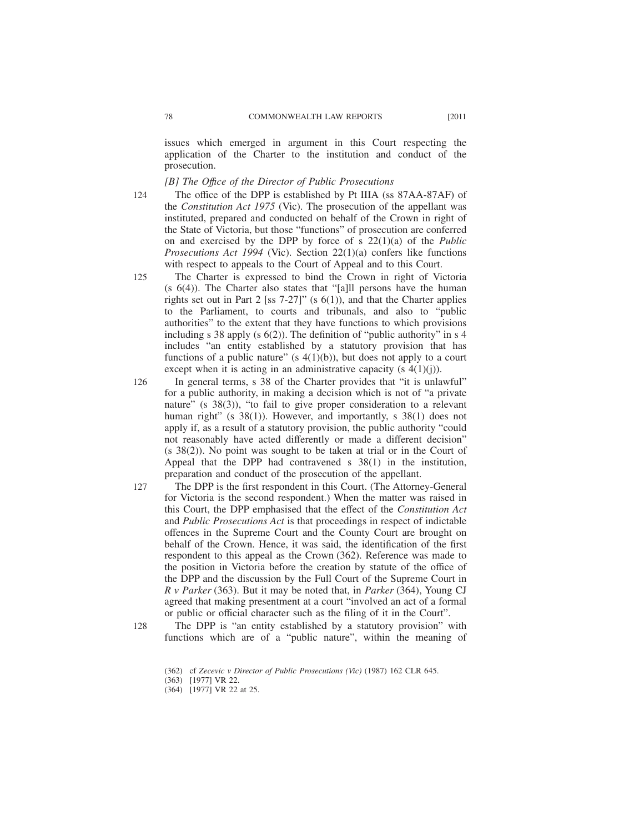issues which emerged in argument in this Court respecting the application of the Charter to the institution and conduct of the prosecution.

#### *[B] The Offıce of the Director of Public Prosecutions*

- The office of the DPP is established by Pt IIIA (ss 87AA-87AF) of the *Constitution Act 1975* (Vic). The prosecution of the appellant was instituted, prepared and conducted on behalf of the Crown in right of the State of Victoria, but those "functions" of prosecution are conferred on and exercised by the DPP by force of s 22(1)(a) of the *Public Prosecutions Act 1994* (Vic). Section 22(1)(a) confers like functions with respect to appeals to the Court of Appeal and to this Court.
- The Charter is expressed to bind the Crown in right of Victoria (s 6(4)). The Charter also states that "[a]ll persons have the human rights set out in Part 2 [ss 7-27]" (s 6(1)), and that the Charter applies to the Parliament, to courts and tribunals, and also to "public authorities" to the extent that they have functions to which provisions including s 38 apply (s 6(2)). The definition of "public authority" in s 4 includes "an entity established by a statutory provision that has functions of a public nature" (s  $4(1)(b)$ ), but does not apply to a court except when it is acting in an administrative capacity  $(s \ 4(1)(j))$ . 125
- In general terms, s 38 of the Charter provides that "it is unlawful" for a public authority, in making a decision which is not of "a private nature" (s 38(3)), "to fail to give proper consideration to a relevant human right" (s 38(1)). However, and importantly, s 38(1) does not apply if, as a result of a statutory provision, the public authority "could not reasonably have acted differently or made a different decision" (s 38(2)). No point was sought to be taken at trial or in the Court of Appeal that the DPP had contravened s 38(1) in the institution, preparation and conduct of the prosecution of the appellant. 126
- The DPP is the first respondent in this Court. (The Attorney-General for Victoria is the second respondent.) When the matter was raised in this Court, the DPP emphasised that the effect of the *Constitution Act* and *Public Prosecutions Act* is that proceedings in respect of indictable offences in the Supreme Court and the County Court are brought on behalf of the Crown. Hence, it was said, the identification of the first respondent to this appeal as the Crown (362). Reference was made to the position in Victoria before the creation by statute of the office of the DPP and the discussion by the Full Court of the Supreme Court in *R v Parker* (363). But it may be noted that, in *Parker* (364), Young CJ agreed that making presentment at a court "involved an act of a formal or public or official character such as the filing of it in the Court". 127
- 128

The DPP is "an entity established by a statutory provision" with functions which are of a "public nature", within the meaning of

<sup>(362)</sup> cf *Zecevic v Director of Public Prosecutions (Vic)* (1987) 162 CLR 645.

<sup>(363) [1977]</sup> VR 22.

<sup>(364) [1977]</sup> VR 22 at 25.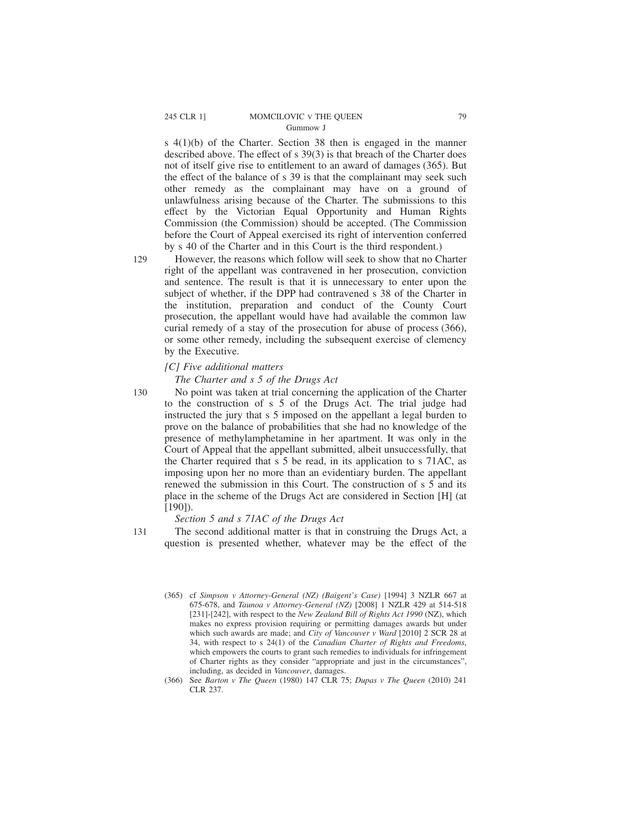#### 245 CLR 1] MOMCILOVIC V THE QUEEN 79 Gummow J

s 4(1)(b) of the Charter. Section 38 then is engaged in the manner described above. The effect of s 39(3) is that breach of the Charter does not of itself give rise to entitlement to an award of damages (365). But the effect of the balance of s 39 is that the complainant may seek such other remedy as the complainant may have on a ground of unlawfulness arising because of the Charter. The submissions to this effect by the Victorian Equal Opportunity and Human Rights Commission (the Commission) should be accepted. (The Commission before the Court of Appeal exercised its right of intervention conferred by s 40 of the Charter and in this Court is the third respondent.)

129

130

However, the reasons which follow will seek to show that no Charter right of the appellant was contravened in her prosecution, conviction and sentence. The result is that it is unnecessary to enter upon the subject of whether, if the DPP had contravened s 38 of the Charter in the institution, preparation and conduct of the County Court prosecution, the appellant would have had available the common law curial remedy of a stay of the prosecution for abuse of process (366), or some other remedy, including the subsequent exercise of clemency by the Executive.

## *[C] Five additional matters*

*The Charter and s 5 of the Drugs Act*

No point was taken at trial concerning the application of the Charter to the construction of s 5 of the Drugs Act. The trial judge had instructed the jury that s 5 imposed on the appellant a legal burden to prove on the balance of probabilities that she had no knowledge of the presence of methylamphetamine in her apartment. It was only in the Court of Appeal that the appellant submitted, albeit unsuccessfully, that the Charter required that s 5 be read, in its application to s 71AC, as imposing upon her no more than an evidentiary burden. The appellant renewed the submission in this Court. The construction of s 5 and its place in the scheme of the Drugs Act are considered in Section [H] (at [190]).

### *Section 5 and s 71AC of the Drugs Act*

131

The second additional matter is that in construing the Drugs Act, a question is presented whether, whatever may be the effect of the

<sup>(365)</sup> cf *Simpson v Attorney-General (NZ) (Baigent's Case)* [1994] 3 NZLR 667 at 675-678, and *Taunoa v Attorney-General (NZ)* [2008] 1 NZLR 429 at 514-518 [231]-[242], with respect to the *New Zealand Bill of Rights Act 1990* (NZ), which makes no express provision requiring or permitting damages awards but under which such awards are made; and *City of Vancouver v Ward* [2010] 2 SCR 28 at 34, with respect to s 24(1) of the *Canadian Charter of Rights and Freedoms*, which empowers the courts to grant such remedies to individuals for infringement of Charter rights as they consider "appropriate and just in the circumstances", including, as decided in *Vancouver*, damages.

<sup>(366)</sup> See *Barton v The Queen* (1980) 147 CLR 75; *Dupas v The Queen* (2010) 241 CLR 237.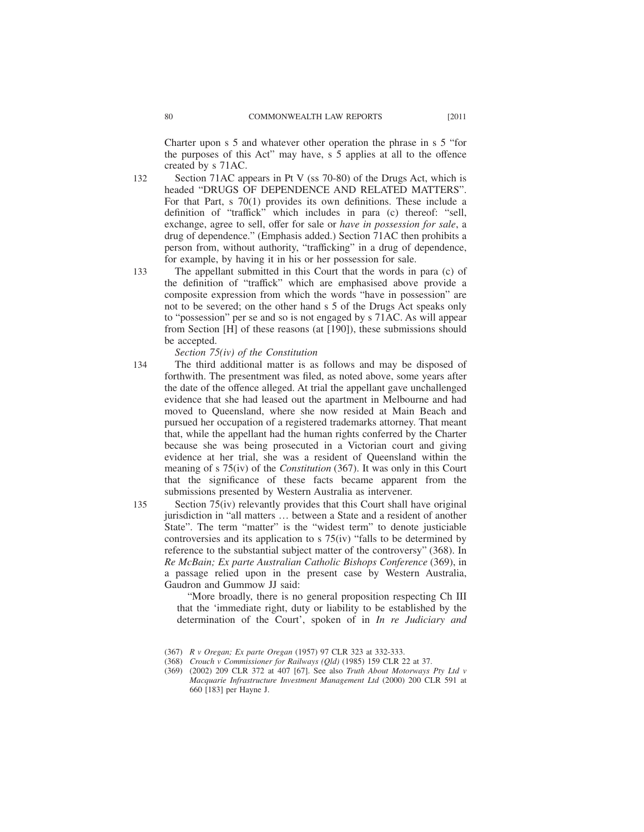Charter upon s 5 and whatever other operation the phrase in s 5 "for the purposes of this Act" may have, s 5 applies at all to the offence created by s 71AC.

- Section 71AC appears in Pt V (ss 70-80) of the Drugs Act, which is headed "DRUGS OF DEPENDENCE AND RELATED MATTERS". For that Part, s 70(1) provides its own definitions. These include a definition of "traffick" which includes in para (c) thereof: "sell, exchange, agree to sell, offer for sale or *have in possession for sale*, a drug of dependence." (Emphasis added.) Section 71AC then prohibits a person from, without authority, "trafficking" in a drug of dependence, for example, by having it in his or her possession for sale. 132
- The appellant submitted in this Court that the words in para (c) of the definition of "traffick" which are emphasised above provide a composite expression from which the words "have in possession" are not to be severed; on the other hand s 5 of the Drugs Act speaks only to "possession" per se and so is not engaged by s 71AC. As will appear from Section [H] of these reasons (at [190]), these submissions should be accepted. 133

### *Section 75(iv) of the Constitution*

- The third additional matter is as follows and may be disposed of forthwith. The presentment was filed, as noted above, some years after the date of the offence alleged. At trial the appellant gave unchallenged evidence that she had leased out the apartment in Melbourne and had moved to Queensland, where she now resided at Main Beach and pursued her occupation of a registered trademarks attorney. That meant that, while the appellant had the human rights conferred by the Charter because she was being prosecuted in a Victorian court and giving evidence at her trial, she was a resident of Queensland within the meaning of s 75(iv) of the *Constitution* (367). It was only in this Court that the significance of these facts became apparent from the submissions presented by Western Australia as intervener. 134
- Section 75(iv) relevantly provides that this Court shall have original jurisdiction in "all matters … between a State and a resident of another State". The term "matter" is the "widest term" to denote justiciable controversies and its application to s 75(iv) "falls to be determined by reference to the substantial subject matter of the controversy" (368). In *Re McBain; Ex parte Australian Catholic Bishops Conference* (369), in a passage relied upon in the present case by Western Australia, Gaudron and Gummow JJ said: 135

"More broadly, there is no general proposition respecting Ch III that the 'immediate right, duty or liability to be established by the determination of the Court', spoken of in *In re Judiciary and*

- (367) *R v Oregan; Ex parte Oregan* (1957) 97 CLR 323 at 332-333.
- (368) *Crouch v Commissioner for Railways (Qld)* (1985) 159 CLR 22 at 37.
- (369) (2002) 209 CLR 372 at 407 [67]. See also *Truth About Motorways Pty Ltd v Macquarie Infrastructure Investment Management Ltd* (2000) 200 CLR 591 at 660 [183] per Hayne J.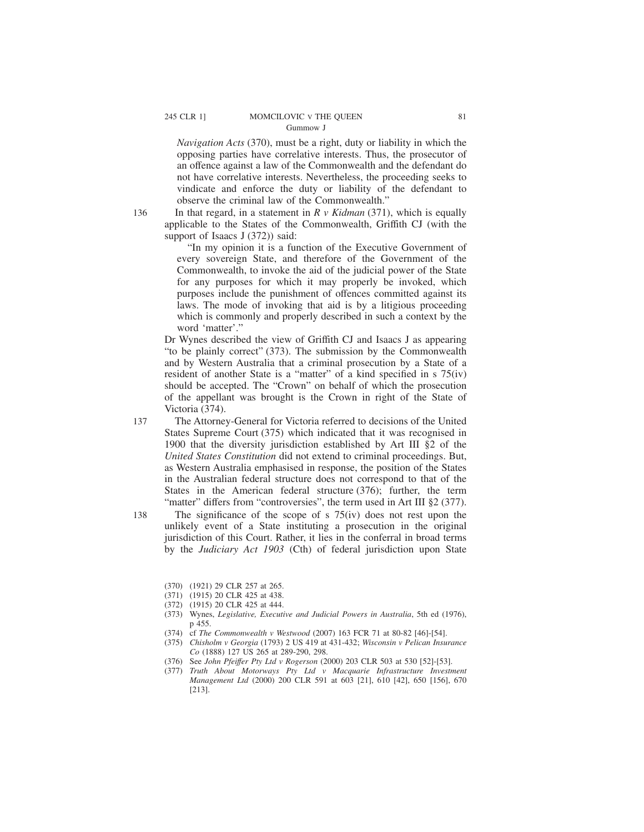#### 245 CLR 1] MOMCILOVIC V THE QUEEN 81 Gummow J

*Navigation Acts* (370), must be a right, duty or liability in which the opposing parties have correlative interests. Thus, the prosecutor of an offence against a law of the Commonwealth and the defendant do not have correlative interests. Nevertheless, the proceeding seeks to vindicate and enforce the duty or liability of the defendant to observe the criminal law of the Commonwealth."

In that regard, in a statement in *R v Kidman* (371), which is equally applicable to the States of the Commonwealth, Griffith CJ (with the support of Isaacs J (372)) said:

"In my opinion it is a function of the Executive Government of every sovereign State, and therefore of the Government of the Commonwealth, to invoke the aid of the judicial power of the State for any purposes for which it may properly be invoked, which purposes include the punishment of offences committed against its laws. The mode of invoking that aid is by a litigious proceeding which is commonly and properly described in such a context by the word 'matter'."

Dr Wynes described the view of Griffith CJ and Isaacs J as appearing "to be plainly correct" (373). The submission by the Commonwealth and by Western Australia that a criminal prosecution by a State of a resident of another State is a "matter" of a kind specified in s 75(iv) should be accepted. The "Crown" on behalf of which the prosecution of the appellant was brought is the Crown in right of the State of Victoria (374).

- The Attorney-General for Victoria referred to decisions of the United States Supreme Court (375) which indicated that it was recognised in 1900 that the diversity jurisdiction established by Art III §2 of the *United States Constitution* did not extend to criminal proceedings. But, as Western Australia emphasised in response, the position of the States in the Australian federal structure does not correspond to that of the States in the American federal structure (376); further, the term "matter" differs from "controversies", the term used in Art III §2 (377). 137
	- The significance of the scope of s  $75(iv)$  does not rest upon the unlikely event of a State instituting a prosecution in the original jurisdiction of this Court. Rather, it lies in the conferral in broad terms by the *Judiciary Act 1903* (Cth) of federal jurisdiction upon State

- (371) (1915) 20 CLR 425 at 438.
- (372) (1915) 20 CLR 425 at 444.
- (373) Wynes, *Legislative, Executive and Judicial Powers in Australia*, 5th ed (1976), p 455.
- (374) cf *The Commonwealth v Westwood* (2007) 163 FCR 71 at 80-82 [46]-[54].
- (375) *Chisholm v Georgia* (1793) 2 US 419 at 431-432; *Wisconsin v Pelican Insurance Co* (1888) 127 US 265 at 289-290, 298.
- (376) See *John Pfeiffer Pty Ltd v Rogerson* (2000) 203 CLR 503 at 530 [52]-[53].
- (377) *Truth About Motorways Pty Ltd v Macquarie Infrastructure Investment Management Ltd* (2000) 200 CLR 591 at 603 [21], 610 [42], 650 [156], 670 [213].

136

<sup>(370) (1921) 29</sup> CLR 257 at 265.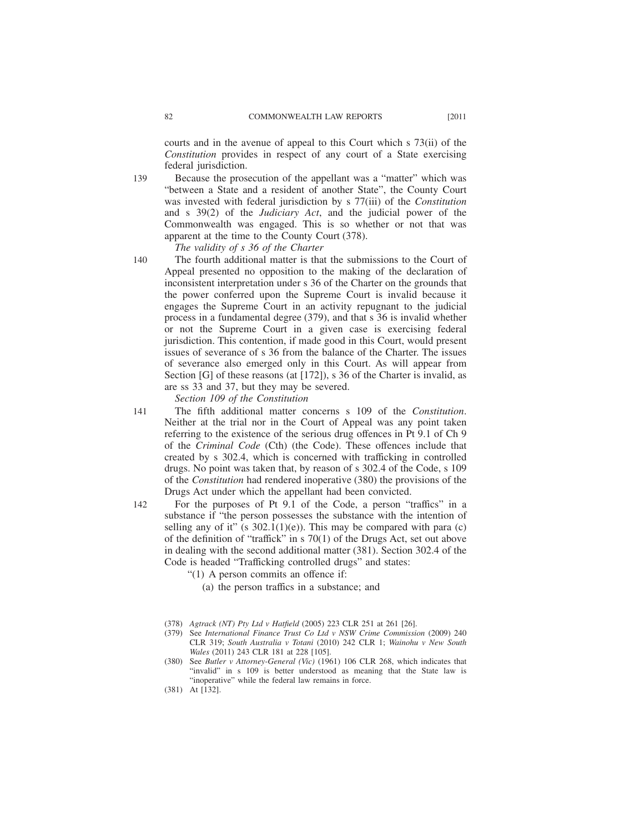courts and in the avenue of appeal to this Court which s 73(ii) of the *Constitution* provides in respect of any court of a State exercising federal jurisdiction.

Because the prosecution of the appellant was a "matter" which was "between a State and a resident of another State", the County Court was invested with federal jurisdiction by s 77(iii) of the *Constitution* and s 39(2) of the *Judiciary Act*, and the judicial power of the Commonwealth was engaged. This is so whether or not that was apparent at the time to the County Court (378). 139

*The validity of s 36 of the Charter*

140

The fourth additional matter is that the submissions to the Court of Appeal presented no opposition to the making of the declaration of inconsistent interpretation under s 36 of the Charter on the grounds that the power conferred upon the Supreme Court is invalid because it engages the Supreme Court in an activity repugnant to the judicial process in a fundamental degree (379), and that s 36 is invalid whether or not the Supreme Court in a given case is exercising federal jurisdiction. This contention, if made good in this Court, would present issues of severance of s 36 from the balance of the Charter. The issues of severance also emerged only in this Court. As will appear from Section [G] of these reasons (at [172]), s 36 of the Charter is invalid, as are ss 33 and 37, but they may be severed.

*Section 109 of the Constitution*

- The fifth additional matter concerns s 109 of the *Constitution*. Neither at the trial nor in the Court of Appeal was any point taken referring to the existence of the serious drug offences in Pt 9.1 of Ch 9 of the *Criminal Code* (Cth) (the Code). These offences include that created by s 302.4, which is concerned with trafficking in controlled drugs. No point was taken that, by reason of s 302.4 of the Code, s 109 of the *Constitution* had rendered inoperative (380) the provisions of the Drugs Act under which the appellant had been convicted. 141
- For the purposes of Pt 9.1 of the Code, a person "traffics" in a substance if "the person possesses the substance with the intention of selling any of it" (s  $302.1(1)(e)$ ). This may be compared with para (c) of the definition of "traffick" in s 70(1) of the Drugs Act, set out above in dealing with the second additional matter (381). Section 302.4 of the Code is headed "Trafficking controlled drugs" and states: 142

"(1) A person commits an offence if:

- (a) the person traffics in a substance; and
- (378) *Agtrack (NT) Pty Ltd v Hatfield* (2005) 223 CLR 251 at 261 [26].
- (379) See *International Finance Trust Co Ltd v NSW Crime Commission* (2009) 240 CLR 319; *South Australia v Totani* (2010) 242 CLR 1; *Wainohu v New South Wales* (2011) 243 CLR 181 at 228 [105].
- (380) See *Butler v Attorney-General (Vic)* (1961) 106 CLR 268, which indicates that "invalid" in s 109 is better understood as meaning that the State law is "inoperative" while the federal law remains in force.
- (381) At [132].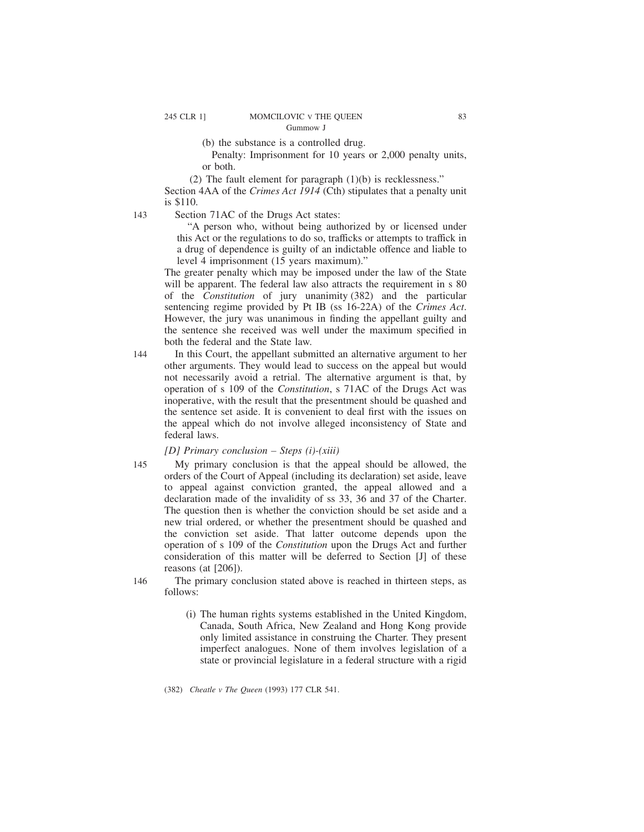(b) the substance is a controlled drug.

Penalty: Imprisonment for 10 years or 2,000 penalty units, or both.

(2) The fault element for paragraph (1)(b) is recklessness." Section 4AA of the *Crimes Act 1914* (Cth) stipulates that a penalty unit is \$110.

143

#### Section 71AC of the Drugs Act states:

"A person who, without being authorized by or licensed under this Act or the regulations to do so, trafficks or attempts to traffick in a drug of dependence is guilty of an indictable offence and liable to level 4 imprisonment (15 years maximum)."

The greater penalty which may be imposed under the law of the State will be apparent. The federal law also attracts the requirement in s 80 of the *Constitution* of jury unanimity (382) and the particular sentencing regime provided by Pt IB (ss 16-22A) of the *Crimes Act*. However, the jury was unanimous in finding the appellant guilty and the sentence she received was well under the maximum specified in both the federal and the State law.

In this Court, the appellant submitted an alternative argument to her other arguments. They would lead to success on the appeal but would not necessarily avoid a retrial. The alternative argument is that, by operation of s 109 of the *Constitution*, s 71AC of the Drugs Act was inoperative, with the result that the presentment should be quashed and the sentence set aside. It is convenient to deal first with the issues on the appeal which do not involve alleged inconsistency of State and federal laws. 144

#### *[D] Primary conclusion – Steps (i)-(xiii)*

- My primary conclusion is that the appeal should be allowed, the orders of the Court of Appeal (including its declaration) set aside, leave to appeal against conviction granted, the appeal allowed and a declaration made of the invalidity of ss 33, 36 and 37 of the Charter. The question then is whether the conviction should be set aside and a new trial ordered, or whether the presentment should be quashed and the conviction set aside. That latter outcome depends upon the operation of s 109 of the *Constitution* upon the Drugs Act and further consideration of this matter will be deferred to Section [J] of these reasons (at [206]).
- 146

145

The primary conclusion stated above is reached in thirteen steps, as follows:

(i) The human rights systems established in the United Kingdom, Canada, South Africa, New Zealand and Hong Kong provide only limited assistance in construing the Charter. They present imperfect analogues. None of them involves legislation of a state or provincial legislature in a federal structure with a rigid

(382) *Cheatle v The Queen* (1993) 177 CLR 541.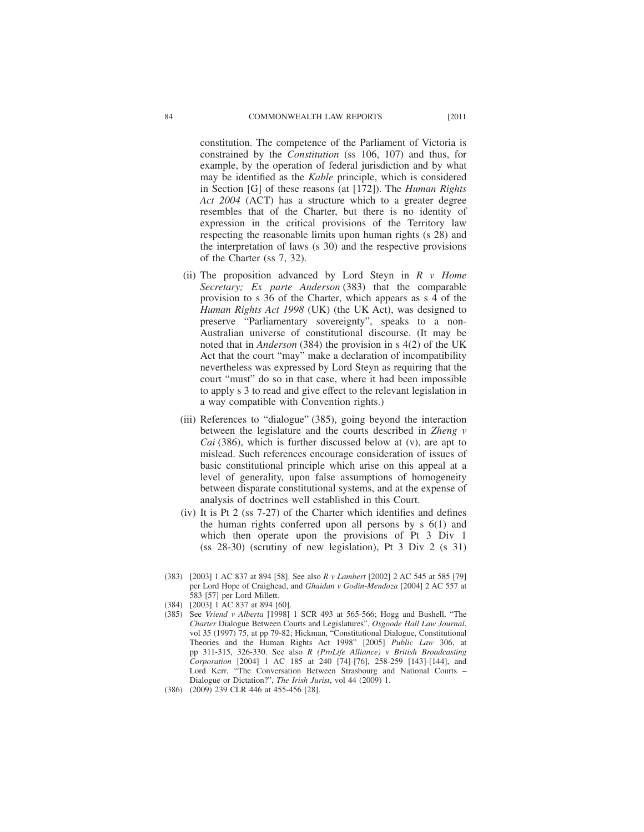constitution. The competence of the Parliament of Victoria is constrained by the *Constitution* (ss 106, 107) and thus, for example, by the operation of federal jurisdiction and by what may be identified as the *Kable* principle, which is considered in Section [G] of these reasons (at [172]). The *Human Rights Act 2004* (ACT) has a structure which to a greater degree resembles that of the Charter, but there is no identity of expression in the critical provisions of the Territory law respecting the reasonable limits upon human rights (s 28) and the interpretation of laws (s 30) and the respective provisions of the Charter (ss 7, 32).

- (ii) The proposition advanced by Lord Steyn in *R v Home Secretary; Ex parte Anderson* (383) that the comparable provision to s 36 of the Charter, which appears as s 4 of the *Human Rights Act 1998* (UK) (the UK Act), was designed to preserve "Parliamentary sovereignty", speaks to a non-Australian universe of constitutional discourse. (It may be noted that in *Anderson* (384) the provision in s 4(2) of the UK Act that the court "may" make a declaration of incompatibility nevertheless was expressed by Lord Steyn as requiring that the court "must" do so in that case, where it had been impossible to apply s 3 to read and give effect to the relevant legislation in a way compatible with Convention rights.)
- (iii) References to "dialogue" (385), going beyond the interaction between the legislature and the courts described in *Zheng v Cai* (386), which is further discussed below at (v), are apt to mislead. Such references encourage consideration of issues of basic constitutional principle which arise on this appeal at a level of generality, upon false assumptions of homogeneity between disparate constitutional systems, and at the expense of analysis of doctrines well established in this Court.
- (iv) It is Pt 2 (ss 7-27) of the Charter which identifies and defines the human rights conferred upon all persons by s 6(1) and which then operate upon the provisions of Pt 3 Div 1  $(ss 28-30)$  (scrutiny of new legislation), Pt 3 Div 2  $(s 31)$
- (383) [2003] 1 AC 837 at 894 [58]. See also *R v Lambert* [2002] 2 AC 545 at 585 [79] per Lord Hope of Craighead, and *Ghaidan v Godin-Mendoza* [2004] 2 AC 557 at 583 [57] per Lord Millett.
- (384) [2003] 1 AC 837 at 894 [60].
- (385) See *Vriend v Alberta* [1998] 1 SCR 493 at 565-566; Hogg and Bushell, "The *Charter* Dialogue Between Courts and Legislatures", *Osgoode Hall Law Journal*, vol 35 (1997) 75, at pp 79-82; Hickman, "Constitutional Dialogue, Constitutional Theories and the Human Rights Act 1998" [2005] *Public Law* 306, at pp 311-315, 326-330. See also *R (ProLife Alliance) v British Broadcasting Corporation* [2004] 1 AC 185 at 240 [74]-[76], 258-259 [143]-[144], and Lord Kerr, "The Conversation Between Strasbourg and National Courts – Dialogue or Dictation?", *The Irish Jurist*, vol 44 (2009) 1.
- (386) (2009) 239 CLR 446 at 455-456 [28].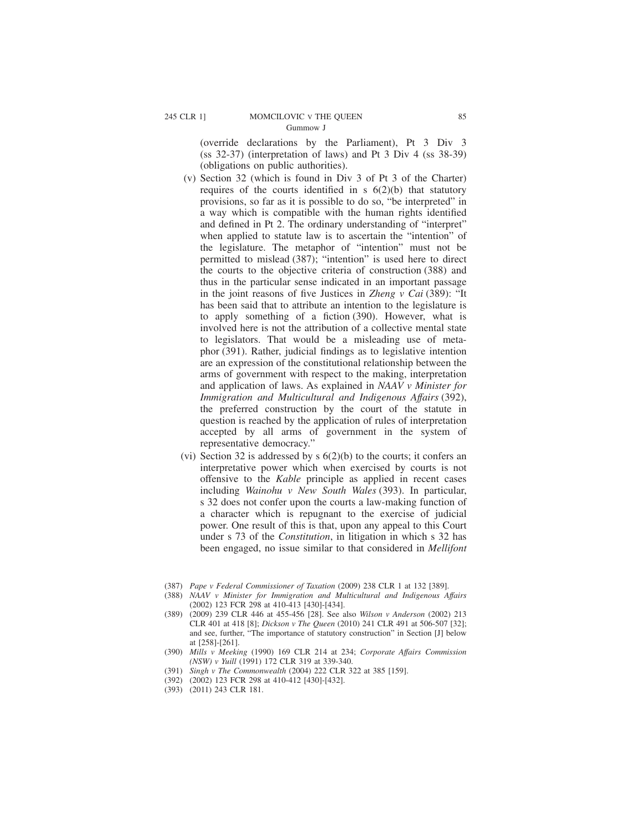(override declarations by the Parliament), Pt 3 Div 3 (ss 32-37) (interpretation of laws) and Pt 3 Div 4 (ss 38-39) (obligations on public authorities).

- (v) Section 32 (which is found in Div 3 of Pt 3 of the Charter) requires of the courts identified in  $s$   $6(2)(b)$  that statutory provisions, so far as it is possible to do so, "be interpreted" in a way which is compatible with the human rights identified and defined in Pt 2. The ordinary understanding of "interpret" when applied to statute law is to ascertain the "intention" of the legislature. The metaphor of "intention" must not be permitted to mislead (387); "intention" is used here to direct the courts to the objective criteria of construction (388) and thus in the particular sense indicated in an important passage in the joint reasons of five Justices in *Zheng v Cai* (389): "It has been said that to attribute an intention to the legislature is to apply something of a fiction (390). However, what is involved here is not the attribution of a collective mental state to legislators. That would be a misleading use of metaphor (391). Rather, judicial findings as to legislative intention are an expression of the constitutional relationship between the arms of government with respect to the making, interpretation and application of laws. As explained in *NAAV v Minister for Immigration and Multicultural and Indigenous Affairs* (392), the preferred construction by the court of the statute in question is reached by the application of rules of interpretation accepted by all arms of government in the system of representative democracy."
- (vi) Section 32 is addressed by  $s$  6(2)(b) to the courts; it confers an interpretative power which when exercised by courts is not offensive to the *Kable* principle as applied in recent cases including *Wainohu v New South Wales* (393). In particular, s 32 does not confer upon the courts a law-making function of a character which is repugnant to the exercise of judicial power. One result of this is that, upon any appeal to this Court under s 73 of the *Constitution*, in litigation in which s 32 has been engaged, no issue similar to that considered in *Mellifont*
- (387) *Pape v Federal Commissioner of Taxation* (2009) 238 CLR 1 at 132 [389].
- (388) *NAAV v Minister for Immigration and Multicultural and Indigenous Affairs* (2002) 123 FCR 298 at 410-413 [430]-[434].
- (389) (2009) 239 CLR 446 at 455-456 [28]. See also *Wilson v Anderson* (2002) 213 CLR 401 at 418 [8]; *Dickson v The Queen* (2010) 241 CLR 491 at 506-507 [32]; and see, further, "The importance of statutory construction" in Section [J] below at [258]-[261].
- (390) *Mills v Meeking* (1990) 169 CLR 214 at 234; *Corporate Affairs Commission (NSW) v Yuill* (1991) 172 CLR 319 at 339-340.
- (391) *Singh v The Commonwealth* (2004) 222 CLR 322 at 385 [159].
- (392) (2002) 123 FCR 298 at 410-412 [430]-[432].
- (393) (2011) 243 CLR 181.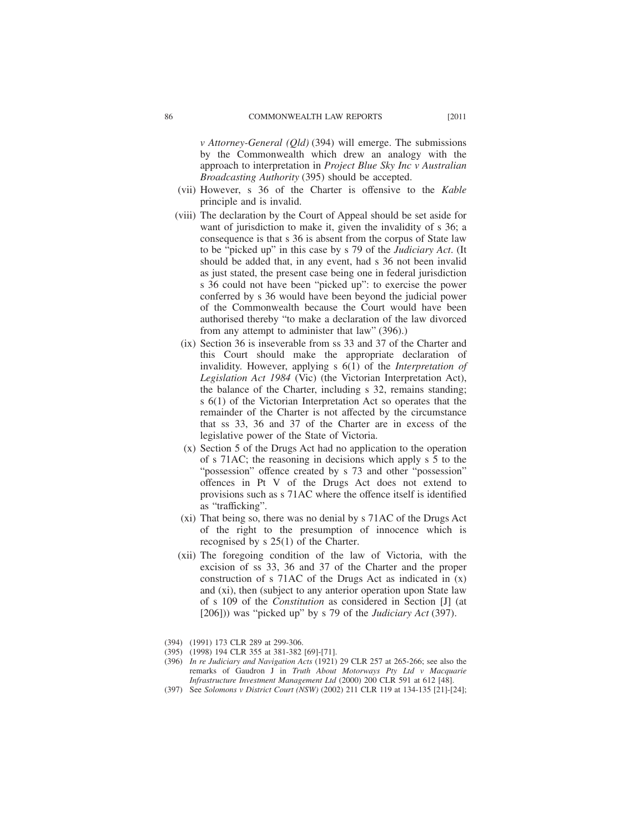*v Attorney-General (Qld)* (394) will emerge. The submissions by the Commonwealth which drew an analogy with the approach to interpretation in *Project Blue Sky Inc v Australian Broadcasting Authority* (395) should be accepted.

- (vii) However, s 36 of the Charter is offensive to the *Kable* principle and is invalid.
- (viii) The declaration by the Court of Appeal should be set aside for want of jurisdiction to make it, given the invalidity of s 36; a consequence is that s 36 is absent from the corpus of State law to be "picked up" in this case by s 79 of the *Judiciary Act*. (It should be added that, in any event, had s 36 not been invalid as just stated, the present case being one in federal jurisdiction s 36 could not have been "picked up": to exercise the power conferred by s 36 would have been beyond the judicial power of the Commonwealth because the Court would have been authorised thereby "to make a declaration of the law divorced from any attempt to administer that law" (396).)
- (ix) Section 36 is inseverable from ss 33 and 37 of the Charter and this Court should make the appropriate declaration of invalidity. However, applying s 6(1) of the *Interpretation of Legislation Act 1984* (Vic) (the Victorian Interpretation Act), the balance of the Charter, including s 32, remains standing; s 6(1) of the Victorian Interpretation Act so operates that the remainder of the Charter is not affected by the circumstance that ss 33, 36 and 37 of the Charter are in excess of the legislative power of the State of Victoria.
- (x) Section 5 of the Drugs Act had no application to the operation of s 71AC; the reasoning in decisions which apply s 5 to the "possession" offence created by s 73 and other "possession" offences in Pt V of the Drugs Act does not extend to provisions such as s 71AC where the offence itself is identified as "trafficking".
- (xi) That being so, there was no denial by s 71AC of the Drugs Act of the right to the presumption of innocence which is recognised by s 25(1) of the Charter.
- (xii) The foregoing condition of the law of Victoria, with the excision of ss 33, 36 and 37 of the Charter and the proper construction of s 71AC of the Drugs Act as indicated in (x) and (xi), then (subject to any anterior operation upon State law of s 109 of the *Constitution* as considered in Section [J] (at [206])) was "picked up" by s 79 of the *Judiciary Act* (397).

(397) See *Solomons v District Court (NSW)* (2002) 211 CLR 119 at 134-135 [21]-[24];

<sup>(394) (1991) 173</sup> CLR 289 at 299-306.

<sup>(395) (1998) 194</sup> CLR 355 at 381-382 [69]-[71].

<sup>(396)</sup> *In re Judiciary and Navigation Acts* (1921) 29 CLR 257 at 265-266; see also the remarks of Gaudron J in *Truth About Motorways Pty Ltd v Macquarie Infrastructure Investment Management Ltd* (2000) 200 CLR 591 at 612 [48].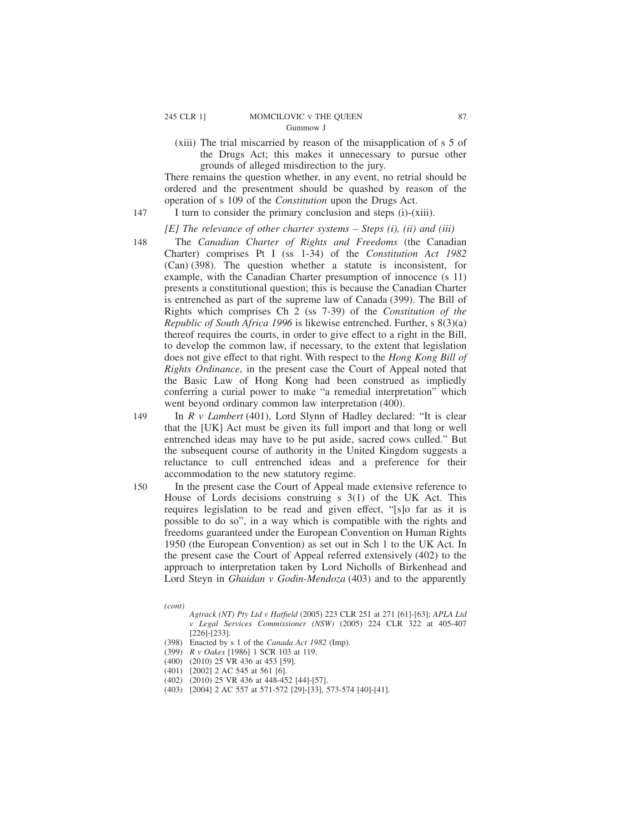148

(xiii) The trial miscarried by reason of the misapplication of s 5 of the Drugs Act; this makes it unnecessary to pursue other grounds of alleged misdirection to the jury.

There remains the question whether, in any event, no retrial should be ordered and the presentment should be quashed by reason of the operation of s 109 of the *Constitution* upon the Drugs Act.

#### I turn to consider the primary conclusion and steps (i)-(xiii). 147

*[E] The relevance of other charter systems – Steps (i), (ii) and (iii)*

- The *Canadian Charter of Rights and Freedoms* (the Canadian Charter) comprises Pt I (ss 1-34) of the *Constitution Act 1982* (Can) (398). The question whether a statute is inconsistent, for example, with the Canadian Charter presumption of innocence (s 11) presents a constitutional question; this is because the Canadian Charter is entrenched as part of the supreme law of Canada (399). The Bill of Rights which comprises Ch 2 (ss 7-39) of the *Constitution of the Republic of South Africa 1996* is likewise entrenched. Further, s 8(3)(a) thereof requires the courts, in order to give effect to a right in the Bill, to develop the common law, if necessary, to the extent that legislation does not give effect to that right. With respect to the *Hong Kong Bill of Rights Ordinance*, in the present case the Court of Appeal noted that the Basic Law of Hong Kong had been construed as impliedly conferring a curial power to make "a remedial interpretation" which went beyond ordinary common law interpretation (400).
- In *R v Lambert* (401), Lord Slynn of Hadley declared: "It is clear that the [UK] Act must be given its full import and that long or well entrenched ideas may have to be put aside, sacred cows culled." But the subsequent course of authority in the United Kingdom suggests a reluctance to cull entrenched ideas and a preference for their accommodation to the new statutory regime. 149
- In the present case the Court of Appeal made extensive reference to House of Lords decisions construing s 3(1) of the UK Act. This requires legislation to be read and given effect, "[s]o far as it is possible to do so", in a way which is compatible with the rights and freedoms guaranteed under the European Convention on Human Rights 1950 (the European Convention) as set out in Sch 1 to the UK Act. In the present case the Court of Appeal referred extensively (402) to the approach to interpretation taken by Lord Nicholls of Birkenhead and Lord Steyn in *Ghaidan v Godin-Mendoza* (403) and to the apparently 150

- *Agtrack (NT) Pty Ltd v Hatfield* (2005) 223 CLR 251 at 271 [61]-[63]; *APLA Ltd v Legal Services Commissioner (NSW)* (2005) 224 CLR 322 at 405-407 [226]-[233].
- (398) Enacted by s 1 of the *Canada Act 1982* (Imp).
- (399) *R v Oakes* [1986] 1 SCR 103 at 119.
- (400) (2010) 25 VR 436 at 453 [59].
- (401) [2002] 2 AC 545 at 561 [6].
- (402) (2010) 25 VR 436 at 448-452 [44]-[57].
- (403) [2004] 2 AC 557 at 571-572 [29]-[33], 573-574 [40]-[41].

*<sup>(</sup>cont)*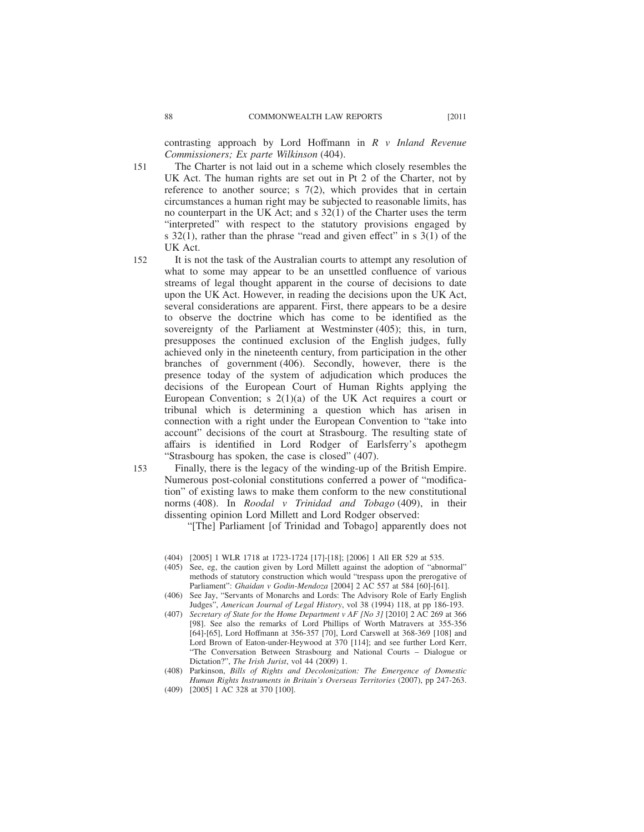contrasting approach by Lord Hoffmann in *R v Inland Revenue Commissioners; Ex parte Wilkinson* (404).

- The Charter is not laid out in a scheme which closely resembles the UK Act. The human rights are set out in Pt 2 of the Charter, not by reference to another source; s 7(2), which provides that in certain circumstances a human right may be subjected to reasonable limits, has no counterpart in the UK Act; and s 32(1) of the Charter uses the term "interpreted" with respect to the statutory provisions engaged by s 32(1), rather than the phrase "read and given effect" in s 3(1) of the UK Act. 151
- 152
- It is not the task of the Australian courts to attempt any resolution of what to some may appear to be an unsettled confluence of various streams of legal thought apparent in the course of decisions to date upon the UK Act. However, in reading the decisions upon the UK Act, several considerations are apparent. First, there appears to be a desire to observe the doctrine which has come to be identified as the sovereignty of the Parliament at Westminster (405); this, in turn, presupposes the continued exclusion of the English judges, fully achieved only in the nineteenth century, from participation in the other branches of government (406). Secondly, however, there is the presence today of the system of adjudication which produces the decisions of the European Court of Human Rights applying the European Convention; s  $2(1)(a)$  of the UK Act requires a court or tribunal which is determining a question which has arisen in connection with a right under the European Convention to "take into account" decisions of the court at Strasbourg. The resulting state of affairs is identified in Lord Rodger of Earlsferry's apothegm "Strasbourg has spoken, the case is closed" (407).
- Finally, there is the legacy of the winding-up of the British Empire. Numerous post-colonial constitutions conferred a power of "modification" of existing laws to make them conform to the new constitutional norms (408). In *Roodal v Trinidad and Tobago* (409), in their dissenting opinion Lord Millett and Lord Rodger observed: 153

"[The] Parliament [of Trinidad and Tobago] apparently does not

- (404) [2005] 1 WLR 1718 at 1723-1724 [17]-[18]; [2006] 1 All ER 529 at 535.
- (405) See, eg, the caution given by Lord Millett against the adoption of "abnormal" methods of statutory construction which would "trespass upon the prerogative of Parliament": *Ghaidan v Godin-Mendoza* [2004] 2 AC 557 at 584 [60]-[61].
- (406) See Jay, "Servants of Monarchs and Lords: The Advisory Role of Early English Judges", *American Journal of Legal History*, vol 38 (1994) 118, at pp 186-193.
- (407) *Secretary of State for the Home Department v AF [No 3]* [2010] 2 AC 269 at 366 [98]. See also the remarks of Lord Phillips of Worth Matravers at 355-356 [64]-[65], Lord Hoffmann at 356-357 [70], Lord Carswell at 368-369 [108] and Lord Brown of Eaton-under-Heywood at 370 [114]; and see further Lord Kerr, "The Conversation Between Strasbourg and National Courts – Dialogue or Dictation?", *The Irish Jurist*, vol 44 (2009) 1.
- (408) Parkinson, *Bills of Rights and Decolonization: The Emergence of Domestic Human Rights Instruments in Britain's Overseas Territories* (2007), pp 247-263. (409) [2005] 1 AC 328 at 370 [100].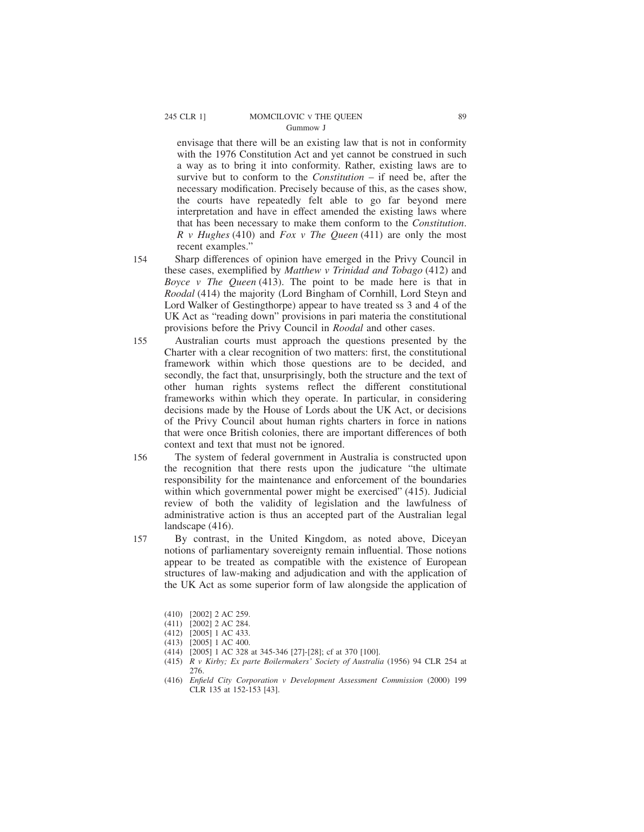#### 245 CLR 1] MOMCILOVIC V THE QUEEN 89 Gummow J

envisage that there will be an existing law that is not in conformity with the 1976 Constitution Act and yet cannot be construed in such a way as to bring it into conformity. Rather, existing laws are to survive but to conform to the *Constitution* – if need be, after the necessary modification. Precisely because of this, as the cases show, the courts have repeatedly felt able to go far beyond mere interpretation and have in effect amended the existing laws where that has been necessary to make them conform to the *Constitution*. *R v Hughes* (410) and *Fox v The Queen* (411) are only the most recent examples."

- Sharp differences of opinion have emerged in the Privy Council in these cases, exemplified by *Matthew v Trinidad and Tobago* (412) and *Boyce v The Queen* (413). The point to be made here is that in *Roodal* (414) the majority (Lord Bingham of Cornhill, Lord Steyn and Lord Walker of Gestingthorpe) appear to have treated ss 3 and 4 of the UK Act as "reading down" provisions in pari materia the constitutional provisions before the Privy Council in *Roodal* and other cases. 154
- Australian courts must approach the questions presented by the Charter with a clear recognition of two matters: first, the constitutional framework within which those questions are to be decided, and secondly, the fact that, unsurprisingly, both the structure and the text of other human rights systems reflect the different constitutional frameworks within which they operate. In particular, in considering decisions made by the House of Lords about the UK Act, or decisions of the Privy Council about human rights charters in force in nations that were once British colonies, there are important differences of both context and text that must not be ignored. 155
- The system of federal government in Australia is constructed upon the recognition that there rests upon the judicature "the ultimate responsibility for the maintenance and enforcement of the boundaries within which governmental power might be exercised" (415). Judicial review of both the validity of legislation and the lawfulness of administrative action is thus an accepted part of the Australian legal landscape (416). 156
- By contrast, in the United Kingdom, as noted above, Diceyan notions of parliamentary sovereignty remain influential. Those notions appear to be treated as compatible with the existence of European structures of law-making and adjudication and with the application of the UK Act as some superior form of law alongside the application of 157
	- (410) [2002] 2 AC 259.
	- (411) [2002] 2 AC 284.
	- (412) [2005] 1 AC 433.
	- (413) [2005] 1 AC 400.
	- (414) [2005] 1 AC 328 at 345-346 [27]-[28]; cf at 370 [100].
	- (415) *R v Kirby; Ex parte Boilermakers' Society of Australia* (1956) 94 CLR 254 at 276.
	- (416) *Enfield City Corporation v Development Assessment Commission* (2000) 199 CLR 135 at 152-153 [43].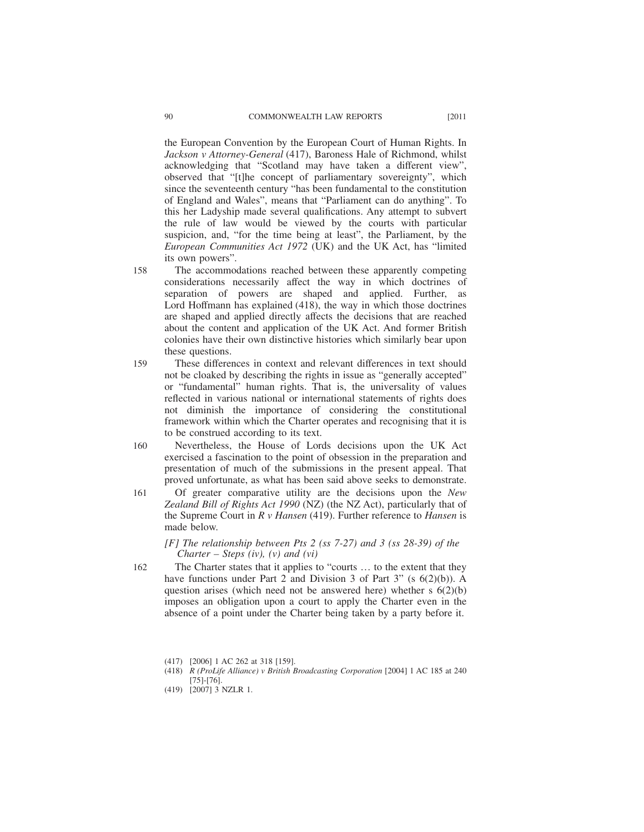the European Convention by the European Court of Human Rights. In *Jackson v Attorney-General* (417), Baroness Hale of Richmond, whilst acknowledging that "Scotland may have taken a different view", observed that "[t]he concept of parliamentary sovereignty", which since the seventeenth century "has been fundamental to the constitution of England and Wales", means that "Parliament can do anything". To this her Ladyship made several qualifications. Any attempt to subvert the rule of law would be viewed by the courts with particular suspicion, and, "for the time being at least", the Parliament, by the *European Communities Act 1972* (UK) and the UK Act, has "limited its own powers".

- The accommodations reached between these apparently competing considerations necessarily affect the way in which doctrines of separation of powers are shaped and applied. Further, as Lord Hoffmann has explained (418), the way in which those doctrines are shaped and applied directly affects the decisions that are reached about the content and application of the UK Act. And former British colonies have their own distinctive histories which similarly bear upon these questions. 158
- These differences in context and relevant differences in text should not be cloaked by describing the rights in issue as "generally accepted" or "fundamental" human rights. That is, the universality of values reflected in various national or international statements of rights does not diminish the importance of considering the constitutional framework within which the Charter operates and recognising that it is to be construed according to its text. 159
- Nevertheless, the House of Lords decisions upon the UK Act exercised a fascination to the point of obsession in the preparation and presentation of much of the submissions in the present appeal. That proved unfortunate, as what has been said above seeks to demonstrate. 160
- Of greater comparative utility are the decisions upon the *New Zealand Bill of Rights Act 1990* (NZ) (the NZ Act), particularly that of the Supreme Court in *R v Hansen* (419). Further reference to *Hansen* is made below. 161

*[F] The relationship between Pts 2 (ss 7-27) and 3 (ss 28-39) of the Charter – Steps (iv), (v) and (vi)*

The Charter states that it applies to "courts … to the extent that they have functions under Part 2 and Division 3 of Part 3" (s  $6(2)(b)$ ). A question arises (which need not be answered here) whether s  $6(2)(b)$ imposes an obligation upon a court to apply the Charter even in the absence of a point under the Charter being taken by a party before it. 162

(419) [2007] 3 NZLR 1.

<sup>(417) [2006] 1</sup> AC 262 at 318 [159].

<sup>(418)</sup> *R (ProLife Alliance) v British Broadcasting Corporation* [2004] 1 AC 185 at 240 [75]-[76].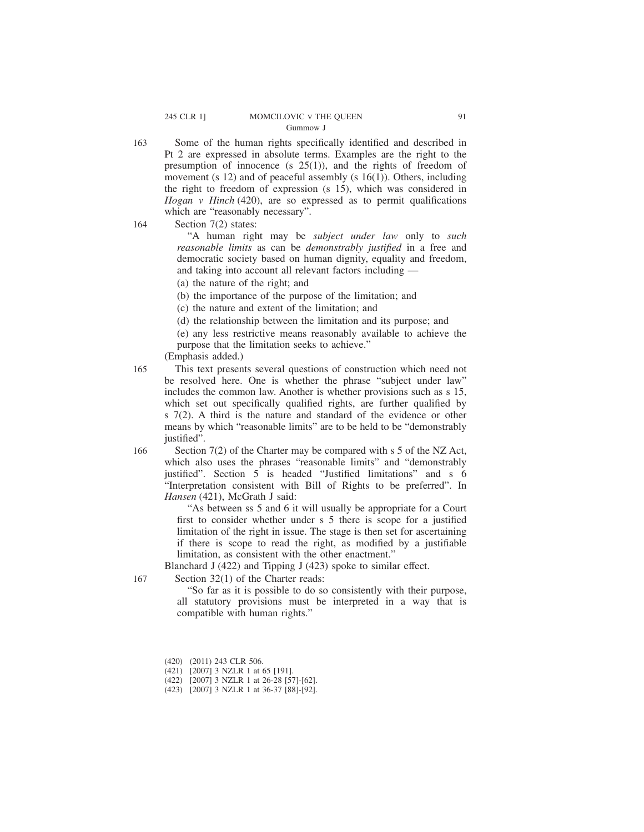#### 245 CLR 1] MOMCILOVIC V THE QUEEN 91 Gummow J

Some of the human rights specifically identified and described in Pt 2 are expressed in absolute terms. Examples are the right to the presumption of innocence (s  $25(1)$ ), and the rights of freedom of movement (s 12) and of peaceful assembly (s 16(1)). Others, including the right to freedom of expression (s 15), which was considered in *Hogan v Hinch* (420), are so expressed as to permit qualifications which are "reasonably necessary". 163

164

165

166

167

Section 7(2) states:

"A human right may be *subject under law* only to *such reasonable limits* as can be *demonstrably justified* in a free and democratic society based on human dignity, equality and freedom, and taking into account all relevant factors including —

(a) the nature of the right; and

(b) the importance of the purpose of the limitation; and

(c) the nature and extent of the limitation; and

(d) the relationship between the limitation and its purpose; and

(e) any less restrictive means reasonably available to achieve the purpose that the limitation seeks to achieve."

(Emphasis added.)

This text presents several questions of construction which need not be resolved here. One is whether the phrase "subject under law" includes the common law. Another is whether provisions such as s 15, which set out specifically qualified rights, are further qualified by s 7(2). A third is the nature and standard of the evidence or other means by which "reasonable limits" are to be held to be "demonstrably justified".

Section 7(2) of the Charter may be compared with s 5 of the NZ Act, which also uses the phrases "reasonable limits" and "demonstrably justified". Section 5 is headed "Justified limitations" and s 6 "Interpretation consistent with Bill of Rights to be preferred". In *Hansen* (421), McGrath J said:

"As between ss 5 and 6 it will usually be appropriate for a Court first to consider whether under s 5 there is scope for a justified limitation of the right in issue. The stage is then set for ascertaining if there is scope to read the right, as modified by a justifiable limitation, as consistent with the other enactment."

Blanchard J (422) and Tipping J (423) spoke to similar effect.

Section 32(1) of the Charter reads:

"So far as it is possible to do so consistently with their purpose, all statutory provisions must be interpreted in a way that is compatible with human rights."

- (420) (2011) 243 CLR 506.
- (421) [2007] 3 NZLR 1 at 65 [191].

(423) [2007] 3 NZLR 1 at 36-37 [88]-[92].

<sup>(422) [2007] 3</sup> NZLR 1 at 26-28 [57]-[62].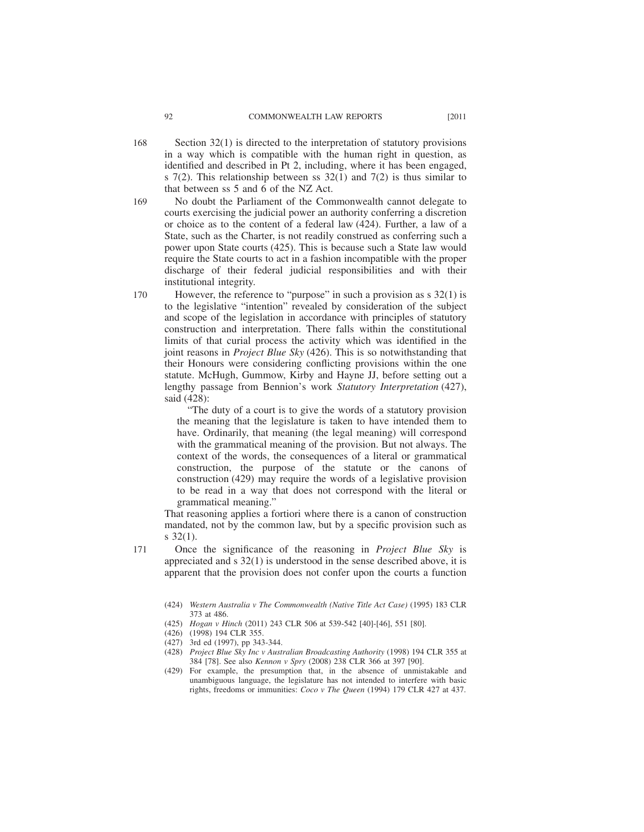- Section 32(1) is directed to the interpretation of statutory provisions in a way which is compatible with the human right in question, as identified and described in Pt 2, including, where it has been engaged, s  $7(2)$ . This relationship between ss  $32(1)$  and  $7(2)$  is thus similar to that between ss 5 and 6 of the NZ Act. 168
- No doubt the Parliament of the Commonwealth cannot delegate to courts exercising the judicial power an authority conferring a discretion or choice as to the content of a federal law (424). Further, a law of a State, such as the Charter, is not readily construed as conferring such a power upon State courts (425). This is because such a State law would require the State courts to act in a fashion incompatible with the proper discharge of their federal judicial responsibilities and with their institutional integrity. 169
- However, the reference to "purpose" in such a provision as s 32(1) is to the legislative "intention" revealed by consideration of the subject and scope of the legislation in accordance with principles of statutory construction and interpretation. There falls within the constitutional limits of that curial process the activity which was identified in the joint reasons in *Project Blue Sky* (426). This is so notwithstanding that their Honours were considering conflicting provisions within the one statute. McHugh, Gummow, Kirby and Hayne JJ, before setting out a lengthy passage from Bennion's work *Statutory Interpretation* (427), said (428): 170

"The duty of a court is to give the words of a statutory provision the meaning that the legislature is taken to have intended them to have. Ordinarily, that meaning (the legal meaning) will correspond with the grammatical meaning of the provision. But not always. The context of the words, the consequences of a literal or grammatical construction, the purpose of the statute or the canons of construction (429) may require the words of a legislative provision to be read in a way that does not correspond with the literal or grammatical meaning."

That reasoning applies a fortiori where there is a canon of construction mandated, not by the common law, but by a specific provision such as s 32(1).

- Once the significance of the reasoning in *Project Blue Sky* is appreciated and s 32(1) is understood in the sense described above, it is apparent that the provision does not confer upon the courts a function 171
	- (424) *Western Australia v The Commonwealth (Native Title Act Case)* (1995) 183 CLR 373 at 486.
	- (425) *Hogan v Hinch* (2011) 243 CLR 506 at 539-542 [40]-[46], 551 [80].
	- (426) (1998) 194 CLR 355.
	- (427) 3rd ed (1997), pp 343-344.
	- (428) *Project Blue Sky Inc v Australian Broadcasting Authority* (1998) 194 CLR 355 at 384 [78]. See also *Kennon v Spry* (2008) 238 CLR 366 at 397 [90].
	- (429) For example, the presumption that, in the absence of unmistakable and unambiguous language, the legislature has not intended to interfere with basic rights, freedoms or immunities: *Coco v The Queen* (1994) 179 CLR 427 at 437.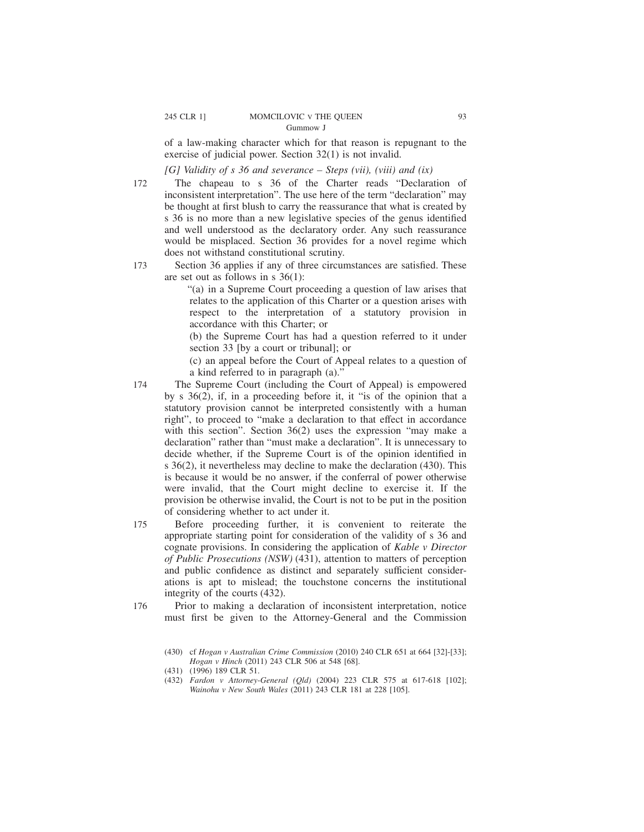172

of a law-making character which for that reason is repugnant to the exercise of judicial power. Section 32(1) is not invalid.

*[G] Validity of s 36 and severance – Steps (vii), (viii) and (ix)*

The chapeau to s 36 of the Charter reads "Declaration of inconsistent interpretation". The use here of the term "declaration" may be thought at first blush to carry the reassurance that what is created by s 36 is no more than a new legislative species of the genus identified and well understood as the declaratory order. Any such reassurance would be misplaced. Section 36 provides for a novel regime which does not withstand constitutional scrutiny.

Section 36 applies if any of three circumstances are satisfied. These are set out as follows in s 36(1): 173

> "(a) in a Supreme Court proceeding a question of law arises that relates to the application of this Charter or a question arises with respect to the interpretation of a statutory provision in accordance with this Charter; or

> (b) the Supreme Court has had a question referred to it under section 33 [by a court or tribunal]; or

> (c) an appeal before the Court of Appeal relates to a question of a kind referred to in paragraph (a)."

- The Supreme Court (including the Court of Appeal) is empowered by s 36(2), if, in a proceeding before it, it "is of the opinion that a statutory provision cannot be interpreted consistently with a human right", to proceed to "make a declaration to that effect in accordance with this section". Section 36(2) uses the expression "may make a declaration" rather than "must make a declaration". It is unnecessary to decide whether, if the Supreme Court is of the opinion identified in s 36(2), it nevertheless may decline to make the declaration (430). This is because it would be no answer, if the conferral of power otherwise were invalid, that the Court might decline to exercise it. If the provision be otherwise invalid, the Court is not to be put in the position of considering whether to act under it. 174
- Before proceeding further, it is convenient to reiterate the appropriate starting point for consideration of the validity of s 36 and cognate provisions. In considering the application of *Kable v Director of Public Prosecutions (NSW)* (431), attention to matters of perception and public confidence as distinct and separately sufficient considerations is apt to mislead; the touchstone concerns the institutional integrity of the courts (432). 175
- Prior to making a declaration of inconsistent interpretation, notice must first be given to the Attorney-General and the Commission 176

<sup>(430)</sup> cf *Hogan v Australian Crime Commission* (2010) 240 CLR 651 at 664 [32]-[33]; *Hogan v Hinch* (2011) 243 CLR 506 at 548 [68].

<sup>(431) (1996) 189</sup> CLR 51.

<sup>(432)</sup> *Fardon v Attorney-General (Qld)* (2004) 223 CLR 575 at 617-618 [102]; *Wainohu v New South Wales* (2011) 243 CLR 181 at 228 [105].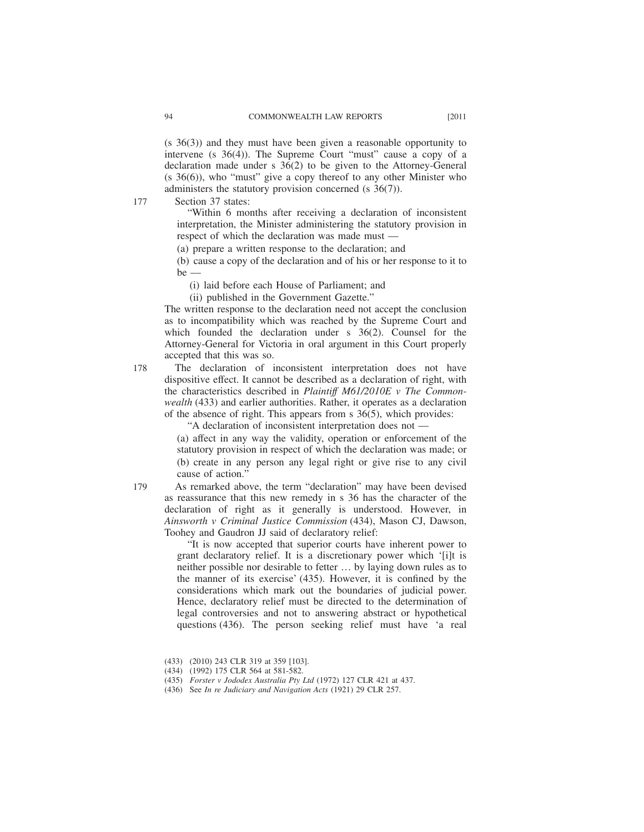(s 36(3)) and they must have been given a reasonable opportunity to intervene (s 36(4)). The Supreme Court "must" cause a copy of a declaration made under s 36(2) to be given to the Attorney-General (s 36(6)), who "must" give a copy thereof to any other Minister who administers the statutory provision concerned (s 36(7)).

Section 37 states:

"Within 6 months after receiving a declaration of inconsistent interpretation, the Minister administering the statutory provision in respect of which the declaration was made must —

(a) prepare a written response to the declaration; and

(b) cause a copy of the declaration and of his or her response to it to  $be$   $-$ 

(i) laid before each House of Parliament; and

(ii) published in the Government Gazette."

The written response to the declaration need not accept the conclusion as to incompatibility which was reached by the Supreme Court and which founded the declaration under s 36(2). Counsel for the Attorney-General for Victoria in oral argument in this Court properly accepted that this was so.

178

179

177

The declaration of inconsistent interpretation does not have dispositive effect. It cannot be described as a declaration of right, with the characteristics described in *Plaintiff M61/2010E v The Commonwealth* (433) and earlier authorities. Rather, it operates as a declaration of the absence of right. This appears from s 36(5), which provides:

"A declaration of inconsistent interpretation does not —

(a) affect in any way the validity, operation or enforcement of the statutory provision in respect of which the declaration was made; or (b) create in any person any legal right or give rise to any civil cause of action."

As remarked above, the term "declaration" may have been devised as reassurance that this new remedy in s 36 has the character of the declaration of right as it generally is understood. However, in *Ainsworth v Criminal Justice Commission* (434), Mason CJ, Dawson, Toohey and Gaudron JJ said of declaratory relief:

"It is now accepted that superior courts have inherent power to grant declaratory relief. It is a discretionary power which '[i]t is neither possible nor desirable to fetter … by laying down rules as to the manner of its exercise' (435). However, it is confined by the considerations which mark out the boundaries of judicial power. Hence, declaratory relief must be directed to the determination of legal controversies and not to answering abstract or hypothetical questions (436). The person seeking relief must have 'a real

<sup>(433) (2010) 243</sup> CLR 319 at 359 [103].

<sup>(434) (1992) 175</sup> CLR 564 at 581-582.

<sup>(435)</sup> *Forster v Jododex Australia Pty Ltd* (1972) 127 CLR 421 at 437.

<sup>(436)</sup> See *In re Judiciary and Navigation Acts* (1921) 29 CLR 257.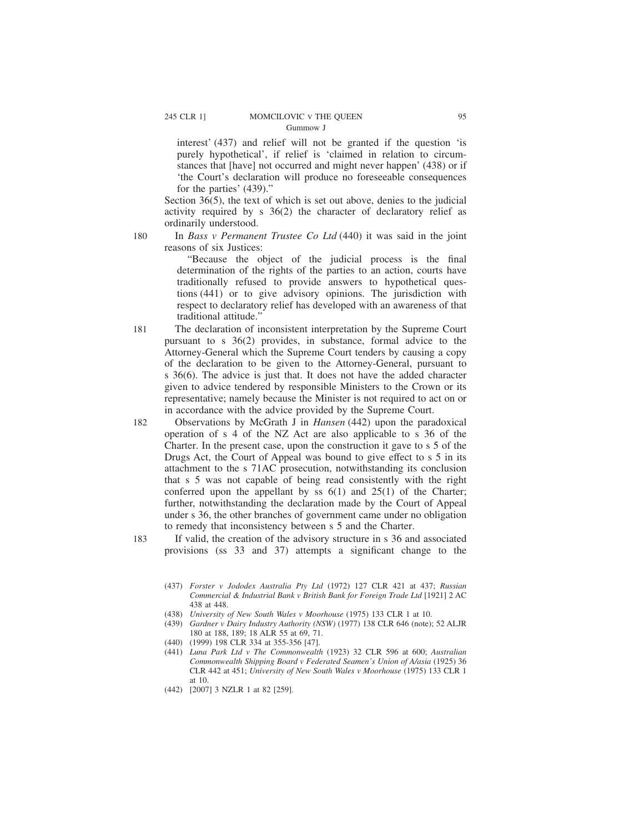interest' (437) and relief will not be granted if the question 'is purely hypothetical', if relief is 'claimed in relation to circumstances that [have] not occurred and might never happen' (438) or if 'the Court's declaration will produce no foreseeable consequences for the parties' (439)."

Section 36(5), the text of which is set out above, denies to the judicial activity required by s 36(2) the character of declaratory relief as ordinarily understood.

180

183

In *Bass v Permanent Trustee Co Ltd* (440) it was said in the joint reasons of six Justices:

"Because the object of the judicial process is the final determination of the rights of the parties to an action, courts have traditionally refused to provide answers to hypothetical questions (441) or to give advisory opinions. The jurisdiction with respect to declaratory relief has developed with an awareness of that traditional attitude."

- The declaration of inconsistent interpretation by the Supreme Court pursuant to s 36(2) provides, in substance, formal advice to the Attorney-General which the Supreme Court tenders by causing a copy of the declaration to be given to the Attorney-General, pursuant to s 36(6). The advice is just that. It does not have the added character given to advice tendered by responsible Ministers to the Crown or its representative; namely because the Minister is not required to act on or in accordance with the advice provided by the Supreme Court. 181
- Observations by McGrath J in *Hansen* (442) upon the paradoxical operation of s 4 of the NZ Act are also applicable to s 36 of the Charter. In the present case, upon the construction it gave to s 5 of the Drugs Act, the Court of Appeal was bound to give effect to s 5 in its attachment to the s 71AC prosecution, notwithstanding its conclusion that s 5 was not capable of being read consistently with the right conferred upon the appellant by ss  $6(1)$  and  $25(1)$  of the Charter; further, notwithstanding the declaration made by the Court of Appeal under s 36, the other branches of government came under no obligation to remedy that inconsistency between s 5 and the Charter. 182
	- If valid, the creation of the advisory structure in s 36 and associated provisions (ss 33 and 37) attempts a significant change to the
		- (437) *Forster v Jododex Australia Pty Ltd* (1972) 127 CLR 421 at 437; *Russian Commercial & Industrial Bank v British Bank for Foreign Trade Ltd* [1921] 2 AC 438 at 448.
		- (438) *University of New South Wales v Moorhouse* (1975) 133 CLR 1 at 10.
		- (439) *Gardner v Dairy Industry Authority (NSW)* (1977) 138 CLR 646 (note); 52 ALJR 180 at 188, 189; 18 ALR 55 at 69, 71.
		- (440) (1999) 198 CLR 334 at 355-356 [47].
		- (441) *Luna Park Ltd v The Commonwealth* (1923) 32 CLR 596 at 600; *Australian Commonwealth Shipping Board v Federated Seamen's Union of A/asia* (1925) 36 CLR 442 at 451; *University of New South Wales v Moorhouse* (1975) 133 CLR 1 at 10.
		- (442) [2007] 3 NZLR 1 at 82 [259].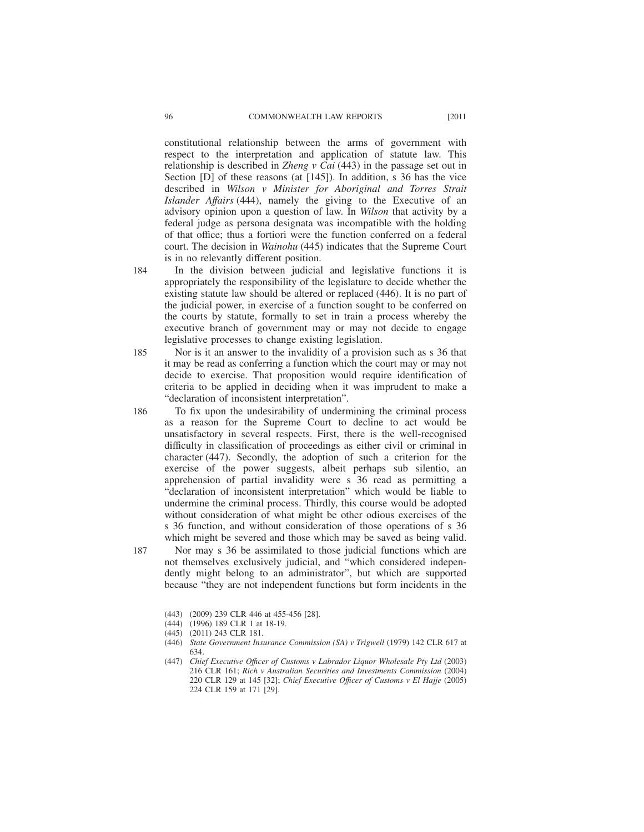constitutional relationship between the arms of government with respect to the interpretation and application of statute law. This relationship is described in *Zheng v Cai* (443) in the passage set out in Section [D] of these reasons (at [145]). In addition, s 36 has the vice described in *Wilson v Minister for Aboriginal and Torres Strait Islander Affairs* (444), namely the giving to the Executive of an advisory opinion upon a question of law. In *Wilson* that activity by a federal judge as persona designata was incompatible with the holding of that office; thus a fortiori were the function conferred on a federal court. The decision in *Wainohu* (445) indicates that the Supreme Court is in no relevantly different position.

- In the division between judicial and legislative functions it is appropriately the responsibility of the legislature to decide whether the existing statute law should be altered or replaced (446). It is no part of the judicial power, in exercise of a function sought to be conferred on the courts by statute, formally to set in train a process whereby the executive branch of government may or may not decide to engage legislative processes to change existing legislation. 184
- Nor is it an answer to the invalidity of a provision such as s 36 that it may be read as conferring a function which the court may or may not decide to exercise. That proposition would require identification of criteria to be applied in deciding when it was imprudent to make a "declaration of inconsistent interpretation". 185

To fix upon the undesirability of undermining the criminal process as a reason for the Supreme Court to decline to act would be unsatisfactory in several respects. First, there is the well-recognised difficulty in classification of proceedings as either civil or criminal in character (447). Secondly, the adoption of such a criterion for the exercise of the power suggests, albeit perhaps sub silentio, an apprehension of partial invalidity were s 36 read as permitting a "declaration of inconsistent interpretation" which would be liable to undermine the criminal process. Thirdly, this course would be adopted without consideration of what might be other odious exercises of the s 36 function, and without consideration of those operations of s 36 which might be severed and those which may be saved as being valid. 186

Nor may s 36 be assimilated to those judicial functions which are not themselves exclusively judicial, and "which considered independently might belong to an administrator", but which are supported because "they are not independent functions but form incidents in the

- (444) (1996) 189 CLR 1 at 18-19.
- (445) (2011) 243 CLR 181.

- (446) *State Government Insurance Commission (SA) v Trigwell* (1979) 142 CLR 617 at 634.
- (447) *Chief Executive Offıcer of Customs v Labrador Liquor Wholesale Pty Ltd* (2003) 216 CLR 161; *Rich v Australian Securities and Investments Commission* (2004) 220 CLR 129 at 145 [32]; *Chief Executive Offıcer of Customs v El Hajje* (2005) 224 CLR 159 at 171 [29].

<sup>(443) (2009) 239</sup> CLR 446 at 455-456 [28].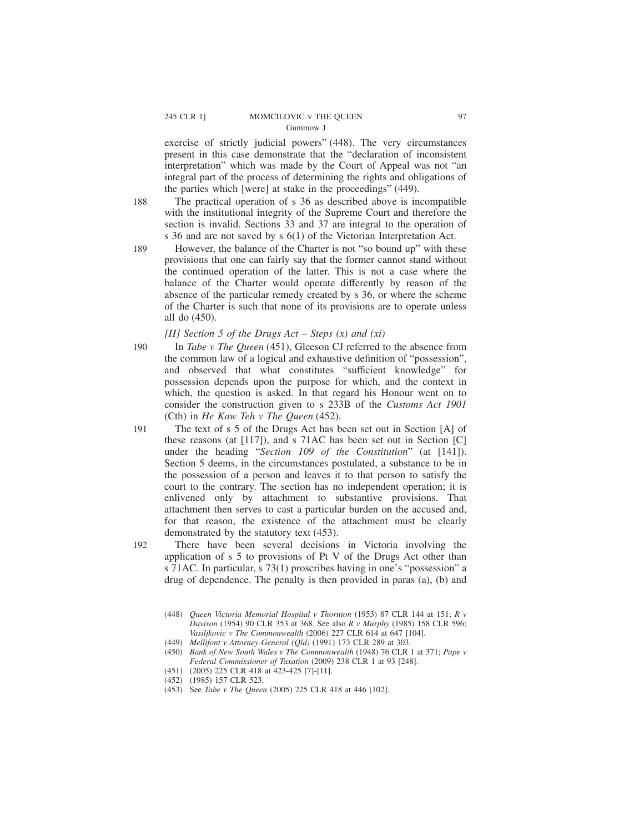188

189

192

#### 245 CLR 1] MOMCILOVIC V THE QUEEN 97 Gummow J

exercise of strictly judicial powers" (448). The very circumstances present in this case demonstrate that the "declaration of inconsistent interpretation" which was made by the Court of Appeal was not "an integral part of the process of determining the rights and obligations of the parties which [were] at stake in the proceedings" (449).

The practical operation of s 36 as described above is incompatible with the institutional integrity of the Supreme Court and therefore the section is invalid. Sections 33 and 37 are integral to the operation of s 36 and are not saved by s 6(1) of the Victorian Interpretation Act.

However, the balance of the Charter is not "so bound up" with these provisions that one can fairly say that the former cannot stand without the continued operation of the latter. This is not a case where the balance of the Charter would operate differently by reason of the absence of the particular remedy created by s 36, or where the scheme of the Charter is such that none of its provisions are to operate unless all do (450).

*[H] Section 5 of the Drugs Act – Steps (x) and (xi)*

- In *Tabe v The Queen* (451), Gleeson CJ referred to the absence from the common law of a logical and exhaustive definition of "possession", and observed that what constitutes "sufficient knowledge" for possession depends upon the purpose for which, and the context in which, the question is asked. In that regard his Honour went on to consider the construction given to s 233B of the *Customs Act 1901* (Cth) in *He Kaw Teh v The Queen* (452). 190
- The text of s 5 of the Drugs Act has been set out in Section [A] of these reasons (at [117]), and s 71AC has been set out in Section [C] under the heading "*Section 109 of the Constitution*" (at [141]). Section 5 deems, in the circumstances postulated, a substance to be in the possession of a person and leaves it to that person to satisfy the court to the contrary. The section has no independent operation; it is enlivened only by attachment to substantive provisions. That attachment then serves to cast a particular burden on the accused and, for that reason, the existence of the attachment must be clearly demonstrated by the statutory text (453). 191
	- There have been several decisions in Victoria involving the application of s 5 to provisions of Pt V of the Drugs Act other than s 71AC. In particular, s 73(1) proscribes having in one's "possession" a drug of dependence. The penalty is then provided in paras (a), (b) and
		- (448) *Queen Victoria Memorial Hospital v Thornton* (1953) 87 CLR 144 at 151; *R v Davison* (1954) 90 CLR 353 at 368. See also *R v Murphy* (1985) 158 CLR 596; *Vasiljkovic v The Commonwealth* (2006) 227 CLR 614 at 647 [104].
		- (449) *Mellifont v Attorney-General (Qld)* (1991) 173 CLR 289 at 303.
		- (450) *Bank of New South Wales v The Commonwealth* (1948) 76 CLR 1 at 371; *Pape v Federal Commissioner of Taxation* (2009) 238 CLR 1 at 93 [248].
		- (451) (2005) 225 CLR 418 at 423-425 [7]-[11].
		- (452) (1985) 157 CLR 523.
		- (453) See *Tabe v The Queen* (2005) 225 CLR 418 at 446 [102].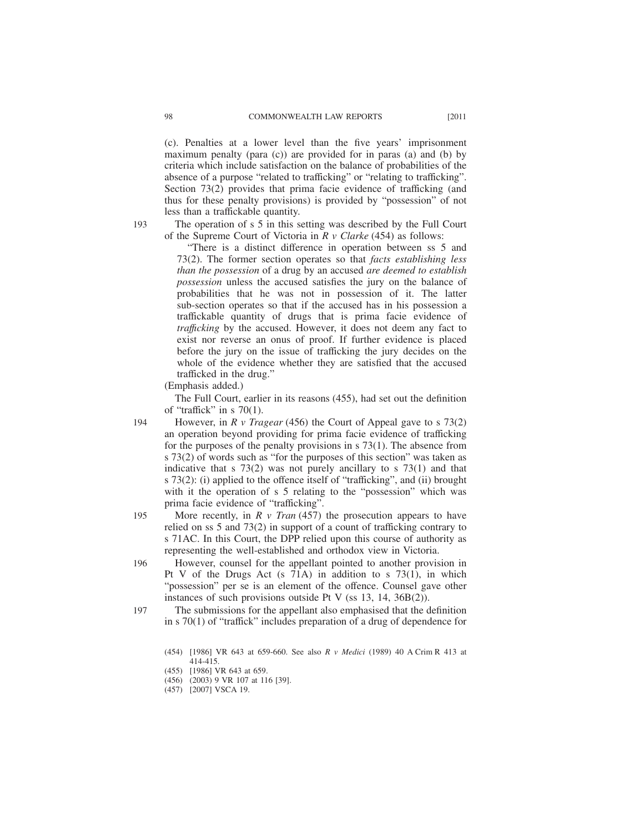(c). Penalties at a lower level than the five years' imprisonment maximum penalty (para (c)) are provided for in paras (a) and (b) by criteria which include satisfaction on the balance of probabilities of the absence of a purpose "related to trafficking" or "relating to trafficking". Section 73(2) provides that prima facie evidence of trafficking (and thus for these penalty provisions) is provided by "possession" of not less than a traffickable quantity.

193

The operation of s 5 in this setting was described by the Full Court of the Supreme Court of Victoria in *R v Clarke* (454) as follows:

"There is a distinct difference in operation between ss 5 and 73(2). The former section operates so that *facts establishing less than the possession* of a drug by an accused *are deemed to establish possession* unless the accused satisfies the jury on the balance of probabilities that he was not in possession of it. The latter sub-section operates so that if the accused has in his possession a traffickable quantity of drugs that is prima facie evidence of *traffıcking* by the accused. However, it does not deem any fact to exist nor reverse an onus of proof. If further evidence is placed before the jury on the issue of trafficking the jury decides on the whole of the evidence whether they are satisfied that the accused trafficked in the drug."

(Emphasis added.)

The Full Court, earlier in its reasons (455), had set out the definition of "traffick" in  $s$  70(1).

However, in *R v Tragear* (456) the Court of Appeal gave to s 73(2) an operation beyond providing for prima facie evidence of trafficking for the purposes of the penalty provisions in s 73(1). The absence from s 73(2) of words such as "for the purposes of this section" was taken as indicative that s 73(2) was not purely ancillary to s 73(1) and that s 73(2): (i) applied to the offence itself of "trafficking", and (ii) brought with it the operation of s 5 relating to the "possession" which was prima facie evidence of "trafficking".

- More recently, in  $R \nu$  *Tran* (457) the prosecution appears to have relied on ss 5 and 73(2) in support of a count of trafficking contrary to s 71AC. In this Court, the DPP relied upon this course of authority as representing the well-established and orthodox view in Victoria. 195
- However, counsel for the appellant pointed to another provision in Pt V of the Drugs Act (s 71A) in addition to s 73(1), in which "possession" per se is an element of the offence. Counsel gave other instances of such provisions outside Pt V (ss 13, 14, 36B(2)). 196
- The submissions for the appellant also emphasised that the definition in s 70(1) of "traffick" includes preparation of a drug of dependence for 197
	- (454) [1986] VR 643 at 659-660. See also *R v Medici* (1989) 40 A Crim R 413 at 414-415.
	- (455) [1986] VR 643 at 659.
	- (456) (2003) 9 VR 107 at 116 [39].
	- (457) [2007] VSCA 19.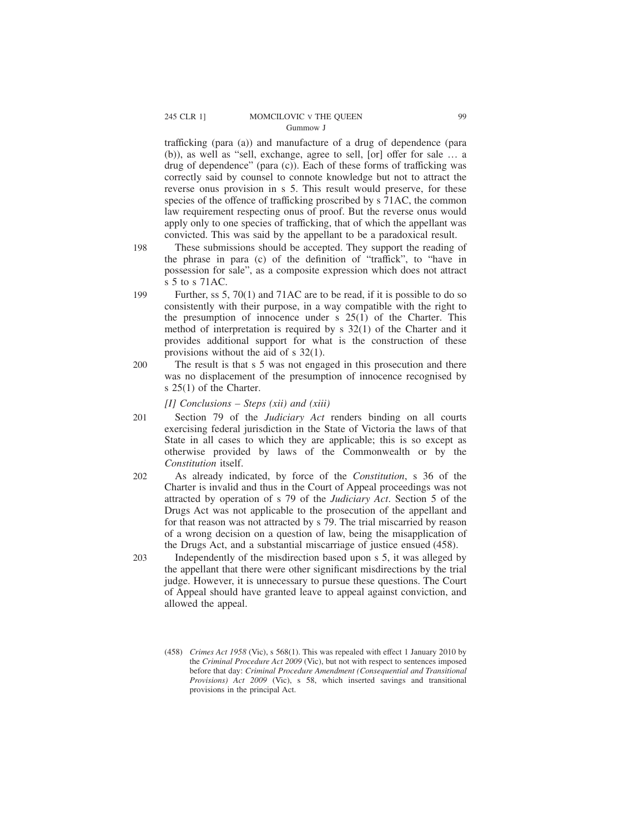#### 245 CLR 1] MOMCILOVIC V THE QUEEN 99 Gummow J

trafficking (para (a)) and manufacture of a drug of dependence (para (b)), as well as "sell, exchange, agree to sell, [or] offer for sale … a drug of dependence" (para (c)). Each of these forms of trafficking was correctly said by counsel to connote knowledge but not to attract the reverse onus provision in s 5. This result would preserve, for these species of the offence of trafficking proscribed by s 71AC, the common law requirement respecting onus of proof. But the reverse onus would apply only to one species of trafficking, that of which the appellant was convicted. This was said by the appellant to be a paradoxical result.

These submissions should be accepted. They support the reading of the phrase in para (c) of the definition of "traffick", to "have in possession for sale", as a composite expression which does not attract s 5 to s 71AC. 198

- Further, ss 5, 70(1) and 71AC are to be read, if it is possible to do so consistently with their purpose, in a way compatible with the right to the presumption of innocence under s  $25(1)$  of the Charter. This method of interpretation is required by s 32(1) of the Charter and it provides additional support for what is the construction of these provisions without the aid of s 32(1). 199
- The result is that s 5 was not engaged in this prosecution and there was no displacement of the presumption of innocence recognised by s 25(1) of the Charter. 200

*[I] Conclusions – Steps (xii) and (xiii)*

- Section 79 of the *Judiciary Act* renders binding on all courts exercising federal jurisdiction in the State of Victoria the laws of that State in all cases to which they are applicable; this is so except as otherwise provided by laws of the Commonwealth or by the *Constitution* itself. 201
- As already indicated, by force of the *Constitution*, s 36 of the Charter is invalid and thus in the Court of Appeal proceedings was not attracted by operation of s 79 of the *Judiciary Act*. Section 5 of the Drugs Act was not applicable to the prosecution of the appellant and for that reason was not attracted by s 79. The trial miscarried by reason of a wrong decision on a question of law, being the misapplication of the Drugs Act, and a substantial miscarriage of justice ensued (458). 202
- Independently of the misdirection based upon s 5, it was alleged by the appellant that there were other significant misdirections by the trial judge. However, it is unnecessary to pursue these questions. The Court of Appeal should have granted leave to appeal against conviction, and allowed the appeal. 203

<sup>(458)</sup> *Crimes Act 1958* (Vic), s 568(1). This was repealed with effect 1 January 2010 by the *Criminal Procedure Act 2009* (Vic), but not with respect to sentences imposed before that day: *Criminal Procedure Amendment (Consequential and Transitional Provisions) Act 2009* (Vic), s 58, which inserted savings and transitional provisions in the principal Act.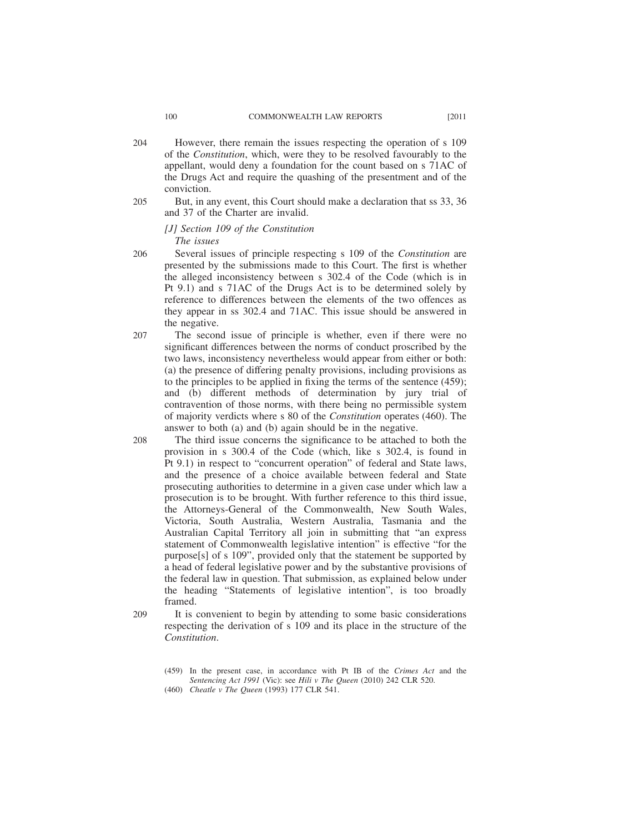- However, there remain the issues respecting the operation of s 109 of the *Constitution*, which, were they to be resolved favourably to the appellant, would deny a foundation for the count based on s 71AC of the Drugs Act and require the quashing of the presentment and of the conviction. 204
- But, in any event, this Court should make a declaration that ss 33, 36 and 37 of the Charter are invalid. 205

#### *[J] Section 109 of the Constitution*

*The issues*

- Several issues of principle respecting s 109 of the *Constitution* are presented by the submissions made to this Court. The first is whether the alleged inconsistency between s 302.4 of the Code (which is in Pt 9.1) and s 71AC of the Drugs Act is to be determined solely by reference to differences between the elements of the two offences as they appear in ss 302.4 and 71AC. This issue should be answered in the negative. 206
- The second issue of principle is whether, even if there were no significant differences between the norms of conduct proscribed by the two laws, inconsistency nevertheless would appear from either or both: (a) the presence of differing penalty provisions, including provisions as to the principles to be applied in fixing the terms of the sentence (459); and (b) different methods of determination by jury trial of contravention of those norms, with there being no permissible system of majority verdicts where s 80 of the *Constitution* operates (460). The answer to both (a) and (b) again should be in the negative. 207
- The third issue concerns the significance to be attached to both the provision in s 300.4 of the Code (which, like s 302.4, is found in Pt 9.1) in respect to "concurrent operation" of federal and State laws, and the presence of a choice available between federal and State prosecuting authorities to determine in a given case under which law a prosecution is to be brought. With further reference to this third issue, the Attorneys-General of the Commonwealth, New South Wales, Victoria, South Australia, Western Australia, Tasmania and the Australian Capital Territory all join in submitting that "an express statement of Commonwealth legislative intention" is effective "for the purpose[s] of s 109", provided only that the statement be supported by a head of federal legislative power and by the substantive provisions of the federal law in question. That submission, as explained below under the heading "Statements of legislative intention", is too broadly framed. 208
- 209

It is convenient to begin by attending to some basic considerations respecting the derivation of s 109 and its place in the structure of the *Constitution*.

(460) *Cheatle v The Queen* (1993) 177 CLR 541.

<sup>(459)</sup> In the present case, in accordance with Pt IB of the *Crimes Act* and the *Sentencing Act 1991* (Vic): see *Hili v The Queen* (2010) 242 CLR 520.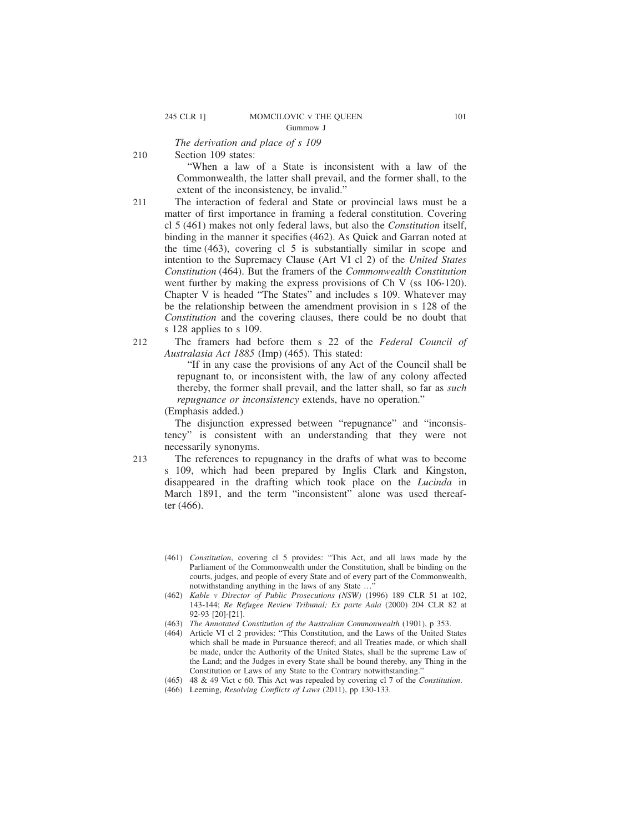# Gummow J

# *The derivation and place of s 109*

Section 109 states:

"When a law of a State is inconsistent with a law of the Commonwealth, the latter shall prevail, and the former shall, to the extent of the inconsistency, be invalid."

The interaction of federal and State or provincial laws must be a matter of first importance in framing a federal constitution. Covering cl 5 (461) makes not only federal laws, but also the *Constitution* itself, binding in the manner it specifies (462). As Quick and Garran noted at the time (463), covering cl 5 is substantially similar in scope and intention to the Supremacy Clause (Art VI cl 2) of the *United States Constitution* (464). But the framers of the *Commonwealth Constitution* went further by making the express provisions of Ch V (ss 106-120). Chapter V is headed "The States" and includes s 109. Whatever may be the relationship between the amendment provision in s 128 of the *Constitution* and the covering clauses, there could be no doubt that s 128 applies to s 109. 211

The framers had before them s 22 of the *Federal Council of Australasia Act 1885* (Imp) (465). This stated:

"If in any case the provisions of any Act of the Council shall be repugnant to, or inconsistent with, the law of any colony affected thereby, the former shall prevail, and the latter shall, so far as *such repugnance or inconsistency* extends, have no operation."

(Emphasis added.)

The disjunction expressed between "repugnance" and "inconsistency" is consistent with an understanding that they were not necessarily synonyms.

The references to repugnancy in the drafts of what was to become s 109, which had been prepared by Inglis Clark and Kingston, disappeared in the drafting which took place on the *Lucinda* in March 1891, and the term "inconsistent" alone was used thereafter (466).

- (461) *Constitution*, covering cl 5 provides: "This Act, and all laws made by the Parliament of the Commonwealth under the Constitution, shall be binding on the courts, judges, and people of every State and of every part of the Commonwealth, notwithstanding anything in the laws of any State ...
- (462) *Kable v Director of Public Prosecutions (NSW)* (1996) 189 CLR 51 at 102, 143-144; *Re Refugee Review Tribunal; Ex parte Aala* (2000) 204 CLR 82 at 92-93 [20]-[21].
- (463) *The Annotated Constitution of the Australian Commonwealth* (1901), p 353.
- (464) Article VI cl 2 provides: "This Constitution, and the Laws of the United States which shall be made in Pursuance thereof; and all Treaties made, or which shall be made, under the Authority of the United States, shall be the supreme Law of the Land; and the Judges in every State shall be bound thereby, any Thing in the Constitution or Laws of any State to the Contrary notwithstanding."
- (465) 48 & 49 Vict c 60. This Act was repealed by covering cl 7 of the *Constitution*.
- (466) Leeming, *Resolving Conflicts of Laws* (2011), pp 130-133.

212

213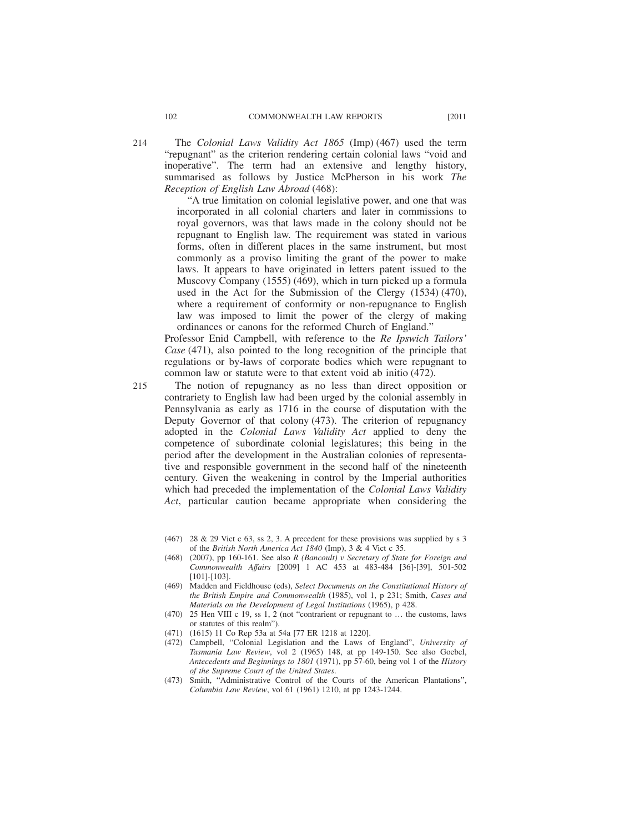The *Colonial Laws Validity Act 1865* (Imp) (467) used the term "repugnant" as the criterion rendering certain colonial laws "void and inoperative". The term had an extensive and lengthy history, summarised as follows by Justice McPherson in his work *The Reception of English Law Abroad* (468): 214

> "A true limitation on colonial legislative power, and one that was incorporated in all colonial charters and later in commissions to royal governors, was that laws made in the colony should not be repugnant to English law. The requirement was stated in various forms, often in different places in the same instrument, but most commonly as a proviso limiting the grant of the power to make laws. It appears to have originated in letters patent issued to the Muscovy Company (1555) (469), which in turn picked up a formula used in the Act for the Submission of the Clergy (1534) (470), where a requirement of conformity or non-repugnance to English law was imposed to limit the power of the clergy of making ordinances or canons for the reformed Church of England."

Professor Enid Campbell, with reference to the *Re Ipswich Tailors' Case* (471), also pointed to the long recognition of the principle that regulations or by-laws of corporate bodies which were repugnant to common law or statute were to that extent void ab initio (472).

The notion of repugnancy as no less than direct opposition or contrariety to English law had been urged by the colonial assembly in Pennsylvania as early as 1716 in the course of disputation with the Deputy Governor of that colony (473). The criterion of repugnancy adopted in the *Colonial Laws Validity Act* applied to deny the competence of subordinate colonial legislatures; this being in the period after the development in the Australian colonies of representative and responsible government in the second half of the nineteenth century. Given the weakening in control by the Imperial authorities which had preceded the implementation of the *Colonial Laws Validity Act*, particular caution became appropriate when considering the 215

- (467) 28 & 29 Vict c 63, ss 2, 3. A precedent for these provisions was supplied by s 3 of the *British North America Act 1840* (Imp), 3 & 4 Vict c 35.
- (468) (2007), pp 160-161. See also *R (Bancoult) v Secretary of State for Foreign and Commonwealth Affairs* [2009] 1 AC 453 at 483-484 [36]-[39], 501-502 [101]-[103].
- (469) Madden and Fieldhouse (eds), *Select Documents on the Constitutional History of the British Empire and Commonwealth* (1985), vol 1, p 231; Smith, *Cases and Materials on the Development of Legal Institutions* (1965), p 428.
- (470) 25 Hen VIII c 19, ss 1, 2 (not "contrarient or repugnant to … the customs, laws or statutes of this realm").
- (471) (1615) 11 Co Rep 53a at 54a [77 ER 1218 at 1220].
- (472) Campbell, "Colonial Legislation and the Laws of England", *University of Tasmania Law Review*, vol 2 (1965) 148, at pp 149-150. See also Goebel, *Antecedents and Beginnings to 1801* (1971), pp 57-60, being vol 1 of the *History of the Supreme Court of the United States*.
- (473) Smith, "Administrative Control of the Courts of the American Plantations", *Columbia Law Review*, vol 61 (1961) 1210, at pp 1243-1244.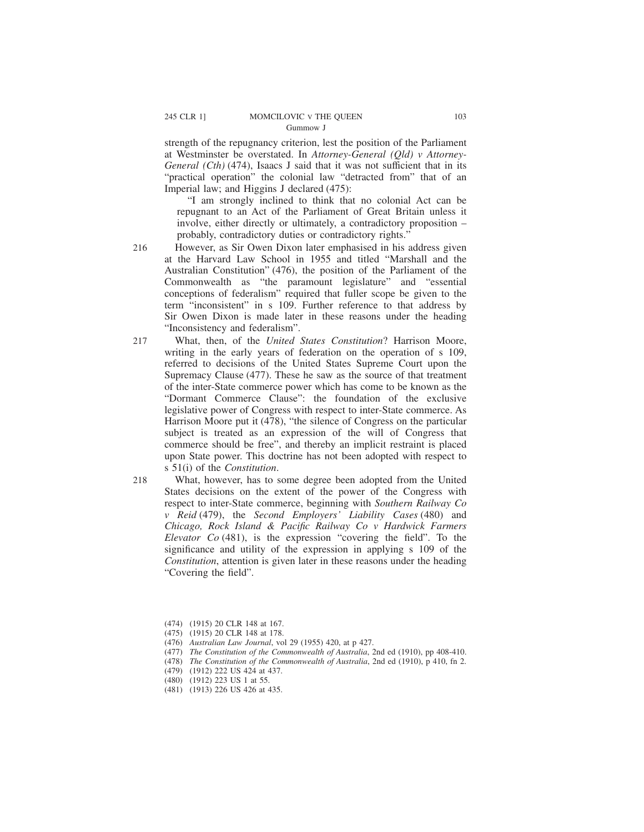strength of the repugnancy criterion, lest the position of the Parliament at Westminster be overstated. In *Attorney-General (Qld) v Attorney-General (Cth)* (474), Isaacs J said that it was not sufficient that in its "practical operation" the colonial law "detracted from" that of an Imperial law; and Higgins J declared (475):

"I am strongly inclined to think that no colonial Act can be repugnant to an Act of the Parliament of Great Britain unless it involve, either directly or ultimately, a contradictory proposition – probably, contradictory duties or contradictory rights."

216

218

However, as Sir Owen Dixon later emphasised in his address given at the Harvard Law School in 1955 and titled "Marshall and the Australian Constitution" (476), the position of the Parliament of the Commonwealth as "the paramount legislature" and "essential conceptions of federalism" required that fuller scope be given to the term "inconsistent" in s 109. Further reference to that address by Sir Owen Dixon is made later in these reasons under the heading "Inconsistency and federalism".

- What, then, of the *United States Constitution*? Harrison Moore, writing in the early years of federation on the operation of s 109, referred to decisions of the United States Supreme Court upon the Supremacy Clause (477). These he saw as the source of that treatment of the inter-State commerce power which has come to be known as the "Dormant Commerce Clause": the foundation of the exclusive legislative power of Congress with respect to inter-State commerce. As Harrison Moore put it (478), "the silence of Congress on the particular subject is treated as an expression of the will of Congress that commerce should be free", and thereby an implicit restraint is placed upon State power. This doctrine has not been adopted with respect to s 51(i) of the *Constitution*. 217
	- What, however, has to some degree been adopted from the United States decisions on the extent of the power of the Congress with respect to inter-State commerce, beginning with *Southern Railway Co v Reid* (479), the *Second Employers' Liability Cases* (480) and *Chicago, Rock Island & Pacific Railway Co v Hardwick Farmers Elevator Co* (481), is the expression "covering the field". To the significance and utility of the expression in applying s 109 of the *Constitution*, attention is given later in these reasons under the heading "Covering the field".

- (475) (1915) 20 CLR 148 at 178.
- (476) *Australian Law Journal*, vol 29 (1955) 420, at p 427.
- (477) *The Constitution of the Commonwealth of Australia*, 2nd ed (1910), pp 408-410.
- (478) *The Constitution of the Commonwealth of Australia*, 2nd ed (1910), p 410, fn 2.
- (479) (1912) 222 US 424 at 437.
- (480) (1912) 223 US 1 at 55.
- (481) (1913) 226 US 426 at 435.

<sup>(474) (1915) 20</sup> CLR 148 at 167.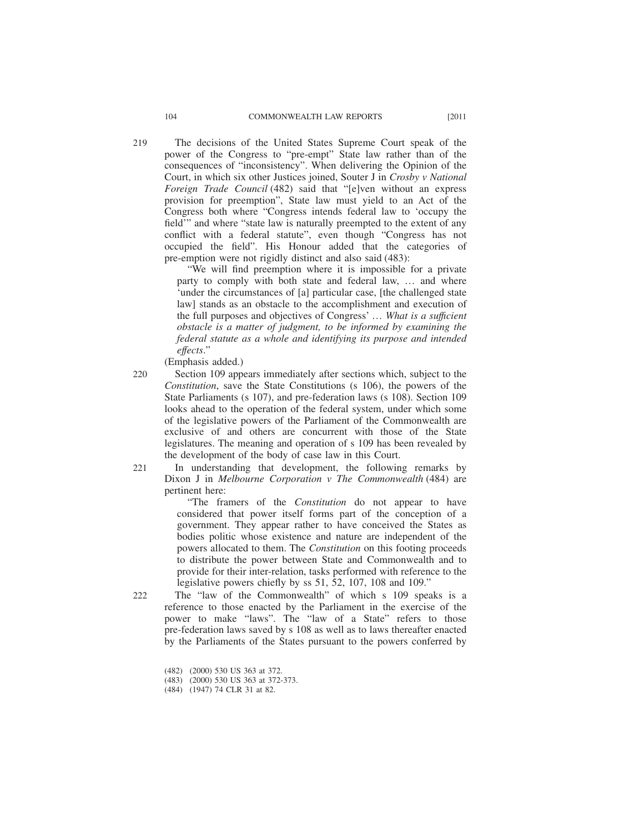The decisions of the United States Supreme Court speak of the power of the Congress to "pre-empt" State law rather than of the consequences of "inconsistency". When delivering the Opinion of the Court, in which six other Justices joined, Souter J in *Crosby v National Foreign Trade Council* (482) said that "[e]ven without an express provision for preemption", State law must yield to an Act of the Congress both where "Congress intends federal law to 'occupy the field'" and where "state law is naturally preempted to the extent of any conflict with a federal statute", even though "Congress has not occupied the field". His Honour added that the categories of pre-emption were not rigidly distinct and also said (483): 219

> "We will find preemption where it is impossible for a private party to comply with both state and federal law, … and where 'under the circumstances of [a] particular case, [the challenged state law] stands as an obstacle to the accomplishment and execution of the full purposes and objectives of Congress' … *What is a suffıcient obstacle is a matter of judgment, to be informed by examining the federal statute as a whole and identifying its purpose and intended effects*."

(Emphasis added.)

Section 109 appears immediately after sections which, subject to the *Constitution*, save the State Constitutions (s 106), the powers of the State Parliaments (s 107), and pre-federation laws (s 108). Section 109 looks ahead to the operation of the federal system, under which some of the legislative powers of the Parliament of the Commonwealth are exclusive of and others are concurrent with those of the State legislatures. The meaning and operation of s 109 has been revealed by the development of the body of case law in this Court.

In understanding that development, the following remarks by Dixon J in *Melbourne Corporation v The Commonwealth* (484) are pertinent here:

"The framers of the *Constitution* do not appear to have considered that power itself forms part of the conception of a government. They appear rather to have conceived the States as bodies politic whose existence and nature are independent of the powers allocated to them. The *Constitution* on this footing proceeds to distribute the power between State and Commonwealth and to provide for their inter-relation, tasks performed with reference to the legislative powers chiefly by ss 51, 52, 107, 108 and 109."

The "law of the Commonwealth" of which s 109 speaks is a reference to those enacted by the Parliament in the exercise of the power to make "laws". The "law of a State" refers to those pre-federation laws saved by s 108 as well as to laws thereafter enacted by the Parliaments of the States pursuant to the powers conferred by 222

220

<sup>(482) (2000) 530</sup> US 363 at 372.

<sup>(483) (2000) 530</sup> US 363 at 372-373.

<sup>(484) (1947) 74</sup> CLR 31 at 82.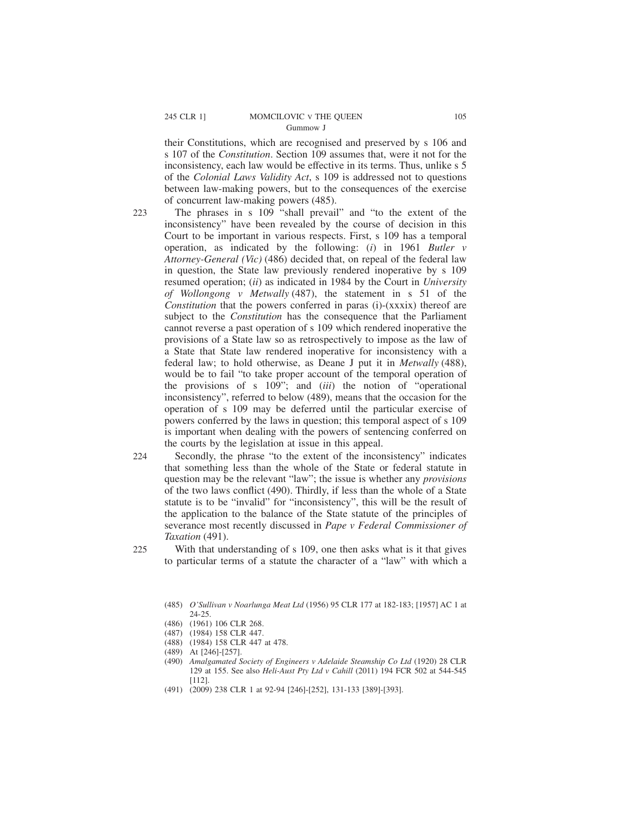#### 245 CLR 1] MOMCILOVIC V THE QUEEN 105 Gummow J

their Constitutions, which are recognised and preserved by s 106 and s 107 of the *Constitution*. Section 109 assumes that, were it not for the inconsistency, each law would be effective in its terms. Thus, unlike s 5 of the *Colonial Laws Validity Act*, s 109 is addressed not to questions between law-making powers, but to the consequences of the exercise of concurrent law-making powers (485).

223

The phrases in s 109 "shall prevail" and "to the extent of the inconsistency" have been revealed by the course of decision in this Court to be important in various respects. First, s 109 has a temporal operation, as indicated by the following: (*i*) in 1961 *Butler v Attorney-General (Vic)* (486) decided that, on repeal of the federal law in question, the State law previously rendered inoperative by s 109 resumed operation; (*ii*) as indicated in 1984 by the Court in *University of Wollongong v Metwally* (487), the statement in s 51 of the *Constitution* that the powers conferred in paras (i)-(xxxix) thereof are subject to the *Constitution* has the consequence that the Parliament cannot reverse a past operation of s 109 which rendered inoperative the provisions of a State law so as retrospectively to impose as the law of a State that State law rendered inoperative for inconsistency with a federal law; to hold otherwise, as Deane J put it in *Metwally* (488), would be to fail "to take proper account of the temporal operation of the provisions of s 109"; and (*iii*) the notion of "operational inconsistency", referred to below (489), means that the occasion for the operation of s 109 may be deferred until the particular exercise of powers conferred by the laws in question; this temporal aspect of s 109 is important when dealing with the powers of sentencing conferred on the courts by the legislation at issue in this appeal.

Secondly, the phrase "to the extent of the inconsistency" indicates that something less than the whole of the State or federal statute in question may be the relevant "law"; the issue is whether any *provisions* of the two laws conflict (490). Thirdly, if less than the whole of a State statute is to be "invalid" for "inconsistency", this will be the result of the application to the balance of the State statute of the principles of severance most recently discussed in *Pape v Federal Commissioner of Taxation* (491). 224

225

With that understanding of s 109, one then asks what is it that gives to particular terms of a statute the character of a "law" with which a

- (485) *O'Sullivan v Noarlunga Meat Ltd* (1956) 95 CLR 177 at 182-183; [1957] AC 1 at 24-25.
- (486) (1961) 106 CLR 268.
- (487) (1984) 158 CLR 447.
- (488) (1984) 158 CLR 447 at 478.
- (489) At [246]-[257].
- (490) *Amalgamated Society of Engineers v Adelaide Steamship Co Ltd* (1920) 28 CLR 129 at 155. See also *Heli-Aust Pty Ltd v Cahill* (2011) 194 FCR 502 at 544-545 [112].
- (491) (2009) 238 CLR 1 at 92-94 [246]-[252], 131-133 [389]-[393].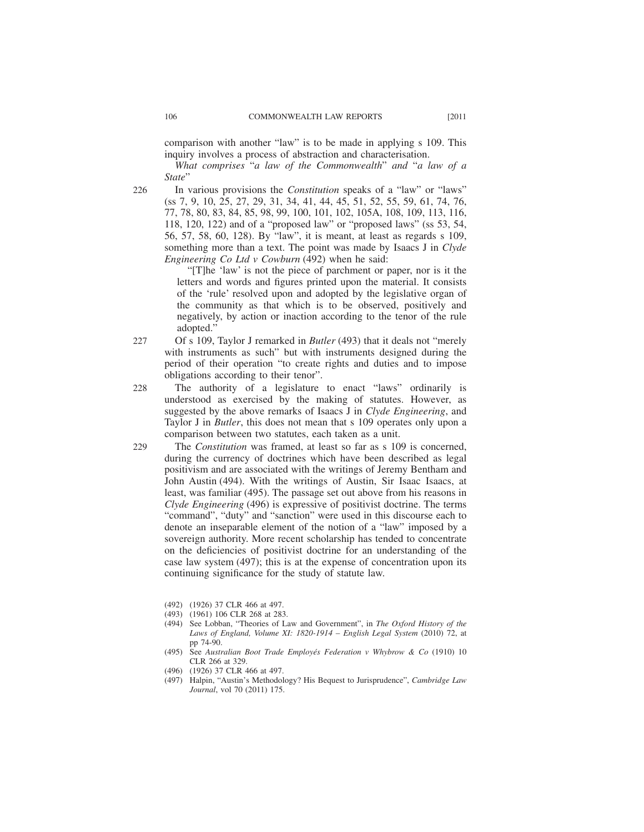comparison with another "law" is to be made in applying s 109. This inquiry involves a process of abstraction and characterisation.

*What comprises* "*a law of the Commonwealth*" *and* "*a law of a State*"

In various provisions the *Constitution* speaks of a "law" or "laws" (ss 7, 9, 10, 25, 27, 29, 31, 34, 41, 44, 45, 51, 52, 55, 59, 61, 74, 76, 77, 78, 80, 83, 84, 85, 98, 99, 100, 101, 102, 105A, 108, 109, 113, 116, 118, 120, 122) and of a "proposed law" or "proposed laws" (ss 53, 54, 56, 57, 58, 60, 128). By "law", it is meant, at least as regards s 109, something more than a text. The point was made by Isaacs J in *Clyde Engineering Co Ltd v Cowburn* (492) when he said:

"[T]he 'law' is not the piece of parchment or paper, nor is it the letters and words and figures printed upon the material. It consists of the 'rule' resolved upon and adopted by the legislative organ of the community as that which is to be observed, positively and negatively, by action or inaction according to the tenor of the rule adopted."

- Of s 109, Taylor J remarked in *Butler* (493) that it deals not "merely with instruments as such" but with instruments designed during the period of their operation "to create rights and duties and to impose obligations according to their tenor". 227
- The authority of a legislature to enact "laws" ordinarily is understood as exercised by the making of statutes. However, as suggested by the above remarks of Isaacs J in *Clyde Engineering*, and Taylor J in *Butler*, this does not mean that s 109 operates only upon a comparison between two statutes, each taken as a unit. 228
- The *Constitution* was framed, at least so far as s 109 is concerned, during the currency of doctrines which have been described as legal positivism and are associated with the writings of Jeremy Bentham and John Austin (494). With the writings of Austin, Sir Isaac Isaacs, at least, was familiar (495). The passage set out above from his reasons in *Clyde Engineering* (496) is expressive of positivist doctrine. The terms "command", "duty" and "sanction" were used in this discourse each to denote an inseparable element of the notion of a "law" imposed by a sovereign authority. More recent scholarship has tended to concentrate on the deficiencies of positivist doctrine for an understanding of the case law system (497); this is at the expense of concentration upon its continuing significance for the study of statute law. 229
	- (492) (1926) 37 CLR 466 at 497.
	- (493) (1961) 106 CLR 268 at 283.
	- (494) See Lobban, "Theories of Law and Government", in *The Oxford History of the Laws of England, Volume XI: 1820-1914 – English Legal System* (2010) 72, at pp 74-90.
	- (495) See *Australian Boot Trade Employés Federation v Whybrow & Co* (1910) 10 CLR 266 at 329.
	- (496) (1926) 37 CLR 466 at 497.
	- (497) Halpin, "Austin's Methodology? His Bequest to Jurisprudence", *Cambridge Law Journal*, vol 70 (2011) 175.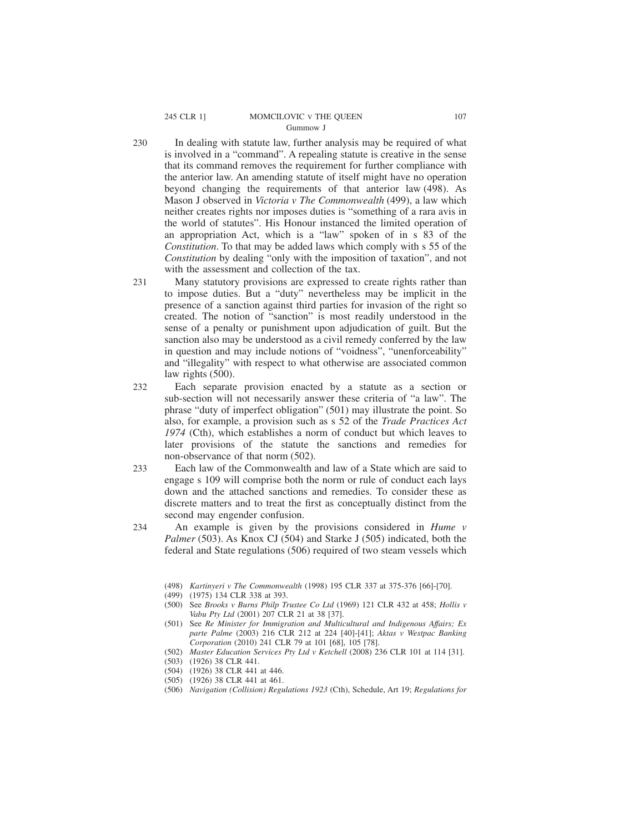#### 245 CLR 1] MOMCILOVIC V THE QUEEN 107 Gummow J

- In dealing with statute law, further analysis may be required of what is involved in a "command". A repealing statute is creative in the sense that its command removes the requirement for further compliance with the anterior law. An amending statute of itself might have no operation beyond changing the requirements of that anterior law (498). As Mason J observed in *Victoria v The Commonwealth* (499), a law which neither creates rights nor imposes duties is "something of a rara avis in the world of statutes". His Honour instanced the limited operation of an appropriation Act, which is a "law" spoken of in s 83 of the *Constitution*. To that may be added laws which comply with s 55 of the *Constitution* by dealing "only with the imposition of taxation", and not with the assessment and collection of the tax. 230
- Many statutory provisions are expressed to create rights rather than to impose duties. But a "duty" nevertheless may be implicit in the presence of a sanction against third parties for invasion of the right so created. The notion of "sanction" is most readily understood in the sense of a penalty or punishment upon adjudication of guilt. But the sanction also may be understood as a civil remedy conferred by the law in question and may include notions of "voidness", "unenforceability" and "illegality" with respect to what otherwise are associated common law rights (500). 231
- Each separate provision enacted by a statute as a section or sub-section will not necessarily answer these criteria of "a law". The phrase "duty of imperfect obligation" (501) may illustrate the point. So also, for example, a provision such as s 52 of the *Trade Practices Act 1974* (Cth), which establishes a norm of conduct but which leaves to later provisions of the statute the sanctions and remedies for non-observance of that norm (502). 232
- Each law of the Commonwealth and law of a State which are said to engage s 109 will comprise both the norm or rule of conduct each lays down and the attached sanctions and remedies. To consider these as discrete matters and to treat the first as conceptually distinct from the second may engender confusion. 233
- An example is given by the provisions considered in *Hume v Palmer* (503). As Knox CJ (504) and Starke J (505) indicated, both the federal and State regulations (506) required of two steam vessels which 234
	- (498) *Kartinyeri v The Commonwealth* (1998) 195 CLR 337 at 375-376 [66]-[70].
	- (499) (1975) 134 CLR 338 at 393.
	- (500) See *Brooks v Burns Philp Trustee Co Ltd* (1969) 121 CLR 432 at 458; *Hollis v Vabu Pty Ltd* (2001) 207 CLR 21 at 38 [37].
	- (501) See *Re Minister for Immigration and Multicultural and Indigenous Affairs; Ex parte Palme* (2003) 216 CLR 212 at 224 [40]-[41]; *Aktas v Westpac Banking Corporation* (2010) 241 CLR 79 at 101 [68], 105 [78].
	- (502) *Master Education Services Pty Ltd v Ketchell* (2008) 236 CLR 101 at 114 [31]. (503) (1926) 38 CLR 441.
	- (504) (1926) 38 CLR 441 at 446.
	- (505) (1926) 38 CLR 441 at 461.
	- (506) *Navigation (Collision) Regulations 1923* (Cth), Schedule, Art 19; *Regulations for*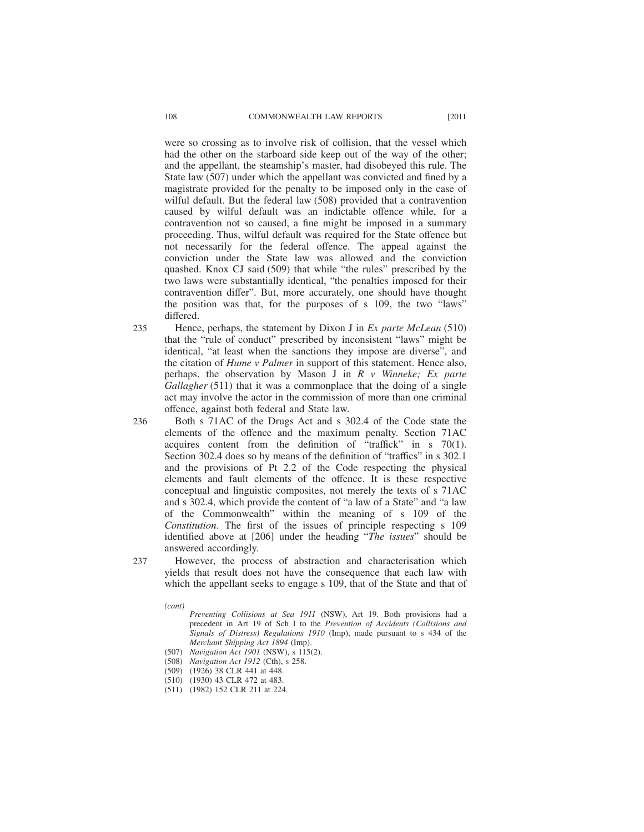were so crossing as to involve risk of collision, that the vessel which had the other on the starboard side keep out of the way of the other; and the appellant, the steamship's master, had disobeyed this rule. The State law (507) under which the appellant was convicted and fined by a magistrate provided for the penalty to be imposed only in the case of wilful default. But the federal law (508) provided that a contravention caused by wilful default was an indictable offence while, for a contravention not so caused, a fine might be imposed in a summary proceeding. Thus, wilful default was required for the State offence but not necessarily for the federal offence. The appeal against the conviction under the State law was allowed and the conviction quashed. Knox CJ said (509) that while "the rules" prescribed by the two laws were substantially identical, "the penalties imposed for their contravention differ". But, more accurately, one should have thought the position was that, for the purposes of s 109, the two "laws" differed.

- Hence, perhaps, the statement by Dixon J in *Ex parte McLean* (510) that the "rule of conduct" prescribed by inconsistent "laws" might be identical, "at least when the sanctions they impose are diverse", and the citation of *Hume v Palmer* in support of this statement. Hence also, perhaps, the observation by Mason J in *R v Winneke; Ex parte Gallagher* (511) that it was a commonplace that the doing of a single act may involve the actor in the commission of more than one criminal offence, against both federal and State law. 235
	- Both s 71AC of the Drugs Act and s 302.4 of the Code state the elements of the offence and the maximum penalty. Section 71AC acquires content from the definition of "traffick" in s 70(1). Section 302.4 does so by means of the definition of "traffics" in s 302.1 and the provisions of Pt 2.2 of the Code respecting the physical elements and fault elements of the offence. It is these respective conceptual and linguistic composites, not merely the texts of s 71AC and s 302.4, which provide the content of "a law of a State" and "a law of the Commonwealth" within the meaning of s 109 of the *Constitution*. The first of the issues of principle respecting s 109 identified above at [206] under the heading "*The issues*" should be answered accordingly.

However, the process of abstraction and characterisation which yields that result does not have the consequence that each law with which the appellant seeks to engage s 109, that of the State and that of

- *Preventing Collisions at Sea 1911* (NSW), Art 19. Both provisions had a precedent in Art 19 of Sch I to the *Prevention of Accidents (Collisions and Signals of Distress) Regulations 1910* (Imp), made pursuant to s 434 of the *Merchant Shipping Act 1894* (Imp).
- (507) *Navigation Act 1901* (NSW), s 115(2).
- (508) *Navigation Act 1912* (Cth), s 258.
- (509) (1926) 38 CLR 441 at 448.
- (510) (1930) 43 CLR 472 at 483.
- (511) (1982) 152 CLR 211 at 224.
- 
- 236
- 

*<sup>(</sup>cont)*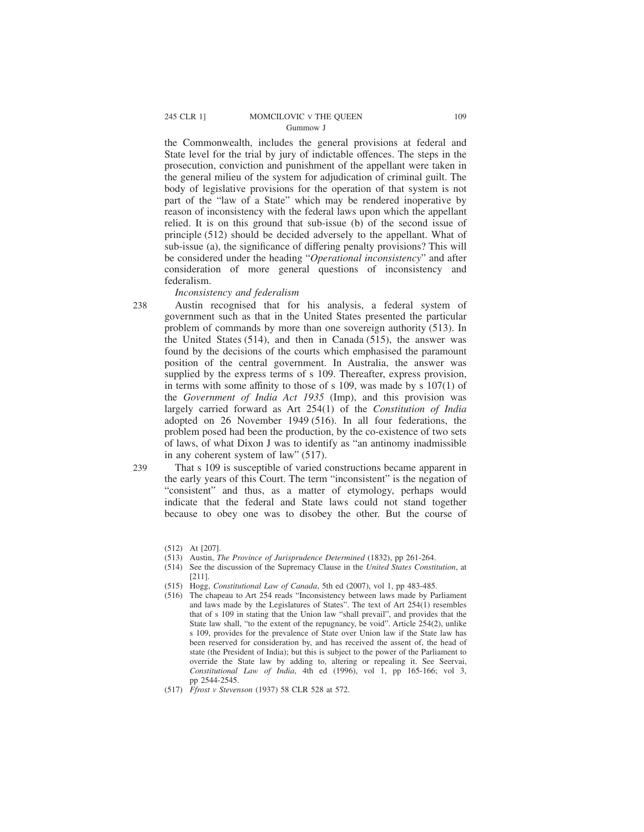# 245 CLR 1] MOMCILOVIC V THE QUEEN 109 Gummow J

the Commonwealth, includes the general provisions at federal and State level for the trial by jury of indictable offences. The steps in the prosecution, conviction and punishment of the appellant were taken in the general milieu of the system for adjudication of criminal guilt. The body of legislative provisions for the operation of that system is not part of the "law of a State" which may be rendered inoperative by reason of inconsistency with the federal laws upon which the appellant relied. It is on this ground that sub-issue (b) of the second issue of principle (512) should be decided adversely to the appellant. What of sub-issue (a), the significance of differing penalty provisions? This will be considered under the heading "*Operational inconsistency*" and after consideration of more general questions of inconsistency and federalism.

# *Inconsistency and federalism*

Austin recognised that for his analysis, a federal system of government such as that in the United States presented the particular problem of commands by more than one sovereign authority (513). In the United States (514), and then in Canada (515), the answer was found by the decisions of the courts which emphasised the paramount position of the central government. In Australia, the answer was supplied by the express terms of s 109. Thereafter, express provision, in terms with some affinity to those of s 109, was made by s 107(1) of the *Government of India Act 1935* (Imp), and this provision was largely carried forward as Art 254(1) of the *Constitution of India* adopted on 26 November 1949 (516). In all four federations, the problem posed had been the production, by the co-existence of two sets of laws, of what Dixon J was to identify as "an antinomy inadmissible in any coherent system of law" (517).

239

238

That s 109 is susceptible of varied constructions became apparent in the early years of this Court. The term "inconsistent" is the negation of "consistent" and thus, as a matter of etymology, perhaps would indicate that the federal and State laws could not stand together because to obey one was to disobey the other. But the course of

- (513) Austin, *The Province of Jurisprudence Determined* (1832), pp 261-264.
- (514) See the discussion of the Supremacy Clause in the *United States Constitution*, at [211].
- (515) Hogg, *Constitutional Law of Canada*, 5th ed (2007), vol 1, pp 483-485.
- (516) The chapeau to Art 254 reads "Inconsistency between laws made by Parliament and laws made by the Legislatures of States". The text of Art 254(1) resembles that of s 109 in stating that the Union law "shall prevail", and provides that the State law shall, "to the extent of the repugnancy, be void". Article 254(2), unlike s 109, provides for the prevalence of State over Union law if the State law has been reserved for consideration by, and has received the assent of, the head of state (the President of India); but this is subject to the power of the Parliament to override the State law by adding to, altering or repealing it. See Seervai, *Constitutional Law of India*, 4th ed (1996), vol 1, pp 165-166; vol 3, pp 2544-2545.
- (517) *Ffrost v Stevenson* (1937) 58 CLR 528 at 572.

<sup>(512)</sup> At [207].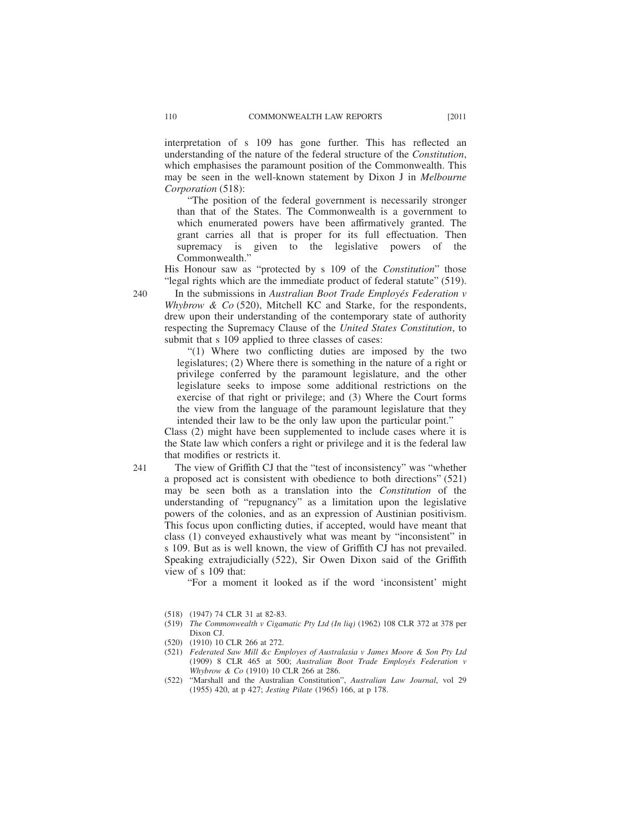interpretation of s 109 has gone further. This has reflected an understanding of the nature of the federal structure of the *Constitution*, which emphasises the paramount position of the Commonwealth. This may be seen in the well-known statement by Dixon J in *Melbourne Corporation* (518):

"The position of the federal government is necessarily stronger than that of the States. The Commonwealth is a government to which enumerated powers have been affirmatively granted. The grant carries all that is proper for its full effectuation. Then supremacy is given to the legislative powers of the Commonwealth."

His Honour saw as "protected by s 109 of the *Constitution*" those "legal rights which are the immediate product of federal statute" (519).

In the submissions in *Australian Boot Trade Employés Federation v Whybrow & Co* (520), Mitchell KC and Starke, for the respondents, drew upon their understanding of the contemporary state of authority respecting the Supremacy Clause of the *United States Constitution*, to submit that s 109 applied to three classes of cases:

"(1) Where two conflicting duties are imposed by the two legislatures; (2) Where there is something in the nature of a right or privilege conferred by the paramount legislature, and the other legislature seeks to impose some additional restrictions on the exercise of that right or privilege; and (3) Where the Court forms the view from the language of the paramount legislature that they intended their law to be the only law upon the particular point."

Class (2) might have been supplemented to include cases where it is the State law which confers a right or privilege and it is the federal law that modifies or restricts it.

The view of Griffith CJ that the "test of inconsistency" was "whether a proposed act is consistent with obedience to both directions" (521) may be seen both as a translation into the *Constitution* of the understanding of "repugnancy" as a limitation upon the legislative powers of the colonies, and as an expression of Austinian positivism. This focus upon conflicting duties, if accepted, would have meant that class (1) conveyed exhaustively what was meant by "inconsistent" in s 109. But as is well known, the view of Griffith CJ has not prevailed. Speaking extrajudicially (522), Sir Owen Dixon said of the Griffith view of s 109 that:

"For a moment it looked as if the word 'inconsistent' might

- (519) *The Commonwealth v Cigamatic Pty Ltd (In liq)* (1962) 108 CLR 372 at 378 per Dixon CJ.
- (520) (1910) 10 CLR 266 at 272.
- (521) *Federated Saw Mill &c Employes of Australasia v James Moore & Son Pty Ltd* (1909) 8 CLR 465 at 500; *Australian Boot Trade Employés Federation v Whybrow & Co* (1910) 10 CLR 266 at 286.
- (522) "Marshall and the Australian Constitution", *Australian Law Journal*, vol 29 (1955) 420, at p 427; *Jesting Pilate* (1965) 166, at p 178.

240

<sup>(518) (1947) 74</sup> CLR 31 at 82-83.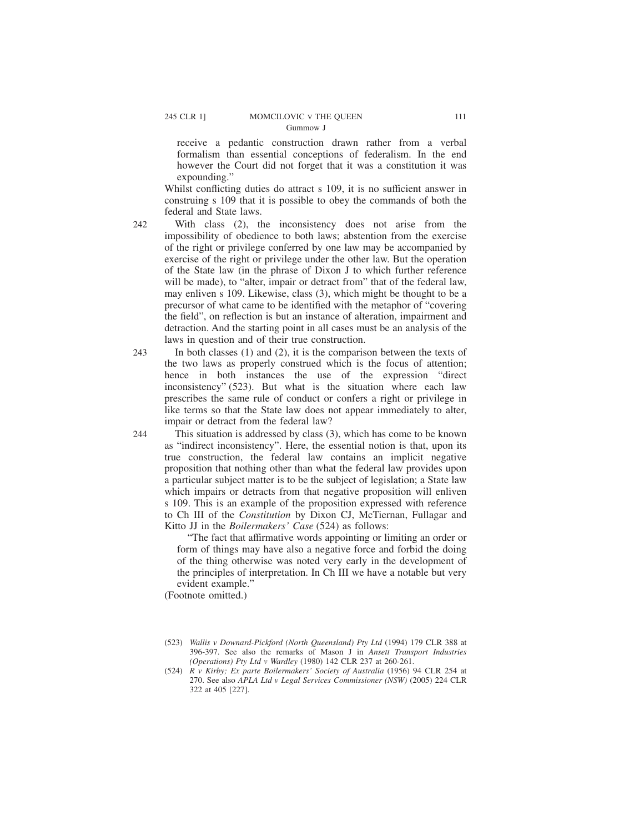# 245 CLR 1] MOMCILOVIC V THE QUEEN 111 Gummow J

receive a pedantic construction drawn rather from a verbal formalism than essential conceptions of federalism. In the end however the Court did not forget that it was a constitution it was expounding."

Whilst conflicting duties do attract s 109, it is no sufficient answer in construing s 109 that it is possible to obey the commands of both the federal and State laws.

242

244

- With class (2), the inconsistency does not arise from the impossibility of obedience to both laws; abstention from the exercise of the right or privilege conferred by one law may be accompanied by exercise of the right or privilege under the other law. But the operation of the State law (in the phrase of Dixon J to which further reference will be made), to "alter, impair or detract from" that of the federal law, may enliven s 109. Likewise, class (3), which might be thought to be a precursor of what came to be identified with the metaphor of "covering the field", on reflection is but an instance of alteration, impairment and detraction. And the starting point in all cases must be an analysis of the laws in question and of their true construction.
- In both classes (1) and (2), it is the comparison between the texts of the two laws as properly construed which is the focus of attention; hence in both instances the use of the expression "direct inconsistency" (523). But what is the situation where each law prescribes the same rule of conduct or confers a right or privilege in like terms so that the State law does not appear immediately to alter, impair or detract from the federal law? 243

This situation is addressed by class (3), which has come to be known as "indirect inconsistency". Here, the essential notion is that, upon its true construction, the federal law contains an implicit negative proposition that nothing other than what the federal law provides upon a particular subject matter is to be the subject of legislation; a State law which impairs or detracts from that negative proposition will enliven s 109. This is an example of the proposition expressed with reference to Ch III of the *Constitution* by Dixon CJ, McTiernan, Fullagar and Kitto JJ in the *Boilermakers' Case* (524) as follows:

"The fact that affirmative words appointing or limiting an order or form of things may have also a negative force and forbid the doing of the thing otherwise was noted very early in the development of the principles of interpretation. In Ch III we have a notable but very evident example."

(Footnote omitted.)

<sup>(523)</sup> *Wallis v Downard-Pickford (North Queensland) Pty Ltd* (1994) 179 CLR 388 at 396-397. See also the remarks of Mason J in *Ansett Transport Industries (Operations) Pty Ltd v Wardley* (1980) 142 CLR 237 at 260-261.

<sup>(524)</sup> *R v Kirby; Ex parte Boilermakers' Society of Australia* (1956) 94 CLR 254 at 270. See also *APLA Ltd v Legal Services Commissioner (NSW)* (2005) 224 CLR 322 at 405 [227].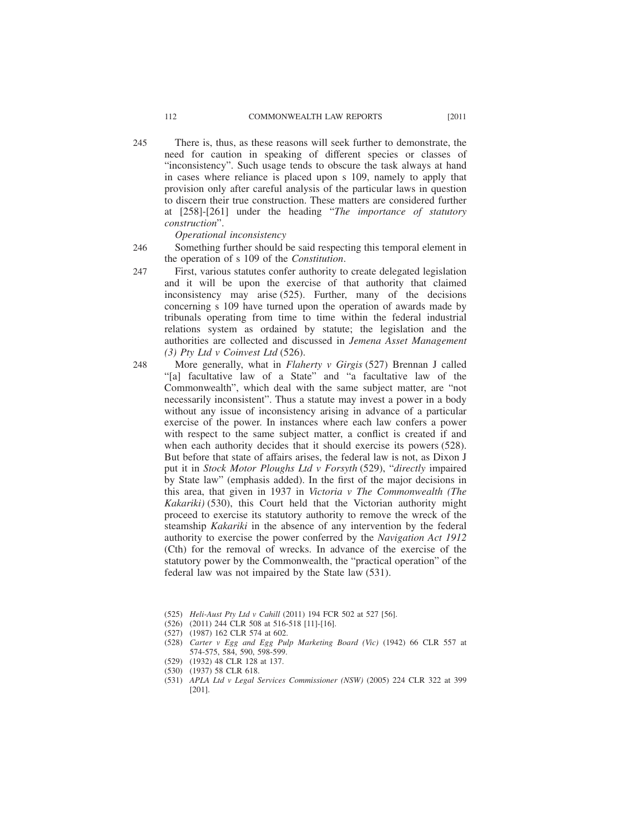There is, thus, as these reasons will seek further to demonstrate, the need for caution in speaking of different species or classes of "inconsistency". Such usage tends to obscure the task always at hand in cases where reliance is placed upon s 109, namely to apply that provision only after careful analysis of the particular laws in question to discern their true construction. These matters are considered further at [258]-[261] under the heading "*The importance of statutory construction*". 245

*Operational inconsistency*

- Something further should be said respecting this temporal element in the operation of s 109 of the *Constitution*. 246
- First, various statutes confer authority to create delegated legislation and it will be upon the exercise of that authority that claimed inconsistency may arise (525). Further, many of the decisions concerning s 109 have turned upon the operation of awards made by tribunals operating from time to time within the federal industrial relations system as ordained by statute; the legislation and the authorities are collected and discussed in *Jemena Asset Management (3) Pty Ltd v Coinvest Ltd* (526). 247
	- More generally, what in *Flaherty v Girgis* (527) Brennan J called "[a] facultative law of a State" and "a facultative law of the Commonwealth", which deal with the same subject matter, are "not necessarily inconsistent". Thus a statute may invest a power in a body without any issue of inconsistency arising in advance of a particular exercise of the power. In instances where each law confers a power with respect to the same subject matter, a conflict is created if and when each authority decides that it should exercise its powers (528). But before that state of affairs arises, the federal law is not, as Dixon J put it in *Stock Motor Ploughs Ltd v Forsyth* (529), "*directly* impaired by State law" (emphasis added). In the first of the major decisions in this area, that given in 1937 in *Victoria v The Commonwealth (The Kakariki)* (530), this Court held that the Victorian authority might proceed to exercise its statutory authority to remove the wreck of the steamship *Kakariki* in the absence of any intervention by the federal authority to exercise the power conferred by the *Navigation Act 1912* (Cth) for the removal of wrecks. In advance of the exercise of the statutory power by the Commonwealth, the "practical operation" of the federal law was not impaired by the State law (531).
	- (525) *Heli-Aust Pty Ltd v Cahill* (2011) 194 FCR 502 at 527 [56].
	- (526) (2011) 244 CLR 508 at 516-518 [11]-[16].
	- (527) (1987) 162 CLR 574 at 602.
	- (528) *Carter v Egg and Egg Pulp Marketing Board (Vic)* (1942) 66 CLR 557 at 574-575, 584, 590, 598-599.
	- (529) (1932) 48 CLR 128 at 137.
	- (530) (1937) 58 CLR 618.
	- (531) *APLA Ltd v Legal Services Commissioner (NSW)* (2005) 224 CLR 322 at 399 [201].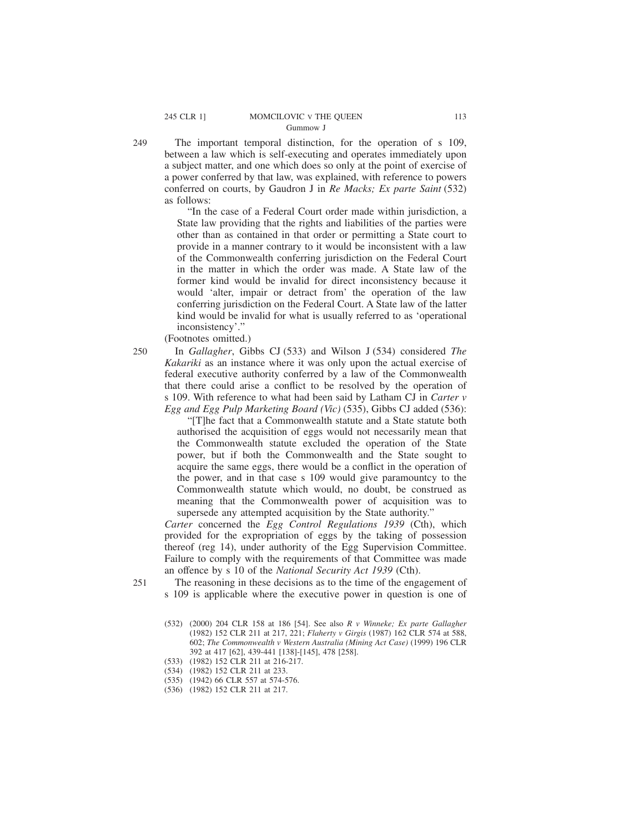249

250

# 245 CLR 1] MOMCILOVIC V THE QUEEN 113 Gummow J

The important temporal distinction, for the operation of s 109, between a law which is self-executing and operates immediately upon a subject matter, and one which does so only at the point of exercise of a power conferred by that law, was explained, with reference to powers conferred on courts, by Gaudron J in *Re Macks; Ex parte Saint* (532) as follows:

"In the case of a Federal Court order made within jurisdiction, a State law providing that the rights and liabilities of the parties were other than as contained in that order or permitting a State court to provide in a manner contrary to it would be inconsistent with a law of the Commonwealth conferring jurisdiction on the Federal Court in the matter in which the order was made. A State law of the former kind would be invalid for direct inconsistency because it would 'alter, impair or detract from' the operation of the law conferring jurisdiction on the Federal Court. A State law of the latter kind would be invalid for what is usually referred to as 'operational inconsistency'."

(Footnotes omitted.)

In *Gallagher*, Gibbs CJ (533) and Wilson J (534) considered *The Kakariki* as an instance where it was only upon the actual exercise of federal executive authority conferred by a law of the Commonwealth that there could arise a conflict to be resolved by the operation of s 109. With reference to what had been said by Latham CJ in *Carter v Egg and Egg Pulp Marketing Board (Vic)* (535), Gibbs CJ added (536):

"[T]he fact that a Commonwealth statute and a State statute both authorised the acquisition of eggs would not necessarily mean that the Commonwealth statute excluded the operation of the State power, but if both the Commonwealth and the State sought to acquire the same eggs, there would be a conflict in the operation of the power, and in that case s 109 would give paramountcy to the Commonwealth statute which would, no doubt, be construed as meaning that the Commonwealth power of acquisition was to supersede any attempted acquisition by the State authority."

*Carter* concerned the *Egg Control Regulations 1939* (Cth), which provided for the expropriation of eggs by the taking of possession thereof (reg 14), under authority of the Egg Supervision Committee. Failure to comply with the requirements of that Committee was made an offence by s 10 of the *National Security Act 1939* (Cth).

251

The reasoning in these decisions as to the time of the engagement of s 109 is applicable where the executive power in question is one of

- (532) (2000) 204 CLR 158 at 186 [54]. See also *R v Winneke; Ex parte Gallagher* (1982) 152 CLR 211 at 217, 221; *Flaherty v Girgis* (1987) 162 CLR 574 at 588, 602; *The Commonwealth v Western Australia (Mining Act Case)* (1999) 196 CLR 392 at 417 [62], 439-441 [138]-[145], 478 [258].
- (533) (1982) 152 CLR 211 at 216-217.
- (534) (1982) 152 CLR 211 at 233.
- (535) (1942) 66 CLR 557 at 574-576.
- (536) (1982) 152 CLR 211 at 217.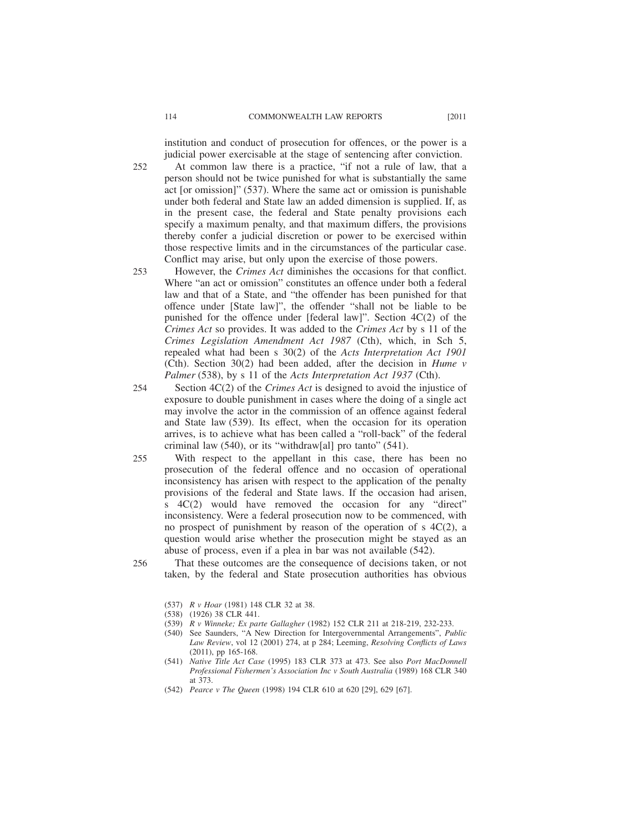institution and conduct of prosecution for offences, or the power is a judicial power exercisable at the stage of sentencing after conviction.

- At common law there is a practice, "if not a rule of law, that a person should not be twice punished for what is substantially the same act [or omission]" (537). Where the same act or omission is punishable under both federal and State law an added dimension is supplied. If, as in the present case, the federal and State penalty provisions each specify a maximum penalty, and that maximum differs, the provisions thereby confer a judicial discretion or power to be exercised within those respective limits and in the circumstances of the particular case. Conflict may arise, but only upon the exercise of those powers. 252
- However, the *Crimes Act* diminishes the occasions for that conflict. Where "an act or omission" constitutes an offence under both a federal law and that of a State, and "the offender has been punished for that offence under [State law]", the offender "shall not be liable to be punished for the offence under [federal law]". Section 4C(2) of the *Crimes Act* so provides. It was added to the *Crimes Act* by s 11 of the *Crimes Legislation Amendment Act 1987* (Cth), which, in Sch 5, repealed what had been s 30(2) of the *Acts Interpretation Act 1901* (Cth). Section 30(2) had been added, after the decision in *Hume v Palmer* (538), by s 11 of the *Acts Interpretation Act 1937* (Cth). 253
- Section 4C(2) of the *Crimes Act* is designed to avoid the injustice of exposure to double punishment in cases where the doing of a single act may involve the actor in the commission of an offence against federal and State law (539). Its effect, when the occasion for its operation arrives, is to achieve what has been called a "roll-back" of the federal criminal law (540), or its "withdraw[al] pro tanto" (541). 254
- With respect to the appellant in this case, there has been no prosecution of the federal offence and no occasion of operational inconsistency has arisen with respect to the application of the penalty provisions of the federal and State laws. If the occasion had arisen, s 4C(2) would have removed the occasion for any "direct" inconsistency. Were a federal prosecution now to be commenced, with no prospect of punishment by reason of the operation of s 4C(2), a question would arise whether the prosecution might be stayed as an abuse of process, even if a plea in bar was not available (542). 255

256

That these outcomes are the consequence of decisions taken, or not taken, by the federal and State prosecution authorities has obvious

- (537) *R v Hoar* (1981) 148 CLR 32 at 38.
- (538) (1926) 38 CLR 441.
- (539) *R v Winneke; Ex parte Gallagher* (1982) 152 CLR 211 at 218-219, 232-233.
- (540) See Saunders, "A New Direction for Intergovernmental Arrangements", *Public Law Review*, vol 12 (2001) 274, at p 284; Leeming, *Resolving Conflicts of Laws* (2011), pp 165-168.
- (541) *Native Title Act Case* (1995) 183 CLR 373 at 473. See also *Port MacDonnell Professional Fishermen's Association Inc v South Australia* (1989) 168 CLR 340 at 373.
- (542) *Pearce v The Queen* (1998) 194 CLR 610 at 620 [29], 629 [67].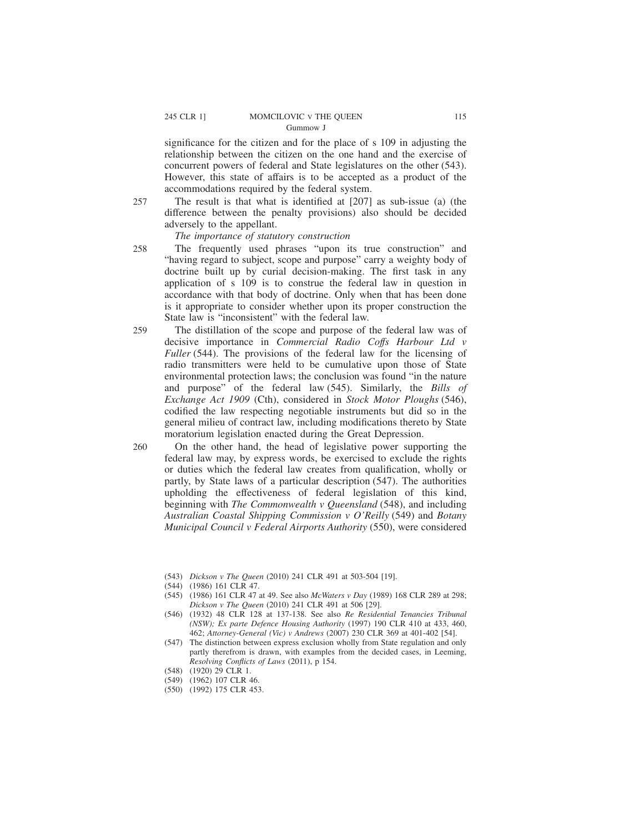257

258

# 245 CLR 1] MOMCILOVIC V THE QUEEN 115 Gummow J

significance for the citizen and for the place of s 109 in adjusting the relationship between the citizen on the one hand and the exercise of concurrent powers of federal and State legislatures on the other (543). However, this state of affairs is to be accepted as a product of the accommodations required by the federal system.

The result is that what is identified at [207] as sub-issue (a) (the difference between the penalty provisions) also should be decided adversely to the appellant.

*The importance of statutory construction*

- The frequently used phrases "upon its true construction" and "having regard to subject, scope and purpose" carry a weighty body of doctrine built up by curial decision-making. The first task in any application of s 109 is to construe the federal law in question in accordance with that body of doctrine. Only when that has been done is it appropriate to consider whether upon its proper construction the State law is "inconsistent" with the federal law.
- The distillation of the scope and purpose of the federal law was of decisive importance in *Commercial Radio Coffs Harbour Ltd v Fuller* (544). The provisions of the federal law for the licensing of radio transmitters were held to be cumulative upon those of State environmental protection laws; the conclusion was found "in the nature and purpose" of the federal law (545). Similarly, the *Bills of Exchange Act 1909* (Cth), considered in *Stock Motor Ploughs* (546), codified the law respecting negotiable instruments but did so in the general milieu of contract law, including modifications thereto by State moratorium legislation enacted during the Great Depression. 259
- On the other hand, the head of legislative power supporting the federal law may, by express words, be exercised to exclude the rights or duties which the federal law creates from qualification, wholly or partly, by State laws of a particular description (547). The authorities upholding the effectiveness of federal legislation of this kind, beginning with *The Commonwealth v Queensland* (548), and including *Australian Coastal Shipping Commission v O'Reilly* (549) and *Botany Municipal Council v Federal Airports Authority* (550), were considered 260
	- (543) *Dickson v The Queen* (2010) 241 CLR 491 at 503-504 [19].
	- (544) (1986) 161 CLR 47.
	- (545) (1986) 161 CLR 47 at 49. See also *McWaters v Day* (1989) 168 CLR 289 at 298; *Dickson v The Queen* (2010) 241 CLR 491 at 506 [29].
	- (546) (1932) 48 CLR 128 at 137-138. See also *Re Residential Tenancies Tribunal (NSW); Ex parte Defence Housing Authority* (1997) 190 CLR 410 at 433, 460, 462; *Attorney-General (Vic) v Andrews* (2007) 230 CLR 369 at 401-402 [54].
	- (547) The distinction between express exclusion wholly from State regulation and only partly therefrom is drawn, with examples from the decided cases, in Leeming, *Resolving Conflicts of Laws* (2011), p 154.
	- (548) (1920) 29 CLR 1.
	- (549) (1962) 107 CLR 46.
	- (550) (1992) 175 CLR 453.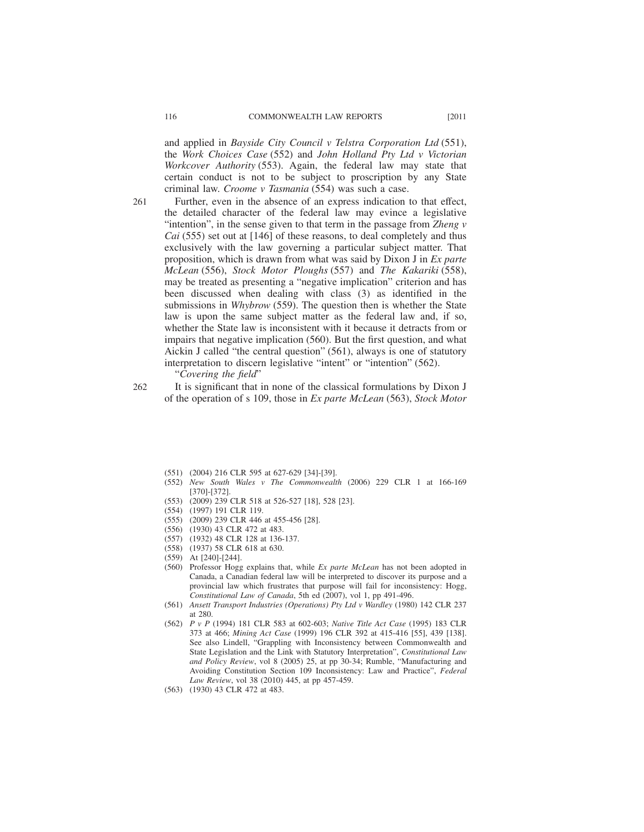and applied in *Bayside City Council v Telstra Corporation Ltd* (551), the *Work Choices Case* (552) and *John Holland Pty Ltd v Victorian Workcover Authority* (553). Again, the federal law may state that certain conduct is not to be subject to proscription by any State criminal law. *Croome v Tasmania* (554) was such a case.

Further, even in the absence of an express indication to that effect, the detailed character of the federal law may evince a legislative "intention", in the sense given to that term in the passage from *Zheng v Cai* (555) set out at [146] of these reasons, to deal completely and thus exclusively with the law governing a particular subject matter. That proposition, which is drawn from what was said by Dixon J in *Ex parte McLean* (556), *Stock Motor Ploughs* (557) and *The Kakariki* (558), may be treated as presenting a "negative implication" criterion and has been discussed when dealing with class (3) as identified in the submissions in *Whybrow* (559). The question then is whether the State law is upon the same subject matter as the federal law and, if so, whether the State law is inconsistent with it because it detracts from or impairs that negative implication (560). But the first question, and what Aickin J called "the central question" (561), always is one of statutory interpretation to discern legislative "intent" or "intention" (562).

"*Covering the field*"

It is significant that in none of the classical formulations by Dixon J of the operation of s 109, those in *Ex parte McLean* (563), *Stock Motor*

- (551) (2004) 216 CLR 595 at 627-629 [34]-[39].
- (552) *New South Wales v The Commonwealth* (2006) 229 CLR 1 at 166-169 [370]-[372].
- (553) (2009) 239 CLR 518 at 526-527 [18], 528 [23].
- (554) (1997) 191 CLR 119.
- (555) (2009) 239 CLR 446 at 455-456 [28].
- (556) (1930) 43 CLR 472 at 483.
- (557) (1932) 48 CLR 128 at 136-137.
- (558) (1937) 58 CLR 618 at 630.
- (559) At [240]-[244].
- (560) Professor Hogg explains that, while *Ex parte McLean* has not been adopted in Canada, a Canadian federal law will be interpreted to discover its purpose and a provincial law which frustrates that purpose will fail for inconsistency: Hogg, *Constitutional Law of Canada*, 5th ed (2007), vol 1, pp 491-496.
- (561) *Ansett Transport Industries (Operations) Pty Ltd v Wardley* (1980) 142 CLR 237 at 280.
- (562) *P v P* (1994) 181 CLR 583 at 602-603; *Native Title Act Case* (1995) 183 CLR 373 at 466; *Mining Act Case* (1999) 196 CLR 392 at 415-416 [55], 439 [138]. See also Lindell, "Grappling with Inconsistency between Commonwealth and State Legislation and the Link with Statutory Interpretation", *Constitutional Law and Policy Review*, vol 8 (2005) 25, at pp 30-34; Rumble, "Manufacturing and Avoiding Constitution Section 109 Inconsistency: Law and Practice", *Federal Law Review*, vol 38 (2010) 445, at pp 457-459.
- (563) (1930) 43 CLR 472 at 483.

262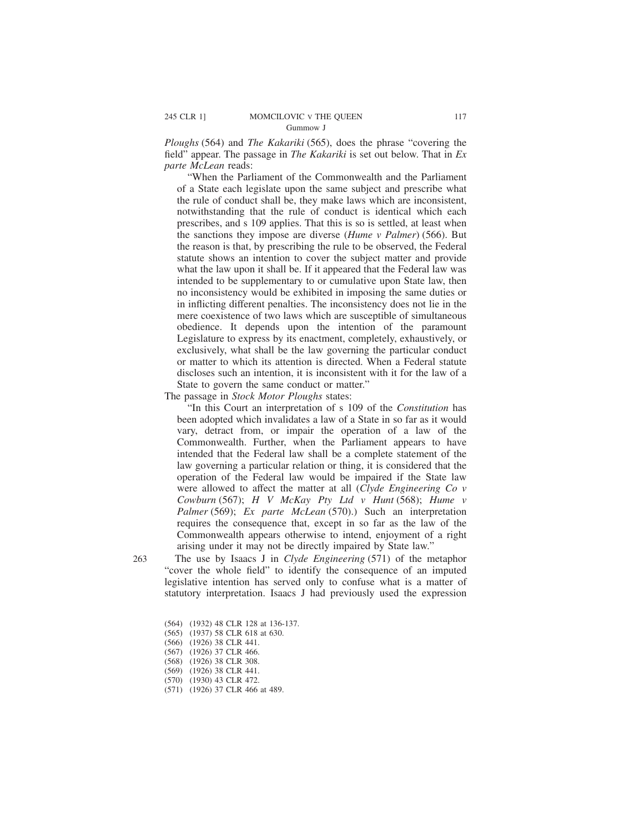*Ploughs* (564) and *The Kakariki* (565), does the phrase "covering the field" appear. The passage in *The Kakariki* is set out below. That in *Ex parte McLean* reads:

"When the Parliament of the Commonwealth and the Parliament of a State each legislate upon the same subject and prescribe what the rule of conduct shall be, they make laws which are inconsistent, notwithstanding that the rule of conduct is identical which each prescribes, and s 109 applies. That this is so is settled, at least when the sanctions they impose are diverse (*Hume v Palmer*) (566). But the reason is that, by prescribing the rule to be observed, the Federal statute shows an intention to cover the subject matter and provide what the law upon it shall be. If it appeared that the Federal law was intended to be supplementary to or cumulative upon State law, then no inconsistency would be exhibited in imposing the same duties or in inflicting different penalties. The inconsistency does not lie in the mere coexistence of two laws which are susceptible of simultaneous obedience. It depends upon the intention of the paramount Legislature to express by its enactment, completely, exhaustively, or exclusively, what shall be the law governing the particular conduct or matter to which its attention is directed. When a Federal statute discloses such an intention, it is inconsistent with it for the law of a State to govern the same conduct or matter."

The passage in *Stock Motor Ploughs* states:

"In this Court an interpretation of s 109 of the *Constitution* has been adopted which invalidates a law of a State in so far as it would vary, detract from, or impair the operation of a law of the Commonwealth. Further, when the Parliament appears to have intended that the Federal law shall be a complete statement of the law governing a particular relation or thing, it is considered that the operation of the Federal law would be impaired if the State law were allowed to affect the matter at all (*Clyde Engineering Co v Cowburn* (567); *H V McKay Pty Ltd v Hunt* (568); *Hume v Palmer* (569); *Ex parte McLean* (570).) Such an interpretation requires the consequence that, except in so far as the law of the Commonwealth appears otherwise to intend, enjoyment of a right arising under it may not be directly impaired by State law."

The use by Isaacs J in *Clyde Engineering* (571) of the metaphor "cover the whole field" to identify the consequence of an imputed legislative intention has served only to confuse what is a matter of statutory interpretation. Isaacs J had previously used the expression

- (564) (1932) 48 CLR 128 at 136-137.
- (565) (1937) 58 CLR 618 at 630.
- (566) (1926) 38 CLR 441.

- (567) (1926) 37 CLR 466.
- (568) (1926) 38 CLR 308.
- (569) (1926) 38 CLR 441. (570) (1930) 43 CLR 472.
- (571) (1926) 37 CLR 466 at 489.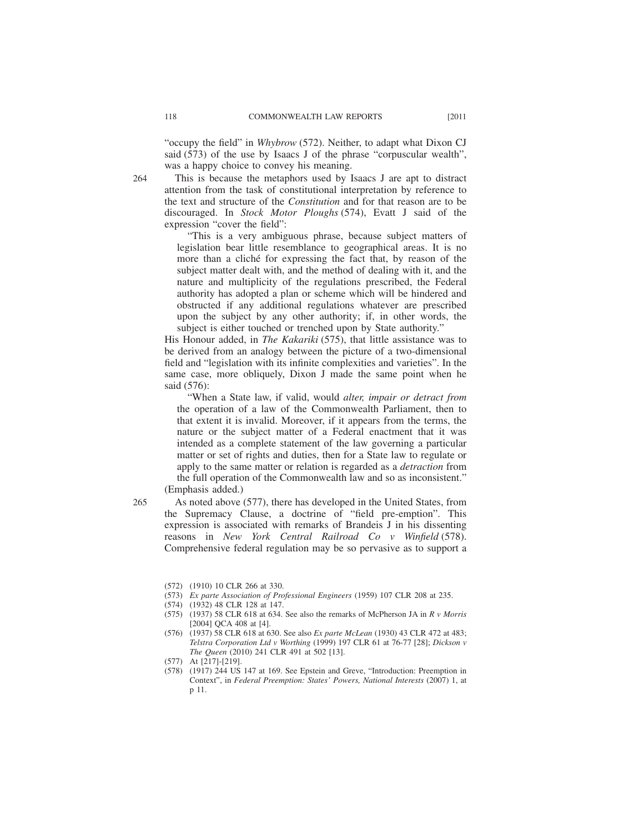"occupy the field" in *Whybrow* (572). Neither, to adapt what Dixon CJ said (573) of the use by Isaacs J of the phrase "corpuscular wealth", was a happy choice to convey his meaning.

This is because the metaphors used by Isaacs J are apt to distract attention from the task of constitutional interpretation by reference to the text and structure of the *Constitution* and for that reason are to be discouraged. In *Stock Motor Ploughs* (574), Evatt J said of the expression "cover the field":

"This is a very ambiguous phrase, because subject matters of legislation bear little resemblance to geographical areas. It is no more than a cliché for expressing the fact that, by reason of the subject matter dealt with, and the method of dealing with it, and the nature and multiplicity of the regulations prescribed, the Federal authority has adopted a plan or scheme which will be hindered and obstructed if any additional regulations whatever are prescribed upon the subject by any other authority; if, in other words, the subject is either touched or trenched upon by State authority."

His Honour added, in *The Kakariki* (575), that little assistance was to be derived from an analogy between the picture of a two-dimensional field and "legislation with its infinite complexities and varieties". In the same case, more obliquely, Dixon J made the same point when he said (576):

"When a State law, if valid, would *alter, impair or detract from* the operation of a law of the Commonwealth Parliament, then to that extent it is invalid. Moreover, if it appears from the terms, the nature or the subject matter of a Federal enactment that it was intended as a complete statement of the law governing a particular matter or set of rights and duties, then for a State law to regulate or apply to the same matter or relation is regarded as a *detraction* from the full operation of the Commonwealth law and so as inconsistent." (Emphasis added.)

As noted above (577), there has developed in the United States, from the Supremacy Clause, a doctrine of "field pre-emption". This expression is associated with remarks of Brandeis J in his dissenting reasons in *New York Central Railroad Co v Winfield* (578). Comprehensive federal regulation may be so pervasive as to support a

- (573) *Ex parte Association of Professional Engineers* (1959) 107 CLR 208 at 235.
- (574) (1932) 48 CLR 128 at 147.
- (575) (1937) 58 CLR 618 at 634. See also the remarks of McPherson JA in *R v Morris* [2004] QCA 408 at [4].
- (576) (1937) 58 CLR 618 at 630. See also *Ex parte McLean* (1930) 43 CLR 472 at 483; *Telstra Corporation Ltd v Worthing* (1999) 197 CLR 61 at 76-77 [28]; *Dickson v The Queen* (2010) 241 CLR 491 at 502 [13].
- (577) At [217]-[219].
- (578) (1917) 244 US 147 at 169. See Epstein and Greve, "Introduction: Preemption in Context", in *Federal Preemption: States' Powers, National Interests* (2007) 1, at p 11.

265

<sup>(572) (1910) 10</sup> CLR 266 at 330.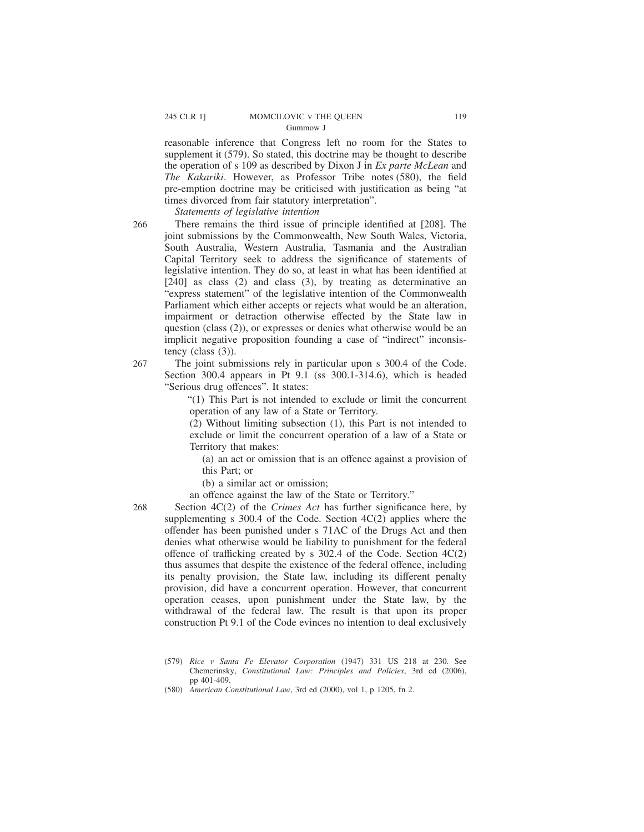# 245 CLR 1] MOMCILOVIC V THE QUEEN 119 Gummow J

reasonable inference that Congress left no room for the States to supplement it (579). So stated, this doctrine may be thought to describe the operation of s 109 as described by Dixon J in *Ex parte McLean* and *The Kakariki*. However, as Professor Tribe notes (580), the field pre-emption doctrine may be criticised with justification as being "at times divorced from fair statutory interpretation".

*Statements of legislative intention*

266

267

There remains the third issue of principle identified at [208]. The joint submissions by the Commonwealth, New South Wales, Victoria, South Australia, Western Australia, Tasmania and the Australian Capital Territory seek to address the significance of statements of legislative intention. They do so, at least in what has been identified at [240] as class (2) and class (3), by treating as determinative an "express statement" of the legislative intention of the Commonwealth Parliament which either accepts or rejects what would be an alteration, impairment or detraction otherwise effected by the State law in question (class (2)), or expresses or denies what otherwise would be an implicit negative proposition founding a case of "indirect" inconsistency (class (3)).

The joint submissions rely in particular upon s 300.4 of the Code. Section 300.4 appears in Pt 9.1 (ss 300.1-314.6), which is headed "Serious drug offences". It states:

"(1) This Part is not intended to exclude or limit the concurrent operation of any law of a State or Territory.

(2) Without limiting subsection (1), this Part is not intended to exclude or limit the concurrent operation of a law of a State or Territory that makes:

(a) an act or omission that is an offence against a provision of this Part; or

(b) a similar act or omission;

an offence against the law of the State or Territory."

268

Section 4C(2) of the *Crimes Act* has further significance here, by supplementing s 300.4 of the Code. Section 4C(2) applies where the offender has been punished under s 71AC of the Drugs Act and then denies what otherwise would be liability to punishment for the federal offence of trafficking created by s 302.4 of the Code. Section 4C(2) thus assumes that despite the existence of the federal offence, including its penalty provision, the State law, including its different penalty provision, did have a concurrent operation. However, that concurrent operation ceases, upon punishment under the State law, by the withdrawal of the federal law. The result is that upon its proper construction Pt 9.1 of the Code evinces no intention to deal exclusively

<sup>(579)</sup> *Rice v Santa Fe Elevator Corporation* (1947) 331 US 218 at 230. See Chemerinsky, *Constitutional Law: Principles and Policies*, 3rd ed (2006), pp 401-409.

<sup>(580)</sup> *American Constitutional Law*, 3rd ed (2000), vol 1, p 1205, fn 2.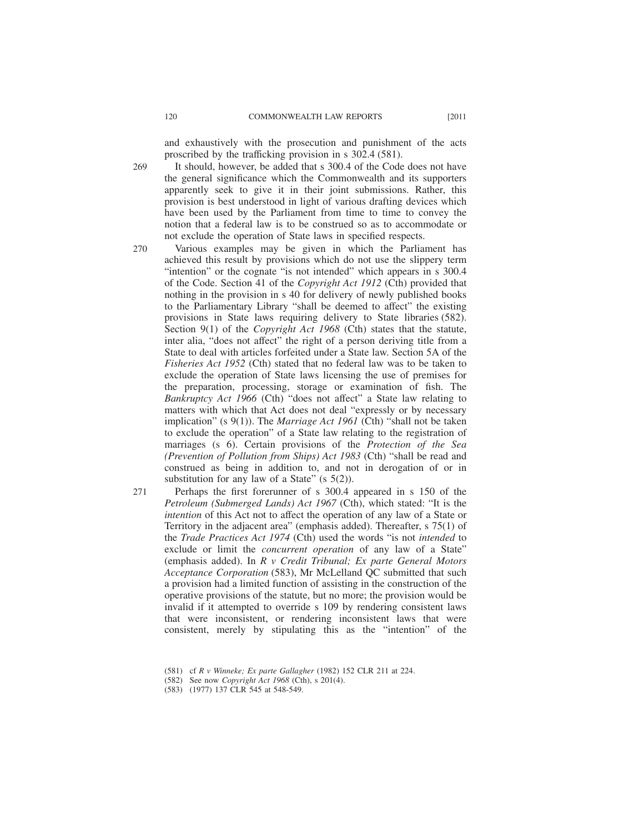and exhaustively with the prosecution and punishment of the acts proscribed by the trafficking provision in s 302.4 (581).

It should, however, be added that s 300.4 of the Code does not have the general significance which the Commonwealth and its supporters apparently seek to give it in their joint submissions. Rather, this provision is best understood in light of various drafting devices which have been used by the Parliament from time to time to convey the notion that a federal law is to be construed so as to accommodate or not exclude the operation of State laws in specified respects.

270

269

Various examples may be given in which the Parliament has achieved this result by provisions which do not use the slippery term "intention" or the cognate "is not intended" which appears in s 300.4 of the Code. Section 41 of the *Copyright Act 1912* (Cth) provided that nothing in the provision in s 40 for delivery of newly published books to the Parliamentary Library "shall be deemed to affect" the existing provisions in State laws requiring delivery to State libraries (582). Section 9(1) of the *Copyright Act 1968* (Cth) states that the statute, inter alia, "does not affect" the right of a person deriving title from a State to deal with articles forfeited under a State law. Section 5A of the *Fisheries Act 1952* (Cth) stated that no federal law was to be taken to exclude the operation of State laws licensing the use of premises for the preparation, processing, storage or examination of fish. The *Bankruptcy Act 1966* (Cth) "does not affect" a State law relating to matters with which that Act does not deal "expressly or by necessary implication" (s 9(1)). The *Marriage Act 1961* (Cth) "shall not be taken to exclude the operation" of a State law relating to the registration of marriages (s 6). Certain provisions of the *Protection of the Sea (Prevention of Pollution from Ships) Act 1983* (Cth) "shall be read and construed as being in addition to, and not in derogation of or in substitution for any law of a State"  $(s 5(2))$ .

Perhaps the first forerunner of s 300.4 appeared in s 150 of the *Petroleum (Submerged Lands) Act 1967* (Cth), which stated: "It is the *intention* of this Act not to affect the operation of any law of a State or Territory in the adjacent area" (emphasis added). Thereafter, s 75(1) of the *Trade Practices Act 1974* (Cth) used the words "is not *intended* to exclude or limit the *concurrent operation* of any law of a State" (emphasis added). In *R v Credit Tribunal; Ex parte General Motors Acceptance Corporation* (583), Mr McLelland QC submitted that such a provision had a limited function of assisting in the construction of the operative provisions of the statute, but no more; the provision would be invalid if it attempted to override s 109 by rendering consistent laws that were inconsistent, or rendering inconsistent laws that were consistent, merely by stipulating this as the "intention" of the 271

<sup>(581)</sup> cf *R v Winneke; Ex parte Gallagher* (1982) 152 CLR 211 at 224.

<sup>(582)</sup> See now *Copyright Act 1968* (Cth), s 201(4).

<sup>(583) (1977) 137</sup> CLR 545 at 548-549.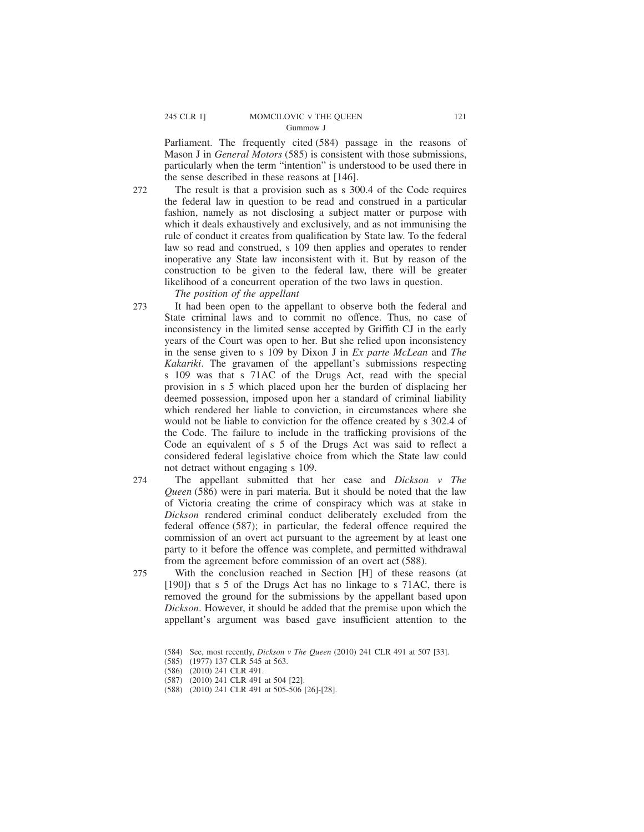# 245 CLR 1] MOMCILOVIC V THE QUEEN 121 Gummow J

Parliament. The frequently cited (584) passage in the reasons of Mason J in *General Motors* (585) is consistent with those submissions, particularly when the term "intention" is understood to be used there in the sense described in these reasons at [146].

272

273

275

The result is that a provision such as s 300.4 of the Code requires the federal law in question to be read and construed in a particular fashion, namely as not disclosing a subject matter or purpose with which it deals exhaustively and exclusively, and as not immunising the rule of conduct it creates from qualification by State law. To the federal law so read and construed, s 109 then applies and operates to render inoperative any State law inconsistent with it. But by reason of the construction to be given to the federal law, there will be greater likelihood of a concurrent operation of the two laws in question.

*The position of the appellant*

It had been open to the appellant to observe both the federal and State criminal laws and to commit no offence. Thus, no case of inconsistency in the limited sense accepted by Griffith CJ in the early years of the Court was open to her. But she relied upon inconsistency in the sense given to s 109 by Dixon J in *Ex parte McLean* and *The Kakariki*. The gravamen of the appellant's submissions respecting s 109 was that s 71AC of the Drugs Act, read with the special provision in s 5 which placed upon her the burden of displacing her deemed possession, imposed upon her a standard of criminal liability which rendered her liable to conviction, in circumstances where she would not be liable to conviction for the offence created by s 302.4 of the Code. The failure to include in the trafficking provisions of the Code an equivalent of s 5 of the Drugs Act was said to reflect a considered federal legislative choice from which the State law could not detract without engaging s 109.

The appellant submitted that her case and *Dickson v The Queen* (586) were in pari materia. But it should be noted that the law of Victoria creating the crime of conspiracy which was at stake in *Dickson* rendered criminal conduct deliberately excluded from the federal offence (587); in particular, the federal offence required the commission of an overt act pursuant to the agreement by at least one party to it before the offence was complete, and permitted withdrawal from the agreement before commission of an overt act (588). 274

With the conclusion reached in Section [H] of these reasons (at [190]) that s 5 of the Drugs Act has no linkage to s 71AC, there is removed the ground for the submissions by the appellant based upon *Dickson*. However, it should be added that the premise upon which the appellant's argument was based gave insufficient attention to the

- (586) (2010) 241 CLR 491.
- (587) (2010) 241 CLR 491 at 504 [22].
- (588) (2010) 241 CLR 491 at 505-506 [26]-[28].

<sup>(584)</sup> See, most recently, *Dickson v The Queen* (2010) 241 CLR 491 at 507 [33].

<sup>(585) (1977) 137</sup> CLR 545 at 563.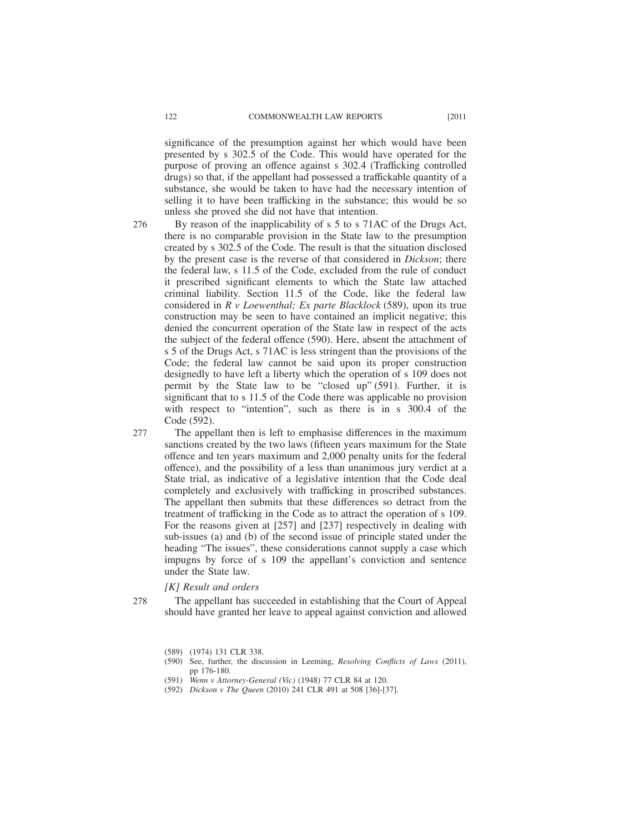significance of the presumption against her which would have been presented by s 302.5 of the Code. This would have operated for the purpose of proving an offence against s 302.4 (Trafficking controlled drugs) so that, if the appellant had possessed a traffickable quantity of a substance, she would be taken to have had the necessary intention of selling it to have been trafficking in the substance; this would be so unless she proved she did not have that intention.

276

By reason of the inapplicability of s 5 to s 71AC of the Drugs Act, there is no comparable provision in the State law to the presumption created by s 302.5 of the Code. The result is that the situation disclosed by the present case is the reverse of that considered in *Dickson*; there the federal law, s 11.5 of the Code, excluded from the rule of conduct it prescribed significant elements to which the State law attached criminal liability. Section 11.5 of the Code, like the federal law considered in *R v Loewenthal; Ex parte Blacklock* (589), upon its true construction may be seen to have contained an implicit negative; this denied the concurrent operation of the State law in respect of the acts the subject of the federal offence (590). Here, absent the attachment of s 5 of the Drugs Act, s 71AC is less stringent than the provisions of the Code; the federal law cannot be said upon its proper construction designedly to have left a liberty which the operation of s 109 does not permit by the State law to be "closed up" (591). Further, it is significant that to s 11.5 of the Code there was applicable no provision with respect to "intention", such as there is in s 300.4 of the Code (592).

The appellant then is left to emphasise differences in the maximum sanctions created by the two laws (fifteen years maximum for the State offence and ten years maximum and 2,000 penalty units for the federal offence), and the possibility of a less than unanimous jury verdict at a State trial, as indicative of a legislative intention that the Code deal completely and exclusively with trafficking in proscribed substances. The appellant then submits that these differences so detract from the treatment of trafficking in the Code as to attract the operation of s 109. For the reasons given at [257] and [237] respectively in dealing with sub-issues (a) and (b) of the second issue of principle stated under the heading "The issues", these considerations cannot supply a case which impugns by force of s 109 the appellant's conviction and sentence under the State law. 277

### *[K] Result and orders*

278

The appellant has succeeded in establishing that the Court of Appeal should have granted her leave to appeal against conviction and allowed

- (591) *Wenn v Attorney-General (Vic)* (1948) 77 CLR 84 at 120.
- (592) *Dickson v The Queen* (2010) 241 CLR 491 at 508 [36]-[37].

<sup>(589) (1974) 131</sup> CLR 338.

<sup>(590)</sup> See, further, the discussion in Leeming, *Resolving Conflicts of Laws* (2011), pp 176-180.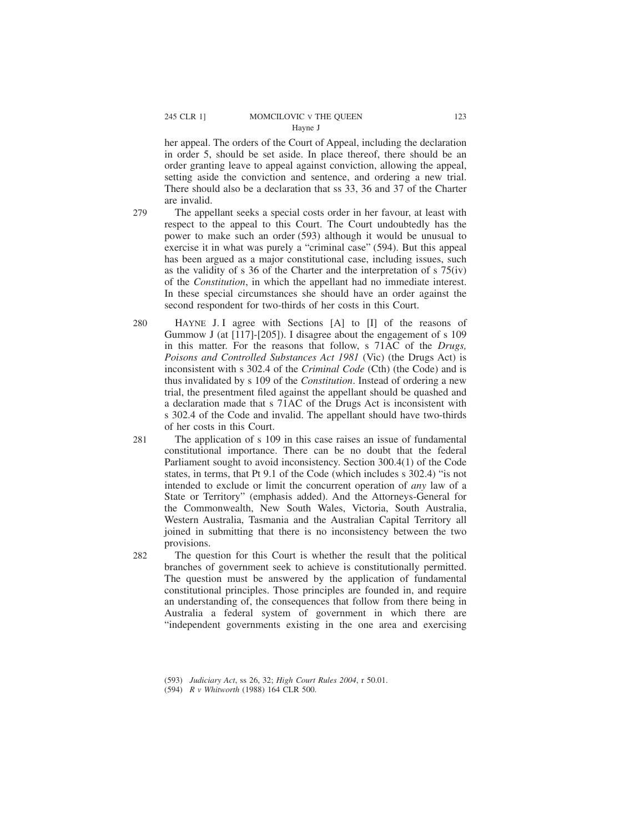# 245 CLR 1] MOMCILOVIC V THE QUEEN 123 Hayne J

her appeal. The orders of the Court of Appeal, including the declaration in order 5, should be set aside. In place thereof, there should be an order granting leave to appeal against conviction, allowing the appeal, setting aside the conviction and sentence, and ordering a new trial. There should also be a declaration that ss 33, 36 and 37 of the Charter are invalid.

- The appellant seeks a special costs order in her favour, at least with respect to the appeal to this Court. The Court undoubtedly has the power to make such an order (593) although it would be unusual to exercise it in what was purely a "criminal case" (594). But this appeal has been argued as a major constitutional case, including issues, such as the validity of s 36 of the Charter and the interpretation of s 75(iv) of the *Constitution*, in which the appellant had no immediate interest. In these special circumstances she should have an order against the second respondent for two-thirds of her costs in this Court. 279
- HAYNE J. I agree with Sections [A] to [I] of the reasons of Gummow J (at [117]-[205]). I disagree about the engagement of s 109 in this matter. For the reasons that follow, s 71AC of the *Drugs, Poisons and Controlled Substances Act 1981* (Vic) (the Drugs Act) is inconsistent with s 302.4 of the *Criminal Code* (Cth) (the Code) and is thus invalidated by s 109 of the *Constitution*. Instead of ordering a new trial, the presentment filed against the appellant should be quashed and a declaration made that s 71AC of the Drugs Act is inconsistent with s 302.4 of the Code and invalid. The appellant should have two-thirds of her costs in this Court. 280
- The application of s 109 in this case raises an issue of fundamental constitutional importance. There can be no doubt that the federal Parliament sought to avoid inconsistency. Section 300.4(1) of the Code states, in terms, that Pt 9.1 of the Code (which includes s 302.4) "is not intended to exclude or limit the concurrent operation of *any* law of a State or Territory" (emphasis added). And the Attorneys-General for the Commonwealth, New South Wales, Victoria, South Australia, Western Australia, Tasmania and the Australian Capital Territory all joined in submitting that there is no inconsistency between the two provisions. 281
- The question for this Court is whether the result that the political branches of government seek to achieve is constitutionally permitted. The question must be answered by the application of fundamental constitutional principles. Those principles are founded in, and require an understanding of, the consequences that follow from there being in Australia a federal system of government in which there are "independent governments existing in the one area and exercising 282

<sup>(593)</sup> *Judiciary Act*, ss 26, 32; *High Court Rules 2004*, r 50.01.

<sup>(594)</sup> *R v Whitworth* (1988) 164 CLR 500.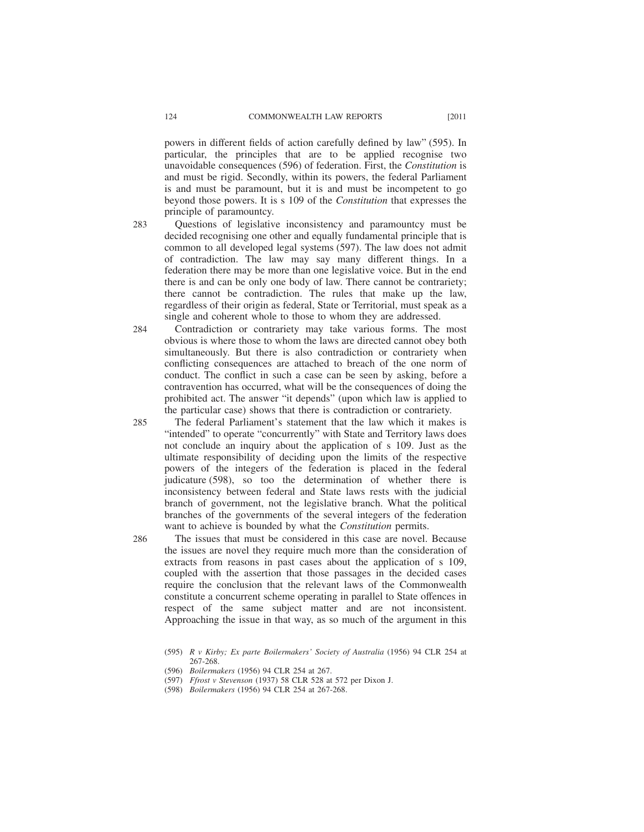powers in different fields of action carefully defined by law" (595). In particular, the principles that are to be applied recognise two unavoidable consequences (596) of federation. First, the *Constitution* is and must be rigid. Secondly, within its powers, the federal Parliament is and must be paramount, but it is and must be incompetent to go beyond those powers. It is s 109 of the *Constitution* that expresses the principle of paramountcy.

283

Questions of legislative inconsistency and paramountcy must be decided recognising one other and equally fundamental principle that is common to all developed legal systems (597). The law does not admit of contradiction. The law may say many different things. In a federation there may be more than one legislative voice. But in the end there is and can be only one body of law. There cannot be contrariety; there cannot be contradiction. The rules that make up the law, regardless of their origin as federal, State or Territorial, must speak as a single and coherent whole to those to whom they are addressed.

- Contradiction or contrariety may take various forms. The most obvious is where those to whom the laws are directed cannot obey both simultaneously. But there is also contradiction or contrariety when conflicting consequences are attached to breach of the one norm of conduct. The conflict in such a case can be seen by asking, before a contravention has occurred, what will be the consequences of doing the prohibited act. The answer "it depends" (upon which law is applied to the particular case) shows that there is contradiction or contrariety. 284
	- The federal Parliament's statement that the law which it makes is "intended" to operate "concurrently" with State and Territory laws does not conclude an inquiry about the application of s 109. Just as the ultimate responsibility of deciding upon the limits of the respective powers of the integers of the federation is placed in the federal judicature (598), so too the determination of whether there is inconsistency between federal and State laws rests with the judicial branch of government, not the legislative branch. What the political branches of the governments of the several integers of the federation want to achieve is bounded by what the *Constitution* permits.

286

285

The issues that must be considered in this case are novel. Because the issues are novel they require much more than the consideration of extracts from reasons in past cases about the application of s 109, coupled with the assertion that those passages in the decided cases require the conclusion that the relevant laws of the Commonwealth constitute a concurrent scheme operating in parallel to State offences in respect of the same subject matter and are not inconsistent. Approaching the issue in that way, as so much of the argument in this

- (597) *Ffrost v Stevenson* (1937) 58 CLR 528 at 572 per Dixon J.
- (598) *Boilermakers* (1956) 94 CLR 254 at 267-268.

<sup>(595)</sup> *R v Kirby; Ex parte Boilermakers' Society of Australia* (1956) 94 CLR 254 at 267-268.

<sup>(596)</sup> *Boilermakers* (1956) 94 CLR 254 at 267.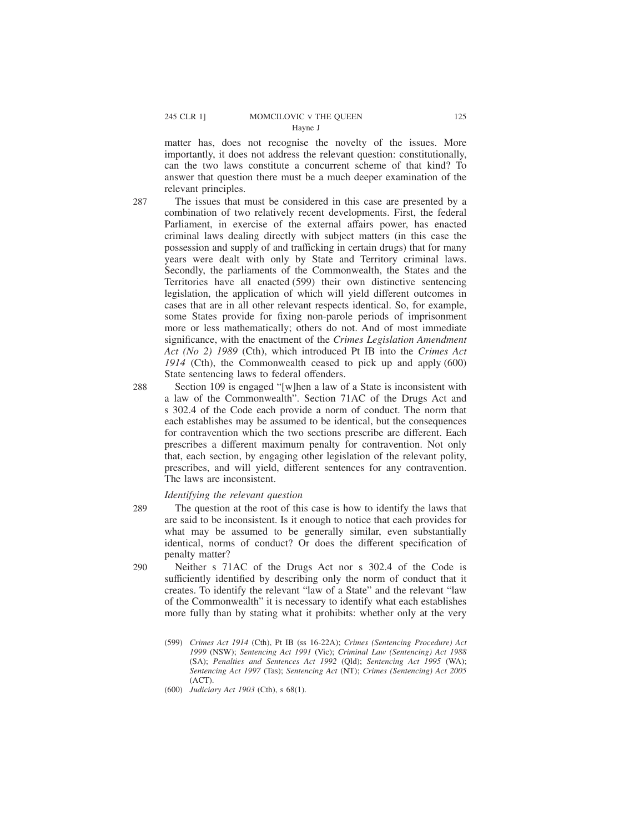287

288

289

# 245 CLR 1] MOMCILOVIC V THE QUEEN 125 Hayne J

matter has, does not recognise the novelty of the issues. More importantly, it does not address the relevant question: constitutionally, can the two laws constitute a concurrent scheme of that kind? To answer that question there must be a much deeper examination of the relevant principles.

The issues that must be considered in this case are presented by a combination of two relatively recent developments. First, the federal Parliament, in exercise of the external affairs power, has enacted criminal laws dealing directly with subject matters (in this case the possession and supply of and trafficking in certain drugs) that for many years were dealt with only by State and Territory criminal laws. Secondly, the parliaments of the Commonwealth, the States and the Territories have all enacted (599) their own distinctive sentencing legislation, the application of which will yield different outcomes in cases that are in all other relevant respects identical. So, for example, some States provide for fixing non-parole periods of imprisonment more or less mathematically; others do not. And of most immediate significance, with the enactment of the *Crimes Legislation Amendment Act (No 2) 1989* (Cth), which introduced Pt IB into the *Crimes Act 1914* (Cth), the Commonwealth ceased to pick up and apply (600) State sentencing laws to federal offenders.

Section 109 is engaged "[w]hen a law of a State is inconsistent with a law of the Commonwealth". Section 71AC of the Drugs Act and s 302.4 of the Code each provide a norm of conduct. The norm that each establishes may be assumed to be identical, but the consequences for contravention which the two sections prescribe are different. Each prescribes a different maximum penalty for contravention. Not only that, each section, by engaging other legislation of the relevant polity, prescribes, and will yield, different sentences for any contravention. The laws are inconsistent.

*Identifying the relevant question*

- The question at the root of this case is how to identify the laws that are said to be inconsistent. Is it enough to notice that each provides for what may be assumed to be generally similar, even substantially identical, norms of conduct? Or does the different specification of penalty matter?
- Neither s 71AC of the Drugs Act nor s 302.4 of the Code is sufficiently identified by describing only the norm of conduct that it creates. To identify the relevant "law of a State" and the relevant "law of the Commonwealth" it is necessary to identify what each establishes more fully than by stating what it prohibits: whether only at the very 290

<sup>(599)</sup> *Crimes Act 1914* (Cth), Pt IB (ss 16-22A); *Crimes (Sentencing Procedure) Act 1999* (NSW); *Sentencing Act 1991* (Vic); *Criminal Law (Sentencing) Act 1988* (SA); *Penalties and Sentences Act 1992* (Qld); *Sentencing Act 1995* (WA); *Sentencing Act 1997* (Tas); *Sentencing Act* (NT); *Crimes (Sentencing) Act 2005*  $(ACT)$ .

<sup>(600)</sup> *Judiciary Act 1903* (Cth), s 68(1).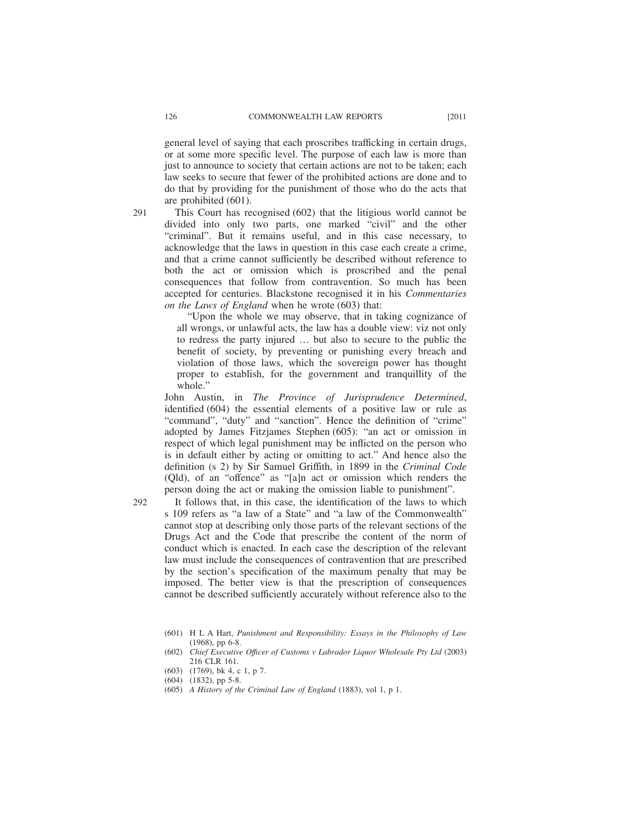general level of saying that each proscribes trafficking in certain drugs, or at some more specific level. The purpose of each law is more than just to announce to society that certain actions are not to be taken; each law seeks to secure that fewer of the prohibited actions are done and to do that by providing for the punishment of those who do the acts that are prohibited (601).

291

292

This Court has recognised (602) that the litigious world cannot be divided into only two parts, one marked "civil" and the other "criminal". But it remains useful, and in this case necessary, to acknowledge that the laws in question in this case each create a crime, and that a crime cannot sufficiently be described without reference to both the act or omission which is proscribed and the penal consequences that follow from contravention. So much has been accepted for centuries. Blackstone recognised it in his *Commentaries on the Laws of England* when he wrote (603) that:

"Upon the whole we may observe, that in taking cognizance of all wrongs, or unlawful acts, the law has a double view: viz not only to redress the party injured … but also to secure to the public the benefit of society, by preventing or punishing every breach and violation of those laws, which the sovereign power has thought proper to establish, for the government and tranquillity of the whole."

John Austin, in *The Province of Jurisprudence Determined*, identified (604) the essential elements of a positive law or rule as "command", "duty" and "sanction". Hence the definition of "crime" adopted by James Fitzjames Stephen (605): "an act or omission in respect of which legal punishment may be inflicted on the person who is in default either by acting or omitting to act." And hence also the definition (s 2) by Sir Samuel Griffith, in 1899 in the *Criminal Code* (Qld), of an "offence" as "[a]n act or omission which renders the person doing the act or making the omission liable to punishment".

It follows that, in this case, the identification of the laws to which s 109 refers as "a law of a State" and "a law of the Commonwealth" cannot stop at describing only those parts of the relevant sections of the Drugs Act and the Code that prescribe the content of the norm of conduct which is enacted. In each case the description of the relevant law must include the consequences of contravention that are prescribed by the section's specification of the maximum penalty that may be imposed. The better view is that the prescription of consequences cannot be described sufficiently accurately without reference also to the

(605) *A History of the Criminal Law of England* (1883), vol 1, p 1.

<sup>(601)</sup> H L A Hart, *Punishment and Responsibility: Essays in the Philosophy of Law* (1968), pp 6-8.

<sup>(602)</sup> *Chief Executive Offıcer of Customs v Labrador Liquor Wholesale Pty Ltd* (2003) 216 CLR 161.

<sup>(603) (1769),</sup> bk 4, c 1, p 7.

<sup>(604) (1832),</sup> pp 5-8.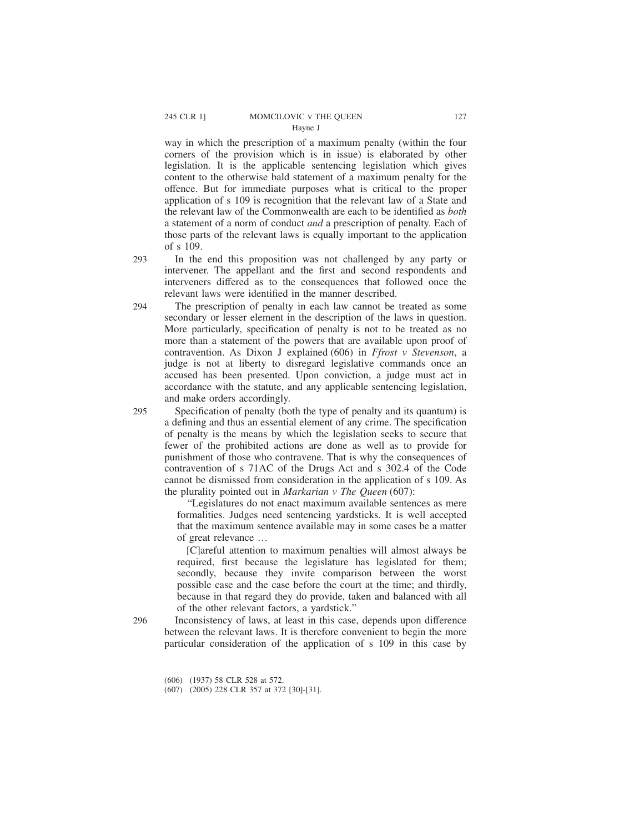# 245 CLR 1] MOMCILOVIC V THE QUEEN 127 Hayne J

way in which the prescription of a maximum penalty (within the four corners of the provision which is in issue) is elaborated by other legislation. It is the applicable sentencing legislation which gives content to the otherwise bald statement of a maximum penalty for the offence. But for immediate purposes what is critical to the proper application of s 109 is recognition that the relevant law of a State and the relevant law of the Commonwealth are each to be identified as *both* a statement of a norm of conduct *and* a prescription of penalty. Each of those parts of the relevant laws is equally important to the application of s 109.

In the end this proposition was not challenged by any party or intervener. The appellant and the first and second respondents and interveners differed as to the consequences that followed once the relevant laws were identified in the manner described.

The prescription of penalty in each law cannot be treated as some secondary or lesser element in the description of the laws in question. More particularly, specification of penalty is not to be treated as no more than a statement of the powers that are available upon proof of contravention. As Dixon J explained (606) in *Ffrost v Stevenson*, a judge is not at liberty to disregard legislative commands once an accused has been presented. Upon conviction, a judge must act in accordance with the statute, and any applicable sentencing legislation, and make orders accordingly. 294

Specification of penalty (both the type of penalty and its quantum) is a defining and thus an essential element of any crime. The specification of penalty is the means by which the legislation seeks to secure that fewer of the prohibited actions are done as well as to provide for punishment of those who contravene. That is why the consequences of contravention of s 71AC of the Drugs Act and s 302.4 of the Code cannot be dismissed from consideration in the application of s 109. As the plurality pointed out in *Markarian v The Queen* (607):

"Legislatures do not enact maximum available sentences as mere formalities. Judges need sentencing yardsticks. It is well accepted that the maximum sentence available may in some cases be a matter of great relevance …

[C]areful attention to maximum penalties will almost always be required, first because the legislature has legislated for them; secondly, because they invite comparison between the worst possible case and the case before the court at the time; and thirdly, because in that regard they do provide, taken and balanced with all of the other relevant factors, a yardstick."

Inconsistency of laws, at least in this case, depends upon difference between the relevant laws. It is therefore convenient to begin the more particular consideration of the application of s 109 in this case by

(607) (2005) 228 CLR 357 at 372 [30]-[31].

293

295

<sup>(606) (1937) 58</sup> CLR 528 at 572.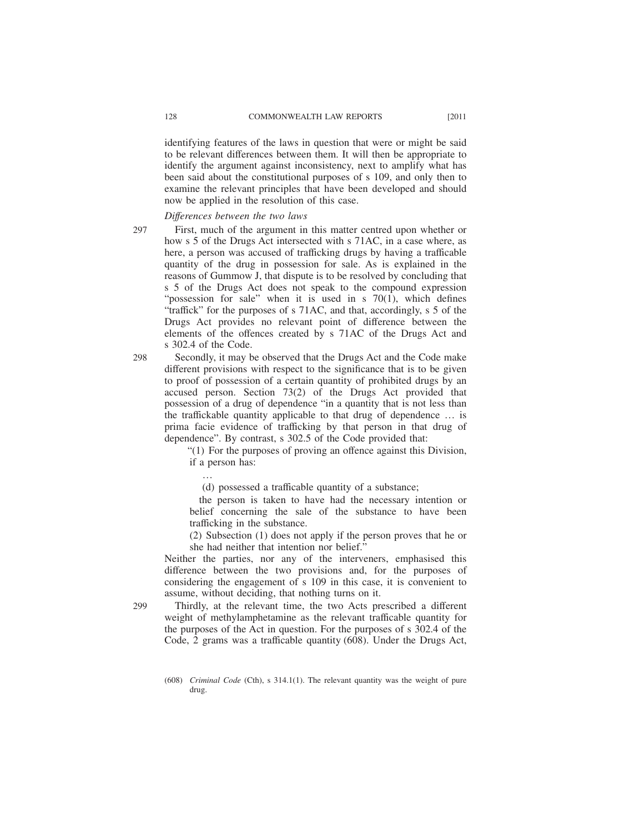identifying features of the laws in question that were or might be said to be relevant differences between them. It will then be appropriate to identify the argument against inconsistency, next to amplify what has been said about the constitutional purposes of s 109, and only then to examine the relevant principles that have been developed and should now be applied in the resolution of this case.

#### *Differences between the two laws*

First, much of the argument in this matter centred upon whether or how s 5 of the Drugs Act intersected with s 71AC, in a case where, as here, a person was accused of trafficking drugs by having a trafficable quantity of the drug in possession for sale. As is explained in the reasons of Gummow J, that dispute is to be resolved by concluding that s 5 of the Drugs Act does not speak to the compound expression "possession for sale" when it is used in  $s$  70(1), which defines "traffick" for the purposes of s 71AC, and that, accordingly, s 5 of the Drugs Act provides no relevant point of difference between the elements of the offences created by s 71AC of the Drugs Act and s 302.4 of the Code. 297

Secondly, it may be observed that the Drugs Act and the Code make different provisions with respect to the significance that is to be given to proof of possession of a certain quantity of prohibited drugs by an accused person. Section 73(2) of the Drugs Act provided that possession of a drug of dependence "in a quantity that is not less than the traffickable quantity applicable to that drug of dependence … is prima facie evidence of trafficking by that person in that drug of dependence". By contrast, s 302.5 of the Code provided that:

"(1) For the purposes of proving an offence against this Division, if a person has:

…

(d) possessed a trafficable quantity of a substance;

the person is taken to have had the necessary intention or belief concerning the sale of the substance to have been trafficking in the substance.

(2) Subsection (1) does not apply if the person proves that he or she had neither that intention nor belief."

Neither the parties, nor any of the interveners, emphasised this difference between the two provisions and, for the purposes of considering the engagement of s 109 in this case, it is convenient to assume, without deciding, that nothing turns on it.

Thirdly, at the relevant time, the two Acts prescribed a different weight of methylamphetamine as the relevant trafficable quantity for the purposes of the Act in question. For the purposes of s 302.4 of the Code, 2 grams was a trafficable quantity (608). Under the Drugs Act,

298

<sup>(608)</sup> *Criminal Code* (Cth), s 314.1(1). The relevant quantity was the weight of pure drug.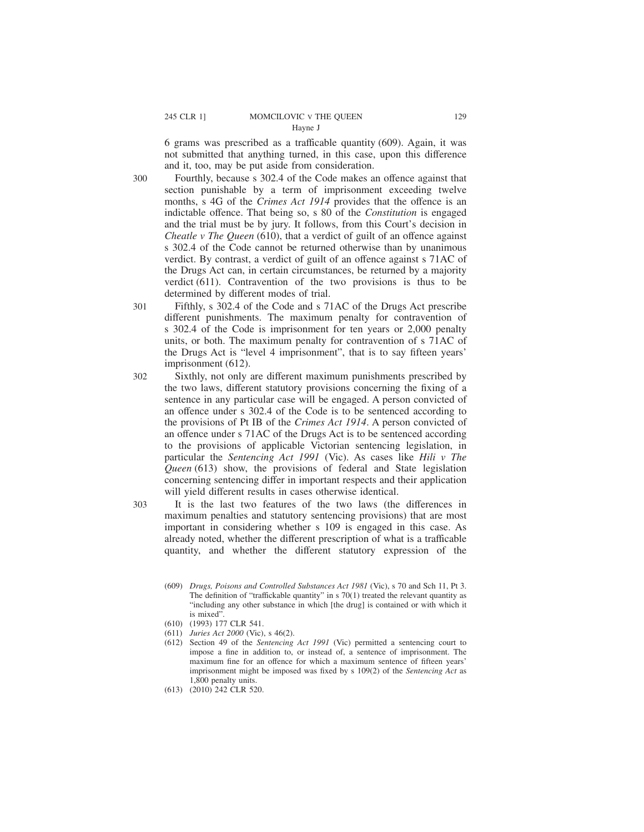6 grams was prescribed as a trafficable quantity (609). Again, it was not submitted that anything turned, in this case, upon this difference and it, too, may be put aside from consideration.

- Fourthly, because s 302.4 of the Code makes an offence against that section punishable by a term of imprisonment exceeding twelve months, s 4G of the *Crimes Act 1914* provides that the offence is an indictable offence. That being so, s 80 of the *Constitution* is engaged and the trial must be by jury. It follows, from this Court's decision in *Cheatle v The Queen* (610), that a verdict of guilt of an offence against s 302.4 of the Code cannot be returned otherwise than by unanimous verdict. By contrast, a verdict of guilt of an offence against s 71AC of the Drugs Act can, in certain circumstances, be returned by a majority verdict (611). Contravention of the two provisions is thus to be determined by different modes of trial. 300
- Fifthly, s 302.4 of the Code and s 71AC of the Drugs Act prescribe different punishments. The maximum penalty for contravention of s 302.4 of the Code is imprisonment for ten years or 2,000 penalty units, or both. The maximum penalty for contravention of s 71AC of the Drugs Act is "level 4 imprisonment", that is to say fifteen years' imprisonment (612). 301
- Sixthly, not only are different maximum punishments prescribed by the two laws, different statutory provisions concerning the fixing of a sentence in any particular case will be engaged. A person convicted of an offence under s 302.4 of the Code is to be sentenced according to the provisions of Pt IB of the *Crimes Act 1914*. A person convicted of an offence under s 71AC of the Drugs Act is to be sentenced according to the provisions of applicable Victorian sentencing legislation, in particular the *Sentencing Act 1991* (Vic). As cases like *Hili v The Queen* (613) show, the provisions of federal and State legislation concerning sentencing differ in important respects and their application will yield different results in cases otherwise identical. 302

It is the last two features of the two laws (the differences in maximum penalties and statutory sentencing provisions) that are most important in considering whether s 109 is engaged in this case. As already noted, whether the different prescription of what is a trafficable quantity, and whether the different statutory expression of the

- (609) *Drugs, Poisons and Controlled Substances Act 1981* (Vic), s 70 and Sch 11, Pt 3. The definition of "traffickable quantity" in s 70(1) treated the relevant quantity as "including any other substance in which [the drug] is contained or with which it is mixed".
- (610) (1993) 177 CLR 541.

- (611) *Juries Act 2000* (Vic), s 46(2).
- (612) Section 49 of the *Sentencing Act 1991* (Vic) permitted a sentencing court to impose a fine in addition to, or instead of, a sentence of imprisonment. The maximum fine for an offence for which a maximum sentence of fifteen years' imprisonment might be imposed was fixed by s 109(2) of the *Sentencing Act* as 1,800 penalty units.
- (613) (2010) 242 CLR 520.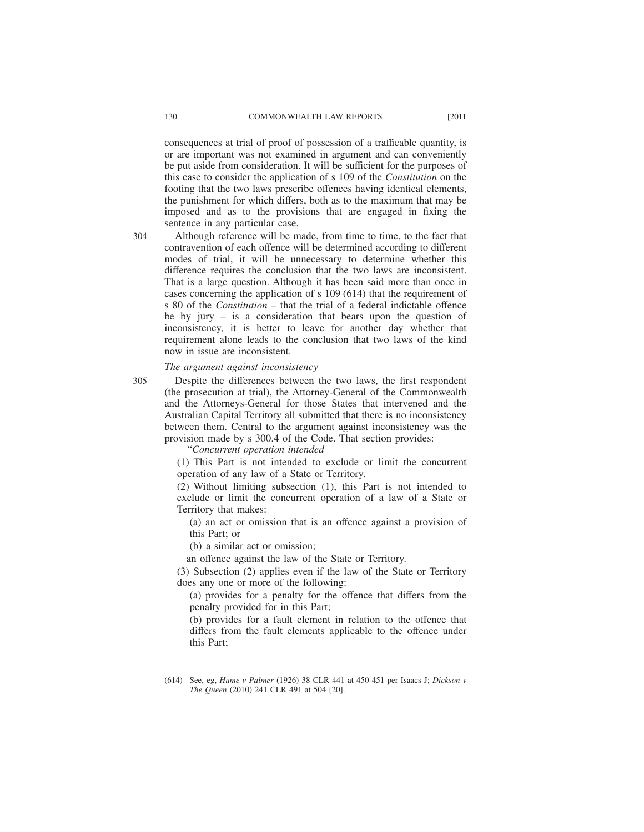consequences at trial of proof of possession of a trafficable quantity, is or are important was not examined in argument and can conveniently be put aside from consideration. It will be sufficient for the purposes of this case to consider the application of s 109 of the *Constitution* on the footing that the two laws prescribe offences having identical elements, the punishment for which differs, both as to the maximum that may be imposed and as to the provisions that are engaged in fixing the sentence in any particular case.

304

305

Although reference will be made, from time to time, to the fact that contravention of each offence will be determined according to different modes of trial, it will be unnecessary to determine whether this difference requires the conclusion that the two laws are inconsistent. That is a large question. Although it has been said more than once in cases concerning the application of s 109 (614) that the requirement of s 80 of the *Constitution* – that the trial of a federal indictable offence be by jury – is a consideration that bears upon the question of inconsistency, it is better to leave for another day whether that requirement alone leads to the conclusion that two laws of the kind now in issue are inconsistent.

#### *The argument against inconsistency*

Despite the differences between the two laws, the first respondent (the prosecution at trial), the Attorney-General of the Commonwealth and the Attorneys-General for those States that intervened and the Australian Capital Territory all submitted that there is no inconsistency between them. Central to the argument against inconsistency was the provision made by s 300.4 of the Code. That section provides:

"*Concurrent operation intended*

(1) This Part is not intended to exclude or limit the concurrent operation of any law of a State or Territory.

(2) Without limiting subsection (1), this Part is not intended to exclude or limit the concurrent operation of a law of a State or Territory that makes:

(a) an act or omission that is an offence against a provision of this Part; or

(b) a similar act or omission;

an offence against the law of the State or Territory.

(3) Subsection (2) applies even if the law of the State or Territory does any one or more of the following:

(a) provides for a penalty for the offence that differs from the penalty provided for in this Part;

(b) provides for a fault element in relation to the offence that differs from the fault elements applicable to the offence under this Part;

<sup>(614)</sup> See, eg, *Hume v Palmer* (1926) 38 CLR 441 at 450-451 per Isaacs J; *Dickson v The Queen* (2010) 241 CLR 491 at 504 [20].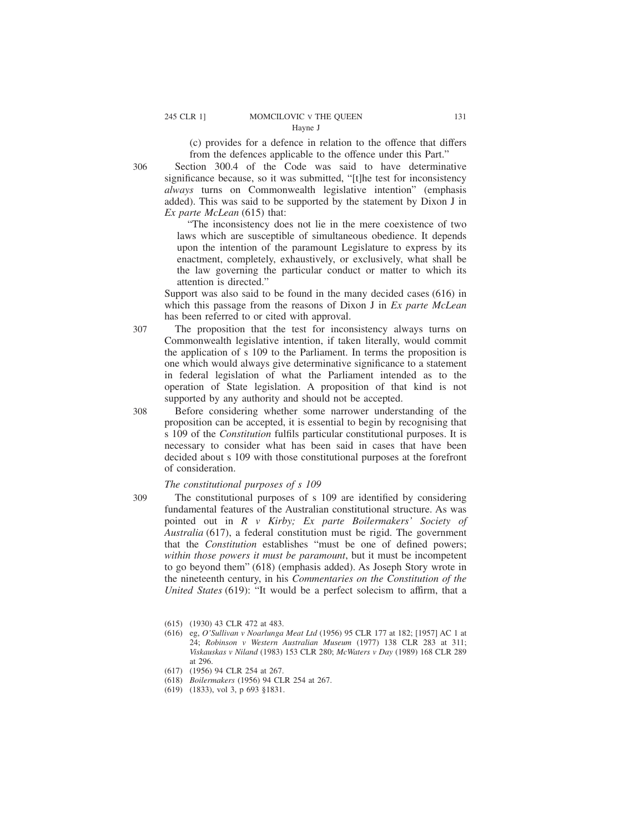# 245 CLR 1] MOMCILOVIC V THE QUEEN 131 Hayne J

(c) provides for a defence in relation to the offence that differs from the defences applicable to the offence under this Part."

Section 300.4 of the Code was said to have determinative significance because, so it was submitted, "[t]he test for inconsistency *always* turns on Commonwealth legislative intention" (emphasis added). This was said to be supported by the statement by Dixon J in *Ex parte McLean* (615) that:

"The inconsistency does not lie in the mere coexistence of two laws which are susceptible of simultaneous obedience. It depends upon the intention of the paramount Legislature to express by its enactment, completely, exhaustively, or exclusively, what shall be the law governing the particular conduct or matter to which its attention is directed."

Support was also said to be found in the many decided cases (616) in which this passage from the reasons of Dixon J in *Ex parte McLean* has been referred to or cited with approval.

- The proposition that the test for inconsistency always turns on Commonwealth legislative intention, if taken literally, would commit the application of s 109 to the Parliament. In terms the proposition is one which would always give determinative significance to a statement in federal legislation of what the Parliament intended as to the operation of State legislation. A proposition of that kind is not supported by any authority and should not be accepted.
	- Before considering whether some narrower understanding of the proposition can be accepted, it is essential to begin by recognising that s 109 of the *Constitution* fulfils particular constitutional purposes. It is necessary to consider what has been said in cases that have been decided about s 109 with those constitutional purposes at the forefront of consideration.

*The constitutional purposes of s 109*

The constitutional purposes of s 109 are identified by considering fundamental features of the Australian constitutional structure. As was pointed out in *R v Kirby; Ex parte Boilermakers' Society of Australia* (617), a federal constitution must be rigid. The government that the *Constitution* establishes "must be one of defined powers; *within those powers it must be paramount*, but it must be incompetent to go beyond them" (618) (emphasis added). As Joseph Story wrote in the nineteenth century, in his *Commentaries on the Constitution of the United States* (619): "It would be a perfect solecism to affirm, that a

- (616) eg, *O'Sullivan v Noarlunga Meat Ltd* (1956) 95 CLR 177 at 182; [1957] AC 1 at 24; *Robinson v Western Australian Museum* (1977) 138 CLR 283 at 311; *Viskauskas v Niland* (1983) 153 CLR 280; *McWaters v Day* (1989) 168 CLR 289 at 296.
- (617) (1956) 94 CLR 254 at 267.
- (618) *Boilermakers* (1956) 94 CLR 254 at 267.
- (619) (1833), vol 3, p 693 §1831.

306

307

309

<sup>(615) (1930) 43</sup> CLR 472 at 483.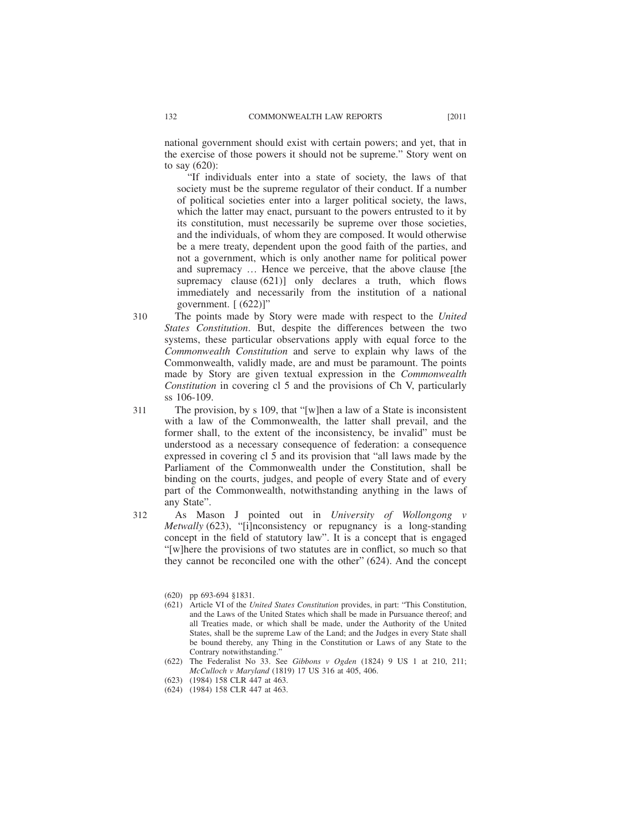national government should exist with certain powers; and yet, that in the exercise of those powers it should not be supreme." Story went on to say (620):

"If individuals enter into a state of society, the laws of that society must be the supreme regulator of their conduct. If a number of political societies enter into a larger political society, the laws, which the latter may enact, pursuant to the powers entrusted to it by its constitution, must necessarily be supreme over those societies, and the individuals, of whom they are composed. It would otherwise be a mere treaty, dependent upon the good faith of the parties, and not a government, which is only another name for political power and supremacy … Hence we perceive, that the above clause [the supremacy clause (621)] only declares a truth, which flows immediately and necessarily from the institution of a national government. [  $(622)$ ]"

- The points made by Story were made with respect to the *United States Constitution*. But, despite the differences between the two systems, these particular observations apply with equal force to the *Commonwealth Constitution* and serve to explain why laws of the Commonwealth, validly made, are and must be paramount. The points made by Story are given textual expression in the *Commonwealth Constitution* in covering cl 5 and the provisions of Ch V, particularly ss 106-109. 310
- The provision, by s 109, that "[w]hen a law of a State is inconsistent with a law of the Commonwealth, the latter shall prevail, and the former shall, to the extent of the inconsistency, be invalid" must be understood as a necessary consequence of federation: a consequence expressed in covering cl 5 and its provision that "all laws made by the Parliament of the Commonwealth under the Constitution, shall be binding on the courts, judges, and people of every State and of every part of the Commonwealth, notwithstanding anything in the laws of any State". 311
- As Mason J pointed out in *University of Wollongong v Metwally* (623), "[i]nconsistency or repugnancy is a long-standing concept in the field of statutory law". It is a concept that is engaged "[w]here the provisions of two statutes are in conflict, so much so that they cannot be reconciled one with the other" (624). And the concept 312
	- (620) pp 693-694 §1831.
	- (621) Article VI of the *United States Constitution* provides, in part: "This Constitution, and the Laws of the United States which shall be made in Pursuance thereof; and all Treaties made, or which shall be made, under the Authority of the United States, shall be the supreme Law of the Land; and the Judges in every State shall be bound thereby, any Thing in the Constitution or Laws of any State to the Contrary notwithstanding."
	- (622) The Federalist No 33. See *Gibbons v Ogden* (1824) 9 US 1 at 210, 211; *McCulloch v Maryland* (1819) 17 US 316 at 405, 406.
	- (623) (1984) 158 CLR 447 at 463.
	- (624) (1984) 158 CLR 447 at 463.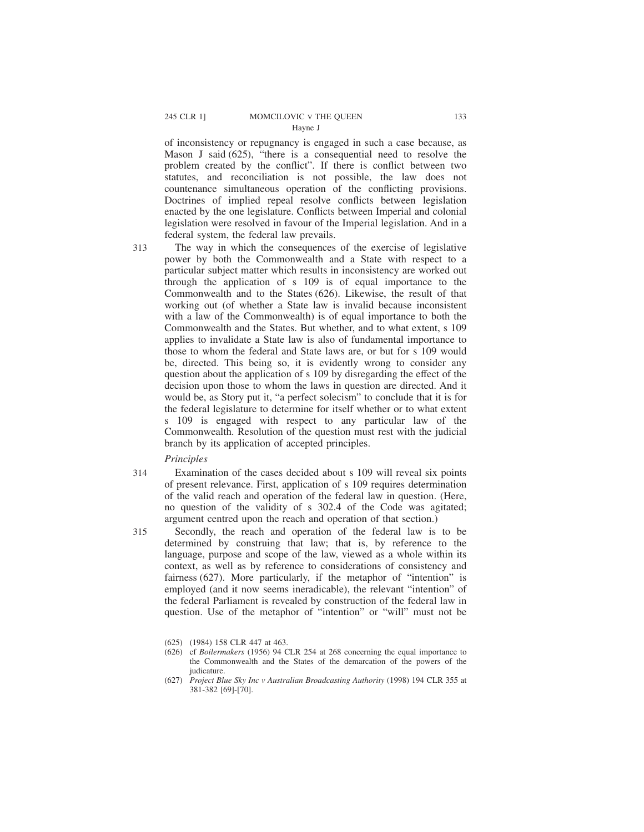of inconsistency or repugnancy is engaged in such a case because, as Mason J said (625), "there is a consequential need to resolve the problem created by the conflict". If there is conflict between two statutes, and reconciliation is not possible, the law does not countenance simultaneous operation of the conflicting provisions. Doctrines of implied repeal resolve conflicts between legislation enacted by the one legislature. Conflicts between Imperial and colonial legislation were resolved in favour of the Imperial legislation. And in a federal system, the federal law prevails.

313

314

315

The way in which the consequences of the exercise of legislative power by both the Commonwealth and a State with respect to a particular subject matter which results in inconsistency are worked out through the application of s 109 is of equal importance to the Commonwealth and to the States (626). Likewise, the result of that working out (of whether a State law is invalid because inconsistent with a law of the Commonwealth) is of equal importance to both the Commonwealth and the States. But whether, and to what extent, s 109 applies to invalidate a State law is also of fundamental importance to those to whom the federal and State laws are, or but for s 109 would be, directed. This being so, it is evidently wrong to consider any question about the application of s 109 by disregarding the effect of the decision upon those to whom the laws in question are directed. And it would be, as Story put it, "a perfect solecism" to conclude that it is for the federal legislature to determine for itself whether or to what extent s 109 is engaged with respect to any particular law of the Commonwealth. Resolution of the question must rest with the judicial branch by its application of accepted principles.

## *Principles*

Examination of the cases decided about s 109 will reveal six points of present relevance. First, application of s 109 requires determination of the valid reach and operation of the federal law in question. (Here, no question of the validity of s 302.4 of the Code was agitated; argument centred upon the reach and operation of that section.)

Secondly, the reach and operation of the federal law is to be determined by construing that law; that is, by reference to the language, purpose and scope of the law, viewed as a whole within its context, as well as by reference to considerations of consistency and fairness (627). More particularly, if the metaphor of "intention" is employed (and it now seems ineradicable), the relevant "intention" of the federal Parliament is revealed by construction of the federal law in question. Use of the metaphor of "intention" or "will" must not be

<sup>(625) (1984) 158</sup> CLR 447 at 463.

<sup>(626)</sup> cf *Boilermakers* (1956) 94 CLR 254 at 268 concerning the equal importance to the Commonwealth and the States of the demarcation of the powers of the judicature.

<sup>(627)</sup> *Project Blue Sky Inc v Australian Broadcasting Authority* (1998) 194 CLR 355 at 381-382 [69]-[70].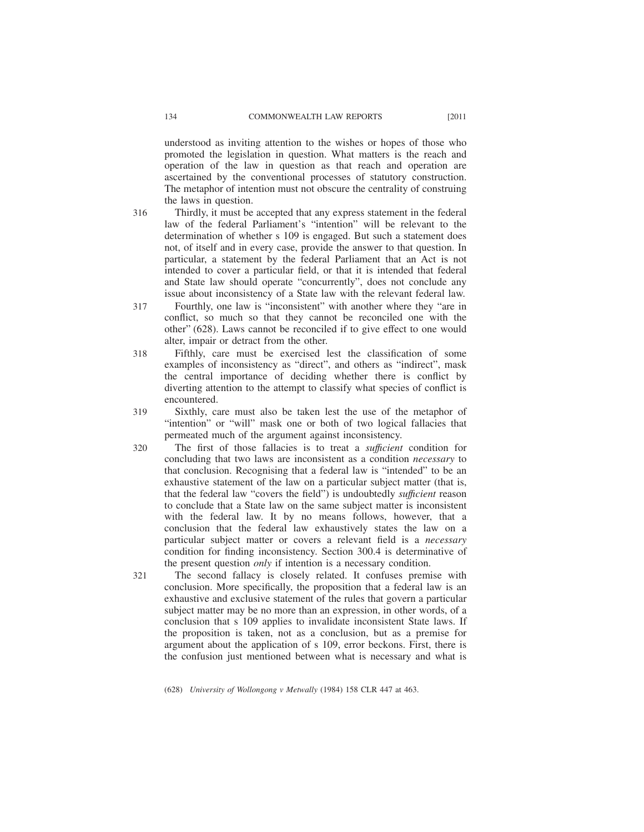understood as inviting attention to the wishes or hopes of those who promoted the legislation in question. What matters is the reach and operation of the law in question as that reach and operation are ascertained by the conventional processes of statutory construction. The metaphor of intention must not obscure the centrality of construing the laws in question.

- Thirdly, it must be accepted that any express statement in the federal law of the federal Parliament's "intention" will be relevant to the determination of whether s 109 is engaged. But such a statement does not, of itself and in every case, provide the answer to that question. In particular, a statement by the federal Parliament that an Act is not intended to cover a particular field, or that it is intended that federal and State law should operate "concurrently", does not conclude any issue about inconsistency of a State law with the relevant federal law. 316
- Fourthly, one law is "inconsistent" with another where they "are in conflict, so much so that they cannot be reconciled one with the other" (628). Laws cannot be reconciled if to give effect to one would alter, impair or detract from the other. 317
- Fifthly, care must be exercised lest the classification of some examples of inconsistency as "direct", and others as "indirect", mask the central importance of deciding whether there is conflict by diverting attention to the attempt to classify what species of conflict is encountered. 318
- Sixthly, care must also be taken lest the use of the metaphor of "intention" or "will" mask one or both of two logical fallacies that permeated much of the argument against inconsistency. 319
- The first of those fallacies is to treat a *suffıcient* condition for concluding that two laws are inconsistent as a condition *necessary* to that conclusion. Recognising that a federal law is "intended" to be an exhaustive statement of the law on a particular subject matter (that is, that the federal law "covers the field") is undoubtedly *suffıcient* reason to conclude that a State law on the same subject matter is inconsistent with the federal law. It by no means follows, however, that a conclusion that the federal law exhaustively states the law on a particular subject matter or covers a relevant field is a *necessary* condition for finding inconsistency. Section 300.4 is determinative of the present question *only* if intention is a necessary condition. 320
- The second fallacy is closely related. It confuses premise with conclusion. More specifically, the proposition that a federal law is an exhaustive and exclusive statement of the rules that govern a particular subject matter may be no more than an expression, in other words, of a conclusion that s 109 applies to invalidate inconsistent State laws. If the proposition is taken, not as a conclusion, but as a premise for argument about the application of s 109, error beckons. First, there is the confusion just mentioned between what is necessary and what is 321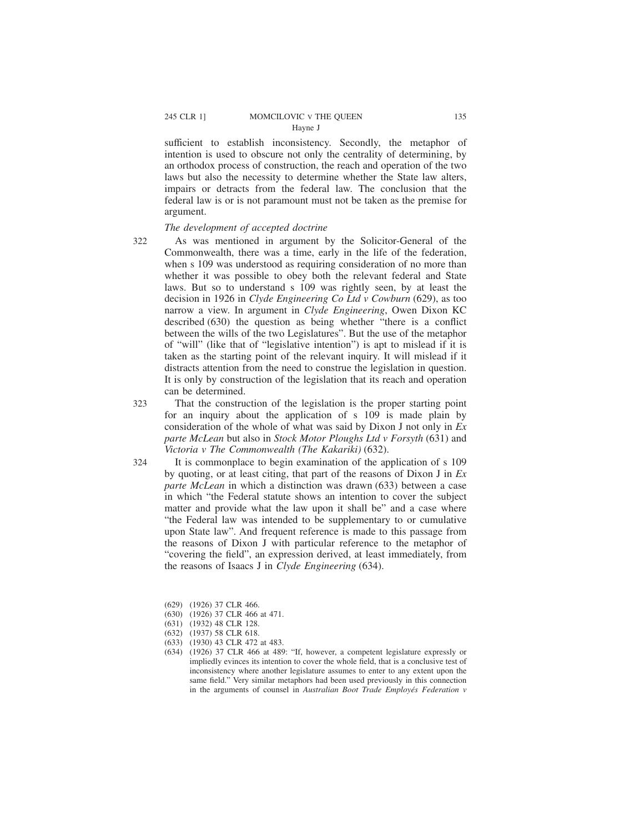# 245 CLR 1] MOMCILOVIC V THE QUEEN 135 Hayne J

sufficient to establish inconsistency. Secondly, the metaphor of intention is used to obscure not only the centrality of determining, by an orthodox process of construction, the reach and operation of the two laws but also the necessity to determine whether the State law alters, impairs or detracts from the federal law. The conclusion that the federal law is or is not paramount must not be taken as the premise for argument.

### *The development of accepted doctrine*

322

As was mentioned in argument by the Solicitor-General of the Commonwealth, there was a time, early in the life of the federation, when s 109 was understood as requiring consideration of no more than whether it was possible to obey both the relevant federal and State laws. But so to understand s 109 was rightly seen, by at least the decision in 1926 in *Clyde Engineering Co Ltd v Cowburn* (629), as too narrow a view. In argument in *Clyde Engineering*, Owen Dixon KC described (630) the question as being whether "there is a conflict between the wills of the two Legislatures". But the use of the metaphor of "will" (like that of "legislative intention") is apt to mislead if it is taken as the starting point of the relevant inquiry. It will mislead if it distracts attention from the need to construe the legislation in question. It is only by construction of the legislation that its reach and operation can be determined.

- That the construction of the legislation is the proper starting point for an inquiry about the application of s 109 is made plain by consideration of the whole of what was said by Dixon J not only in *Ex parte McLean* but also in *Stock Motor Ploughs Ltd v Forsyth* (631) and *Victoria v The Commonwealth (The Kakariki)* (632). 323
- It is commonplace to begin examination of the application of s 109 by quoting, or at least citing, that part of the reasons of Dixon J in *Ex parte McLean* in which a distinction was drawn (633) between a case in which "the Federal statute shows an intention to cover the subject matter and provide what the law upon it shall be" and a case where "the Federal law was intended to be supplementary to or cumulative upon State law". And frequent reference is made to this passage from the reasons of Dixon J with particular reference to the metaphor of "covering the field", an expression derived, at least immediately, from the reasons of Isaacs J in *Clyde Engineering* (634). 324

- (630) (1926) 37 CLR 466 at 471.
- (631) (1932) 48 CLR 128.
- (632) (1937) 58 CLR 618.
- (633) (1930) 43 CLR 472 at 483.
- (634) (1926) 37 CLR 466 at 489: "If, however, a competent legislature expressly or impliedly evinces its intention to cover the whole field, that is a conclusive test of inconsistency where another legislature assumes to enter to any extent upon the same field." Very similar metaphors had been used previously in this connection in the arguments of counsel in *Australian Boot Trade Employés Federation v*

<sup>(629) (1926) 37</sup> CLR 466.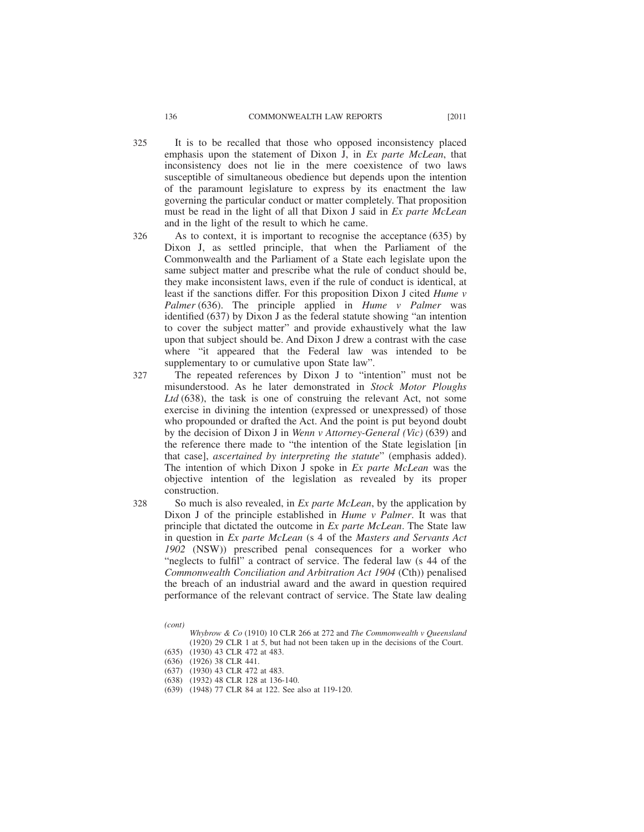- It is to be recalled that those who opposed inconsistency placed emphasis upon the statement of Dixon J, in *Ex parte McLean*, that inconsistency does not lie in the mere coexistence of two laws susceptible of simultaneous obedience but depends upon the intention of the paramount legislature to express by its enactment the law governing the particular conduct or matter completely. That proposition must be read in the light of all that Dixon J said in *Ex parte McLean* and in the light of the result to which he came. 325
- As to context, it is important to recognise the acceptance (635) by Dixon J, as settled principle, that when the Parliament of the Commonwealth and the Parliament of a State each legislate upon the same subject matter and prescribe what the rule of conduct should be, they make inconsistent laws, even if the rule of conduct is identical, at least if the sanctions differ. For this proposition Dixon J cited *Hume v Palmer* (636). The principle applied in *Hume v Palmer* was identified (637) by Dixon J as the federal statute showing "an intention to cover the subject matter" and provide exhaustively what the law upon that subject should be. And Dixon J drew a contrast with the case where "it appeared that the Federal law was intended to be supplementary to or cumulative upon State law". 326
- The repeated references by Dixon J to "intention" must not be misunderstood. As he later demonstrated in *Stock Motor Ploughs* Ltd (638), the task is one of construing the relevant Act, not some exercise in divining the intention (expressed or unexpressed) of those who propounded or drafted the Act. And the point is put beyond doubt by the decision of Dixon J in *Wenn v Attorney-General (Vic)* (639) and the reference there made to "the intention of the State legislation [in that case], *ascertained by interpreting the statute*" (emphasis added). The intention of which Dixon J spoke in *Ex parte McLean* was the objective intention of the legislation as revealed by its proper construction. 327

328

So much is also revealed, in *Ex parte McLean*, by the application by Dixon J of the principle established in *Hume v Palmer*. It was that principle that dictated the outcome in *Ex parte McLean*. The State law in question in *Ex parte McLean* (s 4 of the *Masters and Servants Act 1902* (NSW)) prescribed penal consequences for a worker who "neglects to fulfil" a contract of service. The federal law (s 44 of the *Commonwealth Conciliation and Arbitration Act 1904* (Cth)) penalised the breach of an industrial award and the award in question required performance of the relevant contract of service. The State law dealing

- *Whybrow & Co* (1910) 10 CLR 266 at 272 and *The Commonwealth v Queensland* (1920) 29 CLR 1 at 5, but had not been taken up in the decisions of the Court.
- (635) (1930) 43 CLR 472 at 483.
- (636) (1926) 38 CLR 441.
- (637) (1930) 43 CLR 472 at 483.
- (638) (1932) 48 CLR 128 at 136-140.
- (639) (1948) 77 CLR 84 at 122. See also at 119-120.

*<sup>(</sup>cont)*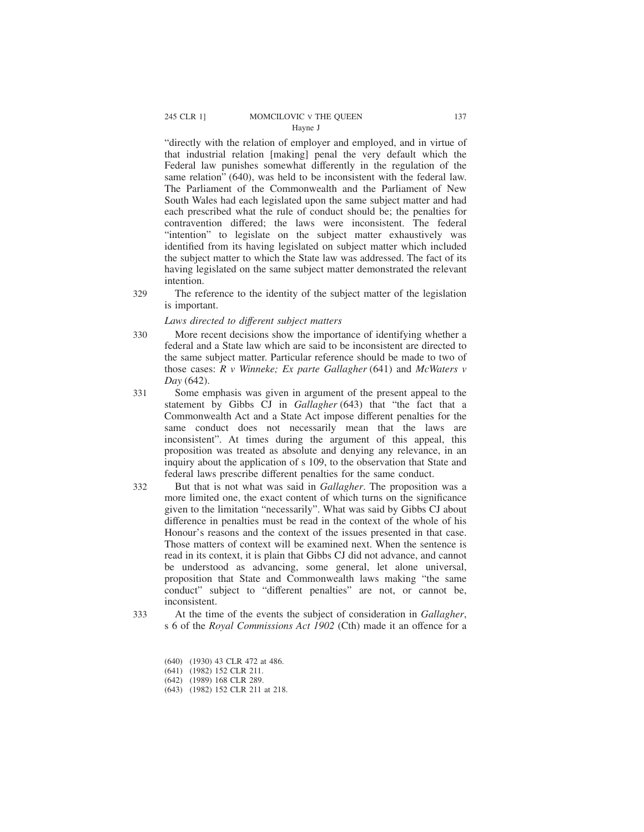# 245 CLR 1] MOMCILOVIC V THE QUEEN 137 Hayne J

"directly with the relation of employer and employed, and in virtue of that industrial relation [making] penal the very default which the Federal law punishes somewhat differently in the regulation of the same relation" (640), was held to be inconsistent with the federal law. The Parliament of the Commonwealth and the Parliament of New South Wales had each legislated upon the same subject matter and had each prescribed what the rule of conduct should be; the penalties for contravention differed; the laws were inconsistent. The federal "intention" to legislate on the subject matter exhaustively was identified from its having legislated on subject matter which included the subject matter to which the State law was addressed. The fact of its having legislated on the same subject matter demonstrated the relevant intention.

The reference to the identity of the subject matter of the legislation is important. 329

# *Laws directed to different subject matters*

- More recent decisions show the importance of identifying whether a federal and a State law which are said to be inconsistent are directed to the same subject matter. Particular reference should be made to two of those cases: *R v Winneke; Ex parte Gallagher* (641) and *McWaters v Day* (642). 330
- Some emphasis was given in argument of the present appeal to the statement by Gibbs CJ in *Gallagher* (643) that "the fact that a Commonwealth Act and a State Act impose different penalties for the same conduct does not necessarily mean that the laws are inconsistent". At times during the argument of this appeal, this proposition was treated as absolute and denying any relevance, in an inquiry about the application of s 109, to the observation that State and federal laws prescribe different penalties for the same conduct. 331
- But that is not what was said in *Gallagher*. The proposition was a more limited one, the exact content of which turns on the significance given to the limitation "necessarily". What was said by Gibbs CJ about difference in penalties must be read in the context of the whole of his Honour's reasons and the context of the issues presented in that case. Those matters of context will be examined next. When the sentence is read in its context, it is plain that Gibbs CJ did not advance, and cannot be understood as advancing, some general, let alone universal, proposition that State and Commonwealth laws making "the same conduct" subject to "different penalties" are not, or cannot be, inconsistent. 332
	- At the time of the events the subject of consideration in *Gallagher*, s 6 of the *Royal Commissions Act 1902* (Cth) made it an offence for a
	- (640) (1930) 43 CLR 472 at 486.
	- (641) (1982) 152 CLR 211.

- (642) (1989) 168 CLR 289.
- (643) (1982) 152 CLR 211 at 218.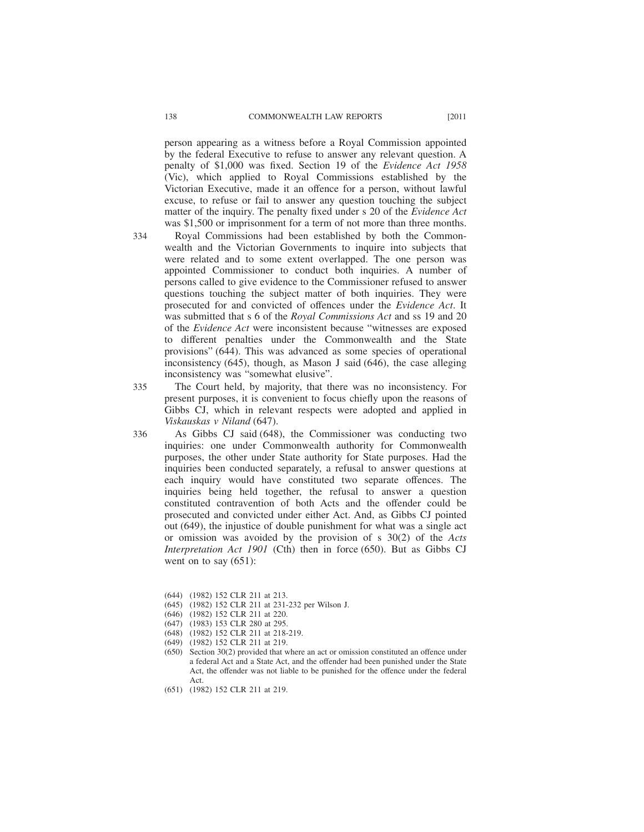person appearing as a witness before a Royal Commission appointed by the federal Executive to refuse to answer any relevant question. A penalty of \$1,000 was fixed. Section 19 of the *Evidence Act 1958* (Vic), which applied to Royal Commissions established by the Victorian Executive, made it an offence for a person, without lawful excuse, to refuse or fail to answer any question touching the subject matter of the inquiry. The penalty fixed under s 20 of the *Evidence Act* was \$1,500 or imprisonment for a term of not more than three months.

334

336

Royal Commissions had been established by both the Commonwealth and the Victorian Governments to inquire into subjects that were related and to some extent overlapped. The one person was appointed Commissioner to conduct both inquiries. A number of persons called to give evidence to the Commissioner refused to answer questions touching the subject matter of both inquiries. They were prosecuted for and convicted of offences under the *Evidence Act*. It was submitted that s 6 of the *Royal Commissions Act* and ss 19 and 20 of the *Evidence Act* were inconsistent because "witnesses are exposed to different penalties under the Commonwealth and the State provisions" (644). This was advanced as some species of operational inconsistency (645), though, as Mason J said (646), the case alleging inconsistency was "somewhat elusive".

The Court held, by majority, that there was no inconsistency. For present purposes, it is convenient to focus chiefly upon the reasons of Gibbs CJ, which in relevant respects were adopted and applied in *Viskauskas v Niland* (647). 335

As Gibbs CJ said (648), the Commissioner was conducting two inquiries: one under Commonwealth authority for Commonwealth purposes, the other under State authority for State purposes. Had the inquiries been conducted separately, a refusal to answer questions at each inquiry would have constituted two separate offences. The inquiries being held together, the refusal to answer a question constituted contravention of both Acts and the offender could be prosecuted and convicted under either Act. And, as Gibbs CJ pointed out (649), the injustice of double punishment for what was a single act or omission was avoided by the provision of s 30(2) of the *Acts Interpretation Act 1901* (Cth) then in force (650). But as Gibbs CJ went on to say  $(651)$ :

(645) (1982) 152 CLR 211 at 231-232 per Wilson J.

- (648) (1982) 152 CLR 211 at 218-219.
- (649) (1982) 152 CLR 211 at 219.
- (650) Section 30(2) provided that where an act or omission constituted an offence under a federal Act and a State Act, and the offender had been punished under the State Act, the offender was not liable to be punished for the offence under the federal Act.
- (651) (1982) 152 CLR 211 at 219.

<sup>(644) (1982) 152</sup> CLR 211 at 213.

<sup>(646) (1982) 152</sup> CLR 211 at 220.

<sup>(647) (1983) 153</sup> CLR 280 at 295.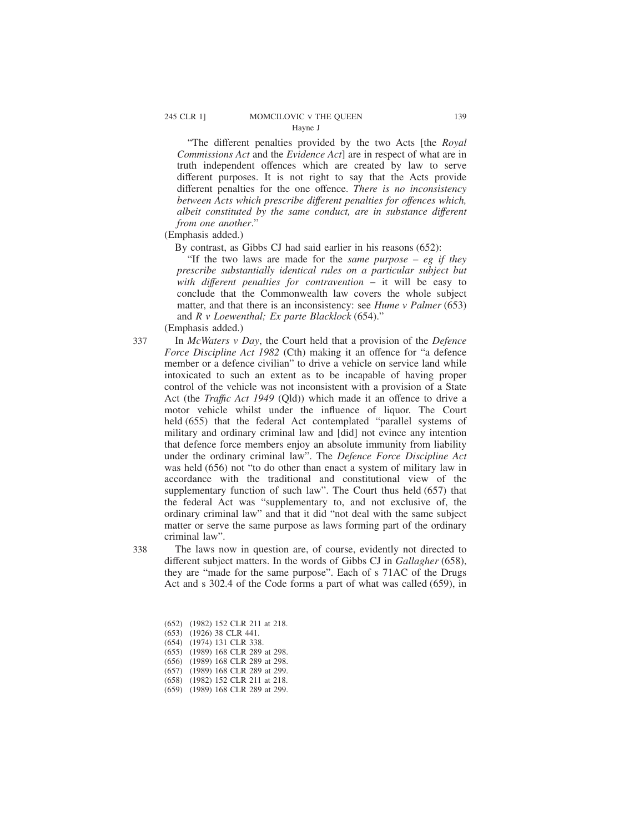# 245 CLR 1] MOMCILOVIC V THE QUEEN 139 Hayne J

"The different penalties provided by the two Acts [the *Royal Commissions Act* and the *Evidence Act*] are in respect of what are in truth independent offences which are created by law to serve different purposes. It is not right to say that the Acts provide different penalties for the one offence. *There is no inconsistency between Acts which prescribe different penalties for offences which, albeit constituted by the same conduct, are in substance different from one another*."

(Emphasis added.)

By contrast, as Gibbs CJ had said earlier in his reasons (652):

"If the two laws are made for the *same purpose – eg if they prescribe substantially identical rules on a particular subject but with different penalties for contravention* – it will be easy to conclude that the Commonwealth law covers the whole subject matter, and that there is an inconsistency: see *Hume v Palmer* (653) and *R v Loewenthal; Ex parte Blacklock* (654)."

(Emphasis added.)

338

In *McWaters v Day*, the Court held that a provision of the *Defence Force Discipline Act 1982* (Cth) making it an offence for "a defence member or a defence civilian" to drive a vehicle on service land while intoxicated to such an extent as to be incapable of having proper control of the vehicle was not inconsistent with a provision of a State Act (the *Traffıc Act 1949* (Qld)) which made it an offence to drive a motor vehicle whilst under the influence of liquor. The Court held (655) that the federal Act contemplated "parallel systems of military and ordinary criminal law and [did] not evince any intention that defence force members enjoy an absolute immunity from liability under the ordinary criminal law". The *Defence Force Discipline Act* was held (656) not "to do other than enact a system of military law in accordance with the traditional and constitutional view of the supplementary function of such law". The Court thus held (657) that the federal Act was "supplementary to, and not exclusive of, the ordinary criminal law" and that it did "not deal with the same subject matter or serve the same purpose as laws forming part of the ordinary criminal law". 337

The laws now in question are, of course, evidently not directed to different subject matters. In the words of Gibbs CJ in *Gallagher* (658), they are "made for the same purpose". Each of s 71AC of the Drugs Act and s 302.4 of the Code forms a part of what was called (659), in

(652) (1982) 152 CLR 211 at 218. (653) (1926) 38 CLR 441. (654) (1974) 131 CLR 338. (655) (1989) 168 CLR 289 at 298. (656) (1989) 168 CLR 289 at 298. (657) (1989) 168 CLR 289 at 299. (658) (1982) 152 CLR 211 at 218. (659) (1989) 168 CLR 289 at 299.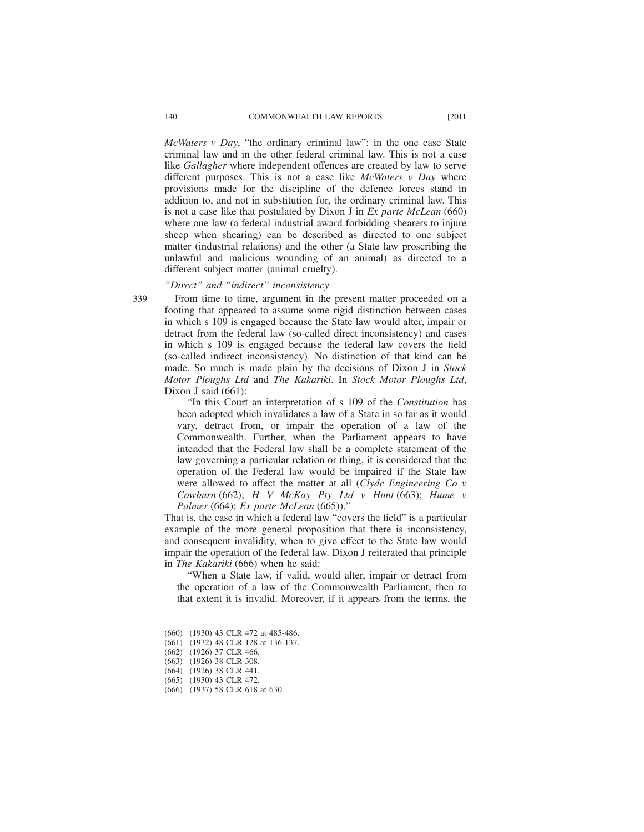*McWaters v Day*, "the ordinary criminal law": in the one case State criminal law and in the other federal criminal law. This is not a case like *Gallagher* where independent offences are created by law to serve different purposes. This is not a case like *McWaters v Day* where provisions made for the discipline of the defence forces stand in addition to, and not in substitution for, the ordinary criminal law. This is not a case like that postulated by Dixon J in *Ex parte McLean* (660) where one law (a federal industrial award forbidding shearers to injure sheep when shearing) can be described as directed to one subject matter (industrial relations) and the other (a State law proscribing the unlawful and malicious wounding of an animal) as directed to a different subject matter (animal cruelty).

*"Direct" and "indirect" inconsistency*

339

From time to time, argument in the present matter proceeded on a footing that appeared to assume some rigid distinction between cases in which s 109 is engaged because the State law would alter, impair or detract from the federal law (so-called direct inconsistency) and cases in which s 109 is engaged because the federal law covers the field (so-called indirect inconsistency). No distinction of that kind can be made. So much is made plain by the decisions of Dixon J in *Stock Motor Ploughs Ltd* and *The Kakariki*. In *Stock Motor Ploughs Ltd*, Dixon J said (661):

"In this Court an interpretation of s 109 of the *Constitution* has been adopted which invalidates a law of a State in so far as it would vary, detract from, or impair the operation of a law of the Commonwealth. Further, when the Parliament appears to have intended that the Federal law shall be a complete statement of the law governing a particular relation or thing, it is considered that the operation of the Federal law would be impaired if the State law were allowed to affect the matter at all (*Clyde Engineering Co v Cowburn* (662); *H V McKay Pty Ltd v Hunt* (663); *Hume v Palmer* (664); *Ex parte McLean* (665))."

That is, the case in which a federal law "covers the field" is a particular example of the more general proposition that there is inconsistency, and consequent invalidity, when to give effect to the State law would impair the operation of the federal law. Dixon J reiterated that principle in *The Kakariki* (666) when he said:

"When a State law, if valid, would alter, impair or detract from the operation of a law of the Commonwealth Parliament, then to that extent it is invalid. Moreover, if it appears from the terms, the

- (660) (1930) 43 CLR 472 at 485-486.
- (661) (1932) 48 CLR 128 at 136-137.
- (662) (1926) 37 CLR 466.
- (663) (1926) 38 CLR 308.
- (664) (1926) 38 CLR 441. (665) (1930) 43 CLR 472.
- 
- (666) (1937) 58 CLR 618 at 630.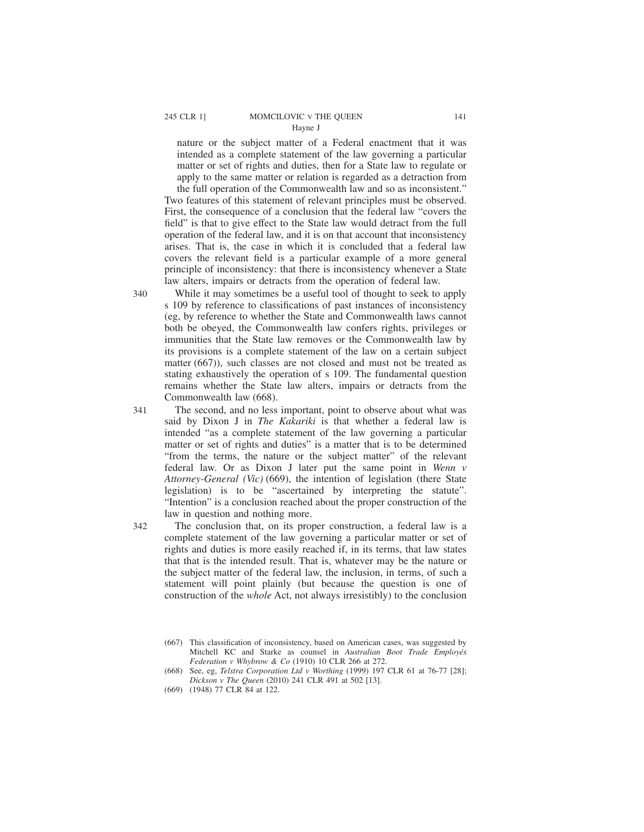# 245 CLR 1] MOMCILOVIC V THE QUEEN 141 Hayne J

nature or the subject matter of a Federal enactment that it was intended as a complete statement of the law governing a particular matter or set of rights and duties, then for a State law to regulate or apply to the same matter or relation is regarded as a detraction from the full operation of the Commonwealth law and so as inconsistent."

Two features of this statement of relevant principles must be observed. First, the consequence of a conclusion that the federal law "covers the field" is that to give effect to the State law would detract from the full operation of the federal law, and it is on that account that inconsistency arises. That is, the case in which it is concluded that a federal law covers the relevant field is a particular example of a more general principle of inconsistency: that there is inconsistency whenever a State law alters, impairs or detracts from the operation of federal law.

340

While it may sometimes be a useful tool of thought to seek to apply s 109 by reference to classifications of past instances of inconsistency (eg, by reference to whether the State and Commonwealth laws cannot both be obeyed, the Commonwealth law confers rights, privileges or immunities that the State law removes or the Commonwealth law by its provisions is a complete statement of the law on a certain subject matter (667)), such classes are not closed and must not be treated as stating exhaustively the operation of s 109. The fundamental question remains whether the State law alters, impairs or detracts from the Commonwealth law (668).

- The second, and no less important, point to observe about what was said by Dixon J in *The Kakariki* is that whether a federal law is intended "as a complete statement of the law governing a particular matter or set of rights and duties" is a matter that is to be determined "from the terms, the nature or the subject matter" of the relevant federal law. Or as Dixon J later put the same point in *Wenn v Attorney-General (Vic)* (669), the intention of legislation (there State legislation) is to be "ascertained by interpreting the statute". "Intention" is a conclusion reached about the proper construction of the law in question and nothing more. 341
- The conclusion that, on its proper construction, a federal law is a complete statement of the law governing a particular matter or set of rights and duties is more easily reached if, in its terms, that law states that that is the intended result. That is, whatever may be the nature or the subject matter of the federal law, the inclusion, in terms, of such a statement will point plainly (but because the question is one of construction of the *whole* Act, not always irresistibly) to the conclusion 342

<sup>(667)</sup> This classification of inconsistency, based on American cases, was suggested by Mitchell KC and Starke as counsel in *Australian Boot Trade Employés Federation v Whybrow & Co* (1910) 10 CLR 266 at 272.

<sup>(668)</sup> See, eg, *Telstra Corporation Ltd v Worthing* (1999) 197 CLR 61 at 76-77 [28]; *Dickson v The Queen* (2010) 241 CLR 491 at 502 [13].

<sup>(669) (1948) 77</sup> CLR 84 at 122.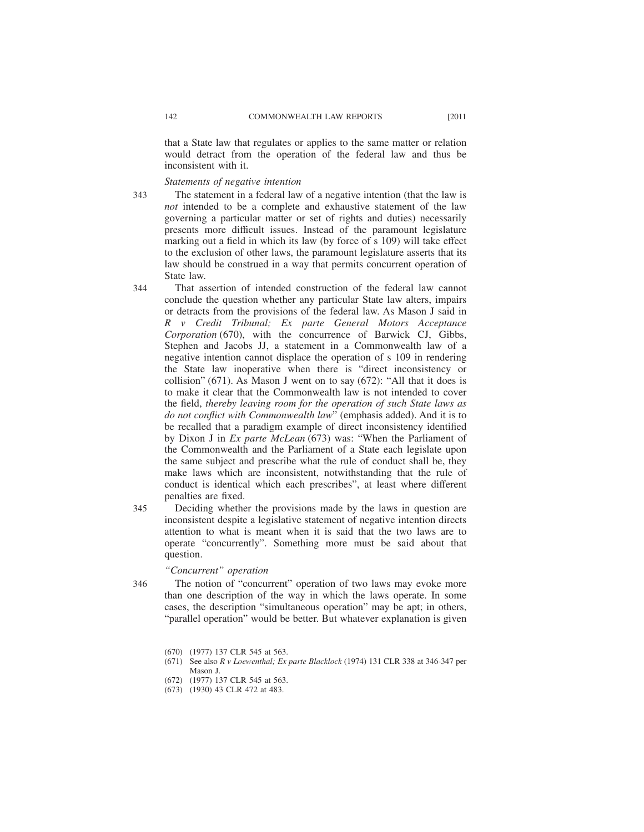that a State law that regulates or applies to the same matter or relation would detract from the operation of the federal law and thus be inconsistent with it.

*Statements of negative intention*

The statement in a federal law of a negative intention (that the law is *not* intended to be a complete and exhaustive statement of the law governing a particular matter or set of rights and duties) necessarily presents more difficult issues. Instead of the paramount legislature marking out a field in which its law (by force of s 109) will take effect to the exclusion of other laws, the paramount legislature asserts that its law should be construed in a way that permits concurrent operation of State law.

That assertion of intended construction of the federal law cannot conclude the question whether any particular State law alters, impairs or detracts from the provisions of the federal law. As Mason J said in *R v Credit Tribunal; Ex parte General Motors Acceptance Corporation* (670), with the concurrence of Barwick CJ, Gibbs, Stephen and Jacobs JJ, a statement in a Commonwealth law of a negative intention cannot displace the operation of s 109 in rendering the State law inoperative when there is "direct inconsistency or collision" (671). As Mason J went on to say (672): "All that it does is to make it clear that the Commonwealth law is not intended to cover the field, *thereby leaving room for the operation of such State laws as do not conflict with Commonwealth law*" (emphasis added). And it is to be recalled that a paradigm example of direct inconsistency identified by Dixon J in *Ex parte McLean* (673) was: "When the Parliament of the Commonwealth and the Parliament of a State each legislate upon the same subject and prescribe what the rule of conduct shall be, they make laws which are inconsistent, notwithstanding that the rule of conduct is identical which each prescribes", at least where different penalties are fixed.

Deciding whether the provisions made by the laws in question are inconsistent despite a legislative statement of negative intention directs attention to what is meant when it is said that the two laws are to operate "concurrently". Something more must be said about that question. 345

# *"Concurrent" operation*

The notion of "concurrent" operation of two laws may evoke more than one description of the way in which the laws operate. In some cases, the description "simultaneous operation" may be apt; in others, "parallel operation" would be better. But whatever explanation is given

- (671) See also *R v Loewenthal; Ex parte Blacklock* (1974) 131 CLR 338 at 346-347 per Mason J.
- (672) (1977) 137 CLR 545 at 563.
- (673) (1930) 43 CLR 472 at 483.

343

344

<sup>(670) (1977) 137</sup> CLR 545 at 563.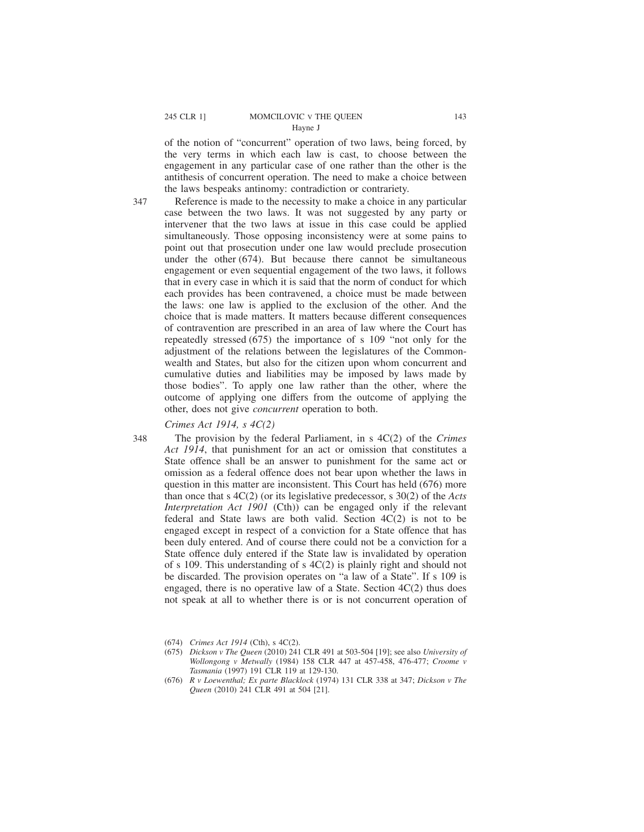# 245 CLR 1] MOMCILOVIC V THE QUEEN 143 Hayne J

of the notion of "concurrent" operation of two laws, being forced, by the very terms in which each law is cast, to choose between the engagement in any particular case of one rather than the other is the antithesis of concurrent operation. The need to make a choice between the laws bespeaks antinomy: contradiction or contrariety.

347

Reference is made to the necessity to make a choice in any particular case between the two laws. It was not suggested by any party or intervener that the two laws at issue in this case could be applied simultaneously. Those opposing inconsistency were at some pains to point out that prosecution under one law would preclude prosecution under the other (674). But because there cannot be simultaneous engagement or even sequential engagement of the two laws, it follows that in every case in which it is said that the norm of conduct for which each provides has been contravened, a choice must be made between the laws: one law is applied to the exclusion of the other. And the choice that is made matters. It matters because different consequences of contravention are prescribed in an area of law where the Court has repeatedly stressed (675) the importance of s 109 "not only for the adjustment of the relations between the legislatures of the Commonwealth and States, but also for the citizen upon whom concurrent and cumulative duties and liabilities may be imposed by laws made by those bodies". To apply one law rather than the other, where the outcome of applying one differs from the outcome of applying the other, does not give *concurrent* operation to both.

*Crimes Act 1914, s 4C(2)*

348

The provision by the federal Parliament, in s 4C(2) of the *Crimes Act 1914*, that punishment for an act or omission that constitutes a State offence shall be an answer to punishment for the same act or omission as a federal offence does not bear upon whether the laws in question in this matter are inconsistent. This Court has held (676) more than once that s 4C(2) (or its legislative predecessor, s 30(2) of the *Acts Interpretation Act 1901* (Cth)) can be engaged only if the relevant federal and State laws are both valid. Section 4C(2) is not to be engaged except in respect of a conviction for a State offence that has been duly entered. And of course there could not be a conviction for a State offence duly entered if the State law is invalidated by operation of s 109. This understanding of s 4C(2) is plainly right and should not be discarded. The provision operates on "a law of a State". If s 109 is engaged, there is no operative law of a State. Section 4C(2) thus does not speak at all to whether there is or is not concurrent operation of

<sup>(674)</sup> *Crimes Act 1914* (Cth), s 4C(2).

<sup>(675)</sup> *Dickson v The Queen* (2010) 241 CLR 491 at 503-504 [19]; see also *University of Wollongong v Metwally* (1984) 158 CLR 447 at 457-458, 476-477; *Croome v Tasmania* (1997) 191 CLR 119 at 129-130.

<sup>(676)</sup> *R v Loewenthal; Ex parte Blacklock* (1974) 131 CLR 338 at 347; *Dickson v The Queen* (2010) 241 CLR 491 at 504 [21].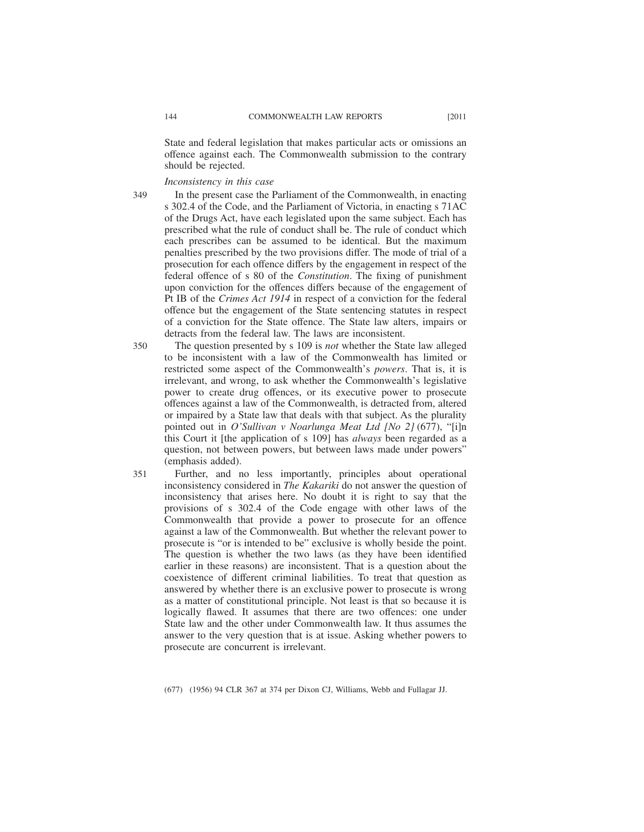State and federal legislation that makes particular acts or omissions an offence against each. The Commonwealth submission to the contrary should be rejected.

*Inconsistency in this case*

- In the present case the Parliament of the Commonwealth, in enacting s 302.4 of the Code, and the Parliament of Victoria, in enacting s 71AC of the Drugs Act, have each legislated upon the same subject. Each has prescribed what the rule of conduct shall be. The rule of conduct which each prescribes can be assumed to be identical. But the maximum penalties prescribed by the two provisions differ. The mode of trial of a prosecution for each offence differs by the engagement in respect of the federal offence of s 80 of the *Constitution*. The fixing of punishment upon conviction for the offences differs because of the engagement of Pt IB of the *Crimes Act 1914* in respect of a conviction for the federal offence but the engagement of the State sentencing statutes in respect of a conviction for the State offence. The State law alters, impairs or detracts from the federal law. The laws are inconsistent.
- The question presented by s 109 is *not* whether the State law alleged to be inconsistent with a law of the Commonwealth has limited or restricted some aspect of the Commonwealth's *powers*. That is, it is irrelevant, and wrong, to ask whether the Commonwealth's legislative power to create drug offences, or its executive power to prosecute offences against a law of the Commonwealth, is detracted from, altered or impaired by a State law that deals with that subject. As the plurality pointed out in *O'Sullivan v Noarlunga Meat Ltd [No 2]* (677), "[i]n this Court it [the application of s 109] has *always* been regarded as a question, not between powers, but between laws made under powers" (emphasis added). 350
- Further, and no less importantly, principles about operational inconsistency considered in *The Kakariki* do not answer the question of inconsistency that arises here. No doubt it is right to say that the provisions of s 302.4 of the Code engage with other laws of the Commonwealth that provide a power to prosecute for an offence against a law of the Commonwealth. But whether the relevant power to prosecute is "or is intended to be" exclusive is wholly beside the point. The question is whether the two laws (as they have been identified earlier in these reasons) are inconsistent. That is a question about the coexistence of different criminal liabilities. To treat that question as answered by whether there is an exclusive power to prosecute is wrong as a matter of constitutional principle. Not least is that so because it is logically flawed. It assumes that there are two offences: one under State law and the other under Commonwealth law. It thus assumes the answer to the very question that is at issue. Asking whether powers to prosecute are concurrent is irrelevant. 351

(677) (1956) 94 CLR 367 at 374 per Dixon CJ, Williams, Webb and Fullagar JJ.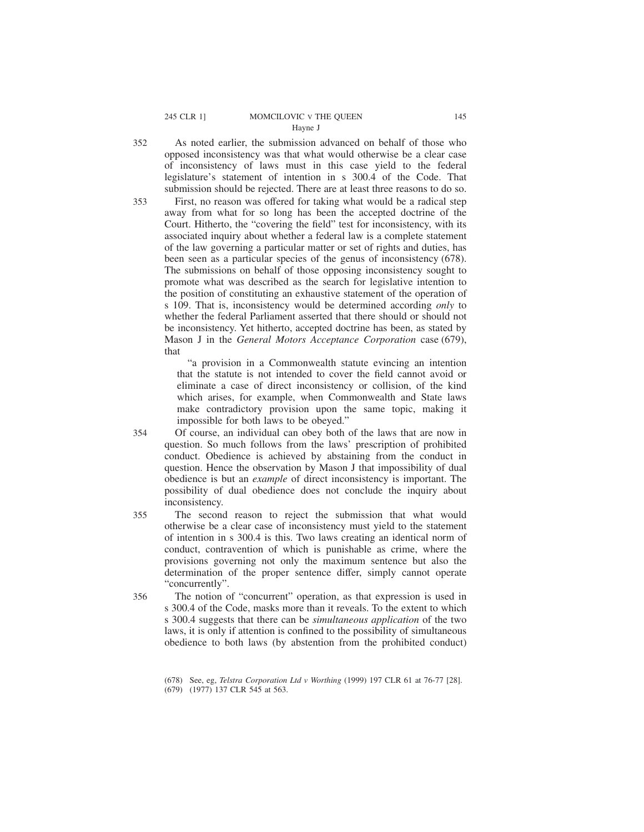#### 245 CLR 1] MOMCILOVIC V THE QUEEN 145 Hayne J

As noted earlier, the submission advanced on behalf of those who opposed inconsistency was that what would otherwise be a clear case of inconsistency of laws must in this case yield to the federal legislature's statement of intention in s 300.4 of the Code. That submission should be rejected. There are at least three reasons to do so. 352

First, no reason was offered for taking what would be a radical step away from what for so long has been the accepted doctrine of the Court. Hitherto, the "covering the field" test for inconsistency, with its associated inquiry about whether a federal law is a complete statement of the law governing a particular matter or set of rights and duties, has been seen as a particular species of the genus of inconsistency (678). The submissions on behalf of those opposing inconsistency sought to promote what was described as the search for legislative intention to the position of constituting an exhaustive statement of the operation of s 109. That is, inconsistency would be determined according *only* to whether the federal Parliament asserted that there should or should not be inconsistency. Yet hitherto, accepted doctrine has been, as stated by Mason J in the *General Motors Acceptance Corporation* case (679), that 353

"a provision in a Commonwealth statute evincing an intention that the statute is not intended to cover the field cannot avoid or eliminate a case of direct inconsistency or collision, of the kind which arises, for example, when Commonwealth and State laws make contradictory provision upon the same topic, making it impossible for both laws to be obeyed."

- Of course, an individual can obey both of the laws that are now in question. So much follows from the laws' prescription of prohibited conduct. Obedience is achieved by abstaining from the conduct in question. Hence the observation by Mason J that impossibility of dual obedience is but an *example* of direct inconsistency is important. The possibility of dual obedience does not conclude the inquiry about inconsistency. 354
- The second reason to reject the submission that what would otherwise be a clear case of inconsistency must yield to the statement of intention in s 300.4 is this. Two laws creating an identical norm of conduct, contravention of which is punishable as crime, where the provisions governing not only the maximum sentence but also the determination of the proper sentence differ, simply cannot operate "concurrently". 355

The notion of "concurrent" operation, as that expression is used in s 300.4 of the Code, masks more than it reveals. To the extent to which s 300.4 suggests that there can be *simultaneous application* of the two laws, it is only if attention is confined to the possibility of simultaneous obedience to both laws (by abstention from the prohibited conduct)

<sup>(678)</sup> See, eg, *Telstra Corporation Ltd v Worthing* (1999) 197 CLR 61 at 76-77 [28].

<sup>(679) (1977) 137</sup> CLR 545 at 563.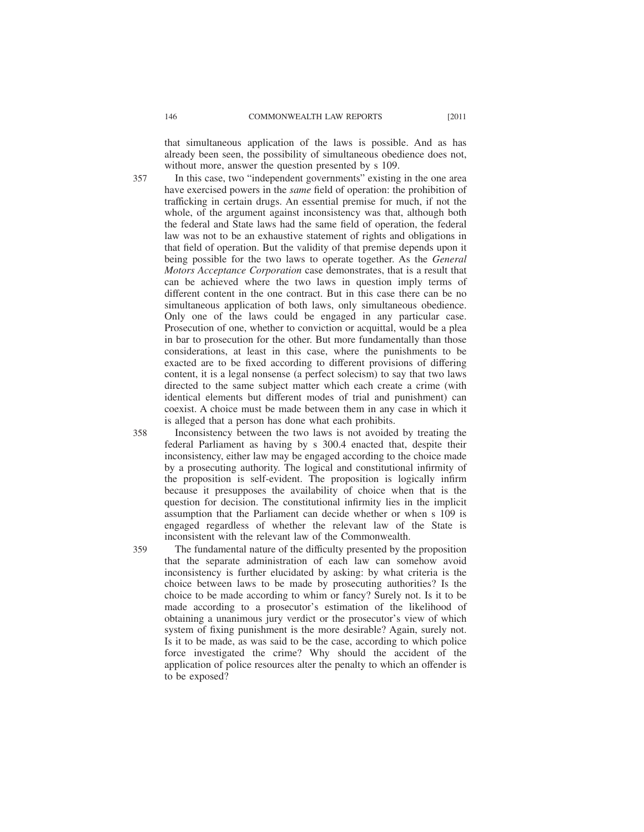that simultaneous application of the laws is possible. And as has already been seen, the possibility of simultaneous obedience does not, without more, answer the question presented by s 109.

In this case, two "independent governments" existing in the one area have exercised powers in the *same* field of operation: the prohibition of trafficking in certain drugs. An essential premise for much, if not the whole, of the argument against inconsistency was that, although both the federal and State laws had the same field of operation, the federal law was not to be an exhaustive statement of rights and obligations in that field of operation. But the validity of that premise depends upon it being possible for the two laws to operate together. As the *General Motors Acceptance Corporation* case demonstrates, that is a result that can be achieved where the two laws in question imply terms of different content in the one contract. But in this case there can be no simultaneous application of both laws, only simultaneous obedience. Only one of the laws could be engaged in any particular case. Prosecution of one, whether to conviction or acquittal, would be a plea in bar to prosecution for the other. But more fundamentally than those considerations, at least in this case, where the punishments to be exacted are to be fixed according to different provisions of differing content, it is a legal nonsense (a perfect solecism) to say that two laws directed to the same subject matter which each create a crime (with identical elements but different modes of trial and punishment) can coexist. A choice must be made between them in any case in which it is alleged that a person has done what each prohibits.

358

359

357

Inconsistency between the two laws is not avoided by treating the federal Parliament as having by s 300.4 enacted that, despite their inconsistency, either law may be engaged according to the choice made by a prosecuting authority. The logical and constitutional infirmity of the proposition is self-evident. The proposition is logically infirm because it presupposes the availability of choice when that is the question for decision. The constitutional infirmity lies in the implicit assumption that the Parliament can decide whether or when s 109 is engaged regardless of whether the relevant law of the State is inconsistent with the relevant law of the Commonwealth.

The fundamental nature of the difficulty presented by the proposition that the separate administration of each law can somehow avoid inconsistency is further elucidated by asking: by what criteria is the choice between laws to be made by prosecuting authorities? Is the choice to be made according to whim or fancy? Surely not. Is it to be made according to a prosecutor's estimation of the likelihood of obtaining a unanimous jury verdict or the prosecutor's view of which system of fixing punishment is the more desirable? Again, surely not. Is it to be made, as was said to be the case, according to which police force investigated the crime? Why should the accident of the application of police resources alter the penalty to which an offender is to be exposed?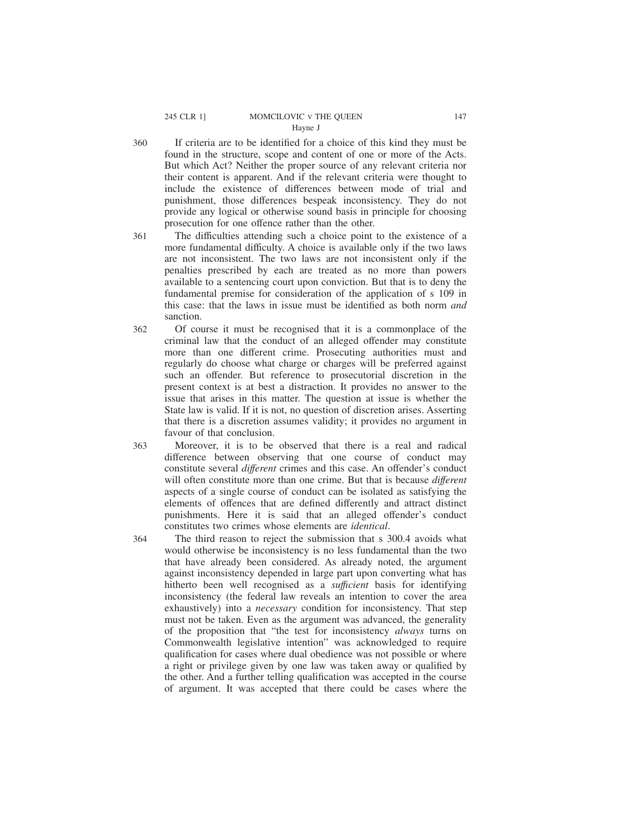#### 245 CLR 1] MOMCILOVIC V THE QUEEN 147 Hayne J

If criteria are to be identified for a choice of this kind they must be found in the structure, scope and content of one or more of the Acts. But which Act? Neither the proper source of any relevant criteria nor their content is apparent. And if the relevant criteria were thought to include the existence of differences between mode of trial and punishment, those differences bespeak inconsistency. They do not provide any logical or otherwise sound basis in principle for choosing prosecution for one offence rather than the other. 360

The difficulties attending such a choice point to the existence of a more fundamental difficulty. A choice is available only if the two laws are not inconsistent. The two laws are not inconsistent only if the penalties prescribed by each are treated as no more than powers available to a sentencing court upon conviction. But that is to deny the fundamental premise for consideration of the application of s 109 in this case: that the laws in issue must be identified as both norm *and* sanction. 361

- Of course it must be recognised that it is a commonplace of the criminal law that the conduct of an alleged offender may constitute more than one different crime. Prosecuting authorities must and regularly do choose what charge or charges will be preferred against such an offender. But reference to prosecutorial discretion in the present context is at best a distraction. It provides no answer to the issue that arises in this matter. The question at issue is whether the State law is valid. If it is not, no question of discretion arises. Asserting that there is a discretion assumes validity; it provides no argument in favour of that conclusion. 362
- Moreover, it is to be observed that there is a real and radical difference between observing that one course of conduct may constitute several *different* crimes and this case. An offender's conduct will often constitute more than one crime. But that is because *different* aspects of a single course of conduct can be isolated as satisfying the elements of offences that are defined differently and attract distinct punishments. Here it is said that an alleged offender's conduct constitutes two crimes whose elements are *identical*. 363

The third reason to reject the submission that s 300.4 avoids what would otherwise be inconsistency is no less fundamental than the two that have already been considered. As already noted, the argument against inconsistency depended in large part upon converting what has hitherto been well recognised as a *suffıcient* basis for identifying inconsistency (the federal law reveals an intention to cover the area exhaustively) into a *necessary* condition for inconsistency. That step must not be taken. Even as the argument was advanced, the generality of the proposition that "the test for inconsistency *always* turns on Commonwealth legislative intention" was acknowledged to require qualification for cases where dual obedience was not possible or where a right or privilege given by one law was taken away or qualified by the other. And a further telling qualification was accepted in the course of argument. It was accepted that there could be cases where the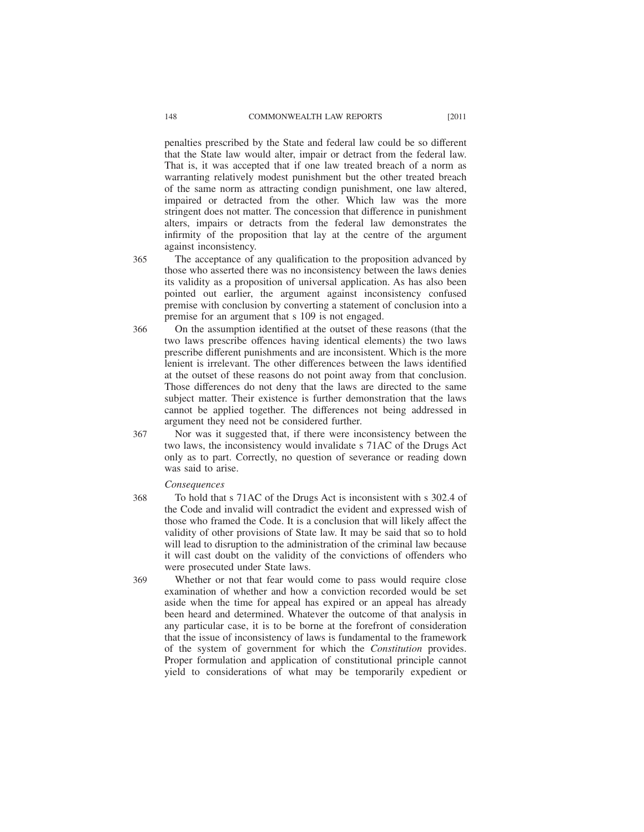penalties prescribed by the State and federal law could be so different that the State law would alter, impair or detract from the federal law. That is, it was accepted that if one law treated breach of a norm as warranting relatively modest punishment but the other treated breach of the same norm as attracting condign punishment, one law altered, impaired or detracted from the other. Which law was the more stringent does not matter. The concession that difference in punishment alters, impairs or detracts from the federal law demonstrates the infirmity of the proposition that lay at the centre of the argument against inconsistency.

365

369

The acceptance of any qualification to the proposition advanced by those who asserted there was no inconsistency between the laws denies its validity as a proposition of universal application. As has also been pointed out earlier, the argument against inconsistency confused premise with conclusion by converting a statement of conclusion into a premise for an argument that s 109 is not engaged.

- On the assumption identified at the outset of these reasons (that the two laws prescribe offences having identical elements) the two laws prescribe different punishments and are inconsistent. Which is the more lenient is irrelevant. The other differences between the laws identified at the outset of these reasons do not point away from that conclusion. Those differences do not deny that the laws are directed to the same subject matter. Their existence is further demonstration that the laws cannot be applied together. The differences not being addressed in argument they need not be considered further. 366
- Nor was it suggested that, if there were inconsistency between the two laws, the inconsistency would invalidate s 71AC of the Drugs Act only as to part. Correctly, no question of severance or reading down was said to arise. 367

*Consequences*

- To hold that s 71AC of the Drugs Act is inconsistent with s 302.4 of the Code and invalid will contradict the evident and expressed wish of those who framed the Code. It is a conclusion that will likely affect the validity of other provisions of State law. It may be said that so to hold will lead to disruption to the administration of the criminal law because it will cast doubt on the validity of the convictions of offenders who were prosecuted under State laws. 368
	- Whether or not that fear would come to pass would require close examination of whether and how a conviction recorded would be set aside when the time for appeal has expired or an appeal has already been heard and determined. Whatever the outcome of that analysis in any particular case, it is to be borne at the forefront of consideration that the issue of inconsistency of laws is fundamental to the framework of the system of government for which the *Constitution* provides. Proper formulation and application of constitutional principle cannot yield to considerations of what may be temporarily expedient or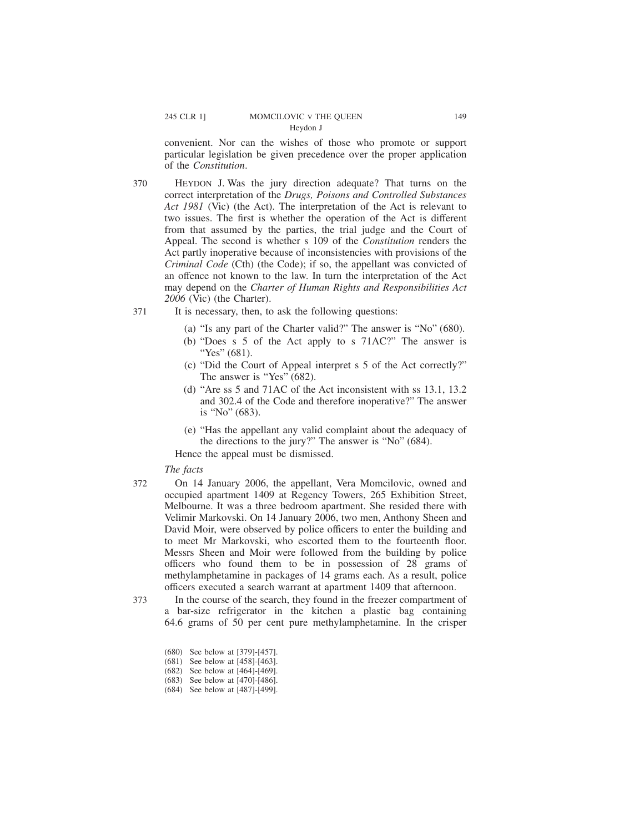convenient. Nor can the wishes of those who promote or support particular legislation be given precedence over the proper application of the *Constitution*.

- HEYDON J. Was the jury direction adequate? That turns on the correct interpretation of the *Drugs, Poisons and Controlled Substances Act 1981* (Vic) (the Act). The interpretation of the Act is relevant to two issues. The first is whether the operation of the Act is different from that assumed by the parties, the trial judge and the Court of Appeal. The second is whether s 109 of the *Constitution* renders the Act partly inoperative because of inconsistencies with provisions of the *Criminal Code* (Cth) (the Code); if so, the appellant was convicted of an offence not known to the law. In turn the interpretation of the Act may depend on the *Charter of Human Rights and Responsibilities Act 2006* (Vic) (the Charter). 370
- It is necessary, then, to ask the following questions: 371
	- (a) "Is any part of the Charter valid?" The answer is "No" (680).
	- (b) "Does s 5 of the Act apply to s 71AC?" The answer is "Yes" (681).
	- (c) "Did the Court of Appeal interpret s 5 of the Act correctly?" The answer is "Yes" (682).
	- (d) "Are ss 5 and 71AC of the Act inconsistent with ss 13.1, 13.2 and 302.4 of the Code and therefore inoperative?" The answer is "No" (683).
	- (e) "Has the appellant any valid complaint about the adequacy of the directions to the jury?" The answer is "No" (684).

Hence the appeal must be dismissed.

#### *The facts*

On 14 January 2006, the appellant, Vera Momcilovic, owned and occupied apartment 1409 at Regency Towers, 265 Exhibition Street, Melbourne. It was a three bedroom apartment. She resided there with Velimir Markovski. On 14 January 2006, two men, Anthony Sheen and David Moir, were observed by police officers to enter the building and to meet Mr Markovski, who escorted them to the fourteenth floor. Messrs Sheen and Moir were followed from the building by police officers who found them to be in possession of 28 grams of methylamphetamine in packages of 14 grams each. As a result, police officers executed a search warrant at apartment 1409 that afternoon. 372

373

In the course of the search, they found in the freezer compartment of a bar-size refrigerator in the kitchen a plastic bag containing 64.6 grams of 50 per cent pure methylamphetamine. In the crisper

- (681) See below at [458]-[463].
- (682) See below at [464]-[469]. (683) See below at [470]-[486].
- 
- (684) See below at [487]-[499].

<sup>(680)</sup> See below at [379]-[457].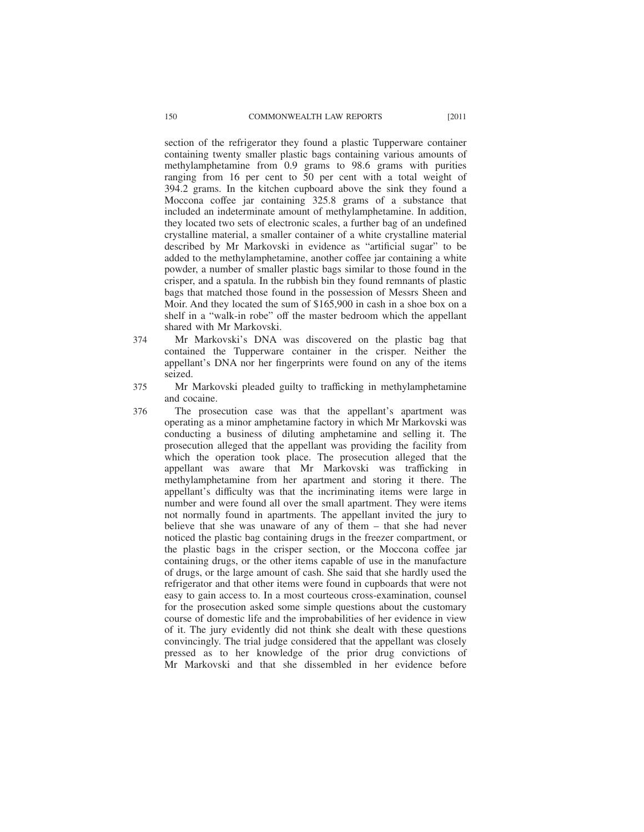section of the refrigerator they found a plastic Tupperware container containing twenty smaller plastic bags containing various amounts of methylamphetamine from 0.9 grams to 98.6 grams with purities ranging from 16 per cent to 50 per cent with a total weight of 394.2 grams. In the kitchen cupboard above the sink they found a Moccona coffee jar containing 325.8 grams of a substance that included an indeterminate amount of methylamphetamine. In addition, they located two sets of electronic scales, a further bag of an undefined crystalline material, a smaller container of a white crystalline material described by Mr Markovski in evidence as "artificial sugar" to be added to the methylamphetamine, another coffee jar containing a white powder, a number of smaller plastic bags similar to those found in the crisper, and a spatula. In the rubbish bin they found remnants of plastic bags that matched those found in the possession of Messrs Sheen and Moir. And they located the sum of \$165,900 in cash in a shoe box on a shelf in a "walk-in robe" off the master bedroom which the appellant shared with Mr Markovski.

- Mr Markovski's DNA was discovered on the plastic bag that contained the Tupperware container in the crisper. Neither the appellant's DNA nor her fingerprints were found on any of the items seized. 374
- Mr Markovski pleaded guilty to trafficking in methylamphetamine and cocaine. 375
- The prosecution case was that the appellant's apartment was operating as a minor amphetamine factory in which Mr Markovski was conducting a business of diluting amphetamine and selling it. The prosecution alleged that the appellant was providing the facility from which the operation took place. The prosecution alleged that the appellant was aware that Mr Markovski was trafficking in methylamphetamine from her apartment and storing it there. The appellant's difficulty was that the incriminating items were large in number and were found all over the small apartment. They were items not normally found in apartments. The appellant invited the jury to believe that she was unaware of any of them – that she had never noticed the plastic bag containing drugs in the freezer compartment, or the plastic bags in the crisper section, or the Moccona coffee jar containing drugs, or the other items capable of use in the manufacture of drugs, or the large amount of cash. She said that she hardly used the refrigerator and that other items were found in cupboards that were not easy to gain access to. In a most courteous cross-examination, counsel for the prosecution asked some simple questions about the customary course of domestic life and the improbabilities of her evidence in view of it. The jury evidently did not think she dealt with these questions convincingly. The trial judge considered that the appellant was closely pressed as to her knowledge of the prior drug convictions of Mr Markovski and that she dissembled in her evidence before 376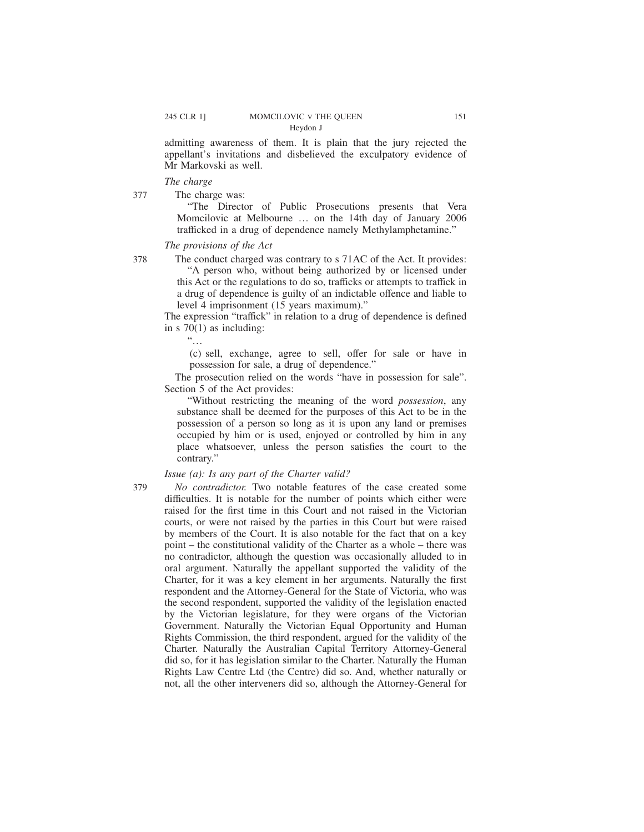#### 245 CLR 1] MOMCILOVIC V THE QUEEN 151 Heydon J

admitting awareness of them. It is plain that the jury rejected the appellant's invitations and disbelieved the exculpatory evidence of Mr Markovski as well.

### *The charge*

The charge was: 377

378

379

"The Director of Public Prosecutions presents that Vera Momcilovic at Melbourne … on the 14th day of January 2006 trafficked in a drug of dependence namely Methylamphetamine."

### *The provisions of the Act*

The conduct charged was contrary to s 71AC of the Act. It provides: "A person who, without being authorized by or licensed under this Act or the regulations to do so, trafficks or attempts to traffick in a drug of dependence is guilty of an indictable offence and liable to level 4 imprisonment (15 years maximum)."

The expression "traffick" in relation to a drug of dependence is defined in s 70(1) as including:

"…

(c) sell, exchange, agree to sell, offer for sale or have in possession for sale, a drug of dependence."

The prosecution relied on the words "have in possession for sale". Section 5 of the Act provides:

"Without restricting the meaning of the word *possession*, any substance shall be deemed for the purposes of this Act to be in the possession of a person so long as it is upon any land or premises occupied by him or is used, enjoyed or controlled by him in any place whatsoever, unless the person satisfies the court to the contrary."

# *Issue (a): Is any part of the Charter valid?*

*No contradictor.* Two notable features of the case created some difficulties. It is notable for the number of points which either were raised for the first time in this Court and not raised in the Victorian courts, or were not raised by the parties in this Court but were raised by members of the Court. It is also notable for the fact that on a key point – the constitutional validity of the Charter as a whole – there was no contradictor, although the question was occasionally alluded to in oral argument. Naturally the appellant supported the validity of the Charter, for it was a key element in her arguments. Naturally the first respondent and the Attorney-General for the State of Victoria, who was the second respondent, supported the validity of the legislation enacted by the Victorian legislature, for they were organs of the Victorian Government. Naturally the Victorian Equal Opportunity and Human Rights Commission, the third respondent, argued for the validity of the Charter. Naturally the Australian Capital Territory Attorney-General did so, for it has legislation similar to the Charter. Naturally the Human Rights Law Centre Ltd (the Centre) did so. And, whether naturally or not, all the other interveners did so, although the Attorney-General for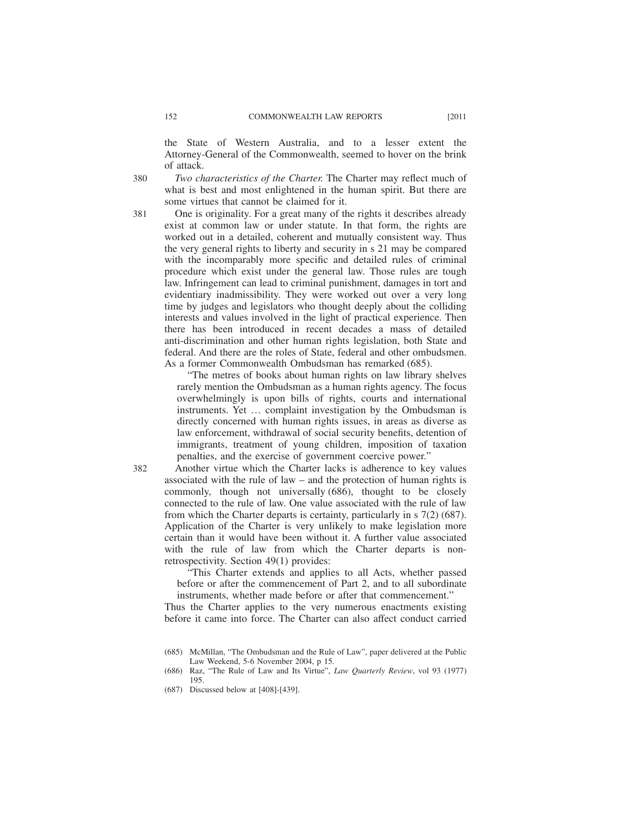the State of Western Australia, and to a lesser extent the Attorney-General of the Commonwealth, seemed to hover on the brink of attack.

*Two characteristics of the Charter.* The Charter may reflect much of what is best and most enlightened in the human spirit. But there are some virtues that cannot be claimed for it.

One is originality. For a great many of the rights it describes already exist at common law or under statute. In that form, the rights are worked out in a detailed, coherent and mutually consistent way. Thus the very general rights to liberty and security in s 21 may be compared with the incomparably more specific and detailed rules of criminal procedure which exist under the general law. Those rules are tough law. Infringement can lead to criminal punishment, damages in tort and evidentiary inadmissibility. They were worked out over a very long time by judges and legislators who thought deeply about the colliding interests and values involved in the light of practical experience. Then there has been introduced in recent decades a mass of detailed anti-discrimination and other human rights legislation, both State and federal. And there are the roles of State, federal and other ombudsmen. As a former Commonwealth Ombudsman has remarked (685). 381

"The metres of books about human rights on law library shelves rarely mention the Ombudsman as a human rights agency. The focus overwhelmingly is upon bills of rights, courts and international instruments. Yet … complaint investigation by the Ombudsman is directly concerned with human rights issues, in areas as diverse as law enforcement, withdrawal of social security benefits, detention of immigrants, treatment of young children, imposition of taxation penalties, and the exercise of government coercive power."

Another virtue which the Charter lacks is adherence to key values associated with the rule of law – and the protection of human rights is commonly, though not universally (686), thought to be closely connected to the rule of law. One value associated with the rule of law from which the Charter departs is certainty, particularly in s 7(2) (687). Application of the Charter is very unlikely to make legislation more certain than it would have been without it. A further value associated with the rule of law from which the Charter departs is nonretrospectivity. Section 49(1) provides:

"This Charter extends and applies to all Acts, whether passed before or after the commencement of Part 2, and to all subordinate instruments, whether made before or after that commencement."

Thus the Charter applies to the very numerous enactments existing before it came into force. The Charter can also affect conduct carried

380

<sup>(685)</sup> McMillan, "The Ombudsman and the Rule of Law", paper delivered at the Public Law Weekend, 5-6 November 2004, p 15.

<sup>(686)</sup> Raz, "The Rule of Law and Its Virtue", *Law Quarterly Review*, vol 93 (1977) 195.

<sup>(687)</sup> Discussed below at [408]-[439].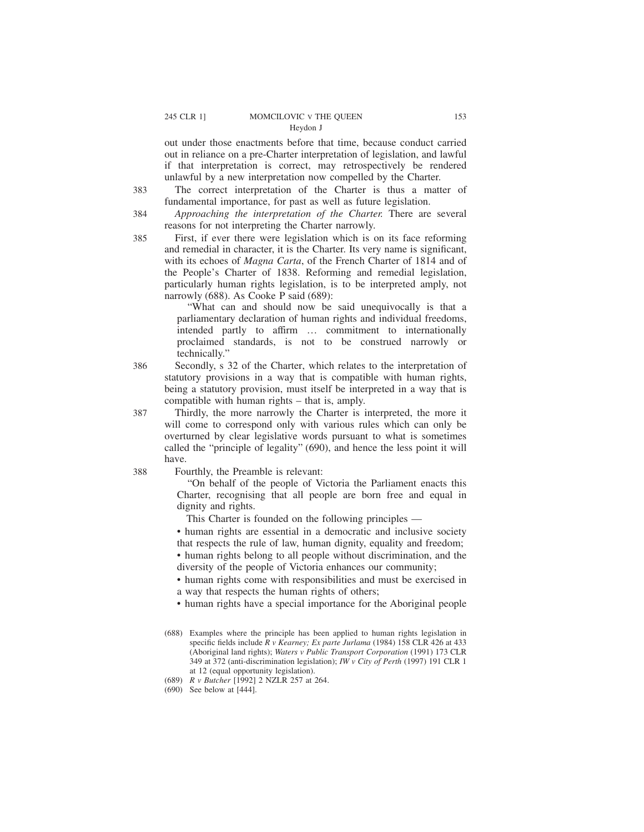#### 245 CLR 1] MOMCILOVIC V THE QUEEN 153 Heydon J

out under those enactments before that time, because conduct carried out in reliance on a pre-Charter interpretation of legislation, and lawful if that interpretation is correct, may retrospectively be rendered unlawful by a new interpretation now compelled by the Charter.

- The correct interpretation of the Charter is thus a matter of fundamental importance, for past as well as future legislation. 383
- *Approaching the interpretation of the Charter.* There are several reasons for not interpreting the Charter narrowly. 384
- First, if ever there were legislation which is on its face reforming and remedial in character, it is the Charter. Its very name is significant, with its echoes of *Magna Carta*, of the French Charter of 1814 and of the People's Charter of 1838. Reforming and remedial legislation, particularly human rights legislation, is to be interpreted amply, not narrowly (688). As Cooke P said (689): 385

"What can and should now be said unequivocally is that a parliamentary declaration of human rights and individual freedoms, intended partly to affirm … commitment to internationally proclaimed standards, is not to be construed narrowly or technically."

- Secondly, s 32 of the Charter, which relates to the interpretation of statutory provisions in a way that is compatible with human rights, being a statutory provision, must itself be interpreted in a way that is compatible with human rights – that is, amply. 386
- Thirdly, the more narrowly the Charter is interpreted, the more it will come to correspond only with various rules which can only be overturned by clear legislative words pursuant to what is sometimes called the "principle of legality" (690), and hence the less point it will have. 387
- 388

Fourthly, the Preamble is relevant:

"On behalf of the people of Victoria the Parliament enacts this Charter, recognising that all people are born free and equal in dignity and rights.

This Charter is founded on the following principles —

- human rights are essential in a democratic and inclusive society that respects the rule of law, human dignity, equality and freedom; • human rights belong to all people without discrimination, and the diversity of the people of Victoria enhances our community;
- human rights come with responsibilities and must be exercised in a way that respects the human rights of others;
- human rights have a special importance for the Aboriginal people
- (688) Examples where the principle has been applied to human rights legislation in specific fields include *R v Kearney; Ex parte Jurlama* (1984) 158 CLR 426 at 433 (Aboriginal land rights); *Waters v Public Transport Corporation* (1991) 173 CLR 349 at 372 (anti-discrimination legislation); *IW v City of Perth* (1997) 191 CLR 1 at 12 (equal opportunity legislation).
- (689) *R v Butcher* [1992] 2 NZLR 257 at 264.
- (690) See below at [444].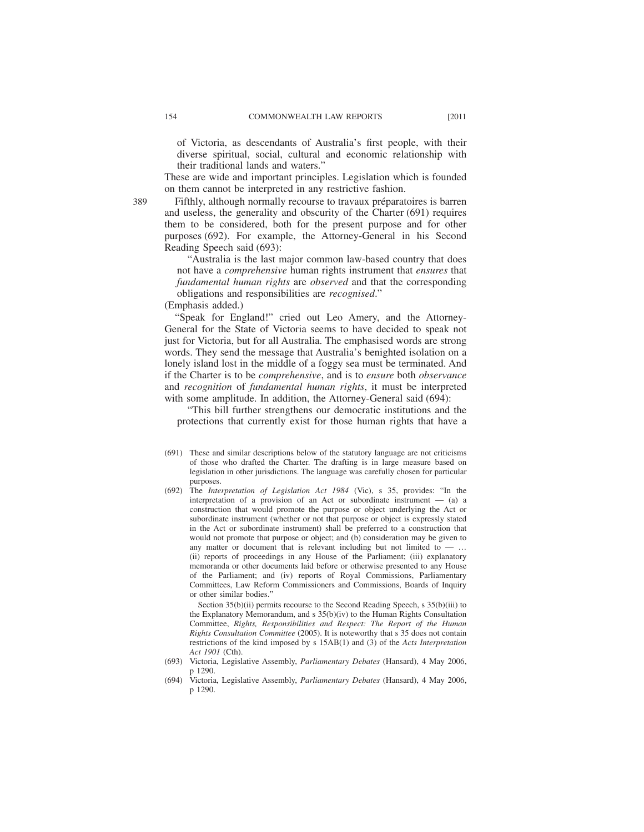of Victoria, as descendants of Australia's first people, with their diverse spiritual, social, cultural and economic relationship with their traditional lands and waters."

These are wide and important principles. Legislation which is founded on them cannot be interpreted in any restrictive fashion.

Fifthly, although normally recourse to travaux préparatoires is barren and useless, the generality and obscurity of the Charter (691) requires them to be considered, both for the present purpose and for other purposes (692). For example, the Attorney-General in his Second Reading Speech said (693):

"Australia is the last major common law-based country that does not have a *comprehensive* human rights instrument that *ensures* that *fundamental human rights* are *observed* and that the corresponding obligations and responsibilities are *recognised*."

(Emphasis added.)

"Speak for England!" cried out Leo Amery, and the Attorney-General for the State of Victoria seems to have decided to speak not just for Victoria, but for all Australia. The emphasised words are strong words. They send the message that Australia's benighted isolation on a lonely island lost in the middle of a foggy sea must be terminated. And if the Charter is to be *comprehensive*, and is to *ensure* both *observance* and *recognition* of *fundamental human rights*, it must be interpreted with some amplitude. In addition, the Attorney-General said (694):

"This bill further strengthens our democratic institutions and the protections that currently exist for those human rights that have a

- (691) These and similar descriptions below of the statutory language are not criticisms of those who drafted the Charter. The drafting is in large measure based on legislation in other jurisdictions. The language was carefully chosen for particular purposes.
- (692) The *Interpretation of Legislation Act 1984* (Vic), s 35, provides: "In the interpretation of a provision of an Act or subordinate instrument  $-$  (a) a construction that would promote the purpose or object underlying the Act or subordinate instrument (whether or not that purpose or object is expressly stated in the Act or subordinate instrument) shall be preferred to a construction that would not promote that purpose or object; and (b) consideration may be given to any matter or document that is relevant including but not limited to  $-$  ... (ii) reports of proceedings in any House of the Parliament; (iii) explanatory memoranda or other documents laid before or otherwise presented to any House of the Parliament; and (iv) reports of Royal Commissions, Parliamentary Committees, Law Reform Commissioners and Commissions, Boards of Inquiry or other similar bodies."

Section 35(b)(ii) permits recourse to the Second Reading Speech, s 35(b)(iii) to the Explanatory Memorandum, and s 35(b)(iv) to the Human Rights Consultation Committee, *Rights, Responsibilities and Respect: The Report of the Human Rights Consultation Committee* (2005). It is noteworthy that s 35 does not contain restrictions of the kind imposed by s 15AB(1) and (3) of the *Acts Interpretation Act 1901* (Cth).

- (693) Victoria, Legislative Assembly, *Parliamentary Debates* (Hansard), 4 May 2006, p 1290.
- (694) Victoria, Legislative Assembly, *Parliamentary Debates* (Hansard), 4 May 2006, p 1290.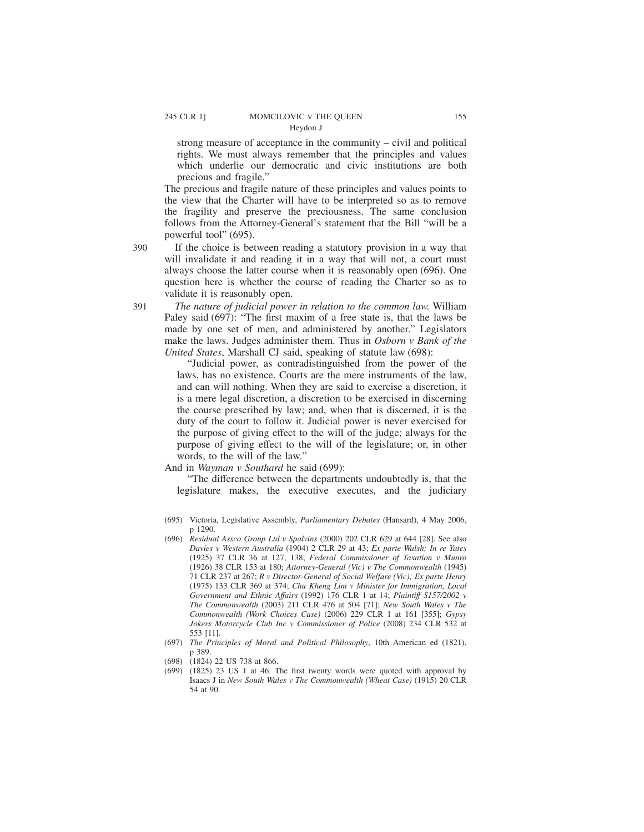391

#### 245 CLR 1] MOMCILOVIC V THE QUEEN 155 Heydon J

strong measure of acceptance in the community – civil and political rights. We must always remember that the principles and values which underlie our democratic and civic institutions are both precious and fragile."

The precious and fragile nature of these principles and values points to the view that the Charter will have to be interpreted so as to remove the fragility and preserve the preciousness. The same conclusion follows from the Attorney-General's statement that the Bill "will be a powerful tool" (695).

If the choice is between reading a statutory provision in a way that will invalidate it and reading it in a way that will not, a court must always choose the latter course when it is reasonably open (696). One question here is whether the course of reading the Charter so as to validate it is reasonably open.

*The nature of judicial power in relation to the common law.* William Paley said (697): "The first maxim of a free state is, that the laws be made by one set of men, and administered by another." Legislators make the laws. Judges administer them. Thus in *Osborn v Bank of the United States*, Marshall CJ said, speaking of statute law (698):

"Judicial power, as contradistinguished from the power of the laws, has no existence. Courts are the mere instruments of the law, and can will nothing. When they are said to exercise a discretion, it is a mere legal discretion, a discretion to be exercised in discerning the course prescribed by law; and, when that is discerned, it is the duty of the court to follow it. Judicial power is never exercised for the purpose of giving effect to the will of the judge; always for the purpose of giving effect to the will of the legislature; or, in other words, to the will of the law."

And in *Wayman v Southard* he said (699):

"The difference between the departments undoubtedly is, that the legislature makes, the executive executes, and the judiciary

- (696) *Residual Assco Group Ltd v Spalvins* (2000) 202 CLR 629 at 644 [28]. See also *Davies v Western Australia* (1904) 2 CLR 29 at 43; *Ex parte Walsh; In re Yates* (1925) 37 CLR 36 at 127, 138; *Federal Commissioner of Taxation v Munro* (1926) 38 CLR 153 at 180; *Attorney-General (Vic) v The Commonwealth* (1945) 71 CLR 237 at 267; *R v Director-General of Social Welfare (Vic); Ex parte Henry* (1975) 133 CLR 369 at 374; *Chu Kheng Lim v Minister for Immigration, Local Government and Ethnic Affairs* (1992) 176 CLR 1 at 14; *Plaintiff S157/2002 v The Commonwealth* (2003) 211 CLR 476 at 504 [71]; *New South Wales v The Commonwealth (Work Choices Case)* (2006) 229 CLR 1 at 161 [355]; *Gypsy Jokers Motorcycle Club Inc v Commissioner of Police* (2008) 234 CLR 532 at 553 [11].
- (697) *The Principles of Moral and Political Philosophy*, 10th American ed (1821), p 389.
- (698) (1824) 22 US 738 at 866.
- (699) (1825) 23 US 1 at 46. The first twenty words were quoted with approval by Isaacs J in *New South Wales v The Commonwealth (Wheat Case)* (1915) 20 CLR 54 at 90.

<sup>(695)</sup> Victoria, Legislative Assembly, *Parliamentary Debates* (Hansard), 4 May 2006, p 1290.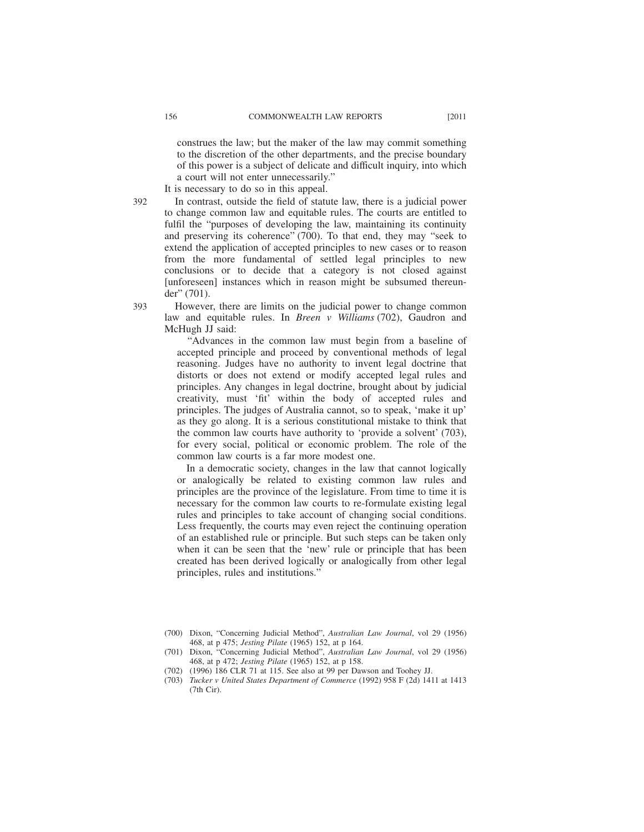construes the law; but the maker of the law may commit something to the discretion of the other departments, and the precise boundary of this power is a subject of delicate and difficult inquiry, into which a court will not enter unnecessarily."

It is necessary to do so in this appeal.

In contrast, outside the field of statute law, there is a judicial power to change common law and equitable rules. The courts are entitled to fulfil the "purposes of developing the law, maintaining its continuity and preserving its coherence" (700). To that end, they may "seek to extend the application of accepted principles to new cases or to reason from the more fundamental of settled legal principles to new conclusions or to decide that a category is not closed against [unforeseen] instances which in reason might be subsumed thereunder" (701).

However, there are limits on the judicial power to change common law and equitable rules. In *Breen v Williams* (702), Gaudron and McHugh JJ said:

"Advances in the common law must begin from a baseline of accepted principle and proceed by conventional methods of legal reasoning. Judges have no authority to invent legal doctrine that distorts or does not extend or modify accepted legal rules and principles. Any changes in legal doctrine, brought about by judicial creativity, must 'fit' within the body of accepted rules and principles. The judges of Australia cannot, so to speak, 'make it up' as they go along. It is a serious constitutional mistake to think that the common law courts have authority to 'provide a solvent' (703), for every social, political or economic problem. The role of the common law courts is a far more modest one.

In a democratic society, changes in the law that cannot logically or analogically be related to existing common law rules and principles are the province of the legislature. From time to time it is necessary for the common law courts to re-formulate existing legal rules and principles to take account of changing social conditions. Less frequently, the courts may even reject the continuing operation of an established rule or principle. But such steps can be taken only when it can be seen that the 'new' rule or principle that has been created has been derived logically or analogically from other legal principles, rules and institutions."

392

<sup>(700)</sup> Dixon, "Concerning Judicial Method", *Australian Law Journal*, vol 29 (1956) 468, at p 475; *Jesting Pilate* (1965) 152, at p 164.

<sup>(701)</sup> Dixon, "Concerning Judicial Method", *Australian Law Journal*, vol 29 (1956) 468, at p 472; *Jesting Pilate* (1965) 152, at p 158.

<sup>(702) (1996) 186</sup> CLR 71 at 115. See also at 99 per Dawson and Toohey JJ.

<sup>(703)</sup> *Tucker v United States Department of Commerce* (1992) 958 F (2d) 1411 at 1413 (7th Cir).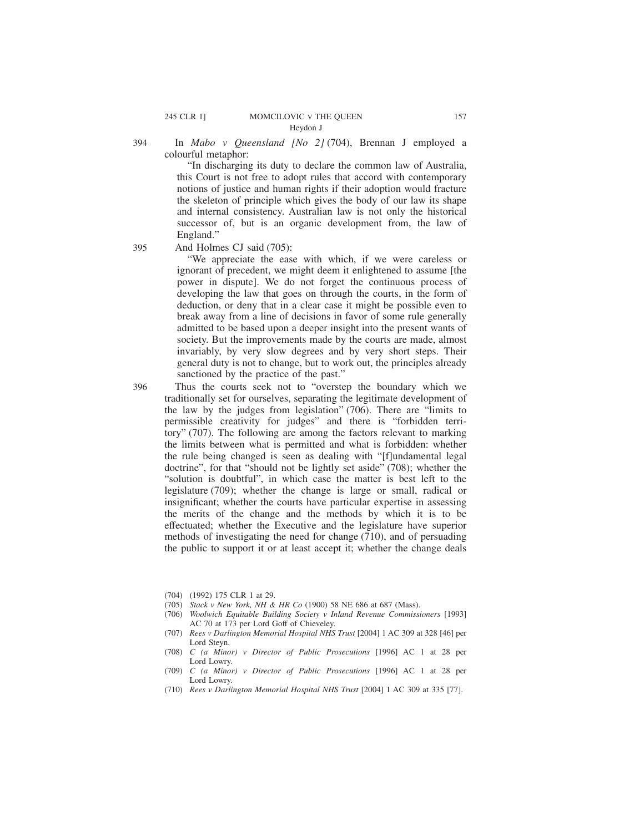# In *Mabo v Queensland [No 2]* (704), Brennan J employed a colourful metaphor:

"In discharging its duty to declare the common law of Australia, this Court is not free to adopt rules that accord with contemporary notions of justice and human rights if their adoption would fracture the skeleton of principle which gives the body of our law its shape and internal consistency. Australian law is not only the historical successor of, but is an organic development from, the law of England."

395

#### And Holmes CJ said (705):

"We appreciate the ease with which, if we were careless or ignorant of precedent, we might deem it enlightened to assume [the power in dispute]. We do not forget the continuous process of developing the law that goes on through the courts, in the form of deduction, or deny that in a clear case it might be possible even to break away from a line of decisions in favor of some rule generally admitted to be based upon a deeper insight into the present wants of society. But the improvements made by the courts are made, almost invariably, by very slow degrees and by very short steps. Their general duty is not to change, but to work out, the principles already sanctioned by the practice of the past."

Thus the courts seek not to "overstep the boundary which we traditionally set for ourselves, separating the legitimate development of the law by the judges from legislation" (706). There are "limits to permissible creativity for judges" and there is "forbidden territory" (707). The following are among the factors relevant to marking the limits between what is permitted and what is forbidden: whether the rule being changed is seen as dealing with "[f]undamental legal doctrine", for that "should not be lightly set aside" (708); whether the "solution is doubtful", in which case the matter is best left to the legislature (709); whether the change is large or small, radical or insignificant; whether the courts have particular expertise in assessing the merits of the change and the methods by which it is to be effectuated; whether the Executive and the legislature have superior methods of investigating the need for change (710), and of persuading the public to support it or at least accept it; whether the change deals 396

- (705) *Stack v New York, NH & HR Co* (1900) 58 NE 686 at 687 (Mass).
- (706) *Woolwich Equitable Building Society v Inland Revenue Commissioners* [1993] AC 70 at 173 per Lord Goff of Chieveley.
- (707) *Rees v Darlington Memorial Hospital NHS Trust* [2004] 1 AC 309 at 328 [46] per Lord Steyn.
- (708) *C (a Minor) v Director of Public Prosecutions* [1996] AC 1 at 28 per Lord Lowry.
- (709) *C (a Minor) v Director of Public Prosecutions* [1996] AC 1 at 28 per Lord Lowry.
- (710) *Rees v Darlington Memorial Hospital NHS Trust* [2004] 1 AC 309 at 335 [77].

<sup>(704) (1992) 175</sup> CLR 1 at 29.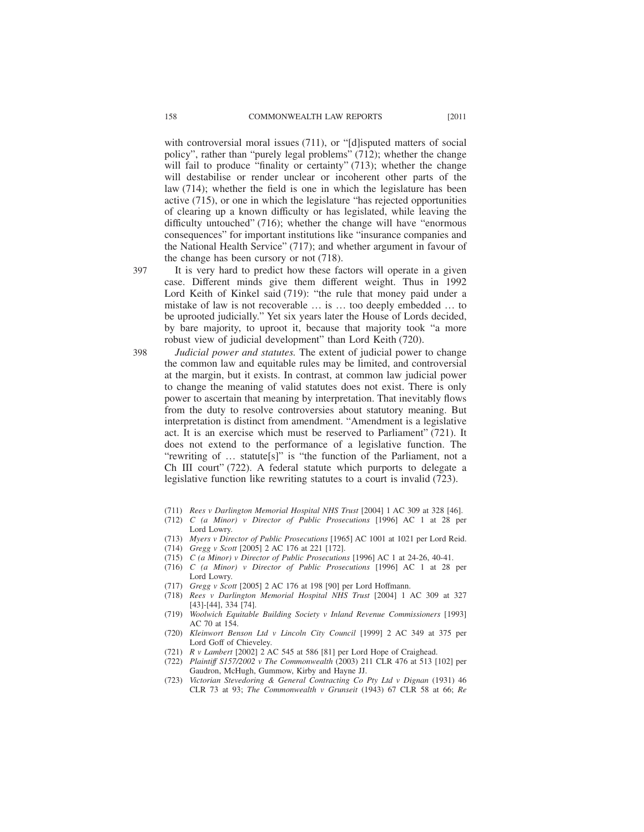with controversial moral issues (711), or "[d]isputed matters of social policy", rather than "purely legal problems" (712); whether the change will fail to produce "finality or certainty" (713); whether the change will destabilise or render unclear or incoherent other parts of the law (714); whether the field is one in which the legislature has been active (715), or one in which the legislature "has rejected opportunities of clearing up a known difficulty or has legislated, while leaving the difficulty untouched" (716); whether the change will have "enormous consequences" for important institutions like "insurance companies and the National Health Service" (717); and whether argument in favour of the change has been cursory or not (718).

It is very hard to predict how these factors will operate in a given case. Different minds give them different weight. Thus in 1992 Lord Keith of Kinkel said (719): "the rule that money paid under a mistake of law is not recoverable … is … too deeply embedded … to be uprooted judicially." Yet six years later the House of Lords decided, by bare majority, to uproot it, because that majority took "a more robust view of judicial development" than Lord Keith (720).

*Judicial power and statutes.* The extent of judicial power to change the common law and equitable rules may be limited, and controversial at the margin, but it exists. In contrast, at common law judicial power to change the meaning of valid statutes does not exist. There is only power to ascertain that meaning by interpretation. That inevitably flows from the duty to resolve controversies about statutory meaning. But interpretation is distinct from amendment. "Amendment is a legislative act. It is an exercise which must be reserved to Parliament" (721). It does not extend to the performance of a legislative function. The "rewriting of … statute[s]" is "the function of the Parliament, not a Ch III court" (722). A federal statute which purports to delegate a legislative function like rewriting statutes to a court is invalid (723).

- (711) *Rees v Darlington Memorial Hospital NHS Trust* [2004] 1 AC 309 at 328 [46].
- (712) *C (a Minor) v Director of Public Prosecutions* [1996] AC 1 at 28 per Lord Lowry.
- (713) *Myers v Director of Public Prosecutions* [1965] AC 1001 at 1021 per Lord Reid.
- (714) *Gregg v Scott* [2005] 2 AC 176 at 221 [172].
- (715) *C (a Minor) v Director of Public Prosecutions* [1996] AC 1 at 24-26, 40-41.
- (716) *C (a Minor) v Director of Public Prosecutions* [1996] AC 1 at 28 per Lord Lowry.
- (717) *Gregg v Scott* [2005] 2 AC 176 at 198 [90] per Lord Hoffmann.
- (718) *Rees v Darlington Memorial Hospital NHS Trust* [2004] 1 AC 309 at 327 [43]-[44], 334 [74].
- (719) *Woolwich Equitable Building Society v Inland Revenue Commissioners* [1993] AC 70 at 154.
- (720) *Kleinwort Benson Ltd v Lincoln City Council* [1999] 2 AC 349 at 375 per Lord Goff of Chieveley.
- (721) *R v Lambert* [2002] 2 AC 545 at 586 [81] per Lord Hope of Craighead.
- (722) *Plaintiff S157/2002 v The Commonwealth* (2003) 211 CLR 476 at 513 [102] per Gaudron, McHugh, Gummow, Kirby and Hayne JJ.
- (723) *Victorian Stevedoring & General Contracting Co Pty Ltd v Dignan* (1931) 46 CLR 73 at 93; *The Commonwealth v Grunseit* (1943) 67 CLR 58 at 66; *Re*

397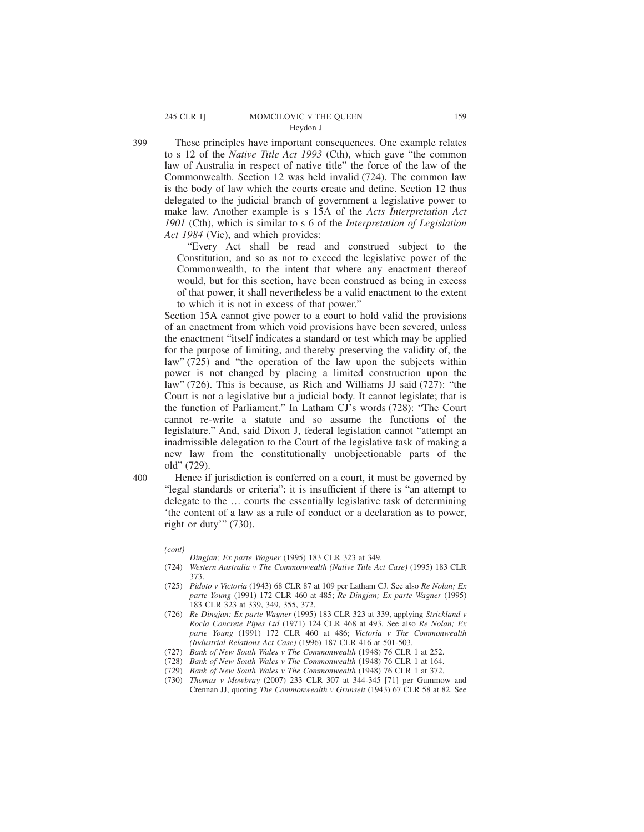These principles have important consequences. One example relates to s 12 of the *Native Title Act 1993* (Cth), which gave "the common law of Australia in respect of native title" the force of the law of the Commonwealth. Section 12 was held invalid (724). The common law is the body of law which the courts create and define. Section 12 thus delegated to the judicial branch of government a legislative power to make law. Another example is s 15A of the *Acts Interpretation Act 1901* (Cth), which is similar to s 6 of the *Interpretation of Legislation Act 1984* (Vic), and which provides:

"Every Act shall be read and construed subject to the Constitution, and so as not to exceed the legislative power of the Commonwealth, to the intent that where any enactment thereof would, but for this section, have been construed as being in excess of that power, it shall nevertheless be a valid enactment to the extent to which it is not in excess of that power."

Section 15A cannot give power to a court to hold valid the provisions of an enactment from which void provisions have been severed, unless the enactment "itself indicates a standard or test which may be applied for the purpose of limiting, and thereby preserving the validity of, the law" (725) and "the operation of the law upon the subjects within power is not changed by placing a limited construction upon the law" (726). This is because, as Rich and Williams JJ said (727): "the Court is not a legislative but a judicial body. It cannot legislate; that is the function of Parliament." In Latham CJ's words (728): "The Court cannot re-write a statute and so assume the functions of the legislature." And, said Dixon J, federal legislation cannot "attempt an inadmissible delegation to the Court of the legislative task of making a new law from the constitutionally unobjectionable parts of the old" (729).

400

Hence if jurisdiction is conferred on a court, it must be governed by "legal standards or criteria": it is insufficient if there is "an attempt to delegate to the … courts the essentially legislative task of determining 'the content of a law as a rule of conduct or a declaration as to power, right or duty'" (730).

*(cont)*

- *Dingjan; Ex parte Wagner* (1995) 183 CLR 323 at 349.
- (724) *Western Australia v The Commonwealth (Native Title Act Case)* (1995) 183 CLR 373.
- (725) *Pidoto v Victoria* (1943) 68 CLR 87 at 109 per Latham CJ. See also *Re Nolan; Ex parte Young* (1991) 172 CLR 460 at 485; *Re Dingjan; Ex parte Wagner* (1995) 183 CLR 323 at 339, 349, 355, 372.
- (726) *Re Dingjan; Ex parte Wagner* (1995) 183 CLR 323 at 339, applying *Strickland v Rocla Concrete Pipes Ltd* (1971) 124 CLR 468 at 493. See also *Re Nolan; Ex parte Young* (1991) 172 CLR 460 at 486; *Victoria v The Commonwealth (Industrial Relations Act Case)* (1996) 187 CLR 416 at 501-503.
- (727) *Bank of New South Wales v The Commonwealth* (1948) 76 CLR 1 at 252.
- (728) *Bank of New South Wales v The Commonwealth* (1948) 76 CLR 1 at 164.
- (729) *Bank of New South Wales v The Commonwealth* (1948) 76 CLR 1 at 372.
- (730) *Thomas v Mowbray* (2007) 233 CLR 307 at 344-345 [71] per Gummow and Crennan JJ, quoting *The Commonwealth v Grunseit* (1943) 67 CLR 58 at 82. See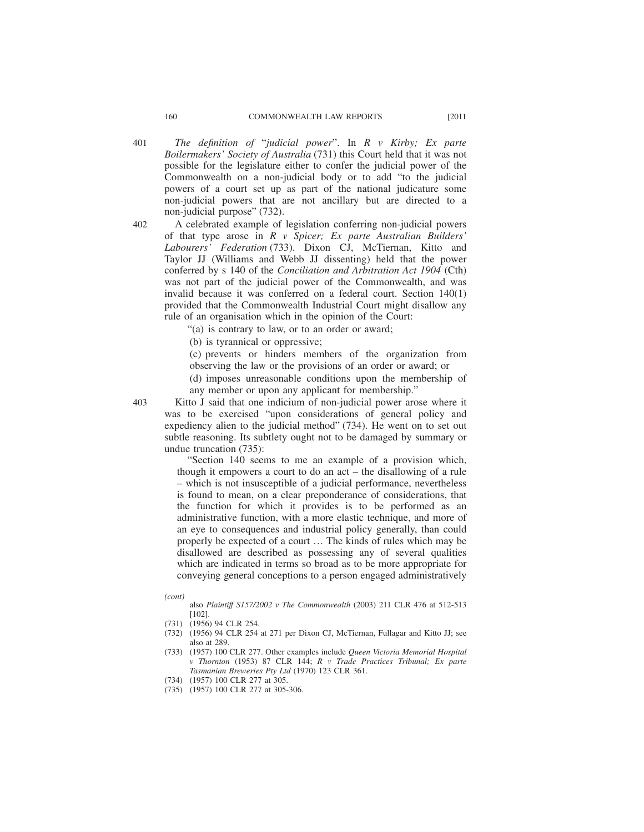*The definition of* "*judicial power*". In *R v Kirby; Ex parte Boilermakers' Society of Australia* (731) this Court held that it was not possible for the legislature either to confer the judicial power of the Commonwealth on a non-judicial body or to add "to the judicial powers of a court set up as part of the national judicature some non-judicial powers that are not ancillary but are directed to a non-judicial purpose" (732). 401

402

A celebrated example of legislation conferring non-judicial powers of that type arose in *R v Spicer; Ex parte Australian Builders' Labourers' Federation* (733). Dixon CJ, McTiernan, Kitto and Taylor JJ (Williams and Webb JJ dissenting) held that the power conferred by s 140 of the *Conciliation and Arbitration Act 1904* (Cth) was not part of the judicial power of the Commonwealth, and was invalid because it was conferred on a federal court. Section 140(1) provided that the Commonwealth Industrial Court might disallow any rule of an organisation which in the opinion of the Court:

"(a) is contrary to law, or to an order or award;

(b) is tyrannical or oppressive;

(c) prevents or hinders members of the organization from observing the law or the provisions of an order or award; or

(d) imposes unreasonable conditions upon the membership of any member or upon any applicant for membership."

403

Kitto J said that one indicium of non-judicial power arose where it was to be exercised "upon considerations of general policy and expediency alien to the judicial method" (734). He went on to set out subtle reasoning. Its subtlety ought not to be damaged by summary or undue truncation (735):

"Section 140 seems to me an example of a provision which, though it empowers a court to do an act – the disallowing of a rule – which is not insusceptible of a judicial performance, nevertheless is found to mean, on a clear preponderance of considerations, that the function for which it provides is to be performed as an administrative function, with a more elastic technique, and more of an eye to consequences and industrial policy generally, than could properly be expected of a court … The kinds of rules which may be disallowed are described as possessing any of several qualities which are indicated in terms so broad as to be more appropriate for conveying general conceptions to a person engaged administratively

*(cont)*

- also *Plaintiff S157/2002 v The Commonwealth* (2003) 211 CLR 476 at 512-513 [102].
- (731) (1956) 94 CLR 254.
- (732) (1956) 94 CLR 254 at 271 per Dixon CJ, McTiernan, Fullagar and Kitto JJ; see also at 289.
- (733) (1957) 100 CLR 277. Other examples include *Queen Victoria Memorial Hospital v Thornton* (1953) 87 CLR 144; *R v Trade Practices Tribunal; Ex parte Tasmanian Breweries Pty Ltd* (1970) 123 CLR 361.
- (734) (1957) 100 CLR 277 at 305.
- (735) (1957) 100 CLR 277 at 305-306.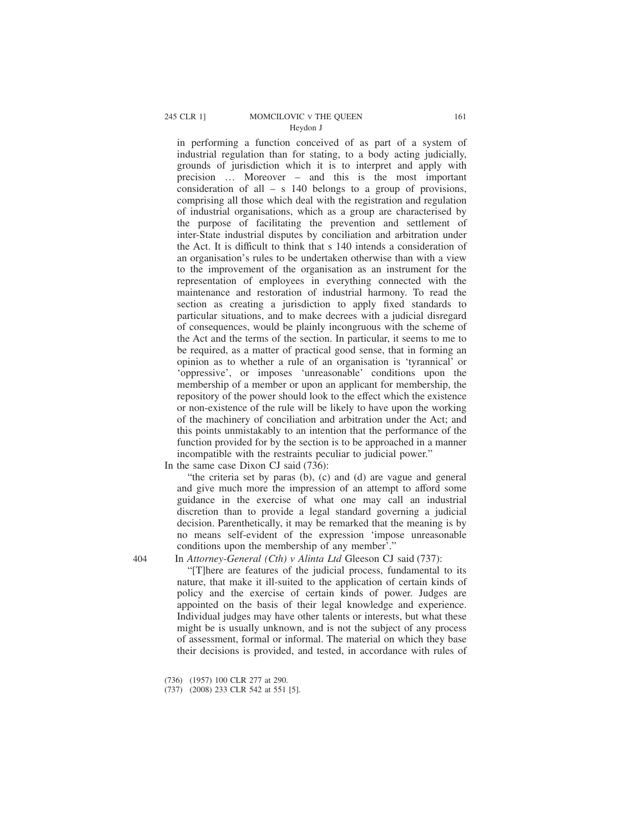#### 245 CLR 1] MOMCILOVIC V THE QUEEN 161 Heydon J

in performing a function conceived of as part of a system of industrial regulation than for stating, to a body acting judicially, grounds of jurisdiction which it is to interpret and apply with precision … Moreover – and this is the most important consideration of all – s 140 belongs to a group of provisions, comprising all those which deal with the registration and regulation of industrial organisations, which as a group are characterised by the purpose of facilitating the prevention and settlement of inter-State industrial disputes by conciliation and arbitration under the Act. It is difficult to think that s 140 intends a consideration of an organisation's rules to be undertaken otherwise than with a view to the improvement of the organisation as an instrument for the representation of employees in everything connected with the maintenance and restoration of industrial harmony. To read the section as creating a jurisdiction to apply fixed standards to particular situations, and to make decrees with a judicial disregard of consequences, would be plainly incongruous with the scheme of the Act and the terms of the section. In particular, it seems to me to be required, as a matter of practical good sense, that in forming an opinion as to whether a rule of an organisation is 'tyrannical' or 'oppressive', or imposes 'unreasonable' conditions upon the membership of a member or upon an applicant for membership, the repository of the power should look to the effect which the existence or non-existence of the rule will be likely to have upon the working of the machinery of conciliation and arbitration under the Act; and this points unmistakably to an intention that the performance of the function provided for by the section is to be approached in a manner incompatible with the restraints peculiar to judicial power."

In the same case Dixon CJ said (736):

"the criteria set by paras (b), (c) and (d) are vague and general and give much more the impression of an attempt to afford some guidance in the exercise of what one may call an industrial discretion than to provide a legal standard governing a judicial decision. Parenthetically, it may be remarked that the meaning is by no means self-evident of the expression 'impose unreasonable conditions upon the membership of any member'."

In *Attorney-General (Cth) v Alinta Ltd* Gleeson CJ said (737):

"[T]here are features of the judicial process, fundamental to its nature, that make it ill-suited to the application of certain kinds of policy and the exercise of certain kinds of power. Judges are appointed on the basis of their legal knowledge and experience. Individual judges may have other talents or interests, but what these might be is usually unknown, and is not the subject of any process of assessment, formal or informal. The material on which they base their decisions is provided, and tested, in accordance with rules of

<sup>(736) (1957) 100</sup> CLR 277 at 290.

<sup>(737) (2008) 233</sup> CLR 542 at 551 [5].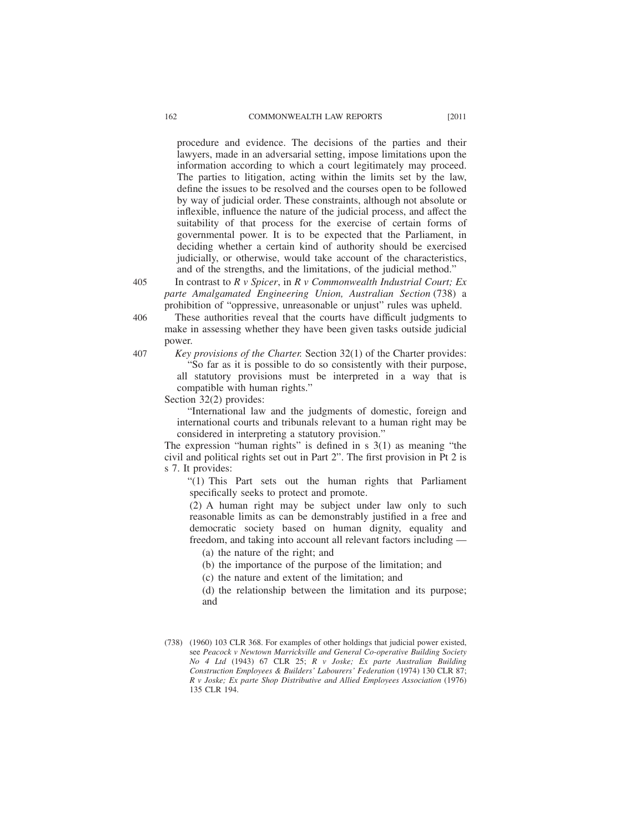procedure and evidence. The decisions of the parties and their lawyers, made in an adversarial setting, impose limitations upon the information according to which a court legitimately may proceed. The parties to litigation, acting within the limits set by the law, define the issues to be resolved and the courses open to be followed by way of judicial order. These constraints, although not absolute or inflexible, influence the nature of the judicial process, and affect the suitability of that process for the exercise of certain forms of governmental power. It is to be expected that the Parliament, in deciding whether a certain kind of authority should be exercised judicially, or otherwise, would take account of the characteristics, and of the strengths, and the limitations, of the judicial method."

These authorities reveal that the courts have difficult judgments to make in assessing whether they have been given tasks outside judicial power.

*Key provisions of the Charter.* Section 32(1) of the Charter provides: "So far as it is possible to do so consistently with their purpose, all statutory provisions must be interpreted in a way that is compatible with human rights."

Section 32(2) provides:

"International law and the judgments of domestic, foreign and international courts and tribunals relevant to a human right may be considered in interpreting a statutory provision."

The expression "human rights" is defined in s 3(1) as meaning "the civil and political rights set out in Part 2". The first provision in Pt 2 is s 7. It provides:

"(1) This Part sets out the human rights that Parliament specifically seeks to protect and promote.

(2) A human right may be subject under law only to such reasonable limits as can be demonstrably justified in a free and democratic society based on human dignity, equality and freedom, and taking into account all relevant factors including —

(a) the nature of the right; and

(b) the importance of the purpose of the limitation; and

(c) the nature and extent of the limitation; and

(d) the relationship between the limitation and its purpose; and

406

In contrast to *R v Spicer*, in *R v Commonwealth Industrial Court; Ex parte Amalgamated Engineering Union, Australian Section* (738) a prohibition of "oppressive, unreasonable or unjust" rules was upheld. 405

<sup>(738) (1960) 103</sup> CLR 368. For examples of other holdings that judicial power existed, see *Peacock v Newtown Marrickville and General Co-operative Building Society No 4 Ltd* (1943) 67 CLR 25; *R v Joske; Ex parte Australian Building Construction Employees & Builders' Labourers' Federation* (1974) 130 CLR 87; *R v Joske; Ex parte Shop Distributive and Allied Employees Association* (1976) 135 CLR 194.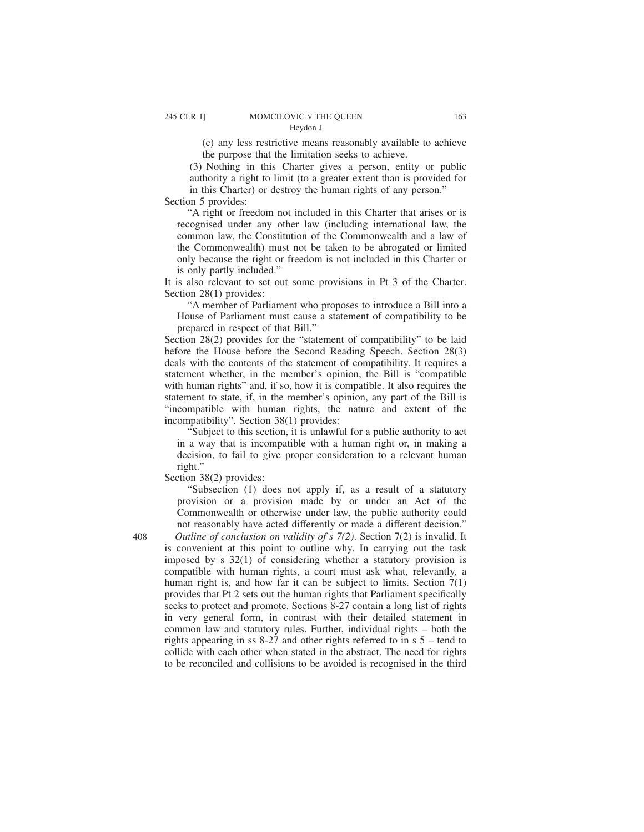(e) any less restrictive means reasonably available to achieve the purpose that the limitation seeks to achieve.

(3) Nothing in this Charter gives a person, entity or public authority a right to limit (to a greater extent than is provided for in this Charter) or destroy the human rights of any person."

Section 5 provides:

"A right or freedom not included in this Charter that arises or is recognised under any other law (including international law, the common law, the Constitution of the Commonwealth and a law of the Commonwealth) must not be taken to be abrogated or limited only because the right or freedom is not included in this Charter or is only partly included."

It is also relevant to set out some provisions in Pt 3 of the Charter. Section 28(1) provides:

"A member of Parliament who proposes to introduce a Bill into a House of Parliament must cause a statement of compatibility to be prepared in respect of that Bill."

Section 28(2) provides for the "statement of compatibility" to be laid before the House before the Second Reading Speech. Section 28(3) deals with the contents of the statement of compatibility. It requires a statement whether, in the member's opinion, the Bill is "compatible with human rights" and, if so, how it is compatible. It also requires the statement to state, if, in the member's opinion, any part of the Bill is "incompatible with human rights, the nature and extent of the incompatibility". Section 38(1) provides:

"Subject to this section, it is unlawful for a public authority to act in a way that is incompatible with a human right or, in making a decision, to fail to give proper consideration to a relevant human right."

Section 38(2) provides:

"Subsection (1) does not apply if, as a result of a statutory provision or a provision made by or under an Act of the Commonwealth or otherwise under law, the public authority could not reasonably have acted differently or made a different decision."

*Outline of conclusion on validity of s 7(2)*. Section 7(2) is invalid. It is convenient at this point to outline why. In carrying out the task imposed by s 32(1) of considering whether a statutory provision is compatible with human rights, a court must ask what, relevantly, a human right is, and how far it can be subject to limits. Section  $7(1)$ provides that Pt 2 sets out the human rights that Parliament specifically seeks to protect and promote. Sections 8-27 contain a long list of rights in very general form, in contrast with their detailed statement in common law and statutory rules. Further, individual rights – both the rights appearing in ss 8-27 and other rights referred to in s 5 – tend to collide with each other when stated in the abstract. The need for rights to be reconciled and collisions to be avoided is recognised in the third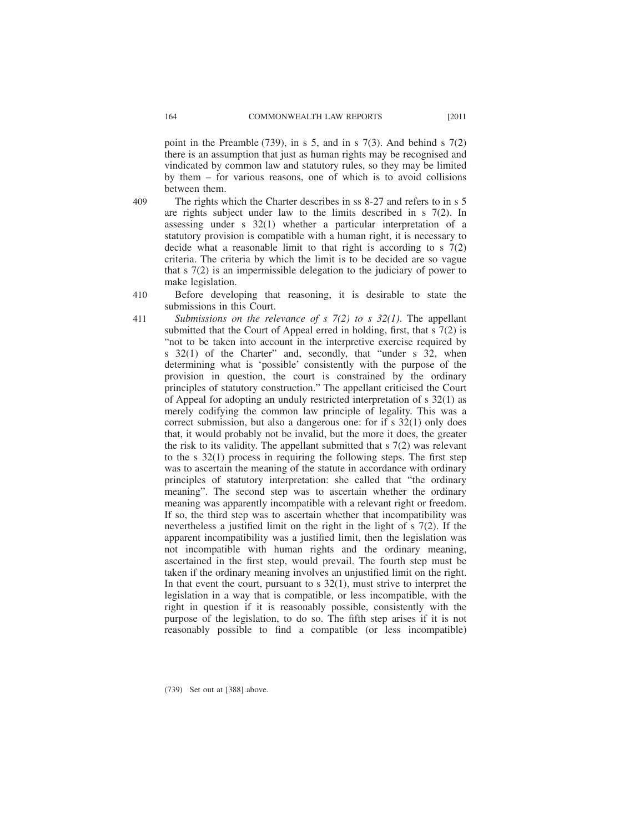point in the Preamble  $(739)$ , in s 5, and in s  $7(3)$ . And behind s  $7(2)$ there is an assumption that just as human rights may be recognised and vindicated by common law and statutory rules, so they may be limited by them – for various reasons, one of which is to avoid collisions between them.

The rights which the Charter describes in ss 8-27 and refers to in s 5 are rights subject under law to the limits described in s 7(2). In assessing under s 32(1) whether a particular interpretation of a statutory provision is compatible with a human right, it is necessary to decide what a reasonable limit to that right is according to s 7(2) criteria. The criteria by which the limit is to be decided are so vague that s 7(2) is an impermissible delegation to the judiciary of power to make legislation.

Before developing that reasoning, it is desirable to state the submissions in this Court. 410

*Submissions on the relevance of s 7(2) to s 32(1)*. The appellant submitted that the Court of Appeal erred in holding, first, that s 7(2) is "not to be taken into account in the interpretive exercise required by s 32(1) of the Charter" and, secondly, that "under s 32, when determining what is 'possible' consistently with the purpose of the provision in question, the court is constrained by the ordinary principles of statutory construction." The appellant criticised the Court of Appeal for adopting an unduly restricted interpretation of s 32(1) as merely codifying the common law principle of legality. This was a correct submission, but also a dangerous one: for if s 32(1) only does that, it would probably not be invalid, but the more it does, the greater the risk to its validity. The appellant submitted that  $\frac{s}{2}(2)$  was relevant to the s 32(1) process in requiring the following steps. The first step was to ascertain the meaning of the statute in accordance with ordinary principles of statutory interpretation: she called that "the ordinary meaning". The second step was to ascertain whether the ordinary meaning was apparently incompatible with a relevant right or freedom. If so, the third step was to ascertain whether that incompatibility was nevertheless a justified limit on the right in the light of s 7(2). If the apparent incompatibility was a justified limit, then the legislation was not incompatible with human rights and the ordinary meaning, ascertained in the first step, would prevail. The fourth step must be taken if the ordinary meaning involves an unjustified limit on the right. In that event the court, pursuant to  $s$  32(1), must strive to interpret the legislation in a way that is compatible, or less incompatible, with the right in question if it is reasonably possible, consistently with the purpose of the legislation, to do so. The fifth step arises if it is not reasonably possible to find a compatible (or less incompatible)

409

411

(739) Set out at [388] above.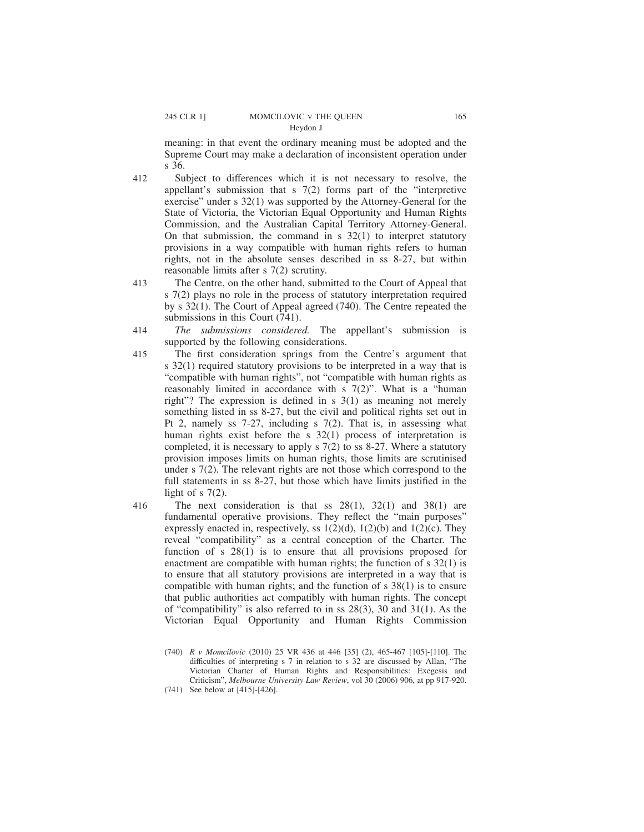#### 245 CLR 1] MOMCILOVIC V THE QUEEN 165 Heydon J

meaning: in that event the ordinary meaning must be adopted and the Supreme Court may make a declaration of inconsistent operation under s 36.

- Subject to differences which it is not necessary to resolve, the appellant's submission that s 7(2) forms part of the "interpretive exercise" under s 32(1) was supported by the Attorney-General for the State of Victoria, the Victorian Equal Opportunity and Human Rights Commission, and the Australian Capital Territory Attorney-General. On that submission, the command in s  $32(1)$  to interpret statutory provisions in a way compatible with human rights refers to human rights, not in the absolute senses described in ss 8-27, but within reasonable limits after s 7(2) scrutiny. 412
- The Centre, on the other hand, submitted to the Court of Appeal that s 7(2) plays no role in the process of statutory interpretation required by s 32(1). The Court of Appeal agreed (740). The Centre repeated the submissions in this Court (741). 413
- *The submissions considered.* The appellant's submission is supported by the following considerations. 414
- The first consideration springs from the Centre's argument that s 32(1) required statutory provisions to be interpreted in a way that is "compatible with human rights", not "compatible with human rights as reasonably limited in accordance with s 7(2)". What is a "human right"? The expression is defined in s 3(1) as meaning not merely something listed in ss 8-27, but the civil and political rights set out in Pt 2, namely ss 7-27, including s 7(2). That is, in assessing what human rights exist before the s 32(1) process of interpretation is completed, it is necessary to apply s 7(2) to ss 8-27. Where a statutory provision imposes limits on human rights, those limits are scrutinised under s 7(2). The relevant rights are not those which correspond to the full statements in ss 8-27, but those which have limits justified in the light of  $\frac{s}{2}$ . 415
- The next consideration is that ss  $28(1)$ ,  $32(1)$  and  $38(1)$  are fundamental operative provisions. They reflect the "main purposes" expressly enacted in, respectively, ss  $1(2)(d)$ ,  $1(2)(b)$  and  $1(2)(c)$ . They reveal "compatibility" as a central conception of the Charter. The function of s 28(1) is to ensure that all provisions proposed for enactment are compatible with human rights; the function of s 32(1) is to ensure that all statutory provisions are interpreted in a way that is compatible with human rights; and the function of s 38(1) is to ensure that public authorities act compatibly with human rights. The concept of "compatibility" is also referred to in ss 28(3), 30 and 31(1). As the Victorian Equal Opportunity and Human Rights Commission 416

<sup>(740)</sup> *R v Momcilovic* (2010) 25 VR 436 at 446 [35] (2), 465-467 [105]-[110]. The difficulties of interpreting s 7 in relation to s 32 are discussed by Allan, "The Victorian Charter of Human Rights and Responsibilities: Exegesis and Criticism", *Melbourne University Law Review*, vol 30 (2006) 906, at pp 917-920. (741) See below at [415]-[426].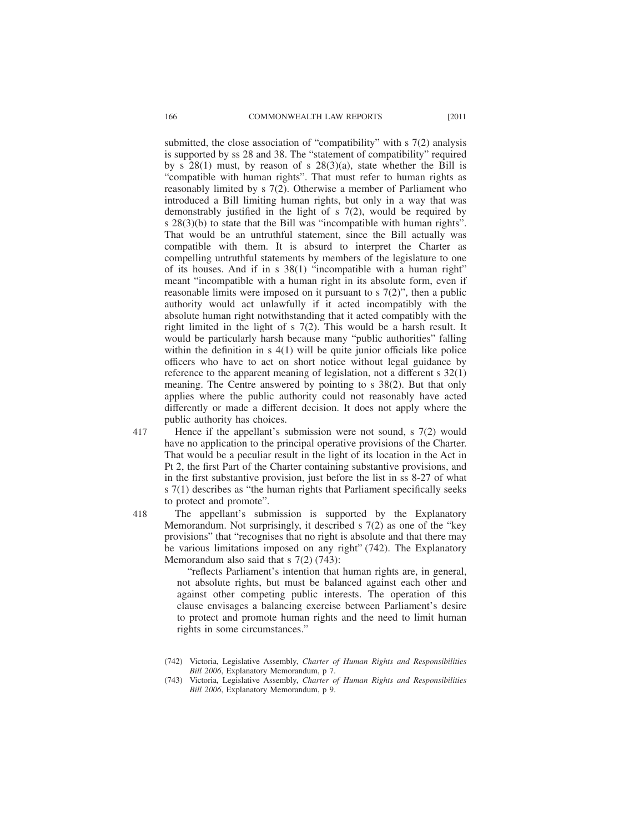submitted, the close association of "compatibility" with s 7(2) analysis is supported by ss 28 and 38. The "statement of compatibility" required by s  $28(1)$  must, by reason of s  $28(3)(a)$ , state whether the Bill is "compatible with human rights". That must refer to human rights as reasonably limited by s 7(2). Otherwise a member of Parliament who introduced a Bill limiting human rights, but only in a way that was demonstrably justified in the light of s 7(2), would be required by s 28(3)(b) to state that the Bill was "incompatible with human rights". That would be an untruthful statement, since the Bill actually was compatible with them. It is absurd to interpret the Charter as compelling untruthful statements by members of the legislature to one of its houses. And if in s 38(1) "incompatible with a human right" meant "incompatible with a human right in its absolute form, even if reasonable limits were imposed on it pursuant to s  $7(2)$ ", then a public authority would act unlawfully if it acted incompatibly with the absolute human right notwithstanding that it acted compatibly with the right limited in the light of s 7(2). This would be a harsh result. It would be particularly harsh because many "public authorities" falling within the definition in s 4(1) will be quite junior officials like police officers who have to act on short notice without legal guidance by reference to the apparent meaning of legislation, not a different s 32(1) meaning. The Centre answered by pointing to s 38(2). But that only applies where the public authority could not reasonably have acted differently or made a different decision. It does not apply where the public authority has choices.

Hence if the appellant's submission were not sound, s 7(2) would have no application to the principal operative provisions of the Charter. That would be a peculiar result in the light of its location in the Act in Pt 2, the first Part of the Charter containing substantive provisions, and in the first substantive provision, just before the list in ss 8-27 of what s 7(1) describes as "the human rights that Parliament specifically seeks to protect and promote". 417

The appellant's submission is supported by the Explanatory Memorandum. Not surprisingly, it described s 7(2) as one of the "key provisions" that "recognises that no right is absolute and that there may be various limitations imposed on any right" (742). The Explanatory Memorandum also said that s 7(2) (743):

"reflects Parliament's intention that human rights are, in general, not absolute rights, but must be balanced against each other and against other competing public interests. The operation of this clause envisages a balancing exercise between Parliament's desire to protect and promote human rights and the need to limit human rights in some circumstances."

<sup>(742)</sup> Victoria, Legislative Assembly, *Charter of Human Rights and Responsibilities Bill 2006*, Explanatory Memorandum, p 7.

<sup>(743)</sup> Victoria, Legislative Assembly, *Charter of Human Rights and Responsibilities Bill 2006*, Explanatory Memorandum, p 9.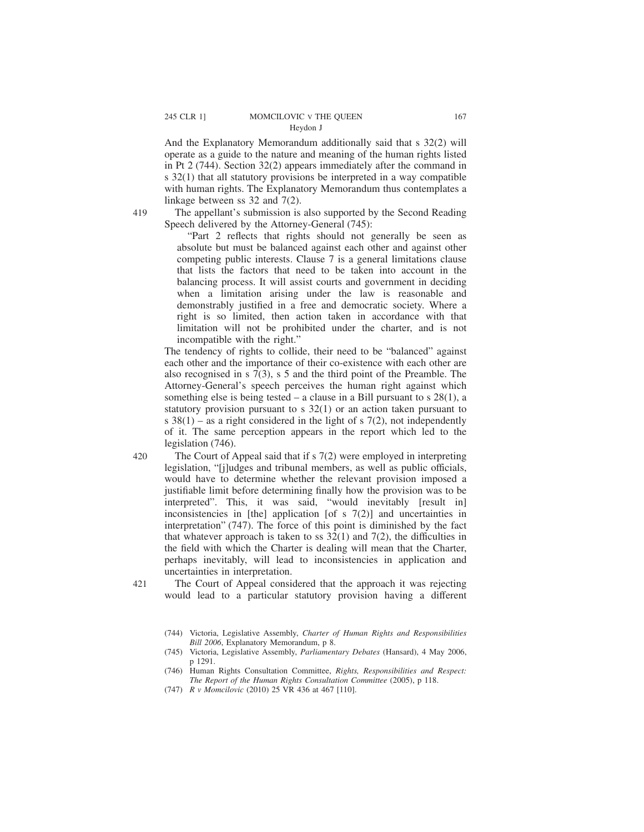#### 245 CLR 1] MOMCILOVIC V THE QUEEN 167 Heydon J

And the Explanatory Memorandum additionally said that s 32(2) will operate as a guide to the nature and meaning of the human rights listed in Pt 2 (744). Section 32(2) appears immediately after the command in s 32(1) that all statutory provisions be interpreted in a way compatible with human rights. The Explanatory Memorandum thus contemplates a linkage between ss 32 and 7(2).

419

The appellant's submission is also supported by the Second Reading Speech delivered by the Attorney-General (745):

"Part 2 reflects that rights should not generally be seen as absolute but must be balanced against each other and against other competing public interests. Clause 7 is a general limitations clause that lists the factors that need to be taken into account in the balancing process. It will assist courts and government in deciding when a limitation arising under the law is reasonable and demonstrably justified in a free and democratic society. Where a right is so limited, then action taken in accordance with that limitation will not be prohibited under the charter, and is not incompatible with the right."

The tendency of rights to collide, their need to be "balanced" against each other and the importance of their co-existence with each other are also recognised in s 7(3), s 5 and the third point of the Preamble. The Attorney-General's speech perceives the human right against which something else is being tested – a clause in a Bill pursuant to s 28(1), a statutory provision pursuant to s 32(1) or an action taken pursuant to s  $38(1)$  – as a right considered in the light of s 7(2), not independently of it. The same perception appears in the report which led to the legislation (746).

- The Court of Appeal said that if s 7(2) were employed in interpreting legislation, "[j]udges and tribunal members, as well as public officials, would have to determine whether the relevant provision imposed a justifiable limit before determining finally how the provision was to be interpreted". This, it was said, "would inevitably [result in] inconsistencies in [the] application [of s 7(2)] and uncertainties in interpretation" (747). The force of this point is diminished by the fact that whatever approach is taken to ss  $32(1)$  and  $7(2)$ , the difficulties in the field with which the Charter is dealing will mean that the Charter, perhaps inevitably, will lead to inconsistencies in application and uncertainties in interpretation. 420
- 421

The Court of Appeal considered that the approach it was rejecting would lead to a particular statutory provision having a different

(747) *R v Momcilovic* (2010) 25 VR 436 at 467 [110].

<sup>(744)</sup> Victoria, Legislative Assembly, *Charter of Human Rights and Responsibilities Bill 2006*, Explanatory Memorandum, p 8.

<sup>(745)</sup> Victoria, Legislative Assembly, *Parliamentary Debates* (Hansard), 4 May 2006, p 1291.

<sup>(746)</sup> Human Rights Consultation Committee, *Rights, Responsibilities and Respect: The Report of the Human Rights Consultation Committee* (2005), p 118.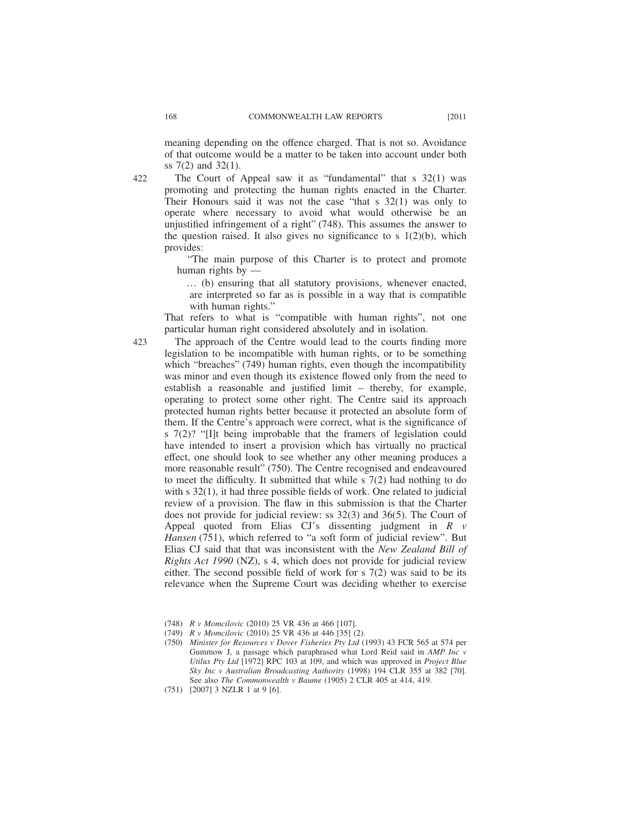meaning depending on the offence charged. That is not so. Avoidance of that outcome would be a matter to be taken into account under both ss 7(2) and 32(1).

The Court of Appeal saw it as "fundamental" that s 32(1) was promoting and protecting the human rights enacted in the Charter. Their Honours said it was not the case "that s 32(1) was only to operate where necessary to avoid what would otherwise be an unjustified infringement of a right" (748). This assumes the answer to the question raised. It also gives no significance to s  $1(2)(b)$ , which provides:

"The main purpose of this Charter is to protect and promote human rights by —

… (b) ensuring that all statutory provisions, whenever enacted, are interpreted so far as is possible in a way that is compatible with human rights."

That refers to what is "compatible with human rights", not one particular human right considered absolutely and in isolation.

The approach of the Centre would lead to the courts finding more legislation to be incompatible with human rights, or to be something which "breaches" (749) human rights, even though the incompatibility was minor and even though its existence flowed only from the need to establish a reasonable and justified limit – thereby, for example, operating to protect some other right. The Centre said its approach protected human rights better because it protected an absolute form of them. If the Centre's approach were correct, what is the significance of s 7(2)? "[I]t being improbable that the framers of legislation could have intended to insert a provision which has virtually no practical effect, one should look to see whether any other meaning produces a more reasonable result" (750). The Centre recognised and endeavoured to meet the difficulty. It submitted that while  $s$  7(2) had nothing to do with s  $32(1)$ , it had three possible fields of work. One related to judicial review of a provision. The flaw in this submission is that the Charter does not provide for judicial review: ss 32(3) and 36(5). The Court of Appeal quoted from Elias CJ's dissenting judgment in *R v Hansen* (751), which referred to "a soft form of judicial review". But Elias CJ said that that was inconsistent with the *New Zealand Bill of Rights Act 1990* (NZ), s 4, which does not provide for judicial review either. The second possible field of work for s 7(2) was said to be its relevance when the Supreme Court was deciding whether to exercise 423

- (750) *Minister for Resources v Dover Fisheries Pty Ltd* (1993) 43 FCR 565 at 574 per Gummow J, a passage which paraphrased what Lord Reid said in *AMP Inc v Utilux Pty Ltd* [1972] RPC 103 at 109, and which was approved in *Project Blue Sky Inc v Australian Broadcasting Authority* (1998) 194 CLR 355 at 382 [70]. See also *The Commonwealth v Baume* (1905) 2 CLR 405 at 414, 419.
- (751) [2007] 3 NZLR 1 at 9 [6].

<sup>(748)</sup> *R v Momcilovic* (2010) 25 VR 436 at 466 [107].

<sup>(749)</sup> *R v Momcilovic* (2010) 25 VR 436 at 446 [35] (2).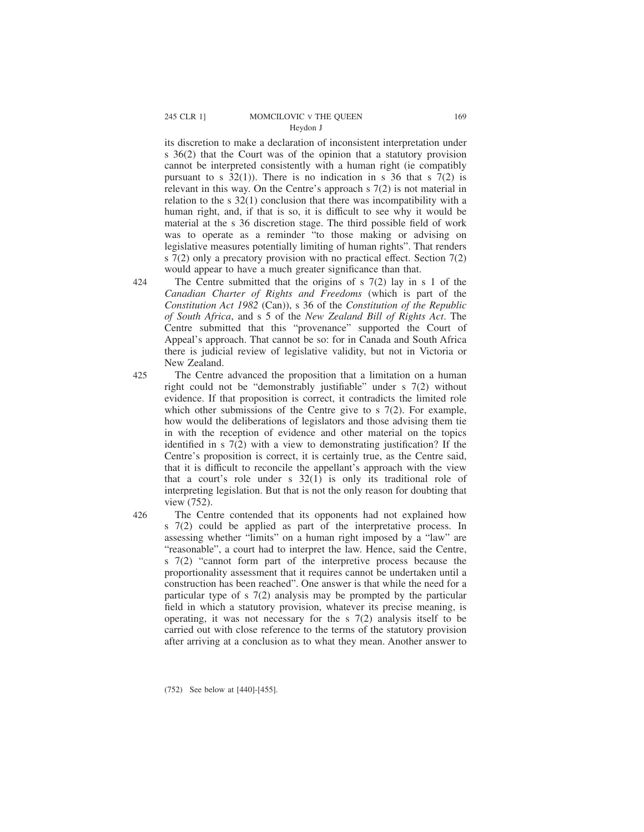#### 245 CLR 1] MOMCILOVIC V THE QUEEN 169 Heydon J

its discretion to make a declaration of inconsistent interpretation under s 36(2) that the Court was of the opinion that a statutory provision cannot be interpreted consistently with a human right (ie compatibly pursuant to s  $32(1)$ ). There is no indication in s 36 that s  $7(2)$  is relevant in this way. On the Centre's approach s 7(2) is not material in relation to the s 32(1) conclusion that there was incompatibility with a human right, and, if that is so, it is difficult to see why it would be material at the s 36 discretion stage. The third possible field of work was to operate as a reminder "to those making or advising on legislative measures potentially limiting of human rights". That renders s 7(2) only a precatory provision with no practical effect. Section 7(2) would appear to have a much greater significance than that.

The Centre submitted that the origins of s 7(2) lay in s 1 of the *Canadian Charter of Rights and Freedoms* (which is part of the *Constitution Act 1982* (Can)), s 36 of the *Constitution of the Republic of South Africa*, and s 5 of the *New Zealand Bill of Rights Act*. The Centre submitted that this "provenance" supported the Court of Appeal's approach. That cannot be so: for in Canada and South Africa there is judicial review of legislative validity, but not in Victoria or New Zealand. 424

The Centre advanced the proposition that a limitation on a human right could not be "demonstrably justifiable" under s 7(2) without evidence. If that proposition is correct, it contradicts the limited role which other submissions of the Centre give to s 7(2). For example, how would the deliberations of legislators and those advising them tie in with the reception of evidence and other material on the topics identified in s 7(2) with a view to demonstrating justification? If the Centre's proposition is correct, it is certainly true, as the Centre said, that it is difficult to reconcile the appellant's approach with the view that a court's role under s 32(1) is only its traditional role of interpreting legislation. But that is not the only reason for doubting that view (752). 425

The Centre contended that its opponents had not explained how s 7(2) could be applied as part of the interpretative process. In assessing whether "limits" on a human right imposed by a "law" are "reasonable", a court had to interpret the law. Hence, said the Centre, s 7(2) "cannot form part of the interpretive process because the proportionality assessment that it requires cannot be undertaken until a construction has been reached". One answer is that while the need for a particular type of s 7(2) analysis may be prompted by the particular field in which a statutory provision, whatever its precise meaning, is operating, it was not necessary for the s 7(2) analysis itself to be carried out with close reference to the terms of the statutory provision after arriving at a conclusion as to what they mean. Another answer to

(752) See below at [440]-[455].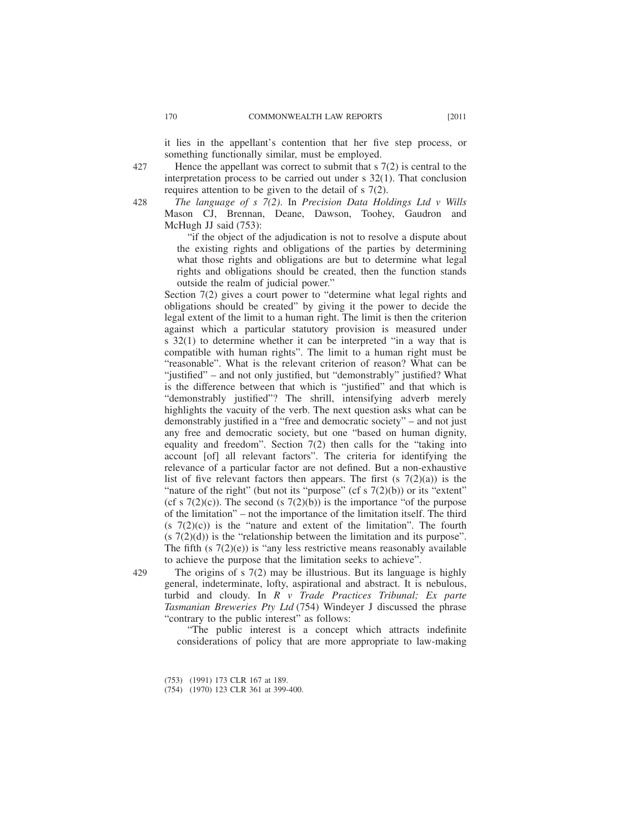it lies in the appellant's contention that her five step process, or something functionally similar, must be employed.

Hence the appellant was correct to submit that  $s \, 7(2)$  is central to the interpretation process to be carried out under s 32(1). That conclusion requires attention to be given to the detail of s 7(2).

*The language of s 7(2)*. In *Precision Data Holdings Ltd v Wills* Mason CJ, Brennan, Deane, Dawson, Toohey, Gaudron and McHugh JJ said (753):

"if the object of the adjudication is not to resolve a dispute about the existing rights and obligations of the parties by determining what those rights and obligations are but to determine what legal rights and obligations should be created, then the function stands outside the realm of judicial power."

Section 7(2) gives a court power to "determine what legal rights and obligations should be created" by giving it the power to decide the legal extent of the limit to a human right. The limit is then the criterion against which a particular statutory provision is measured under s 32(1) to determine whether it can be interpreted "in a way that is compatible with human rights". The limit to a human right must be "reasonable". What is the relevant criterion of reason? What can be "justified" – and not only justified, but "demonstrably" justified? What is the difference between that which is "justified" and that which is "demonstrably justified"? The shrill, intensifying adverb merely highlights the vacuity of the verb. The next question asks what can be demonstrably justified in a "free and democratic society" – and not just any free and democratic society, but one "based on human dignity, equality and freedom". Section 7(2) then calls for the "taking into account [of] all relevant factors". The criteria for identifying the relevance of a particular factor are not defined. But a non-exhaustive list of five relevant factors then appears. The first  $(s \ 7(2)(a))$  is the "nature of the right" (but not its "purpose" (cf s  $7(2)(b)$ ) or its "extent" (cf s  $7(2)(c)$ ). The second (s  $7(2)(b)$ ) is the importance "of the purpose of the limitation" – not the importance of the limitation itself. The third  $(s, 7(2)(c))$  is the "nature and extent of the limitation". The fourth  $(s 7(2)(d))$  is the "relationship between the limitation and its purpose". The fifth (s  $7(2)(e)$ ) is "any less restrictive means reasonably available to achieve the purpose that the limitation seeks to achieve".

429

The origins of s 7(2) may be illustrious. But its language is highly general, indeterminate, lofty, aspirational and abstract. It is nebulous, turbid and cloudy. In *R v Trade Practices Tribunal; Ex parte Tasmanian Breweries Pty Ltd* (754) Windeyer J discussed the phrase "contrary to the public interest" as follows:

"The public interest is a concept which attracts indefinite considerations of policy that are more appropriate to law-making

427

<sup>(753) (1991) 173</sup> CLR 167 at 189.

<sup>(754) (1970) 123</sup> CLR 361 at 399-400.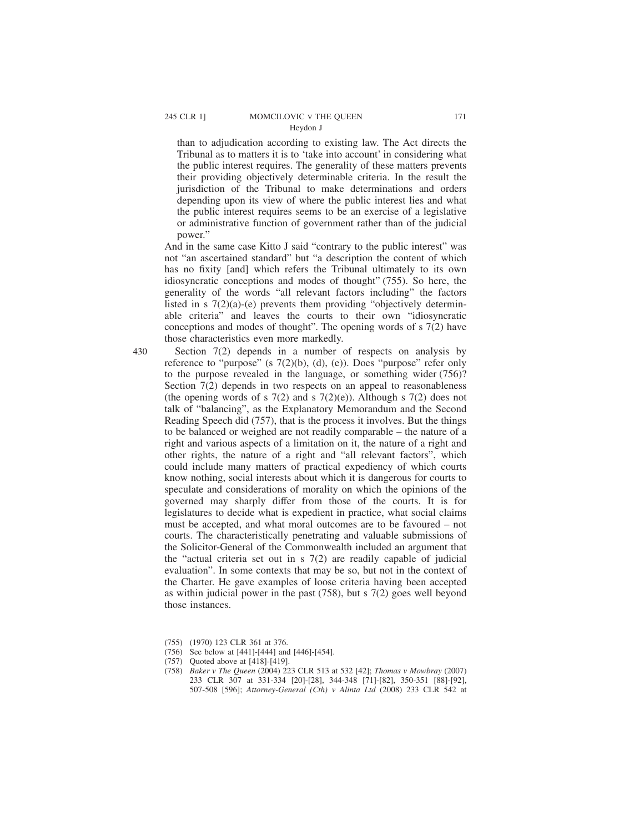#### 245 CLR 1] MOMCILOVIC V THE QUEEN 171 Heydon J

than to adjudication according to existing law. The Act directs the Tribunal as to matters it is to 'take into account' in considering what the public interest requires. The generality of these matters prevents their providing objectively determinable criteria. In the result the jurisdiction of the Tribunal to make determinations and orders depending upon its view of where the public interest lies and what the public interest requires seems to be an exercise of a legislative or administrative function of government rather than of the judicial power."

And in the same case Kitto J said "contrary to the public interest" was not "an ascertained standard" but "a description the content of which has no fixity [and] which refers the Tribunal ultimately to its own idiosyncratic conceptions and modes of thought" (755). So here, the generality of the words "all relevant factors including" the factors listed in s  $7(2)(a)-(e)$  prevents them providing "objectively determinable criteria" and leaves the courts to their own "idiosyncratic conceptions and modes of thought". The opening words of s 7(2) have those characteristics even more markedly.

Section 7(2) depends in a number of respects on analysis by reference to "purpose" (s  $7(2)(b)$ ,  $(d)$ ,  $(e)$ ). Does "purpose" refer only to the purpose revealed in the language, or something wider (756)? Section 7(2) depends in two respects on an appeal to reasonableness (the opening words of s  $7(2)$  and s  $7(2)(e)$ ). Although s  $7(2)$  does not talk of "balancing", as the Explanatory Memorandum and the Second Reading Speech did (757), that is the process it involves. But the things to be balanced or weighed are not readily comparable – the nature of a right and various aspects of a limitation on it, the nature of a right and other rights, the nature of a right and "all relevant factors", which could include many matters of practical expediency of which courts know nothing, social interests about which it is dangerous for courts to speculate and considerations of morality on which the opinions of the governed may sharply differ from those of the courts. It is for legislatures to decide what is expedient in practice, what social claims must be accepted, and what moral outcomes are to be favoured – not courts. The characteristically penetrating and valuable submissions of the Solicitor-General of the Commonwealth included an argument that the "actual criteria set out in s 7(2) are readily capable of judicial evaluation". In some contexts that may be so, but not in the context of the Charter. He gave examples of loose criteria having been accepted as within judicial power in the past (758), but s 7(2) goes well beyond those instances.

<sup>(755) (1970) 123</sup> CLR 361 at 376.

<sup>(756)</sup> See below at [441]-[444] and [446]-[454].

<sup>(757)</sup> Quoted above at [418]-[419].

<sup>(758)</sup> *Baker v The Queen* (2004) 223 CLR 513 at 532 [42]; *Thomas v Mowbray* (2007) 233 CLR 307 at 331-334 [20]-[28], 344-348 [71]-[82], 350-351 [88]-[92], 507-508 [596]; *Attorney-General (Cth) v Alinta Ltd* (2008) 233 CLR 542 at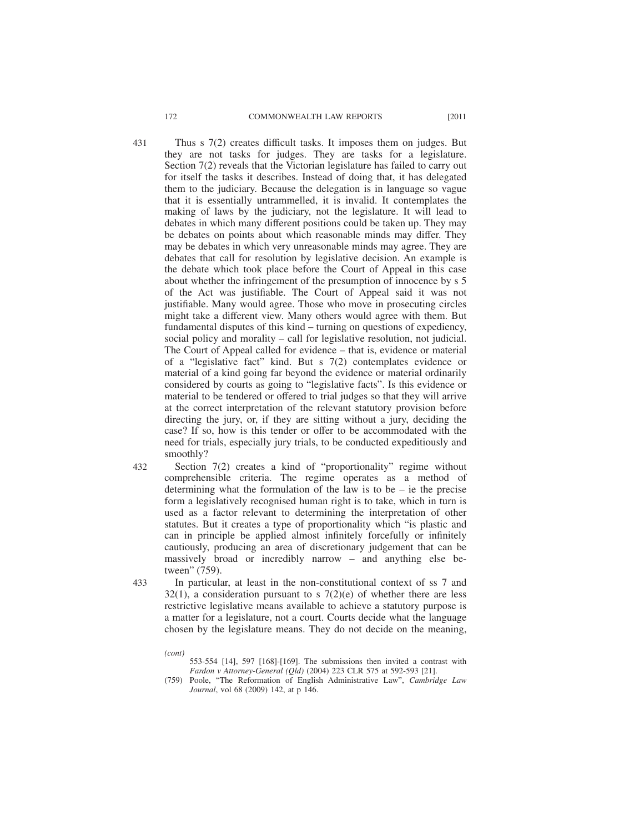- Thus s 7(2) creates difficult tasks. It imposes them on judges. But they are not tasks for judges. They are tasks for a legislature. Section 7(2) reveals that the Victorian legislature has failed to carry out for itself the tasks it describes. Instead of doing that, it has delegated them to the judiciary. Because the delegation is in language so vague that it is essentially untrammelled, it is invalid. It contemplates the making of laws by the judiciary, not the legislature. It will lead to debates in which many different positions could be taken up. They may be debates on points about which reasonable minds may differ. They may be debates in which very unreasonable minds may agree. They are debates that call for resolution by legislative decision. An example is the debate which took place before the Court of Appeal in this case about whether the infringement of the presumption of innocence by s 5 of the Act was justifiable. The Court of Appeal said it was not justifiable. Many would agree. Those who move in prosecuting circles might take a different view. Many others would agree with them. But fundamental disputes of this kind – turning on questions of expediency, social policy and morality – call for legislative resolution, not judicial. The Court of Appeal called for evidence – that is, evidence or material of a "legislative fact" kind. But s 7(2) contemplates evidence or material of a kind going far beyond the evidence or material ordinarily considered by courts as going to "legislative facts". Is this evidence or material to be tendered or offered to trial judges so that they will arrive at the correct interpretation of the relevant statutory provision before directing the jury, or, if they are sitting without a jury, deciding the case? If so, how is this tender or offer to be accommodated with the need for trials, especially jury trials, to be conducted expeditiously and smoothly? 431
- Section 7(2) creates a kind of "proportionality" regime without comprehensible criteria. The regime operates as a method of determining what the formulation of the law is to be – ie the precise form a legislatively recognised human right is to take, which in turn is used as a factor relevant to determining the interpretation of other statutes. But it creates a type of proportionality which "is plastic and can in principle be applied almost infinitely forcefully or infinitely cautiously, producing an area of discretionary judgement that can be massively broad or incredibly narrow – and anything else between" (759). 432
- 433

In particular, at least in the non-constitutional context of ss 7 and  $32(1)$ , a consideration pursuant to s  $7(2)(e)$  of whether there are less restrictive legislative means available to achieve a statutory purpose is a matter for a legislature, not a court. Courts decide what the language chosen by the legislature means. They do not decide on the meaning,

*(cont)*

(759) Poole, "The Reformation of English Administrative Law", *Cambridge Law Journal*, vol 68 (2009) 142, at p 146.

<sup>553-554 [14], 597 [168]-[169].</sup> The submissions then invited a contrast with *Fardon v Attorney-General (Qld)* (2004) 223 CLR 575 at 592-593 [21].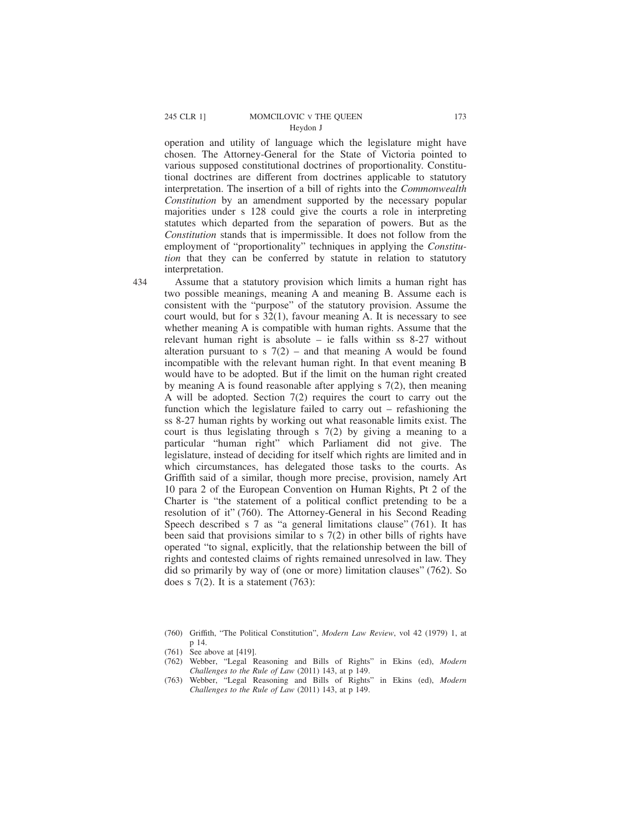#### 245 CLR 1] MOMCILOVIC V THE QUEEN 173 Heydon J

operation and utility of language which the legislature might have chosen. The Attorney-General for the State of Victoria pointed to various supposed constitutional doctrines of proportionality. Constitutional doctrines are different from doctrines applicable to statutory interpretation. The insertion of a bill of rights into the *Commonwealth Constitution* by an amendment supported by the necessary popular majorities under s 128 could give the courts a role in interpreting statutes which departed from the separation of powers. But as the *Constitution* stands that is impermissible. It does not follow from the employment of "proportionality" techniques in applying the *Constitution* that they can be conferred by statute in relation to statutory interpretation.

Assume that a statutory provision which limits a human right has two possible meanings, meaning A and meaning B. Assume each is consistent with the "purpose" of the statutory provision. Assume the court would, but for s 32(1), favour meaning A. It is necessary to see whether meaning A is compatible with human rights. Assume that the relevant human right is absolute – ie falls within ss 8-27 without alteration pursuant to s  $7(2)$  – and that meaning A would be found incompatible with the relevant human right. In that event meaning B would have to be adopted. But if the limit on the human right created by meaning A is found reasonable after applying s 7(2), then meaning A will be adopted. Section 7(2) requires the court to carry out the function which the legislature failed to carry out – refashioning the ss 8-27 human rights by working out what reasonable limits exist. The court is thus legislating through s 7(2) by giving a meaning to a particular "human right" which Parliament did not give. The legislature, instead of deciding for itself which rights are limited and in which circumstances, has delegated those tasks to the courts. As Griffith said of a similar, though more precise, provision, namely Art 10 para 2 of the European Convention on Human Rights, Pt 2 of the Charter is "the statement of a political conflict pretending to be a resolution of it" (760). The Attorney-General in his Second Reading Speech described s 7 as "a general limitations clause" (761). It has been said that provisions similar to s 7(2) in other bills of rights have operated "to signal, explicitly, that the relationship between the bill of rights and contested claims of rights remained unresolved in law. They did so primarily by way of (one or more) limitation clauses" (762). So does s  $7(2)$ . It is a statement  $(763)$ :

<sup>(760)</sup> Griffith, "The Political Constitution", *Modern Law Review*, vol 42 (1979) 1, at p 14.

<sup>(761)</sup> See above at [419].

<sup>(762)</sup> Webber, "Legal Reasoning and Bills of Rights" in Ekins (ed), *Modern Challenges to the Rule of Law* (2011) 143, at p 149.

<sup>(763)</sup> Webber, "Legal Reasoning and Bills of Rights" in Ekins (ed), *Modern Challenges to the Rule of Law* (2011) 143, at p 149.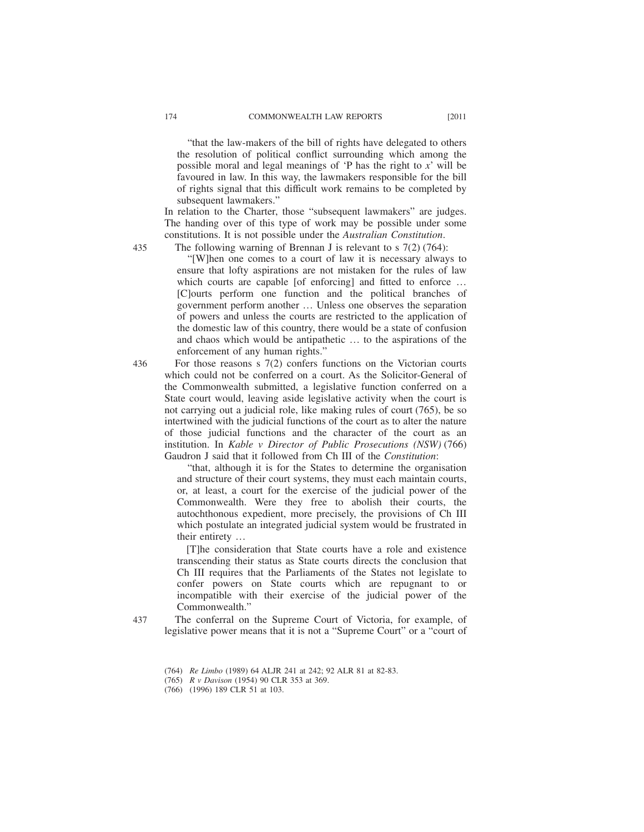"that the law-makers of the bill of rights have delegated to others the resolution of political conflict surrounding which among the possible moral and legal meanings of 'P has the right to *x*' will be favoured in law. In this way, the lawmakers responsible for the bill of rights signal that this difficult work remains to be completed by subsequent lawmakers."

In relation to the Charter, those "subsequent lawmakers" are judges. The handing over of this type of work may be possible under some constitutions. It is not possible under the *Australian Constitution*.

435

436

437

The following warning of Brennan J is relevant to  $\frac{s}{2}(2)$  (764):

"[W]hen one comes to a court of law it is necessary always to ensure that lofty aspirations are not mistaken for the rules of law which courts are capable [of enforcing] and fitted to enforce ... [C]ourts perform one function and the political branches of government perform another … Unless one observes the separation of powers and unless the courts are restricted to the application of the domestic law of this country, there would be a state of confusion and chaos which would be antipathetic … to the aspirations of the enforcement of any human rights."

For those reasons s 7(2) confers functions on the Victorian courts which could not be conferred on a court. As the Solicitor-General of the Commonwealth submitted, a legislative function conferred on a State court would, leaving aside legislative activity when the court is not carrying out a judicial role, like making rules of court (765), be so intertwined with the judicial functions of the court as to alter the nature of those judicial functions and the character of the court as an institution. In *Kable v Director of Public Prosecutions (NSW)* (766) Gaudron J said that it followed from Ch III of the *Constitution*:

"that, although it is for the States to determine the organisation and structure of their court systems, they must each maintain courts, or, at least, a court for the exercise of the judicial power of the Commonwealth. Were they free to abolish their courts, the autochthonous expedient, more precisely, the provisions of Ch III which postulate an integrated judicial system would be frustrated in their entirety …

[T]he consideration that State courts have a role and existence transcending their status as State courts directs the conclusion that Ch III requires that the Parliaments of the States not legislate to confer powers on State courts which are repugnant to or incompatible with their exercise of the judicial power of the Commonwealth."

The conferral on the Supreme Court of Victoria, for example, of legislative power means that it is not a "Supreme Court" or a "court of

<sup>(764)</sup> *Re Limbo* (1989) 64 ALJR 241 at 242; 92 ALR 81 at 82-83.

<sup>(765)</sup> *R v Davison* (1954) 90 CLR 353 at 369.

<sup>(766) (1996) 189</sup> CLR 51 at 103.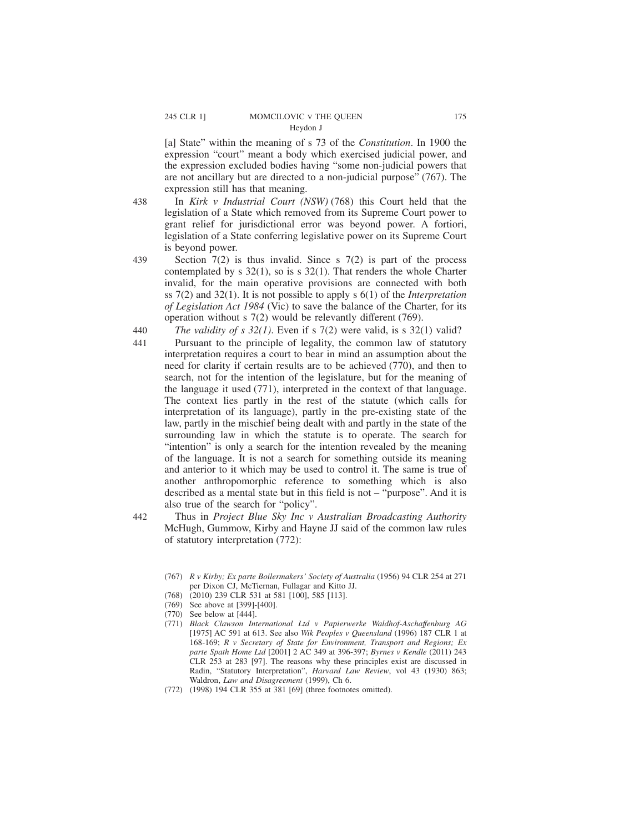442

#### 245 CLR 1] MOMCILOVIC V THE QUEEN 175 Heydon J

[a] State" within the meaning of s 73 of the *Constitution*. In 1900 the expression "court" meant a body which exercised judicial power, and the expression excluded bodies having "some non-judicial powers that are not ancillary but are directed to a non-judicial purpose" (767). The expression still has that meaning.

In *Kirk v Industrial Court (NSW)* (768) this Court held that the legislation of a State which removed from its Supreme Court power to grant relief for jurisdictional error was beyond power. A fortiori, legislation of a State conferring legislative power on its Supreme Court is beyond power.

Section  $7(2)$  is thus invalid. Since s  $7(2)$  is part of the process contemplated by s 32(1), so is s 32(1). That renders the whole Charter invalid, for the main operative provisions are connected with both ss 7(2) and 32(1). It is not possible to apply s 6(1) of the *Interpretation of Legislation Act 1984* (Vic) to save the balance of the Charter, for its operation without s 7(2) would be relevantly different (769). 439

*The validity of s 32(1)*. Even if s 7(2) were valid, is s 32(1) valid? 440

- Pursuant to the principle of legality, the common law of statutory interpretation requires a court to bear in mind an assumption about the need for clarity if certain results are to be achieved (770), and then to search, not for the intention of the legislature, but for the meaning of the language it used (771), interpreted in the context of that language. The context lies partly in the rest of the statute (which calls for interpretation of its language), partly in the pre-existing state of the law, partly in the mischief being dealt with and partly in the state of the surrounding law in which the statute is to operate. The search for "intention" is only a search for the intention revealed by the meaning of the language. It is not a search for something outside its meaning and anterior to it which may be used to control it. The same is true of another anthropomorphic reference to something which is also described as a mental state but in this field is not – "purpose". And it is also true of the search for "policy". 441
	- Thus in *Project Blue Sky Inc v Australian Broadcasting Authority* McHugh, Gummow, Kirby and Hayne JJ said of the common law rules of statutory interpretation (772):
		- (767) *R v Kirby; Ex parte Boilermakers' Society of Australia* (1956) 94 CLR 254 at 271 per Dixon CJ, McTiernan, Fullagar and Kitto JJ.
		- (768) (2010) 239 CLR 531 at 581 [100], 585 [113].
		- (769) See above at [399]-[400].
		- (770) See below at [444].
		- (771) *Black Clawson International Ltd v Papierwerke Waldhof-Aschaffenburg AG* [1975] AC 591 at 613. See also *Wik Peoples v Queensland* (1996) 187 CLR 1 at 168-169; *R v Secretary of State for Environment, Transport and Regions; Ex parte Spath Home Ltd* [2001] 2 AC 349 at 396-397; *Byrnes v Kendle* (2011) 243 CLR 253 at 283 [97]. The reasons why these principles exist are discussed in Radin, "Statutory Interpretation", *Harvard Law Review*, vol 43 (1930) 863; Waldron, *Law and Disagreement* (1999), Ch 6.
		- (772) (1998) 194 CLR 355 at 381 [69] (three footnotes omitted).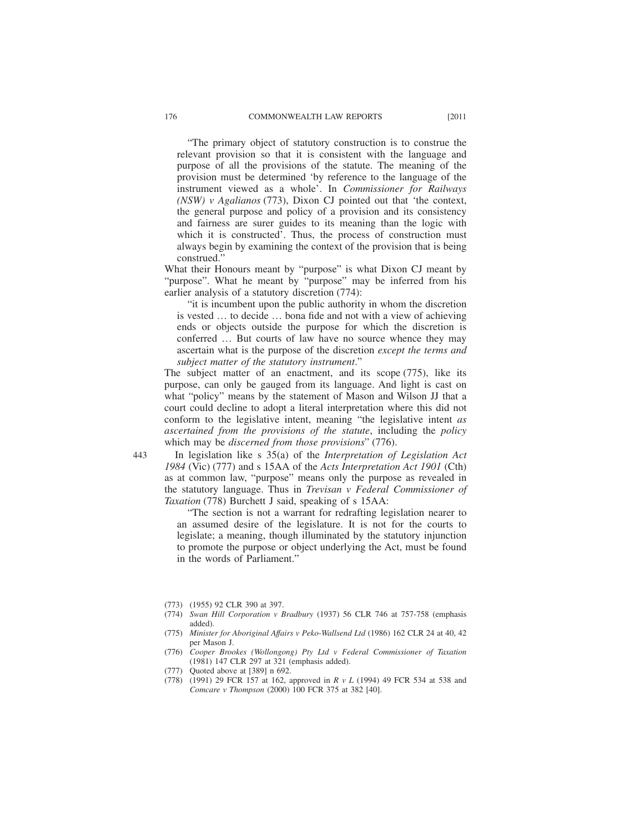"The primary object of statutory construction is to construe the relevant provision so that it is consistent with the language and purpose of all the provisions of the statute. The meaning of the provision must be determined 'by reference to the language of the instrument viewed as a whole'. In *Commissioner for Railways (NSW) v Agalianos* (773), Dixon CJ pointed out that 'the context, the general purpose and policy of a provision and its consistency and fairness are surer guides to its meaning than the logic with which it is constructed'. Thus, the process of construction must always begin by examining the context of the provision that is being construed."

What their Honours meant by "purpose" is what Dixon CJ meant by "purpose". What he meant by "purpose" may be inferred from his earlier analysis of a statutory discretion (774):

"it is incumbent upon the public authority in whom the discretion is vested … to decide … bona fide and not with a view of achieving ends or objects outside the purpose for which the discretion is conferred … But courts of law have no source whence they may ascertain what is the purpose of the discretion *except the terms and subject matter of the statutory instrument*."

The subject matter of an enactment, and its scope (775), like its purpose, can only be gauged from its language. And light is cast on what "policy" means by the statement of Mason and Wilson JJ that a court could decline to adopt a literal interpretation where this did not conform to the legislative intent, meaning "the legislative intent *as ascertained from the provisions of the statute*, including the *policy* which may be *discerned from those provisions*" (776).

443

In legislation like s 35(a) of the *Interpretation of Legislation Act 1984* (Vic) (777) and s 15AA of the *Acts Interpretation Act 1901* (Cth) as at common law, "purpose" means only the purpose as revealed in the statutory language. Thus in *Trevisan v Federal Commissioner of Taxation* (778) Burchett J said, speaking of s 15AA:

"The section is not a warrant for redrafting legislation nearer to an assumed desire of the legislature. It is not for the courts to legislate; a meaning, though illuminated by the statutory injunction to promote the purpose or object underlying the Act, must be found in the words of Parliament."

- (774) *Swan Hill Corporation v Bradbury* (1937) 56 CLR 746 at 757-758 (emphasis added).
- (775) *Minister for Aboriginal Affairs v Peko-Wallsend Ltd* (1986) 162 CLR 24 at 40, 42 per Mason J.
- (776) *Cooper Brookes (Wollongong) Pty Ltd v Federal Commissioner of Taxation* (1981) 147 CLR 297 at 321 (emphasis added).
- (777) Quoted above at [389] n 692.
- (778) (1991) 29 FCR 157 at 162, approved in *R v L* (1994) 49 FCR 534 at 538 and *Comcare v Thompson* (2000) 100 FCR 375 at 382 [40].

<sup>(773) (1955) 92</sup> CLR 390 at 397.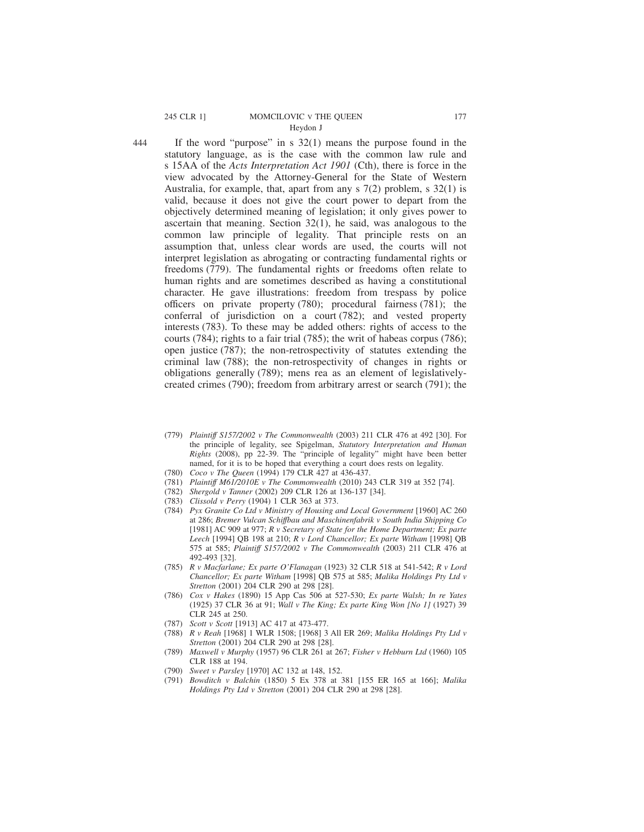#### 245 CLR 1] MOMCILOVIC V THE QUEEN 177 Heydon J

If the word "purpose" in s 32(1) means the purpose found in the statutory language, as is the case with the common law rule and s 15AA of the *Acts Interpretation Act 1901* (Cth), there is force in the view advocated by the Attorney-General for the State of Western Australia, for example, that, apart from any s 7(2) problem, s 32(1) is valid, because it does not give the court power to depart from the objectively determined meaning of legislation; it only gives power to ascertain that meaning. Section 32(1), he said, was analogous to the common law principle of legality. That principle rests on an assumption that, unless clear words are used, the courts will not interpret legislation as abrogating or contracting fundamental rights or freedoms (779). The fundamental rights or freedoms often relate to human rights and are sometimes described as having a constitutional character. He gave illustrations: freedom from trespass by police officers on private property (780); procedural fairness (781); the conferral of jurisdiction on a court (782); and vested property interests (783). To these may be added others: rights of access to the courts (784); rights to a fair trial (785); the writ of habeas corpus (786); open justice (787); the non-retrospectivity of statutes extending the criminal law (788); the non-retrospectivity of changes in rights or obligations generally (789); mens rea as an element of legislativelycreated crimes (790); freedom from arbitrary arrest or search (791); the

- (779) *Plaintiff S157/2002 v The Commonwealth* (2003) 211 CLR 476 at 492 [30]. For the principle of legality, see Spigelman, *Statutory Interpretation and Human Rights* (2008), pp 22-39. The "principle of legality" might have been better named, for it is to be hoped that everything a court does rests on legality.
- (780) *Coco v The Queen* (1994) 179 CLR 427 at 436-437.
- (781) *Plaintiff M61/2010E v The Commonwealth* (2010) 243 CLR 319 at 352 [74].
- (782) *Shergold v Tanner* (2002) 209 CLR 126 at 136-137 [34].
- (783) *Clissold v Perry* (1904) 1 CLR 363 at 373.
- (784) *Pyx Granite Co Ltd v Ministry of Housing and Local Government* [1960] AC 260 at 286; *Bremer Vulcan Schiffbau and Maschinenfabrik v South India Shipping Co* [1981] AC 909 at 977; *R v Secretary of State for the Home Department; Ex parte Leech* [1994] QB 198 at 210; *R v Lord Chancellor; Ex parte Witham* [1998] QB 575 at 585; *Plaintiff S157/2002 v The Commonwealth* (2003) 211 CLR 476 at 492-493 [32].
- (785) *R v Macfarlane; Ex parte O'Flanagan* (1923) 32 CLR 518 at 541-542; *R v Lord Chancellor; Ex parte Witham* [1998] QB 575 at 585; *Malika Holdings Pty Ltd v Stretton* (2001) 204 CLR 290 at 298 [28].
- (786) *Cox v Hakes* (1890) 15 App Cas 506 at 527-530; *Ex parte Walsh; In re Yates* (1925) 37 CLR 36 at 91; *Wall v The King; Ex parte King Won [No 1]* (1927) 39 CLR 245 at 250.
- (787) *Scott v Scott* [1913] AC 417 at 473-477.
- (788) *R v Reah* [1968] 1 WLR 1508; [1968] 3 All ER 269; *Malika Holdings Pty Ltd v Stretton* (2001) 204 CLR 290 at 298 [28].
- (789) *Maxwell v Murphy* (1957) 96 CLR 261 at 267; *Fisher v Hebburn Ltd* (1960) 105 CLR 188 at 194.
- (790) *Sweet v Parsley* [1970] AC 132 at 148, 152.
- (791) *Bowditch v Balchin* (1850) 5 Ex 378 at 381 [155 ER 165 at 166]; *Malika Holdings Pty Ltd v Stretton* (2001) 204 CLR 290 at 298 [28].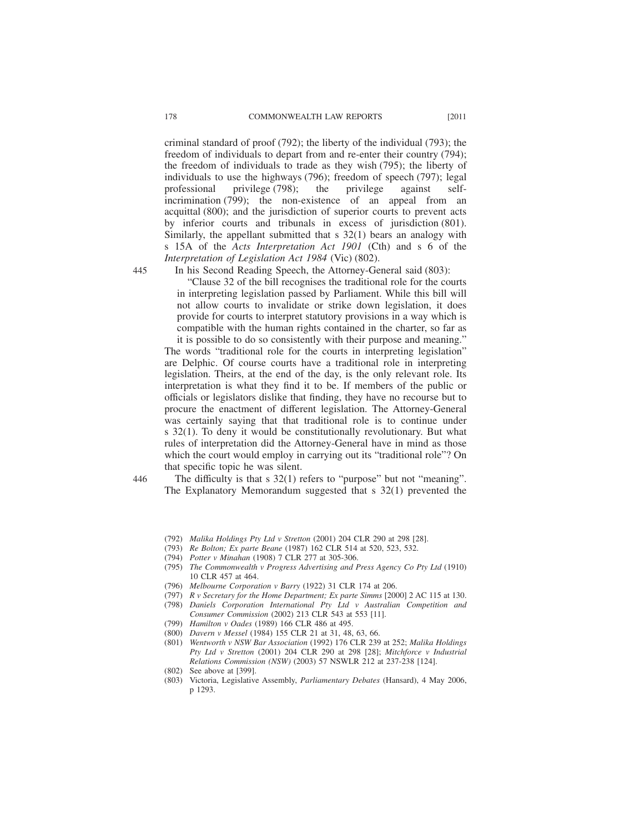criminal standard of proof (792); the liberty of the individual (793); the freedom of individuals to depart from and re-enter their country (794); the freedom of individuals to trade as they wish (795); the liberty of individuals to use the highways (796); freedom of speech (797); legal professional privilege (798); the privilege against selfincrimination (799); the non-existence of an appeal from an acquittal (800); and the jurisdiction of superior courts to prevent acts by inferior courts and tribunals in excess of jurisdiction (801). Similarly, the appellant submitted that s 32(1) bears an analogy with s 15A of the *Acts Interpretation Act 1901* (Cth) and s 6 of the *Interpretation of Legislation Act 1984* (Vic) (802).

445

In his Second Reading Speech, the Attorney-General said (803):

"Clause 32 of the bill recognises the traditional role for the courts in interpreting legislation passed by Parliament. While this bill will not allow courts to invalidate or strike down legislation, it does provide for courts to interpret statutory provisions in a way which is compatible with the human rights contained in the charter, so far as it is possible to do so consistently with their purpose and meaning."

The words "traditional role for the courts in interpreting legislation" are Delphic. Of course courts have a traditional role in interpreting legislation. Theirs, at the end of the day, is the only relevant role. Its interpretation is what they find it to be. If members of the public or officials or legislators dislike that finding, they have no recourse but to procure the enactment of different legislation. The Attorney-General was certainly saying that that traditional role is to continue under s 32(1). To deny it would be constitutionally revolutionary. But what rules of interpretation did the Attorney-General have in mind as those which the court would employ in carrying out its "traditional role"? On that specific topic he was silent.

446

The difficulty is that s 32(1) refers to "purpose" but not "meaning". The Explanatory Memorandum suggested that s 32(1) prevented the

- (792) *Malika Holdings Pty Ltd v Stretton* (2001) 204 CLR 290 at 298 [28].
- (793) *Re Bolton; Ex parte Beane* (1987) 162 CLR 514 at 520, 523, 532.
- (794) *Potter v Minahan* (1908) 7 CLR 277 at 305-306.
- (795) *The Commonwealth v Progress Advertising and Press Agency Co Pty Ltd* (1910) 10 CLR 457 at 464.
- (796) *Melbourne Corporation v Barry* (1922) 31 CLR 174 at 206.
- (797) *R v Secretary for the Home Department; Ex parte Simms* [2000] 2 AC 115 at 130.
- (798) *Daniels Corporation International Pty Ltd v Australian Competition and Consumer Commission* (2002) 213 CLR 543 at 553 [11].
- (799) *Hamilton v Oades* (1989) 166 CLR 486 at 495.
- (800) *Davern v Messel* (1984) 155 CLR 21 at 31, 48, 63, 66.
- (801) *Wentworth v NSW Bar Association* (1992) 176 CLR 239 at 252; *Malika Holdings Pty Ltd v Stretton* (2001) 204 CLR 290 at 298 [28]; *Mitchforce v Industrial Relations Commission (NSW)* (2003) 57 NSWLR 212 at 237-238 [124].
- (802) See above at [399].
- (803) Victoria, Legislative Assembly, *Parliamentary Debates* (Hansard), 4 May 2006, p 1293.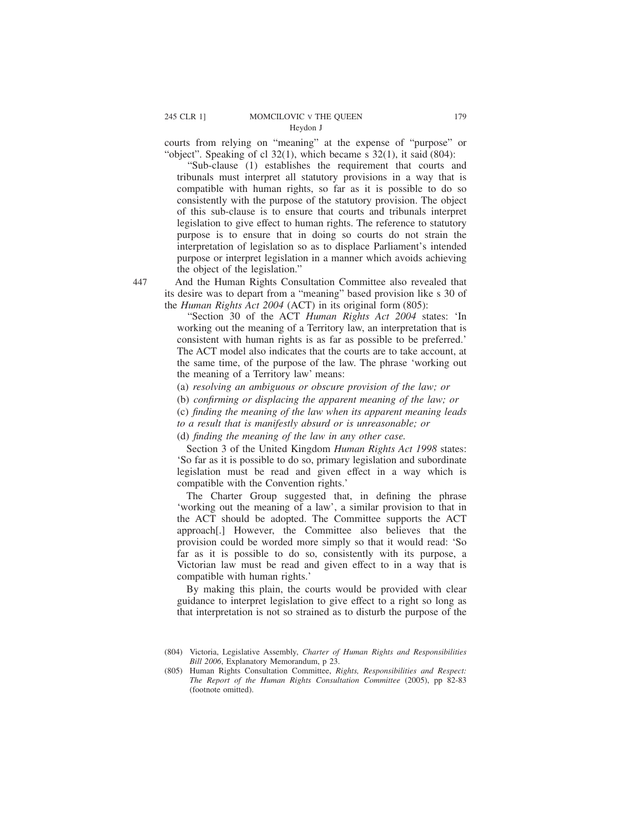courts from relying on "meaning" at the expense of "purpose" or "object". Speaking of cl  $32(1)$ , which became s  $32(1)$ , it said  $(804)$ :

"Sub-clause (1) establishes the requirement that courts and tribunals must interpret all statutory provisions in a way that is compatible with human rights, so far as it is possible to do so consistently with the purpose of the statutory provision. The object of this sub-clause is to ensure that courts and tribunals interpret legislation to give effect to human rights. The reference to statutory purpose is to ensure that in doing so courts do not strain the interpretation of legislation so as to displace Parliament's intended purpose or interpret legislation in a manner which avoids achieving the object of the legislation."

And the Human Rights Consultation Committee also revealed that its desire was to depart from a "meaning" based provision like s 30 of the *Human Rights Act 2004* (ACT) in its original form (805):

"Section 30 of the ACT *Human Rights Act 2004* states: 'In working out the meaning of a Territory law, an interpretation that is consistent with human rights is as far as possible to be preferred.' The ACT model also indicates that the courts are to take account, at the same time, of the purpose of the law. The phrase 'working out the meaning of a Territory law' means:

(a) *resolving an ambiguous or obscure provision of the law; or*

(b) *confirming or displacing the apparent meaning of the law; or*

(c) *finding the meaning of the law when its apparent meaning leads*

*to a result that is manifestly absurd or is unreasonable; or*

(d) *finding the meaning of the law in any other case.*

Section 3 of the United Kingdom *Human Rights Act 1998* states: 'So far as it is possible to do so, primary legislation and subordinate legislation must be read and given effect in a way which is compatible with the Convention rights.'

The Charter Group suggested that, in defining the phrase 'working out the meaning of a law', a similar provision to that in the ACT should be adopted. The Committee supports the ACT approach[.] However, the Committee also believes that the provision could be worded more simply so that it would read: 'So far as it is possible to do so, consistently with its purpose, a Victorian law must be read and given effect to in a way that is compatible with human rights.'

By making this plain, the courts would be provided with clear guidance to interpret legislation to give effect to a right so long as that interpretation is not so strained as to disturb the purpose of the

<sup>(804)</sup> Victoria, Legislative Assembly, *Charter of Human Rights and Responsibilities Bill 2006*, Explanatory Memorandum, p 23.

<sup>(805)</sup> Human Rights Consultation Committee, *Rights, Responsibilities and Respect: The Report of the Human Rights Consultation Committee* (2005), pp 82-83 (footnote omitted).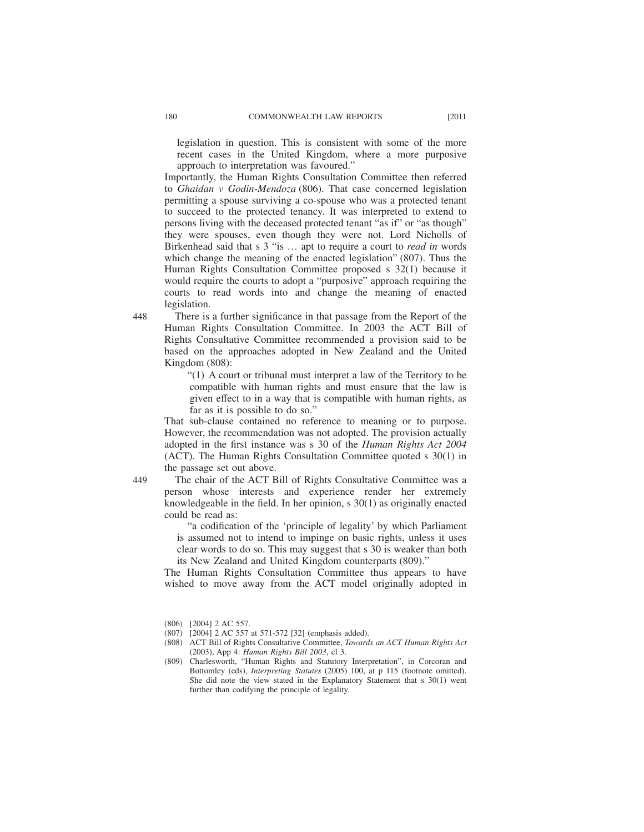legislation in question. This is consistent with some of the more recent cases in the United Kingdom, where a more purposive approach to interpretation was favoured."

Importantly, the Human Rights Consultation Committee then referred to *Ghaidan v Godin-Mendoza* (806). That case concerned legislation permitting a spouse surviving a co-spouse who was a protected tenant to succeed to the protected tenancy. It was interpreted to extend to persons living with the deceased protected tenant "as if" or "as though" they were spouses, even though they were not. Lord Nicholls of Birkenhead said that s 3 "is … apt to require a court to *read in* words which change the meaning of the enacted legislation" (807). Thus the Human Rights Consultation Committee proposed s 32(1) because it would require the courts to adopt a "purposive" approach requiring the courts to read words into and change the meaning of enacted legislation.

There is a further significance in that passage from the Report of the Human Rights Consultation Committee. In 2003 the ACT Bill of Rights Consultative Committee recommended a provision said to be based on the approaches adopted in New Zealand and the United Kingdom (808):

"(1) A court or tribunal must interpret a law of the Territory to be compatible with human rights and must ensure that the law is given effect to in a way that is compatible with human rights, as far as it is possible to do so."

That sub-clause contained no reference to meaning or to purpose. However, the recommendation was not adopted. The provision actually adopted in the first instance was s 30 of the *Human Rights Act 2004* (ACT). The Human Rights Consultation Committee quoted s 30(1) in the passage set out above.

The chair of the ACT Bill of Rights Consultative Committee was a person whose interests and experience render her extremely knowledgeable in the field. In her opinion, s 30(1) as originally enacted could be read as:

"a codification of the 'principle of legality' by which Parliament is assumed not to intend to impinge on basic rights, unless it uses clear words to do so. This may suggest that s 30 is weaker than both its New Zealand and United Kingdom counterparts (809)."

The Human Rights Consultation Committee thus appears to have wished to move away from the ACT model originally adopted in

(808) ACT Bill of Rights Consultative Committee, *Towards an ACT Human Rights Act* (2003), App 4: *Human Rights Bill 2003*, cl 3.

448

<sup>(806) [2004] 2</sup> AC 557.

<sup>(807) [2004] 2</sup> AC 557 at 571-572 [32] (emphasis added).

<sup>(809)</sup> Charlesworth, "Human Rights and Statutory Interpretation", in Corcoran and Bottomley (eds), *Interpreting Statutes* (2005) 100, at p 115 (footnote omitted). She did note the view stated in the Explanatory Statement that s 30(1) went further than codifying the principle of legality.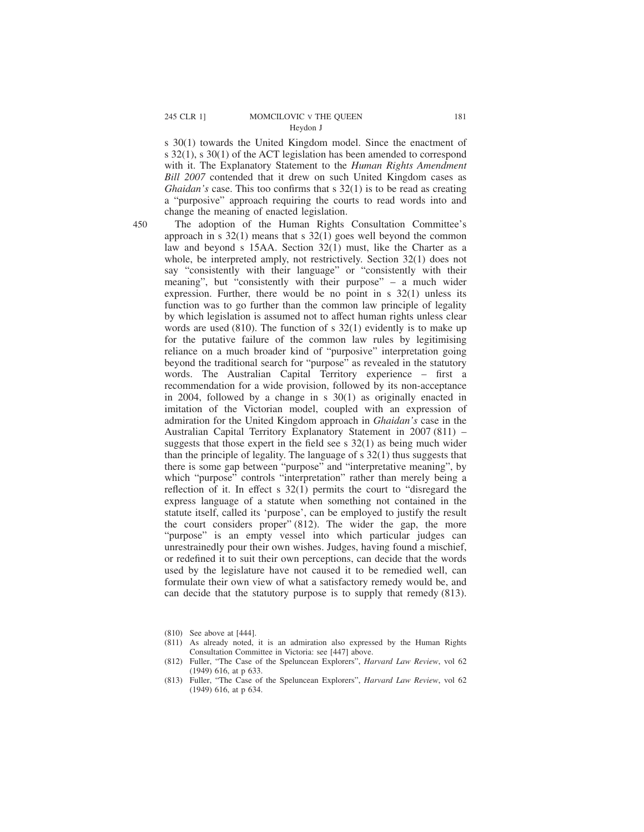## 245 CLR 1] MOMCILOVIC V THE QUEEN 181 Heydon J

s 30(1) towards the United Kingdom model. Since the enactment of s 32(1), s 30(1) of the ACT legislation has been amended to correspond with it. The Explanatory Statement to the *Human Rights Amendment Bill 2007* contended that it drew on such United Kingdom cases as *Ghaidan's* case. This too confirms that s 32(1) is to be read as creating a "purposive" approach requiring the courts to read words into and change the meaning of enacted legislation.

450

The adoption of the Human Rights Consultation Committee's approach in s 32(1) means that s 32(1) goes well beyond the common law and beyond s 15AA. Section 32(1) must, like the Charter as a whole, be interpreted amply, not restrictively. Section 32(1) does not say "consistently with their language" or "consistently with their meaning", but "consistently with their purpose" – a much wider expression. Further, there would be no point in s 32(1) unless its function was to go further than the common law principle of legality by which legislation is assumed not to affect human rights unless clear words are used (810). The function of s 32(1) evidently is to make up for the putative failure of the common law rules by legitimising reliance on a much broader kind of "purposive" interpretation going beyond the traditional search for "purpose" as revealed in the statutory words. The Australian Capital Territory experience – first a recommendation for a wide provision, followed by its non-acceptance in 2004, followed by a change in s 30(1) as originally enacted in imitation of the Victorian model, coupled with an expression of admiration for the United Kingdom approach in *Ghaidan's* case in the Australian Capital Territory Explanatory Statement in 2007 (811) – suggests that those expert in the field see s 32(1) as being much wider than the principle of legality. The language of s 32(1) thus suggests that there is some gap between "purpose" and "interpretative meaning", by which "purpose" controls "interpretation" rather than merely being a reflection of it. In effect s 32(1) permits the court to "disregard the express language of a statute when something not contained in the statute itself, called its 'purpose', can be employed to justify the result the court considers proper" (812). The wider the gap, the more "purpose" is an empty vessel into which particular judges can unrestrainedly pour their own wishes. Judges, having found a mischief, or redefined it to suit their own perceptions, can decide that the words used by the legislature have not caused it to be remedied well, can formulate their own view of what a satisfactory remedy would be, and can decide that the statutory purpose is to supply that remedy (813).

- (811) As already noted, it is an admiration also expressed by the Human Rights Consultation Committee in Victoria: see [447] above.
- (812) Fuller, "The Case of the Speluncean Explorers", *Harvard Law Review*, vol 62 (1949) 616, at p 633.
- (813) Fuller, "The Case of the Speluncean Explorers", *Harvard Law Review*, vol 62 (1949) 616, at p 634.

<sup>(810)</sup> See above at [444].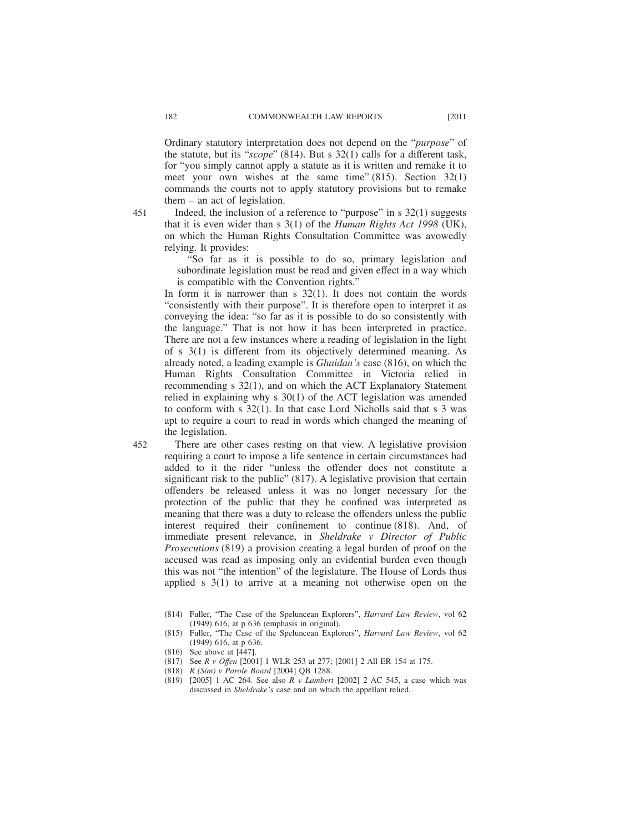Ordinary statutory interpretation does not depend on the "*purpose*" of the statute, but its "*scope*" (814). But s 32(1) calls for a different task, for "you simply cannot apply a statute as it is written and remake it to meet your own wishes at the same time" (815). Section 32(1) commands the courts not to apply statutory provisions but to remake them – an act of legislation.

451

452

Indeed, the inclusion of a reference to "purpose" in s 32(1) suggests that it is even wider than s 3(1) of the *Human Rights Act 1998* (UK), on which the Human Rights Consultation Committee was avowedly relying. It provides:

"So far as it is possible to do so, primary legislation and subordinate legislation must be read and given effect in a way which is compatible with the Convention rights."

In form it is narrower than  $s$  32(1). It does not contain the words "consistently with their purpose". It is therefore open to interpret it as conveying the idea: "so far as it is possible to do so consistently with the language." That is not how it has been interpreted in practice. There are not a few instances where a reading of legislation in the light of s 3(1) is different from its objectively determined meaning. As already noted, a leading example is *Ghaidan's* case (816), on which the Human Rights Consultation Committee in Victoria relied in recommending s 32(1), and on which the ACT Explanatory Statement relied in explaining why s 30(1) of the ACT legislation was amended to conform with s 32(1). In that case Lord Nicholls said that s 3 was apt to require a court to read in words which changed the meaning of the legislation.

There are other cases resting on that view. A legislative provision requiring a court to impose a life sentence in certain circumstances had added to it the rider "unless the offender does not constitute a significant risk to the public" (817). A legislative provision that certain offenders be released unless it was no longer necessary for the protection of the public that they be confined was interpreted as meaning that there was a duty to release the offenders unless the public interest required their confinement to continue (818). And, of immediate present relevance, in *Sheldrake v Director of Public Prosecutions* (819) a provision creating a legal burden of proof on the accused was read as imposing only an evidential burden even though this was not "the intention" of the legislature. The House of Lords thus applied s 3(1) to arrive at a meaning not otherwise open on the

<sup>(814)</sup> Fuller, "The Case of the Speluncean Explorers", *Harvard Law Review*, vol 62 (1949) 616, at p 636 (emphasis in original).

<sup>(815)</sup> Fuller, "The Case of the Speluncean Explorers", *Harvard Law Review*, vol 62 (1949) 616, at p 636.

<sup>(816)</sup> See above at [447].

<sup>(817)</sup> See *R v Offen* [2001] 1 WLR 253 at 277; [2001] 2 All ER 154 at 175.

<sup>(818)</sup> *R (Sim) v Parole Board* [2004] QB 1288.

<sup>(819) [2005] 1</sup> AC 264. See also *R v Lambert* [2002] 2 AC 545, a case which was discussed in *Sheldrake's* case and on which the appellant relied.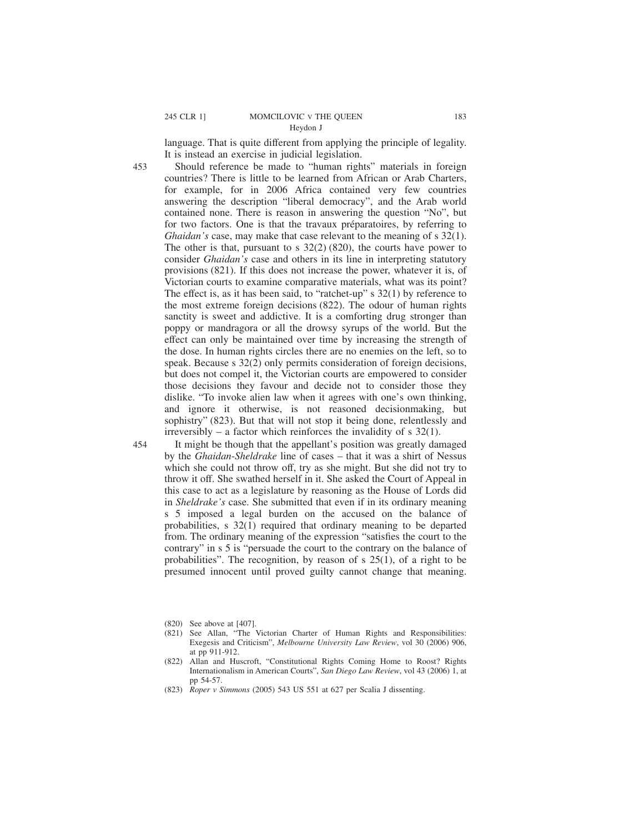## 245 CLR 1] MOMCILOVIC V THE QUEEN 183 Heydon J

language. That is quite different from applying the principle of legality. It is instead an exercise in judicial legislation.

Should reference be made to "human rights" materials in foreign countries? There is little to be learned from African or Arab Charters, for example, for in 2006 Africa contained very few countries answering the description "liberal democracy", and the Arab world contained none. There is reason in answering the question "No", but for two factors. One is that the travaux préparatoires, by referring to *Ghaidan's* case, may make that case relevant to the meaning of s 32(1). The other is that, pursuant to s  $32(2)$  (820), the courts have power to consider *Ghaidan's* case and others in its line in interpreting statutory provisions (821). If this does not increase the power, whatever it is, of Victorian courts to examine comparative materials, what was its point? The effect is, as it has been said, to "ratchet-up" s 32(1) by reference to the most extreme foreign decisions (822). The odour of human rights sanctity is sweet and addictive. It is a comforting drug stronger than poppy or mandragora or all the drowsy syrups of the world. But the effect can only be maintained over time by increasing the strength of the dose. In human rights circles there are no enemies on the left, so to speak. Because s 32(2) only permits consideration of foreign decisions, but does not compel it, the Victorian courts are empowered to consider those decisions they favour and decide not to consider those they dislike. "To invoke alien law when it agrees with one's own thinking, and ignore it otherwise, is not reasoned decisionmaking, but sophistry" (823). But that will not stop it being done, relentlessly and irreversibly – a factor which reinforces the invalidity of  $s$  32(1).

454

453

It might be though that the appellant's position was greatly damaged by the *Ghaidan*-*Sheldrake* line of cases – that it was a shirt of Nessus which she could not throw off, try as she might. But she did not try to throw it off. She swathed herself in it. She asked the Court of Appeal in this case to act as a legislature by reasoning as the House of Lords did in *Sheldrake's* case. She submitted that even if in its ordinary meaning s 5 imposed a legal burden on the accused on the balance of probabilities, s 32(1) required that ordinary meaning to be departed from. The ordinary meaning of the expression "satisfies the court to the contrary" in s 5 is "persuade the court to the contrary on the balance of probabilities". The recognition, by reason of s 25(1), of a right to be presumed innocent until proved guilty cannot change that meaning.

- (821) See Allan, "The Victorian Charter of Human Rights and Responsibilities: Exegesis and Criticism", *Melbourne University Law Review*, vol 30 (2006) 906, at pp 911-912.
- (822) Allan and Huscroft, "Constitutional Rights Coming Home to Roost? Rights Internationalism in American Courts", *San Diego Law Review*, vol 43 (2006) 1, at pp 54-57.
- (823) *Roper v Simmons* (2005) 543 US 551 at 627 per Scalia J dissenting.

<sup>(820)</sup> See above at [407].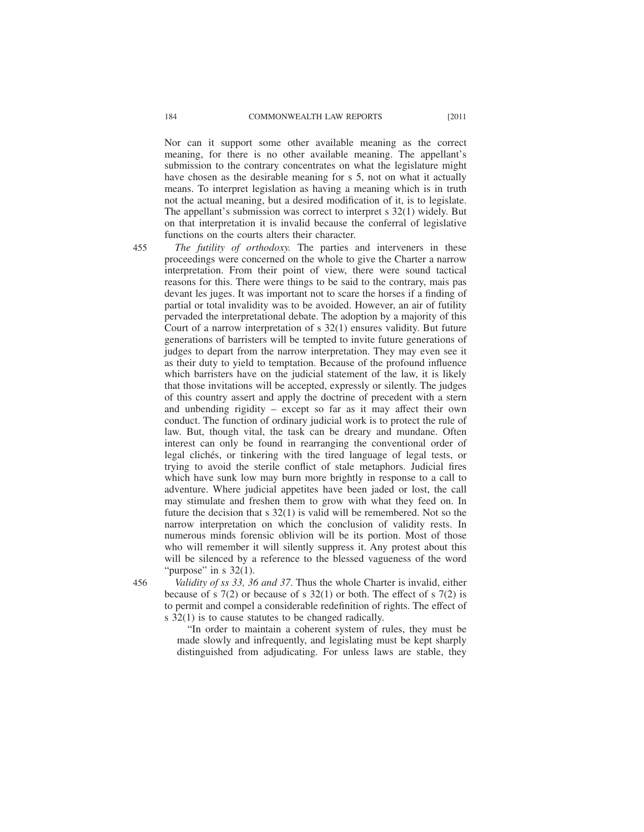Nor can it support some other available meaning as the correct meaning, for there is no other available meaning. The appellant's submission to the contrary concentrates on what the legislature might have chosen as the desirable meaning for s 5, not on what it actually means. To interpret legislation as having a meaning which is in truth not the actual meaning, but a desired modification of it, is to legislate. The appellant's submission was correct to interpret s 32(1) widely. But on that interpretation it is invalid because the conferral of legislative functions on the courts alters their character.

455

*The futility of orthodoxy.* The parties and interveners in these proceedings were concerned on the whole to give the Charter a narrow interpretation. From their point of view, there were sound tactical reasons for this. There were things to be said to the contrary, mais pas devant les juges. It was important not to scare the horses if a finding of partial or total invalidity was to be avoided. However, an air of futility pervaded the interpretational debate. The adoption by a majority of this Court of a narrow interpretation of s 32(1) ensures validity. But future generations of barristers will be tempted to invite future generations of judges to depart from the narrow interpretation. They may even see it as their duty to yield to temptation. Because of the profound influence which barristers have on the judicial statement of the law, it is likely that those invitations will be accepted, expressly or silently. The judges of this country assert and apply the doctrine of precedent with a stern and unbending rigidity – except so far as it may affect their own conduct. The function of ordinary judicial work is to protect the rule of law. But, though vital, the task can be dreary and mundane. Often interest can only be found in rearranging the conventional order of legal clichés, or tinkering with the tired language of legal tests, or trying to avoid the sterile conflict of stale metaphors. Judicial fires which have sunk low may burn more brightly in response to a call to adventure. Where judicial appetites have been jaded or lost, the call may stimulate and freshen them to grow with what they feed on. In future the decision that s 32(1) is valid will be remembered. Not so the narrow interpretation on which the conclusion of validity rests. In numerous minds forensic oblivion will be its portion. Most of those who will remember it will silently suppress it. Any protest about this will be silenced by a reference to the blessed vagueness of the word "purpose" in  $s$  32(1).

456

*Validity of ss 33, 36 and 37*. Thus the whole Charter is invalid, either because of s  $7(2)$  or because of s  $32(1)$  or both. The effect of s  $7(2)$  is to permit and compel a considerable redefinition of rights. The effect of s 32(1) is to cause statutes to be changed radically.

"In order to maintain a coherent system of rules, they must be made slowly and infrequently, and legislating must be kept sharply distinguished from adjudicating. For unless laws are stable, they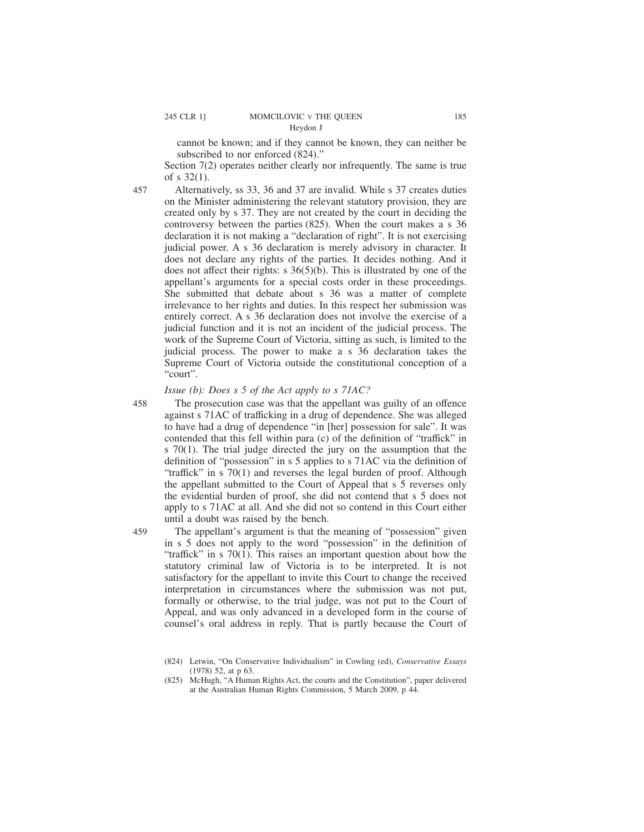## 245 CLR 1] MOMCILOVIC V THE QUEEN 185 Heydon J

cannot be known; and if they cannot be known, they can neither be subscribed to nor enforced  $(824)$ ."

Section 7(2) operates neither clearly nor infrequently. The same is true of s 32(1).

Alternatively, ss 33, 36 and 37 are invalid. While s 37 creates duties on the Minister administering the relevant statutory provision, they are created only by s 37. They are not created by the court in deciding the controversy between the parties (825). When the court makes a s 36 declaration it is not making a "declaration of right". It is not exercising judicial power. A s 36 declaration is merely advisory in character. It does not declare any rights of the parties. It decides nothing. And it does not affect their rights: s 36(5)(b). This is illustrated by one of the appellant's arguments for a special costs order in these proceedings. She submitted that debate about s 36 was a matter of complete irrelevance to her rights and duties. In this respect her submission was entirely correct. A s 36 declaration does not involve the exercise of a judicial function and it is not an incident of the judicial process. The work of the Supreme Court of Victoria, sitting as such, is limited to the judicial process. The power to make a s 36 declaration takes the Supreme Court of Victoria outside the constitutional conception of a "court".

#### *Issue (b): Does s 5 of the Act apply to s 71AC?*

The prosecution case was that the appellant was guilty of an offence against s 71AC of trafficking in a drug of dependence. She was alleged to have had a drug of dependence "in [her] possession for sale". It was contended that this fell within para (c) of the definition of "traffick" in s 70(1). The trial judge directed the jury on the assumption that the definition of "possession" in s 5 applies to s 71AC via the definition of "traffick" in s 70(1) and reverses the legal burden of proof. Although the appellant submitted to the Court of Appeal that s 5 reverses only the evidential burden of proof, she did not contend that s 5 does not apply to s 71AC at all. And she did not so contend in this Court either until a doubt was raised by the bench.

The appellant's argument is that the meaning of "possession" given in s 5 does not apply to the word "possession" in the definition of "traffick" in s 70(1). This raises an important question about how the statutory criminal law of Victoria is to be interpreted. It is not satisfactory for the appellant to invite this Court to change the received interpretation in circumstances where the submission was not put, formally or otherwise, to the trial judge, was not put to the Court of Appeal, and was only advanced in a developed form in the course of counsel's oral address in reply. That is partly because the Court of

457

458

<sup>(824)</sup> Letwin, "On Conservative Individualism" in Cowling (ed), *Conservative Essays* (1978) 52, at p 63.

<sup>(825)</sup> McHugh, "A Human Rights Act, the courts and the Constitution", paper delivered at the Australian Human Rights Commission, 5 March 2009, p 44.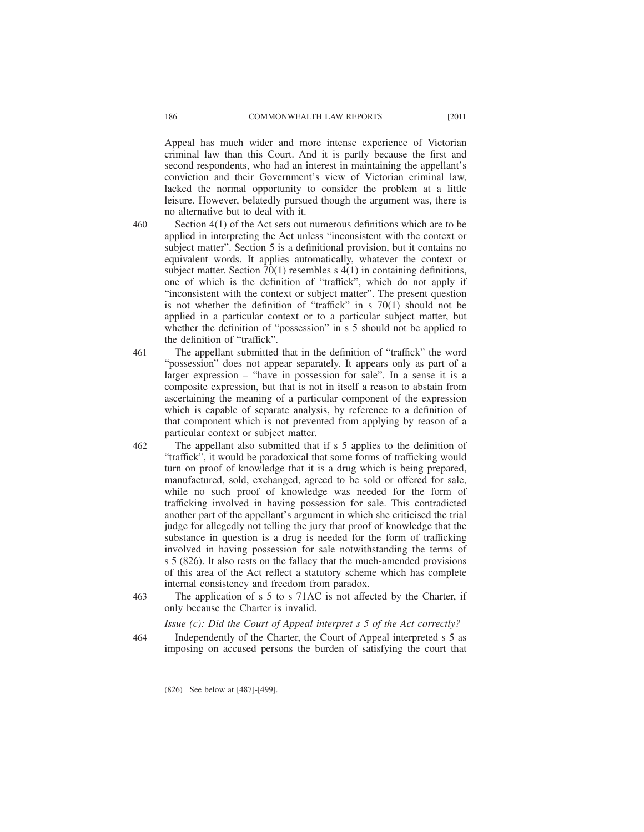Appeal has much wider and more intense experience of Victorian criminal law than this Court. And it is partly because the first and second respondents, who had an interest in maintaining the appellant's conviction and their Government's view of Victorian criminal law, lacked the normal opportunity to consider the problem at a little leisure. However, belatedly pursued though the argument was, there is no alternative but to deal with it.

460

Section 4(1) of the Act sets out numerous definitions which are to be applied in interpreting the Act unless "inconsistent with the context or subject matter". Section 5 is a definitional provision, but it contains no equivalent words. It applies automatically, whatever the context or subject matter. Section 70(1) resembles s 4(1) in containing definitions, one of which is the definition of "traffick", which do not apply if "inconsistent with the context or subject matter". The present question is not whether the definition of "traffick" in s 70(1) should not be applied in a particular context or to a particular subject matter, but whether the definition of "possession" in s 5 should not be applied to the definition of "traffick".

- The appellant submitted that in the definition of "traffick" the word "possession" does not appear separately. It appears only as part of a larger expression – "have in possession for sale". In a sense it is a composite expression, but that is not in itself a reason to abstain from ascertaining the meaning of a particular component of the expression which is capable of separate analysis, by reference to a definition of that component which is not prevented from applying by reason of a particular context or subject matter. 461
- The appellant also submitted that if s 5 applies to the definition of "traffick", it would be paradoxical that some forms of trafficking would turn on proof of knowledge that it is a drug which is being prepared, manufactured, sold, exchanged, agreed to be sold or offered for sale, while no such proof of knowledge was needed for the form of trafficking involved in having possession for sale. This contradicted another part of the appellant's argument in which she criticised the trial judge for allegedly not telling the jury that proof of knowledge that the substance in question is a drug is needed for the form of trafficking involved in having possession for sale notwithstanding the terms of s 5 (826). It also rests on the fallacy that the much-amended provisions of this area of the Act reflect a statutory scheme which has complete internal consistency and freedom from paradox. 462
- The application of s 5 to s 71AC is not affected by the Charter, if only because the Charter is invalid. 463

# *Issue (c): Did the Court of Appeal interpret s 5 of the Act correctly?*

464

Independently of the Charter, the Court of Appeal interpreted s 5 as imposing on accused persons the burden of satisfying the court that

(826) See below at [487]-[499].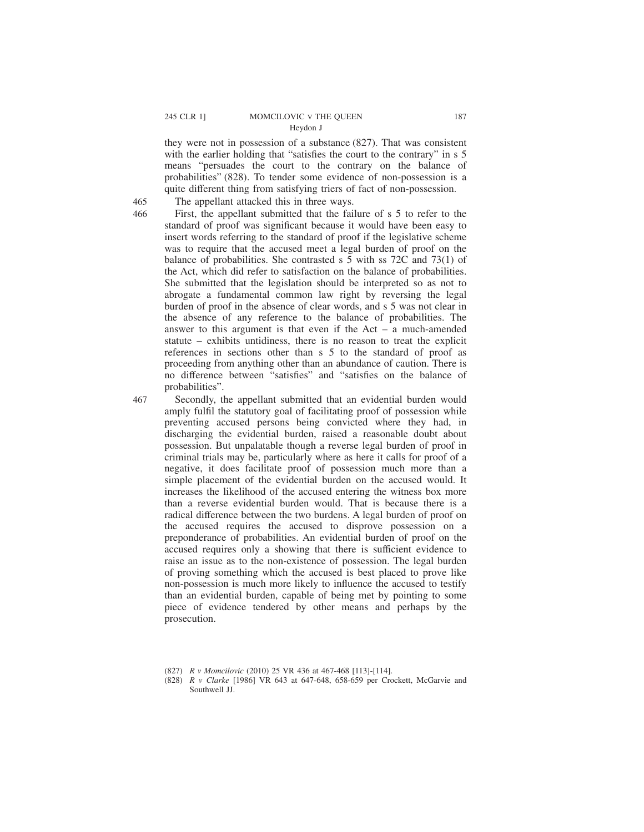## 245 CLR 1] MOMCILOVIC V THE QUEEN 187 Heydon J

they were not in possession of a substance (827). That was consistent with the earlier holding that "satisfies the court to the contrary" in s 5 means "persuades the court to the contrary on the balance of probabilities" (828). To tender some evidence of non-possession is a quite different thing from satisfying triers of fact of non-possession.

465 466 The appellant attacked this in three ways.

First, the appellant submitted that the failure of s 5 to refer to the standard of proof was significant because it would have been easy to insert words referring to the standard of proof if the legislative scheme was to require that the accused meet a legal burden of proof on the balance of probabilities. She contrasted s 5 with ss 72C and 73(1) of the Act, which did refer to satisfaction on the balance of probabilities. She submitted that the legislation should be interpreted so as not to abrogate a fundamental common law right by reversing the legal burden of proof in the absence of clear words, and s 5 was not clear in the absence of any reference to the balance of probabilities. The answer to this argument is that even if the  $Act - a$  much-amended statute – exhibits untidiness, there is no reason to treat the explicit references in sections other than s 5 to the standard of proof as proceeding from anything other than an abundance of caution. There is no difference between "satisfies" and "satisfies on the balance of probabilities".

467

Secondly, the appellant submitted that an evidential burden would amply fulfil the statutory goal of facilitating proof of possession while preventing accused persons being convicted where they had, in discharging the evidential burden, raised a reasonable doubt about possession. But unpalatable though a reverse legal burden of proof in criminal trials may be, particularly where as here it calls for proof of a negative, it does facilitate proof of possession much more than a simple placement of the evidential burden on the accused would. It increases the likelihood of the accused entering the witness box more than a reverse evidential burden would. That is because there is a radical difference between the two burdens. A legal burden of proof on the accused requires the accused to disprove possession on a preponderance of probabilities. An evidential burden of proof on the accused requires only a showing that there is sufficient evidence to raise an issue as to the non-existence of possession. The legal burden of proving something which the accused is best placed to prove like non-possession is much more likely to influence the accused to testify than an evidential burden, capable of being met by pointing to some piece of evidence tendered by other means and perhaps by the prosecution.

(827) *R v Momcilovic* (2010) 25 VR 436 at 467-468 [113]-[114].

<sup>(828)</sup> *R v Clarke* [1986] VR 643 at 647-648, 658-659 per Crockett, McGarvie and Southwell JJ.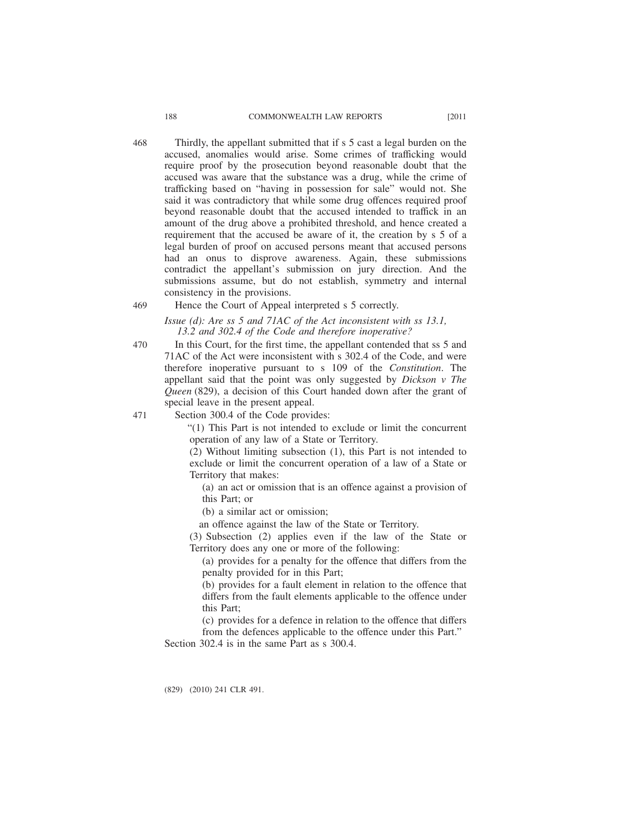#### 188 COMMONWEALTH LAW REPORTS [2011]

- Thirdly, the appellant submitted that if s 5 cast a legal burden on the accused, anomalies would arise. Some crimes of trafficking would require proof by the prosecution beyond reasonable doubt that the accused was aware that the substance was a drug, while the crime of trafficking based on "having in possession for sale" would not. She said it was contradictory that while some drug offences required proof beyond reasonable doubt that the accused intended to traffick in an amount of the drug above a prohibited threshold, and hence created a requirement that the accused be aware of it, the creation by s 5 of a legal burden of proof on accused persons meant that accused persons had an onus to disprove awareness. Again, these submissions contradict the appellant's submission on jury direction. And the submissions assume, but do not establish, symmetry and internal consistency in the provisions.
- Hence the Court of Appeal interpreted s 5 correctly. 469

*Issue (d): Are ss 5 and 71AC of the Act inconsistent with ss 13.1, 13.2 and 302.4 of the Code and therefore inoperative?*

In this Court, for the first time, the appellant contended that ss 5 and 71AC of the Act were inconsistent with s 302.4 of the Code, and were therefore inoperative pursuant to s 109 of the *Constitution*. The appellant said that the point was only suggested by *Dickson v The Queen* (829), a decision of this Court handed down after the grant of special leave in the present appeal. 470

#### Section 300.4 of the Code provides: 471

"(1) This Part is not intended to exclude or limit the concurrent operation of any law of a State or Territory.

(2) Without limiting subsection (1), this Part is not intended to exclude or limit the concurrent operation of a law of a State or Territory that makes:

(a) an act or omission that is an offence against a provision of this Part; or

(b) a similar act or omission;

an offence against the law of the State or Territory.

(3) Subsection (2) applies even if the law of the State or Territory does any one or more of the following:

(a) provides for a penalty for the offence that differs from the penalty provided for in this Part;

(b) provides for a fault element in relation to the offence that differs from the fault elements applicable to the offence under this Part;

(c) provides for a defence in relation to the offence that differs from the defences applicable to the offence under this Part."

Section 302.4 is in the same Part as s 300.4.

(829) (2010) 241 CLR 491.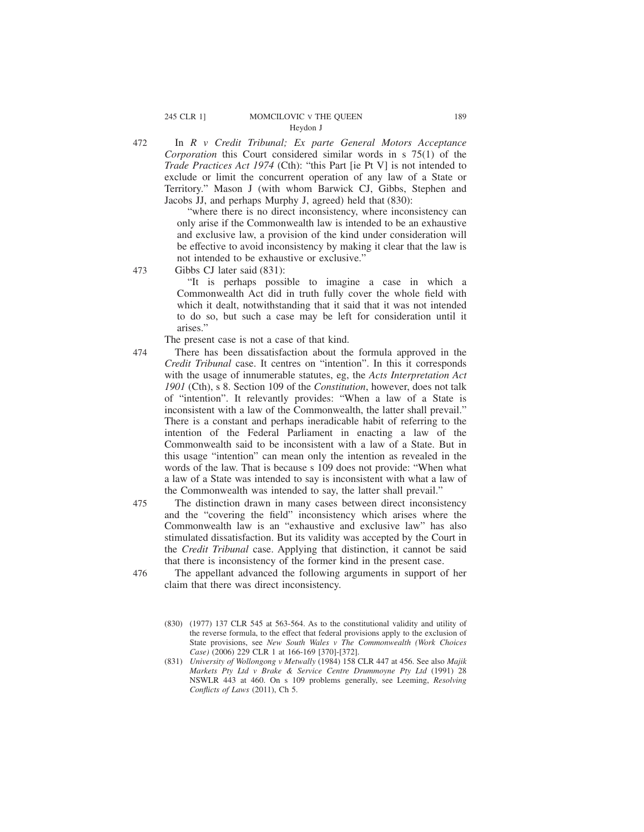In *R v Credit Tribunal; Ex parte General Motors Acceptance Corporation* this Court considered similar words in s 75(1) of the *Trade Practices Act 1974* (Cth): "this Part [ie Pt V] is not intended to exclude or limit the concurrent operation of any law of a State or Territory." Mason J (with whom Barwick CJ, Gibbs, Stephen and Jacobs JJ, and perhaps Murphy J, agreed) held that (830): 472

> "where there is no direct inconsistency, where inconsistency can only arise if the Commonwealth law is intended to be an exhaustive and exclusive law, a provision of the kind under consideration will be effective to avoid inconsistency by making it clear that the law is not intended to be exhaustive or exclusive."

Gibbs CJ later said (831): 473

> "It is perhaps possible to imagine a case in which a Commonwealth Act did in truth fully cover the whole field with which it dealt, notwithstanding that it said that it was not intended to do so, but such a case may be left for consideration until it arises."

The present case is not a case of that kind.

- There has been dissatisfaction about the formula approved in the *Credit Tribunal* case. It centres on "intention". In this it corresponds with the usage of innumerable statutes, eg, the *Acts Interpretation Act 1901* (Cth), s 8. Section 109 of the *Constitution*, however, does not talk of "intention". It relevantly provides: "When a law of a State is inconsistent with a law of the Commonwealth, the latter shall prevail." There is a constant and perhaps ineradicable habit of referring to the intention of the Federal Parliament in enacting a law of the Commonwealth said to be inconsistent with a law of a State. But in this usage "intention" can mean only the intention as revealed in the words of the law. That is because s 109 does not provide: "When what a law of a State was intended to say is inconsistent with what a law of the Commonwealth was intended to say, the latter shall prevail." 474
- The distinction drawn in many cases between direct inconsistency and the "covering the field" inconsistency which arises where the Commonwealth law is an "exhaustive and exclusive law" has also stimulated dissatisfaction. But its validity was accepted by the Court in the *Credit Tribunal* case. Applying that distinction, it cannot be said that there is inconsistency of the former kind in the present case. 475
- 476

The appellant advanced the following arguments in support of her claim that there was direct inconsistency.

<sup>(830) (1977) 137</sup> CLR 545 at 563-564. As to the constitutional validity and utility of the reverse formula, to the effect that federal provisions apply to the exclusion of State provisions, see *New South Wales v The Commonwealth (Work Choices Case)* (2006) 229 CLR 1 at 166-169 [370]-[372].

<sup>(831)</sup> *University of Wollongong v Metwally* (1984) 158 CLR 447 at 456. See also *Majik Markets Pty Ltd v Brake & Service Centre Drummoyne Pty Ltd* (1991) 28 NSWLR 443 at 460. On s 109 problems generally, see Leeming, *Resolving Conflicts of Laws* (2011), Ch 5.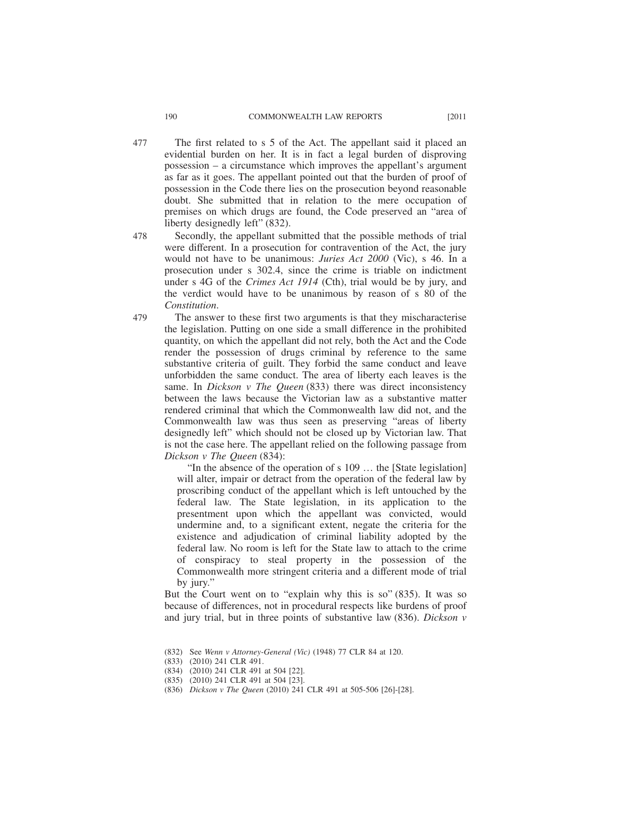- The first related to s 5 of the Act. The appellant said it placed an evidential burden on her. It is in fact a legal burden of disproving possession – a circumstance which improves the appellant's argument as far as it goes. The appellant pointed out that the burden of proof of possession in the Code there lies on the prosecution beyond reasonable doubt. She submitted that in relation to the mere occupation of premises on which drugs are found, the Code preserved an "area of liberty designedly left" (832). 477
- Secondly, the appellant submitted that the possible methods of trial were different. In a prosecution for contravention of the Act, the jury would not have to be unanimous: *Juries Act 2000* (Vic), s 46. In a prosecution under s 302.4, since the crime is triable on indictment under s 4G of the *Crimes Act 1914* (Cth), trial would be by jury, and the verdict would have to be unanimous by reason of s 80 of the *Constitution*. 478
	- The answer to these first two arguments is that they mischaracterise the legislation. Putting on one side a small difference in the prohibited quantity, on which the appellant did not rely, both the Act and the Code render the possession of drugs criminal by reference to the same substantive criteria of guilt. They forbid the same conduct and leave unforbidden the same conduct. The area of liberty each leaves is the same. In *Dickson v The Queen* (833) there was direct inconsistency between the laws because the Victorian law as a substantive matter rendered criminal that which the Commonwealth law did not, and the Commonwealth law was thus seen as preserving "areas of liberty designedly left" which should not be closed up by Victorian law. That is not the case here. The appellant relied on the following passage from *Dickson v The Queen* (834):

"In the absence of the operation of s 109 … the [State legislation] will alter, impair or detract from the operation of the federal law by proscribing conduct of the appellant which is left untouched by the federal law. The State legislation, in its application to the presentment upon which the appellant was convicted, would undermine and, to a significant extent, negate the criteria for the existence and adjudication of criminal liability adopted by the federal law. No room is left for the State law to attach to the crime of conspiracy to steal property in the possession of the Commonwealth more stringent criteria and a different mode of trial by jury."

But the Court went on to "explain why this is so" (835). It was so because of differences, not in procedural respects like burdens of proof and jury trial, but in three points of substantive law (836). *Dickson v*

- (832) See *Wenn v Attorney-General (Vic)* (1948) 77 CLR 84 at 120.
- (833) (2010) 241 CLR 491.

- (834) (2010) 241 CLR 491 at 504 [22].
- (835) (2010) 241 CLR 491 at 504 [23].
- (836) *Dickson v The Queen* (2010) 241 CLR 491 at 505-506 [26]-[28].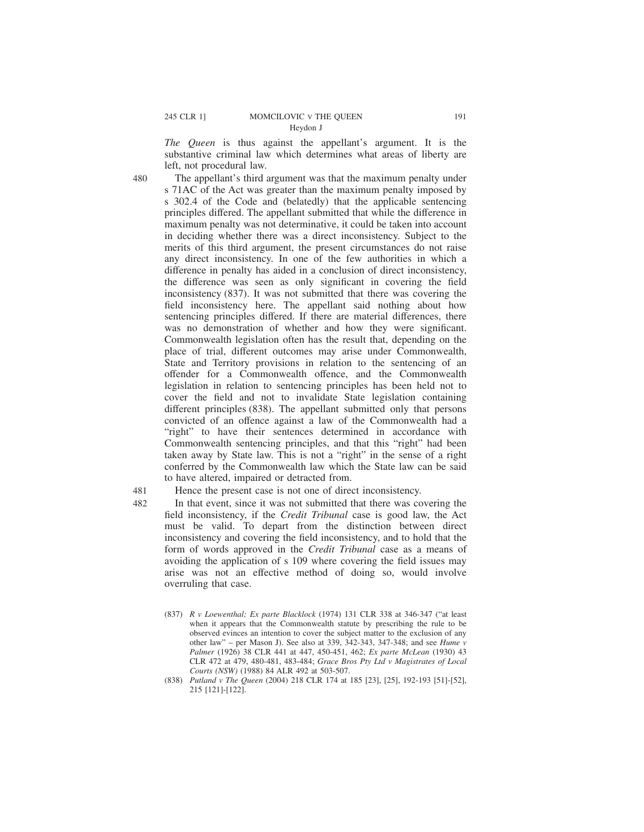## 245 CLR 1] MOMCILOVIC V THE QUEEN 191 Heydon J

*The Queen* is thus against the appellant's argument. It is the substantive criminal law which determines what areas of liberty are left, not procedural law.

The appellant's third argument was that the maximum penalty under s 71AC of the Act was greater than the maximum penalty imposed by s 302.4 of the Code and (belatedly) that the applicable sentencing principles differed. The appellant submitted that while the difference in maximum penalty was not determinative, it could be taken into account in deciding whether there was a direct inconsistency. Subject to the merits of this third argument, the present circumstances do not raise any direct inconsistency. In one of the few authorities in which a difference in penalty has aided in a conclusion of direct inconsistency, the difference was seen as only significant in covering the field inconsistency (837). It was not submitted that there was covering the field inconsistency here. The appellant said nothing about how sentencing principles differed. If there are material differences, there was no demonstration of whether and how they were significant. Commonwealth legislation often has the result that, depending on the place of trial, different outcomes may arise under Commonwealth, State and Territory provisions in relation to the sentencing of an offender for a Commonwealth offence, and the Commonwealth legislation in relation to sentencing principles has been held not to cover the field and not to invalidate State legislation containing different principles (838). The appellant submitted only that persons convicted of an offence against a law of the Commonwealth had a "right" to have their sentences determined in accordance with Commonwealth sentencing principles, and that this "right" had been taken away by State law. This is not a "right" in the sense of a right conferred by the Commonwealth law which the State law can be said to have altered, impaired or detracted from.

Hence the present case is not one of direct inconsistency. 481

In that event, since it was not submitted that there was covering the field inconsistency, if the *Credit Tribunal* case is good law, the Act must be valid. To depart from the distinction between direct inconsistency and covering the field inconsistency, and to hold that the form of words approved in the *Credit Tribunal* case as a means of avoiding the application of s 109 where covering the field issues may arise was not an effective method of doing so, would involve overruling that case.

480

<sup>(837)</sup> *R v Loewenthal; Ex parte Blacklock* (1974) 131 CLR 338 at 346-347 ("at least when it appears that the Commonwealth statute by prescribing the rule to be observed evinces an intention to cover the subject matter to the exclusion of any other law" – per Mason J). See also at 339, 342-343, 347-348; and see *Hume v Palmer* (1926) 38 CLR 441 at 447, 450-451, 462; *Ex parte McLean* (1930) 43 CLR 472 at 479, 480-481, 483-484; *Grace Bros Pty Ltd v Magistrates of Local Courts (NSW)* (1988) 84 ALR 492 at 503-507.

<sup>(838)</sup> *Putland v The Queen* (2004) 218 CLR 174 at 185 [23], [25], 192-193 [51]-[52], 215 [121]-[122].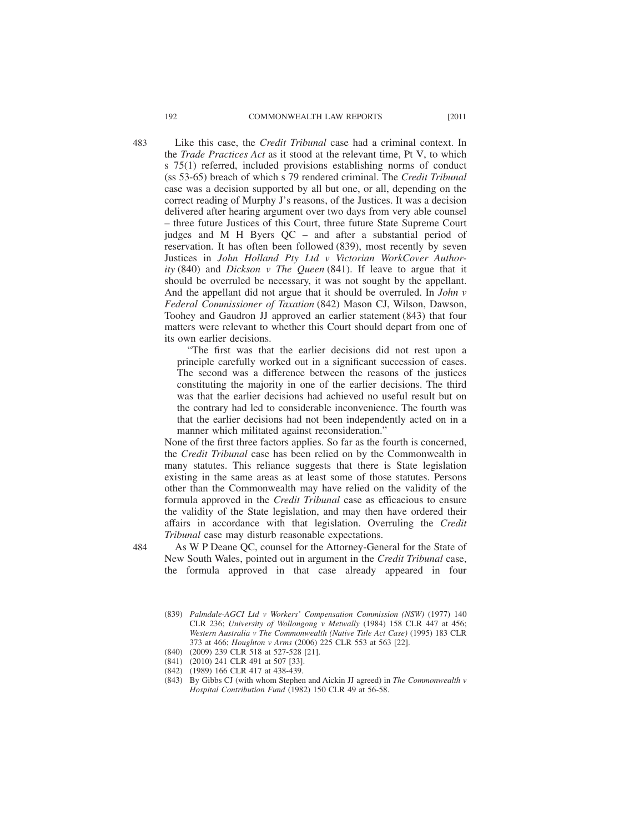Like this case, the *Credit Tribunal* case had a criminal context. In the *Trade Practices Act* as it stood at the relevant time, Pt V, to which s 75(1) referred, included provisions establishing norms of conduct (ss 53-65) breach of which s 79 rendered criminal. The *Credit Tribunal* case was a decision supported by all but one, or all, depending on the correct reading of Murphy J's reasons, of the Justices. It was a decision delivered after hearing argument over two days from very able counsel – three future Justices of this Court, three future State Supreme Court judges and M H Byers QC – and after a substantial period of reservation. It has often been followed (839), most recently by seven Justices in *John Holland Pty Ltd v Victorian WorkCover Authority* (840) and *Dickson v The Queen* (841). If leave to argue that it should be overruled be necessary, it was not sought by the appellant. And the appellant did not argue that it should be overruled. In *John v Federal Commissioner of Taxation* (842) Mason CJ, Wilson, Dawson, Toohey and Gaudron JJ approved an earlier statement (843) that four matters were relevant to whether this Court should depart from one of its own earlier decisions.

"The first was that the earlier decisions did not rest upon a principle carefully worked out in a significant succession of cases. The second was a difference between the reasons of the justices constituting the majority in one of the earlier decisions. The third was that the earlier decisions had achieved no useful result but on the contrary had led to considerable inconvenience. The fourth was that the earlier decisions had not been independently acted on in a manner which militated against reconsideration."

None of the first three factors applies. So far as the fourth is concerned, the *Credit Tribunal* case has been relied on by the Commonwealth in many statutes. This reliance suggests that there is State legislation existing in the same areas as at least some of those statutes. Persons other than the Commonwealth may have relied on the validity of the formula approved in the *Credit Tribunal* case as efficacious to ensure the validity of the State legislation, and may then have ordered their affairs in accordance with that legislation. Overruling the *Credit Tribunal* case may disturb reasonable expectations.

484

As W P Deane QC, counsel for the Attorney-General for the State of New South Wales, pointed out in argument in the *Credit Tribunal* case, the formula approved in that case already appeared in four

<sup>(839)</sup> *Palmdale-AGCI Ltd v Workers' Compensation Commission (NSW)* (1977) 140 CLR 236; *University of Wollongong v Metwally* (1984) 158 CLR 447 at 456; *Western Australia v The Commonwealth (Native Title Act Case)* (1995) 183 CLR 373 at 466; *Houghton v Arms* (2006) 225 CLR 553 at 563 [22].

<sup>(840) (2009) 239</sup> CLR 518 at 527-528 [21].

<sup>(841) (2010) 241</sup> CLR 491 at 507 [33].

<sup>(842) (1989) 166</sup> CLR 417 at 438-439.

<sup>(843)</sup> By Gibbs CJ (with whom Stephen and Aickin JJ agreed) in *The Commonwealth v Hospital Contribution Fund* (1982) 150 CLR 49 at 56-58.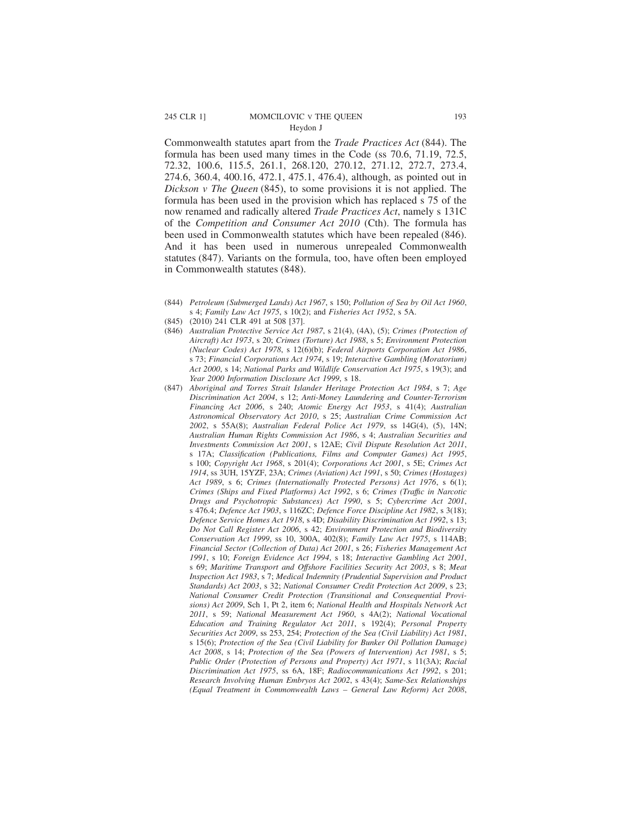## 245 CLR 1] MOMCILOVIC V THE QUEEN 193 Heydon J

Commonwealth statutes apart from the *Trade Practices Act* (844). The formula has been used many times in the Code (ss 70.6, 71.19, 72.5, 72.32, 100.6, 115.5, 261.1, 268.120, 270.12, 271.12, 272.7, 273.4, 274.6, 360.4, 400.16, 472.1, 475.1, 476.4), although, as pointed out in *Dickson v The Queen* (845), to some provisions it is not applied. The formula has been used in the provision which has replaced s 75 of the now renamed and radically altered *Trade Practices Act*, namely s 131C of the *Competition and Consumer Act 2010* (Cth). The formula has been used in Commonwealth statutes which have been repealed (846). And it has been used in numerous unrepealed Commonwealth statutes (847). Variants on the formula, too, have often been employed in Commonwealth statutes (848).

- (844) *Petroleum (Submerged Lands) Act 1967*, s 150; *Pollution of Sea by Oil Act 1960*, s 4; *Family Law Act 1975*, s 10(2); and *Fisheries Act 1952*, s 5A.
- (845) (2010) 241 CLR 491 at 508 [37].
- (846) *Australian Protective Service Act 1987*, s 21(4), (4A), (5); *Crimes (Protection of Aircraft) Act 1973*, s 20; *Crimes (Torture) Act 1988*, s 5; *Environment Protection (Nuclear Codes) Act 1978*, s 12(6)(b); *Federal Airports Corporation Act 1986*, s 73; *Financial Corporations Act 1974*, s 19; *Interactive Gambling (Moratorium) Act 2000*, s 14; *National Parks and Wildlife Conservation Act 1975*, s 19(3); and *Year 2000 Information Disclosure Act 1999*, s 18.
- (847) *Aboriginal and Torres Strait Islander Heritage Protection Act 1984*, s 7; *Age Discrimination Act 2004*, s 12; *Anti-Money Laundering and Counter-Terrorism Financing Act 2006*, s 240; *Atomic Energy Act 1953*, s 41(4); *Australian Astronomical Observatory Act 2010*, s 25; *Australian Crime Commission Act 2002*, s 55A(8); *Australian Federal Police Act 1979*, ss 14G(4), (5), 14N; *Australian Human Rights Commission Act 1986*, s 4; *Australian Securities and Investments Commission Act 2001*, s 12AE; *Civil Dispute Resolution Act 2011*, s 17A; *Classification (Publications, Films and Computer Games) Act 1995*, s 100; *Copyright Act 1968*, s 201(4); *Corporations Act 2001*, s 5E; *Crimes Act 1914*, ss 3UH, 15YZF, 23A; *Crimes (Aviation) Act 1991*, s 50; *Crimes (Hostages) Act 1989*, s 6; *Crimes (Internationally Protected Persons) Act 1976*, s 6(1); *Crimes (Ships and Fixed Platforms) Act 1992*, s 6; *Crimes (Traffıc in Narcotic Drugs and Psychotropic Substances) Act 1990*, s 5; *Cybercrime Act 2001*, s 476.4; *Defence Act 1903*, s 116ZC; *Defence Force Discipline Act 1982*, s 3(18); *Defence Service Homes Act 1918*, s 4D; *Disability Discrimination Act 1992*, s 13; *Do Not Call Register Act 2006*, s 42; *Environment Protection and Biodiversity Conservation Act 1999*, ss 10, 300A, 402(8); *Family Law Act 1975*, s 114AB; *Financial Sector (Collection of Data) Act 2001*, s 26; *Fisheries Management Act 1991*, s 10; *Foreign Evidence Act 1994*, s 18; *Interactive Gambling Act 2001*, s 69; *Maritime Transport and Offshore Facilities Security Act 2003*, s 8; *Meat Inspection Act 1983*, s 7; *Medical Indemnity (Prudential Supervision and Product Standards) Act 2003*, s 32; *National Consumer Credit Protection Act 2009*, s 23; *National Consumer Credit Protection (Transitional and Consequential Provisions) Act 2009*, Sch 1, Pt 2, item 6; *National Health and Hospitals Network Act 2011*, s 59; *National Measurement Act 1960*, s 4A(2); *National Vocational Education and Training Regulator Act 2011*, s 192(4); *Personal Property Securities Act 2009*, ss 253, 254; *Protection of the Sea (Civil Liability) Act 1981*, s 15(6); *Protection of the Sea (Civil Liability for Bunker Oil Pollution Damage) Act 2008*, s 14; *Protection of the Sea (Powers of Intervention) Act 1981*, s 5; *Public Order (Protection of Persons and Property) Act 1971*, s 11(3A); *Racial Discrimination Act 1975*, ss 6A, 18F; *Radiocommunications Act 1992*, s 201; *Research Involving Human Embryos Act 2002*, s 43(4); *Same-Sex Relationships (Equal Treatment in Commonwealth Laws – General Law Reform) Act 2008*,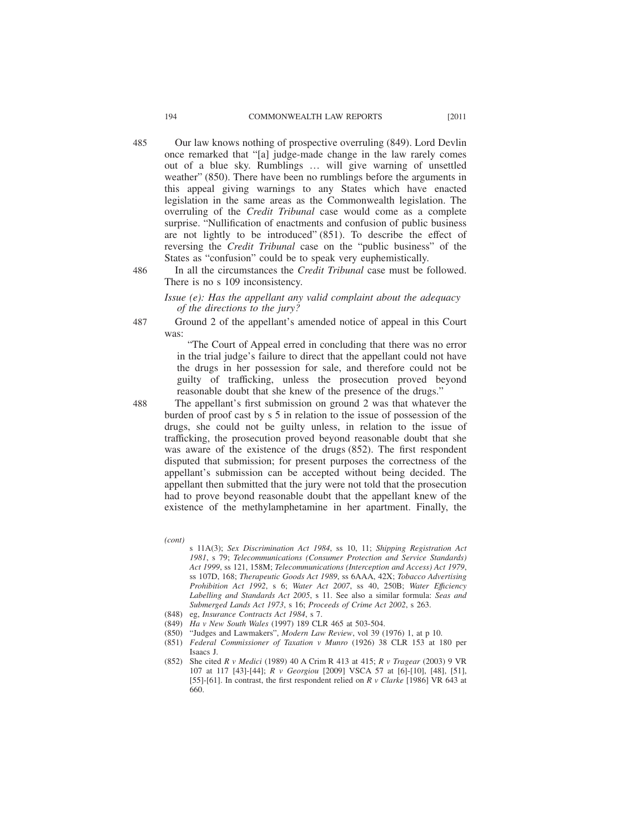Our law knows nothing of prospective overruling (849). Lord Devlin once remarked that "[a] judge-made change in the law rarely comes out of a blue sky. Rumblings … will give warning of unsettled weather" (850). There have been no rumblings before the arguments in this appeal giving warnings to any States which have enacted legislation in the same areas as the Commonwealth legislation. The overruling of the *Credit Tribunal* case would come as a complete surprise. "Nullification of enactments and confusion of public business are not lightly to be introduced" (851). To describe the effect of reversing the *Credit Tribunal* case on the "public business" of the States as "confusion" could be to speak very euphemistically. 485

In all the circumstances the *Credit Tribunal* case must be followed. There is no s 109 inconsistency. 486

*Issue (e): Has the appellant any valid complaint about the adequacy of the directions to the jury?*

Ground 2 of the appellant's amended notice of appeal in this Court was: 487

> "The Court of Appeal erred in concluding that there was no error in the trial judge's failure to direct that the appellant could not have the drugs in her possession for sale, and therefore could not be guilty of trafficking, unless the prosecution proved beyond reasonable doubt that she knew of the presence of the drugs."

488

The appellant's first submission on ground 2 was that whatever the burden of proof cast by s 5 in relation to the issue of possession of the drugs, she could not be guilty unless, in relation to the issue of trafficking, the prosecution proved beyond reasonable doubt that she was aware of the existence of the drugs (852). The first respondent disputed that submission; for present purposes the correctness of the appellant's submission can be accepted without being decided. The appellant then submitted that the jury were not told that the prosecution had to prove beyond reasonable doubt that the appellant knew of the existence of the methylamphetamine in her apartment. Finally, the

- *(cont)*
	- s 11A(3); *Sex Discrimination Act 1984*, ss 10, 11; *Shipping Registration Act 1981*, s 79; *Telecommunications (Consumer Protection and Service Standards) Act 1999*, ss 121, 158M; *Telecommunications (Interception and Access) Act 1979*, ss 107D, 168; *Therapeutic Goods Act 1989*, ss 6AAA, 42X; *Tobacco Advertising Prohibition Act 1992*, s 6; *Water Act 2007*, ss 40, 250B; *Water Effıciency Labelling and Standards Act 2005*, s 11. See also a similar formula: *Seas and Submerged Lands Act 1973*, s 16; *Proceeds of Crime Act 2002*, s 263.
- (848) eg, *Insurance Contracts Act 1984*, s 7.
- (849) *Ha v New South Wales* (1997) 189 CLR 465 at 503-504.
- (850) "Judges and Lawmakers", *Modern Law Review*, vol 39 (1976) 1, at p 10.
- (851) *Federal Commissioner of Taxation v Munro* (1926) 38 CLR 153 at 180 per Isaacs J.
- (852) She cited *R v Medici* (1989) 40 A Crim R 413 at 415; *R v Tragear* (2003) 9 VR 107 at 117 [43]-[44]; *R v Georgiou* [2009] VSCA 57 at [6]-[10], [48], [51], [55]-[61]. In contrast, the first respondent relied on *R v Clarke* [1986] VR 643 at 660.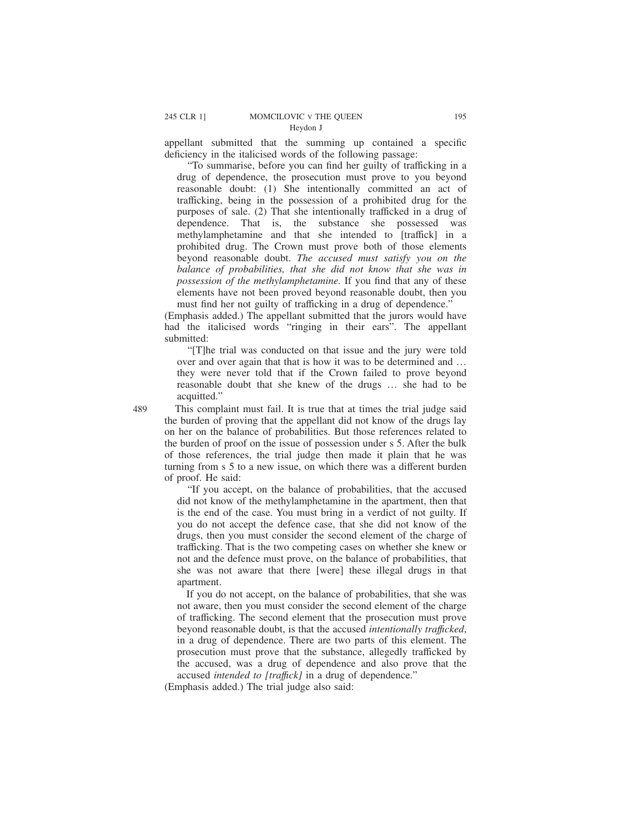appellant submitted that the summing up contained a specific deficiency in the italicised words of the following passage:

"To summarise, before you can find her guilty of trafficking in a drug of dependence, the prosecution must prove to you beyond reasonable doubt: (1) She intentionally committed an act of trafficking, being in the possession of a prohibited drug for the purposes of sale. (2) That she intentionally trafficked in a drug of dependence. That is, the substance she possessed was methylamphetamine and that she intended to [traffick] in a prohibited drug. The Crown must prove both of those elements beyond reasonable doubt. *The accused must satisfy you on the balance of probabilities, that she did not know that she was in possession of the methylamphetamine.* If you find that any of these elements have not been proved beyond reasonable doubt, then you must find her not guilty of trafficking in a drug of dependence."

(Emphasis added.) The appellant submitted that the jurors would have had the italicised words "ringing in their ears". The appellant submitted:

"[T]he trial was conducted on that issue and the jury were told over and over again that that is how it was to be determined and … they were never told that if the Crown failed to prove beyond reasonable doubt that she knew of the drugs … she had to be acquitted."

489

This complaint must fail. It is true that at times the trial judge said the burden of proving that the appellant did not know of the drugs lay on her on the balance of probabilities. But those references related to the burden of proof on the issue of possession under s 5. After the bulk of those references, the trial judge then made it plain that he was turning from s 5 to a new issue, on which there was a different burden of proof. He said:

"If you accept, on the balance of probabilities, that the accused did not know of the methylamphetamine in the apartment, then that is the end of the case. You must bring in a verdict of not guilty. If you do not accept the defence case, that she did not know of the drugs, then you must consider the second element of the charge of trafficking. That is the two competing cases on whether she knew or not and the defence must prove, on the balance of probabilities, that she was not aware that there [were] these illegal drugs in that apartment.

If you do not accept, on the balance of probabilities, that she was not aware, then you must consider the second element of the charge of trafficking. The second element that the prosecution must prove beyond reasonable doubt, is that the accused *intentionally traffıcked*, in a drug of dependence. There are two parts of this element. The prosecution must prove that the substance, allegedly trafficked by the accused, was a drug of dependence and also prove that the accused *intended to [traffıck]* in a drug of dependence."

(Emphasis added.) The trial judge also said: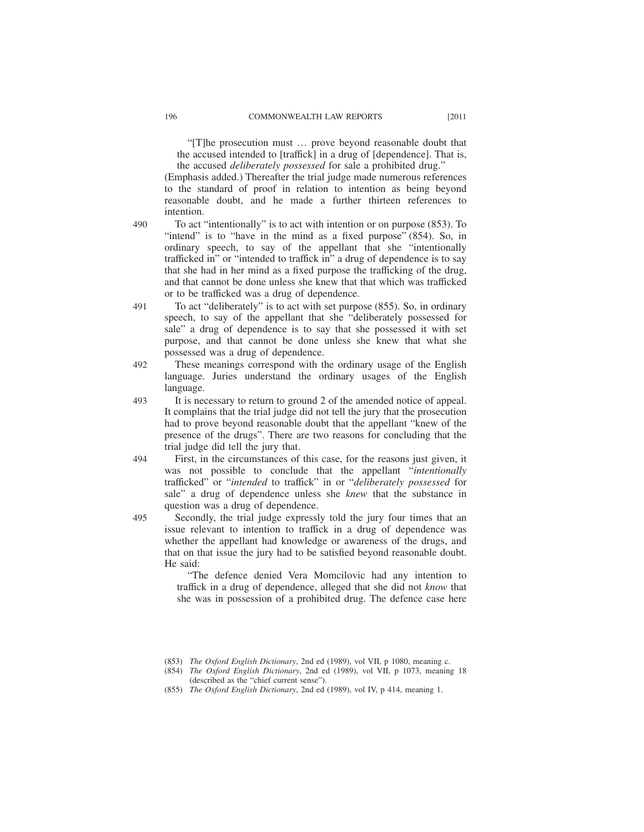"[T]he prosecution must … prove beyond reasonable doubt that the accused intended to [traffick] in a drug of [dependence]. That is, the accused *deliberately possessed* for sale a prohibited drug."

(Emphasis added.) Thereafter the trial judge made numerous references to the standard of proof in relation to intention as being beyond reasonable doubt, and he made a further thirteen references to intention.

490

To act "intentionally" is to act with intention or on purpose (853). To "intend" is to "have in the mind as a fixed purpose" (854). So, in ordinary speech, to say of the appellant that she "intentionally trafficked in" or "intended to traffick in" a drug of dependence is to say that she had in her mind as a fixed purpose the trafficking of the drug, and that cannot be done unless she knew that that which was trafficked or to be trafficked was a drug of dependence.

- To act "deliberately" is to act with set purpose (855). So, in ordinary speech, to say of the appellant that she "deliberately possessed for sale" a drug of dependence is to say that she possessed it with set purpose, and that cannot be done unless she knew that what she possessed was a drug of dependence. 491
- These meanings correspond with the ordinary usage of the English language. Juries understand the ordinary usages of the English language. 492
- It is necessary to return to ground 2 of the amended notice of appeal. It complains that the trial judge did not tell the jury that the prosecution had to prove beyond reasonable doubt that the appellant "knew of the presence of the drugs". There are two reasons for concluding that the trial judge did tell the jury that. 493
- First, in the circumstances of this case, for the reasons just given, it was not possible to conclude that the appellant "*intentionally* trafficked" or "*intended* to traffick" in or "*deliberately possessed* for sale" a drug of dependence unless she *knew* that the substance in question was a drug of dependence. 494
- Secondly, the trial judge expressly told the jury four times that an issue relevant to intention to traffick in a drug of dependence was whether the appellant had knowledge or awareness of the drugs, and that on that issue the jury had to be satisfied beyond reasonable doubt. He said: 495

"The defence denied Vera Momcilovic had any intention to traffick in a drug of dependence, alleged that she did not *know* that she was in possession of a prohibited drug. The defence case here

- (854) *The Oxford English Dictionary*, 2nd ed (1989), vol VII, p 1073, meaning 18 (described as the "chief current sense").
- (855) *The Oxford English Dictionary*, 2nd ed (1989), vol IV, p 414, meaning 1.

<sup>(853)</sup> *The Oxford English Dictionary*, 2nd ed (1989), vol VII, p 1080, meaning c.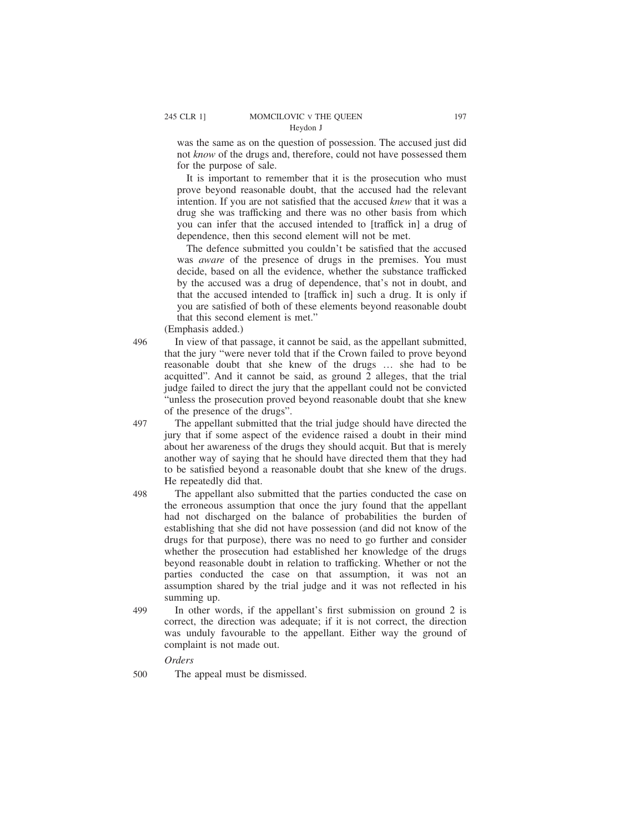## 245 CLR 1] MOMCILOVIC V THE QUEEN 197 Heydon J

was the same as on the question of possession. The accused just did not *know* of the drugs and, therefore, could not have possessed them for the purpose of sale.

It is important to remember that it is the prosecution who must prove beyond reasonable doubt, that the accused had the relevant intention. If you are not satisfied that the accused *knew* that it was a drug she was trafficking and there was no other basis from which you can infer that the accused intended to [traffick in] a drug of dependence, then this second element will not be met.

The defence submitted you couldn't be satisfied that the accused was *aware* of the presence of drugs in the premises. You must decide, based on all the evidence, whether the substance trafficked by the accused was a drug of dependence, that's not in doubt, and that the accused intended to [traffick in] such a drug. It is only if you are satisfied of both of these elements beyond reasonable doubt that this second element is met."

(Emphasis added.)

496

In view of that passage, it cannot be said, as the appellant submitted, that the jury "were never told that if the Crown failed to prove beyond reasonable doubt that she knew of the drugs … she had to be acquitted". And it cannot be said, as ground 2 alleges, that the trial judge failed to direct the jury that the appellant could not be convicted "unless the prosecution proved beyond reasonable doubt that she knew of the presence of the drugs".

The appellant submitted that the trial judge should have directed the jury that if some aspect of the evidence raised a doubt in their mind about her awareness of the drugs they should acquit. But that is merely another way of saying that he should have directed them that they had to be satisfied beyond a reasonable doubt that she knew of the drugs. He repeatedly did that. 497

- The appellant also submitted that the parties conducted the case on the erroneous assumption that once the jury found that the appellant had not discharged on the balance of probabilities the burden of establishing that she did not have possession (and did not know of the drugs for that purpose), there was no need to go further and consider whether the prosecution had established her knowledge of the drugs beyond reasonable doubt in relation to trafficking. Whether or not the parties conducted the case on that assumption, it was not an assumption shared by the trial judge and it was not reflected in his summing up. 498
- In other words, if the appellant's first submission on ground 2 is correct, the direction was adequate; if it is not correct, the direction was unduly favourable to the appellant. Either way the ground of complaint is not made out. 499

*Orders*

The appeal must be dismissed. 500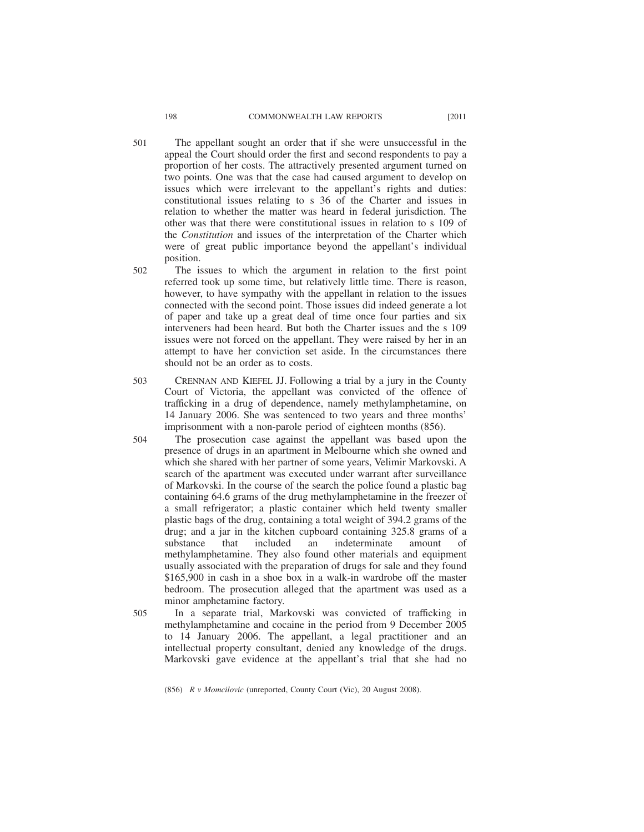- The appellant sought an order that if she were unsuccessful in the appeal the Court should order the first and second respondents to pay a proportion of her costs. The attractively presented argument turned on two points. One was that the case had caused argument to develop on issues which were irrelevant to the appellant's rights and duties: constitutional issues relating to s 36 of the Charter and issues in relation to whether the matter was heard in federal jurisdiction. The other was that there were constitutional issues in relation to s 109 of the *Constitution* and issues of the interpretation of the Charter which were of great public importance beyond the appellant's individual position. 501
- The issues to which the argument in relation to the first point referred took up some time, but relatively little time. There is reason, however, to have sympathy with the appellant in relation to the issues connected with the second point. Those issues did indeed generate a lot of paper and take up a great deal of time once four parties and six interveners had been heard. But both the Charter issues and the s 109 issues were not forced on the appellant. They were raised by her in an attempt to have her conviction set aside. In the circumstances there should not be an order as to costs. 502
- CRENNAN AND KIEFEL JJ. Following a trial by a jury in the County Court of Victoria, the appellant was convicted of the offence of trafficking in a drug of dependence, namely methylamphetamine, on 14 January 2006. She was sentenced to two years and three months' imprisonment with a non-parole period of eighteen months (856). 503
- The prosecution case against the appellant was based upon the presence of drugs in an apartment in Melbourne which she owned and which she shared with her partner of some years, Velimir Markovski. A search of the apartment was executed under warrant after surveillance of Markovski. In the course of the search the police found a plastic bag containing 64.6 grams of the drug methylamphetamine in the freezer of a small refrigerator; a plastic container which held twenty smaller plastic bags of the drug, containing a total weight of 394.2 grams of the drug; and a jar in the kitchen cupboard containing 325.8 grams of a substance that included an indeterminate amount of methylamphetamine. They also found other materials and equipment usually associated with the preparation of drugs for sale and they found \$165,900 in cash in a shoe box in a walk-in wardrobe off the master bedroom. The prosecution alleged that the apartment was used as a minor amphetamine factory. 504
	- In a separate trial, Markovski was convicted of trafficking in methylamphetamine and cocaine in the period from 9 December 2005 to 14 January 2006. The appellant, a legal practitioner and an intellectual property consultant, denied any knowledge of the drugs. Markovski gave evidence at the appellant's trial that she had no

(856) *R v Momcilovic* (unreported, County Court (Vic), 20 August 2008).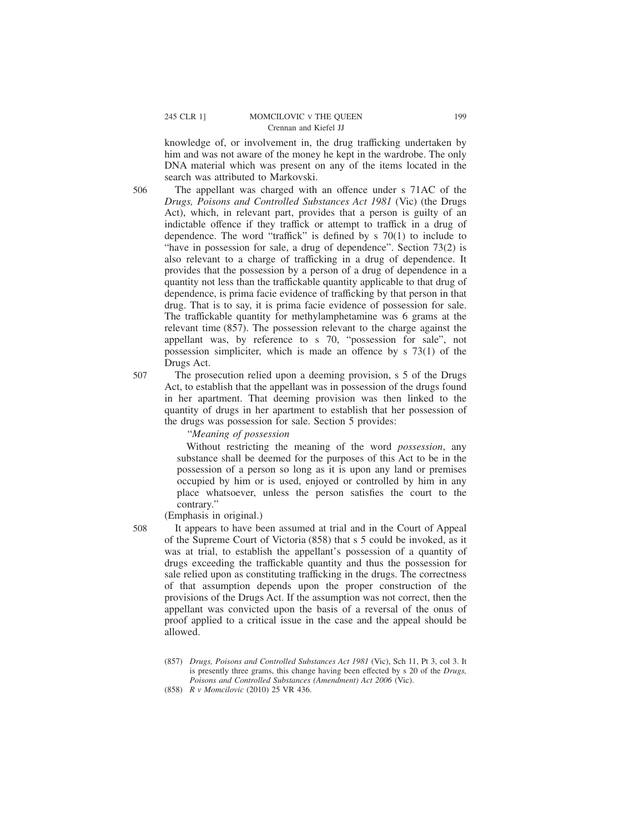## 245 CLR 1] MOMCILOVIC V THE QUEEN 199 Crennan and Kiefel JJ

knowledge of, or involvement in, the drug trafficking undertaken by him and was not aware of the money he kept in the wardrobe. The only DNA material which was present on any of the items located in the search was attributed to Markovski.

506

507

508

The appellant was charged with an offence under s 71AC of the *Drugs, Poisons and Controlled Substances Act 1981* (Vic) (the Drugs Act), which, in relevant part, provides that a person is guilty of an indictable offence if they traffick or attempt to traffick in a drug of dependence. The word "traffick" is defined by s 70(1) to include to "have in possession for sale, a drug of dependence". Section 73(2) is also relevant to a charge of trafficking in a drug of dependence. It provides that the possession by a person of a drug of dependence in a quantity not less than the traffickable quantity applicable to that drug of dependence, is prima facie evidence of trafficking by that person in that drug. That is to say, it is prima facie evidence of possession for sale. The traffickable quantity for methylamphetamine was 6 grams at the relevant time (857). The possession relevant to the charge against the appellant was, by reference to s 70, "possession for sale", not possession simpliciter, which is made an offence by s 73(1) of the Drugs Act.

The prosecution relied upon a deeming provision, s 5 of the Drugs Act, to establish that the appellant was in possession of the drugs found in her apartment. That deeming provision was then linked to the quantity of drugs in her apartment to establish that her possession of the drugs was possession for sale. Section 5 provides:

# "*Meaning of possession*

Without restricting the meaning of the word *possession*, any substance shall be deemed for the purposes of this Act to be in the possession of a person so long as it is upon any land or premises occupied by him or is used, enjoyed or controlled by him in any place whatsoever, unless the person satisfies the court to the contrary."

(Emphasis in original.)

It appears to have been assumed at trial and in the Court of Appeal of the Supreme Court of Victoria (858) that s 5 could be invoked, as it was at trial, to establish the appellant's possession of a quantity of drugs exceeding the traffickable quantity and thus the possession for sale relied upon as constituting trafficking in the drugs. The correctness of that assumption depends upon the proper construction of the provisions of the Drugs Act. If the assumption was not correct, then the appellant was convicted upon the basis of a reversal of the onus of proof applied to a critical issue in the case and the appeal should be allowed.

<sup>(857)</sup> *Drugs, Poisons and Controlled Substances Act 1981* (Vic), Sch 11, Pt 3, col 3. It is presently three grams, this change having been effected by s 20 of the *Drugs, Poisons and Controlled Substances (Amendment) Act 2006* (Vic).

<sup>(858)</sup> *R v Momcilovic* (2010) 25 VR 436.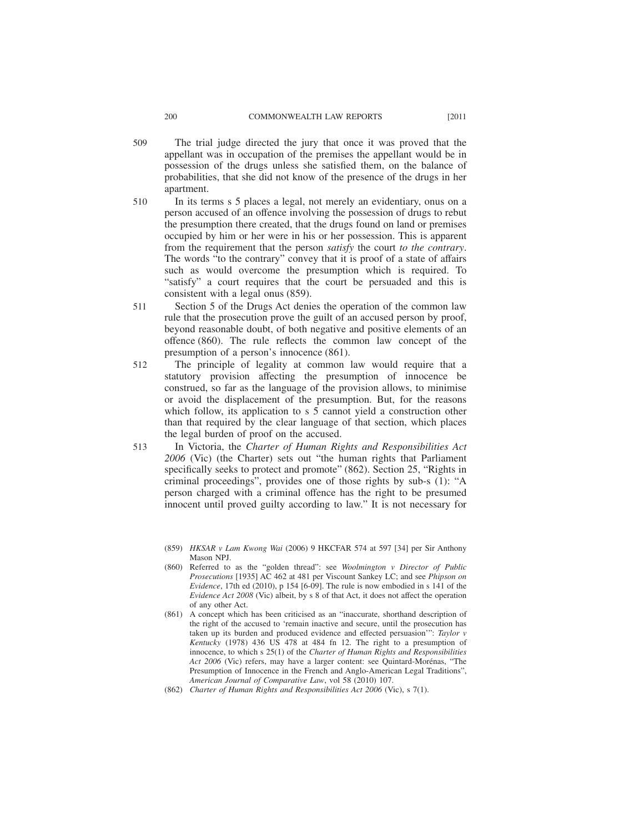- The trial judge directed the jury that once it was proved that the appellant was in occupation of the premises the appellant would be in possession of the drugs unless she satisfied them, on the balance of probabilities, that she did not know of the presence of the drugs in her apartment. 509
- In its terms s 5 places a legal, not merely an evidentiary, onus on a person accused of an offence involving the possession of drugs to rebut the presumption there created, that the drugs found on land or premises occupied by him or her were in his or her possession. This is apparent from the requirement that the person *satisfy* the court *to the contrary*. The words "to the contrary" convey that it is proof of a state of affairs such as would overcome the presumption which is required. To "satisfy" a court requires that the court be persuaded and this is consistent with a legal onus (859). 510
- Section 5 of the Drugs Act denies the operation of the common law rule that the prosecution prove the guilt of an accused person by proof, beyond reasonable doubt, of both negative and positive elements of an offence (860). The rule reflects the common law concept of the presumption of a person's innocence (861). 511
- The principle of legality at common law would require that a statutory provision affecting the presumption of innocence be construed, so far as the language of the provision allows, to minimise or avoid the displacement of the presumption. But, for the reasons which follow, its application to s 5 cannot yield a construction other than that required by the clear language of that section, which places the legal burden of proof on the accused. 512
- In Victoria, the *Charter of Human Rights and Responsibilities Act 2006* (Vic) (the Charter) sets out "the human rights that Parliament specifically seeks to protect and promote" (862). Section 25, "Rights in criminal proceedings", provides one of those rights by sub-s (1): "A person charged with a criminal offence has the right to be presumed innocent until proved guilty according to law." It is not necessary for 513
	- (859) *HKSAR v Lam Kwong Wai* (2006) 9 HKCFAR 574 at 597 [34] per Sir Anthony Mason NPJ.
	- (860) Referred to as the "golden thread": see *Woolmington v Director of Public Prosecutions* [1935] AC 462 at 481 per Viscount Sankey LC; and see *Phipson on Evidence*, 17th ed (2010), p 154 [6-09]. The rule is now embodied in s 141 of the *Evidence Act 2008* (Vic) albeit, by s 8 of that Act, it does not affect the operation of any other Act.
	- (861) A concept which has been criticised as an "inaccurate, shorthand description of the right of the accused to 'remain inactive and secure, until the prosecution has taken up its burden and produced evidence and effected persuasion'": *Taylor v Kentucky* (1978) 436 US 478 at 484 fn 12. The right to a presumption of innocence, to which s 25(1) of the *Charter of Human Rights and Responsibilities Act 2006* (Vic) refers, may have a larger content: see Quintard-Morénas, "The Presumption of Innocence in the French and Anglo-American Legal Traditions", *American Journal of Comparative Law*, vol 58 (2010) 107.
	- (862) *Charter of Human Rights and Responsibilities Act 2006* (Vic), s 7(1).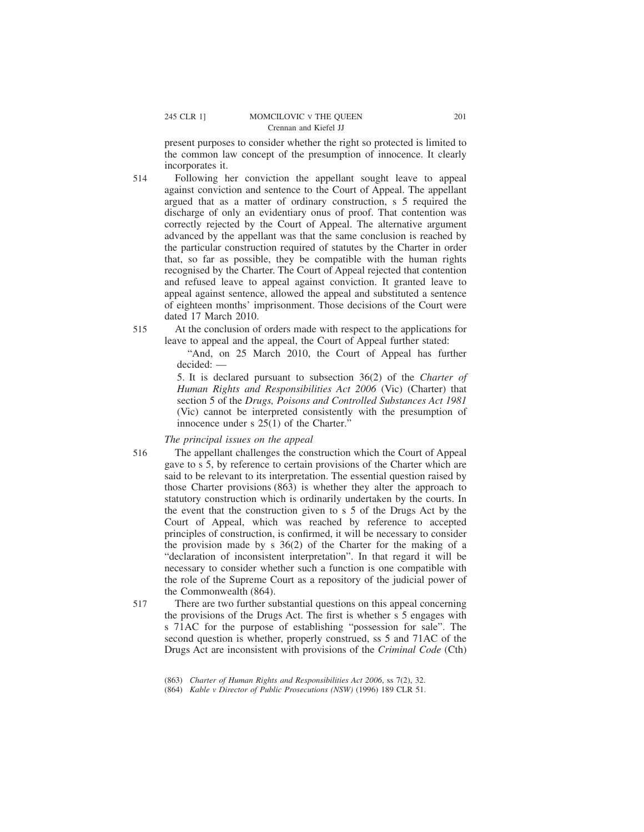## 245 CLR 1] MOMCILOVIC V THE QUEEN 201 Crennan and Kiefel JJ

present purposes to consider whether the right so protected is limited to the common law concept of the presumption of innocence. It clearly incorporates it.

- Following her conviction the appellant sought leave to appeal against conviction and sentence to the Court of Appeal. The appellant argued that as a matter of ordinary construction, s 5 required the discharge of only an evidentiary onus of proof. That contention was correctly rejected by the Court of Appeal. The alternative argument advanced by the appellant was that the same conclusion is reached by the particular construction required of statutes by the Charter in order that, so far as possible, they be compatible with the human rights recognised by the Charter. The Court of Appeal rejected that contention and refused leave to appeal against conviction. It granted leave to appeal against sentence, allowed the appeal and substituted a sentence of eighteen months' imprisonment. Those decisions of the Court were dated 17 March 2010. 514
- At the conclusion of orders made with respect to the applications for leave to appeal and the appeal, the Court of Appeal further stated: 515

"And, on 25 March 2010, the Court of Appeal has further decided: —

5. It is declared pursuant to subsection 36(2) of the *Charter of Human Rights and Responsibilities Act 2006* (Vic) (Charter) that section 5 of the *Drugs, Poisons and Controlled Substances Act 1981* (Vic) cannot be interpreted consistently with the presumption of innocence under s 25(1) of the Charter."

*The principal issues on the appeal*

- The appellant challenges the construction which the Court of Appeal gave to s 5, by reference to certain provisions of the Charter which are said to be relevant to its interpretation. The essential question raised by those Charter provisions (863) is whether they alter the approach to statutory construction which is ordinarily undertaken by the courts. In the event that the construction given to s 5 of the Drugs Act by the Court of Appeal, which was reached by reference to accepted principles of construction, is confirmed, it will be necessary to consider the provision made by s 36(2) of the Charter for the making of a "declaration of inconsistent interpretation". In that regard it will be necessary to consider whether such a function is one compatible with the role of the Supreme Court as a repository of the judicial power of the Commonwealth (864). 516
- There are two further substantial questions on this appeal concerning the provisions of the Drugs Act. The first is whether s 5 engages with s 71AC for the purpose of establishing "possession for sale". The second question is whether, properly construed, ss 5 and 71AC of the Drugs Act are inconsistent with provisions of the *Criminal Code* (Cth) 517

<sup>(863)</sup> *Charter of Human Rights and Responsibilities Act 2006*, ss 7(2), 32.

<sup>(864)</sup> *Kable v Director of Public Prosecutions (NSW)* (1996) 189 CLR 51.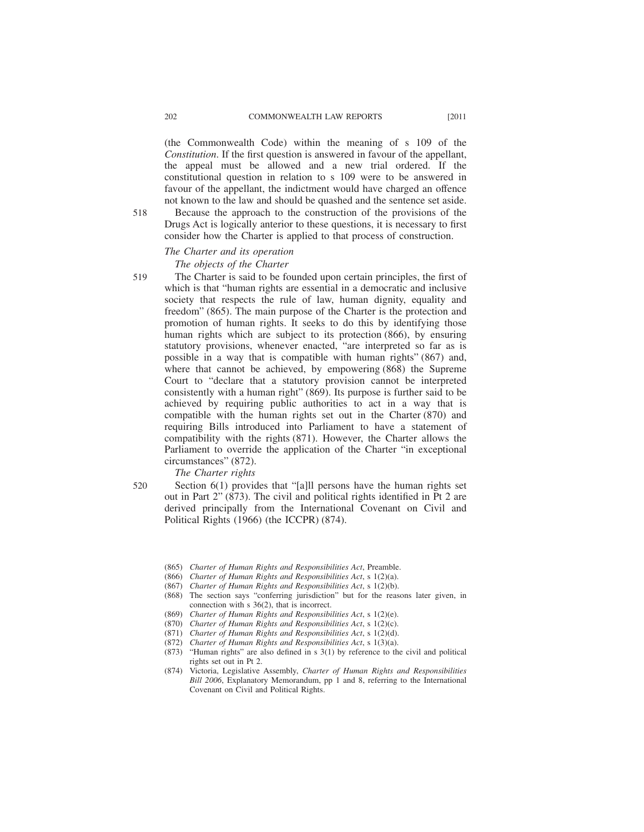(the Commonwealth Code) within the meaning of s 109 of the *Constitution*. If the first question is answered in favour of the appellant, the appeal must be allowed and a new trial ordered. If the constitutional question in relation to s 109 were to be answered in favour of the appellant, the indictment would have charged an offence not known to the law and should be quashed and the sentence set aside.

518

519

520

Because the approach to the construction of the provisions of the Drugs Act is logically anterior to these questions, it is necessary to first consider how the Charter is applied to that process of construction.

# *The Charter and its operation The objects of the Charter*

The Charter is said to be founded upon certain principles, the first of which is that "human rights are essential in a democratic and inclusive society that respects the rule of law, human dignity, equality and freedom" (865). The main purpose of the Charter is the protection and promotion of human rights. It seeks to do this by identifying those human rights which are subject to its protection (866), by ensuring statutory provisions, whenever enacted, "are interpreted so far as is possible in a way that is compatible with human rights" (867) and, where that cannot be achieved, by empowering (868) the Supreme Court to "declare that a statutory provision cannot be interpreted consistently with a human right" (869). Its purpose is further said to be achieved by requiring public authorities to act in a way that is compatible with the human rights set out in the Charter (870) and requiring Bills introduced into Parliament to have a statement of compatibility with the rights (871). However, the Charter allows the Parliament to override the application of the Charter "in exceptional circumstances" (872).

*The Charter rights*

Section 6(1) provides that "[a]ll persons have the human rights set out in Part 2" (873). The civil and political rights identified in Pt 2 are derived principally from the International Covenant on Civil and Political Rights (1966) (the ICCPR) (874).

- (865) *Charter of Human Rights and Responsibilities Act*, Preamble.
- (866) *Charter of Human Rights and Responsibilities Act*, s 1(2)(a).
- (867) *Charter of Human Rights and Responsibilities Act*, s 1(2)(b).
- (868) The section says "conferring jurisdiction" but for the reasons later given, in connection with s 36(2), that is incorrect.
- (869) *Charter of Human Rights and Responsibilities Act*, s 1(2)(e).
- (870) *Charter of Human Rights and Responsibilities Act*, s 1(2)(c).
- (871) *Charter of Human Rights and Responsibilities Act*, s 1(2)(d).
- (872) *Charter of Human Rights and Responsibilities Act*, s 1(3)(a).
- (873) "Human rights" are also defined in s 3(1) by reference to the civil and political rights set out in Pt 2.
- (874) Victoria, Legislative Assembly, *Charter of Human Rights and Responsibilities Bill 2006*, Explanatory Memorandum, pp 1 and 8, referring to the International Covenant on Civil and Political Rights.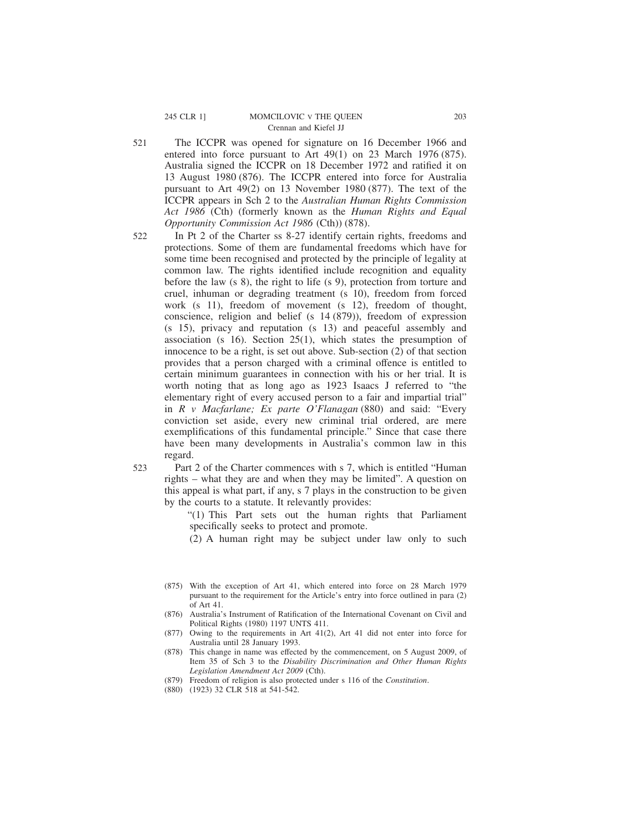## 245 CLR 1] MOMCILOVIC V THE QUEEN 203 Crennan and Kiefel JJ

- The ICCPR was opened for signature on 16 December 1966 and entered into force pursuant to Art 49(1) on 23 March 1976 (875). Australia signed the ICCPR on 18 December 1972 and ratified it on 13 August 1980 (876). The ICCPR entered into force for Australia pursuant to Art 49(2) on 13 November 1980 (877). The text of the ICCPR appears in Sch 2 to the *Australian Human Rights Commission Act 1986* (Cth) (formerly known as the *Human Rights and Equal Opportunity Commission Act 1986* (Cth)) (878). 521
	- In Pt 2 of the Charter ss 8-27 identify certain rights, freedoms and protections. Some of them are fundamental freedoms which have for some time been recognised and protected by the principle of legality at common law. The rights identified include recognition and equality before the law (s 8), the right to life (s 9), protection from torture and cruel, inhuman or degrading treatment (s 10), freedom from forced work (s 11), freedom of movement (s 12), freedom of thought, conscience, religion and belief (s 14 (879)), freedom of expression (s 15), privacy and reputation (s 13) and peaceful assembly and association (s 16). Section  $25(1)$ , which states the presumption of innocence to be a right, is set out above. Sub-section (2) of that section provides that a person charged with a criminal offence is entitled to certain minimum guarantees in connection with his or her trial. It is worth noting that as long ago as 1923 Isaacs J referred to "the elementary right of every accused person to a fair and impartial trial" in *R v Macfarlane; Ex parte O'Flanagan* (880) and said: "Every conviction set aside, every new criminal trial ordered, are mere exemplifications of this fundamental principle." Since that case there have been many developments in Australia's common law in this regard.
	- Part 2 of the Charter commences with s 7, which is entitled "Human rights – what they are and when they may be limited". A question on this appeal is what part, if any, s 7 plays in the construction to be given by the courts to a statute. It relevantly provides:

"(1) This Part sets out the human rights that Parliament specifically seeks to protect and promote.

- (2) A human right may be subject under law only to such
- (875) With the exception of Art 41, which entered into force on 28 March 1979 pursuant to the requirement for the Article's entry into force outlined in para (2) of Art 41.
- (876) Australia's Instrument of Ratification of the International Covenant on Civil and Political Rights (1980) 1197 UNTS 411.
- (877) Owing to the requirements in Art 41(2), Art 41 did not enter into force for Australia until 28 January 1993.
- (878) This change in name was effected by the commencement, on 5 August 2009, of Item 35 of Sch 3 to the *Disability Discrimination and Other Human Rights Legislation Amendment Act 2009* (Cth).
- (879) Freedom of religion is also protected under s 116 of the *Constitution*.
- (880) (1923) 32 CLR 518 at 541-542.

523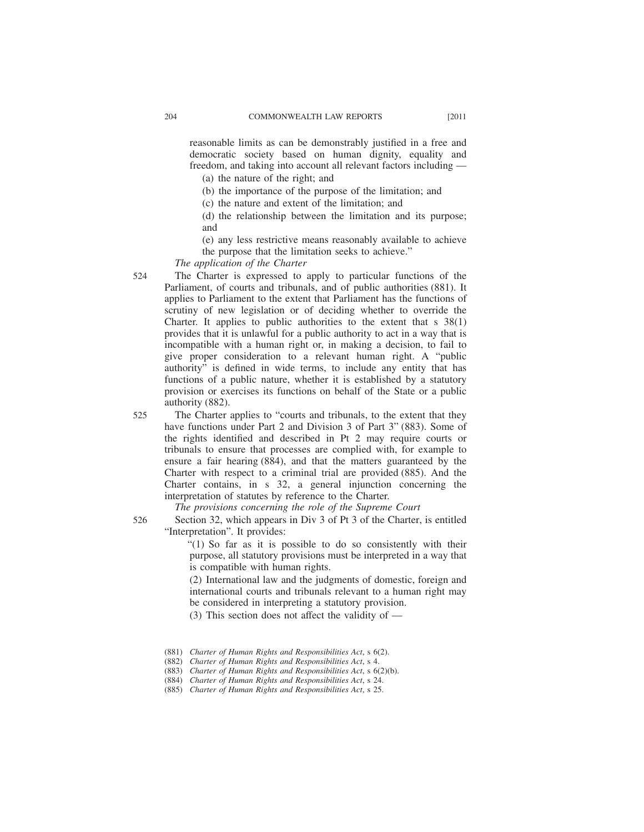reasonable limits as can be demonstrably justified in a free and democratic society based on human dignity, equality and freedom, and taking into account all relevant factors including —

(a) the nature of the right; and

(b) the importance of the purpose of the limitation; and

(c) the nature and extent of the limitation; and

(d) the relationship between the limitation and its purpose; and

(e) any less restrictive means reasonably available to achieve the purpose that the limitation seeks to achieve."

## *The application of the Charter*

- The Charter is expressed to apply to particular functions of the Parliament, of courts and tribunals, and of public authorities (881). It applies to Parliament to the extent that Parliament has the functions of scrutiny of new legislation or of deciding whether to override the Charter. It applies to public authorities to the extent that s  $38(1)$ provides that it is unlawful for a public authority to act in a way that is incompatible with a human right or, in making a decision, to fail to give proper consideration to a relevant human right. A "public authority" is defined in wide terms, to include any entity that has functions of a public nature, whether it is established by a statutory provision or exercises its functions on behalf of the State or a public authority (882). 524
- The Charter applies to "courts and tribunals, to the extent that they have functions under Part 2 and Division 3 of Part 3" (883). Some of the rights identified and described in Pt 2 may require courts or tribunals to ensure that processes are complied with, for example to ensure a fair hearing (884), and that the matters guaranteed by the Charter with respect to a criminal trial are provided (885). And the Charter contains, in s 32, a general injunction concerning the interpretation of statutes by reference to the Charter. 525

*The provisions concerning the role of the Supreme Court*

Section 32, which appears in Div 3 of Pt 3 of the Charter, is entitled "Interpretation". It provides:

"(1) So far as it is possible to do so consistently with their purpose, all statutory provisions must be interpreted in a way that is compatible with human rights.

(2) International law and the judgments of domestic, foreign and international courts and tribunals relevant to a human right may be considered in interpreting a statutory provision.

(3) This section does not affect the validity of —

<sup>(881)</sup> *Charter of Human Rights and Responsibilities Act*, s 6(2).

<sup>(882)</sup> *Charter of Human Rights and Responsibilities Act*, s 4.

<sup>(883)</sup> *Charter of Human Rights and Responsibilities Act*, s 6(2)(b).

<sup>(884)</sup> *Charter of Human Rights and Responsibilities Act*, s 24.

<sup>(885)</sup> *Charter of Human Rights and Responsibilities Act*, s 25.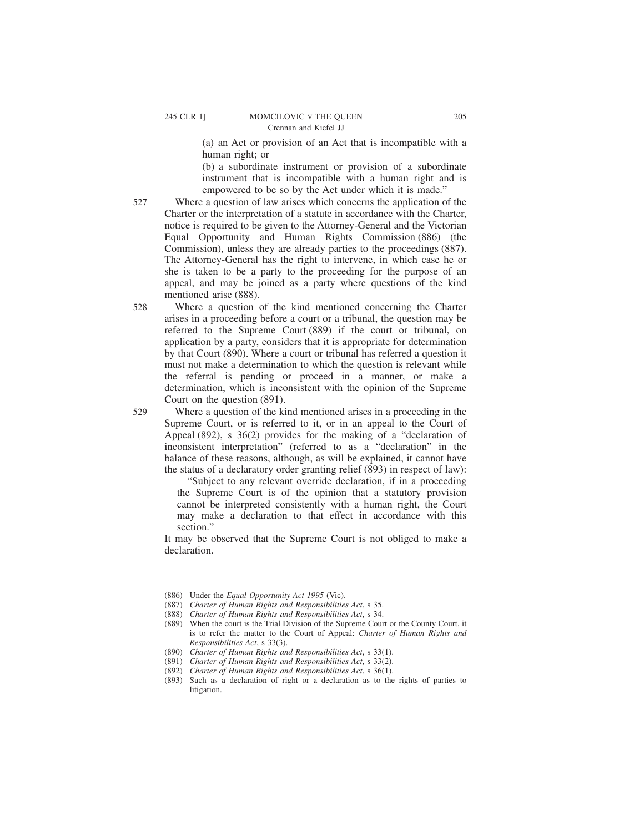## 245 CLR 1] MOMCILOVIC V THE QUEEN 205 Crennan and Kiefel JJ

(a) an Act or provision of an Act that is incompatible with a human right; or

(b) a subordinate instrument or provision of a subordinate instrument that is incompatible with a human right and is empowered to be so by the Act under which it is made."

- Where a question of law arises which concerns the application of the Charter or the interpretation of a statute in accordance with the Charter, notice is required to be given to the Attorney-General and the Victorian Equal Opportunity and Human Rights Commission (886) (the Commission), unless they are already parties to the proceedings (887). The Attorney-General has the right to intervene, in which case he or she is taken to be a party to the proceeding for the purpose of an appeal, and may be joined as a party where questions of the kind mentioned arise (888). 527
- Where a question of the kind mentioned concerning the Charter arises in a proceeding before a court or a tribunal, the question may be referred to the Supreme Court (889) if the court or tribunal, on application by a party, considers that it is appropriate for determination by that Court (890). Where a court or tribunal has referred a question it must not make a determination to which the question is relevant while the referral is pending or proceed in a manner, or make a determination, which is inconsistent with the opinion of the Supreme Court on the question (891). 528

Where a question of the kind mentioned arises in a proceeding in the Supreme Court, or is referred to it, or in an appeal to the Court of Appeal (892), s 36(2) provides for the making of a "declaration of inconsistent interpretation" (referred to as a "declaration" in the balance of these reasons, although, as will be explained, it cannot have the status of a declaratory order granting relief (893) in respect of law): 529

"Subject to any relevant override declaration, if in a proceeding the Supreme Court is of the opinion that a statutory provision cannot be interpreted consistently with a human right, the Court may make a declaration to that effect in accordance with this section."

It may be observed that the Supreme Court is not obliged to make a declaration.

- (886) Under the *Equal Opportunity Act 1995* (Vic).
- (887) *Charter of Human Rights and Responsibilities Act*, s 35.
- (888) *Charter of Human Rights and Responsibilities Act*, s 34.
- (889) When the court is the Trial Division of the Supreme Court or the County Court, it is to refer the matter to the Court of Appeal: *Charter of Human Rights and Responsibilities Act*, s 33(3).
- (890) *Charter of Human Rights and Responsibilities Act*, s 33(1).
- (891) *Charter of Human Rights and Responsibilities Act*, s 33(2).
- (892) *Charter of Human Rights and Responsibilities Act*, s 36(1).
- (893) Such as a declaration of right or a declaration as to the rights of parties to litigation.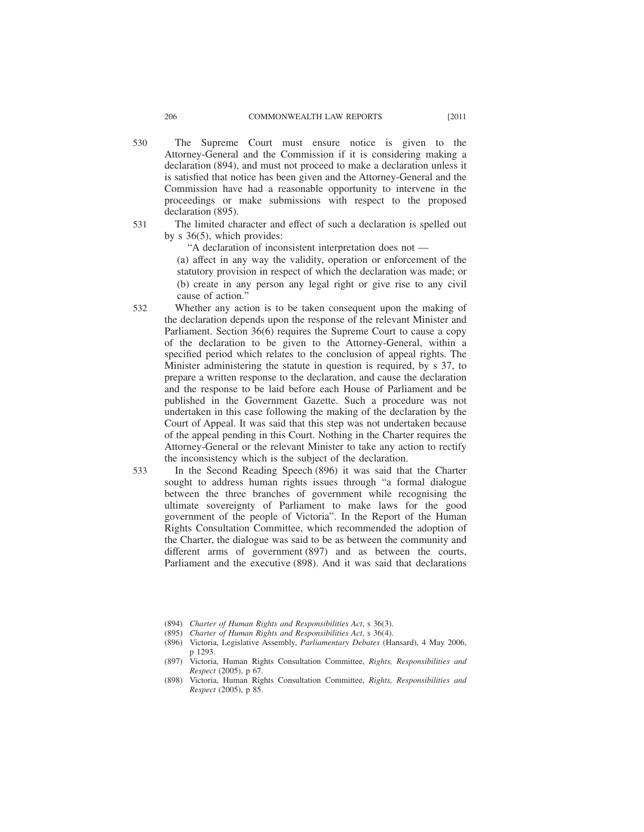- The Supreme Court must ensure notice is given to the Attorney-General and the Commission if it is considering making a declaration (894), and must not proceed to make a declaration unless it is satisfied that notice has been given and the Attorney-General and the Commission have had a reasonable opportunity to intervene in the proceedings or make submissions with respect to the proposed declaration (895). 530
	- The limited character and effect of such a declaration is spelled out by s 36(5), which provides:

"A declaration of inconsistent interpretation does not —

(a) affect in any way the validity, operation or enforcement of the statutory provision in respect of which the declaration was made; or (b) create in any person any legal right or give rise to any civil cause of action."

- Whether any action is to be taken consequent upon the making of the declaration depends upon the response of the relevant Minister and Parliament. Section 36(6) requires the Supreme Court to cause a copy of the declaration to be given to the Attorney-General, within a specified period which relates to the conclusion of appeal rights. The Minister administering the statute in question is required, by s 37, to prepare a written response to the declaration, and cause the declaration and the response to be laid before each House of Parliament and be published in the Government Gazette. Such a procedure was not undertaken in this case following the making of the declaration by the Court of Appeal. It was said that this step was not undertaken because of the appeal pending in this Court. Nothing in the Charter requires the Attorney-General or the relevant Minister to take any action to rectify the inconsistency which is the subject of the declaration. 532
- In the Second Reading Speech (896) it was said that the Charter sought to address human rights issues through "a formal dialogue between the three branches of government while recognising the ultimate sovereignty of Parliament to make laws for the good government of the people of Victoria". In the Report of the Human Rights Consultation Committee, which recommended the adoption of the Charter, the dialogue was said to be as between the community and different arms of government (897) and as between the courts, Parliament and the executive (898). And it was said that declarations 533

<sup>(894)</sup> *Charter of Human Rights and Responsibilities Act*, s 36(3).

<sup>(895)</sup> *Charter of Human Rights and Responsibilities Act*, s 36(4).

<sup>(896)</sup> Victoria, Legislative Assembly, *Parliamentary Debates* (Hansard), 4 May 2006, p 1293.

<sup>(897)</sup> Victoria, Human Rights Consultation Committee, *Rights, Responsibilities and Respect* (2005), p 67.

<sup>(898)</sup> Victoria, Human Rights Consultation Committee, *Rights, Responsibilities and Respect* (2005), p 85.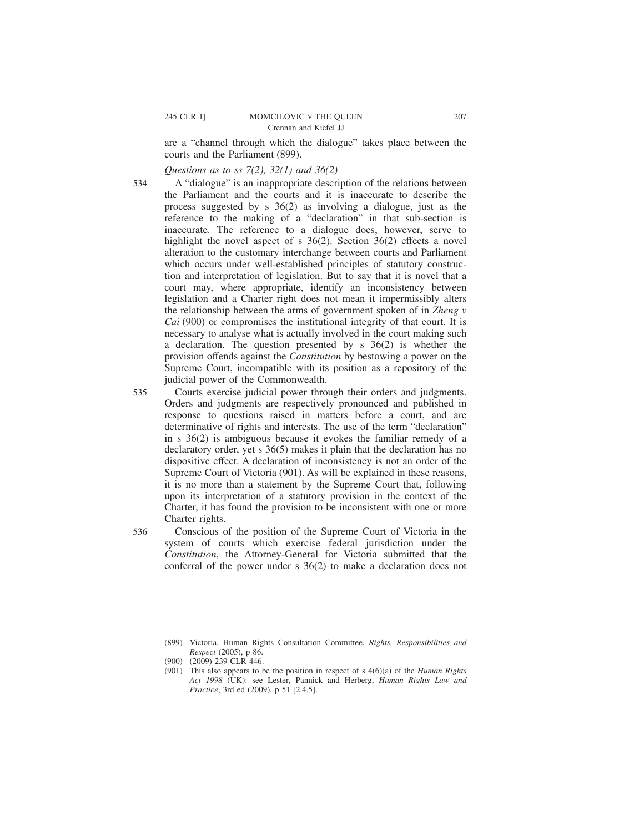534

535

536

are a "channel through which the dialogue" takes place between the courts and the Parliament (899).

*Questions as to ss 7(2), 32(1) and 36(2)*

- A "dialogue" is an inappropriate description of the relations between the Parliament and the courts and it is inaccurate to describe the process suggested by s 36(2) as involving a dialogue, just as the reference to the making of a "declaration" in that sub-section is inaccurate. The reference to a dialogue does, however, serve to highlight the novel aspect of s 36(2). Section 36(2) effects a novel alteration to the customary interchange between courts and Parliament which occurs under well-established principles of statutory construction and interpretation of legislation. But to say that it is novel that a court may, where appropriate, identify an inconsistency between legislation and a Charter right does not mean it impermissibly alters the relationship between the arms of government spoken of in *Zheng v Cai* (900) or compromises the institutional integrity of that court. It is necessary to analyse what is actually involved in the court making such a declaration. The question presented by s 36(2) is whether the provision offends against the *Constitution* by bestowing a power on the Supreme Court, incompatible with its position as a repository of the judicial power of the Commonwealth.
- Courts exercise judicial power through their orders and judgments. Orders and judgments are respectively pronounced and published in response to questions raised in matters before a court, and are determinative of rights and interests. The use of the term "declaration" in s 36(2) is ambiguous because it evokes the familiar remedy of a declaratory order, yet s 36(5) makes it plain that the declaration has no dispositive effect. A declaration of inconsistency is not an order of the Supreme Court of Victoria (901). As will be explained in these reasons, it is no more than a statement by the Supreme Court that, following upon its interpretation of a statutory provision in the context of the Charter, it has found the provision to be inconsistent with one or more Charter rights.
- Conscious of the position of the Supreme Court of Victoria in the system of courts which exercise federal jurisdiction under the *Constitution*, the Attorney-General for Victoria submitted that the conferral of the power under s 36(2) to make a declaration does not

(901) This also appears to be the position in respect of s 4(6)(a) of the *Human Rights Act 1998* (UK): see Lester, Pannick and Herberg, *Human Rights Law and Practice*, 3rd ed (2009), p 51 [2.4.5].

<sup>(899)</sup> Victoria, Human Rights Consultation Committee, *Rights, Responsibilities and Respect* (2005), p 86.

<sup>(900) (2009) 239</sup> CLR 446.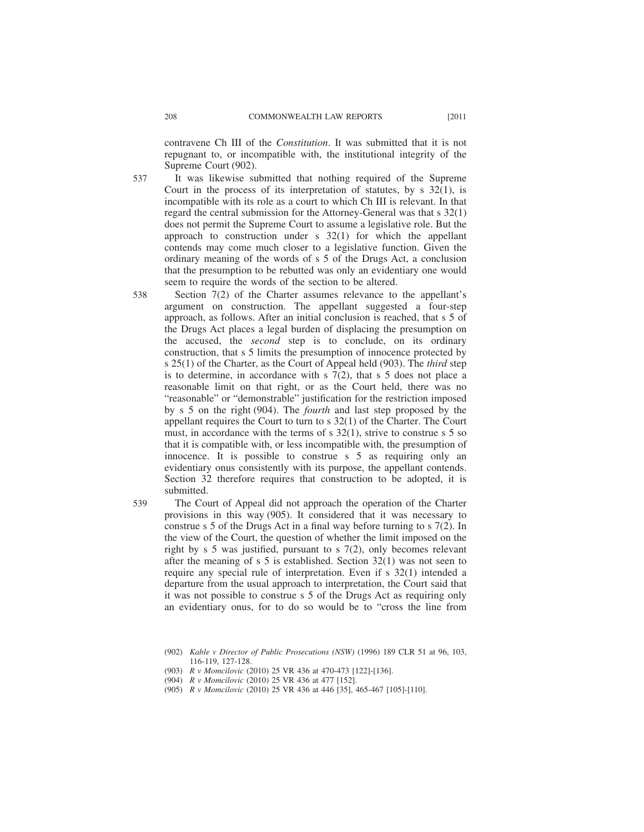contravene Ch III of the *Constitution*. It was submitted that it is not repugnant to, or incompatible with, the institutional integrity of the Supreme Court (902).

- It was likewise submitted that nothing required of the Supreme Court in the process of its interpretation of statutes, by s 32(1), is incompatible with its role as a court to which Ch III is relevant. In that regard the central submission for the Attorney-General was that s 32(1) does not permit the Supreme Court to assume a legislative role. But the approach to construction under s 32(1) for which the appellant contends may come much closer to a legislative function. Given the ordinary meaning of the words of s 5 of the Drugs Act, a conclusion that the presumption to be rebutted was only an evidentiary one would seem to require the words of the section to be altered. 537
- Section 7(2) of the Charter assumes relevance to the appellant's argument on construction. The appellant suggested a four-step approach, as follows. After an initial conclusion is reached, that s 5 of the Drugs Act places a legal burden of displacing the presumption on the accused, the *second* step is to conclude, on its ordinary construction, that s 5 limits the presumption of innocence protected by s 25(1) of the Charter, as the Court of Appeal held (903). The *third* step is to determine, in accordance with  $s$  7(2), that  $s$  5 does not place a reasonable limit on that right, or as the Court held, there was no "reasonable" or "demonstrable" justification for the restriction imposed by s 5 on the right (904). The *fourth* and last step proposed by the appellant requires the Court to turn to s 32(1) of the Charter. The Court must, in accordance with the terms of s 32(1), strive to construe s 5 so that it is compatible with, or less incompatible with, the presumption of innocence. It is possible to construe s 5 as requiring only an evidentiary onus consistently with its purpose, the appellant contends. Section 32 therefore requires that construction to be adopted, it is submitted. 538
	- The Court of Appeal did not approach the operation of the Charter provisions in this way (905). It considered that it was necessary to construe s 5 of the Drugs Act in a final way before turning to s 7(2). In the view of the Court, the question of whether the limit imposed on the right by s 5 was justified, pursuant to s 7(2), only becomes relevant after the meaning of  $s$  5 is established. Section 32(1) was not seen to require any special rule of interpretation. Even if s 32(1) intended a departure from the usual approach to interpretation, the Court said that it was not possible to construe s 5 of the Drugs Act as requiring only an evidentiary onus, for to do so would be to "cross the line from

- (903) *R v Momcilovic* (2010) 25 VR 436 at 470-473 [122]-[136].
- (904) *R v Momcilovic* (2010) 25 VR 436 at 477 [152].
- (905) *R v Momcilovic* (2010) 25 VR 436 at 446 [35], 465-467 [105]-[110].

<sup>(902)</sup> *Kable v Director of Public Prosecutions (NSW)* (1996) 189 CLR 51 at 96, 103, 116-119, 127-128.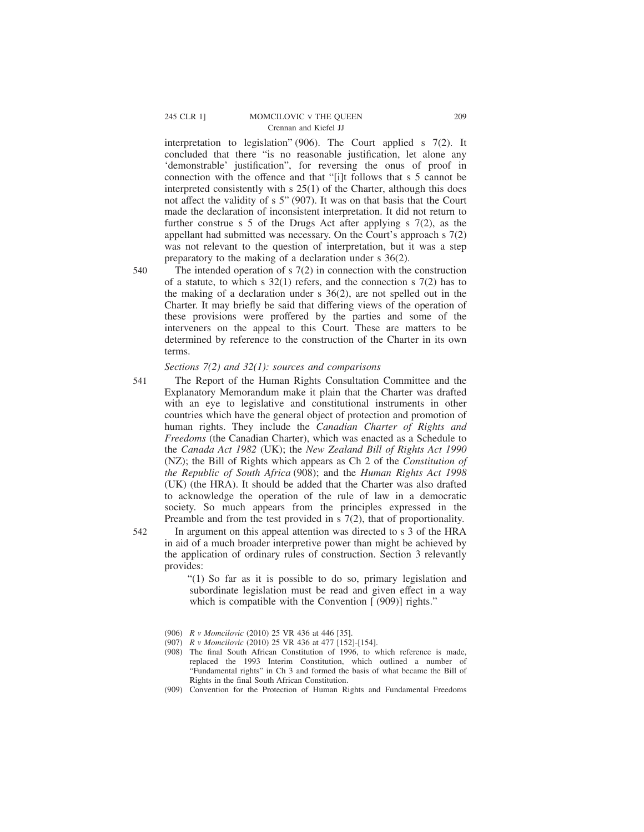540

541

542

## 245 CLR 1] MOMCILOVIC V THE QUEEN 209 Crennan and Kiefel JJ

interpretation to legislation" (906). The Court applied s 7(2). It concluded that there "is no reasonable justification, let alone any 'demonstrable' justification", for reversing the onus of proof in connection with the offence and that "[i]t follows that s 5 cannot be interpreted consistently with s 25(1) of the Charter, although this does not affect the validity of s 5" (907). It was on that basis that the Court made the declaration of inconsistent interpretation. It did not return to further construe s 5 of the Drugs Act after applying s 7(2), as the appellant had submitted was necessary. On the Court's approach s 7(2) was not relevant to the question of interpretation, but it was a step preparatory to the making of a declaration under s 36(2).

The intended operation of s 7(2) in connection with the construction of a statute, to which s  $32(1)$  refers, and the connection s  $7(2)$  has to the making of a declaration under s 36(2), are not spelled out in the Charter. It may briefly be said that differing views of the operation of these provisions were proffered by the parties and some of the interveners on the appeal to this Court. These are matters to be determined by reference to the construction of the Charter in its own terms.

#### *Sections 7(2) and 32(1): sources and comparisons*

The Report of the Human Rights Consultation Committee and the Explanatory Memorandum make it plain that the Charter was drafted with an eye to legislative and constitutional instruments in other countries which have the general object of protection and promotion of human rights. They include the *Canadian Charter of Rights and Freedoms* (the Canadian Charter), which was enacted as a Schedule to the *Canada Act 1982* (UK); the *New Zealand Bill of Rights Act 1990* (NZ); the Bill of Rights which appears as Ch 2 of the *Constitution of the Republic of South Africa* (908); and the *Human Rights Act 1998* (UK) (the HRA). It should be added that the Charter was also drafted to acknowledge the operation of the rule of law in a democratic society. So much appears from the principles expressed in the Preamble and from the test provided in s 7(2), that of proportionality.

In argument on this appeal attention was directed to s 3 of the HRA in aid of a much broader interpretive power than might be achieved by the application of ordinary rules of construction. Section 3 relevantly provides:

"(1) So far as it is possible to do so, primary legislation and subordinate legislation must be read and given effect in a way which is compatible with the Convention [  $(909)$ ] rights."

- (906) *R v Momcilovic* (2010) 25 VR 436 at 446 [35].
- (907) *R v Momcilovic* (2010) 25 VR 436 at 477 [152]-[154].
- (908) The final South African Constitution of 1996, to which reference is made, replaced the 1993 Interim Constitution, which outlined a number of "Fundamental rights" in Ch 3 and formed the basis of what became the Bill of Rights in the final South African Constitution.
- (909) Convention for the Protection of Human Rights and Fundamental Freedoms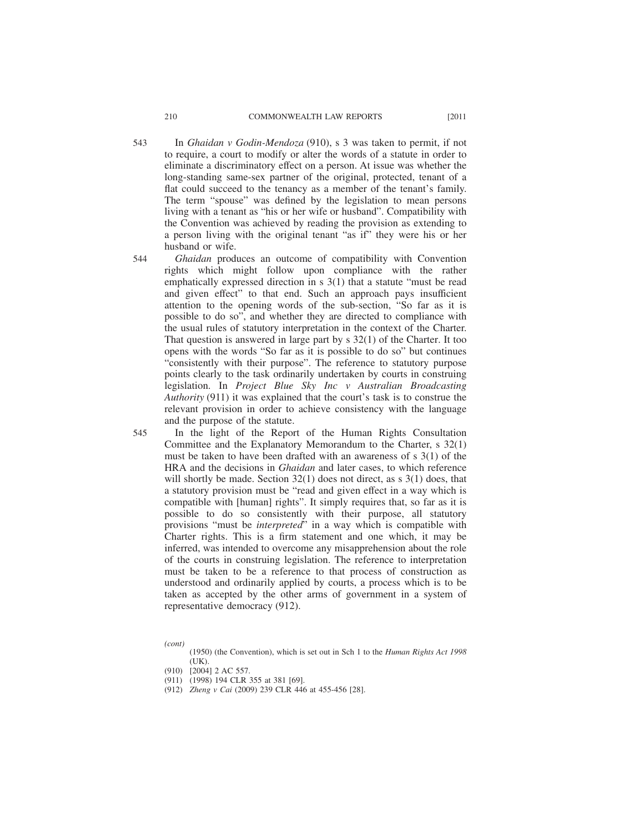In *Ghaidan v Godin-Mendoza* (910), s 3 was taken to permit, if not to require, a court to modify or alter the words of a statute in order to eliminate a discriminatory effect on a person. At issue was whether the long-standing same-sex partner of the original, protected, tenant of a flat could succeed to the tenancy as a member of the tenant's family. The term "spouse" was defined by the legislation to mean persons living with a tenant as "his or her wife or husband". Compatibility with the Convention was achieved by reading the provision as extending to a person living with the original tenant "as if" they were his or her husband or wife. 543

544

*Ghaidan* produces an outcome of compatibility with Convention rights which might follow upon compliance with the rather emphatically expressed direction in s 3(1) that a statute "must be read and given effect" to that end. Such an approach pays insufficient attention to the opening words of the sub-section, "So far as it is possible to do so", and whether they are directed to compliance with the usual rules of statutory interpretation in the context of the Charter. That question is answered in large part by s 32(1) of the Charter. It too opens with the words "So far as it is possible to do so" but continues "consistently with their purpose". The reference to statutory purpose points clearly to the task ordinarily undertaken by courts in construing legislation. In *Project Blue Sky Inc v Australian Broadcasting Authority* (911) it was explained that the court's task is to construe the relevant provision in order to achieve consistency with the language and the purpose of the statute.

In the light of the Report of the Human Rights Consultation Committee and the Explanatory Memorandum to the Charter, s 32(1) must be taken to have been drafted with an awareness of s 3(1) of the HRA and the decisions in *Ghaidan* and later cases, to which reference will shortly be made. Section 32(1) does not direct, as s 3(1) does, that a statutory provision must be "read and given effect in a way which is compatible with [human] rights". It simply requires that, so far as it is possible to do so consistently with their purpose, all statutory provisions "must be *interpreted*" in a way which is compatible with Charter rights. This is a firm statement and one which, it may be inferred, was intended to overcome any misapprehension about the role of the courts in construing legislation. The reference to interpretation must be taken to be a reference to that process of construction as understood and ordinarily applied by courts, a process which is to be taken as accepted by the other arms of government in a system of representative democracy (912). 545

*<sup>(</sup>cont)*

<sup>(1950) (</sup>the Convention), which is set out in Sch 1 to the *Human Rights Act 1998* (UK).

<sup>(910) [2004] 2</sup> AC 557.

<sup>(911) (1998) 194</sup> CLR 355 at 381 [69].

<sup>(912)</sup> *Zheng v Cai* (2009) 239 CLR 446 at 455-456 [28].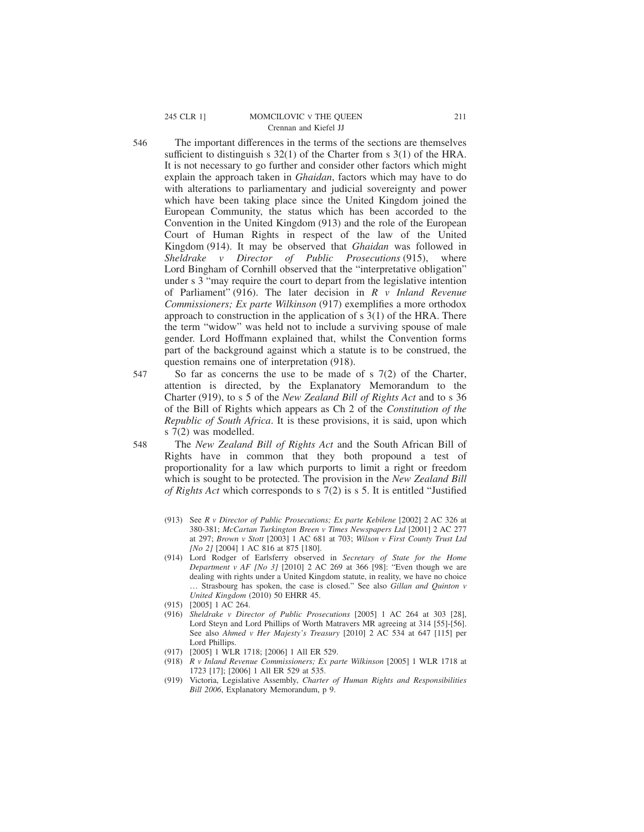546

548

## 245 CLR 1] MOMCILOVIC V THE QUEEN 211 Crennan and Kiefel JJ

- The important differences in the terms of the sections are themselves sufficient to distinguish  $s$  32(1) of the Charter from s 3(1) of the HRA. It is not necessary to go further and consider other factors which might explain the approach taken in *Ghaidan*, factors which may have to do with alterations to parliamentary and judicial sovereignty and power which have been taking place since the United Kingdom joined the European Community, the status which has been accorded to the Convention in the United Kingdom (913) and the role of the European Court of Human Rights in respect of the law of the United Kingdom (914). It may be observed that *Ghaidan* was followed in *Sheldrake v Director of Public Prosecutions* (915), where Lord Bingham of Cornhill observed that the "interpretative obligation" under s 3 "may require the court to depart from the legislative intention of Parliament" (916). The later decision in *R v Inland Revenue Commissioners; Ex parte Wilkinson* (917) exemplifies a more orthodox approach to construction in the application of s 3(1) of the HRA. There the term "widow" was held not to include a surviving spouse of male gender. Lord Hoffmann explained that, whilst the Convention forms part of the background against which a statute is to be construed, the question remains one of interpretation (918).
- So far as concerns the use to be made of s 7(2) of the Charter, attention is directed, by the Explanatory Memorandum to the Charter (919), to s 5 of the *New Zealand Bill of Rights Act* and to s 36 of the Bill of Rights which appears as Ch 2 of the *Constitution of the Republic of South Africa*. It is these provisions, it is said, upon which s 7(2) was modelled. 547
	- The *New Zealand Bill of Rights Act* and the South African Bill of Rights have in common that they both propound a test of proportionality for a law which purports to limit a right or freedom which is sought to be protected. The provision in the *New Zealand Bill of Rights Act* which corresponds to s 7(2) is s 5. It is entitled "Justified
	- (913) See *R v Director of Public Prosecutions; Ex parte Kebilene* [2002] 2 AC 326 at 380-381; *McCartan Turkington Breen v Times Newspapers Ltd* [2001] 2 AC 277 at 297; *Brown v Stott* [2003] 1 AC 681 at 703; *Wilson v First County Trust Ltd [No 2]* [2004] 1 AC 816 at 875 [180].
	- (914) Lord Rodger of Earlsferry observed in *Secretary of State for the Home Department v AF [No 3]* [2010] 2 AC 269 at 366 [98]: "Even though we are dealing with rights under a United Kingdom statute, in reality, we have no choice … Strasbourg has spoken, the case is closed." See also *Gillan and Quinton v United Kingdom* (2010) 50 EHRR 45.
	- (915) [2005] 1 AC 264.
	- (916) *Sheldrake v Director of Public Prosecutions* [2005] 1 AC 264 at 303 [28], Lord Steyn and Lord Phillips of Worth Matravers MR agreeing at 314 [55]-[56]. See also *Ahmed v Her Majesty's Treasury* [2010] 2 AC 534 at 647 [115] per Lord Phillips.
	- (917) [2005] 1 WLR 1718; [2006] 1 All ER 529.
	- (918) *R v Inland Revenue Commissioners; Ex parte Wilkinson* [2005] 1 WLR 1718 at 1723 [17]; [2006] 1 All ER 529 at 535.
	- (919) Victoria, Legislative Assembly, *Charter of Human Rights and Responsibilities Bill 2006*, Explanatory Memorandum, p 9.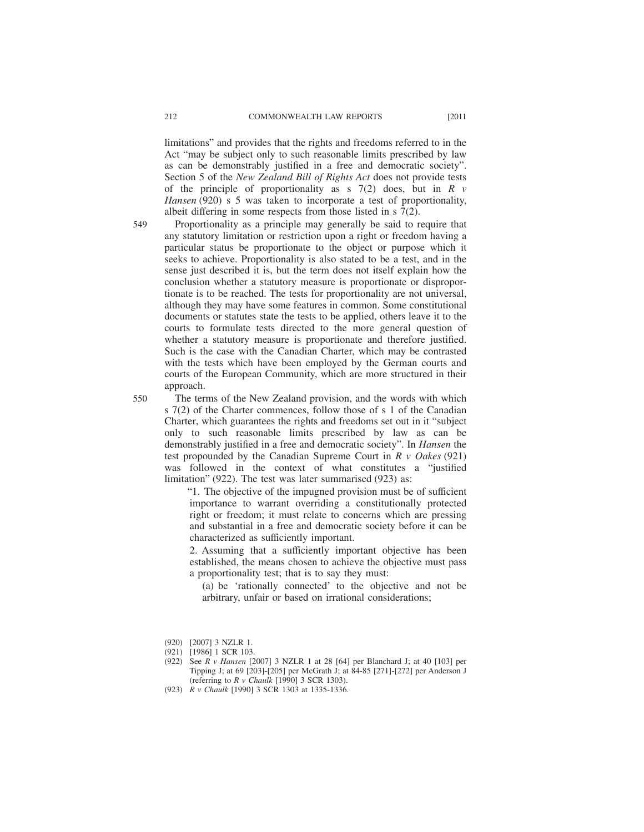limitations" and provides that the rights and freedoms referred to in the Act "may be subject only to such reasonable limits prescribed by law as can be demonstrably justified in a free and democratic society". Section 5 of the *New Zealand Bill of Rights Act* does not provide tests of the principle of proportionality as s 7(2) does, but in *R v Hansen* (920) s 5 was taken to incorporate a test of proportionality, albeit differing in some respects from those listed in s 7(2).

549

Proportionality as a principle may generally be said to require that any statutory limitation or restriction upon a right or freedom having a particular status be proportionate to the object or purpose which it seeks to achieve. Proportionality is also stated to be a test, and in the sense just described it is, but the term does not itself explain how the conclusion whether a statutory measure is proportionate or disproportionate is to be reached. The tests for proportionality are not universal, although they may have some features in common. Some constitutional documents or statutes state the tests to be applied, others leave it to the courts to formulate tests directed to the more general question of whether a statutory measure is proportionate and therefore justified. Such is the case with the Canadian Charter, which may be contrasted with the tests which have been employed by the German courts and courts of the European Community, which are more structured in their approach.

550

The terms of the New Zealand provision, and the words with which s 7(2) of the Charter commences, follow those of s 1 of the Canadian Charter, which guarantees the rights and freedoms set out in it "subject only to such reasonable limits prescribed by law as can be demonstrably justified in a free and democratic society". In *Hansen* the test propounded by the Canadian Supreme Court in *R v Oakes* (921) was followed in the context of what constitutes a "justified limitation" (922). The test was later summarised (923) as:

"1. The objective of the impugned provision must be of sufficient importance to warrant overriding a constitutionally protected right or freedom; it must relate to concerns which are pressing and substantial in a free and democratic society before it can be characterized as sufficiently important.

2. Assuming that a sufficiently important objective has been established, the means chosen to achieve the objective must pass a proportionality test; that is to say they must:

(a) be 'rationally connected' to the objective and not be arbitrary, unfair or based on irrational considerations;

(920) [2007] 3 NZLR 1.

(923) *R v Chaulk* [1990] 3 SCR 1303 at 1335-1336.

<sup>(921) [1986] 1</sup> SCR 103.

<sup>(922)</sup> See *R v Hansen* [2007] 3 NZLR 1 at 28 [64] per Blanchard J; at 40 [103] per Tipping J; at 69 [203]-[205] per McGrath J; at 84-85 [271]-[272] per Anderson J (referring to *R v Chaulk* [1990] 3 SCR 1303).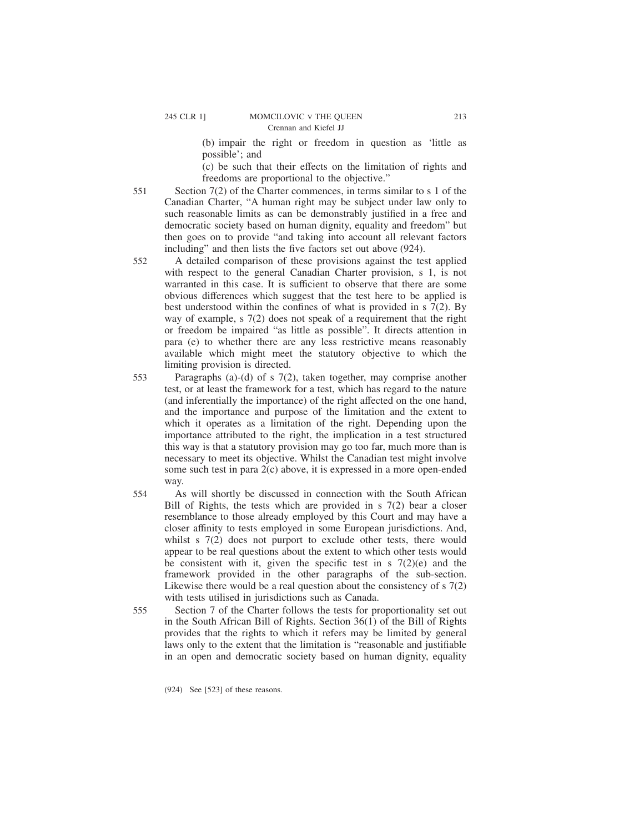(b) impair the right or freedom in question as 'little as possible'; and

(c) be such that their effects on the limitation of rights and freedoms are proportional to the objective."

- Section 7(2) of the Charter commences, in terms similar to s 1 of the Canadian Charter, "A human right may be subject under law only to such reasonable limits as can be demonstrably justified in a free and democratic society based on human dignity, equality and freedom" but then goes on to provide "and taking into account all relevant factors including" and then lists the five factors set out above (924). 551
- A detailed comparison of these provisions against the test applied with respect to the general Canadian Charter provision, s 1, is not warranted in this case. It is sufficient to observe that there are some obvious differences which suggest that the test here to be applied is best understood within the confines of what is provided in s 7(2). By way of example, s 7(2) does not speak of a requirement that the right or freedom be impaired "as little as possible". It directs attention in para (e) to whether there are any less restrictive means reasonably available which might meet the statutory objective to which the limiting provision is directed. 552
- Paragraphs (a)-(d) of s 7(2), taken together, may comprise another test, or at least the framework for a test, which has regard to the nature (and inferentially the importance) of the right affected on the one hand, and the importance and purpose of the limitation and the extent to which it operates as a limitation of the right. Depending upon the importance attributed to the right, the implication in a test structured this way is that a statutory provision may go too far, much more than is necessary to meet its objective. Whilst the Canadian test might involve some such test in para 2(c) above, it is expressed in a more open-ended way. 553
- As will shortly be discussed in connection with the South African Bill of Rights, the tests which are provided in s 7(2) bear a closer resemblance to those already employed by this Court and may have a closer affinity to tests employed in some European jurisdictions. And, whilst s 7(2) does not purport to exclude other tests, there would appear to be real questions about the extent to which other tests would be consistent with it, given the specific test in s  $7(2)(e)$  and the framework provided in the other paragraphs of the sub-section. Likewise there would be a real question about the consistency of s 7(2) with tests utilised in jurisdictions such as Canada. 554
- Section 7 of the Charter follows the tests for proportionality set out in the South African Bill of Rights. Section 36(1) of the Bill of Rights provides that the rights to which it refers may be limited by general laws only to the extent that the limitation is "reasonable and justifiable in an open and democratic society based on human dignity, equality 555

(924) See [523] of these reasons.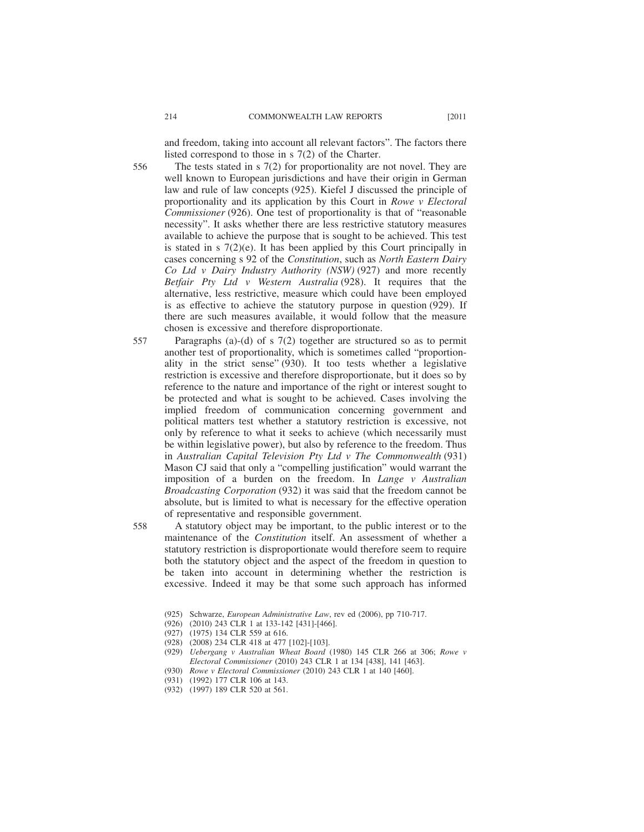and freedom, taking into account all relevant factors". The factors there listed correspond to those in s 7(2) of the Charter.

The tests stated in s 7(2) for proportionality are not novel. They are well known to European jurisdictions and have their origin in German law and rule of law concepts (925). Kiefel J discussed the principle of proportionality and its application by this Court in *Rowe v Electoral Commissioner* (926). One test of proportionality is that of "reasonable necessity". It asks whether there are less restrictive statutory measures available to achieve the purpose that is sought to be achieved. This test is stated in s  $7(2)(e)$ . It has been applied by this Court principally in cases concerning s 92 of the *Constitution*, such as *North Eastern Dairy Co Ltd v Dairy Industry Authority (NSW)* (927) and more recently *Betfair Pty Ltd v Western Australia* (928). It requires that the alternative, less restrictive, measure which could have been employed is as effective to achieve the statutory purpose in question (929). If there are such measures available, it would follow that the measure chosen is excessive and therefore disproportionate.

Paragraphs (a)-(d) of s 7(2) together are structured so as to permit another test of proportionality, which is sometimes called "proportionality in the strict sense" (930). It too tests whether a legislative restriction is excessive and therefore disproportionate, but it does so by reference to the nature and importance of the right or interest sought to be protected and what is sought to be achieved. Cases involving the implied freedom of communication concerning government and political matters test whether a statutory restriction is excessive, not only by reference to what it seeks to achieve (which necessarily must be within legislative power), but also by reference to the freedom. Thus in *Australian Capital Television Pty Ltd v The Commonwealth* (931) Mason CJ said that only a "compelling justification" would warrant the imposition of a burden on the freedom. In *Lange v Australian Broadcasting Corporation* (932) it was said that the freedom cannot be absolute, but is limited to what is necessary for the effective operation of representative and responsible government. 557

558

A statutory object may be important, to the public interest or to the maintenance of the *Constitution* itself. An assessment of whether a statutory restriction is disproportionate would therefore seem to require both the statutory object and the aspect of the freedom in question to be taken into account in determining whether the restriction is excessive. Indeed it may be that some such approach has informed

- (925) Schwarze, *European Administrative Law*, rev ed (2006), pp 710-717.
- (926) (2010) 243 CLR 1 at 133-142 [431]-[466].
- (927) (1975) 134 CLR 559 at 616.
- (928) (2008) 234 CLR 418 at 477 [102]-[103].
- (929) *Uebergang v Australian Wheat Board* (1980) 145 CLR 266 at 306; *Rowe v Electoral Commissioner* (2010) 243 CLR 1 at 134 [438], 141 [463].
- (930) *Rowe v Electoral Commissioner* (2010) 243 CLR 1 at 140 [460]. (931) (1992) 177 CLR 106 at 143.
- 
- (932) (1997) 189 CLR 520 at 561.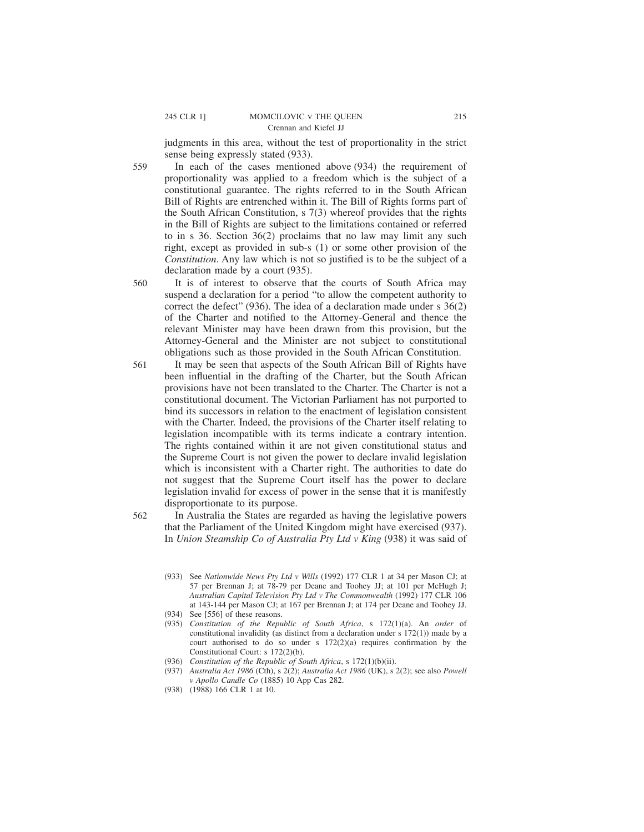559

562

judgments in this area, without the test of proportionality in the strict sense being expressly stated (933).

In each of the cases mentioned above (934) the requirement of proportionality was applied to a freedom which is the subject of a constitutional guarantee. The rights referred to in the South African Bill of Rights are entrenched within it. The Bill of Rights forms part of the South African Constitution, s 7(3) whereof provides that the rights in the Bill of Rights are subject to the limitations contained or referred to in s 36. Section 36(2) proclaims that no law may limit any such right, except as provided in sub-s (1) or some other provision of the *Constitution*. Any law which is not so justified is to be the subject of a declaration made by a court (935).

It is of interest to observe that the courts of South Africa may suspend a declaration for a period "to allow the competent authority to correct the defect" (936). The idea of a declaration made under s 36(2) of the Charter and notified to the Attorney-General and thence the relevant Minister may have been drawn from this provision, but the Attorney-General and the Minister are not subject to constitutional obligations such as those provided in the South African Constitution. 560

It may be seen that aspects of the South African Bill of Rights have been influential in the drafting of the Charter, but the South African provisions have not been translated to the Charter. The Charter is not a constitutional document. The Victorian Parliament has not purported to bind its successors in relation to the enactment of legislation consistent with the Charter. Indeed, the provisions of the Charter itself relating to legislation incompatible with its terms indicate a contrary intention. The rights contained within it are not given constitutional status and the Supreme Court is not given the power to declare invalid legislation which is inconsistent with a Charter right. The authorities to date do not suggest that the Supreme Court itself has the power to declare legislation invalid for excess of power in the sense that it is manifestly disproportionate to its purpose. 561

In Australia the States are regarded as having the legislative powers that the Parliament of the United Kingdom might have exercised (937). In *Union Steamship Co of Australia Pty Ltd v King* (938) it was said of

- (933) See *Nationwide News Pty Ltd v Wills* (1992) 177 CLR 1 at 34 per Mason CJ; at 57 per Brennan J; at 78-79 per Deane and Toohey JJ; at 101 per McHugh J; *Australian Capital Television Pty Ltd v The Commonwealth* (1992) 177 CLR 106 at 143-144 per Mason CJ; at 167 per Brennan J; at 174 per Deane and Toohey JJ. (934) See [556] of these reasons.
- (935) *Constitution of the Republic of South Africa*, s 172(1)(a). An *order* of constitutional invalidity (as distinct from a declaration under s 172(1)) made by a court authorised to do so under s 172(2)(a) requires confirmation by the Constitutional Court: s 172(2)(b).
- (936) *Constitution of the Republic of South Africa*, s 172(1)(b)(ii).
- (937) *Australia Act 1986* (Cth), s 2(2); *Australia Act 1986* (UK), s 2(2); see also *Powell v Apollo Candle Co* (1885) 10 App Cas 282.
- (938) (1988) 166 CLR 1 at 10.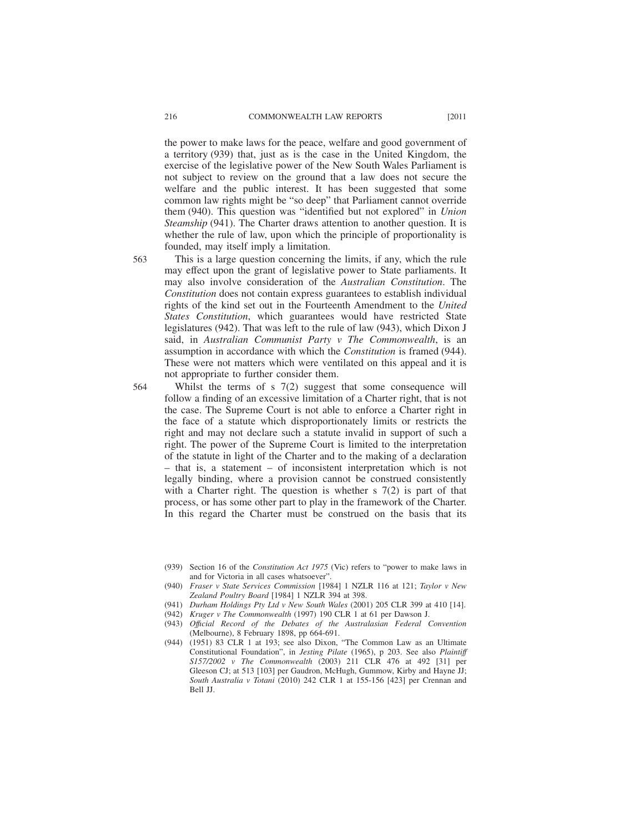the power to make laws for the peace, welfare and good government of a territory (939) that, just as is the case in the United Kingdom, the exercise of the legislative power of the New South Wales Parliament is not subject to review on the ground that a law does not secure the welfare and the public interest. It has been suggested that some common law rights might be "so deep" that Parliament cannot override them (940). This question was "identified but not explored" in *Union Steamship* (941). The Charter draws attention to another question. It is whether the rule of law, upon which the principle of proportionality is founded, may itself imply a limitation.

563

This is a large question concerning the limits, if any, which the rule may effect upon the grant of legislative power to State parliaments. It may also involve consideration of the *Australian Constitution*. The *Constitution* does not contain express guarantees to establish individual rights of the kind set out in the Fourteenth Amendment to the *United States Constitution*, which guarantees would have restricted State legislatures (942). That was left to the rule of law (943), which Dixon J said, in *Australian Communist Party v The Commonwealth*, is an assumption in accordance with which the *Constitution* is framed (944). These were not matters which were ventilated on this appeal and it is not appropriate to further consider them.

564

Whilst the terms of s 7(2) suggest that some consequence will follow a finding of an excessive limitation of a Charter right, that is not the case. The Supreme Court is not able to enforce a Charter right in the face of a statute which disproportionately limits or restricts the right and may not declare such a statute invalid in support of such a right. The power of the Supreme Court is limited to the interpretation of the statute in light of the Charter and to the making of a declaration – that is, a statement – of inconsistent interpretation which is not legally binding, where a provision cannot be construed consistently with a Charter right. The question is whether s  $7(2)$  is part of that process, or has some other part to play in the framework of the Charter. In this regard the Charter must be construed on the basis that its

- (939) Section 16 of the *Constitution Act 1975* (Vic) refers to "power to make laws in and for Victoria in all cases whatsoever".
- (940) *Fraser v State Services Commission* [1984] 1 NZLR 116 at 121; *Taylor v New Zealand Poultry Board* [1984] 1 NZLR 394 at 398.
- (941) *Durham Holdings Pty Ltd v New South Wales* (2001) 205 CLR 399 at 410 [14].
- (942) *Kruger v The Commonwealth* (1997) 190 CLR 1 at 61 per Dawson J.
- (943) *Offıcial Record of the Debates of the Australasian Federal Convention* (Melbourne), 8 February 1898, pp 664-691.
- (944) (1951) 83 CLR 1 at 193; see also Dixon, "The Common Law as an Ultimate Constitutional Foundation", in *Jesting Pilate* (1965), p 203. See also *Plaintiff S157/2002 v The Commonwealth* (2003) 211 CLR 476 at 492 [31] per Gleeson CJ; at 513 [103] per Gaudron, McHugh, Gummow, Kirby and Hayne JJ; *South Australia v Totani* (2010) 242 CLR 1 at 155-156 [423] per Crennan and Bell JJ.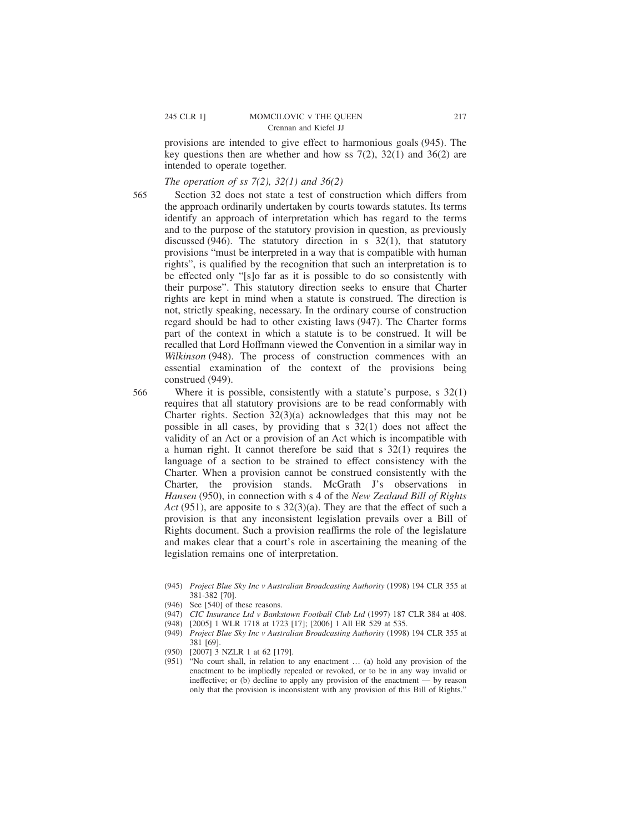## 245 CLR 1] MOMCILOVIC V THE QUEEN 217 Crennan and Kiefel JJ

provisions are intended to give effect to harmonious goals (945). The key questions then are whether and how ss  $7(2)$ ,  $32(1)$  and  $36(2)$  are intended to operate together.

*The operation of ss 7(2), 32(1) and 36(2)*

Section 32 does not state a test of construction which differs from the approach ordinarily undertaken by courts towards statutes. Its terms identify an approach of interpretation which has regard to the terms and to the purpose of the statutory provision in question, as previously discussed (946). The statutory direction in s 32(1), that statutory provisions "must be interpreted in a way that is compatible with human rights", is qualified by the recognition that such an interpretation is to be effected only "[s]o far as it is possible to do so consistently with their purpose". This statutory direction seeks to ensure that Charter rights are kept in mind when a statute is construed. The direction is not, strictly speaking, necessary. In the ordinary course of construction regard should be had to other existing laws (947). The Charter forms part of the context in which a statute is to be construed. It will be recalled that Lord Hoffmann viewed the Convention in a similar way in *Wilkinson* (948). The process of construction commences with an essential examination of the context of the provisions being construed (949).

566

565

Where it is possible, consistently with a statute's purpose, s 32(1) requires that all statutory provisions are to be read conformably with Charter rights. Section 32(3)(a) acknowledges that this may not be possible in all cases, by providing that s 32(1) does not affect the validity of an Act or a provision of an Act which is incompatible with a human right. It cannot therefore be said that s 32(1) requires the language of a section to be strained to effect consistency with the Charter. When a provision cannot be construed consistently with the Charter, the provision stands. McGrath J's observations in *Hansen* (950), in connection with s 4 of the *New Zealand Bill of Rights Act* (951), are apposite to s 32(3)(a). They are that the effect of such a provision is that any inconsistent legislation prevails over a Bill of Rights document. Such a provision reaffirms the role of the legislature and makes clear that a court's role in ascertaining the meaning of the legislation remains one of interpretation.

- (945) *Project Blue Sky Inc v Australian Broadcasting Authority* (1998) 194 CLR 355 at 381-382 [70].
- (946) See [540] of these reasons.
- (947) *CIC Insurance Ltd v Bankstown Football Club Ltd* (1997) 187 CLR 384 at 408.
- (948) [2005] 1 WLR 1718 at 1723 [17]; [2006] 1 All ER 529 at 535.
- (949) *Project Blue Sky Inc v Australian Broadcasting Authority* (1998) 194 CLR 355 at 381 [69].
- (950) [2007] 3 NZLR 1 at 62 [179].
- (951) "No court shall, in relation to any enactment … (a) hold any provision of the enactment to be impliedly repealed or revoked, or to be in any way invalid or ineffective; or (b) decline to apply any provision of the enactment — by reason only that the provision is inconsistent with any provision of this Bill of Rights."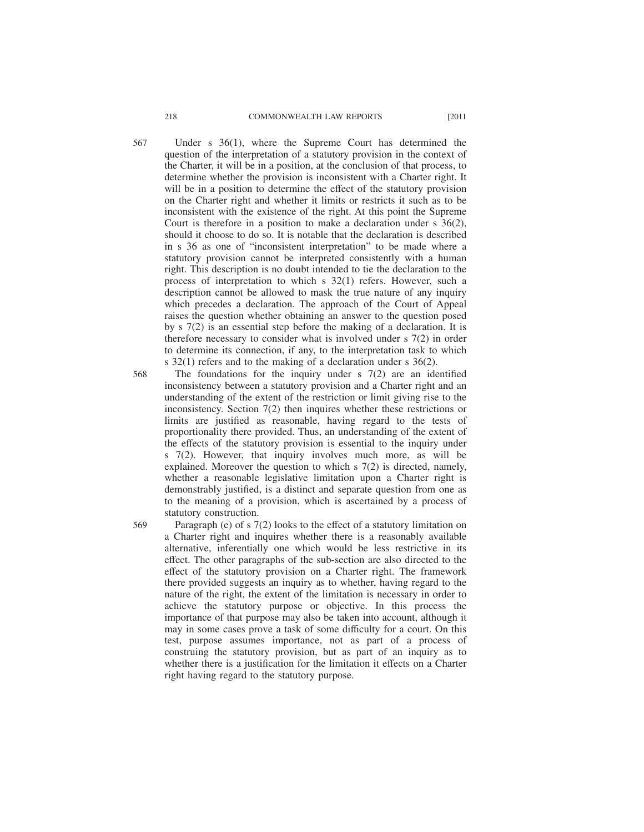Under s 36(1), where the Supreme Court has determined the question of the interpretation of a statutory provision in the context of the Charter, it will be in a position, at the conclusion of that process, to determine whether the provision is inconsistent with a Charter right. It will be in a position to determine the effect of the statutory provision on the Charter right and whether it limits or restricts it such as to be inconsistent with the existence of the right. At this point the Supreme Court is therefore in a position to make a declaration under s 36(2), should it choose to do so. It is notable that the declaration is described in s 36 as one of "inconsistent interpretation" to be made where a statutory provision cannot be interpreted consistently with a human right. This description is no doubt intended to tie the declaration to the process of interpretation to which s 32(1) refers. However, such a description cannot be allowed to mask the true nature of any inquiry which precedes a declaration. The approach of the Court of Appeal raises the question whether obtaining an answer to the question posed by s 7(2) is an essential step before the making of a declaration. It is therefore necessary to consider what is involved under s 7(2) in order to determine its connection, if any, to the interpretation task to which s 32(1) refers and to the making of a declaration under s 36(2).

568

569

The foundations for the inquiry under  $s$  7(2) are an identified inconsistency between a statutory provision and a Charter right and an understanding of the extent of the restriction or limit giving rise to the inconsistency. Section 7(2) then inquires whether these restrictions or limits are justified as reasonable, having regard to the tests of proportionality there provided. Thus, an understanding of the extent of the effects of the statutory provision is essential to the inquiry under s 7(2). However, that inquiry involves much more, as will be explained. Moreover the question to which s 7(2) is directed, namely, whether a reasonable legislative limitation upon a Charter right is demonstrably justified, is a distinct and separate question from one as to the meaning of a provision, which is ascertained by a process of statutory construction.

Paragraph (e) of s 7(2) looks to the effect of a statutory limitation on a Charter right and inquires whether there is a reasonably available alternative, inferentially one which would be less restrictive in its effect. The other paragraphs of the sub-section are also directed to the effect of the statutory provision on a Charter right. The framework there provided suggests an inquiry as to whether, having regard to the nature of the right, the extent of the limitation is necessary in order to achieve the statutory purpose or objective. In this process the importance of that purpose may also be taken into account, although it may in some cases prove a task of some difficulty for a court. On this test, purpose assumes importance, not as part of a process of construing the statutory provision, but as part of an inquiry as to whether there is a justification for the limitation it effects on a Charter right having regard to the statutory purpose.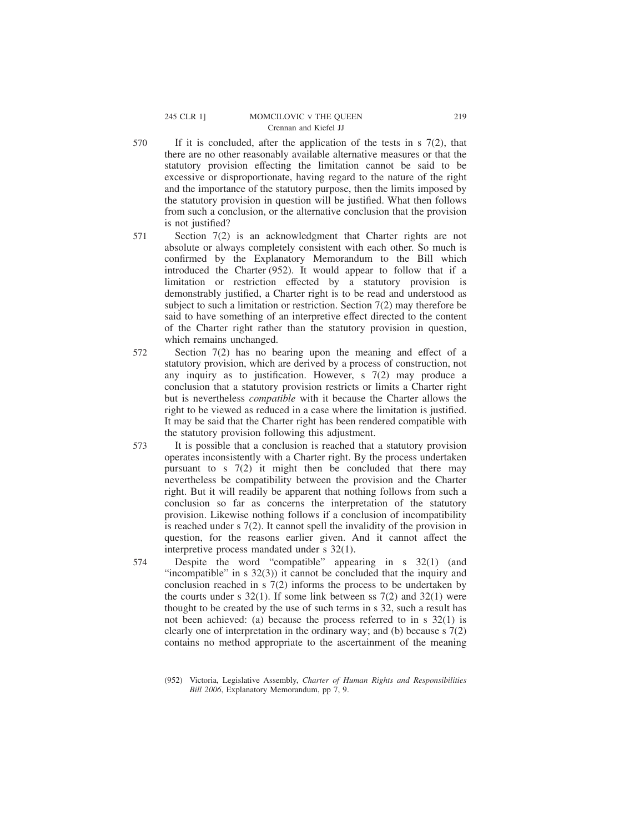## 245 CLR 1] MOMCILOVIC V THE QUEEN 219 Crennan and Kiefel JJ

- If it is concluded, after the application of the tests in  $s$  7(2), that there are no other reasonably available alternative measures or that the statutory provision effecting the limitation cannot be said to be excessive or disproportionate, having regard to the nature of the right and the importance of the statutory purpose, then the limits imposed by the statutory provision in question will be justified. What then follows from such a conclusion, or the alternative conclusion that the provision is not justified? 570
- Section 7(2) is an acknowledgment that Charter rights are not absolute or always completely consistent with each other. So much is confirmed by the Explanatory Memorandum to the Bill which introduced the Charter (952). It would appear to follow that if a limitation or restriction effected by a statutory provision is demonstrably justified, a Charter right is to be read and understood as subject to such a limitation or restriction. Section 7(2) may therefore be said to have something of an interpretive effect directed to the content of the Charter right rather than the statutory provision in question, which remains unchanged. 571
- Section 7(2) has no bearing upon the meaning and effect of a statutory provision, which are derived by a process of construction, not any inquiry as to justification. However, s 7(2) may produce a conclusion that a statutory provision restricts or limits a Charter right but is nevertheless *compatible* with it because the Charter allows the right to be viewed as reduced in a case where the limitation is justified. It may be said that the Charter right has been rendered compatible with the statutory provision following this adjustment. 572
- It is possible that a conclusion is reached that a statutory provision operates inconsistently with a Charter right. By the process undertaken pursuant to s  $7(2)$  it might then be concluded that there may nevertheless be compatibility between the provision and the Charter right. But it will readily be apparent that nothing follows from such a conclusion so far as concerns the interpretation of the statutory provision. Likewise nothing follows if a conclusion of incompatibility is reached under s 7(2). It cannot spell the invalidity of the provision in question, for the reasons earlier given. And it cannot affect the interpretive process mandated under s 32(1). 573
- Despite the word "compatible" appearing in s 32(1) (and "incompatible" in s 32(3)) it cannot be concluded that the inquiry and conclusion reached in s 7(2) informs the process to be undertaken by the courts under s  $32(1)$ . If some link between ss  $7(2)$  and  $32(1)$  were thought to be created by the use of such terms in s 32, such a result has not been achieved: (a) because the process referred to in s 32(1) is clearly one of interpretation in the ordinary way; and (b) because s 7(2) contains no method appropriate to the ascertainment of the meaning 574

<sup>(952)</sup> Victoria, Legislative Assembly, *Charter of Human Rights and Responsibilities Bill 2006*, Explanatory Memorandum, pp 7, 9.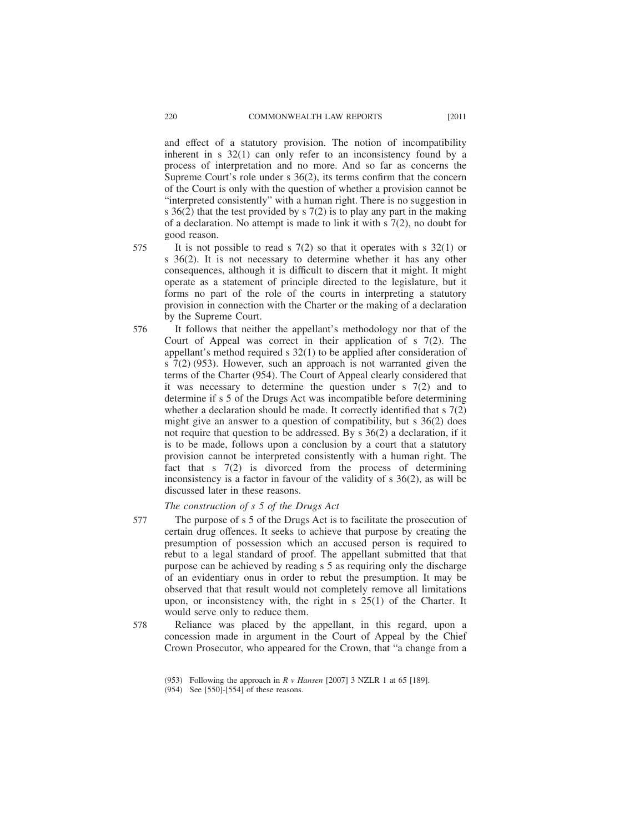and effect of a statutory provision. The notion of incompatibility inherent in s 32(1) can only refer to an inconsistency found by a process of interpretation and no more. And so far as concerns the Supreme Court's role under s 36(2), its terms confirm that the concern of the Court is only with the question of whether a provision cannot be "interpreted consistently" with a human right. There is no suggestion in s 36(2) that the test provided by s 7(2) is to play any part in the making of a declaration. No attempt is made to link it with s 7(2), no doubt for good reason.

575

577

It is not possible to read s  $7(2)$  so that it operates with s  $32(1)$  or s 36(2). It is not necessary to determine whether it has any other consequences, although it is difficult to discern that it might. It might operate as a statement of principle directed to the legislature, but it forms no part of the role of the courts in interpreting a statutory provision in connection with the Charter or the making of a declaration by the Supreme Court.

It follows that neither the appellant's methodology nor that of the Court of Appeal was correct in their application of s 7(2). The appellant's method required s 32(1) to be applied after consideration of s 7(2) (953). However, such an approach is not warranted given the terms of the Charter (954). The Court of Appeal clearly considered that it was necessary to determine the question under s 7(2) and to determine if s 5 of the Drugs Act was incompatible before determining whether a declaration should be made. It correctly identified that s  $7(2)$ might give an answer to a question of compatibility, but s 36(2) does not require that question to be addressed. By s 36(2) a declaration, if it is to be made, follows upon a conclusion by a court that a statutory provision cannot be interpreted consistently with a human right. The fact that s  $7(2)$  is divorced from the process of determining inconsistency is a factor in favour of the validity of s 36(2), as will be discussed later in these reasons. 576

*The construction of s 5 of the Drugs Act*

- The purpose of s 5 of the Drugs Act is to facilitate the prosecution of certain drug offences. It seeks to achieve that purpose by creating the presumption of possession which an accused person is required to rebut to a legal standard of proof. The appellant submitted that that purpose can be achieved by reading s 5 as requiring only the discharge of an evidentiary onus in order to rebut the presumption. It may be observed that that result would not completely remove all limitations upon, or inconsistency with, the right in s 25(1) of the Charter. It would serve only to reduce them.
- Reliance was placed by the appellant, in this regard, upon a concession made in argument in the Court of Appeal by the Chief Crown Prosecutor, who appeared for the Crown, that "a change from a 578

<sup>(953)</sup> Following the approach in *R v Hansen* [2007] 3 NZLR 1 at 65 [189].

<sup>(954)</sup> See [550]-[554] of these reasons.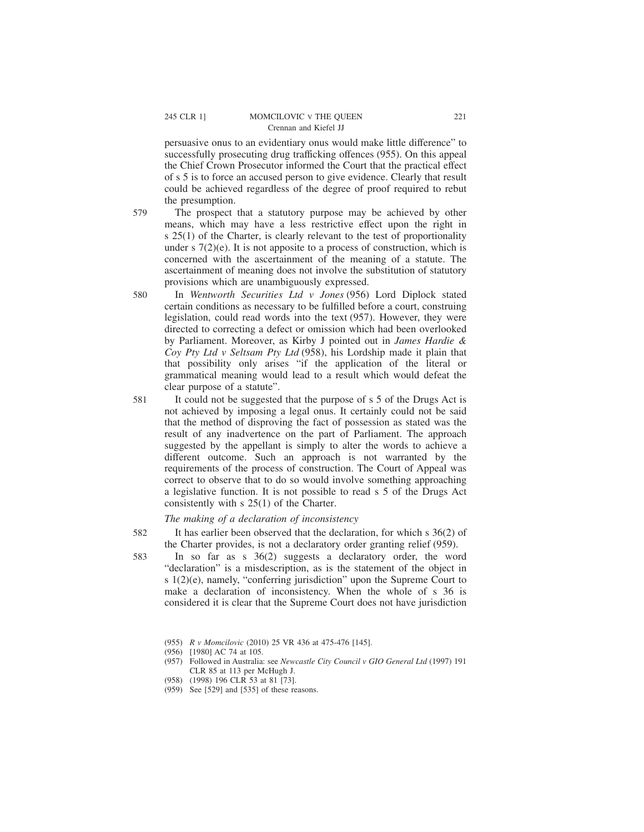## 245 CLR 1] MOMCILOVIC V THE QUEEN 221 Crennan and Kiefel JJ

persuasive onus to an evidentiary onus would make little difference" to successfully prosecuting drug trafficking offences (955). On this appeal the Chief Crown Prosecutor informed the Court that the practical effect of s 5 is to force an accused person to give evidence. Clearly that result could be achieved regardless of the degree of proof required to rebut the presumption.

The prospect that a statutory purpose may be achieved by other means, which may have a less restrictive effect upon the right in s 25(1) of the Charter, is clearly relevant to the test of proportionality under s  $7(2)(e)$ . It is not apposite to a process of construction, which is concerned with the ascertainment of the meaning of a statute. The ascertainment of meaning does not involve the substitution of statutory provisions which are unambiguously expressed. 579

- In *Wentworth Securities Ltd v Jones* (956) Lord Diplock stated certain conditions as necessary to be fulfilled before a court, construing legislation, could read words into the text (957). However, they were directed to correcting a defect or omission which had been overlooked by Parliament. Moreover, as Kirby J pointed out in *James Hardie & Coy Pty Ltd v Seltsam Pty Ltd* (958), his Lordship made it plain that that possibility only arises "if the application of the literal or grammatical meaning would lead to a result which would defeat the clear purpose of a statute".
- It could not be suggested that the purpose of s 5 of the Drugs Act is not achieved by imposing a legal onus. It certainly could not be said that the method of disproving the fact of possession as stated was the result of any inadvertence on the part of Parliament. The approach suggested by the appellant is simply to alter the words to achieve a different outcome. Such an approach is not warranted by the requirements of the process of construction. The Court of Appeal was correct to observe that to do so would involve something approaching a legislative function. It is not possible to read s 5 of the Drugs Act consistently with s 25(1) of the Charter.

*The making of a declaration of inconsistency*

It has earlier been observed that the declaration, for which s 36(2) of the Charter provides, is not a declaratory order granting relief (959).

583

582

In so far as s 36(2) suggests a declaratory order, the word "declaration" is a misdescription, as is the statement of the object in s 1(2)(e), namely, "conferring jurisdiction" upon the Supreme Court to make a declaration of inconsistency. When the whole of s 36 is considered it is clear that the Supreme Court does not have jurisdiction

- (957) Followed in Australia: see *Newcastle City Council v GIO General Ltd* (1997) 191 CLR 85 at 113 per McHugh J.
- (958) (1998) 196 CLR 53 at 81 [73].
- (959) See [529] and [535] of these reasons.

580

<sup>(955)</sup> *R v Momcilovic* (2010) 25 VR 436 at 475-476 [145].

<sup>(956) [1980]</sup> AC 74 at 105.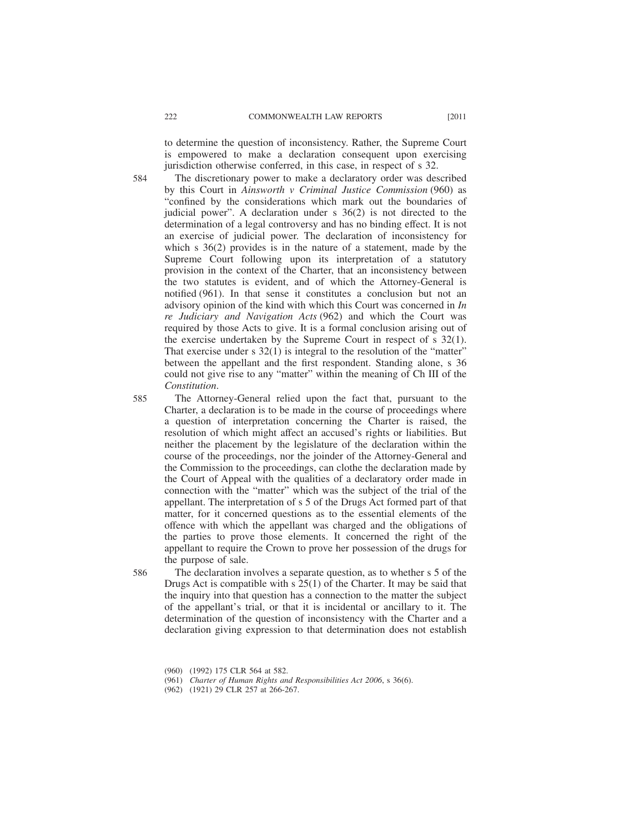to determine the question of inconsistency. Rather, the Supreme Court is empowered to make a declaration consequent upon exercising jurisdiction otherwise conferred, in this case, in respect of s 32.

The discretionary power to make a declaratory order was described by this Court in *Ainsworth v Criminal Justice Commission* (960) as "confined by the considerations which mark out the boundaries of judicial power". A declaration under s 36(2) is not directed to the determination of a legal controversy and has no binding effect. It is not an exercise of judicial power. The declaration of inconsistency for which s 36(2) provides is in the nature of a statement, made by the Supreme Court following upon its interpretation of a statutory provision in the context of the Charter, that an inconsistency between the two statutes is evident, and of which the Attorney-General is notified (961). In that sense it constitutes a conclusion but not an advisory opinion of the kind with which this Court was concerned in *In re Judiciary and Navigation Acts* (962) and which the Court was required by those Acts to give. It is a formal conclusion arising out of the exercise undertaken by the Supreme Court in respect of s 32(1). That exercise under s 32(1) is integral to the resolution of the "matter" between the appellant and the first respondent. Standing alone, s 36 could not give rise to any "matter" within the meaning of Ch III of the *Constitution*.

585

The Attorney-General relied upon the fact that, pursuant to the Charter, a declaration is to be made in the course of proceedings where a question of interpretation concerning the Charter is raised, the resolution of which might affect an accused's rights or liabilities. But neither the placement by the legislature of the declaration within the course of the proceedings, nor the joinder of the Attorney-General and the Commission to the proceedings, can clothe the declaration made by the Court of Appeal with the qualities of a declaratory order made in connection with the "matter" which was the subject of the trial of the appellant. The interpretation of s 5 of the Drugs Act formed part of that matter, for it concerned questions as to the essential elements of the offence with which the appellant was charged and the obligations of the parties to prove those elements. It concerned the right of the appellant to require the Crown to prove her possession of the drugs for the purpose of sale.

586

The declaration involves a separate question, as to whether s 5 of the Drugs Act is compatible with s 25(1) of the Charter. It may be said that the inquiry into that question has a connection to the matter the subject of the appellant's trial, or that it is incidental or ancillary to it. The determination of the question of inconsistency with the Charter and a declaration giving expression to that determination does not establish

<sup>(960) (1992) 175</sup> CLR 564 at 582.

<sup>(961)</sup> *Charter of Human Rights and Responsibilities Act 2006*, s 36(6).

<sup>(962) (1921) 29</sup> CLR 257 at 266-267.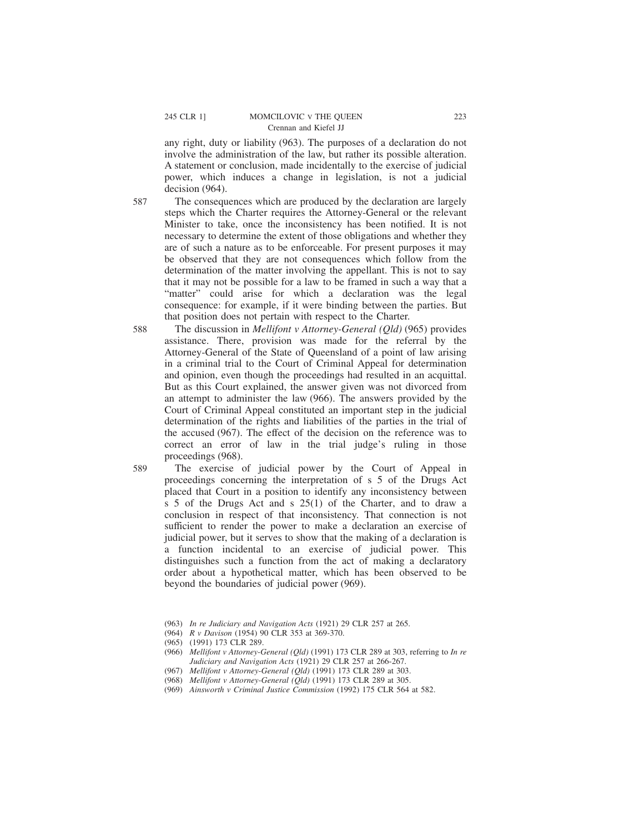## 245 CLR 1] MOMCILOVIC V THE QUEEN 223 Crennan and Kiefel JJ

any right, duty or liability (963). The purposes of a declaration do not involve the administration of the law, but rather its possible alteration. A statement or conclusion, made incidentally to the exercise of judicial power, which induces a change in legislation, is not a judicial decision (964).

- The consequences which are produced by the declaration are largely steps which the Charter requires the Attorney-General or the relevant Minister to take, once the inconsistency has been notified. It is not necessary to determine the extent of those obligations and whether they are of such a nature as to be enforceable. For present purposes it may be observed that they are not consequences which follow from the determination of the matter involving the appellant. This is not to say that it may not be possible for a law to be framed in such a way that a "matter" could arise for which a declaration was the legal consequence: for example, if it were binding between the parties. But that position does not pertain with respect to the Charter. 587
- The discussion in *Mellifont v Attorney-General (Qld)* (965) provides assistance. There, provision was made for the referral by the Attorney-General of the State of Queensland of a point of law arising in a criminal trial to the Court of Criminal Appeal for determination and opinion, even though the proceedings had resulted in an acquittal. But as this Court explained, the answer given was not divorced from an attempt to administer the law (966). The answers provided by the Court of Criminal Appeal constituted an important step in the judicial determination of the rights and liabilities of the parties in the trial of the accused (967). The effect of the decision on the reference was to correct an error of law in the trial judge's ruling in those proceedings (968). 588
	- The exercise of judicial power by the Court of Appeal in proceedings concerning the interpretation of s 5 of the Drugs Act placed that Court in a position to identify any inconsistency between s 5 of the Drugs Act and s 25(1) of the Charter, and to draw a conclusion in respect of that inconsistency. That connection is not sufficient to render the power to make a declaration an exercise of judicial power, but it serves to show that the making of a declaration is a function incidental to an exercise of judicial power. This distinguishes such a function from the act of making a declaratory order about a hypothetical matter, which has been observed to be beyond the boundaries of judicial power (969).
	- (963) *In re Judiciary and Navigation Acts* (1921) 29 CLR 257 at 265.
	- (964) *R v Davison* (1954) 90 CLR 353 at 369-370.
	- (965) (1991) 173 CLR 289.

- (966) *Mellifont v Attorney-General (Qld)* (1991) 173 CLR 289 at 303, referring to *In re Judiciary and Navigation Acts* (1921) 29 CLR 257 at 266-267.
- (967) *Mellifont v Attorney-General (Qld)* (1991) 173 CLR 289 at 303.
- (968) *Mellifont v Attorney-General (Qld)* (1991) 173 CLR 289 at 305.
- (969) *Ainsworth v Criminal Justice Commission* (1992) 175 CLR 564 at 582.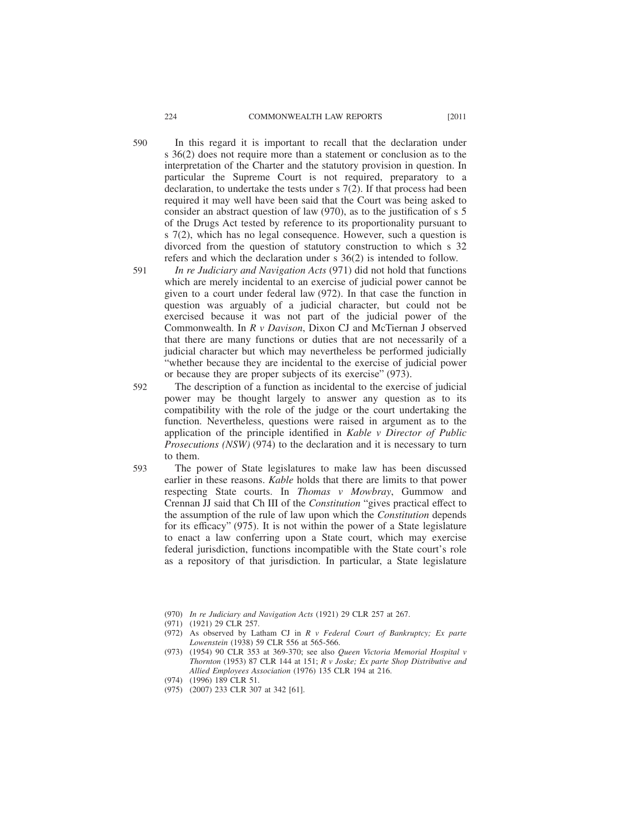- In this regard it is important to recall that the declaration under s 36(2) does not require more than a statement or conclusion as to the interpretation of the Charter and the statutory provision in question. In particular the Supreme Court is not required, preparatory to a declaration, to undertake the tests under s 7(2). If that process had been required it may well have been said that the Court was being asked to consider an abstract question of law (970), as to the justification of s 5 of the Drugs Act tested by reference to its proportionality pursuant to s 7(2), which has no legal consequence. However, such a question is divorced from the question of statutory construction to which s 32 refers and which the declaration under s 36(2) is intended to follow.
- *In re Judiciary and Navigation Acts* (971) did not hold that functions which are merely incidental to an exercise of judicial power cannot be given to a court under federal law (972). In that case the function in question was arguably of a judicial character, but could not be exercised because it was not part of the judicial power of the Commonwealth. In *R v Davison*, Dixon CJ and McTiernan J observed that there are many functions or duties that are not necessarily of a judicial character but which may nevertheless be performed judicially "whether because they are incidental to the exercise of judicial power or because they are proper subjects of its exercise" (973). 591
- The description of a function as incidental to the exercise of judicial power may be thought largely to answer any question as to its compatibility with the role of the judge or the court undertaking the function. Nevertheless, questions were raised in argument as to the application of the principle identified in *Kable v Director of Public Prosecutions (NSW)* (974) to the declaration and it is necessary to turn to them. 592
	- The power of State legislatures to make law has been discussed earlier in these reasons. *Kable* holds that there are limits to that power respecting State courts. In *Thomas v Mowbray*, Gummow and Crennan JJ said that Ch III of the *Constitution* "gives practical effect to the assumption of the rule of law upon which the *Constitution* depends for its efficacy" (975). It is not within the power of a State legislature to enact a law conferring upon a State court, which may exercise federal jurisdiction, functions incompatible with the State court's role as a repository of that jurisdiction. In particular, a State legislature
		- (970) *In re Judiciary and Navigation Acts* (1921) 29 CLR 257 at 267.
		- (971) (1921) 29 CLR 257.
		- (972) As observed by Latham CJ in *R v Federal Court of Bankruptcy; Ex parte Lowenstein* (1938) 59 CLR 556 at 565-566.
		- (973) (1954) 90 CLR 353 at 369-370; see also *Queen Victoria Memorial Hospital v Thornton* (1953) 87 CLR 144 at 151; *R v Joske; Ex parte Shop Distributive and Allied Employees Association* (1976) 135 CLR 194 at 216.
		- (974) (1996) 189 CLR 51.
		- (975) (2007) 233 CLR 307 at 342 [61].

590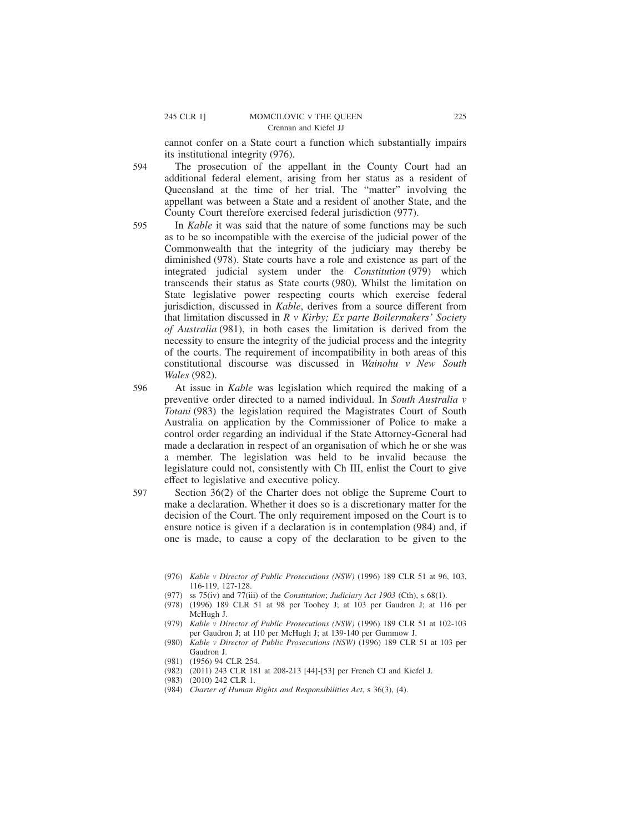cannot confer on a State court a function which substantially impairs its institutional integrity (976).

The prosecution of the appellant in the County Court had an additional federal element, arising from her status as a resident of Queensland at the time of her trial. The "matter" involving the appellant was between a State and a resident of another State, and the County Court therefore exercised federal jurisdiction (977). 594

595

596

597

In *Kable* it was said that the nature of some functions may be such as to be so incompatible with the exercise of the judicial power of the Commonwealth that the integrity of the judiciary may thereby be diminished (978). State courts have a role and existence as part of the integrated judicial system under the *Constitution* (979) which transcends their status as State courts (980). Whilst the limitation on State legislative power respecting courts which exercise federal jurisdiction, discussed in *Kable*, derives from a source different from that limitation discussed in *R v Kirby; Ex parte Boilermakers' Society of Australia* (981), in both cases the limitation is derived from the necessity to ensure the integrity of the judicial process and the integrity of the courts. The requirement of incompatibility in both areas of this constitutional discourse was discussed in *Wainohu v New South Wales* (982).

At issue in *Kable* was legislation which required the making of a preventive order directed to a named individual. In *South Australia v Totani* (983) the legislation required the Magistrates Court of South Australia on application by the Commissioner of Police to make a control order regarding an individual if the State Attorney-General had made a declaration in respect of an organisation of which he or she was a member. The legislation was held to be invalid because the legislature could not, consistently with Ch III, enlist the Court to give effect to legislative and executive policy.

Section 36(2) of the Charter does not oblige the Supreme Court to make a declaration. Whether it does so is a discretionary matter for the decision of the Court. The only requirement imposed on the Court is to ensure notice is given if a declaration is in contemplation (984) and, if one is made, to cause a copy of the declaration to be given to the

- (976) *Kable v Director of Public Prosecutions (NSW)* (1996) 189 CLR 51 at 96, 103, 116-119, 127-128.
- (977) ss 75(iv) and 77(iii) of the *Constitution*; *Judiciary Act 1903* (Cth), s 68(1).
- (978) (1996) 189 CLR 51 at 98 per Toohey J; at 103 per Gaudron J; at 116 per McHugh J.
- (979) *Kable v Director of Public Prosecutions (NSW)* (1996) 189 CLR 51 at 102-103 per Gaudron J; at 110 per McHugh J; at 139-140 per Gummow J.
- (980) *Kable v Director of Public Prosecutions (NSW)* (1996) 189 CLR 51 at 103 per Gaudron J.
- (981) (1956) 94 CLR 254.
- (982) (2011) 243 CLR 181 at 208-213 [44]-[53] per French CJ and Kiefel J.
- (983) (2010) 242 CLR 1.
- (984) *Charter of Human Rights and Responsibilities Act*, s 36(3), (4).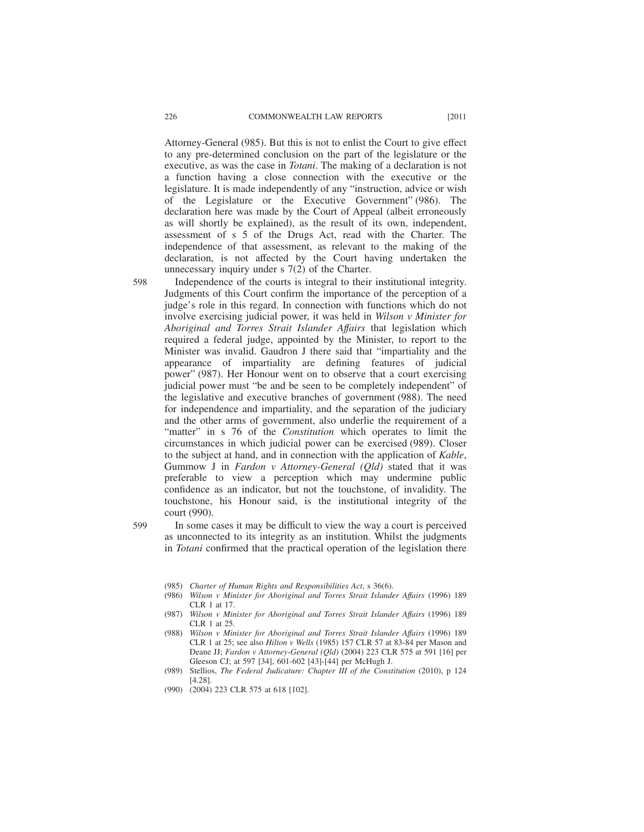Attorney-General (985). But this is not to enlist the Court to give effect to any pre-determined conclusion on the part of the legislature or the executive, as was the case in *Totani*. The making of a declaration is not a function having a close connection with the executive or the legislature. It is made independently of any "instruction, advice or wish of the Legislature or the Executive Government" (986). The declaration here was made by the Court of Appeal (albeit erroneously as will shortly be explained), as the result of its own, independent, assessment of s 5 of the Drugs Act, read with the Charter. The independence of that assessment, as relevant to the making of the declaration, is not affected by the Court having undertaken the unnecessary inquiry under s 7(2) of the Charter.

Independence of the courts is integral to their institutional integrity. Judgments of this Court confirm the importance of the perception of a judge's role in this regard. In connection with functions which do not involve exercising judicial power, it was held in *Wilson v Minister for Aboriginal and Torres Strait Islander Affairs* that legislation which required a federal judge, appointed by the Minister, to report to the Minister was invalid. Gaudron J there said that "impartiality and the appearance of impartiality are defining features of judicial power" (987). Her Honour went on to observe that a court exercising judicial power must "be and be seen to be completely independent" of the legislative and executive branches of government (988). The need for independence and impartiality, and the separation of the judiciary and the other arms of government, also underlie the requirement of a "matter" in s 76 of the *Constitution* which operates to limit the circumstances in which judicial power can be exercised (989). Closer to the subject at hand, and in connection with the application of *Kable*, Gummow J in *Fardon v Attorney-General (Qld)* stated that it was preferable to view a perception which may undermine public confidence as an indicator, but not the touchstone, of invalidity. The touchstone, his Honour said, is the institutional integrity of the court (990).

In some cases it may be difficult to view the way a court is perceived as unconnected to its integrity as an institution. Whilst the judgments in *Totani* confirmed that the practical operation of the legislation there

- (985) *Charter of Human Rights and Responsibilities Act*, s 36(6).
- (986) *Wilson v Minister for Aboriginal and Torres Strait Islander Affairs* (1996) 189 CLR 1 at 17.
- (987) *Wilson v Minister for Aboriginal and Torres Strait Islander Affairs* (1996) 189 CLR 1 at 25.
- (988) *Wilson v Minister for Aboriginal and Torres Strait Islander Affairs* (1996) 189 CLR 1 at 25; see also *Hilton v Wells* (1985) 157 CLR 57 at 83-84 per Mason and Deane JJ; *Fardon v Attorney-General (Qld)* (2004) 223 CLR 575 at 591 [16] per Gleeson CJ; at 597 [34], 601-602 [43]-[44] per McHugh J.
- (989) Stellios, *The Federal Judicature: Chapter III of the Constitution* (2010), p 124 [4.28].
- (990) (2004) 223 CLR 575 at 618 [102].

598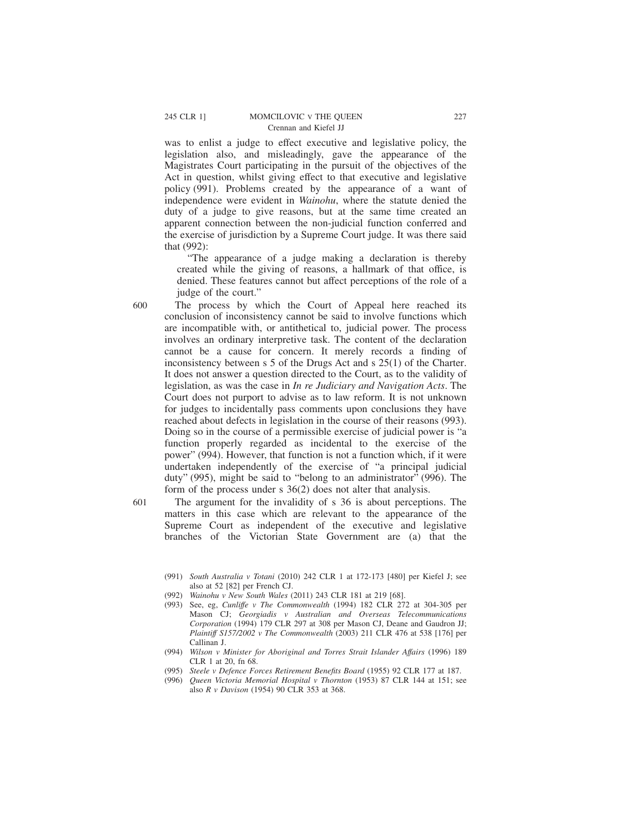## 245 CLR 1] MOMCILOVIC V THE QUEEN 227 Crennan and Kiefel JJ

was to enlist a judge to effect executive and legislative policy, the legislation also, and misleadingly, gave the appearance of the Magistrates Court participating in the pursuit of the objectives of the Act in question, whilst giving effect to that executive and legislative policy (991). Problems created by the appearance of a want of independence were evident in *Wainohu*, where the statute denied the duty of a judge to give reasons, but at the same time created an apparent connection between the non-judicial function conferred and the exercise of jurisdiction by a Supreme Court judge. It was there said that (992):

"The appearance of a judge making a declaration is thereby created while the giving of reasons, a hallmark of that office, is denied. These features cannot but affect perceptions of the role of a judge of the court."

The process by which the Court of Appeal here reached its conclusion of inconsistency cannot be said to involve functions which are incompatible with, or antithetical to, judicial power. The process involves an ordinary interpretive task. The content of the declaration cannot be a cause for concern. It merely records a finding of inconsistency between s 5 of the Drugs Act and s 25(1) of the Charter. It does not answer a question directed to the Court, as to the validity of legislation, as was the case in *In re Judiciary and Navigation Acts*. The Court does not purport to advise as to law reform. It is not unknown for judges to incidentally pass comments upon conclusions they have reached about defects in legislation in the course of their reasons (993). Doing so in the course of a permissible exercise of judicial power is "a function properly regarded as incidental to the exercise of the power" (994). However, that function is not a function which, if it were undertaken independently of the exercise of "a principal judicial duty" (995), might be said to "belong to an administrator" (996). The form of the process under s 36(2) does not alter that analysis.

The argument for the invalidity of s 36 is about perceptions. The matters in this case which are relevant to the appearance of the Supreme Court as independent of the executive and legislative branches of the Victorian State Government are (a) that the

- (991) *South Australia v Totani* (2010) 242 CLR 1 at 172-173 [480] per Kiefel J; see also at 52 [82] per French CJ.
- (992) *Wainohu v New South Wales* (2011) 243 CLR 181 at 219 [68].
- (993) See, eg, *Cunliffe v The Commonwealth* (1994) 182 CLR 272 at 304-305 per Mason CJ; *Georgiadis v Australian and Overseas Telecommunications Corporation* (1994) 179 CLR 297 at 308 per Mason CJ, Deane and Gaudron JJ; *Plaintiff S157/2002 v The Commonwealth* (2003) 211 CLR 476 at 538 [176] per Callinan J.
- (994) *Wilson v Minister for Aboriginal and Torres Strait Islander Affairs* (1996) 189 CLR 1 at 20, fn 68.
- (995) *Steele v Defence Forces Retirement Benefits Board* (1955) 92 CLR 177 at 187.
- (996) *Queen Victoria Memorial Hospital v Thornton* (1953) 87 CLR 144 at 151; see also *R v Davison* (1954) 90 CLR 353 at 368.

600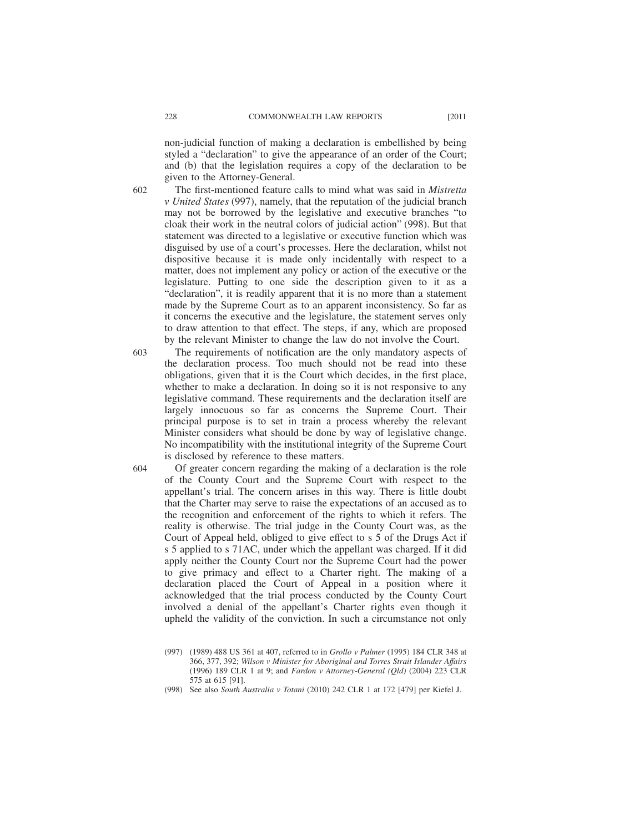non-judicial function of making a declaration is embellished by being styled a "declaration" to give the appearance of an order of the Court; and (b) that the legislation requires a copy of the declaration to be given to the Attorney-General.

The first-mentioned feature calls to mind what was said in *Mistretta v United States* (997), namely, that the reputation of the judicial branch may not be borrowed by the legislative and executive branches "to cloak their work in the neutral colors of judicial action" (998). But that statement was directed to a legislative or executive function which was disguised by use of a court's processes. Here the declaration, whilst not dispositive because it is made only incidentally with respect to a matter, does not implement any policy or action of the executive or the legislature. Putting to one side the description given to it as a "declaration", it is readily apparent that it is no more than a statement made by the Supreme Court as to an apparent inconsistency. So far as it concerns the executive and the legislature, the statement serves only to draw attention to that effect. The steps, if any, which are proposed by the relevant Minister to change the law do not involve the Court. 602

The requirements of notification are the only mandatory aspects of the declaration process. Too much should not be read into these obligations, given that it is the Court which decides, in the first place, whether to make a declaration. In doing so it is not responsive to any legislative command. These requirements and the declaration itself are largely innocuous so far as concerns the Supreme Court. Their principal purpose is to set in train a process whereby the relevant Minister considers what should be done by way of legislative change. No incompatibility with the institutional integrity of the Supreme Court is disclosed by reference to these matters.

Of greater concern regarding the making of a declaration is the role of the County Court and the Supreme Court with respect to the appellant's trial. The concern arises in this way. There is little doubt that the Charter may serve to raise the expectations of an accused as to the recognition and enforcement of the rights to which it refers. The reality is otherwise. The trial judge in the County Court was, as the Court of Appeal held, obliged to give effect to s 5 of the Drugs Act if s 5 applied to s 71AC, under which the appellant was charged. If it did apply neither the County Court nor the Supreme Court had the power to give primacy and effect to a Charter right. The making of a declaration placed the Court of Appeal in a position where it acknowledged that the trial process conducted by the County Court involved a denial of the appellant's Charter rights even though it upheld the validity of the conviction. In such a circumstance not only

(998) See also *South Australia v Totani* (2010) 242 CLR 1 at 172 [479] per Kiefel J.

603

<sup>(997) (1989) 488</sup> US 361 at 407, referred to in *Grollo v Palmer* (1995) 184 CLR 348 at 366, 377, 392; *Wilson v Minister for Aboriginal and Torres Strait Islander Affairs* (1996) 189 CLR 1 at 9; and *Fardon v Attorney-General (Qld)* (2004) 223 CLR 575 at 615 [91].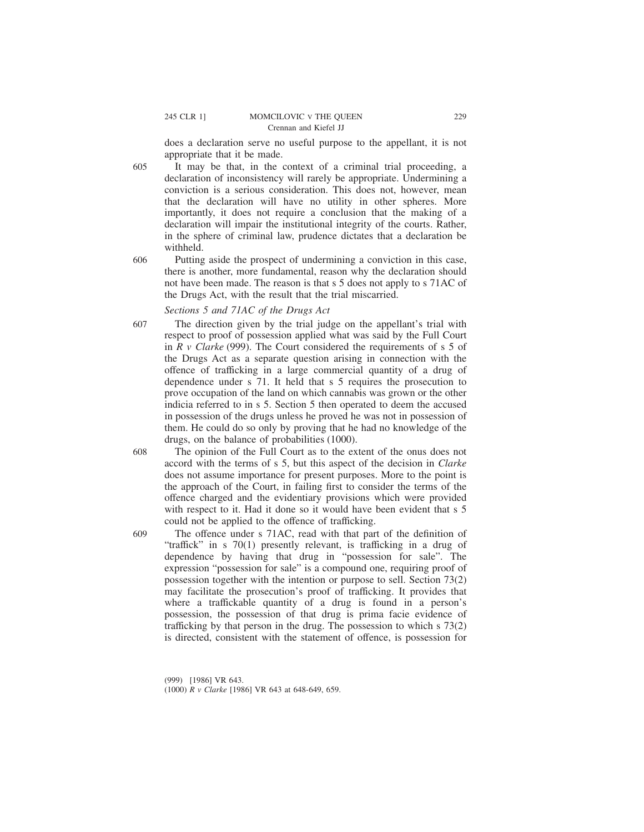## 245 CLR 1] MOMCILOVIC V THE QUEEN 229 Crennan and Kiefel JJ

does a declaration serve no useful purpose to the appellant, it is not appropriate that it be made.

It may be that, in the context of a criminal trial proceeding, a declaration of inconsistency will rarely be appropriate. Undermining a conviction is a serious consideration. This does not, however, mean that the declaration will have no utility in other spheres. More importantly, it does not require a conclusion that the making of a declaration will impair the institutional integrity of the courts. Rather, in the sphere of criminal law, prudence dictates that a declaration be withheld.

Putting aside the prospect of undermining a conviction in this case, there is another, more fundamental, reason why the declaration should not have been made. The reason is that s 5 does not apply to s 71AC of the Drugs Act, with the result that the trial miscarried.

*Sections 5 and 71AC of the Drugs Act*

The direction given by the trial judge on the appellant's trial with respect to proof of possession applied what was said by the Full Court in *R v Clarke* (999). The Court considered the requirements of s 5 of the Drugs Act as a separate question arising in connection with the offence of trafficking in a large commercial quantity of a drug of dependence under s 71. It held that s 5 requires the prosecution to prove occupation of the land on which cannabis was grown or the other indicia referred to in s 5. Section 5 then operated to deem the accused in possession of the drugs unless he proved he was not in possession of them. He could do so only by proving that he had no knowledge of the drugs, on the balance of probabilities (1000).

The opinion of the Full Court as to the extent of the onus does not accord with the terms of s 5, but this aspect of the decision in *Clarke* does not assume importance for present purposes. More to the point is the approach of the Court, in failing first to consider the terms of the offence charged and the evidentiary provisions which were provided with respect to it. Had it done so it would have been evident that s 5 could not be applied to the offence of trafficking.

The offence under s 71AC, read with that part of the definition of "traffick" in s 70(1) presently relevant, is trafficking in a drug of dependence by having that drug in "possession for sale". The expression "possession for sale" is a compound one, requiring proof of possession together with the intention or purpose to sell. Section 73(2) may facilitate the prosecution's proof of trafficking. It provides that where a traffickable quantity of a drug is found in a person's possession, the possession of that drug is prima facie evidence of trafficking by that person in the drug. The possession to which s 73(2) is directed, consistent with the statement of offence, is possession for

(999) [1986] VR 643.

605

606

607

608

<sup>(1000)</sup> *R v Clarke* [1986] VR 643 at 648-649, 659.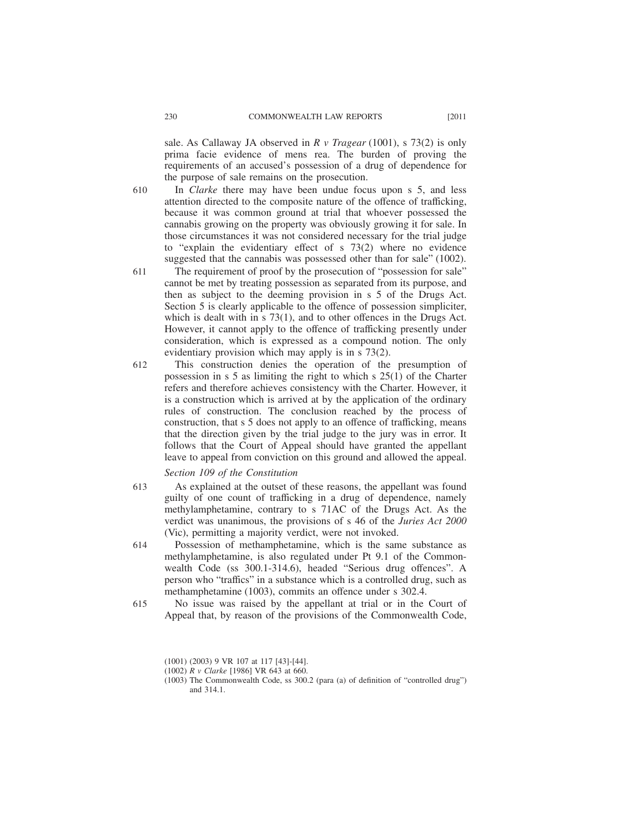sale. As Callaway JA observed in *R v Tragear* (1001), s 73(2) is only prima facie evidence of mens rea. The burden of proving the requirements of an accused's possession of a drug of dependence for the purpose of sale remains on the prosecution.

- In *Clarke* there may have been undue focus upon s 5, and less attention directed to the composite nature of the offence of trafficking, because it was common ground at trial that whoever possessed the cannabis growing on the property was obviously growing it for sale. In those circumstances it was not considered necessary for the trial judge to "explain the evidentiary effect of s 73(2) where no evidence suggested that the cannabis was possessed other than for sale" (1002). 610
- The requirement of proof by the prosecution of "possession for sale" cannot be met by treating possession as separated from its purpose, and then as subject to the deeming provision in s 5 of the Drugs Act. Section 5 is clearly applicable to the offence of possession simpliciter, which is dealt with in s 73(1), and to other offences in the Drugs Act. However, it cannot apply to the offence of trafficking presently under consideration, which is expressed as a compound notion. The only evidentiary provision which may apply is in s 73(2). 611
- This construction denies the operation of the presumption of possession in s 5 as limiting the right to which s 25(1) of the Charter refers and therefore achieves consistency with the Charter. However, it is a construction which is arrived at by the application of the ordinary rules of construction. The conclusion reached by the process of construction, that s 5 does not apply to an offence of trafficking, means that the direction given by the trial judge to the jury was in error. It follows that the Court of Appeal should have granted the appellant leave to appeal from conviction on this ground and allowed the appeal. 612

## *Section 109 of the Constitution*

- As explained at the outset of these reasons, the appellant was found guilty of one count of trafficking in a drug of dependence, namely methylamphetamine, contrary to s 71AC of the Drugs Act. As the verdict was unanimous, the provisions of s 46 of the *Juries Act 2000* (Vic), permitting a majority verdict, were not invoked. 613
- Possession of methamphetamine, which is the same substance as methylamphetamine, is also regulated under Pt 9.1 of the Commonwealth Code (ss 300.1-314.6), headed "Serious drug offences". A person who "traffics" in a substance which is a controlled drug, such as methamphetamine (1003), commits an offence under s 302.4. 614
- No issue was raised by the appellant at trial or in the Court of Appeal that, by reason of the provisions of the Commonwealth Code, 615

<sup>(1001) (2003) 9</sup> VR 107 at 117 [43]-[44].

<sup>(1002)</sup> *R v Clarke* [1986] VR 643 at 660.

<sup>(1003)</sup> The Commonwealth Code, ss 300.2 (para (a) of definition of "controlled drug") and 314.1.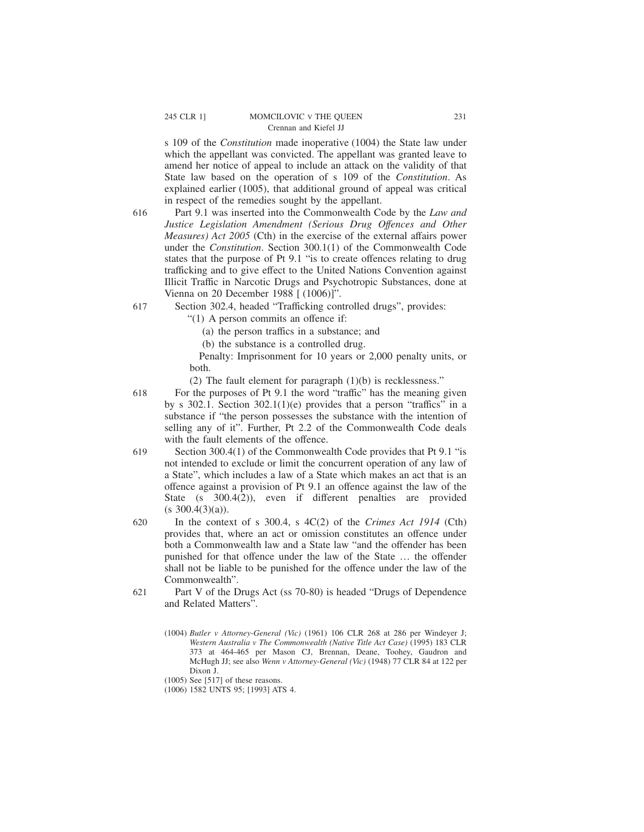## 245 CLR 1] MOMCILOVIC V THE QUEEN 231 Crennan and Kiefel JJ

s 109 of the *Constitution* made inoperative (1004) the State law under which the appellant was convicted. The appellant was granted leave to amend her notice of appeal to include an attack on the validity of that State law based on the operation of s 109 of the *Constitution*. As explained earlier (1005), that additional ground of appeal was critical in respect of the remedies sought by the appellant.

616

Part 9.1 was inserted into the Commonwealth Code by the *Law and Justice Legislation Amendment (Serious Drug Offences and Other Measures) Act 2005* (Cth) in the exercise of the external affairs power under the *Constitution*. Section 300.1(1) of the Commonwealth Code states that the purpose of Pt 9.1 "is to create offences relating to drug trafficking and to give effect to the United Nations Convention against Illicit Traffic in Narcotic Drugs and Psychotropic Substances, done at Vienna on 20 December 1988 [ (1006)]".

- Section 302.4, headed "Trafficking controlled drugs", provides: 617
	- "(1) A person commits an offence if:
		- (a) the person traffics in a substance; and
		- (b) the substance is a controlled drug.

Penalty: Imprisonment for 10 years or 2,000 penalty units, or both.

(2) The fault element for paragraph (1)(b) is recklessness."

- For the purposes of Pt 9.1 the word "traffic" has the meaning given by s  $302.1$ . Section  $302.1(1)(e)$  provides that a person "traffics" in a substance if "the person possesses the substance with the intention of selling any of it". Further, Pt 2.2 of the Commonwealth Code deals with the fault elements of the offence. 618
- Section 300.4(1) of the Commonwealth Code provides that Pt 9.1 "is not intended to exclude or limit the concurrent operation of any law of a State", which includes a law of a State which makes an act that is an offence against a provision of Pt 9.1 an offence against the law of the State (s 300.4(2)), even if different penalties are provided  $(s\ 300.4(3)(a))$ . 619
- In the context of s 300.4, s 4C(2) of the *Crimes Act 1914* (Cth) provides that, where an act or omission constitutes an offence under both a Commonwealth law and a State law "and the offender has been punished for that offence under the law of the State … the offender shall not be liable to be punished for the offence under the law of the Commonwealth". 620
- Part V of the Drugs Act (ss 70-80) is headed "Drugs of Dependence and Related Matters". 621
	- (1004) *Butler v Attorney-General (Vic)* (1961) 106 CLR 268 at 286 per Windeyer J; *Western Australia v The Commonwealth (Native Title Act Case)* (1995) 183 CLR 373 at 464-465 per Mason CJ, Brennan, Deane, Toohey, Gaudron and McHugh JJ; see also *Wenn v Attorney-General (Vic)* (1948) 77 CLR 84 at 122 per Dixon J.
	- (1005) See [517] of these reasons.
	- (1006) 1582 UNTS 95; [1993] ATS 4.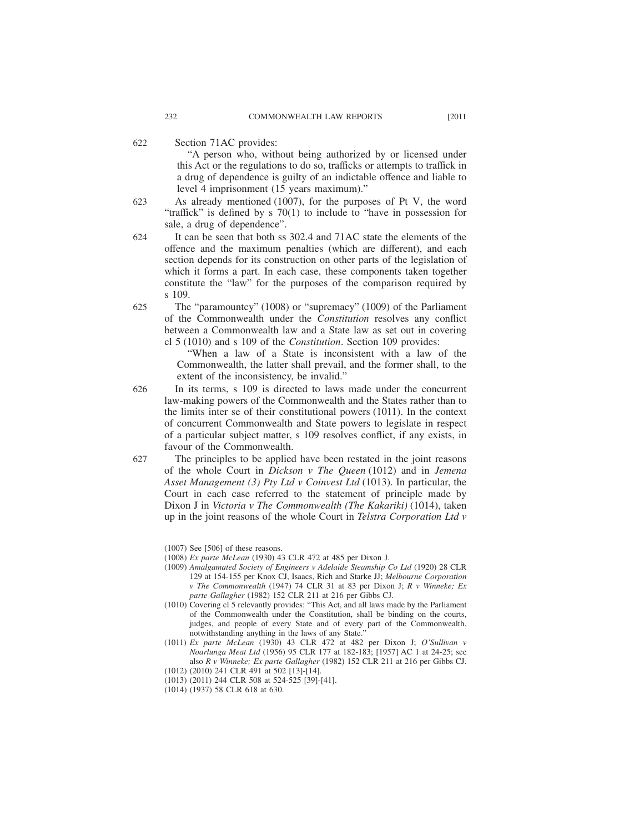Section 71AC provides: 622

> "A person who, without being authorized by or licensed under this Act or the regulations to do so, trafficks or attempts to traffick in a drug of dependence is guilty of an indictable offence and liable to level 4 imprisonment (15 years maximum)."

- As already mentioned (1007), for the purposes of Pt V, the word "traffick" is defined by s 70(1) to include to "have in possession for sale, a drug of dependence". 623
- It can be seen that both ss 302.4 and 71AC state the elements of the offence and the maximum penalties (which are different), and each section depends for its construction on other parts of the legislation of which it forms a part. In each case, these components taken together constitute the "law" for the purposes of the comparison required by s 109. 624
	- The "paramountcy" (1008) or "supremacy" (1009) of the Parliament of the Commonwealth under the *Constitution* resolves any conflict between a Commonwealth law and a State law as set out in covering cl 5 (1010) and s 109 of the *Constitution*. Section 109 provides:

"When a law of a State is inconsistent with a law of the Commonwealth, the latter shall prevail, and the former shall, to the extent of the inconsistency, be invalid."

- In its terms, s 109 is directed to laws made under the concurrent law-making powers of the Commonwealth and the States rather than to the limits inter se of their constitutional powers (1011). In the context of concurrent Commonwealth and State powers to legislate in respect of a particular subject matter, s 109 resolves conflict, if any exists, in favour of the Commonwealth. 626
- The principles to be applied have been restated in the joint reasons of the whole Court in *Dickson v The Queen* (1012) and in *Jemena Asset Management (3) Pty Ltd v Coinvest Ltd* (1013). In particular, the Court in each case referred to the statement of principle made by Dixon J in *Victoria v The Commonwealth (The Kakariki)* (1014), taken up in the joint reasons of the whole Court in *Telstra Corporation Ltd v* 627

- (1008) *Ex parte McLean* (1930) 43 CLR 472 at 485 per Dixon J.
- (1009) *Amalgamated Society of Engineers v Adelaide Steamship Co Ltd* (1920) 28 CLR 129 at 154-155 per Knox CJ, Isaacs, Rich and Starke JJ; *Melbourne Corporation v The Commonwealth* (1947) 74 CLR 31 at 83 per Dixon J; *R v Winneke; Ex parte Gallagher* (1982) 152 CLR 211 at 216 per Gibbs CJ.
- (1010) Covering cl 5 relevantly provides: "This Act, and all laws made by the Parliament of the Commonwealth under the Constitution, shall be binding on the courts, judges, and people of every State and of every part of the Commonwealth, notwithstanding anything in the laws of any State."
- (1011) *Ex parte McLean* (1930) 43 CLR 472 at 482 per Dixon J; *O'Sullivan v Noarlunga Meat Ltd* (1956) 95 CLR 177 at 182-183; [1957] AC 1 at 24-25; see also *R v Winneke; Ex parte Gallagher* (1982) 152 CLR 211 at 216 per Gibbs CJ.
- (1012) (2010) 241 CLR 491 at 502 [13]-[14].
- (1013) (2011) 244 CLR 508 at 524-525 [39]-[41].
- (1014) (1937) 58 CLR 618 at 630.

<sup>(1007)</sup> See [506] of these reasons.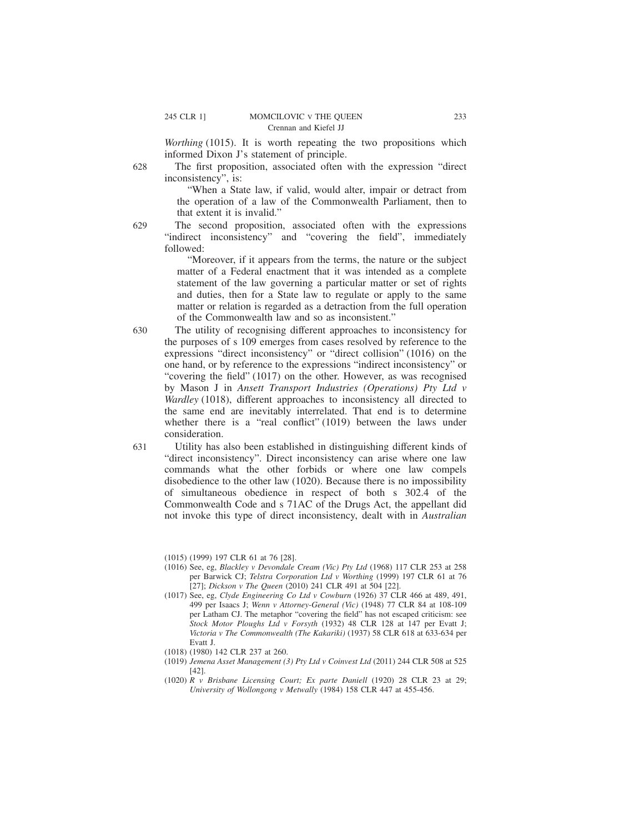*Worthing* (1015). It is worth repeating the two propositions which informed Dixon J's statement of principle.

628

The first proposition, associated often with the expression "direct inconsistency", is:

"When a State law, if valid, would alter, impair or detract from the operation of a law of the Commonwealth Parliament, then to that extent it is invalid."

629

The second proposition, associated often with the expressions "indirect inconsistency" and "covering the field", immediately followed:

"Moreover, if it appears from the terms, the nature or the subject matter of a Federal enactment that it was intended as a complete statement of the law governing a particular matter or set of rights and duties, then for a State law to regulate or apply to the same matter or relation is regarded as a detraction from the full operation of the Commonwealth law and so as inconsistent."

- The utility of recognising different approaches to inconsistency for the purposes of s 109 emerges from cases resolved by reference to the expressions "direct inconsistency" or "direct collision" (1016) on the one hand, or by reference to the expressions "indirect inconsistency" or "covering the field" (1017) on the other. However, as was recognised by Mason J in *Ansett Transport Industries (Operations) Pty Ltd v Wardley* (1018), different approaches to inconsistency all directed to the same end are inevitably interrelated. That end is to determine whether there is a "real conflict" (1019) between the laws under consideration. 630
- Utility has also been established in distinguishing different kinds of "direct inconsistency". Direct inconsistency can arise where one law commands what the other forbids or where one law compels disobedience to the other law (1020). Because there is no impossibility of simultaneous obedience in respect of both s 302.4 of the Commonwealth Code and s 71AC of the Drugs Act, the appellant did not invoke this type of direct inconsistency, dealt with in *Australian* 631

- (1016) See, eg, *Blackley v Devondale Cream (Vic) Pty Ltd* (1968) 117 CLR 253 at 258 per Barwick CJ; *Telstra Corporation Ltd v Worthing* (1999) 197 CLR 61 at 76 [27]; *Dickson v The Queen* (2010) 241 CLR 491 at 504 [22].
- (1017) See, eg, *Clyde Engineering Co Ltd v Cowburn* (1926) 37 CLR 466 at 489, 491, 499 per Isaacs J; *Wenn v Attorney-General (Vic)* (1948) 77 CLR 84 at 108-109 per Latham CJ. The metaphor "covering the field" has not escaped criticism: see *Stock Motor Ploughs Ltd v Forsyth* (1932) 48 CLR 128 at 147 per Evatt J; *Victoria v The Commonwealth (The Kakariki)* (1937) 58 CLR 618 at 633-634 per Evatt J.
- (1018) (1980) 142 CLR 237 at 260.
- (1019) *Jemena Asset Management (3) Pty Ltd v Coinvest Ltd* (2011) 244 CLR 508 at 525 [42].
- (1020) *R v Brisbane Licensing Court; Ex parte Daniell* (1920) 28 CLR 23 at 29; *University of Wollongong v Metwally* (1984) 158 CLR 447 at 455-456.

<sup>(1015) (1999) 197</sup> CLR 61 at 76 [28].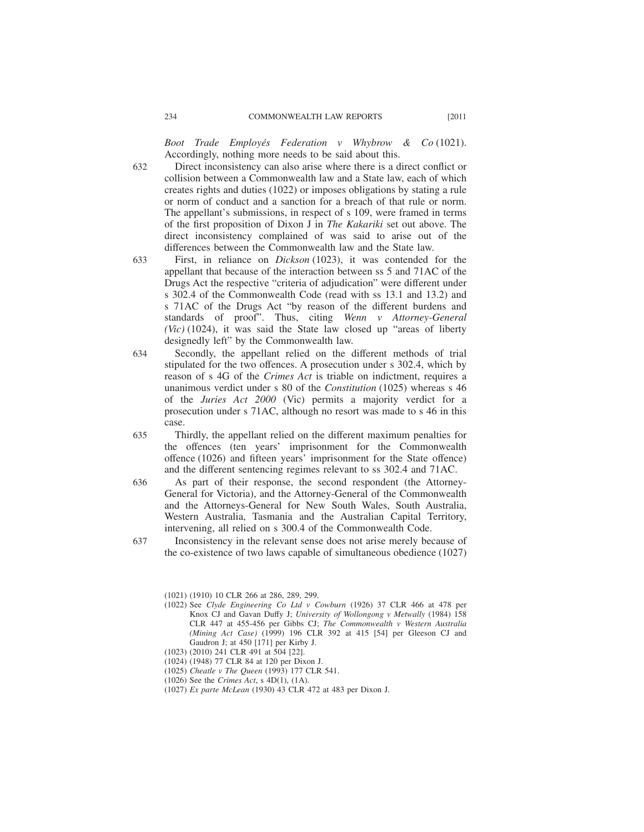*Boot Trade Employés Federation v Whybrow & Co* (1021). Accordingly, nothing more needs to be said about this.

Direct inconsistency can also arise where there is a direct conflict or collision between a Commonwealth law and a State law, each of which creates rights and duties (1022) or imposes obligations by stating a rule or norm of conduct and a sanction for a breach of that rule or norm. The appellant's submissions, in respect of s 109, were framed in terms of the first proposition of Dixon J in *The Kakariki* set out above. The direct inconsistency complained of was said to arise out of the differences between the Commonwealth law and the State law.

- First, in reliance on *Dickson* (1023), it was contended for the appellant that because of the interaction between ss 5 and 71AC of the Drugs Act the respective "criteria of adjudication" were different under s 302.4 of the Commonwealth Code (read with ss 13.1 and 13.2) and s 71AC of the Drugs Act "by reason of the different burdens and standards of proof". Thus, citing *Wenn v Attorney-General (Vic)* (1024), it was said the State law closed up "areas of liberty designedly left" by the Commonwealth law. 633
- Secondly, the appellant relied on the different methods of trial stipulated for the two offences. A prosecution under s 302.4, which by reason of s 4G of the *Crimes Act* is triable on indictment, requires a unanimous verdict under s 80 of the *Constitution* (1025) whereas s 46 of the *Juries Act 2000* (Vic) permits a majority verdict for a prosecution under s 71AC, although no resort was made to s 46 in this case. 634
- Thirdly, the appellant relied on the different maximum penalties for the offences (ten years' imprisonment for the Commonwealth offence (1026) and fifteen years' imprisonment for the State offence) and the different sentencing regimes relevant to ss 302.4 and 71AC. 635
- As part of their response, the second respondent (the Attorney-General for Victoria), and the Attorney-General of the Commonwealth and the Attorneys-General for New South Wales, South Australia, Western Australia, Tasmania and the Australian Capital Territory, intervening, all relied on s 300.4 of the Commonwealth Code. 636
- Inconsistency in the relevant sense does not arise merely because of the co-existence of two laws capable of simultaneous obedience (1027) 637

- (1022) See *Clyde Engineering Co Ltd v Cowburn* (1926) 37 CLR 466 at 478 per Knox CJ and Gavan Duffy J; *University of Wollongong v Metwally* (1984) 158 CLR 447 at 455-456 per Gibbs CJ; *The Commonwealth v Western Australia (Mining Act Case)* (1999) 196 CLR 392 at 415 [54] per Gleeson CJ and Gaudron J; at 450 [171] per Kirby J.
- (1023) (2010) 241 CLR 491 at 504 [22].
- (1024) (1948) 77 CLR 84 at 120 per Dixon J.
- (1025) *Cheatle v The Queen* (1993) 177 CLR 541.
- (1026) See the *Crimes Act*, s 4D(1), (1A).
- (1027) *Ex parte McLean* (1930) 43 CLR 472 at 483 per Dixon J.

<sup>(1021) (1910) 10</sup> CLR 266 at 286, 289, 299.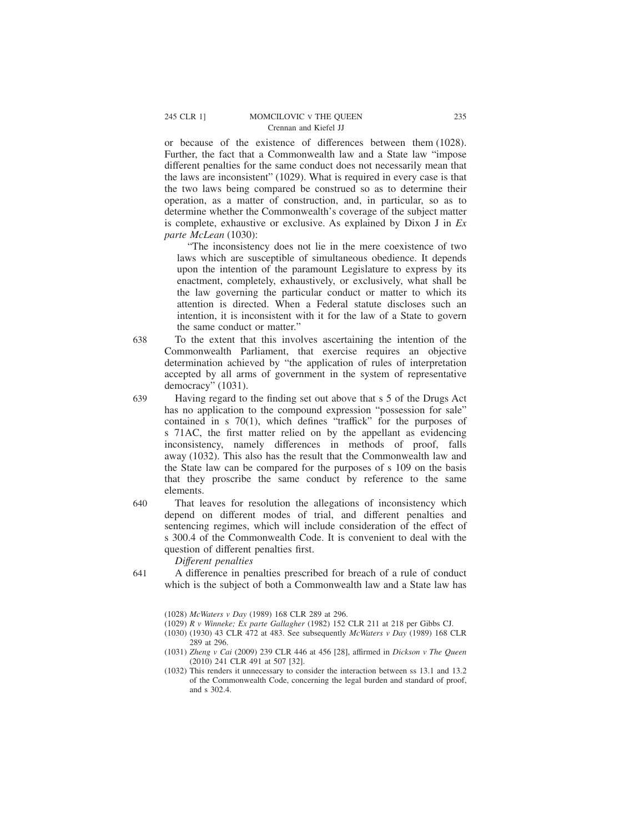## 245 CLR 1] MOMCILOVIC V THE QUEEN 235 Crennan and Kiefel JJ

or because of the existence of differences between them (1028). Further, the fact that a Commonwealth law and a State law "impose different penalties for the same conduct does not necessarily mean that the laws are inconsistent" (1029). What is required in every case is that the two laws being compared be construed so as to determine their operation, as a matter of construction, and, in particular, so as to determine whether the Commonwealth's coverage of the subject matter is complete, exhaustive or exclusive. As explained by Dixon J in *Ex parte McLean* (1030):

"The inconsistency does not lie in the mere coexistence of two laws which are susceptible of simultaneous obedience. It depends upon the intention of the paramount Legislature to express by its enactment, completely, exhaustively, or exclusively, what shall be the law governing the particular conduct or matter to which its attention is directed. When a Federal statute discloses such an intention, it is inconsistent with it for the law of a State to govern the same conduct or matter."

- To the extent that this involves ascertaining the intention of the Commonwealth Parliament, that exercise requires an objective determination achieved by "the application of rules of interpretation accepted by all arms of government in the system of representative democracy" (1031). 638
- Having regard to the finding set out above that s 5 of the Drugs Act has no application to the compound expression "possession for sale" contained in s 70(1), which defines "traffick" for the purposes of s 71AC, the first matter relied on by the appellant as evidencing inconsistency, namely differences in methods of proof, falls away (1032). This also has the result that the Commonwealth law and the State law can be compared for the purposes of s 109 on the basis that they proscribe the same conduct by reference to the same elements. 639
- That leaves for resolution the allegations of inconsistency which depend on different modes of trial, and different penalties and sentencing regimes, which will include consideration of the effect of s 300.4 of the Commonwealth Code. It is convenient to deal with the question of different penalties first. 640

*Different penalties*

641

A difference in penalties prescribed for breach of a rule of conduct which is the subject of both a Commonwealth law and a State law has

- (1029) *R v Winneke; Ex parte Gallagher* (1982) 152 CLR 211 at 218 per Gibbs CJ.
- (1030) (1930) 43 CLR 472 at 483. See subsequently *McWaters v Day* (1989) 168 CLR 289 at 296.
- (1031) *Zheng v Cai* (2009) 239 CLR 446 at 456 [28], affirmed in *Dickson v The Queen* (2010) 241 CLR 491 at 507 [32].
- (1032) This renders it unnecessary to consider the interaction between ss 13.1 and 13.2 of the Commonwealth Code, concerning the legal burden and standard of proof, and s 302.4.

<sup>(1028)</sup> *McWaters v Day* (1989) 168 CLR 289 at 296.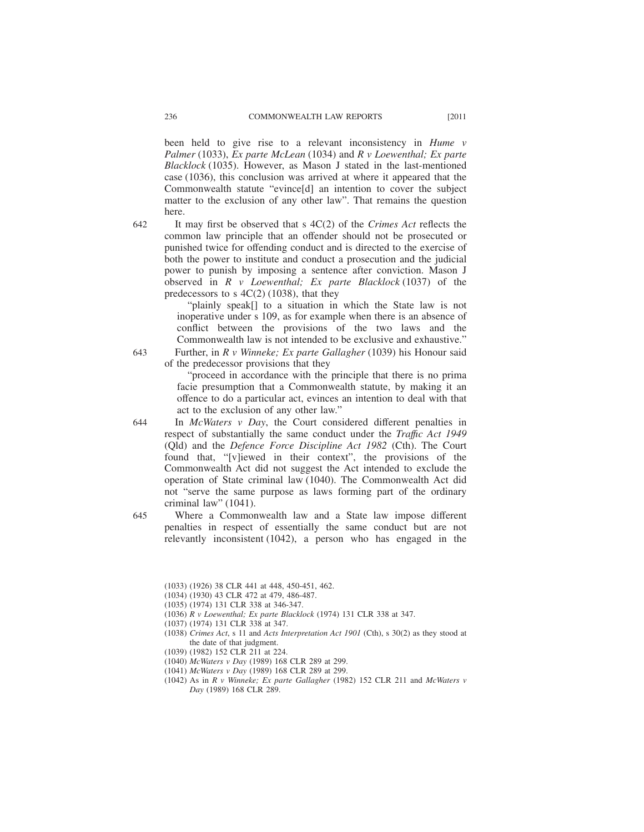been held to give rise to a relevant inconsistency in *Hume v Palmer* (1033), *Ex parte McLean* (1034) and *R v Loewenthal; Ex parte Blacklock* (1035). However, as Mason J stated in the last-mentioned case (1036), this conclusion was arrived at where it appeared that the Commonwealth statute "evince[d] an intention to cover the subject matter to the exclusion of any other law". That remains the question here.

642

It may first be observed that s 4C(2) of the *Crimes Act* reflects the common law principle that an offender should not be prosecuted or punished twice for offending conduct and is directed to the exercise of both the power to institute and conduct a prosecution and the judicial power to punish by imposing a sentence after conviction. Mason J observed in *R v Loewenthal; Ex parte Blacklock* (1037) of the predecessors to s  $4C(2)$  (1038), that they

"plainly speak[] to a situation in which the State law is not inoperative under s 109, as for example when there is an absence of conflict between the provisions of the two laws and the Commonwealth law is not intended to be exclusive and exhaustive."

Further, in *R v Winneke; Ex parte Gallagher* (1039) his Honour said of the predecessor provisions that they

"proceed in accordance with the principle that there is no prima facie presumption that a Commonwealth statute, by making it an offence to do a particular act, evinces an intention to deal with that act to the exclusion of any other law."

- In *McWaters v Day*, the Court considered different penalties in respect of substantially the same conduct under the *Traffıc Act 1949* (Qld) and the *Defence Force Discipline Act 1982* (Cth). The Court found that, "[v]iewed in their context", the provisions of the Commonwealth Act did not suggest the Act intended to exclude the operation of State criminal law (1040). The Commonwealth Act did not "serve the same purpose as laws forming part of the ordinary criminal law" (1041). 644
- Where a Commonwealth law and a State law impose different penalties in respect of essentially the same conduct but are not relevantly inconsistent (1042), a person who has engaged in the 645

- (1034) (1930) 43 CLR 472 at 479, 486-487.
- (1035) (1974) 131 CLR 338 at 346-347.
- (1036) *R v Loewenthal; Ex parte Blacklock* (1974) 131 CLR 338 at 347.
- (1037) (1974) 131 CLR 338 at 347.
- (1038) *Crimes Act*, s 11 and *Acts Interpretation Act 1901* (Cth), s 30(2) as they stood at the date of that judgment.
- (1039) (1982) 152 CLR 211 at 224.
- (1040) *McWaters v Day* (1989) 168 CLR 289 at 299.
- (1041) *McWaters v Day* (1989) 168 CLR 289 at 299.
- (1042) As in *R v Winneke; Ex parte Gallagher* (1982) 152 CLR 211 and *McWaters v Day* (1989) 168 CLR 289.

<sup>(1033) (1926) 38</sup> CLR 441 at 448, 450-451, 462.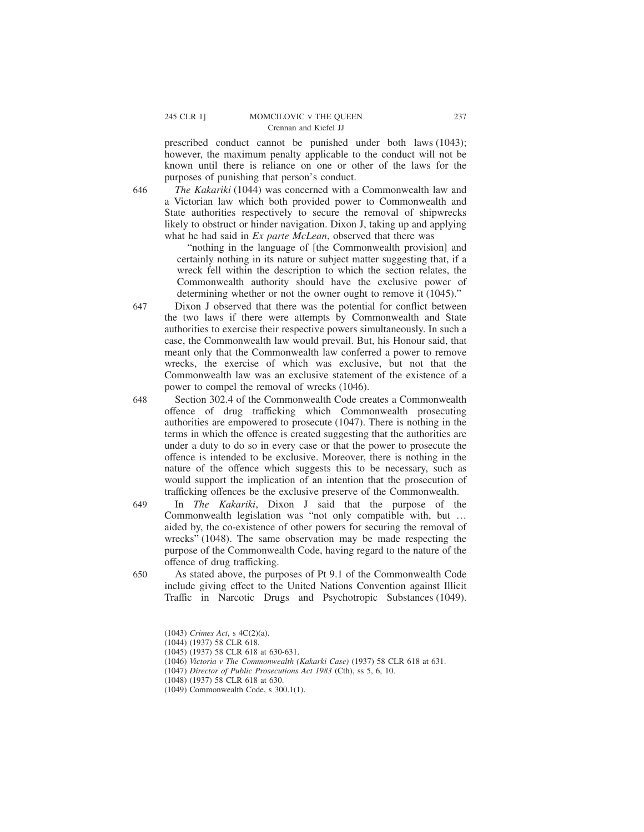646

## 245 CLR 1] MOMCILOVIC V THE QUEEN 237 Crennan and Kiefel JJ

prescribed conduct cannot be punished under both laws (1043); however, the maximum penalty applicable to the conduct will not be known until there is reliance on one or other of the laws for the purposes of punishing that person's conduct.

*The Kakariki* (1044) was concerned with a Commonwealth law and a Victorian law which both provided power to Commonwealth and State authorities respectively to secure the removal of shipwrecks likely to obstruct or hinder navigation. Dixon J, taking up and applying what he had said in *Ex parte McLean*, observed that there was

"nothing in the language of [the Commonwealth provision] and certainly nothing in its nature or subject matter suggesting that, if a wreck fell within the description to which the section relates, the Commonwealth authority should have the exclusive power of determining whether or not the owner ought to remove it (1045)."

Dixon J observed that there was the potential for conflict between the two laws if there were attempts by Commonwealth and State authorities to exercise their respective powers simultaneously. In such a case, the Commonwealth law would prevail. But, his Honour said, that meant only that the Commonwealth law conferred a power to remove wrecks, the exercise of which was exclusive, but not that the Commonwealth law was an exclusive statement of the existence of a power to compel the removal of wrecks (1046). 647

Section 302.4 of the Commonwealth Code creates a Commonwealth offence of drug trafficking which Commonwealth prosecuting authorities are empowered to prosecute (1047). There is nothing in the terms in which the offence is created suggesting that the authorities are under a duty to do so in every case or that the power to prosecute the offence is intended to be exclusive. Moreover, there is nothing in the nature of the offence which suggests this to be necessary, such as would support the implication of an intention that the prosecution of trafficking offences be the exclusive preserve of the Commonwealth. 648

In *The Kakariki*, Dixon J said that the purpose of the Commonwealth legislation was "not only compatible with, but … aided by, the co-existence of other powers for securing the removal of wrecks" (1048). The same observation may be made respecting the purpose of the Commonwealth Code, having regard to the nature of the offence of drug trafficking. 649

650

As stated above, the purposes of Pt 9.1 of the Commonwealth Code include giving effect to the United Nations Convention against Illicit Traffic in Narcotic Drugs and Psychotropic Substances (1049).

- (1046) *Victoria v The Commonwealth (Kakarki Case)* (1937) 58 CLR 618 at 631.
- (1047) *Director of Public Prosecutions Act 1983* (Cth), ss 5, 6, 10.

(1049) Commonwealth Code, s 300.1(1).

<sup>(1043)</sup> *Crimes Act*, s 4C(2)(a).

<sup>(1044) (1937) 58</sup> CLR 618.

<sup>(1045) (1937) 58</sup> CLR 618 at 630-631.

<sup>(1048) (1937) 58</sup> CLR 618 at 630.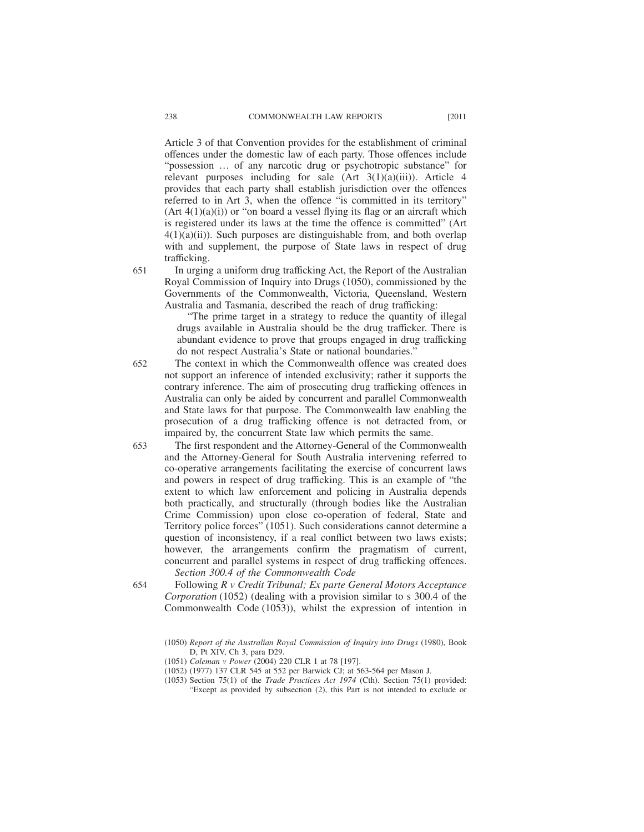Article 3 of that Convention provides for the establishment of criminal offences under the domestic law of each party. Those offences include "possession … of any narcotic drug or psychotropic substance" for relevant purposes including for sale (Art 3(1)(a)(iii)). Article 4 provides that each party shall establish jurisdiction over the offences referred to in Art 3, when the offence "is committed in its territory" (Art  $4(1)(a)(i)$ ) or "on board a vessel flying its flag or an aircraft which is registered under its laws at the time the offence is committed" (Art  $4(1)(a)(ii)$ ). Such purposes are distinguishable from, and both overlap with and supplement, the purpose of State laws in respect of drug trafficking.

In urging a uniform drug trafficking Act, the Report of the Australian Royal Commission of Inquiry into Drugs (1050), commissioned by the Governments of the Commonwealth, Victoria, Queensland, Western Australia and Tasmania, described the reach of drug trafficking:

"The prime target in a strategy to reduce the quantity of illegal drugs available in Australia should be the drug trafficker. There is abundant evidence to prove that groups engaged in drug trafficking do not respect Australia's State or national boundaries."

- The context in which the Commonwealth offence was created does not support an inference of intended exclusivity; rather it supports the contrary inference. The aim of prosecuting drug trafficking offences in Australia can only be aided by concurrent and parallel Commonwealth and State laws for that purpose. The Commonwealth law enabling the prosecution of a drug trafficking offence is not detracted from, or impaired by, the concurrent State law which permits the same. 652
- The first respondent and the Attorney-General of the Commonwealth and the Attorney-General for South Australia intervening referred to co-operative arrangements facilitating the exercise of concurrent laws and powers in respect of drug trafficking. This is an example of "the extent to which law enforcement and policing in Australia depends both practically, and structurally (through bodies like the Australian Crime Commission) upon close co-operation of federal, State and Territory police forces" (1051). Such considerations cannot determine a question of inconsistency, if a real conflict between two laws exists; however, the arrangements confirm the pragmatism of current, concurrent and parallel systems in respect of drug trafficking offences. *Section 300.4 of the Commonwealth Code* 653

Following *R v Credit Tribunal; Ex parte General Motors Acceptance Corporation* (1052) (dealing with a provision similar to s 300.4 of the Commonwealth Code (1053)), whilst the expression of intention in

651

<sup>(1050)</sup> *Report of the Australian Royal Commission of Inquiry into Drugs* (1980), Book D, Pt XIV, Ch 3, para D29.

<sup>(1051)</sup> *Coleman v Power* (2004) 220 CLR 1 at 78 [197].

<sup>(1052) (1977) 137</sup> CLR 545 at 552 per Barwick CJ; at 563-564 per Mason J.

<sup>(1053)</sup> Section 75(1) of the *Trade Practices Act 1974* (Cth). Section 75(1) provided: "Except as provided by subsection (2), this Part is not intended to exclude or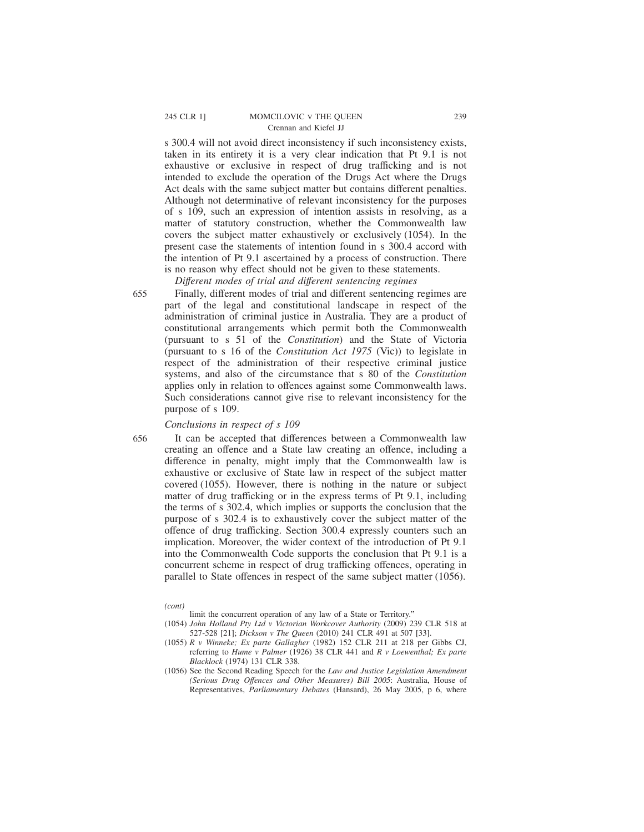655

656

## 245 CLR 1] MOMCILOVIC V THE QUEEN 239 Crennan and Kiefel JJ

s 300.4 will not avoid direct inconsistency if such inconsistency exists, taken in its entirety it is a very clear indication that Pt 9.1 is not exhaustive or exclusive in respect of drug trafficking and is not intended to exclude the operation of the Drugs Act where the Drugs Act deals with the same subject matter but contains different penalties. Although not determinative of relevant inconsistency for the purposes of s 109, such an expression of intention assists in resolving, as a matter of statutory construction, whether the Commonwealth law covers the subject matter exhaustively or exclusively (1054). In the present case the statements of intention found in s 300.4 accord with the intention of Pt 9.1 ascertained by a process of construction. There is no reason why effect should not be given to these statements.

*Different modes of trial and different sentencing regimes*

Finally, different modes of trial and different sentencing regimes are part of the legal and constitutional landscape in respect of the administration of criminal justice in Australia. They are a product of constitutional arrangements which permit both the Commonwealth (pursuant to s 51 of the *Constitution*) and the State of Victoria (pursuant to s 16 of the *Constitution Act 1975* (Vic)) to legislate in respect of the administration of their respective criminal justice systems, and also of the circumstance that s 80 of the *Constitution* applies only in relation to offences against some Commonwealth laws. Such considerations cannot give rise to relevant inconsistency for the purpose of s 109.

*Conclusions in respect of s 109*

It can be accepted that differences between a Commonwealth law creating an offence and a State law creating an offence, including a difference in penalty, might imply that the Commonwealth law is exhaustive or exclusive of State law in respect of the subject matter covered (1055). However, there is nothing in the nature or subject matter of drug trafficking or in the express terms of Pt 9.1, including the terms of s 302.4, which implies or supports the conclusion that the purpose of s 302.4 is to exhaustively cover the subject matter of the offence of drug trafficking. Section 300.4 expressly counters such an implication. Moreover, the wider context of the introduction of Pt 9.1 into the Commonwealth Code supports the conclusion that Pt 9.1 is a concurrent scheme in respect of drug trafficking offences, operating in parallel to State offences in respect of the same subject matter (1056).

*(cont)*

limit the concurrent operation of any law of a State or Territory."

- (1054) *John Holland Pty Ltd v Victorian Workcover Authority* (2009) 239 CLR 518 at 527-528 [21]; *Dickson v The Queen* (2010) 241 CLR 491 at 507 [33].
- (1055) *R v Winneke; Ex parte Gallagher* (1982) 152 CLR 211 at 218 per Gibbs CJ, referring to *Hume v Palmer* (1926) 38 CLR 441 and *R v Loewenthal; Ex parte Blacklock* (1974) 131 CLR 338.
- (1056) See the Second Reading Speech for the *Law and Justice Legislation Amendment (Serious Drug Offences and Other Measures) Bill 2005*: Australia, House of Representatives, *Parliamentary Debates* (Hansard), 26 May 2005, p 6, where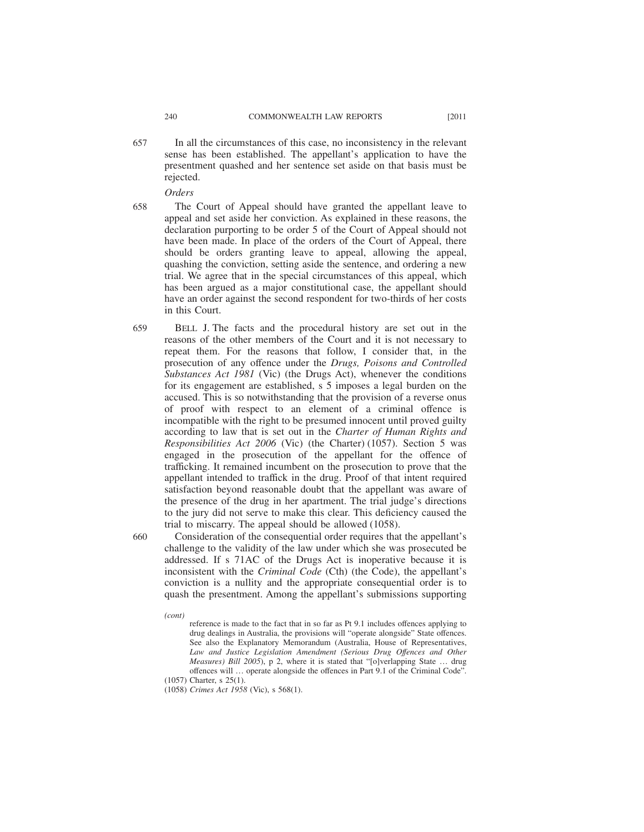In all the circumstances of this case, no inconsistency in the relevant sense has been established. The appellant's application to have the presentment quashed and her sentence set aside on that basis must be rejected. 657

*Orders*

- The Court of Appeal should have granted the appellant leave to appeal and set aside her conviction. As explained in these reasons, the declaration purporting to be order 5 of the Court of Appeal should not have been made. In place of the orders of the Court of Appeal, there should be orders granting leave to appeal, allowing the appeal, quashing the conviction, setting aside the sentence, and ordering a new trial. We agree that in the special circumstances of this appeal, which has been argued as a major constitutional case, the appellant should have an order against the second respondent for two-thirds of her costs in this Court. 658
	- BELL J. The facts and the procedural history are set out in the reasons of the other members of the Court and it is not necessary to repeat them. For the reasons that follow, I consider that, in the prosecution of any offence under the *Drugs, Poisons and Controlled Substances Act 1981* (Vic) (the Drugs Act), whenever the conditions for its engagement are established, s 5 imposes a legal burden on the accused. This is so notwithstanding that the provision of a reverse onus of proof with respect to an element of a criminal offence is incompatible with the right to be presumed innocent until proved guilty according to law that is set out in the *Charter of Human Rights and Responsibilities Act 2006* (Vic) (the Charter) (1057). Section 5 was engaged in the prosecution of the appellant for the offence of trafficking. It remained incumbent on the prosecution to prove that the appellant intended to traffick in the drug. Proof of that intent required satisfaction beyond reasonable doubt that the appellant was aware of the presence of the drug in her apartment. The trial judge's directions to the jury did not serve to make this clear. This deficiency caused the trial to miscarry. The appeal should be allowed (1058). 659

Consideration of the consequential order requires that the appellant's challenge to the validity of the law under which she was prosecuted be addressed. If s 71AC of the Drugs Act is inoperative because it is inconsistent with the *Criminal Code* (Cth) (the Code), the appellant's conviction is a nullity and the appropriate consequential order is to quash the presentment. Among the appellant's submissions supporting

*<sup>(</sup>cont)*

reference is made to the fact that in so far as Pt 9.1 includes offences applying to drug dealings in Australia, the provisions will "operate alongside" State offences. See also the Explanatory Memorandum (Australia, House of Representatives, *Law and Justice Legislation Amendment (Serious Drug Offences and Other Measures) Bill 2005*), p 2, where it is stated that "[o]verlapping State … drug offences will … operate alongside the offences in Part 9.1 of the Criminal Code". (1057) Charter, s 25(1).

<sup>(1058)</sup> *Crimes Act 1958* (Vic), s 568(1).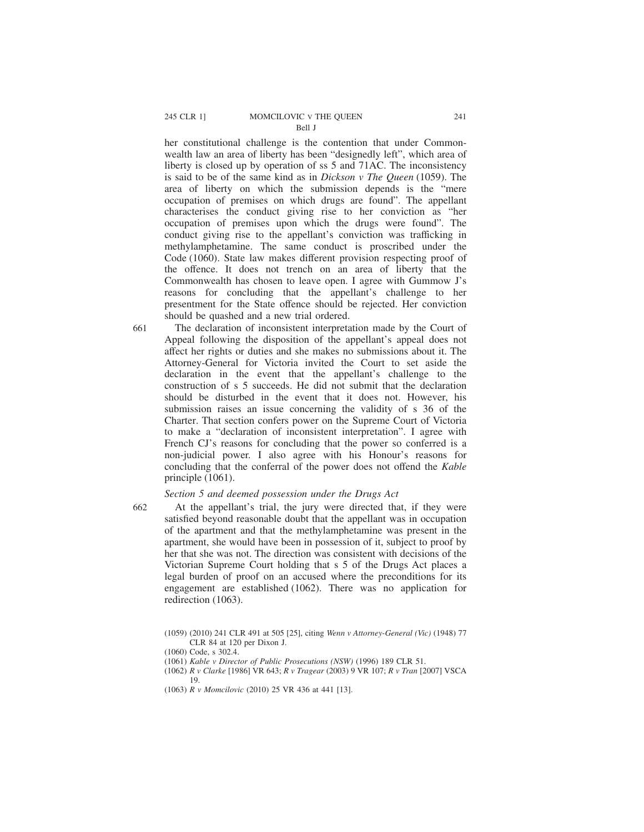her constitutional challenge is the contention that under Commonwealth law an area of liberty has been "designedly left", which area of liberty is closed up by operation of ss 5 and 71AC. The inconsistency is said to be of the same kind as in *Dickson v The Queen* (1059). The area of liberty on which the submission depends is the "mere occupation of premises on which drugs are found". The appellant characterises the conduct giving rise to her conviction as "her occupation of premises upon which the drugs were found". The conduct giving rise to the appellant's conviction was trafficking in methylamphetamine. The same conduct is proscribed under the Code (1060). State law makes different provision respecting proof of the offence. It does not trench on an area of liberty that the Commonwealth has chosen to leave open. I agree with Gummow J's reasons for concluding that the appellant's challenge to her presentment for the State offence should be rejected. Her conviction should be quashed and a new trial ordered.

The declaration of inconsistent interpretation made by the Court of Appeal following the disposition of the appellant's appeal does not affect her rights or duties and she makes no submissions about it. The Attorney-General for Victoria invited the Court to set aside the declaration in the event that the appellant's challenge to the construction of s 5 succeeds. He did not submit that the declaration should be disturbed in the event that it does not. However, his submission raises an issue concerning the validity of s 36 of the Charter. That section confers power on the Supreme Court of Victoria to make a "declaration of inconsistent interpretation". I agree with French CJ's reasons for concluding that the power so conferred is a non-judicial power. I also agree with his Honour's reasons for concluding that the conferral of the power does not offend the *Kable* principle (1061). 661

# *Section 5 and deemed possession under the Drugs Act*

- At the appellant's trial, the jury were directed that, if they were satisfied beyond reasonable doubt that the appellant was in occupation of the apartment and that the methylamphetamine was present in the apartment, she would have been in possession of it, subject to proof by her that she was not. The direction was consistent with decisions of the Victorian Supreme Court holding that s 5 of the Drugs Act places a legal burden of proof on an accused where the preconditions for its engagement are established (1062). There was no application for redirection (1063).
- (1059) (2010) 241 CLR 491 at 505 [25], citing *Wenn v Attorney-General (Vic)* (1948) 77 CLR 84 at 120 per Dixon J.
- (1060) Code, s 302.4.

- (1061) *Kable v Director of Public Prosecutions (NSW)* (1996) 189 CLR 51.
- (1062) *R v Clarke* [1986] VR 643; *R v Tragear* (2003) 9 VR 107; *R v Tran* [2007] VSCA 19.
- (1063) *R v Momcilovic* (2010) 25 VR 436 at 441 [13].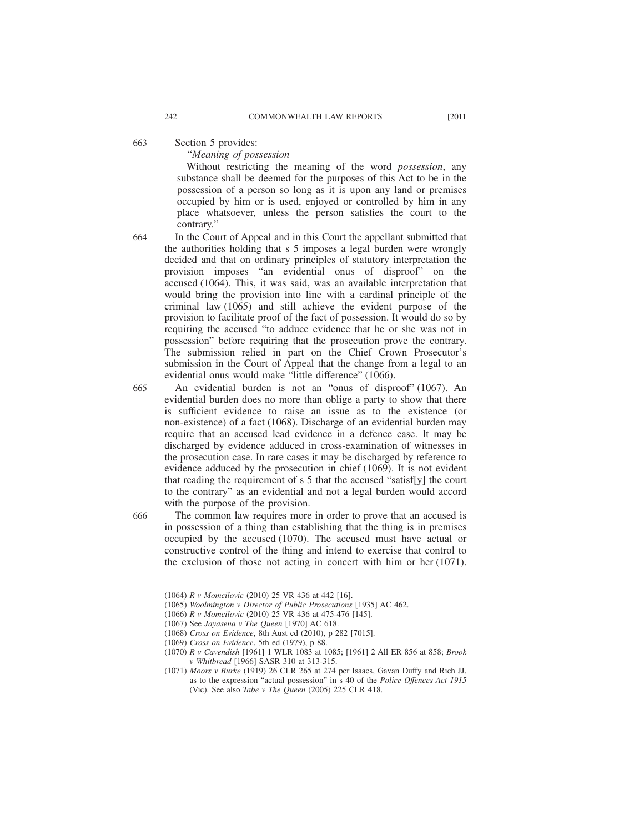Section 5 provides:

"*Meaning of possession*

Without restricting the meaning of the word *possession*, any substance shall be deemed for the purposes of this Act to be in the possession of a person so long as it is upon any land or premises occupied by him or is used, enjoyed or controlled by him in any place whatsoever, unless the person satisfies the court to the contrary."

664

663

In the Court of Appeal and in this Court the appellant submitted that the authorities holding that s 5 imposes a legal burden were wrongly decided and that on ordinary principles of statutory interpretation the provision imposes "an evidential onus of disproof" on the accused (1064). This, it was said, was an available interpretation that would bring the provision into line with a cardinal principle of the criminal law (1065) and still achieve the evident purpose of the provision to facilitate proof of the fact of possession. It would do so by requiring the accused "to adduce evidence that he or she was not in possession" before requiring that the prosecution prove the contrary. The submission relied in part on the Chief Crown Prosecutor's submission in the Court of Appeal that the change from a legal to an evidential onus would make "little difference" (1066).

665

666

An evidential burden is not an "onus of disproof" (1067). An evidential burden does no more than oblige a party to show that there is sufficient evidence to raise an issue as to the existence (or non-existence) of a fact (1068). Discharge of an evidential burden may require that an accused lead evidence in a defence case. It may be discharged by evidence adduced in cross-examination of witnesses in the prosecution case. In rare cases it may be discharged by reference to evidence adduced by the prosecution in chief (1069). It is not evident that reading the requirement of s 5 that the accused "satisf[y] the court to the contrary" as an evidential and not a legal burden would accord with the purpose of the provision.

The common law requires more in order to prove that an accused is in possession of a thing than establishing that the thing is in premises occupied by the accused (1070). The accused must have actual or constructive control of the thing and intend to exercise that control to the exclusion of those not acting in concert with him or her (1071).

- (1065) *Woolmington v Director of Public Prosecutions* [1935] AC 462.
- (1066) *R v Momcilovic* (2010) 25 VR 436 at 475-476 [145].
- (1067) See *Jayasena v The Queen* [1970] AC 618.
- (1068) *Cross on Evidence*, 8th Aust ed (2010), p 282 [7015].
- (1069) *Cross on Evidence*, 5th ed (1979), p 88.
- (1070) *R v Cavendish* [1961] 1 WLR 1083 at 1085; [1961] 2 All ER 856 at 858; *Brook v Whitbread* [1966] SASR 310 at 313-315.
- (1071) *Moors v Burke* (1919) 26 CLR 265 at 274 per Isaacs, Gavan Duffy and Rich JJ, as to the expression "actual possession" in s 40 of the *Police Offences Act 1915* (Vic). See also *Tabe v The Queen* (2005) 225 CLR 418.

<sup>(1064)</sup> *R v Momcilovic* (2010) 25 VR 436 at 442 [16].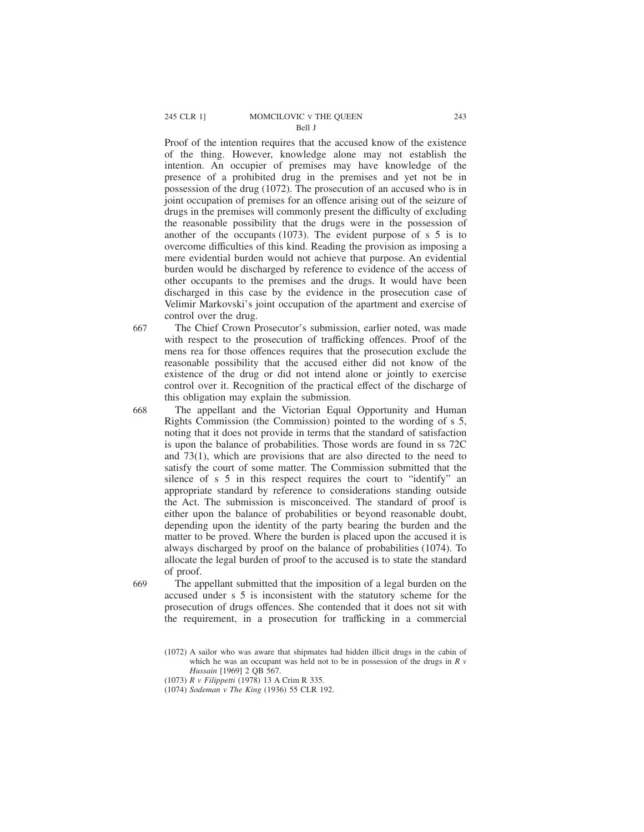668

669

#### 245 CLR 1] MOMCILOVIC V THE QUEEN 243 Bell J

Proof of the intention requires that the accused know of the existence of the thing. However, knowledge alone may not establish the intention. An occupier of premises may have knowledge of the presence of a prohibited drug in the premises and yet not be in possession of the drug (1072). The prosecution of an accused who is in joint occupation of premises for an offence arising out of the seizure of drugs in the premises will commonly present the difficulty of excluding the reasonable possibility that the drugs were in the possession of another of the occupants (1073). The evident purpose of s 5 is to overcome difficulties of this kind. Reading the provision as imposing a mere evidential burden would not achieve that purpose. An evidential burden would be discharged by reference to evidence of the access of other occupants to the premises and the drugs. It would have been discharged in this case by the evidence in the prosecution case of Velimir Markovski's joint occupation of the apartment and exercise of control over the drug.

The Chief Crown Prosecutor's submission, earlier noted, was made with respect to the prosecution of trafficking offences. Proof of the mens rea for those offences requires that the prosecution exclude the reasonable possibility that the accused either did not know of the existence of the drug or did not intend alone or jointly to exercise control over it. Recognition of the practical effect of the discharge of this obligation may explain the submission. 667

The appellant and the Victorian Equal Opportunity and Human Rights Commission (the Commission) pointed to the wording of s 5, noting that it does not provide in terms that the standard of satisfaction is upon the balance of probabilities. Those words are found in ss 72C and 73(1), which are provisions that are also directed to the need to satisfy the court of some matter. The Commission submitted that the silence of s 5 in this respect requires the court to "identify" an appropriate standard by reference to considerations standing outside the Act. The submission is misconceived. The standard of proof is either upon the balance of probabilities or beyond reasonable doubt, depending upon the identity of the party bearing the burden and the matter to be proved. Where the burden is placed upon the accused it is always discharged by proof on the balance of probabilities (1074). To allocate the legal burden of proof to the accused is to state the standard of proof.

The appellant submitted that the imposition of a legal burden on the accused under s 5 is inconsistent with the statutory scheme for the prosecution of drugs offences. She contended that it does not sit with the requirement, in a prosecution for trafficking in a commercial

(1074) *Sodeman v The King* (1936) 55 CLR 192.

<sup>(1072)</sup> A sailor who was aware that shipmates had hidden illicit drugs in the cabin of which he was an occupant was held not to be in possession of the drugs in *R v Hussain* [1969] 2 QB 567.

<sup>(1073)</sup> *R v Filippetti* (1978) 13 A Crim R 335.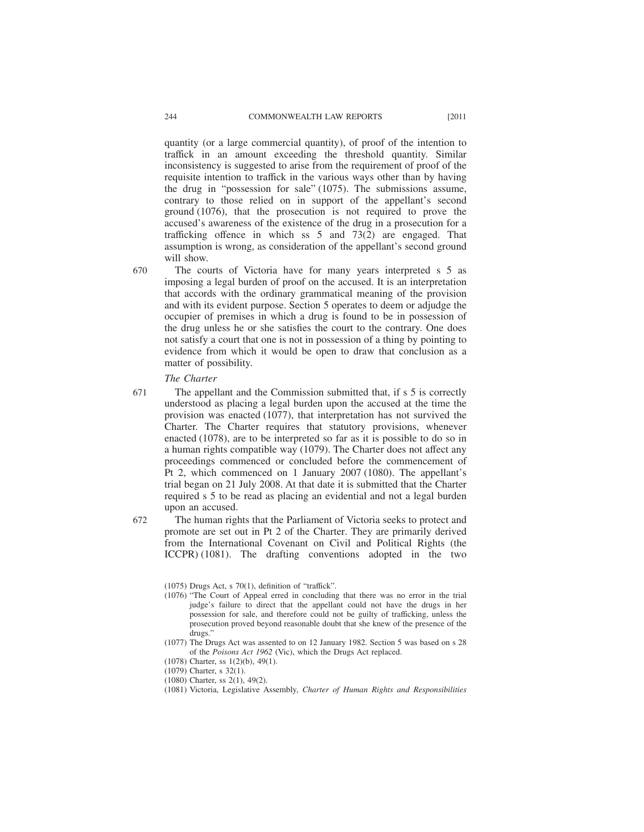quantity (or a large commercial quantity), of proof of the intention to traffick in an amount exceeding the threshold quantity. Similar inconsistency is suggested to arise from the requirement of proof of the requisite intention to traffick in the various ways other than by having the drug in "possession for sale" (1075). The submissions assume, contrary to those relied on in support of the appellant's second ground (1076), that the prosecution is not required to prove the accused's awareness of the existence of the drug in a prosecution for a trafficking offence in which ss 5 and 73(2) are engaged. That assumption is wrong, as consideration of the appellant's second ground will show.

The courts of Victoria have for many years interpreted s 5 as imposing a legal burden of proof on the accused. It is an interpretation that accords with the ordinary grammatical meaning of the provision and with its evident purpose. Section 5 operates to deem or adjudge the occupier of premises in which a drug is found to be in possession of the drug unless he or she satisfies the court to the contrary. One does not satisfy a court that one is not in possession of a thing by pointing to evidence from which it would be open to draw that conclusion as a matter of possibility.

*The Charter*

670

672

The appellant and the Commission submitted that, if s 5 is correctly understood as placing a legal burden upon the accused at the time the provision was enacted (1077), that interpretation has not survived the Charter. The Charter requires that statutory provisions, whenever enacted (1078), are to be interpreted so far as it is possible to do so in a human rights compatible way (1079). The Charter does not affect any proceedings commenced or concluded before the commencement of Pt 2, which commenced on 1 January 2007 (1080). The appellant's trial began on 21 July 2008. At that date it is submitted that the Charter required s 5 to be read as placing an evidential and not a legal burden upon an accused. 671

The human rights that the Parliament of Victoria seeks to protect and promote are set out in Pt 2 of the Charter. They are primarily derived from the International Covenant on Civil and Political Rights (the ICCPR) (1081). The drafting conventions adopted in the two

- (1077) The Drugs Act was assented to on 12 January 1982. Section 5 was based on s 28 of the *Poisons Act 1962* (Vic), which the Drugs Act replaced.
- (1078) Charter, ss 1(2)(b), 49(1).
- (1079) Charter, s 32(1).
- (1080) Charter, ss 2(1), 49(2).
- (1081) Victoria, Legislative Assembly, *Charter of Human Rights and Responsibilities*

<sup>(1075)</sup> Drugs Act, s 70(1), definition of "traffick".

<sup>(1076) &</sup>quot;The Court of Appeal erred in concluding that there was no error in the trial judge's failure to direct that the appellant could not have the drugs in her possession for sale, and therefore could not be guilty of trafficking, unless the prosecution proved beyond reasonable doubt that she knew of the presence of the drugs."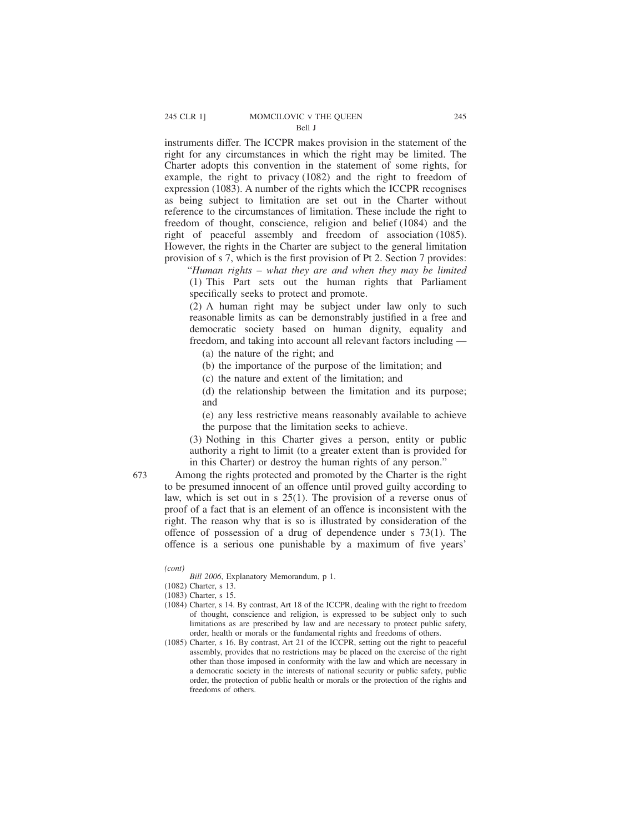instruments differ. The ICCPR makes provision in the statement of the right for any circumstances in which the right may be limited. The Charter adopts this convention in the statement of some rights, for example, the right to privacy (1082) and the right to freedom of expression (1083). A number of the rights which the ICCPR recognises as being subject to limitation are set out in the Charter without reference to the circumstances of limitation. These include the right to freedom of thought, conscience, religion and belief (1084) and the right of peaceful assembly and freedom of association (1085). However, the rights in the Charter are subject to the general limitation provision of s 7, which is the first provision of Pt 2. Section 7 provides:

"*Human rights – what they are and when they may be limited* (1) This Part sets out the human rights that Parliament specifically seeks to protect and promote.

(2) A human right may be subject under law only to such reasonable limits as can be demonstrably justified in a free and democratic society based on human dignity, equality and freedom, and taking into account all relevant factors including —

(a) the nature of the right; and

(b) the importance of the purpose of the limitation; and

(c) the nature and extent of the limitation; and

(d) the relationship between the limitation and its purpose; and

(e) any less restrictive means reasonably available to achieve the purpose that the limitation seeks to achieve.

(3) Nothing in this Charter gives a person, entity or public authority a right to limit (to a greater extent than is provided for in this Charter) or destroy the human rights of any person."

673

Among the rights protected and promoted by the Charter is the right to be presumed innocent of an offence until proved guilty according to law, which is set out in s 25(1). The provision of a reverse onus of proof of a fact that is an element of an offence is inconsistent with the right. The reason why that is so is illustrated by consideration of the offence of possession of a drug of dependence under s 73(1). The offence is a serious one punishable by a maximum of five years'

*(cont)*

*Bill 2006*, Explanatory Memorandum, p 1.

- (1082) Charter, s 13.
- (1083) Charter, s 15. (1084) Charter, s 14. By contrast, Art 18 of the ICCPR, dealing with the right to freedom
- of thought, conscience and religion, is expressed to be subject only to such limitations as are prescribed by law and are necessary to protect public safety, order, health or morals or the fundamental rights and freedoms of others.
- (1085) Charter, s 16. By contrast, Art 21 of the ICCPR, setting out the right to peaceful assembly, provides that no restrictions may be placed on the exercise of the right other than those imposed in conformity with the law and which are necessary in a democratic society in the interests of national security or public safety, public order, the protection of public health or morals or the protection of the rights and freedoms of others.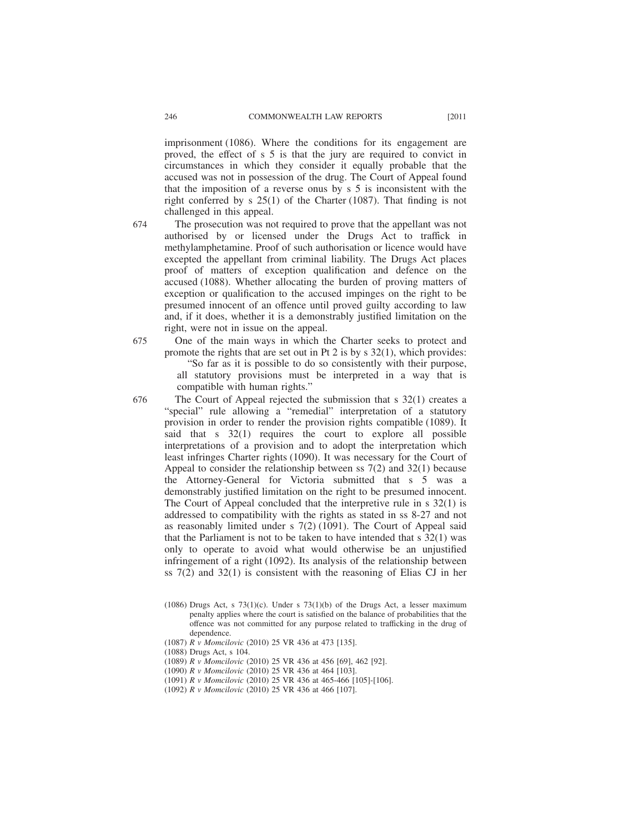imprisonment (1086). Where the conditions for its engagement are proved, the effect of s 5 is that the jury are required to convict in circumstances in which they consider it equally probable that the accused was not in possession of the drug. The Court of Appeal found that the imposition of a reverse onus by s 5 is inconsistent with the right conferred by s 25(1) of the Charter (1087). That finding is not challenged in this appeal.

674

675

676

The prosecution was not required to prove that the appellant was not authorised by or licensed under the Drugs Act to traffick in methylamphetamine. Proof of such authorisation or licence would have excepted the appellant from criminal liability. The Drugs Act places proof of matters of exception qualification and defence on the accused (1088). Whether allocating the burden of proving matters of exception or qualification to the accused impinges on the right to be presumed innocent of an offence until proved guilty according to law and, if it does, whether it is a demonstrably justified limitation on the right, were not in issue on the appeal.

One of the main ways in which the Charter seeks to protect and promote the rights that are set out in Pt 2 is by s 32(1), which provides:

"So far as it is possible to do so consistently with their purpose, all statutory provisions must be interpreted in a way that is compatible with human rights."

The Court of Appeal rejected the submission that s 32(1) creates a "special" rule allowing a "remedial" interpretation of a statutory provision in order to render the provision rights compatible (1089). It said that s  $32(1)$  requires the court to explore all possible interpretations of a provision and to adopt the interpretation which least infringes Charter rights (1090). It was necessary for the Court of Appeal to consider the relationship between ss 7(2) and 32(1) because the Attorney-General for Victoria submitted that s 5 was a demonstrably justified limitation on the right to be presumed innocent. The Court of Appeal concluded that the interpretive rule in s 32(1) is addressed to compatibility with the rights as stated in ss 8-27 and not as reasonably limited under s  $7(2)$  (1091). The Court of Appeal said that the Parliament is not to be taken to have intended that s 32(1) was only to operate to avoid what would otherwise be an unjustified infringement of a right (1092). Its analysis of the relationship between ss  $7(2)$  and  $32(1)$  is consistent with the reasoning of Elias CJ in her

- (1086) Drugs Act, s  $73(1)(c)$ . Under s  $73(1)(b)$  of the Drugs Act, a lesser maximum penalty applies where the court is satisfied on the balance of probabilities that the offence was not committed for any purpose related to trafficking in the drug of dependence.
- (1087) *R v Momcilovic* (2010) 25 VR 436 at 473 [135].
- (1088) Drugs Act, s 104.
- (1089) *R v Momcilovic* (2010) 25 VR 436 at 456 [69], 462 [92].
- (1090) *R v Momcilovic* (2010) 25 VR 436 at 464 [103].
- (1091) *R v Momcilovic* (2010) 25 VR 436 at 465-466 [105]-[106].
- (1092) *R v Momcilovic* (2010) 25 VR 436 at 466 [107].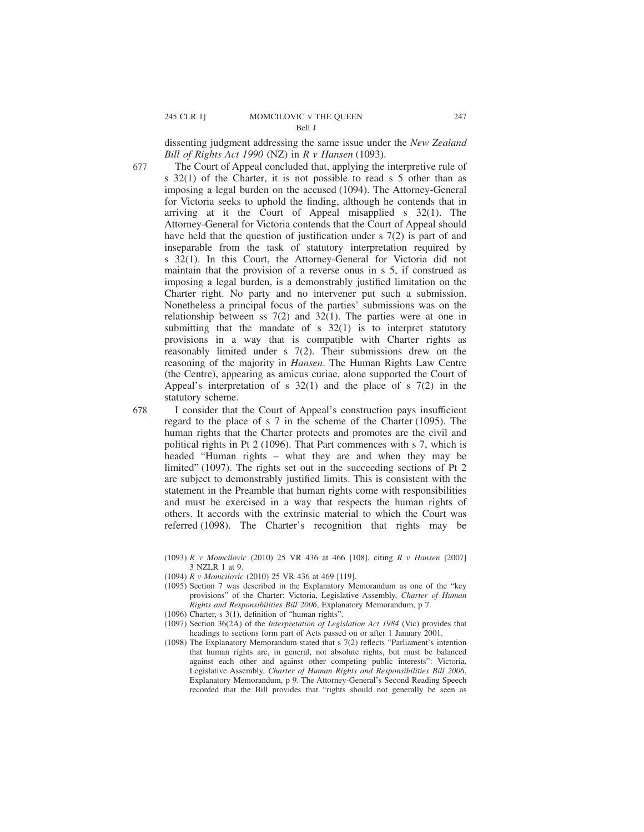dissenting judgment addressing the same issue under the *New Zealand Bill of Rights Act 1990* (NZ) in *R v Hansen* (1093).

The Court of Appeal concluded that, applying the interpretive rule of s 32(1) of the Charter, it is not possible to read s 5 other than as imposing a legal burden on the accused (1094). The Attorney-General for Victoria seeks to uphold the finding, although he contends that in arriving at it the Court of Appeal misapplied s 32(1). The Attorney-General for Victoria contends that the Court of Appeal should have held that the question of justification under s 7(2) is part of and inseparable from the task of statutory interpretation required by s 32(1). In this Court, the Attorney-General for Victoria did not maintain that the provision of a reverse onus in s 5, if construed as imposing a legal burden, is a demonstrably justified limitation on the Charter right. No party and no intervener put such a submission. Nonetheless a principal focus of the parties' submissions was on the relationship between ss 7(2) and 32(1). The parties were at one in submitting that the mandate of s  $32(1)$  is to interpret statutory provisions in a way that is compatible with Charter rights as reasonably limited under s 7(2). Their submissions drew on the reasoning of the majority in *Hansen*. The Human Rights Law Centre (the Centre), appearing as amicus curiae, alone supported the Court of Appeal's interpretation of s  $32(1)$  and the place of s  $7(2)$  in the statutory scheme.

I consider that the Court of Appeal's construction pays insufficient regard to the place of s 7 in the scheme of the Charter (1095). The human rights that the Charter protects and promotes are the civil and political rights in Pt 2 (1096). That Part commences with s 7, which is headed "Human rights – what they are and when they may be limited" (1097). The rights set out in the succeeding sections of Pt 2 are subject to demonstrably justified limits. This is consistent with the statement in the Preamble that human rights come with responsibilities and must be exercised in a way that respects the human rights of others. It accords with the extrinsic material to which the Court was referred (1098). The Charter's recognition that rights may be

- (1093) *R v Momcilovic* (2010) 25 VR 436 at 466 [108], citing *R v Hansen* [2007] 3 NZLR 1 at 9.
- (1094) *R v Momcilovic* (2010) 25 VR 436 at 469 [119].
- (1095) Section 7 was described in the Explanatory Memorandum as one of the "key provisions" of the Charter: Victoria, Legislative Assembly, *Charter of Human Rights and Responsibilities Bill 2006*, Explanatory Memorandum, p 7.
- (1096) Charter, s 3(1), definition of "human rights".
- (1097) Section 36(2A) of the *Interpretation of Legislation Act 1984* (Vic) provides that headings to sections form part of Acts passed on or after 1 January 2001.
- (1098) The Explanatory Memorandum stated that s 7(2) reflects "Parliament's intention that human rights are, in general, not absolute rights, but must be balanced against each other and against other competing public interests": Victoria, Legislative Assembly, *Charter of Human Rights and Responsibilities Bill 2006*, Explanatory Memorandum, p 9. The Attorney-General's Second Reading Speech recorded that the Bill provides that "rights should not generally be seen as

677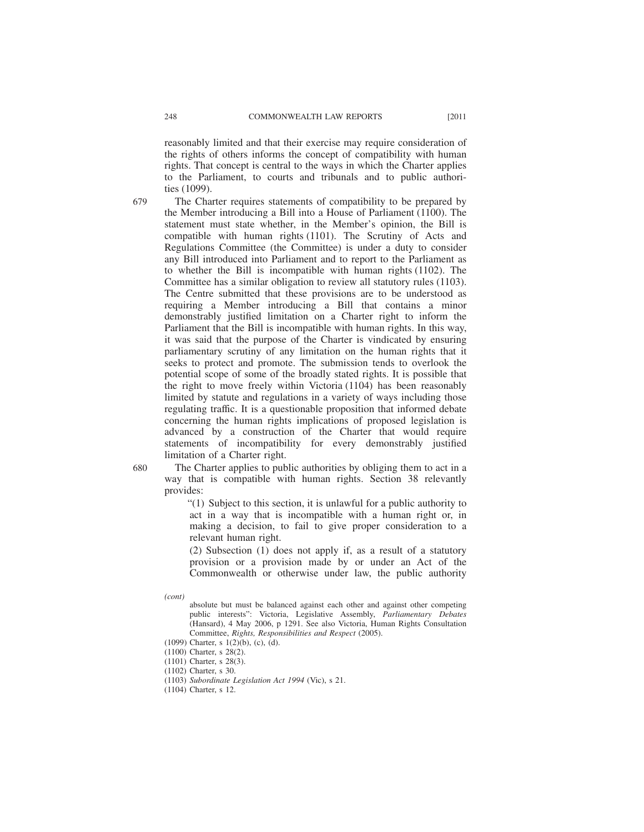reasonably limited and that their exercise may require consideration of the rights of others informs the concept of compatibility with human rights. That concept is central to the ways in which the Charter applies to the Parliament, to courts and tribunals and to public authorities (1099).

679

The Charter requires statements of compatibility to be prepared by the Member introducing a Bill into a House of Parliament (1100). The statement must state whether, in the Member's opinion, the Bill is compatible with human rights (1101). The Scrutiny of Acts and Regulations Committee (the Committee) is under a duty to consider any Bill introduced into Parliament and to report to the Parliament as to whether the Bill is incompatible with human rights (1102). The Committee has a similar obligation to review all statutory rules (1103). The Centre submitted that these provisions are to be understood as requiring a Member introducing a Bill that contains a minor demonstrably justified limitation on a Charter right to inform the Parliament that the Bill is incompatible with human rights. In this way, it was said that the purpose of the Charter is vindicated by ensuring parliamentary scrutiny of any limitation on the human rights that it seeks to protect and promote. The submission tends to overlook the potential scope of some of the broadly stated rights. It is possible that the right to move freely within Victoria (1104) has been reasonably limited by statute and regulations in a variety of ways including those regulating traffic. It is a questionable proposition that informed debate concerning the human rights implications of proposed legislation is advanced by a construction of the Charter that would require statements of incompatibility for every demonstrably justified limitation of a Charter right.

680

The Charter applies to public authorities by obliging them to act in a way that is compatible with human rights. Section 38 relevantly provides:

"(1) Subject to this section, it is unlawful for a public authority to act in a way that is incompatible with a human right or, in making a decision, to fail to give proper consideration to a relevant human right.

(2) Subsection (1) does not apply if, as a result of a statutory provision or a provision made by or under an Act of the Commonwealth or otherwise under law, the public authority

*<sup>(</sup>cont)*

absolute but must be balanced against each other and against other competing public interests": Victoria, Legislative Assembly, *Parliamentary Debates* (Hansard), 4 May 2006, p 1291. See also Victoria, Human Rights Consultation Committee, *Rights, Responsibilities and Respect* (2005).

<sup>(1099)</sup> Charter, s 1(2)(b), (c), (d).

<sup>(1100)</sup> Charter, s 28(2).

<sup>(1101)</sup> Charter, s 28(3).

<sup>(1102)</sup> Charter, s 30.

<sup>(1103)</sup> *Subordinate Legislation Act 1994* (Vic), s 21.

<sup>(1104)</sup> Charter, s 12.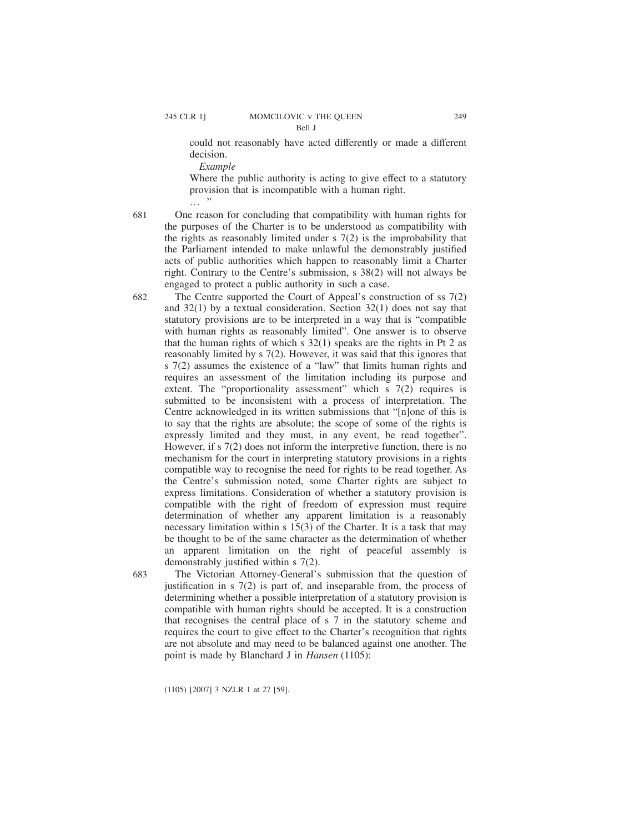could not reasonably have acted differently or made a different decision.

*Example*

 $\cdots$  "

Where the public authority is acting to give effect to a statutory provision that is incompatible with a human right.

681

One reason for concluding that compatibility with human rights for the purposes of the Charter is to be understood as compatibility with the rights as reasonably limited under s 7(2) is the improbability that the Parliament intended to make unlawful the demonstrably justified acts of public authorities which happen to reasonably limit a Charter right. Contrary to the Centre's submission, s 38(2) will not always be engaged to protect a public authority in such a case.

- The Centre supported the Court of Appeal's construction of ss 7(2) and 32(1) by a textual consideration. Section 32(1) does not say that statutory provisions are to be interpreted in a way that is "compatible with human rights as reasonably limited". One answer is to observe that the human rights of which s 32(1) speaks are the rights in Pt 2 as reasonably limited by s 7(2). However, it was said that this ignores that s 7(2) assumes the existence of a "law" that limits human rights and requires an assessment of the limitation including its purpose and extent. The "proportionality assessment" which s 7(2) requires is submitted to be inconsistent with a process of interpretation. The Centre acknowledged in its written submissions that "[n]one of this is to say that the rights are absolute; the scope of some of the rights is expressly limited and they must, in any event, be read together". However, if s 7(2) does not inform the interpretive function, there is no mechanism for the court in interpreting statutory provisions in a rights compatible way to recognise the need for rights to be read together. As the Centre's submission noted, some Charter rights are subject to express limitations. Consideration of whether a statutory provision is compatible with the right of freedom of expression must require determination of whether any apparent limitation is a reasonably necessary limitation within s 15(3) of the Charter. It is a task that may be thought to be of the same character as the determination of whether an apparent limitation on the right of peaceful assembly is demonstrably justified within s 7(2). 682
- 683

The Victorian Attorney-General's submission that the question of justification in s  $7(2)$  is part of, and inseparable from, the process of determining whether a possible interpretation of a statutory provision is compatible with human rights should be accepted. It is a construction that recognises the central place of s 7 in the statutory scheme and requires the court to give effect to the Charter's recognition that rights are not absolute and may need to be balanced against one another. The point is made by Blanchard J in *Hansen* (1105):

(1105) [2007] 3 NZLR 1 at 27 [59].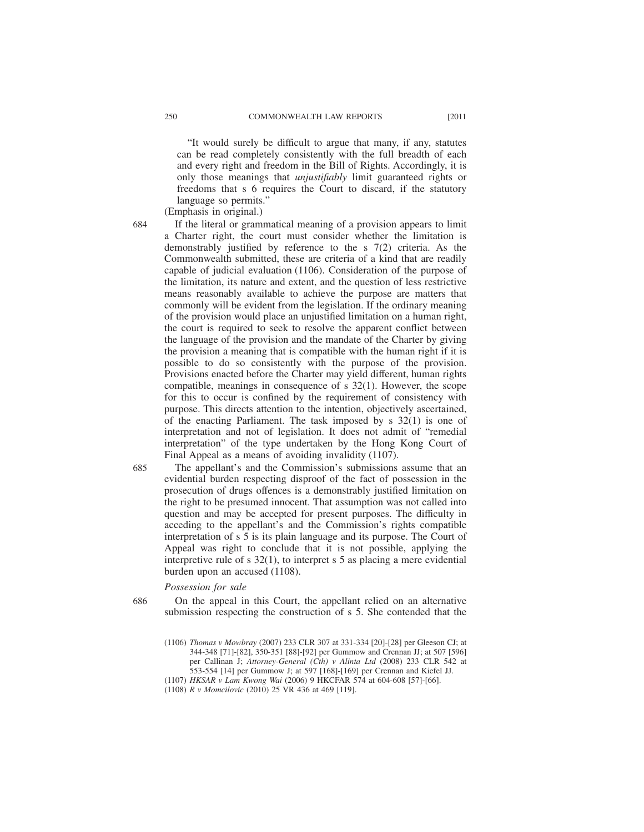"It would surely be difficult to argue that many, if any, statutes can be read completely consistently with the full breadth of each and every right and freedom in the Bill of Rights. Accordingly, it is only those meanings that *unjustifiably* limit guaranteed rights or freedoms that s 6 requires the Court to discard, if the statutory language so permits."

(Emphasis in original.)

If the literal or grammatical meaning of a provision appears to limit a Charter right, the court must consider whether the limitation is demonstrably justified by reference to the s 7(2) criteria. As the Commonwealth submitted, these are criteria of a kind that are readily capable of judicial evaluation (1106). Consideration of the purpose of the limitation, its nature and extent, and the question of less restrictive means reasonably available to achieve the purpose are matters that commonly will be evident from the legislation. If the ordinary meaning of the provision would place an unjustified limitation on a human right, the court is required to seek to resolve the apparent conflict between the language of the provision and the mandate of the Charter by giving the provision a meaning that is compatible with the human right if it is possible to do so consistently with the purpose of the provision. Provisions enacted before the Charter may yield different, human rights compatible, meanings in consequence of s 32(1). However, the scope for this to occur is confined by the requirement of consistency with purpose. This directs attention to the intention, objectively ascertained, of the enacting Parliament. The task imposed by s 32(1) is one of interpretation and not of legislation. It does not admit of "remedial interpretation" of the type undertaken by the Hong Kong Court of Final Appeal as a means of avoiding invalidity (1107).

The appellant's and the Commission's submissions assume that an evidential burden respecting disproof of the fact of possession in the prosecution of drugs offences is a demonstrably justified limitation on the right to be presumed innocent. That assumption was not called into question and may be accepted for present purposes. The difficulty in acceding to the appellant's and the Commission's rights compatible interpretation of s 5 is its plain language and its purpose. The Court of Appeal was right to conclude that it is not possible, applying the interpretive rule of s 32(1), to interpret s 5 as placing a mere evidential burden upon an accused (1108). 685

#### *Possession for sale*

686

On the appeal in this Court, the appellant relied on an alternative submission respecting the construction of s 5. She contended that the

<sup>(1106)</sup> *Thomas v Mowbray* (2007) 233 CLR 307 at 331-334 [20]-[28] per Gleeson CJ; at 344-348 [71]-[82], 350-351 [88]-[92] per Gummow and Crennan JJ; at 507 [596] per Callinan J; *Attorney-General (Cth) v Alinta Ltd* (2008) 233 CLR 542 at 553-554 [14] per Gummow J; at 597 [168]-[169] per Crennan and Kiefel JJ.

<sup>(1107)</sup> *HKSAR v Lam Kwong Wai* (2006) 9 HKCFAR 574 at 604-608 [57]-[66].

<sup>(1108)</sup> *R v Momcilovic* (2010) 25 VR 436 at 469 [119].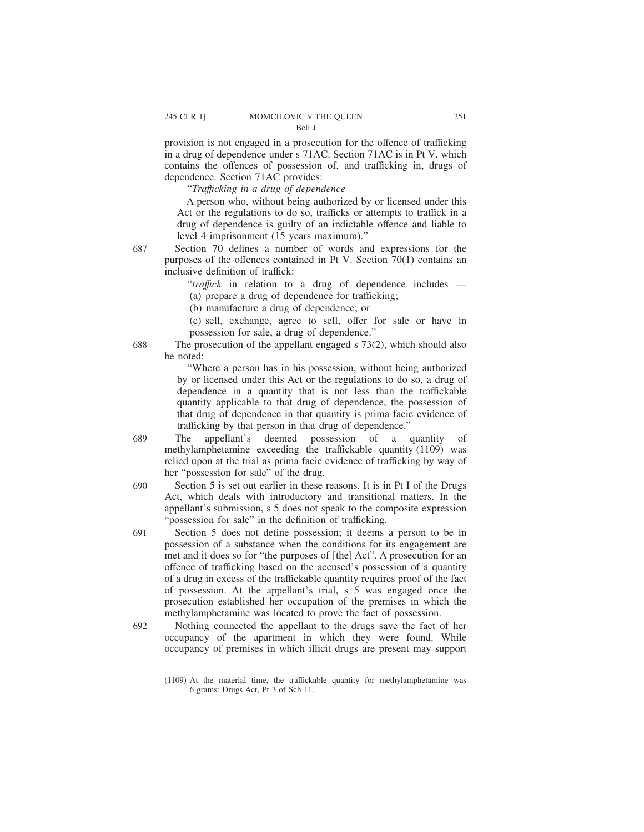provision is not engaged in a prosecution for the offence of trafficking in a drug of dependence under s 71AC. Section 71AC is in Pt V, which contains the offences of possession of, and trafficking in, drugs of dependence. Section 71AC provides:

"*Traffıcking in a drug of dependence*

A person who, without being authorized by or licensed under this Act or the regulations to do so, trafficks or attempts to traffick in a drug of dependence is guilty of an indictable offence and liable to level 4 imprisonment (15 years maximum)."

687

Section 70 defines a number of words and expressions for the purposes of the offences contained in Pt V. Section 70(1) contains an inclusive definition of traffick:

"*traffıck* in relation to a drug of dependence includes —

(a) prepare a drug of dependence for trafficking;

(b) manufacture a drug of dependence; or

(c) sell, exchange, agree to sell, offer for sale or have in possession for sale, a drug of dependence."

688

689

692

The prosecution of the appellant engaged s 73(2), which should also be noted:

"Where a person has in his possession, without being authorized by or licensed under this Act or the regulations to do so, a drug of dependence in a quantity that is not less than the traffickable quantity applicable to that drug of dependence, the possession of that drug of dependence in that quantity is prima facie evidence of trafficking by that person in that drug of dependence."

The appellant's deemed possession of a quantity of methylamphetamine exceeding the traffickable quantity (1109) was relied upon at the trial as prima facie evidence of trafficking by way of her "possession for sale" of the drug.

Section 5 is set out earlier in these reasons. It is in Pt I of the Drugs Act, which deals with introductory and transitional matters. In the appellant's submission, s 5 does not speak to the composite expression "possession for sale" in the definition of trafficking. 690

Section 5 does not define possession; it deems a person to be in possession of a substance when the conditions for its engagement are met and it does so for "the purposes of [the] Act". A prosecution for an offence of trafficking based on the accused's possession of a quantity of a drug in excess of the traffickable quantity requires proof of the fact of possession. At the appellant's trial, s 5 was engaged once the prosecution established her occupation of the premises in which the methylamphetamine was located to prove the fact of possession. 691

Nothing connected the appellant to the drugs save the fact of her occupancy of the apartment in which they were found. While occupancy of premises in which illicit drugs are present may support

<sup>(1109)</sup> At the material time, the traffickable quantity for methylamphetamine was 6 grams: Drugs Act, Pt 3 of Sch 11.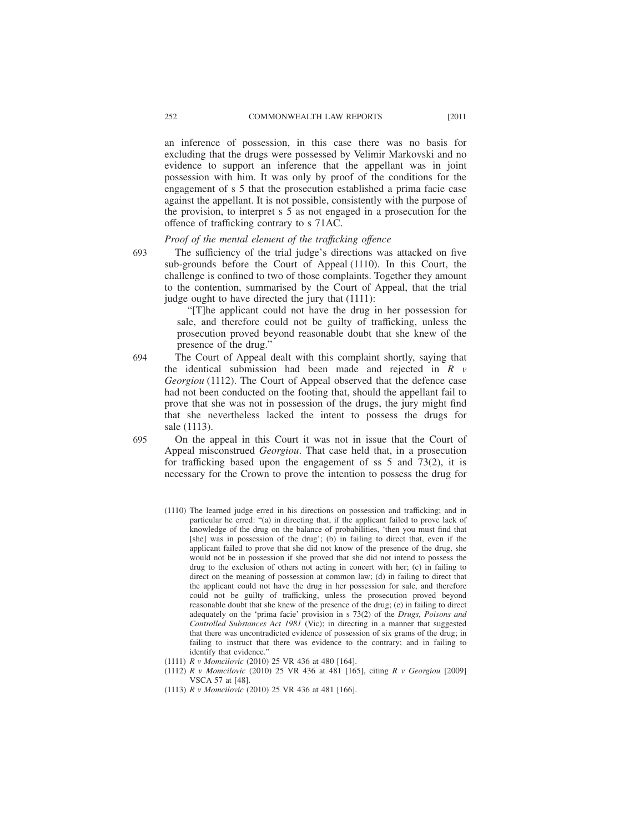an inference of possession, in this case there was no basis for excluding that the drugs were possessed by Velimir Markovski and no evidence to support an inference that the appellant was in joint possession with him. It was only by proof of the conditions for the engagement of s 5 that the prosecution established a prima facie case against the appellant. It is not possible, consistently with the purpose of the provision, to interpret s 5 as not engaged in a prosecution for the offence of trafficking contrary to s 71AC.

# *Proof of the mental element of the traffıcking offence*

The sufficiency of the trial judge's directions was attacked on five sub-grounds before the Court of Appeal (1110). In this Court, the challenge is confined to two of those complaints. Together they amount to the contention, summarised by the Court of Appeal, that the trial judge ought to have directed the jury that (1111):

"[T]he applicant could not have the drug in her possession for sale, and therefore could not be guilty of trafficking, unless the prosecution proved beyond reasonable doubt that she knew of the presence of the drug."

- The Court of Appeal dealt with this complaint shortly, saying that the identical submission had been made and rejected in *R v Georgiou* (1112). The Court of Appeal observed that the defence case had not been conducted on the footing that, should the appellant fail to prove that she was not in possession of the drugs, the jury might find that she nevertheless lacked the intent to possess the drugs for sale (1113). 694
	- On the appeal in this Court it was not in issue that the Court of Appeal misconstrued *Georgiou*. That case held that, in a prosecution for trafficking based upon the engagement of ss 5 and 73(2), it is necessary for the Crown to prove the intention to possess the drug for
	- (1110) The learned judge erred in his directions on possession and trafficking; and in particular he erred: "(a) in directing that, if the applicant failed to prove lack of knowledge of the drug on the balance of probabilities, 'then you must find that [she] was in possession of the drug'; (b) in failing to direct that, even if the applicant failed to prove that she did not know of the presence of the drug, she would not be in possession if she proved that she did not intend to possess the drug to the exclusion of others not acting in concert with her; (c) in failing to direct on the meaning of possession at common law; (d) in failing to direct that the applicant could not have the drug in her possession for sale, and therefore could not be guilty of trafficking, unless the prosecution proved beyond reasonable doubt that she knew of the presence of the drug; (e) in failing to direct adequately on the 'prima facie' provision in s 73(2) of the *Drugs, Poisons and Controlled Substances Act 1981* (Vic); in directing in a manner that suggested that there was uncontradicted evidence of possession of six grams of the drug; in failing to instruct that there was evidence to the contrary; and in failing to identify that evidence."
	- (1111) *R v Momcilovic* (2010) 25 VR 436 at 480 [164].
	- (1112) *R v Momcilovic* (2010) 25 VR 436 at 481 [165], citing *R v Georgiou* [2009] VSCA 57 at [48].
	- (1113) *R v Momcilovic* (2010) 25 VR 436 at 481 [166].

693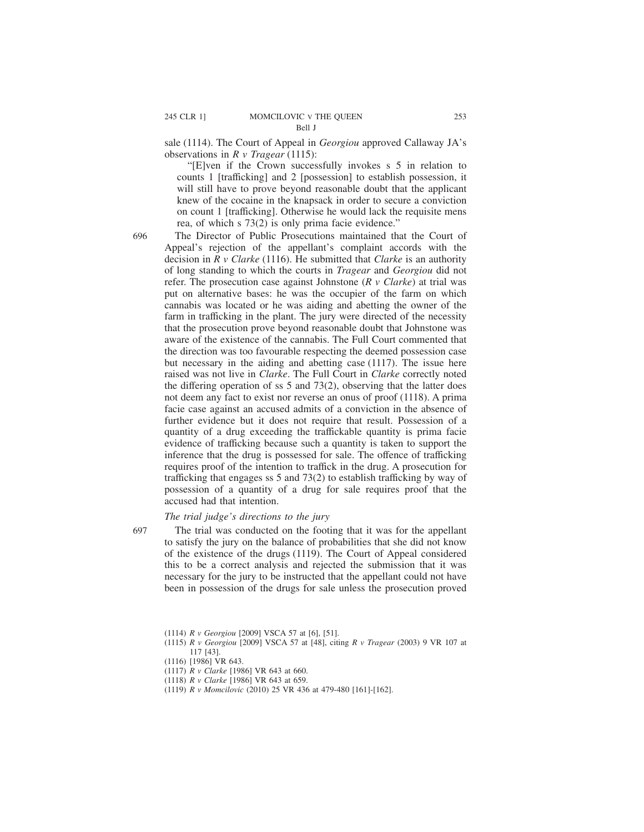sale (1114). The Court of Appeal in *Georgiou* approved Callaway JA's observations in *R v Tragear* (1115):

"[E]ven if the Crown successfully invokes s 5 in relation to counts 1 [trafficking] and 2 [possession] to establish possession, it will still have to prove beyond reasonable doubt that the applicant knew of the cocaine in the knapsack in order to secure a conviction on count 1 [trafficking]. Otherwise he would lack the requisite mens rea, of which s 73(2) is only prima facie evidence."

696

697

The Director of Public Prosecutions maintained that the Court of Appeal's rejection of the appellant's complaint accords with the decision in *R v Clarke* (1116). He submitted that *Clarke* is an authority of long standing to which the courts in *Tragear* and *Georgiou* did not refer. The prosecution case against Johnstone (*R v Clarke*) at trial was put on alternative bases: he was the occupier of the farm on which cannabis was located or he was aiding and abetting the owner of the farm in trafficking in the plant. The jury were directed of the necessity that the prosecution prove beyond reasonable doubt that Johnstone was aware of the existence of the cannabis. The Full Court commented that the direction was too favourable respecting the deemed possession case but necessary in the aiding and abetting case (1117). The issue here raised was not live in *Clarke*. The Full Court in *Clarke* correctly noted the differing operation of ss 5 and 73(2), observing that the latter does not deem any fact to exist nor reverse an onus of proof (1118). A prima facie case against an accused admits of a conviction in the absence of further evidence but it does not require that result. Possession of a quantity of a drug exceeding the traffickable quantity is prima facie evidence of trafficking because such a quantity is taken to support the inference that the drug is possessed for sale. The offence of trafficking requires proof of the intention to traffick in the drug. A prosecution for trafficking that engages ss 5 and 73(2) to establish trafficking by way of possession of a quantity of a drug for sale requires proof that the accused had that intention.

## *The trial judge's directions to the jury*

The trial was conducted on the footing that it was for the appellant to satisfy the jury on the balance of probabilities that she did not know of the existence of the drugs (1119). The Court of Appeal considered this to be a correct analysis and rejected the submission that it was necessary for the jury to be instructed that the appellant could not have been in possession of the drugs for sale unless the prosecution proved

- (1117) *R v Clarke* [1986] VR 643 at 660.
- (1118) *R v Clarke* [1986] VR 643 at 659.
- (1119) *R v Momcilovic* (2010) 25 VR 436 at 479-480 [161]-[162].

<sup>(1114)</sup> *R v Georgiou* [2009] VSCA 57 at [6], [51].

<sup>(1115)</sup> *R v Georgiou* [2009] VSCA 57 at [48], citing *R v Tragear* (2003) 9 VR 107 at 117 [43].

<sup>(1116) [1986]</sup> VR 643.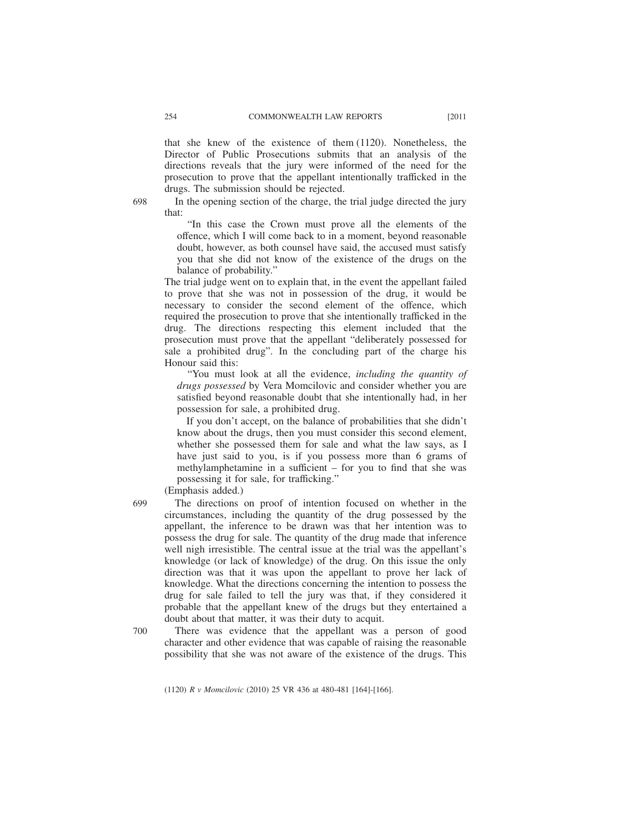that she knew of the existence of them (1120). Nonetheless, the Director of Public Prosecutions submits that an analysis of the directions reveals that the jury were informed of the need for the prosecution to prove that the appellant intentionally trafficked in the drugs. The submission should be rejected.

698

In the opening section of the charge, the trial judge directed the jury that:

"In this case the Crown must prove all the elements of the offence, which I will come back to in a moment, beyond reasonable doubt, however, as both counsel have said, the accused must satisfy you that she did not know of the existence of the drugs on the balance of probability."

The trial judge went on to explain that, in the event the appellant failed to prove that she was not in possession of the drug, it would be necessary to consider the second element of the offence, which required the prosecution to prove that she intentionally trafficked in the drug. The directions respecting this element included that the prosecution must prove that the appellant "deliberately possessed for sale a prohibited drug". In the concluding part of the charge his Honour said this:

"You must look at all the evidence, *including the quantity of drugs possessed* by Vera Momcilovic and consider whether you are satisfied beyond reasonable doubt that she intentionally had, in her possession for sale, a prohibited drug.

If you don't accept, on the balance of probabilities that she didn't know about the drugs, then you must consider this second element, whether she possessed them for sale and what the law says, as I have just said to you, is if you possess more than 6 grams of methylamphetamine in a sufficient – for you to find that she was possessing it for sale, for trafficking."

(Emphasis added.)

699

700

The directions on proof of intention focused on whether in the circumstances, including the quantity of the drug possessed by the appellant, the inference to be drawn was that her intention was to possess the drug for sale. The quantity of the drug made that inference well nigh irresistible. The central issue at the trial was the appellant's knowledge (or lack of knowledge) of the drug. On this issue the only direction was that it was upon the appellant to prove her lack of knowledge. What the directions concerning the intention to possess the drug for sale failed to tell the jury was that, if they considered it probable that the appellant knew of the drugs but they entertained a doubt about that matter, it was their duty to acquit.

There was evidence that the appellant was a person of good character and other evidence that was capable of raising the reasonable possibility that she was not aware of the existence of the drugs. This

(1120) *R v Momcilovic* (2010) 25 VR 436 at 480-481 [164]-[166].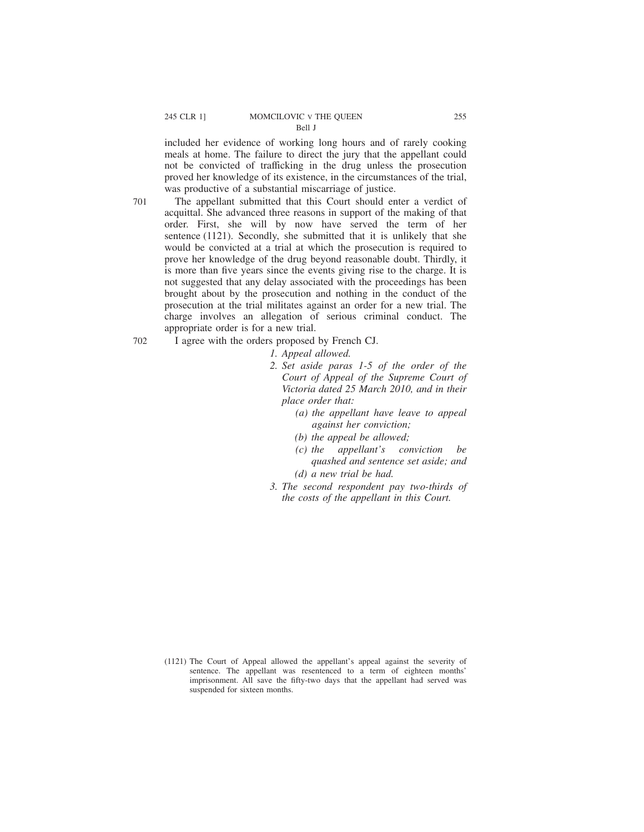701

702

## 245 CLR 1] MOMCILOVIC V THE QUEEN 255 Bell J

included her evidence of working long hours and of rarely cooking meals at home. The failure to direct the jury that the appellant could not be convicted of trafficking in the drug unless the prosecution proved her knowledge of its existence, in the circumstances of the trial, was productive of a substantial miscarriage of justice.

The appellant submitted that this Court should enter a verdict of acquittal. She advanced three reasons in support of the making of that order. First, she will by now have served the term of her sentence (1121). Secondly, she submitted that it is unlikely that she would be convicted at a trial at which the prosecution is required to prove her knowledge of the drug beyond reasonable doubt. Thirdly, it is more than five years since the events giving rise to the charge. It is not suggested that any delay associated with the proceedings has been brought about by the prosecution and nothing in the conduct of the prosecution at the trial militates against an order for a new trial. The charge involves an allegation of serious criminal conduct. The appropriate order is for a new trial.

I agree with the orders proposed by French CJ.

- *1. Appeal allowed.*
- *2. Set aside paras 1-5 of the order of the Court of Appeal of the Supreme Court of Victoria dated 25 March 2010, and in their place order that:*
	- *(a) the appellant have leave to appeal against her conviction;*
	- *(b) the appeal be allowed;*
	- *(c) the appellant's conviction be quashed and sentence set aside; and (d) a new trial be had.*
- *3. The second respondent pay two-thirds of the costs of the appellant in this Court.*

(1121) The Court of Appeal allowed the appellant's appeal against the severity of sentence. The appellant was resentenced to a term of eighteen months' imprisonment. All save the fifty-two days that the appellant had served was suspended for sixteen months.